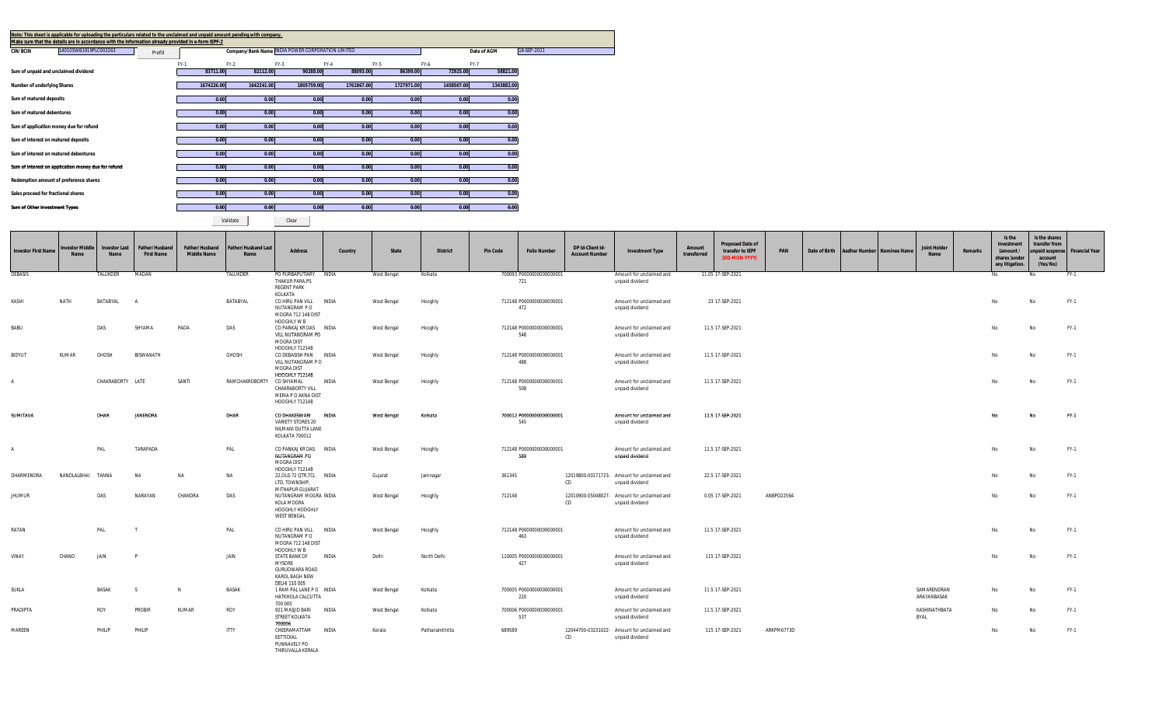| Note: This sheet is applicable for uploading the particulars related to the unclaimed and unpaid amount pending with company.<br>Make sure that the details are in accordance with the information already provided in e-form IEPF-2 |                  |                    |                                                   |                    |                    |                    |                         |             |
|--------------------------------------------------------------------------------------------------------------------------------------------------------------------------------------------------------------------------------------|------------------|--------------------|---------------------------------------------------|--------------------|--------------------|--------------------|-------------------------|-------------|
| L40105WB1919PLC003263<br><b>CIN/BCIN</b><br>Prefill                                                                                                                                                                                  |                  |                    | Company/Bank Name INDIA POWER CORPORATION LIMITED |                    |                    |                    | Date of AGM             | 18-SEP-2021 |
|                                                                                                                                                                                                                                      |                  |                    |                                                   |                    |                    |                    |                         |             |
| Sum of unpaid and unclaimed dividend                                                                                                                                                                                                 | FY-1<br>83711.00 | $FY-2$<br>82112.00 | $FY-3$<br>90288.00                                | $FY-4$<br>88093.00 | $FY-5$<br>86399.00 | $FY-6$<br>72925.00 | <b>FY-7</b><br>58821.00 |             |
|                                                                                                                                                                                                                                      |                  |                    |                                                   |                    |                    |                    |                         |             |
| Number of underlying Shares                                                                                                                                                                                                          | 1674226.00       | 1642241.00         | 1805759.00                                        | 1761867.00         | 1727971.00         | 1458507.00         | 1343882.00              |             |
| Sum of matured deposits                                                                                                                                                                                                              | 0.00             | 0.00               | 0.00                                              | 0.00               | 0.00               | 0.00               | 0.00                    |             |
| Sum of matured debentures                                                                                                                                                                                                            | 0.00             | 0.00               | 0.00                                              | 0.00               | 0.00               | 0.00               | 0.00                    |             |
|                                                                                                                                                                                                                                      |                  |                    |                                                   |                    |                    |                    |                         |             |
| Sum of application money due for refund                                                                                                                                                                                              | 0.00             | 0.00               | 0.00                                              | 0.00               | 0.00               | 0.00               | 0.00                    |             |
| Sum of interest on matured deposits                                                                                                                                                                                                  | 0.00             | 0.00               | 0.00                                              | 0.00               | 0.00               | 0.00               | 0.00                    |             |
| Sum of interest on matured debentures                                                                                                                                                                                                | 0.00             | 0.00               | 0.00                                              | 0.00               | 0.00               | 0.00               | 0.00                    |             |
| Sum of interest on application money due for refund                                                                                                                                                                                  | 0.00             | 0.00               | 0.00                                              | 0.00               | 0.00               | 0.00               | 0.00                    |             |
|                                                                                                                                                                                                                                      |                  |                    |                                                   |                    |                    |                    |                         |             |
| Redemption amount of preference shares                                                                                                                                                                                               | 0.00             | 0.00               | 0.00                                              | 0.00               | 0.00               | 0.00               | 0.00                    |             |
| Sales proceed for fractional shares                                                                                                                                                                                                  | 0.00             | 0.00               | 0.00                                              | 0.00               | 0.00               | 0.00               | 0.00                    |             |
| Sum of Other Investment Types                                                                                                                                                                                                        | 0.00             | 0.00               | 0.00                                              | 0.00               | 0.00               | 0.00               | 0.00                    |             |
|                                                                                                                                                                                                                                      |                  |                    |                                                   |                    |                    |                    |                         |             |

Validate **|** Clear

| <b>Investor First Name</b> | <b>nvestor Middle</b><br><b>Name</b> | <b>Investor Last</b><br>Name | Father/Husband<br><b>First Name</b> | Father/Husband<br><b>Middle Name</b> | <b>Father/Husband Last</b><br>Name | <b>Address</b>                                                                            | Country      | State       | <b>District</b> | <b>Pin Code</b> | <b>Folio Number</b>              | DP Id-Client Id-<br><b>Account Number</b> | <b>Investment Type</b>                                         | Amount<br>transferred | <b>Proposed Date of</b><br>transfer to IEPF<br>(DD-MON-YYYY) | PAN        |  | Date of Birth Aadhar Number Nominee Name | <b>Joint Holder</b><br>Name | Remarks | Is the<br>Investment<br>(amount /<br>shares)under<br>any litigation. | Is the shares<br>transfer from<br>unpaid suspense<br>account<br>(Yes/No) | <b>Financial Year</b> |
|----------------------------|--------------------------------------|------------------------------|-------------------------------------|--------------------------------------|------------------------------------|-------------------------------------------------------------------------------------------|--------------|-------------|-----------------|-----------------|----------------------------------|-------------------------------------------|----------------------------------------------------------------|-----------------------|--------------------------------------------------------------|------------|--|------------------------------------------|-----------------------------|---------|----------------------------------------------------------------------|--------------------------------------------------------------------------|-----------------------|
| <b>DEBASIS</b>             |                                      | TALUKDER                     | MADAN                               |                                      | TALUKDER                           | PO PURBAPUTIARY INDIA<br>THAKUR PARA, PS<br><b>REGENT PARK</b>                            |              | West Bengal | Kolkata         |                 | 700093 P00000000000000001<br>721 |                                           | Amount for unclaimed and<br>unpaid dividend                    |                       | 11.05 17-SEP-2021                                            |            |  |                                          |                             |         | No                                                                   |                                                                          | FY-1                  |
| KASHI                      | NATH                                 | BATABYAL                     | $\overline{A}$                      |                                      | BATABYAL                           | KOLKATA<br>CO HIRU PAN VILL INDIA<br>NUTANGRAM P O<br>MOGRA 712 148 DIST                  |              | West Bengal | Hooghly         |                 | 712148 P0000000000000001<br>472  |                                           | Amount for unclaimed and<br>unpaid dividend                    |                       | 23 17-SEP-2021                                               |            |  |                                          |                             |         | No                                                                   | No                                                                       | $FY-1$                |
| <b>BABU</b>                |                                      | DAS                          | SHYAMA                              | PADA                                 | DAS                                | HOOGHLY W B<br>CO PANKAJ KR DAS INDIA<br>VILL NUTANGRAM PO<br>MOGRA DIST                  |              | West Bengal | Hooghly         |                 | 712148 P0000000000000001<br>546  |                                           | Amount for unclaimed and<br>unpaid dividend                    |                       | 11.5 17-SEP-2021                                             |            |  |                                          |                             |         | No                                                                   | No                                                                       | FY-1                  |
| BIDYUT                     | KUMAR                                | GHOSH                        | <b>BISWANATH</b>                    |                                      | GHOSH                              | HOOGHLY 712148<br>CO DEBASISH PAN<br>VILL NUTANGRAM PO<br>MOGRA DIST                      | INDIA        | West Bengal | Hooghly         |                 | 712148 P0000000000000001<br>488  |                                           | Amount for unclaimed and<br>unpaid dividend                    |                       | 11.5 17-SEP-2021                                             |            |  |                                          |                             |         | No                                                                   | No                                                                       | FY-1                  |
| $\overline{A}$             |                                      | CHAKRABORTY LATE             |                                     | SANTI                                | RAMCHAKROBORTY                     | HOOGHLY 712148<br>CO SHYAMAL<br>CHAKRABORTY VILL<br>MERIA P O AKNA DIST<br>HOOGHLY 712148 | <b>INDIA</b> | West Bengal | Hooghly         |                 | 712148 P0000000000000001<br>508  |                                           | Amount for unclaimed and<br>unpaid dividend                    |                       | 11.5 17-SEP-2021                                             |            |  |                                          |                             |         | No                                                                   | No                                                                       | FY-1                  |
| SUMITAVA                   |                                      | DHAR                         | JANENDRA                            |                                      | DHAR                               | CO DHAKESWARI<br>VARIETY STORES 20<br>NILMANI DUTTA LANE<br>KOLKATA 700012                | <b>INDIA</b> | West Bengal | Kolkata         |                 | 700012 P0000000000000001<br>545  |                                           | Amount for unclaimed and<br>unpaid dividend                    |                       | 11.5 17-SEP-2021                                             |            |  |                                          |                             |         | No                                                                   | No                                                                       | FY-1                  |
| $\overline{A}$             |                                      | PAL                          | TARAPADA                            |                                      | PAL                                | CO PANKAJ KR DAS INDIA<br>NUTANGRAM PO<br>MOGRA DIST<br>HOOGHLY 712148                    |              | West Bengal | Hooghly         |                 | 712148 P0000000000000001<br>589  |                                           | Amount for unclaimed and<br>unpaid dividend                    |                       | 11.5 17-SEP-2021                                             |            |  |                                          |                             |         | No                                                                   | No                                                                       | FY-1                  |
| DHARMENDRA                 | NANDLALBHAI                          | TANNA                        | <b>NA</b>                           | NA                                   | NA                                 | 22, OLD 72 QTR, TCL INDIA<br>LTD. TOWNSHIP.<br>MITHAPUR GUJARAT                           |              | Gujarat     | Jamnagar        | 361345          |                                  | CD                                        | 12019800-00171723- Amount for unclaimed and<br>unpaid dividend |                       | 22.5 17-SEP-2021                                             |            |  |                                          |                             |         | No                                                                   |                                                                          | FY-1                  |
| <b>JHUMUR</b>              |                                      | DAS                          | NARAYAN                             | CHANDRA                              | DAS                                | NUTANGRAM MOGRA INDIA<br>KOLA MOGRA<br>HOOGHLY HOOGHLY<br><b>WEST BENGAL</b>              |              | West Bengal | Hooghly         | 712148          |                                  | CD                                        | 12010900-05048027- Amount for unclaimed and<br>unpaid dividend |                       | 0.05 17-SEP-2021                                             | ANBPD2259A |  |                                          |                             |         | No                                                                   | No                                                                       | $FY-1$                |
| RATAN                      |                                      | PAL                          |                                     |                                      | PAL                                | CO HIRU PAN VILL INDIA<br>NUTANGRAM P O<br>MOGRA 712 148 DIST<br>HOOGHLY W B              |              | West Bengal | Hooghly         |                 | 712148 P0000000000000001<br>463  |                                           | Amount for unclaimed and<br>unpaid dividend                    |                       | 11.5 17-SEP-2021                                             |            |  |                                          |                             |         | No                                                                   | No                                                                       | FY-1                  |
| VINAY                      | CHAND                                | JAIN                         |                                     |                                      | JAIN                               | STATE BANK OF<br><b>MYSORE</b><br><b>GURUDWARA ROAD</b><br>KAROL BAGH NEW                 | <b>INDIA</b> | Delhi       | North Delhi     |                 | 110005 P0000000000000001<br>427  |                                           | Amount for unclaimed and<br>unpaid dividend                    |                       | 115 17-SEP-2021                                              |            |  |                                          |                             |         | No                                                                   | No                                                                       | FY-1                  |
| SUKLA                      |                                      | <b>BASAK</b>                 |                                     | N                                    | <b>BASAK</b>                       | DELHI 110 005<br>1 RAM PAL LANE PO INDIA<br>HATKHOLA CALCUTTA<br>700 005                  |              | West Bengal | Kolkata         |                 | 700005 P0000000000000001<br>220  |                                           | Amount for unclaimed and<br>unpaid dividend                    |                       | 11.5 17-SEP-2021                                             |            |  |                                          | SAMARENDRAN<br>ARAYANBASAK  |         | No                                                                   |                                                                          | FY-1                  |
| PRADIPTA                   |                                      | ROY                          | PROBIR                              | KUMAR                                | ROY                                | 921 MASJID BARI<br>STREET KOLKATA<br>700006                                               | <b>INDIA</b> | West Bengal | Kolkata         |                 | 700006 P00000000000000001<br>537 |                                           | Amount for unclaimed and<br>unpaid dividend                    |                       | 11.5 17-SEP-2021                                             |            |  |                                          | KASHINATHBATA<br>BYAL       |         | No                                                                   | No                                                                       | FY-1                  |
| MAREEN                     |                                      | PHILIP                       | PHILIP                              |                                      | <b>ITTY</b>                        | CHEERAMATTAM<br>EETTICKAL<br>PUNNAVELY PO<br>THIRUVALLA KERALA                            | <b>INDIA</b> | Kerala      | Pathanamthitta  | 689589          |                                  | CD                                        | 12044700-03231022- Amount for unclaimed and<br>unpaid dividend |                       | 115 17-SEP-2021                                              | ARKPM6773D |  |                                          |                             |         | No                                                                   | No                                                                       | FY-1                  |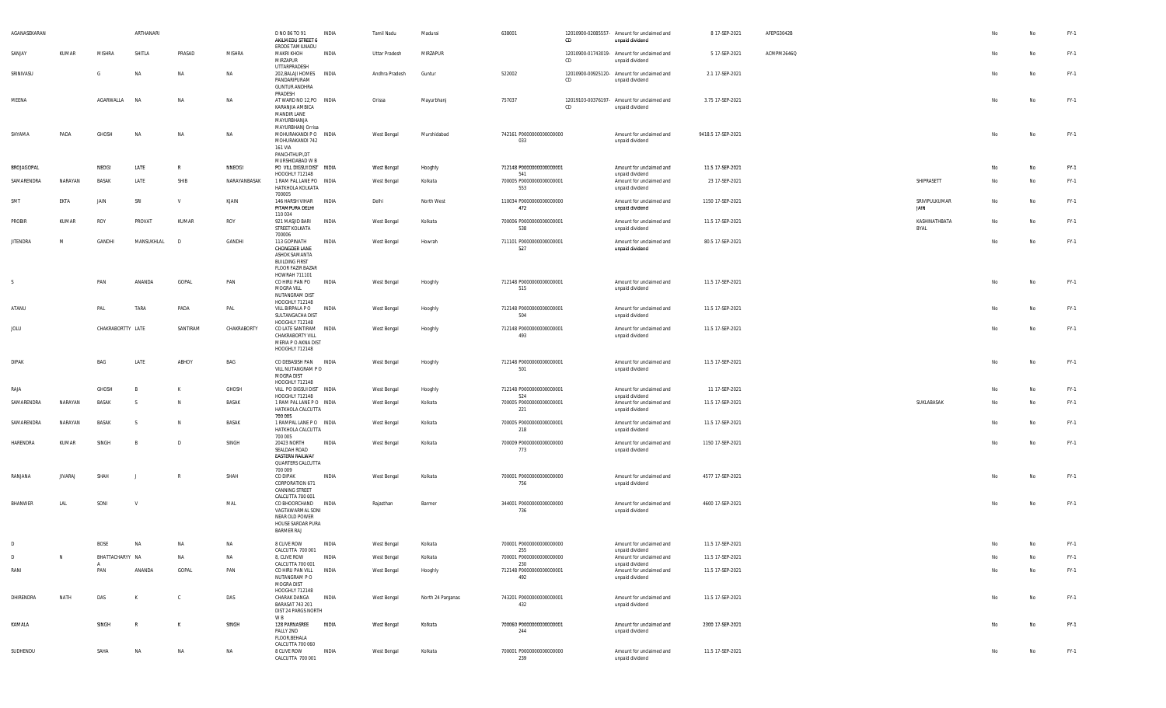| AGANASEKARAN      |                |                   | ARTHANARI    |              |              | D NO 86 TO 91<br>AKILMEDU STREET 6                                                                                      | INDIA        | Tamil Nadu     | Madurai           | 638001                                 | CD | 12010900-02085557- Amount for unclaimed and<br>unpaid dividend | 8 17-SEP-2021      | AFEPG3042B |                       |                | No | $FY-1$ |
|-------------------|----------------|-------------------|--------------|--------------|--------------|-------------------------------------------------------------------------------------------------------------------------|--------------|----------------|-------------------|----------------------------------------|----|----------------------------------------------------------------|--------------------|------------|-----------------------|----------------|----|--------|
| SANJAY            | KUMAR          | <b>MISHRA</b>     | SHITLA       | PRASAD       | MISHRA       | ERODE TAMILNADU<br><b>MAKRI KHOH</b><br>MIRZAPUR                                                                        | INDIA        | Uttar Pradesh  | MIRZAPUR          |                                        | CD | 12010900-01743019- Amount for unclaimed and<br>unpaid dividend | 5 17-SEP-2021      | ACMPM2646Q |                       | N <sub>o</sub> | No | FY-1   |
| SRINIVASU         |                | - G               | NA           | <b>NA</b>    | NA           | UTTARPRADESH<br>202, BALAJI HOMES INDIA<br>PANDARIPURAM<br><b>GUNTUR ANDHRA</b>                                         |              | Andhra Pradesh | Guntur            | 522002                                 | CD | 12010900-00925120- Amount for unclaimed and<br>unpaid dividend | 2.1 17-SEP-2021    |            |                       | No             | No | FY-1   |
| MEENA             |                | AGARWALLA         | <b>NA</b>    | NA           | <b>NA</b>    | PRADESH<br>AT WARD NO 12, PO INDIA<br>KARANJIA AMBICA<br><b>MANDIR LANE</b><br>MAYURBHANJA                              |              | Orissa         | Mayurbhanj        | 757037                                 | CD | 12019103-00376197- Amount for unclaimed and<br>unpaid dividend | 3.75 17-SEP-2021   |            |                       | No             | No | FY-1   |
| SHYAMA            | PADA           | GHOSH             | NΑ           | <b>NA</b>    | NA           | MAYURBHANJ Orrisa<br>MOHURAKANDI PO INDIA<br>MOHURAKANDI 742<br>161 VIA<br>PANCHTHUPI,DT                                |              | West Bengal    | Murshidabad       | 742161 P0000000000000000<br>033        |    | Amount for unclaimed and<br>unpaid dividend                    | 9418.5 17-SEP-2021 |            |                       | No             | No | FY-1   |
| <b>BROJAGOPAL</b> |                | NEOGI             | LATE         | R            | NNEOGI       | MURSHIDABAD W B<br>PO VILL DIGSUI DIST INDIA                                                                            |              | West Bengal    | Hooghly           | 712148 P0000000000000001               |    | Amount for unclaimed and                                       | 11.5 17-SEP-2021   |            |                       | No             | No | FY-1   |
| SAMARENDRA        | NARAYAN        | BASAK             | LATE         | SHIB         | NARAYANBASAK | HOOGHLY 712148<br>1 RAM PAL LANE PO INDIA<br>HATKHOLA KOLKATA                                                           |              | West Bengal    | Kolkata           | 541<br>700005 P0000000000000001<br>553 |    | unpaid dividend<br>Amount for unclaimed and<br>unpaid dividend | 23 17-SEP-2021     |            | SHIPRASETT            | No             | No | FY-1   |
| SMT               | EKTA           | JAIN              | SRI          | $\mathsf{v}$ | KJAIN        | 700005<br>146 HARSH VIHAR INDIA<br>PITAMPURA DELHI                                                                      |              | Delhi          | North West        | 110034 P0000000000000000<br>472        |    | Amount for unclaimed and<br>unpaid dividend                    | 1150 17-SEP-2021   |            | SRIVIPULKUMAR<br>JAIN | No             | No | FY-1   |
| PROBIR            | KUMAR          | ROY               | PROVAT       | KUMAR        | ROY          | 110 034<br>921 MASJID BARI<br>STREET KOLKATA                                                                            | INDIA        | West Bengal    | Kolkata           | 700006 P0000000000000001<br>538        |    | Amount for unclaimed and<br>unpaid dividend                    | 11.5 17-SEP-2021   |            | KASHINATHBATA<br>BYAL | N <sub>o</sub> | No | $FY-1$ |
| <b>JITENDRA</b>   | M              | GANDHI            | MANSUKHLAL   | D            | GANDHI       | 700006<br>113 GOPINATH<br>CHONGDER LANE<br>ASHOK SAMANTA<br><b>BUILDING FIRST</b><br>FLOOR FAZIR BAZAR                  | INDIA        | West Bengal    | Howrah            | 711101 P0000000000000001<br>527        |    | Amount for unclaimed and<br>unpaid dividend                    | 80.5 17-SEP-2021   |            |                       | No             | No | FY-1   |
| S.                |                | PAN               | ANANDA       | GOPAL        | PAN          | HOWRAH 711101<br>CO HIRU PAN PO<br>MOGRA VILL<br>NUTANGRAM DIST<br>HOOGHLY 712148                                       | INDIA        | West Bengal    | Hooghly           | 712148 P0000000000000001<br>515        |    | Amount for unclaimed and<br>unpaid dividend                    | 11.5 17-SEP-2021   |            |                       | No             | No | FY-1   |
| ATANU             |                | PAL               | TARA         | PADA         | PAL          | VILL BIRPALA P O INDIA<br>SULTANGACHA DIST<br>HOOGHLY 712148                                                            |              | West Bengal    | Hooghly           | 712148 P0000000000000001<br>504        |    | Amount for unclaimed and<br>unpaid dividend                    | 11.5 17-SEP-2021   |            |                       | N <sub>o</sub> | No | FY-1   |
| JOLU              |                | CHAKRABORTTY LATE |              | SANTIRAM     | CHAKRABORTY  | CO LATE SANTIRAM INDIA<br>CHAKRABORTY VILL<br>MERIA P O AKNA DIST<br>HOOGHLY 712148                                     |              | West Bengal    | Hooghly           | 712148 P0000000000000001<br>493        |    | Amount for unclaimed and<br>unpaid dividend                    | 11.5 17-SEP-2021   |            |                       | No             | No | FY-1   |
| <b>DIPAK</b>      |                | BAG               | LATE         | ABHOY        | BAG          | CO DEBASISH PAN INDIA<br>VILL NUTANGRAM PO<br>MOGRA DIST<br>HOOGHLY 712148                                              |              | West Bengal    | Hooghly           | 712148 P0000000000000001<br>501        |    | Amount for unclaimed and<br>unpaid dividend                    | 11.5 17-SEP-2021   |            |                       | No             | No | FY-1   |
| RAJA              |                | GHOSH             | B            | K            | GHOSH        | VILL PO DIGSUI DIST INDIA                                                                                               |              | West Bengal    | Hooghly           | 712148 P0000000000000001               |    | Amount for unclaimed and                                       | 11 17-SEP-2021     |            |                       | No             | No | FY-1   |
| SAMARENDRA        | NARAYAN        | BASAK             | - S          | N.           | BASAK        | HOOGHLY 712148<br>1 RAM PAL LANE PO INDIA<br>HATKHOLA CALCUTTA<br>700 005                                               |              | West Bengal    | Kolkata           | 524<br>700005 P0000000000000001<br>221 |    | unpaid dividend<br>Amount for unclaimed and<br>unpaid dividend | 11.5 17-SEP-2021   |            | SUKLABASAK            | No             | No | FY-1   |
| SAMARENDRA        | NARAYAN        | BASAK             |              | N.           | BASAK        | 1 RAMPAL LANE PO INDIA<br>HATKHOLA CALCUTTA<br>700 005                                                                  |              | West Bengal    | Kolkata           | 700005 P0000000000000001<br>218        |    | Amount for unclaimed and<br>unpaid dividend                    | 11.5 17-SEP-2021   |            |                       | No             | No | FY-1   |
| HARENDRA          | KUMAR          | SINGH             |              | D            | SINGH        | 20423 NORTH<br>SEALDAH ROAD<br><b>EASTERN RAILWAY</b><br>QUARTERS CALCUTTA<br>700 009                                   | INDIA        | West Bengal    | Kolkata           | 700009 P0000000000000000<br>773        |    | Amount for unclaimed and<br>unpaid dividend                    | 1150 17-SEP-2021   |            |                       | No             | No | FY-1   |
| RANJANA           | <b>JIVARAJ</b> | SHAH              |              |              | SHAH         | CO DIPAK<br>CORPORATION 671<br>CANNING STREET                                                                           | INDIA        | West Bengal    | Kolkata           | 700001 P0000000000000000<br>756        |    | Amount for unclaimed and<br>unpaid dividend                    | 4577 17-SEP-2021   |            |                       | No             | No | FY-1   |
| BHANWER           | LAL            | SONI              |              |              | MAL          | CALCUTTA 700 001<br>CO BHOORCHAND INDIA<br>VAGTAWARMAL SONI<br>NEAR OLD POWER<br>HOUSE SARDAR PURA<br><b>BARMER RAJ</b> |              | Rajasthan      | Barmer            | 344001 P0000000000000000<br>736        |    | Amount for unclaimed and<br>unpaid dividend                    | 4600 17-SEP-2021   |            |                       | N <sub>o</sub> | No | FY-1   |
| $\sqrt{2}$        |                | <b>BOS</b>        |              |              | <b>NA</b>    | 8 CLIVE ROW                                                                                                             | INDIA        | West Bengal    | Kolkata           | 700001 P0000000000000000               |    | Amount for unclaimed and                                       | 11.5 17-SEP-2021   |            |                       |                |    | FY-1   |
| D                 | N              | BHATTACHARYY NA   |              | <b>NA</b>    | NA           | CALCUTTA 700 001<br>8, CLIVE ROW                                                                                        | <b>INDIA</b> | West Bengal    | Kolkata           | 255<br>700001 P0000000000000000        |    | unpaid dividend<br>Amount for unclaimed and                    | 11.5 17-SEP-2021   |            |                       |                | No | FY-1   |
| RANI              |                | PAN               | ANANDA       | GOPAL        | PAN          | CALCUTTA 700 001<br>CO HIRU PAN VILL                                                                                    | INDIA        | West Bengal    | Hooghly           | 230<br>712148 P0000000000000001        |    | unpaid dividend<br>Amount for unclaimed and                    | 11.5 17-SEP-2021   |            |                       | No             | No | FY-1   |
| DHIRENDRA         | NATH           | DAS               | K            | $\mathbb{C}$ | DAS          | NUTANGRAM PO<br>MOGRA DIST<br>HOOGHLY 712148<br>CHARAK DANGA                                                            | INDIA        | West Bengal    | North 24 Parganas | 492<br>743201 P0000000000000001        |    | unpaid dividend<br>Amount for unclaimed and                    | 11.5 17-SEP-2021   |            |                       | No             | No | $FY-1$ |
|                   |                |                   |              |              |              | BARASAT 743 201<br>DIST 24 PARGS NORTH<br>W <sub>R</sub>                                                                |              |                |                   | 432                                    |    | unpaid dividend                                                |                    |            |                       |                |    |        |
| KAMALA            |                | SINGH             | $\mathbb{R}$ | K            | SINGH        | 128 PARNASREE<br>PALLY 2ND<br>FLOOR, BEHALA<br>CALCUTTA 700 060                                                         | INDIA        | West Bengal    | Kolkata           | 700060 P0000000000000001<br>244        |    | Amount for unclaimed and<br>unpaid dividend                    | 2300 17-SEP-2021   |            |                       | No             | No | FY-1   |
| SUDHENDU          |                | SAHA              | NA           | NA           | NA           | 8 CLIVE ROW<br>CALCUTTA 700 001                                                                                         | INDIA        | West Bengal    | Kolkata           | 700001 P0000000000000000<br>239        |    | Amount for unclaimed and<br>unpaid dividend                    | 11.5 17-SEP-2021   |            |                       | No             | No | FY-1   |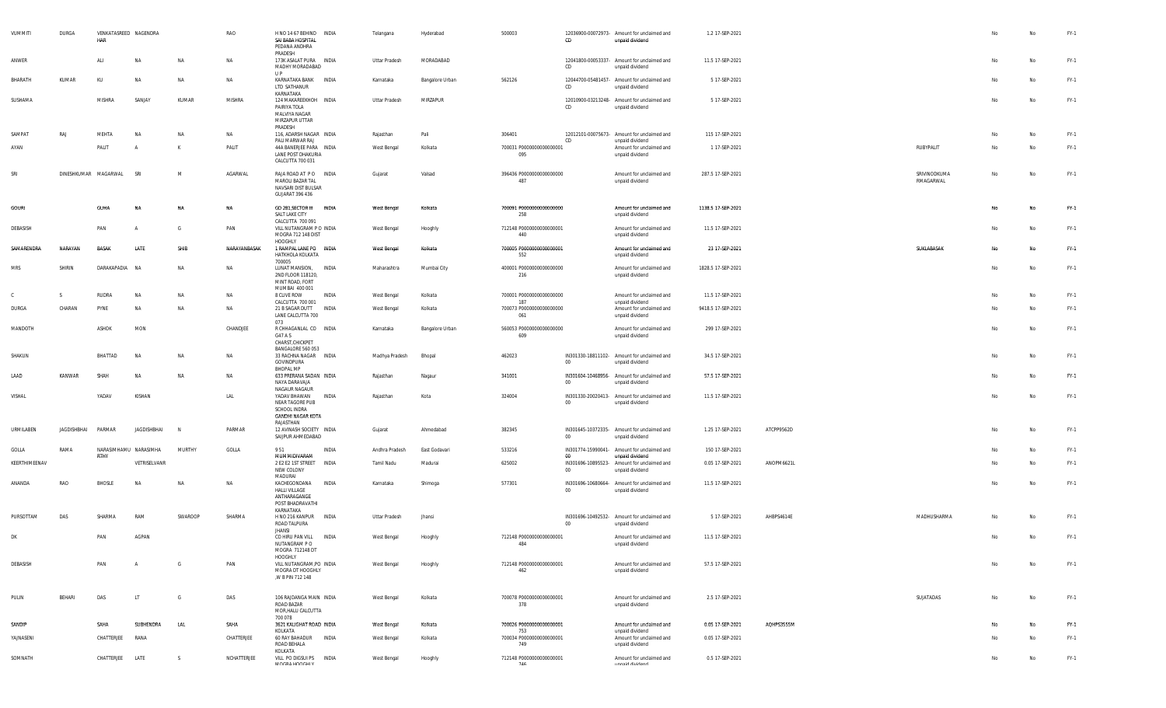| VUMMITI       | DURGA       | VENKATASREED NAGENDRA<br>HAR |                       |           | RAO          | H NO 14 67 BEHIND INDIA<br>SAI BABA HOSPITAL<br>PEDANA ANDHRA<br>PRADESH                          | Telangana      |         | Hyderabad       | 500003                                 | CD     | 12036900-00072973- Amount for unclaimed and<br>unpaid dividend | 1.2 17-SEP-2021    |            |                           |    | No        | $FY-1$ |
|---------------|-------------|------------------------------|-----------------------|-----------|--------------|---------------------------------------------------------------------------------------------------|----------------|---------|-----------------|----------------------------------------|--------|----------------------------------------------------------------|--------------------|------------|---------------------------|----|-----------|--------|
| ANWER         |             | ALI                          | <b>NA</b>             | <b>NA</b> | <b>NA</b>    | 173K ASALAT PURA INDIA<br>MADHY MORADABAD                                                         | Uttar Pradesh  |         | MORADABAD       |                                        | CD     | 12041800-00053337- Amount for unclaimed and<br>unpaid dividend | 11.5 17-SEP-2021   |            |                           | No | No        | FY-1   |
| BHARATH       | KUMAR       | KU                           | <b>NA</b>             | NA        | NA           | U P<br>KARNATAKA BANK INDIA<br>LTD SATHANUR<br>KARNATAKA                                          | Karnataka      |         | Bangalore Urban | 562126                                 | CD     | 12044700-05481457- Amount for unclaimed and<br>unpaid dividend | 5 17-SEP-2021      |            |                           | No | No        | FY-1   |
| SUSHAMA       |             | <b>MISHRA</b>                | SANJAY                | KUMAR     | MISHRA       | 124 MAKAREEKHOH INDIA<br>PAIRIYA TOLA<br>MALVIYA NAGAR<br>MIRZAPUR UTTAR<br>PRADESH               | Uttar Pradesh  |         | MIRZAPUR        |                                        | CD     | 12010900-03213248- Amount for unclaimed and<br>unpaid dividend | 5 17-SEP-2021      |            |                           | No | No        | FY-1   |
| SAMPAT        | RAJ         | MEHTA                        | NA                    | NA        | NA           | 116, ADARSH NAGAR INDIA                                                                           | Rajasthan      | Pali    |                 | 306401                                 | CD     | 12012101-00075673- Amount for unclaimed and                    | 115 17-SEP-2021    |            |                           | No | No        | FY-1   |
| AYAN          |             | PALIT                        | A                     | K         | PALIT        | PALI MARWAR RAJ<br>44A BANERJEE PARA INDIA<br>LANE POST DHAKURIA<br>CALCUTTA 700 031              | West Bengal    | Kolkata |                 | 700031 P0000000000000001<br>095        |        | unpaid dividend<br>Amount for unclaimed and<br>unpaid dividend | 1 17-SEP-2021      |            | RUBYPALIT                 | No | No        | FY-1   |
| SRI           |             | DINESHKUMAR MAGARWAL         | SRI                   | M         | AGARWAL      | RAJA ROAD AT PO INDIA<br>MAROLI BAZAR TAL<br>NAVSARI DIST BULSAR<br>GUJARAT 396 436               | Gujarat        | Valsad  |                 | 396436 P0000000000000000<br>487        |        | Amount for unclaimed and<br>unpaid dividend                    | 287.5 17-SEP-2021  |            | SRIVINODKUMA<br>RMAGARWAL | No | No        | FY-1   |
| <b>GOURI</b>  |             | GUHA                         |                       | <b>NA</b> | <b>NA</b>    | GD 281, SECTOR III<br>INDIA<br>SALT LAKE CITY<br>CALCUTTA 700 091                                 | West Bengal    | Kolkata |                 | 700091 P0000000000000000<br>258        |        | Amount for unclaimed and<br>unpaid dividend                    | 1138.5 17-SEP-2021 |            |                           | No | <b>No</b> | FY-1   |
| DEBASISH      |             | PAN                          | $\overline{A}$        | G         | PAN          | VILL NUTANGRAM P O INDIA<br>MOGRA 712 148 DIST<br>HOOGHLY                                         | West Bengal    | Hooghly |                 | 712148 P0000000000000001<br>440        |        | Amount for unclaimed and<br>unpaid dividend                    | 11.5 17-SEP-2021   |            |                           | No | No        | $FY-1$ |
| SAMARENDRA    | NARAYAN     | <b>BASAK</b>                 | LATE                  | SHIB      | NARAYANBASAK | 1 RAMPAL LANE PO INDIA<br>HATKHOLA KOLKATA<br>700005                                              | West Bengal    | Kolkata |                 | 700005 P00000000000000001<br>552       |        | Amount for unclaimed and<br>unpaid dividend                    | 23 17-SEP-2021     |            | SUKLABASAK                | No | <b>No</b> | FY-1   |
| <b>MRS</b>    | SHIRIN      | DARAKAPADIA                  | <b>NA</b>             | NA        | NA           | LUNAT MANSION, INDIA<br>2ND FLOOR 118120,<br>MINT ROAD, FORT<br>MUMBAI 400 001                    | Maharashtra    |         | Mumbai City     | 400001 P0000000000000000<br>216        |        | Amount for unclaimed and<br>unpaid dividend                    | 1828.5 17-SEP-2021 |            |                           | No | No        | FY-1   |
| C             | S.          | <b>RUDRA</b>                 | <b>NA</b>             | NA        | NA           | 8 CLIVE ROW<br>INDIA<br>CALCUTTA 700 001                                                          | West Bengal    | Kolkata |                 | 700001 P0000000000000000<br>187        |        | Amount for unclaimed and<br>unpaid dividend                    | 11.5 17-SEP-2021   |            |                           | No | No        | FY-1   |
| DURGA         | CHARAN      | PYNE                         | <b>NA</b>             | <b>NA</b> | NA           | 21 B SAGAR DUTT INDIA<br>LANE CALCUTTA 700<br>073                                                 | West Bengal    | Kolkata |                 | 700073 P0000000000000000<br>061        |        | Amount for unclaimed and<br>unpaid dividend                    | 9418.5 17-SEP-2021 |            |                           | No | No        | FY-1   |
| MANDOTH       |             | ASHOK                        | MON                   |           | CHANDJEE     | R CHHAGANLAL CO INDIA<br>G47 A S<br>CHARST, CHICKPET<br>BANGALORE 560 053                         | Karnataka      |         | Bangalore Urban | 560053 P0000000000000000<br>609        |        | Amount for unclaimed and<br>unpaid dividend                    | 299 17-SEP-2021    |            |                           | No | No        | FY-1   |
| SHAKUN        |             | BHATTAD                      | <b>NA</b>             | NA        | NA           | 33 RACHNA NAGAR INDIA<br>GOVINDPURA<br>BHOPAL MP                                                  | Madhya Pradesh | Bhopal  |                 | 462023                                 | $00\,$ | IN301330-18811102- Amount for unclaimed and<br>unpaid dividend | 34.5 17-SEP-2021   |            |                           | No | No        | FY-1   |
| LAAD          | KANWAR      | SHAH                         | NΔ                    | <b>NA</b> | NA           | 633 PRERANA SADAN INDIA<br>NAYA DARAVAJA<br>NAGAUR NAGAUR                                         | Rajasthan      | Nagaur  |                 | 341001                                 | $00\,$ | IN301604-10468956- Amount for unclaimed and<br>unpaid dividend | 57.5 17-SEP-2021   |            |                           | No | <b>No</b> | FY-1   |
| VISHAL        |             | YADAV                        | KISHAN                |           | LAL          | YADAV BHAWAN<br>INDIA<br>NEAR TAGORE PUB<br>SCHOOL INDRA<br><b>GANDHI NAGAR KOTA</b><br>RAJASTHAN | Rajasthan      | Kota    |                 | 324004                                 | $00\,$ | IN301330-20020413- Amount for unclaimed and<br>unpaid dividend | 11.5 17-SEP-2021   |            |                           | No | No        | FY-1   |
| URMILABEN     | JAGDISHBHAI | PARMAR                       | <b>JAGDISHBHAI</b>    | N         | PARMAR       | 12 AVINASH SOCIETY INDIA<br>SAIJPUR AHMEDABAD                                                     | Gujarat        |         | Ahmedabad       | 382345                                 | $00\,$ | IN301645-10372335- Amount for unclaimed and<br>unpaid dividend | 1.25 17-SEP-2021   | ATCPP9562D |                           | No | No        | FY-1   |
| GOLLA         | RAMA        | RTHY                         | NARASIMHAMU NARASIMHA | MURTHY    | GOLLA        | 951<br>INDIA<br>MUMMIDIVARAM                                                                      | Andhra Pradesh |         | East Godavari   | 533216                                 | 00     | IN301774-15990041- Amount for unclaimed and<br>unpaid dividend | 150 17-SEP-2021    |            |                           | No | No        | FY-1   |
| KEERTHIMEENAV |             |                              | VETRISELVANR          |           |              | 2 E2 E2 1ST STREET   INDIA<br>NEW COLONY<br>MADURAI                                               | Tamil Nadu     | Madurai |                 | 625002                                 | 00     | IN301696-10895523- Amount for unclaimed and<br>unpaid dividend | 0.05 17-SEP-2021   | ANOPM6621L |                           | No | No        | FY-1   |
| ANANDA        | RAO         | <b>BHOSLE</b>                | NA                    | <b>NA</b> | <b>NA</b>    | KACHEGONDANA<br>INDIA<br><b>HALLI VILLAGE</b><br>ANTHARAGANGE<br>POST BHADRAVATHI<br>KARNATAKA    | Karnataka      | Shimoga |                 | 577301                                 | $00\,$ | IN301696-10680664- Amount for unclaimed and<br>unpaid dividend | 11.5 17-SEP-2021   |            |                           | No | No        | FY-1   |
| PURSOTTAM     | DAS         | SHARMA                       | RAM                   | SWAROOP   | SHARMA       | H NO 216 KANPUR INDIA<br>ROAD TALPURA<br><b>JHANSI</b>                                            | Uttar Pradesh  | Jhansi  |                 |                                        | $00\,$ | IN301696-10492532- Amount for unclaimed and<br>unpaid dividend | 5 17-SEP-2021      | AHBPS4614E | MADHUSHARMA               | No | <b>No</b> | FY-1   |
| DK            |             | PAN                          | AGPAN                 |           |              | CO HIRU PAN VILL<br><b>INDIA</b><br>NUTANGRAM P O<br>MOGRA 712148 DT<br>HOOGHLY                   | West Bengal    | Hooghly |                 | 712148 P0000000000000001<br>484        |        | Amount for unclaimed and<br>unpaid dividend                    | 11.5 17-SEP-2021   |            |                           | No | No        | FY-1   |
| DEBASISH      |             | PAN                          | $\overline{A}$        | G         | PAN          | VILL NUTANGRAM, PO INDIA<br>MOGRA DT HOOGHLY<br>,W B PIN 712 148                                  | West Bengal    | Hooghly |                 | 712148 P0000000000000001<br>462        |        | Amount for unclaimed and<br>unpaid dividend                    | 57.5 17-SEP-2021   |            |                           | No | No        | FY-1   |
| PULIN         | BEHARI      | DAS                          | LT.                   | G         | DAS          | 106 RAJDANGA MAIN INDIA<br>ROAD BAZAR<br>MOR, HALU CALCUTTA<br>700 078                            | West Bengal    | Kolkata |                 | 700078 P0000000000000001<br>378        |        | Amount for unclaimed and<br>unpaid dividend                    | 2.5 17-SEP-2021    |            | SUJATADAS                 | No | No        | $FY-1$ |
| SANDIP        |             | SAHA                         | SUBHENDRA             | LAL       | SAHA         | 3621 KALIGHAT ROAD INDIA                                                                          | West Bengal    | Kolkata |                 | 700026 P0000000000000001               |        | Amount for unclaimed and                                       | 0.05 17-SEP-2021   | AQHPS3555M |                           | No | No        | FY-1   |
| YAJNASENI     |             | CHATTERJEE                   | RANA                  |           | CHATTERJEE   | KOLKATA<br>60 RAY BAHADUR<br><b>INDIA</b><br>ROAD BEHALA                                          | West Bengal    | Kolkata |                 | 753<br>700034 P0000000000000001<br>749 |        | unpaid dividend<br>Amount for unclaimed and<br>unpaid dividend | 0.05 17-SEP-2021   |            |                           | No | No        | $FY-1$ |
| SOMNATH       |             | CHATTERJEE                   | LATE                  | S.        | NCHATTERJEE  | KOLKATA<br>VILL PO DIGSUI PS INDIA<br>MOODA HOOCHIV                                               | West Bengal    | Hooghly |                 | 712148 P0000000000000001<br>744        |        | Amount for unclaimed and<br>imnabi dividand                    | 0.5 17-SEP-2021    |            |                           | No | No        | FY-1   |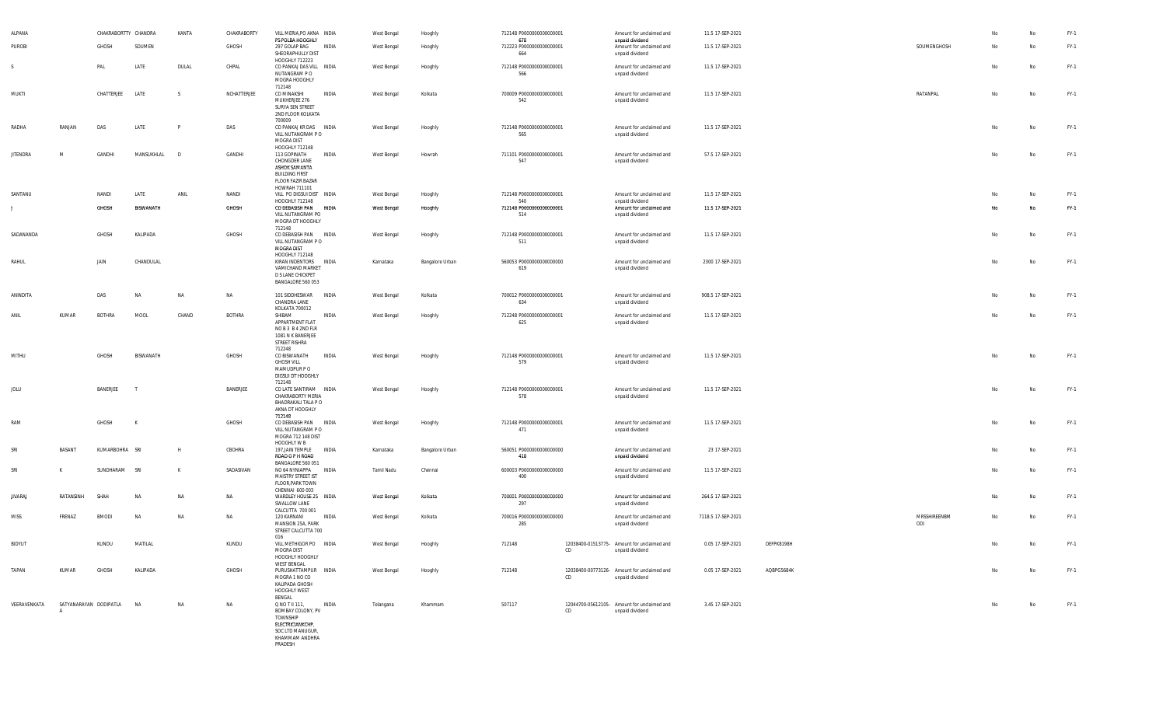| ALPANA          |                             | CHAKRABORTTY CHANDRA |              | KANTA     | CHAKRABORTY   | VILL MERIA, PO AKNA INDIA                                                                                                              |       | West Bengal | Hooghly         | 712148 P0000000000000001               |    | Amount for unclaimed and                                       | 11.5 17-SEP-2021   |            |                     | No | No        | $FY-1$ |
|-----------------|-----------------------------|----------------------|--------------|-----------|---------------|----------------------------------------------------------------------------------------------------------------------------------------|-------|-------------|-----------------|----------------------------------------|----|----------------------------------------------------------------|--------------------|------------|---------------------|----|-----------|--------|
| PUROBI          |                             | GHOSH                | SOUMEN       |           | GHOSH         | PS POLBA HOOGHLY<br>297 GOLAP BAG INDIA<br>SHEORAPHULLY DIST                                                                           |       | West Bengal | Hooghly         | 678<br>712223 P0000000000000001<br>664 |    | unpaid dividend<br>Amount for unclaimed and<br>unpaid dividend | 11.5 17-SEP-2021   |            | SOUMENGHOSH         | No | No        | $FY-1$ |
| S.              |                             | PAL                  | LATE         | DULAL     | CHPAL         | HOOGHLY 712223<br>CO PANKAJ DAS VILL INDIA<br>NUTANGRAM P O<br>MOGRA HOOGHLY<br>712148                                                 |       | West Bengal | Hooghly         | 712148 P0000000000000001<br>566        |    | Amount for unclaimed and<br>unpaid dividend                    | 11.5 17-SEP-2021   |            |                     | No | No        | $FY-1$ |
| MUKTI           |                             | CHATTERJEE           | LATE         | S.        | NCHATTERJEE   | CO MINAKSHI<br>MUKHERJEE 276<br>SURYA SEN STREET<br>2ND FLOOR KOLKATA<br>700009                                                        | INDIA | West Bengal | Kolkata         | 700009 P0000000000000001<br>542        |    | Amount for unclaimed and<br>unpaid dividend                    | 11.5 17-SEP-2021   |            | RATANPAL            | No | No        | $FY-1$ |
| RADHA           | RANJAN                      | DAS                  | LATE         | P         | DAS           | CO PANKAJ KR DAS INDIA<br>VILL NUTANGRAM P O<br>MOGRA DIST                                                                             |       | West Bengal | Hooghly         | 712148 P0000000000000001<br>565        |    | Amount for unclaimed and<br>unpaid dividend                    | 11.5 17-SEP-2021   |            |                     | No | No        | FY-1   |
| <b>JITENDRA</b> | M                           | GANDHI               | MANSUKHLAL D |           | GANDHI        | HOOGHLY 712148<br>113 GOPINATH<br>CHONGDER LANE<br>ASHOK SAMANTA<br><b>BUILDING FIRST</b><br><b>FLOOR FAZIR BAZAR</b><br>HOWRAH 711101 | INDIA | West Bengal | Howrah          | 711101 P0000000000000001<br>547        |    | Amount for unclaimed and<br>unpaid dividend                    | 57.5 17-SEP-2021   |            |                     | No | <b>No</b> | $FY-1$ |
| SANTANU         |                             | NANDI                | LATE         | ANIL      | NANDI         | VILL PO DIGSUI DIST INDIA<br>HOOGHLY 712148                                                                                            |       | West Bengal | Hooghly         | 712148 P0000000000000001<br>540        |    | Amount for unclaimed and                                       | 11.5 17-SEP-2021   |            |                     | No | No        | $FY-1$ |
| ,               |                             | GHOSH                | BISWANATH    |           | GHOSH         | CO DEBASISH PAN INDIA<br>VILL NUTANGRAM PO<br>MOGRA DT HOOGHLY<br>712148                                                               |       | West Bengal | Hooghly         | 712148 P0000000000000001<br>514        |    | unpaid dividend<br>Amount for unclaimed and<br>unpaid dividend | 11.5 17-SEP-2021   |            |                     | No | No        | FY-1   |
| SADANANDA       |                             | GHOSH                | KALIPADA     |           | GHOSH         | CO DEBASISH PAN INDIA<br>VILL NUTANGRAM PO<br>MOGRA DIST<br>HOOGHLY 712148                                                             |       | West Bengal | Hooghly         | 712148 P0000000000000001<br>511        |    | Amount for unclaimed and<br>unpaid dividend                    | 11.5 17-SEP-2021   |            |                     | No | No        | $FY-1$ |
| RAHUL           |                             | JAIN                 | CHANDULAL    |           |               | KIRAN INDENTORS INDIA<br>VAMICHAND MARKET<br>D S LANE CHICKPET<br>BANGALORE 560 053                                                    |       | Karnataka   | Bangalore Urban | 560053 P0000000000000000<br>619        |    | Amount for unclaimed and<br>unpaid dividend                    | 2300 17-SEP-2021   |            |                     | No | No        | $FY-1$ |
| ANINDITA        |                             | DAS                  | <b>NA</b>    | <b>NA</b> | NA            | 101 SIDDHESWAR INDIA<br>CHANDRA LANE<br>KOLKATA 700012                                                                                 |       | West Bengal | Kolkata         | 700012 P0000000000000001<br>634        |    | Amount for unclaimed and<br>unpaid dividend                    | 908.5 17-SEP-2021  |            |                     | No | <b>No</b> | FY-1   |
| ANIL            | KUMAR                       | <b>BOTHRA</b>        | MOOL         | CHAND     | <b>BOTHRA</b> | SHIBAM<br>APPARTMENT FLAT<br>NOB3 B42ND FLR<br>1081 N K BANERJEE<br>STREET RISHRA<br>712248                                            | INDIA | West Bengal | Hooghly         | 712248 P0000000000000001<br>625        |    | Amount for unclaimed and<br>unpaid dividend                    | 11.5 17-SEP-2021   |            |                     | No | No        | $FY-1$ |
| MITHU           |                             | GHOSH                | BISWANATH    |           | GHOSH         | CO BISWANATH<br><b>GHOSH VILL</b><br>MAMUDPUR PO<br>DIGSUI DT HOOGHLY<br>712148                                                        | INDIA | West Bengal | Hooghly         | 712148 P0000000000000001<br>579        |    | Amount for unclaimed and<br>unpaid dividend                    | 11.5 17-SEP-2021   |            |                     | No | No        | $FY-1$ |
| JOLU            |                             | BANERJEE             | - т          |           | BANERJEE      | CO LATE SANTIRAM INDIA<br>CHAKRABORTY MERIA<br>BHADRAKALI TALA P O<br>AKNA DT HOOGHLY<br>712148                                        |       | West Bengal | Hooghly         | 712148 P0000000000000001<br>578        |    | Amount for unclaimed and<br>unpaid dividend                    | 11.5 17-SEP-2021   |            |                     | No | No        | FY-1   |
| RAM             |                             | GHOSH                | K            |           | GHOSH         | CO DEBASISH PAN INDIA<br>VILL NUTANGRAM PO<br>MOGRA 712 148 DIST<br>HOOGHLY W B                                                        |       | West Bengal | Hooghly         | 712148 P0000000000000001<br>471        |    | Amount for unclaimed and<br>unpaid dividend                    | 11.5 17-SEP-2021   |            |                     | No | No        | $FY-1$ |
| SRI             | BASANT                      | KUMARBOHRA SRI       |              | H         | CBOHRA        | 197, JAIN TEMPLE<br>ROAD O P H ROAD<br>BANGALORE 560 051                                                                               | INDIA | Karnataka   | Bangalore Urban | 560051 P0000000000000000<br>418        |    | Amount for unclaimed and<br>unpaid dividend                    | 23 17-SEP-2021     |            |                     | No | No        | $FY-1$ |
| SRI             | K                           | SUNDHARAM            | SRI          | K         | SADASIVAN     | NO 64 NYNIAPPA INDIA<br>MAISTRY STREET IST<br>FLOOR, PARK TOWN<br>CHENNAI 600 003                                                      |       | Tamil Nadu  | Chennai         | 600003 P0000000000000000<br>400        |    | Amount for unclaimed and<br>unpaid dividend                    | 11.5 17-SEP-2021   |            |                     | No | No        | $FY-1$ |
| JIVARAJ         | RATANSINH                   | SHAH                 | NA           | ΝA        | NA            | WARDLEY HOUSE 25 INDIA<br>SWALLOW LANE<br>CALCUTTA 700 001                                                                             |       | West Bengal | Kolkata         | 700001 P0000000000000000<br>297        |    | Amount for unclaimed and<br>unpaid dividend                    | 264.5 17-SEP-2021  |            |                     | No | No        | $FY-1$ |
| MISS            | FRENAZ                      | <b>BMODI</b>         | <b>NA</b>    | NA        | NA            | 120 KARNANI<br>MANSION 25A, PARK<br>STREET CALCUTTA 700<br>016                                                                         | INDIA | West Bengal | Kolkata         | 700016 P0000000000000000<br>285        |    | Amount for unclaimed and<br>unpaid dividend                    | 7118.5 17-SEP-2021 |            | MRSSHIREENBM<br>ODI | No | <b>No</b> | $FY-1$ |
| BIDYUT          |                             | KUNDU                | MATILAL      |           | KUNDU         | VILL METHIGOR PO INDIA<br>MOGRA DIST<br>HOOGHLY HOOGHLY<br><b>WEST BENGAL</b>                                                          |       | West Bengal | Hooghly         | 712148                                 | CD | 12038400-01513775- Amount for unclaimed and<br>unpaid dividend | 0.05 17-SEP-2021   | DEFPK8198H |                     | No | No        | FY-1   |
| TAPAN           | KUMAR                       | GHOSH                | KALIPADA     |           | GHOSH         | PURUSHATTAMPUR INDIA<br>MOGRA 1 NO CO<br>KALIPADA GHOSH<br>HOOGHLY WEST<br>BENGAL                                                      |       | West Bengal | Hooghly         | 712148                                 | CD | 12038400-00773126- Amount for unclaimed and<br>unpaid dividend | 0.05 17-SEP-2021   | AQBPG5684K |                     | No | No        | $FY-1$ |
| VEERAVENKATA    | SATYANARAYAN DODIPATLA<br>A |                      | <b>NA</b>    | NA        | NA            | Q NO T II 111,<br>BOMBAY COLONY. PV<br>TOWNSHIP<br>ELECTRICIANKCHP,<br>SOC LTD MANUGUR.<br>KHAMMAM ANDHRA<br>PRADESH                   | INDIA | Telangana   | Khammam         | 507117                                 | CD | 12044700-05612105- Amount for unclaimed and<br>unpaid dividend | 3.45 17-SEP-2021   |            |                     | No | No        | $FY-1$ |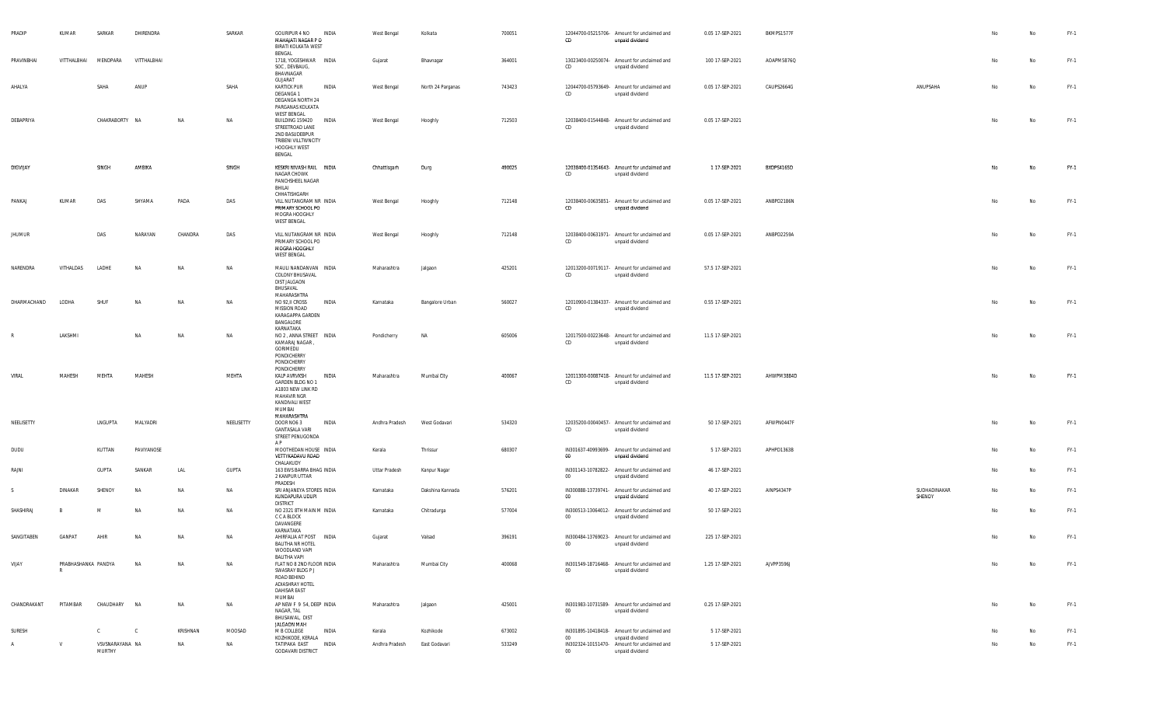| PRADIP        | KUMAR               | SARKAR                    | DHIRENDRA    |          | SARKAR       | GOURIPUR 4 NO<br>MAHAJATI NAGAR P O<br>BIRATI KOLKATA WEST                                                                 | INDIA | West Bengal    | Kolkata           | 700051 | CD               | 12044700-05215706- Amount for unclaimed and<br>unpaid dividend                    | 0.05 17-SEP-2021 | BKMPS1577F |                        | No | No        | FY-1   |
|---------------|---------------------|---------------------------|--------------|----------|--------------|----------------------------------------------------------------------------------------------------------------------------|-------|----------------|-------------------|--------|------------------|-----------------------------------------------------------------------------------|------------------|------------|------------------------|----|-----------|--------|
| PRAVINBHAI    | VITTHALBHAI         | MENDPARA                  | VITTHALBHAI  |          |              | BENGAL<br>1718, YOGESHWAR INDIA<br>SOC, DEVBAUG,<br>BHAVNAGAR                                                              |       | Gujarat        | Bhavnagar         | 364001 | CD               | 13023400-00250074- Amount for unclaimed and<br>unpaid dividend                    | 100 17-SEP-2021  | AOAPM5876Q |                        | No | No        | FY-1   |
| AHALYA        |                     | SAHA                      | ANUP         |          | SAHA         | GUJARAT<br><b>KARTICK PUR</b><br>DEGANGA 1<br>DEGANGA NORTH 24<br>PARGANAS KOLKATA                                         | INDIA | West Bengal    | North 24 Parganas | 743423 | CD               | 12044700-05793649- Amount for unclaimed and<br>unpaid dividend                    | 0.05 17-SEP-2021 | CAUPS2664G | ANUPSAHA               | No | <b>No</b> | FY-1   |
| DEBAPRIYA     |                     | CHAKRABORTY NA            |              | NA       | NA           | WEST BENGAL<br>BUILDING 159420 INDIA<br>STREETROAD LANE<br>2ND BASUDEBPUR<br>TRIBENI VILLTWNCITY<br>HOOGHLY WEST<br>BENGAL |       | West Bengal    | Hooghly           | 712503 | CD               | 12038400-01544848- Amount for unclaimed and<br>unpaid dividend                    | 0.05 17-SEP-2021 |            |                        | No | No        | FY-1   |
| DIGVIJAY      |                     | SINGH                     | AMBIKA       |          | SINGH        | KESKRI NIVASH RAIL INDIA<br>NAGAR CHOWK<br>PANCHSHEEL NAGAR<br>BHILAI                                                      |       | Chhattisgarh   | Durg              | 490025 | CD               | 12038400-01354643- Amount for unclaimed and<br>unpaid dividend                    | 1 17-SEP-2021    | BXDPS4165D |                        | No | No        | $FY-1$ |
| PANKAJ        | KUMAR               | DAS                       | SHYAMA       | PADA     | DAS          | CHHATISHGARH<br>VILL NUTANGRAM NR INDIA<br>PRIMARY SCHOOL PO<br>MOGRA HOOGHLY<br>WEST BENGAL                               |       | West Bengal    | Hooghly           | 712148 | CD               | 12038400-00635851- Amount for unclaimed and<br>unpaid dividend                    | 0.05 17-SEP-2021 | ANBPD2186N |                        | No | No        | FY-1   |
| <b>JHUMUR</b> |                     | DAS                       | NARAYAN      | CHANDRA  | DAS          | VILL NUTANGRAM NR INDIA<br>PRIMARY SCHOOL PO<br>MOGRA HOOGHLY<br>WEST BENGAL                                               |       | West Bengal    | Hooghly           | 712148 | CD               | 12038400-00631971- Amount for unclaimed and<br>unpaid dividend                    | 0.05 17-SEP-2021 | ANBPD2259A |                        | No | No        | FY-1   |
| NARENDRA      | VITHALDAS           | LADHE                     | <b>NA</b>    | NA       | NA           | MAULI NANDANVAN INDIA<br>COLONY BHUSAVAL<br>DIST JALGAON<br>BHUSAVAL                                                       |       | Maharashtra    | Jalgaon           | 425201 | CD               | 12013200-00719117- Amount for unclaimed and<br>unpaid dividend                    | 57.5 17-SEP-2021 |            |                        | No | No        | FY-1   |
| DHARMACHAND   | LODHA               | SHUF                      | <b>NA</b>    | NA       | NA           | MAHARASHTRA<br>NO 92, II CROSS<br>MISSION ROAD<br>KARAGAPPA GARDEN<br>BANGALORE                                            | INDIA | Karnataka      | Bangalore Urban   | 560027 | CD               | 12010900-01384337- Amount for unclaimed and<br>unpaid dividend                    | 0.55 17-SEP-2021 |            |                        | No | No        | FY-1   |
| R             | LAKSHMI             |                           | <b>NA</b>    | NA       | NA           | KARNATAKA<br>NO 2, ANNA STREET INDIA<br>KAMARAJ NAGAR<br>GORIMEDU<br>PONDICHERRY<br>PONDICHERRY                            |       | Pondicherry    | NA                | 605006 | CD               | 12017500-00223648- Amount for unclaimed and<br>unpaid dividend                    | 11.5 17-SEP-2021 |            |                        | No | No        | FY-1   |
| VIRAL         | MAHESH              | MEHTA                     | MAHESH       |          | MEHTA        | PONDICHERRY<br>KALP AVRVKSH<br>GARDEN BLDG NO 1<br>A1803 NEW LINK RD<br><b>MAHAVIR NGR</b><br>KANDIVALI WEST<br>MUMBAI     | INDIA | Maharashtra    | Mumbai City       | 400067 | CD               | 12011300-00087418- Amount for unclaimed and<br>unpaid dividend                    | 11.5 17-SEP-2021 | AHWPM3884D |                        | No | No        | FY-1   |
| NEELISETTY    |                     | LNGUPTA                   | MALYADRI     |          | NEELISETTY   | MAHARASHTRA<br>DOOR NO6 3<br><b>GANTASALA VARI</b><br>STREET PENUGONDA<br>AP.                                              | INDIA | Andhra Pradesh | West Godavari     | 534320 | CD               | 12035200-00040457- Amount for unclaimed and<br>unpaid dividend                    | 50 17-SEP-2021   | AFWPN0447F |                        | No | No        | FY-1   |
| DUDU          |                     | KUTTAN                    | PAVIYANOSE   |          |              | MOOTHEDAN HOUSE INDIA<br>VETTYKADAVU ROAD<br>CHALAKUDY                                                                     |       | Kerala         | Thrissur          | 680307 | 00               | IN301637-40993699- Amount for unclaimed and<br>unpaid dividend                    | 5 17-SEP-2021    | APHPD1363B |                        | No | No        | $FY-1$ |
| RAJNI         |                     | GUPTA                     | SANKAR       | LAL      | <b>GUPTA</b> | 163 EWS BARRA BHAG INDIA<br>2 KANPUR UTTAR<br>PRADESH                                                                      |       | Uttar Pradesh  | Kanpur Nagar      |        | $00\,$           | IN301143-10782822- Amount for unclaimed and<br>unpaid dividend                    | 46 17-SEP-2021   |            |                        | No | No        | FY-1   |
| s             | DINAKAR             | SHENOY                    | <b>NA</b>    | NA       | NA           | SRI ANJANEYA STORES INDIA<br>KUNDAPURA UDUPI<br><b>DISTRICT</b>                                                            |       | Karnataka      | Dakshina Kannada  | 576201 | $00\,$           | IN300888-13739741- Amount for unclaimed and<br>unpaid dividend                    | 40 17-SEP-2021   | AINPS4347P | SUDHADINAKAR<br>SHENOY | No | No        | FY-1   |
| SHASHIRAJ     | - B                 | M                         | <b>NA</b>    | NA       | NA           | NO 2321 8TH MAIN M INDIA<br><b>CCABLOCK</b><br>DAVANGERE<br>KARNATAKA                                                      |       | Karnataka      | Chitradurga       | 577004 | $00\,$           | IN300513-13064012- Amount for unclaimed and<br>unpaid dividend                    | 50 17-SEP-2021   |            |                        | No | No        | FY-1   |
| SANGITABEN    | GANPAT              | AHIR                      | <b>NA</b>    | NA       | NA           | AHIRFALIA AT POST INDIA<br><b>BALITHA NR HOTEL</b><br>WOODLAND VAPI                                                        |       | Gujarat        | Valsad            | 396191 | 00               | IN300484-13769023- Amount for unclaimed and<br>unpaid dividend                    | 225 17-SEP-2021  |            |                        | No | No        | FY-1   |
| VIJAY         | PRABHASHANKA PANDYA |                           | <b>NA</b>    | NA       | NA           | BALITHA VAPI<br>FLAT NO 8 2ND FLOOR INDIA<br>SWASRAY BLDG P J<br>ROAD BEHIND<br>ADIASHRAY HOTEL<br>DAHISAR EAST<br>MUMBAI  |       | Maharashtra    | Mumbai City       | 400068 | $00\,$           | IN301549-18716468- Amount for unclaimed and<br>unpaid dividend                    | 1.25 17-SEP-2021 | AJVPP3596J |                        | No | No        | FY-1   |
| CHANDRAKANT   | PITAMBAR            | CHAUDHARY                 | <b>NA</b>    | NA       | NA           | AP NEW F 9 54, DEEP INDIA<br>NAGAR, TAL<br>BHUSAWAL, DIST<br>JALGAON MAH                                                   |       | Maharashtra    | Jalgaon           | 425001 | $00\,$           | IN301983-10731589- Amount for unclaimed and<br>unpaid dividend                    | 0.25 17-SEP-2021 |            |                        | No | No        | FY-1   |
| SURESH        |                     | $\mathbf{C}$              | $\mathsf{C}$ | KRISHNAN | MOOSAD       | M B COLLEGE<br>KOZHIKODE, KERALA                                                                                           | INDIA | Kerala         | Kozhikode         | 673002 |                  | IN301895-10418418- Amount for unclaimed and                                       | 5 17-SEP-2021    |            |                        |    | No        | FY-1   |
| $\mathsf{A}$  | V                   | VSVSNARAYANA NA<br>MURTHY |              | NA       | NA           | TATIPAKA EAST INDIA<br><b>GODAVARI DISTRICT</b>                                                                            |       | Andhra Pradesh | East Godavari     | 533249 | $00\,$<br>$00\,$ | unpaid dividend<br>IN302324-10151470- Amount for unclaimed and<br>unpaid dividend | 5 17-SEP-2021    |            |                        | No | No        | FY-1   |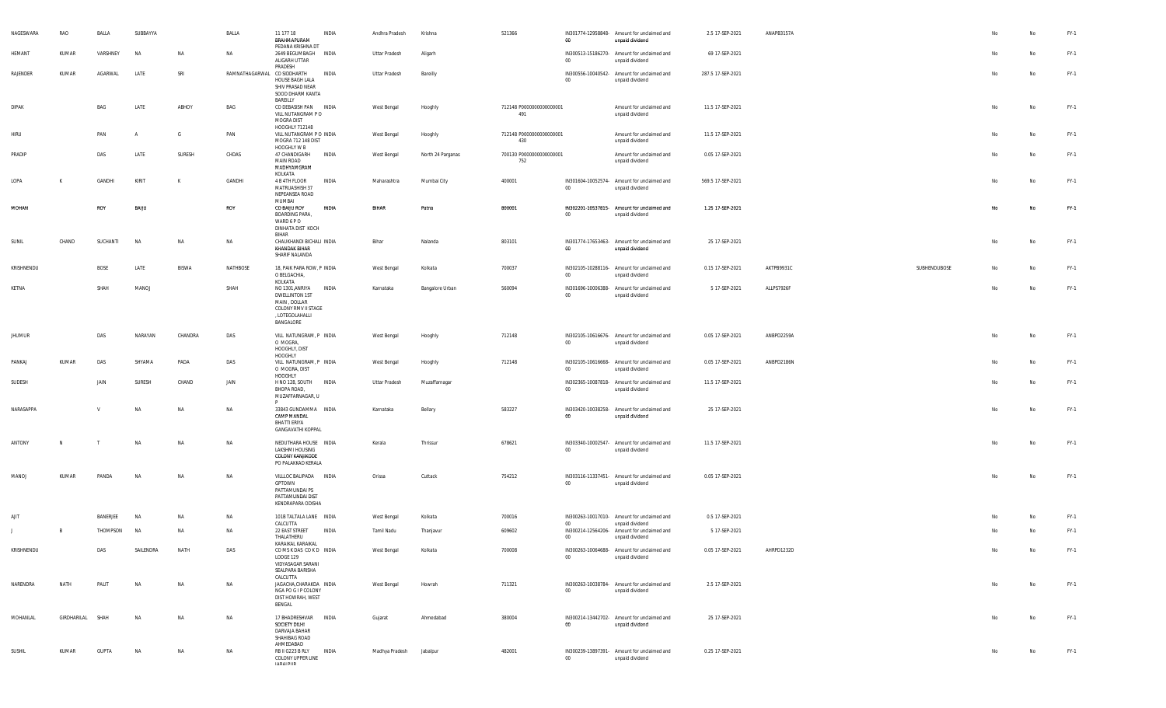| NAGESWARA     | RAO              | BALLA        | SUBBAYYA       |              | BALLA                       | 11 177 18<br>BRAHMAPURAM<br>PEDANA KRISHNA DT                                                                         | INDIA | Andhra Pradesh | Krishna           | 521366                          | 00     | IN301774-12958848- Amount for unclaimed and<br>unpaid dividend | 2.5 17-SEP-2021   | ANAPB3157A |              |    | No        | $FY-1$ |
|---------------|------------------|--------------|----------------|--------------|-----------------------------|-----------------------------------------------------------------------------------------------------------------------|-------|----------------|-------------------|---------------------------------|--------|----------------------------------------------------------------|-------------------|------------|--------------|----|-----------|--------|
| HEMANT        | KUMAR            | VARSHNEY     | <b>NA</b>      | NA           | NA                          | 2649 BEGUMBAGH INDIA<br>ALIGARH UTTAR<br>PRADESH                                                                      |       | Uttar Pradesh  | Aligarh           |                                 | $00\,$ | IN300513-15186270- Amount for unclaimed and<br>unpaid dividend | 69 17-SEP-2021    |            |              | No | No        | $FY-1$ |
| RAJENDER      | KUMAR            | AGARWAL      | LATE           | SRI          | RAMNATHAGARWAL CO SIDDHARTH | HOUSE BAGH LALA<br>SHIV PRASAD NEAR<br>SOOD DHARM KANTA<br>BAREILLY                                                   | INDIA | Uttar Pradesh  | Bareilly          |                                 | $00\,$ | IN300556-10040542- Amount for unclaimed and<br>unpaid dividend | 287.5 17-SEP-2021 |            |              | No | No        | $FY-1$ |
| <b>DIPAK</b>  |                  | BAG          | LATE           | ABHOY        | BAG                         | CO DEBASISH PAN INDIA<br>VILL NUTANGRAM PO<br>MOGRA DIST                                                              |       | West Bengal    | Hooghly           | 712148 P0000000000000001<br>491 |        | Amount for unclaimed and<br>unpaid dividend                    | 11.5 17-SEP-2021  |            |              | No | No        | $FY-1$ |
| <b>HIRU</b>   |                  | PAN          | $\overline{A}$ | G            | PAN                         | HOOGHLY 712148<br>VILL NUTANGRAM P O INDIA<br>MOGRA 712 148 DIST<br>HOOGHLY W B                                       |       | West Bengal    | Hooghly           | 712148 P0000000000000001<br>430 |        | Amount for unclaimed and<br>unpaid dividend                    | 11.5 17-SEP-2021  |            |              | No | No        | $FY-1$ |
| PRADIP        |                  | DAS          | LATE           | SURESH       | CHDAS                       | 47 CHANDIGARH<br><b>MAIN ROAD</b><br>MADHYAMGRAM<br>KOLKATA                                                           | INDIA | West Bengal    | North 24 Parganas | 700130 P0000000000000001<br>752 |        | Amount for unclaimed and<br>unpaid dividend                    | 0.05 17-SEP-2021  |            |              | No | No        | $FY-1$ |
| LOPA          | К                | GANDHI       | KIRIT          | K            | GANDHI                      | 4 B 4TH FLOOR<br>MATRUASHISH 37<br>NEPEANSEA ROAD<br>MUMBAI                                                           | INDIA | Maharashtra    | Mumbai City       | 400001                          | $00\,$ | IN301604-10052574- Amount for unclaimed and<br>unpaid dividend | 569.5 17-SEP-2021 |            |              | No | No        | $FY-1$ |
| MOHAN         |                  | ROY          | BAIJU          |              | ROY                         | CO BAUU ROY<br><b>BOARDING PARA,</b><br>WARD 6 P O<br>DINHATA DIST KOCH<br>BIHAR                                      | INDIA | <b>BIHAR</b>   | Patna             | 800001                          | $00\,$ | IN302201-10537815- Amount for unclaimed and<br>unpaid dividend | 1.25 17-SEP-2021  |            |              | No | No        | FY-1   |
| SUNIL         | CHAND            | SUCHANTI     | <b>NA</b>      | NA           | NA                          | CHAUKHANDI BICHALI INDIA<br>KHANDAK BIHAR<br>SHARIF NALANDA                                                           |       | Bihar          | Nalanda           | 803101                          | $00\,$ | IN301774-17653463- Amount for unclaimed and<br>unpaid dividend | 25 17-SEP-2021    |            |              | No | No        | $FY-1$ |
| KRISHNENDU    |                  | BOSE         | LATE           | <b>BISWA</b> | NATHBOSE                    | 18, PAIK PARA ROW, P INDIA<br>O BELGACHIA,<br>KOLKATA                                                                 |       | West Bengal    | Kolkata           | 700037                          | $00\,$ | IN302105-10288116- Amount for unclaimed and<br>unpaid dividend | 0.15 17-SEP-2021  | AKTPB9931C | SUBHENDUBOSE | No | No        | $FY-1$ |
| KETNA         |                  | SHAH         | MANOJ          |              | SHAH                        | NO 1301, ANRIYA INDIA<br><b>DWELLINTON 1ST</b><br>MAIN, DOLLAR<br>COLONY RMV II STAGE<br>, LOTEGOLAHALLI<br>BANGALORE |       | Karnataka      | Bangalore Urban   | 560094                          | $00\,$ | IN301696-10006388- Amount for unclaimed and<br>unpaid dividend | 5 17-SEP-2021     | ALLPS7926F |              | No | No        | $FY-1$ |
| <b>JHUMUR</b> |                  | DAS          | NARAYAN        | CHANDRA      | DAS                         | VILL NATUNGRAM, P INDIA<br>O MOGRA,<br>HOOGHLY, DIST<br>HOOGHLY                                                       |       | West Bengal    | Hooghly           | 712148                          | $00\,$ | IN302105-10616676- Amount for unclaimed and<br>unpaid dividend | 0.05 17-SEP-2021  | ANBPD2259A |              | No | No        | $FY-1$ |
| PANKAJ        | KUMAR            | DAS          | SHYAMA         | PADA         | DAS                         | VILL NATUNGRAM, P INDIA<br>O MOGRA, DIST<br><b>HOOGHLY</b>                                                            |       | West Bengal    | Hooghly           | 712148                          | $00\,$ | IN302105-10616668- Amount for unclaimed and<br>unpaid dividend | 0.05 17-SEP-2021  | ANBPD2186N |              | No | <b>No</b> | $FY-1$ |
| SUDESH        |                  | JAIN         | SURESH         | CHAND        | JAIN                        | H NO 128, SOUTH INDIA<br>BHOPA ROAD,<br>MUZAFFARNAGAR, U<br>P.                                                        |       | Uttar Pradesh  | Muzaffarnagar     |                                 | $00\,$ | IN302365-10087818- Amount for unclaimed and<br>unpaid dividend | 11.5 17-SEP-2021  |            |              | No | <b>No</b> | $FY-1$ |
| NARASAPPA     |                  | $\mathbf{v}$ | <b>NA</b>      | NA           | NA                          | 33843 GUNDAMMA INDIA<br>CAMP MANDAL<br><b>BHATTI ERIYA</b><br><b>GANGAVATHI KOPPAL</b>                                |       | Karnataka      | Bellary           | 583227                          | 00     | IN303420-10038258- Amount for unclaimed and<br>unpaid dividend | 25 17-SEP-2021    |            |              | No | No        | $FY-1$ |
| ANTONY        | N                |              | NA             | NA           | NA                          | NEDUTHARA HOUSE INDIA<br>LAKSHMI HOUSING<br><b>COLONY KANJIKODE</b><br>PO PALAKKAD KERALA                             |       | Kerala         | Thrissur          | 678621                          | $00\,$ | IN303340-10002547- Amount for unclaimed and<br>unpaid dividend | 11.5 17-SEP-2021  |            |              | No | No        | $FY-1$ |
| MANOJ         | KUMAR            | PANDA        | <b>NA</b>      | <b>NA</b>    | NA                          | VILLLOC BALIPADA INDIA<br>GPTOWN<br>PATTAMUNDAI PS<br>PATTAMUNDAI DIST<br>KENDRAPARA ODISHA                           |       | Orissa         | Cuttack           | 754212                          | $00\,$ | IN303116-11337451- Amount for unclaimed and<br>unpaid dividend | 0.05 17-SEP-2021  |            |              | No | No        | $FY-1$ |
| AJIT          |                  | BANERJEE     | NA             | <b>NA</b>    | NA                          | 101B TALTALA LANE INDIA<br>CALCUTTA                                                                                   |       | West Bengal    | Kolkata           | 700016                          | $00\,$ | IN300263-10017010- Amount for unclaimed and<br>unpaid dividend | 0.5 17-SEP-2021   |            |              | N٥ | No        | $FY-1$ |
|               | B                | THOMPSON     | <b>NA</b>      | NA           | <b>NA</b>                   | 22 EAST STREET INDIA<br>THALATHERU                                                                                    |       | Tamil Nadu     | Thanjavur         | 609602                          | $00\,$ | IN300214-12564206- Amount for unclaimed and<br>unpaid dividend | 5 17-SEP-2021     |            |              | No | No        | $FY-1$ |
| KRISHNENDU    |                  | DAS          | SAILENDRA      | NATH         | DAS                         | KARAIKAL KARAIKAL<br>COMSKDAS COKD INDIA<br>LODGE 129<br>VIDYASAGAR SARANI<br>SEALPARA BARISHA                        |       | West Bengal    | Kolkata           | 700008                          | 00     | IN300263-10064688- Amount for unclaimed and<br>unpaid dividend | 0.05 17-SEP-2021  | AHRPD1232D |              | No | No        | FY-1   |
| NARENDRA      | NATH             | PALIT        | NA             | NA           | NA                          | CALCUTTA<br>JAGACHA,CHARAKDA INDIA<br>NGA PO G I P COLONY<br>DIST HOWRAH, WEST<br>BENGAL                              |       | West Bengal    | Howrah            | 711321                          | $00\,$ | IN300263-10038784- Amount for unclaimed and<br>unpaid dividend | 2.5 17-SEP-2021   |            |              | No | No        | $FY-1$ |
| MOHANLAL      | GIRDHARILAL SHAH |              | <b>NA</b>      | NA           | NA                          | 17 BHADRESHVAR INDIA<br>SOCIETY DILHI<br>DARVAJA BAHAR<br>SHAHIBAG ROAD                                               |       | Gujarat        | Ahmedabad         | 380004                          | 00     | IN300214-13442702- Amount for unclaimed and<br>unpaid dividend | 25 17-SEP-2021    |            |              | No | No        | $FY-1$ |
| SUSHIL        | KUMAR            | GUPTA        | NA             | NA           | NA                          | AHMEDABAD<br>RB II G223 B RLY INDIA<br>COLONY UPPER LINE<br><b>IADAI DI ID</b>                                        |       | Madhya Pradesh | Jabalpur          | 482001                          | $00\,$ | IN300239-13897391- Amount for unclaimed and<br>unpaid dividend | 0.25 17-SEP-2021  |            |              | No | No        | FY-1   |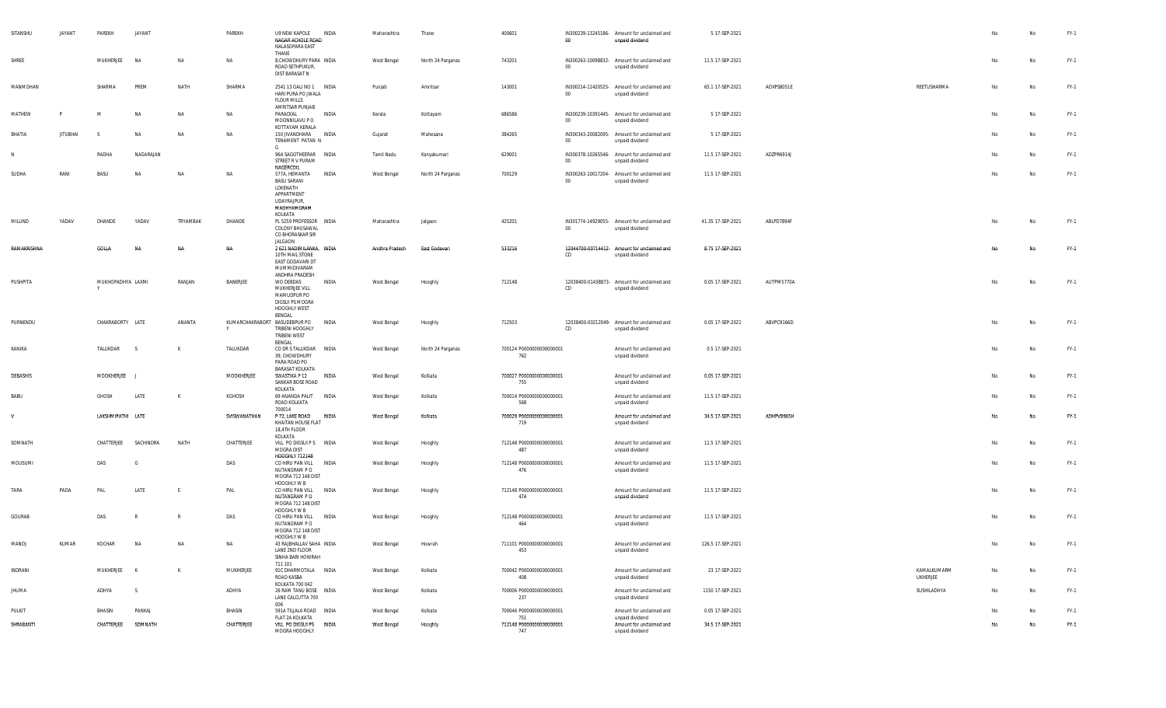| SITANSHU     | JAYANT          | PAREKH                 | JAYANT       |              | PAREKH       | U9 NEW KAPOLE INDIA<br>NAGAR ACHOLE ROAD<br>NALASOPARA EAST                                                  |              | Maharashtra    | Thane             | 400601                          | 00     | IN300239-13245186- Amount for unclaimed and<br>unpaid dividend | 5 17-SEP-2021     |            |                                |    | No  | FY-1   |
|--------------|-----------------|------------------------|--------------|--------------|--------------|--------------------------------------------------------------------------------------------------------------|--------------|----------------|-------------------|---------------------------------|--------|----------------------------------------------------------------|-------------------|------------|--------------------------------|----|-----|--------|
| SHREE        |                 | MUKHERJEE              | NA           | NA           | NA           | THANE<br>8, CHOWDHURY PARA INDIA<br>ROAD SETHPUKUR,<br>DIST BARASAT N                                        |              | West Bengal    | North 24 Parganas | 743201                          | $00\,$ | IN300263-10098832- Amount for unclaimed and<br>unpaid dividend | 11.5 17-SEP-2021  |            |                                | No | No  | FY-1   |
| MANMOHAN     |                 | SHARMA                 | PREM         | NATH         | SHARMA       | 2541 13 GALI NO 1 INDIA<br>HARI PURA PO JWALA<br><b>FLOUR MILLS</b>                                          |              | Punjab         | Amritsar          | 143001                          | $00\,$ | IN300214-11420525- Amount for unclaimed and<br>unpaid dividend | 65.1 17-SEP-2021  | AOXPS8051E | REETUSHARMA                    | No | No  | FY-1   |
| MATHEW       |                 | M                      | NA           | <b>NA</b>    | NA           | AMRITSAR PUNJAB<br>PARACKAL<br>MOONNILAVU P O<br>KOTTAYAM KERALA                                             | INDIA        | Kerala         | Kottayam          | 686586                          | $00\,$ | IN300239-10391445- Amount for unclaimed and<br>unpaid dividend | 5 17-SEP-2021     |            |                                | No | No  | FY-1   |
| BHATIA       | <b>JITUBHAI</b> | -S                     | <b>NA</b>    | <b>NA</b>    | NA           | 150 JIVANDHARA INDIA<br>TENAMENT PATAN N<br>G.                                                               |              | Gujarat        | Mahesana          | 384265                          | $00\,$ | IN300343-20082095- Amount for unclaimed and<br>unpaid dividend | 5 17-SEP-2021     |            |                                | No | No  | $FY-1$ |
|              |                 | RADHA                  | NAGARAJAN    |              |              | 96A SAGOTHEERAR INDIA<br>STREET R V PURAM<br>NAGERCOIL                                                       |              | Tamil Nadu     | Kanyakumari       | 629001                          | $00\,$ | IN300378-10265546- Amount for unclaimed and<br>unpaid dividend | 11.5 17-SEP-2021  | ADZPR6914J |                                | No | Na  | $FY-1$ |
| <b>SUDHA</b> | RANI            | BASU                   | <b>NA</b>    | <b>NA</b>    | NA           | 577A, HEMANTA INDIA<br>BASU SARANI<br>LOKENATH<br>APPARTMENT<br><b>UDAYRAJPUR,</b><br>MADHYAMGRAM<br>KOLKATA |              | West Bengal    | North 24 Parganas | 700129                          | 00     | IN300263-10017204- Amount for unclaimed and<br>unpaid dividend | 11.5 17-SEP-2021  |            |                                | No | No  | FY-1   |
| MILLIND      | YADAV           | DHANDE                 | YADAV        | TRYAMBAK     | DHANDE       | PL 5259 PROFESSOR INDIA<br>COLONY BHUSAWAL<br>CO BHORASKAR SIR<br>JALGAON                                    |              | Maharashtra    | Jalgaon           | 425201                          | $00\,$ | IN301774-14929055- Amount for unclaimed and<br>unpaid dividend | 41.35 17-SEP-2021 | ABLPD7894F |                                | No | No  | FY-1   |
| RAMAKRISHNA  |                 | GOLLA                  | <b>NA</b>    | NA           | <b>NA</b>    | 2 621 NADIMILANKA, INDIA<br>10TH MAIL STONE<br>EAST GODAVARI DT<br>MUMMIDIVARAM<br>ANDHRA PRADESH            |              | Andhra Pradesh | East Godavari     | 533216                          | CD     | 12044700-00714412- Amount for unclaimed and<br>unpaid dividend | 8.75 17-SEP-2021  |            |                                | No | No  | FY-1   |
| PUSHPITA     |                 | MUKHOPADHYA LAXMI<br>Y |              | RANJAN       | BANERJEE     | WO DEBDAS<br>MUKHERJEE VILL<br>MAMUDPUR PO<br><b>DIGSUI PS MOGRA</b><br>HOOGHLY WEST<br>BENGAL               | INDIA        | West Bengal    | Hooghly           | 712148                          | CD     | 12038400-01438873- Amount for unclaimed and<br>unpaid dividend | 0.05 17-SEP-2021  | AUTPM5770A |                                | No | No  | $FY-1$ |
| PURNENDU     |                 | CHAKRABORTY LATE       |              | ANANTA       | Y            | KUMARCHAKRABORT BASUDEBPUR PO<br>TRIBENI HOOGHLY<br>TRIBENI WEST<br>BENGAL                                   | INDIA        | West Bengal    | Hooghly           | 712503                          | CD     | 12038400-00212049- Amount for unclaimed and<br>unpaid dividend | 0.05 17-SEP-2021  | ABVPC9166D |                                | No | No  | FY-1   |
| KANIKA       |                 | TALUKDAR               | - S          | K            | TALUKDAR     | CO DR S TALUKDAR  INDIA<br>39, CHOWDHURY<br>PARA ROAD PO<br><b>BARASAT KOLKATA</b>                           |              | West Bengal    | North 24 Parganas | 700124 P0000000000000001<br>762 |        | Amount for unclaimed and<br>unpaid dividend                    | 0.5 17-SEP-2021   |            |                                | No | No  | FY-1   |
| DEBASHIS     |                 | MOOKHERJEE             |              |              | MOOKHERJEE   | SWASTIKA P 12<br>SANKAR BOSE ROAD<br>KOLKATA                                                                 | <b>INDIA</b> | West Bengal    | Kolkata           | 700027 P0000000000000001<br>755 |        | Amount for unclaimed and<br>unpaid dividend                    | 0.05 17-SEP-2021  |            |                                | No | Na  | FY-1   |
| BABU         |                 | GHOSH                  | LATE         | K            | KGHOSH       | 69 ANANDA PALIT INDIA<br>ROAD KOLKATA<br>700014                                                              |              | West Bengal    | Kolkata           | 700014 P0000000000000001<br>568 |        | Amount for unclaimed and<br>unpaid dividend                    | 11.5 17-SEP-2021  |            |                                | No | No  | $FY-1$ |
| V            |                 | LAKSHMIPATHI LATE      |              |              | SVISWANATHAN | P 72, LAKE ROAD INDIA<br>KHAITAN HOUSE FLAT<br>18,4TH FLOOR<br>KOLKATA                                       |              | West Bengal    | Kolkata           | 700029 P0000000000000001<br>719 |        | Amount for unclaimed and<br>unpaid dividend                    | 34.5 17-SEP-2021  | ADHPV8965H |                                | No | No  | FY-1   |
| SOMNATH      |                 | CHATTERJEE             | SACHINDRA    | NATH         | CHATTERJEE   | VILL PO DIGSUI P S INDIA<br>MOGRA DIST<br><b>HOOGHLY 712148</b>                                              |              | West Bengal    | Hooghly           | 712148 P0000000000000001<br>487 |        | Amount for unclaimed and<br>unpaid dividend                    | 11.5 17-SEP-2021  |            |                                | No | No  | $FY-1$ |
| MOUSUMI      |                 | DAS                    | G            |              | DAS          | CO HIRU PAN VILL INDIA<br>NUTANGRAM P O<br><b>MOGRA 712 148 DIST</b><br>HOOGHLY W B                          |              | West Bengal    | Hooghly           | 712148 P0000000000000001<br>476 |        | Amount for unclaimed and<br>unpaid dividend                    | 11.5 17-SEP-2021  |            |                                | No | No  | FY-1   |
| TARA         | PADA            | PAL                    | LATE         |              | PAL          | CO HIRU PAN VILL INDIA<br>NUTANGRAM P O<br>MOGRA 712 148 DIST<br>HOOGHLY W B                                 |              | West Bengal    | Hooghly           | 712148 P0000000000000001<br>474 |        | Amount for unclaimed and<br>unpaid dividend                    | 11.5 17-SEP-2021  |            |                                | No | No  | FY-1   |
| GOURAB       |                 | DAS                    | $\mathbb{R}$ | $\mathbb{R}$ | DAS          | CO HIRU PAN VILL INDIA<br>NUTANGRAM P O<br>MOGRA 712 148 DIST<br>HOOGHLY W B                                 |              | West Bengal    | Hooghly           | 712148 P0000000000000001<br>464 |        | Amount for unclaimed and<br>unpaid dividend                    | 11.5 17-SEP-2021  |            |                                | No | No  | FY-1   |
| <b>MANOJ</b> | KUMAR           | KOCHAR                 | NΔ           | M            | <b>NA</b>    | 43 RAJBHALLAV SAHA INDIA<br>LANE 2ND FLOOR<br>SINHA BARI HOWRAH<br>711 101                                   |              | West Bengal    | Howrah            | 711101 P0000000000000001<br>453 |        | Amount for unclaimed and<br>unpaid dividend                    | 126.5 17-SEP-2021 |            |                                |    | No  | FY-1   |
| INDRANI      |                 | MUKHERJEE K            |              | K            | MUKHERJEE    | 91C DHARMOTALA INDIA<br>ROAD KASBA<br>KOLKATA 700 042                                                        |              | West Bengal    | Kolkata           | 700042 P0000000000000001<br>408 |        | Amount for unclaimed and<br>unpaid dividend                    | 23 17-SEP-2021    |            | KAMALKUMARM<br><b>UKHERJEE</b> | No | No  | FY-1   |
| JHUMA        |                 | ADHYA                  | S            |              | ADHYA        | 26 RAM TANU BOSE INDIA<br>LANE CALCUTTA 700<br>006                                                           |              | West Bengal    | Kolkata           | 700006 P0000000000000001<br>237 |        | Amount for unclaimed and<br>unpaid dividend                    | 1150 17-SEP-2021  |            | SUSHILADHYA                    | No | No  | FY-1   |
| PULKIT       |                 | BHASIN                 | PANKAJ       |              | BHASIN       | 591A TILJALA ROAD INDIA<br>FLAT 2A KOLKATA                                                                   |              | West Bengal    | Kolkata           | 700046 P0000000000000001<br>751 |        | Amount for unclaimed and<br>unpaid dividend                    | 0.05 17-SEP-2021  |            |                                | No | No  | $FY-1$ |
| SHRABANTI    |                 | CHATTERJEE SOMNATH     |              |              | CHATTERJEE   | VILL PO DIGSUI PS INDIA<br>MOGRA HOOGHLY                                                                     |              | West Bengal    | Hooghly           | 712148 P0000000000000001<br>747 |        | Amount for unclaimed and<br>unpaid dividend                    | 34.5 17-SEP-2021  |            |                                | No | No. | FY-1   |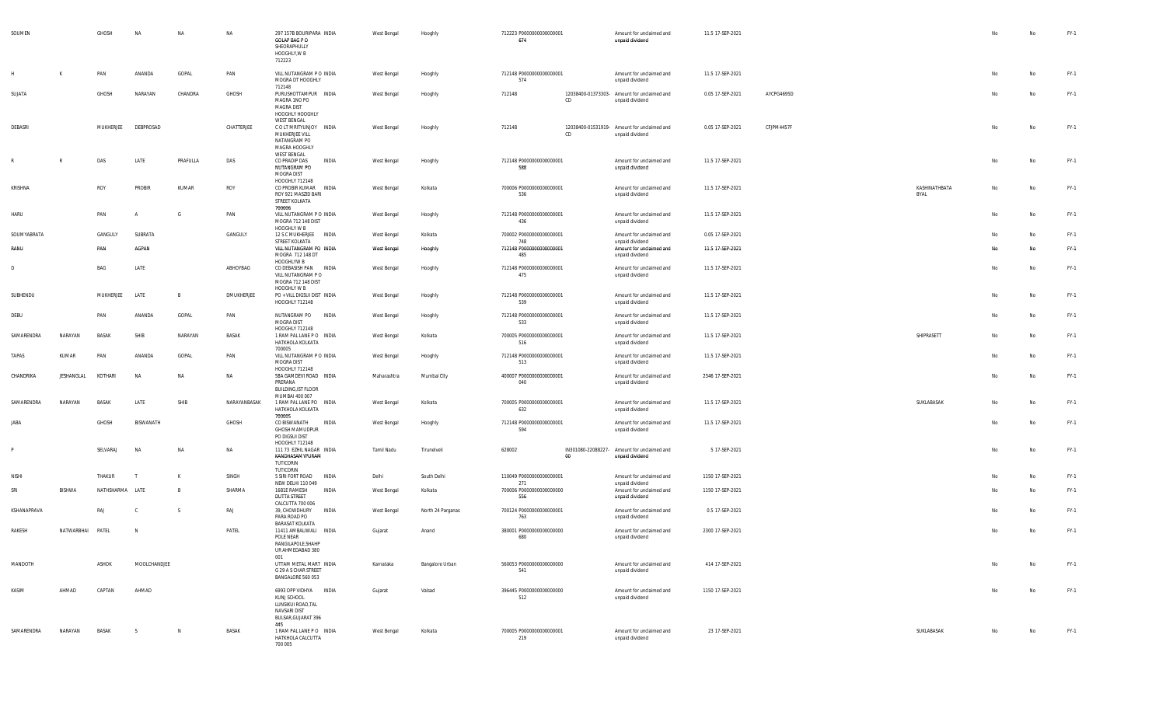| SOUMEN       |                  | GHOSH           | NA           | NA             | <b>NA</b>    | 297 157B BOURIPARA INDIA<br>GOLAP BAG P O<br>SHEORAPHULLY<br>HOOGHLY, W B<br>712223               | West Bengal | Hooghly           | 712223 P0000000000000001<br>674 |    | Amount for unclaimed and<br>unpaid dividend                    | 11.5 17-SEP-2021 |            |                       | No | No        | FY-1   |
|--------------|------------------|-----------------|--------------|----------------|--------------|---------------------------------------------------------------------------------------------------|-------------|-------------------|---------------------------------|----|----------------------------------------------------------------|------------------|------------|-----------------------|----|-----------|--------|
|              |                  | PAN             | ANANDA       | GOPAL          | PAN          | VILL NUTANGRAM P O INDIA<br>MOGRA DT HOOGHLY                                                      | West Bengal | Hooghly           | 712148 P0000000000000001<br>574 |    | Amount for unclaimed and<br>unpaid dividend                    | 11.5 17-SEP-2021 |            |                       | No | <b>No</b> | FY-1   |
| SUJATA       |                  | GHOSH           | NARAYAN      | CHANDRA        | GHOSH        | 712148<br>PURUSHOTTAMPUR INDIA<br>MAGRA 1NO PO<br><b>MAGRA DIST</b><br>HOOGHLY HOOGHLY            | West Bengal | Hooghly           | 712148                          | CD | 12038400-01373303- Amount for unclaimed and<br>unpaid dividend | 0.05 17-SEP-2021 | AYCPG4695D |                       | No | No        | $FY-1$ |
| DEBASRI      |                  | MUKHERJEE       | DEBPROSAD    |                | CHATTERJEE   | WEST BENGAL<br>COLT MRITYUNJOY INDIA<br>MUKHERJEE VILL<br>NATANGRAM PO<br>MAGRA HOOGHLY           | West Bengal | Hooghly           | 712148                          | CD | 12038400-01531919- Amount for unclaimed and<br>unpaid dividend | 0.05 17-SEP-2021 | CFJPM4457F |                       | No | No        | $FY-1$ |
|              | R                | DAS             | LATE         | PRAFULLA       | DAS          | <b>WEST BENGAL</b><br>CO PRADIP DAS<br>INDIA<br>NUTANGRAM PO<br>MOGRA DIST                        | West Bengal | Hooghly           | 712148 P0000000000000001<br>588 |    | Amount for unclaimed and<br>unpaid dividend                    | 11.5 17-SEP-2021 |            |                       | No | <b>No</b> | $FY-1$ |
| KRISHNA      |                  | ROY             | PROBIR       | KUMAR          | ROY          | HOOGHLY 712148<br>CO PROBIR KUMAR INDIA<br>ROY 921 MASZID BARI<br>STREET KOLKATA<br>700006        | West Bengal | Kolkata           | 700006 P0000000000000001<br>536 |    | Amount for unclaimed and<br>unpaid dividend                    | 11.5 17-SEP-2021 |            | KASHINATHBATA<br>BYAL | No | No        | $FY-1$ |
| <b>HARU</b>  |                  | PAN             | A            | G              | PAN          | VILL NUTANGRAM P O INDIA<br>MOGRA 712 148 DIST<br>HOOGHLY W B                                     | West Bengal | Hooghly           | 712148 P0000000000000001<br>436 |    | Amount for unclaimed and<br>unpaid dividend                    | 11.5 17-SEP-2021 |            |                       | No | No        | $FY-1$ |
| SOUMYABRATA  |                  | GANGULY         | SUBRATA      |                | GANGULY      | 12 S C MUKHERJEE INDIA<br>STREET KOLKATA                                                          | West Bengal | Kolkata           | 700002 P0000000000000001<br>748 |    | Amount for unclaimed and                                       | 0.05 17-SEP-2021 |            |                       | No | No        | $FY-1$ |
| RANU         |                  | PAN             | AGPAN        |                |              | VILL NUTANGRAM PO INDIA<br>MOGRA 712 148 DT                                                       | West Bengal | Hooghly           | 712148 P0000000000000001<br>485 |    | unpaid dividend<br>Amount for unclaimed and<br>unpaid dividend | 11.5 17-SEP-2021 |            |                       | No | No        | FY-1   |
| D            |                  | BAG             | LATE         |                | ABHOYBAG     | HOOGHLYW B<br>CO DEBASISH PAN INDIA<br>VILL NUTANGRAM PO<br>MOGRA 712 148 DIST                    | West Bengal | Hooghly           | 712148 P0000000000000001<br>475 |    | Amount for unclaimed and<br>unpaid dividend                    | 11.5 17-SEP-2021 |            |                       | No | No        | $FY-1$ |
| SUBHENDU     |                  | MUKHERJEE       | LATE         | $\mathsf{B}$   | DMUKHERJEE   | HOOGHLY W B<br>PO + VILL DIGSUI DIST INDIA<br>HOOGHLY 712148                                      | West Bengal | Hooghly           | 712148 P0000000000000001<br>539 |    | Amount for unclaimed and<br>unpaid dividend                    | 11.5 17-SEP-2021 |            |                       | No | No        | $FY-1$ |
| DEBU         |                  | PAN             | ANANDA       | GOPAL          | PAN          | NUTANGRAM PO INDIA<br>MOGRA DIST                                                                  | West Bengal | Hooghly           | 712148 P0000000000000001<br>533 |    | Amount for unclaimed and<br>unpaid dividend                    | 11.5 17-SEP-2021 |            |                       | No | No        | $FY-1$ |
| SAMARENDRA   | NARAYAN          | BASAK           | SHIB         | NARAYAN        | BASAK        | HOOGHLY 712148<br>1 RAM PAL LANE PO INDIA<br>HATKHOLA KOLKATA<br>700005                           | West Bengal | Kolkata           | 700005 P0000000000000001<br>516 |    | Amount for unclaimed and<br>unpaid dividend                    | 11.5 17-SEP-2021 |            | SHIPRASETT            | No | <b>No</b> | $FY-1$ |
| TAPAS        | KUMAR            | PAN             | ANANDA       | GOPAL          | PAN          | VILL NUTANGRAM P O INDIA<br>MOGRA DIST<br>HOOGHLY 712148                                          | West Bengal | Hooghly           | 712148 P0000000000000001<br>513 |    | Amount for unclaimed and<br>unpaid dividend                    | 11.5 17-SEP-2021 |            |                       | No | <b>No</b> | $FY-1$ |
| CHANDRIKA    | JESHANGLAL       | KOTHARI         | NA           | <b>NA</b>      | <b>NA</b>    | 58A GAMDEVI ROAD INDIA<br>PRERANA<br><b>BUILDING, IST FLOOR</b>                                   | Maharashtra | Mumbai City       | 400007 P0000000000000001<br>040 |    | Amount for unclaimed and<br>unpaid dividend                    | 2346 17-SEP-2021 |            |                       | No | No        | FY-1   |
| SAMARENDRA   | NARAYAN          | BASAK           | LATE         | SHIB           | NARAYANBASAK | MUMBAI 400 007<br>1 RAM PAL LANE PO INDIA<br>HATKHOLA KOLKATA                                     | West Bengal | Kolkata           | 700005 P0000000000000001<br>632 |    | Amount for unclaimed and<br>unpaid dividend                    | 11.5 17-SEP-2021 |            | SUKLABASAK            | No | <b>No</b> | $FY-1$ |
| <b>JABA</b>  |                  | GHOSH           | BISWANATH    |                | GHOSH        | 700005<br>CO BISWANATH<br>INDIA<br><b>GHOSH MAMUDPUR</b><br>PO DIGSUI DIST                        | West Bengal | Hooghly           | 712148 P0000000000000001<br>594 |    | Amount for unclaimed and<br>unpaid dividend                    | 11.5 17-SEP-2021 |            |                       | No | No        | $FY-1$ |
|              |                  | SELVARAJ        | NA           | <b>NA</b>      | NA           | HOOGHLY 712148<br>111 73 EZHIL NAGAR INDIA<br>KANDHASAMYPURAM                                     | Tamil Nadu  | Tirunelveli       | 628002                          | 00 | IN301080-22088227- Amount for unclaimed and<br>unpaid dividend | 5 17-SEP-2021    |            |                       | No | No        | $FY-1$ |
|              |                  |                 |              |                |              | TUTICORIN<br>TUTICORIN                                                                            |             |                   |                                 |    |                                                                |                  |            |                       |    |           |        |
| <b>NISHI</b> |                  | THAKUR          | $\mathsf{T}$ | K              | SINGH        | 5 SIRI FORT ROAD<br>INDIA<br>NEW DELHI 110 049                                                    | Delhi       | South Delhi       | 110049 P0000000000000001<br>271 |    | Amount for unclaimed and<br>unpaid dividend                    | 1150 17-SEP-2021 |            |                       | No | No        | $FY-1$ |
| SRI          | BISHWA           | NATHSHARMA LATE |              | $\overline{B}$ | SHARMA       | 1681E RAMESH<br>INDIA<br><b>DUTTA STREET</b><br>CALCUTTA 700 006                                  | West Bengal | Kolkata           | 700006 P0000000000000000<br>556 |    | Amount for unclaimed and<br>unpaid dividend                    | 1150 17-SEP-2021 |            |                       | No | No        | $FY-1$ |
| KSHANAPRAVA  |                  | RAJ             | C.           | S              | RAJ          | 39. CHOWDHURY<br>INDIA<br>PARA ROAD PO<br><b>BARASAT KOLKATA</b>                                  | West Bengal | North 24 Parganas | 700124 P0000000000000001<br>763 |    | Amount for unclaimed and<br>unpaid dividend                    | 0.5 17-SEP-2021  |            |                       | No | <b>No</b> | $FY-1$ |
| RAKESH       | NATWARBHAI PATEL |                 | N            |                | PATEL        | 11411 AMBALIWALI INDIA<br>POLE NEAR<br>RANGILAPOLE, SHAHP<br>UR AHMEDABAD 380<br>001              | Gujarat     | Anand             | 380001 P0000000000000000<br>680 |    | Amount for unclaimed and<br>unpaid dividend                    | 2300 17-SEP-2021 |            |                       | No | <b>No</b> | $FY-1$ |
| MANDOTH      |                  | ASHOK           | MOOLCHANDJEE |                |              | UTTAM METAL MART INDIA<br>G 29 A S CHAR STREET<br>BANGALORE 560 053                               | Karnataka   | Bangalore Urban   | 560053 P0000000000000000<br>541 |    | Amount for unclaimed and<br>unpaid dividend                    | 414 17-SEP-2021  |            |                       | No | <b>No</b> | $FY-1$ |
| KASIM        | AHMAD            | CAPTAN          | AHMAD        |                |              | 6993 OPP VIDHYA INDIA<br>KUNJ SCHOOL<br>LUNSIKUI ROAD, TAL<br>NAVSARI DIST<br>BULSAR, GUJARAT 396 | Gujarat     | Valsad            | 396445 P0000000000000000<br>512 |    | Amount for unclaimed and<br>unpaid dividend                    | 1150 17-SEP-2021 |            |                       | No | No        | $FY-1$ |
| SAMARENDRA   | NARAYAN          | BASAK           | -S           | N              | BASAK        | 445<br>1 RAM PAL LANE PO INDIA<br>HATKHOLA CALCUTTA<br>700 005                                    | West Bengal | Kolkata           | 700005 P0000000000000001<br>219 |    | Amount for unclaimed and<br>unpaid dividend                    | 23 17-SEP-2021   |            | SUKLABASAK            | No | No        | $FY-1$ |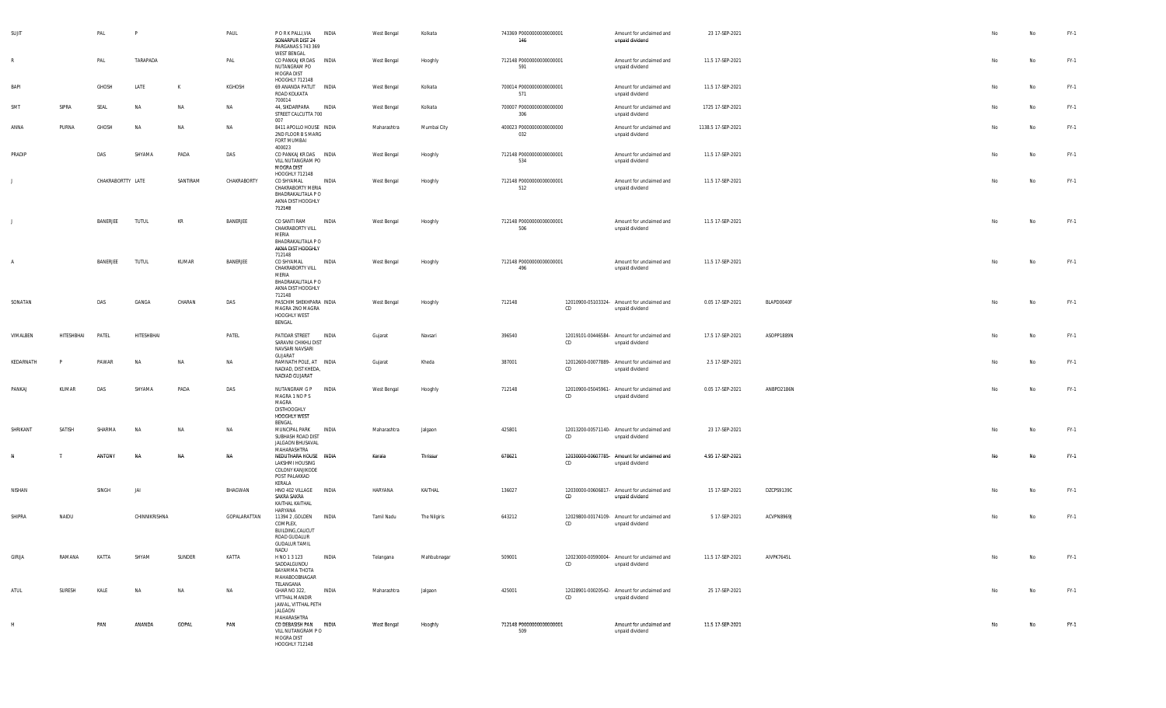| SUJIT        |            | PAL               | P             |           | PAUL         | P O R K PALLI, VIA<br>SONARPUR DIST 24<br>PARGANAS S 743 369                                            | INDIA        | West Bengal | Kolkata      | 743369 P0000000000000001<br>146 |    | Amount for unclaimed and<br>unpaid dividend                    | 23 17-SEP-2021     |            | No        | No        | FY-1   |
|--------------|------------|-------------------|---------------|-----------|--------------|---------------------------------------------------------------------------------------------------------|--------------|-------------|--------------|---------------------------------|----|----------------------------------------------------------------|--------------------|------------|-----------|-----------|--------|
| R            |            | PAL               | TARAPADA      |           | PAL          | <b>WEST BENGAL</b><br>CO PANKAJ KR DAS INDIA<br>NUTANGRAM PO<br>MOGRA DIST                              |              | West Bengal | Hooghly      | 712148 P0000000000000001<br>591 |    | Amount for unclaimed and<br>unpaid dividend                    | 11.5 17-SEP-2021   |            | No        | No        | FY-1   |
| BAPI         |            | GHOSH             | LATE          | K         | KGHOSH       | HOOGHLY 712148<br>69 ANANDA PATLIT INDIA<br>ROAD KOLKATA<br>700014                                      |              | West Bengal | Kolkata      | 700014 P0000000000000001<br>571 |    | Amount for unclaimed and<br>unpaid dividend                    | 11.5 17-SEP-2021   |            | No        | No        | FY-1   |
| SMT          | SIPRA      | SEAL              | <b>NA</b>     | NA        | NA           | 44, SIKDARPARA<br>STREET CALCUTTA 700<br>007                                                            | <b>INDIA</b> | West Bengal | Kolkata      | 700007 P0000000000000000<br>306 |    | Amount for unclaimed and<br>unpaid dividend                    | 1725 17-SEP-2021   |            | No        | No        | FY-1   |
| ANNA         | PURNA      | GHOSH             | <b>NA</b>     | NA        | NA           | 8411 APOLLO HOUSE INDIA<br>2ND FLOOR B S MARG<br>FORT MUMBAI<br>400023                                  |              | Maharashtra | Mumbai City  | 400023 P0000000000000000<br>032 |    | Amount for unclaimed and<br>unpaid dividend                    | 1138.5 17-SEP-2021 |            | No        | No        | FY-1   |
| PRADIP       |            | DAS               | SHYAMA        | PADA      | DAS          | CO PANKAJ KR DAS INDIA<br>VILL NUTANGRAM PO<br>MOGRA DIST<br>HOOGHLY 712148                             |              | West Bengal | Hooghly      | 712148 P0000000000000001<br>534 |    | Amount for unclaimed and<br>unpaid dividend                    | 11.5 17-SEP-2021   |            | No        | No        | FY-1   |
| $\perp$      |            | CHAKRABORTTY LATE |               | SANTIRAM  | CHAKRABORTY  | CO SHYAMAL<br>CHAKRABORTY MERIA<br>BHADRAKALITALA P O<br>AKNA DIST HOOGHLY<br>712148                    | INDIA        | West Bengal | Hooghly      | 712148 P0000000000000001<br>512 |    | Amount for unclaimed and<br>unpaid dividend                    | 11.5 17-SEP-2021   |            | No        | No        | FY-1   |
| $\mathbf{J}$ |            | BANERJEE          | <b>TUTUL</b>  | KR        | BANERJEE     | CO SANTI RAM<br>CHAKRABORTY VILL<br>MERIA<br>BHADRAKALITALA P O<br>AKNA DIST HOOGHLY<br>712148          | INDIA        | West Bengal | Hooghly      | 712148 P0000000000000001<br>506 |    | Amount for unclaimed and<br>unpaid dividend                    | 11.5 17-SEP-2021   |            | No        | No        | FY-1   |
| A            |            | BANERJEE          | <b>TUTUL</b>  | KUMAR     | BANERJEE     | CO SHYAMAL<br>CHAKRABORTY VILL<br>MERIA<br>BHADRAKALITALA P O<br>AKNA DIST HOOGHLY<br>712148            | INDIA        | West Bengal | Hooghly      | 712148 P0000000000000001<br>496 |    | Amount for unclaimed and<br>unpaid dividend                    | 11.5 17-SEP-2021   |            | No        | No        | $FY-1$ |
| SONATAN      |            | DAS               | GANGA         | CHARAN    | DAS          | PASCHIM SHEKHPARA INDIA<br>MAGRA 2NO MAGRA<br>HOOGHLY WEST<br>BENGAL                                    |              | West Bengal | Hooghly      | 712148                          | CD | 12010900-05103324- Amount for unclaimed and<br>unpaid dividend | 0.05 17-SEP-2021   | BLAPD0040F | No        | No        | FY-1   |
| VIMALBEN     | HITESHBHAI | PATEL             | HITESHBHAI    |           | PATEL        | PATIDAR STREET<br>SARAVNI CHIKHLI DIST<br>NAVSARI NAVSARI<br>GUJARAT                                    | INDIA        | Gujarat     | Navsari      | 396540                          | CD | 12019101-00446584- Amount for unclaimed and<br>unpaid dividend | 17.5 17-SEP-2021   | ASOPP1889N | No        | No        | FY-1   |
| KEDARNATH    |            | PAWAR             | <b>NA</b>     | <b>NA</b> | NA           | RAMNATH POLE, AT INDIA<br>NADIAD, DIST KHEDA,<br>NADIAD GUJARAT                                         |              | Gujarat     | Kheda        | 387001                          | CD | 12012600-00077889- Amount for unclaimed and<br>unpaid dividend | 2.5 17-SEP-2021    |            | No        | No        | $FY-1$ |
| PANKAJ       | KUMAR      | DAS               | SHYAMA        | PADA      | DAS          | NUTANGRAM G P<br>MAGRA 1 NO P S<br>MAGRA<br>DISTHOOGHLY<br>HOOGHLY WEST<br>BENGAL                       | INDIA        | West Bengal | Hooghly      | 712148                          | CD | 12010900-05045961- Amount for unclaimed and<br>unpaid dividend | 0.05 17-SEP-2021   | ANBPD2186N | No        | <b>No</b> | FY-1   |
| SHRIKANT     | SATISH     | SHARMA            | <b>NA</b>     | <b>NA</b> | NA           | MUNCIPAL PARK<br>SUBHASH ROAD DIST<br>JALGAON BHUSAVAL                                                  | INDIA        | Maharashtra | Jalgaon      | 425801                          | CD | 12013200-00571140- Amount for unclaimed and<br>unpaid dividend | 23 17-SEP-2021     |            | No        | No        | FY-1   |
| N            |            | ANTONY            | <b>NA</b>     | <b>NA</b> | <b>NA</b>    | MAHARASHTRA<br>NEDUTHARA HOUSE INDIA<br>LAKSHMI HOUSING<br>COLONY KANJIKODE<br>POST PALAKKAD<br>KERALA  |              | Kerala      | Thrissur     | 678621                          | CD | 12030000-00607785- Amount for unclaimed and<br>unpaid dividend | 4.95 17-SEP-2021   |            | <b>No</b> | No        | FY-1   |
| NISHAN       |            | SINGH             | JAI           |           | BHAGWAN      | HNO 402 VILLAGE<br>SAKRA SAKRA<br>KAITHAL KAITHAL<br>HARYANA                                            | <b>INDIA</b> | HARYANA     | KAITHAL      | 136027                          | CD | 12030000-00606817- Amount for unclaimed and<br>unpaid dividend | 15 17-SEP-2021     | DZCPS9139C | No        | <b>No</b> | FY-1   |
| SHIPRA       | NAIDU      |                   | CHINNIKRISHNA |           | GOPALARATTAN | 11394 2 , GOLDEN INDIA<br>COMPLEX,<br>BUILDING, CALICUT<br>ROAD GUDALUR<br><b>GUDALUR TAMIL</b><br>NADU |              | Tamil Nadu  | The Nilgiris | 643212                          | CD | 12029800-00174109- Amount for unclaimed and<br>unpaid dividend | 5 17-SEP-2021      | ACVPN8969J | No        | No        | FY-1   |
| GIRIJA       | RAMANA     | KATTA             | SHYAM         | SUNDER    | KATTA        | H NO 1 3 123<br>SADDALGUNDU<br>BAYAMMA THOTA<br>MAHABOOBNAGAR<br>TELANGANA                              | INDIA        | Telangana   | Mahbubnagar  | 509001                          | CD | 12023000-00590004- Amount for unclaimed and<br>unpaid dividend | 11.5 17-SEP-2021   | AIVPK7645L | No        | No        | FY-1   |
| ATUL         | SURESH     | KALE              | NA            | NA        | NA           | GHAR NO 322,<br>VITTHAL MANDIR<br>JAWAL, VITTHAL PETH<br>JALGAON<br>MAHARASHTRA                         | INDIA        | Maharashtra | Jalgaon      | 425001                          | CD | 12028901-00020542- Amount for unclaimed and<br>unpaid dividend | 25 17-SEP-2021     |            | No        | No        | FY-1   |
| H            |            | PAN               | ANANDA        | GOPAL     | PAN          | CO DEBASISH PAN<br>VILL NUTANGRAM PO<br>MOGRA DIST<br>HOOGHLY 712148                                    | <b>INDIA</b> | West Bengal | Hooghly      | 712148 P0000000000000001<br>509 |    | Amount for unclaimed and<br>unpaid dividend                    | 11.5 17-SEP-2021   |            | No        | No        | FY-1   |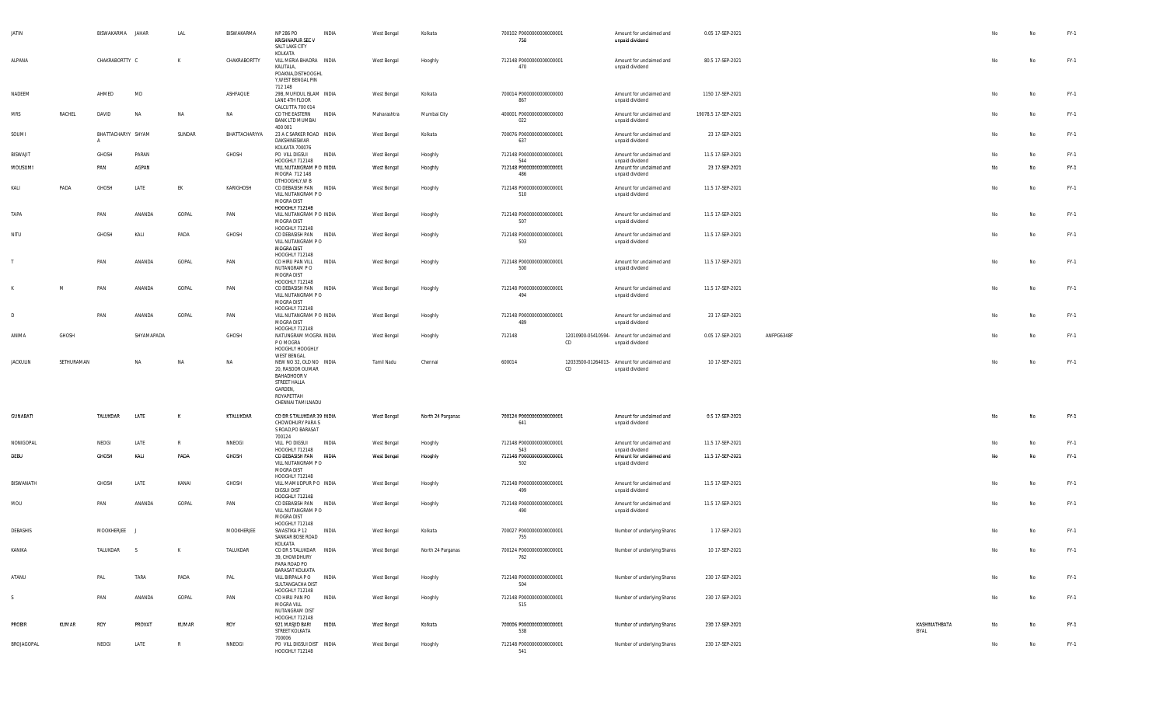| JATIN           |            | BISWAKARMA JAHAR   |            | LAL    | BISWAKARMA    | NP 286 PO<br><b>KRISHNAPUR SEC V</b><br>SALT LAKE CITY                                                                          | INDIA        | West Bengal | Kolkata           | 700102 P0000000000000001<br>750 |    | Amount for unclaimed and<br>unpaid dividend                    | 0.05 17-SEP-2021    |            |                       |    | No        | $FY-1$ |
|-----------------|------------|--------------------|------------|--------|---------------|---------------------------------------------------------------------------------------------------------------------------------|--------------|-------------|-------------------|---------------------------------|----|----------------------------------------------------------------|---------------------|------------|-----------------------|----|-----------|--------|
| ALPANA          |            | CHAKRABORTTY C     |            | K      | CHAKRABORTTY  | KOLKATA<br>VILL MERIA BHADRA INDIA<br>KALITALA,<br>POAKNA, DISTHOOGHL<br>Y, WEST BENGAL PIN                                     |              | West Bengal | Hooghly           | 712148 P0000000000000001<br>470 |    | Amount for unclaimed and<br>unpaid dividend                    | 80.5 17-SEP-2021    |            |                       | No | <b>No</b> | FY-1   |
| NADEEM          |            | AHMED              | MD         |        | ASHFAQUE      | 712 148<br>29B, MUFIDUL ISLAM INDIA<br>LANE 4TH FLOOR<br>CALCUTTA 700 014                                                       |              | West Bengal | Kolkata           | 700014 P0000000000000000<br>867 |    | Amount for unclaimed and<br>unpaid dividend                    | 1150 17-SEP-2021    |            |                       | No | No        | FY-1   |
| <b>MRS</b>      | RACHEL     | DAVID              | NA         | NA     | NA            | CO THE EASTERN INDIA<br><b>BANK LTD MUMBAI</b>                                                                                  |              | Maharashtra | Mumbai City       | 400001 P0000000000000000<br>022 |    | Amount for unclaimed and<br>unpaid dividend                    | 19078.5 17-SEP-2021 |            |                       | No | <b>No</b> | FY-1   |
| SOUMI           |            | BHATTACHARYY SHYAM |            | SUNDAR | BHATTACHARYYA | 400 001<br>23 A C SARKER ROAD INDIA<br>DAKSHINESWAR<br>KOLKATA 700076                                                           |              | West Bengal | Kolkata           | 700076 P0000000000000001<br>637 |    | Amount for unclaimed and<br>unpaid dividend                    | 23 17-SEP-2021      |            |                       | No | No        | FY-1   |
| <b>BISWAJIT</b> |            | GHOSH              | PARAN      |        | GHOSH         | PO VILL DIGSUI<br>HOOGHLY 712148                                                                                                | INDIA        | West Bengal | Hooghly           | 712148 P0000000000000001<br>544 |    | Amount for unclaimed and<br>unpaid dividend                    | 11.5 17-SEP-2021    |            |                       | No | No        | FY-1   |
| MOUSUMI         |            | PAN                | AGPAN      |        |               | VILL NUTANGRAM P O INDIA<br>MOGRA 712 148<br>DTHOOGHLY, W B                                                                     |              | West Bengal | Hooghly           | 712148 P0000000000000001<br>486 |    | Amount for unclaimed and<br>unpaid dividend                    | 23 17-SEP-2021      |            |                       | No | No        | FY-1   |
| KALI            | PADA       | GHOSH              | LATE       | EK     | KARIGHOSH     | CO DEBASISH PAN INDIA<br>VILL NUTANGRAM PO<br>MOGRA DIST<br>HOOGHLY 712148                                                      |              | West Bengal | Hooghly           | 712148 P0000000000000001<br>510 |    | Amount for unclaimed and<br>unpaid dividend                    | 11.5 17-SEP-2021    |            |                       | No | No        | FY-1   |
| TAPA            |            | PAN                | ANANDA     | GOPAL  | PAN           | VILL NUTANGRAM P O INDIA<br>MOGRA DIST                                                                                          |              | West Bengal | Hooghly           | 712148 P0000000000000001<br>507 |    | Amount for unclaimed and<br>unpaid dividend                    | 11.5 17-SEP-2021    |            |                       | No | No        | FY-1   |
| NITU            |            | GHOSH              | KALI       | PADA   | GHOSH         | HOOGHLY 712148<br>CO DEBASISH PAN INDIA<br>VILL NUTANGRAM P O<br>MOGRA DIST                                                     |              | West Bengal | Hooghly           | 712148 P0000000000000001<br>503 |    | Amount for unclaimed and<br>unpaid dividend                    | 11.5 17-SEP-2021    |            |                       | No | No        | FY-1   |
|                 |            | PAN                | ANANDA     | GOPAL  | PAN           | HOOGHLY 712148<br>CO HIRU PAN VILL<br>NUTANGRAM PO<br>MOGRA DIST<br>HOOGHLY 712148                                              | <b>INDIA</b> | West Bengal | Hooghly           | 712148 P0000000000000001<br>500 |    | Amount for unclaimed and<br>unpaid dividend                    | 11.5 17-SEP-2021    |            |                       | No | No        | FY-1   |
|                 | M          | PAN                | ANANDA     | GOPAL  | PAN           | CO DEBASISH PAN INDIA<br>VILL NUTANGRAM PO<br>MOGRA DIST<br>HOOGHLY 712148                                                      |              | West Bengal | Hooghly           | 712148 P0000000000000001<br>494 |    | Amount for unclaimed and<br>unpaid dividend                    | 11.5 17-SEP-2021    |            |                       | No | No        | FY-1   |
|                 |            | PAN                | ANANDA     | GOPAL  | PAN           | VILL NUTANGRAM P O INDIA<br>MOGRA DIST<br>HOOGHLY 712148                                                                        |              | West Bengal | Hooghly           | 712148 P0000000000000001<br>489 |    | Amount for unclaimed and<br>unpaid dividend                    | 23 17-SEP-2021      |            |                       | No | No        | FY-1   |
| ANIMA           | GHOSH      |                    | SHYAMAPADA |        | GHOSH         | NATUNGRAM MOGRA INDIA<br>P O MOGRA<br>HOOGHLY HOOGHLY<br><b>WEST BENGAL</b>                                                     |              | West Bengal | Hooghly           | 712148                          | CD | 12010900-05410594- Amount for unclaimed and<br>unpaid dividend | 0.05 17-SEP-2021    | ANFPG6348F |                       | No | No        | FY-1   |
| <b>JACKULIN</b> | SETHURAMAN |                    | NA         | N)     | <b>NA</b>     | NEW NO 32, OLD NO INDIA<br>20, RASOOR OUMAR<br><b>BAHADHOOR V</b><br>STREET HALLA<br>GARDEN,<br>ROYAPETTAH<br>CHENNAI TAMILNADU |              | Tamil Nadu  | Chennai           | 600014                          | CD | 12033500-01264013- Amount for unclaimed and<br>unpaid dividend | 10 17-SEP-2021      |            |                       | No | <b>No</b> | FY-1   |
| <b>GUNABATI</b> |            | TALUKDAR           | LATE       | K      | KTALUKDAR     | CO DR S TALUKDAR 39 INDIA<br>CHOWDHURY PARA S<br>S ROAD, PO BARASAT<br>700124                                                   |              | West Bengal | North 24 Parganas | 700124 P0000000000000001<br>641 |    | Amount for unclaimed and<br>unpaid dividend                    | 0.5 17-SEP-2021     |            |                       | No | <b>No</b> | FY-1   |
| NONIGOPAL       |            | NEOGI              | LATE       | R      | NNEOGI        | Vill po Digsui<br>HOOGHLY 712148                                                                                                | INDIA        | West Bengal | Hooghly           | 712148 P0000000000000001<br>543 |    | Amount for unclaimed and<br>unpaid dividend                    | 11.5 17-SEP-2021    |            |                       | No | No        | FY-1   |
| DEBU            |            | GHOSH              | KALI       | PADA   | GHOSH         | CO DEBASISH PAN INDIA<br>VILL NUTANGRAM PO<br>MOGRA DIST                                                                        |              | West Bengal | Hooghly           | 712148 P0000000000000001<br>502 |    | Amount for unclaimed and<br>unpaid dividend                    | 11.5 17-SEP-2021    |            |                       | No | No        | FY-1   |
| BISWANATH       |            | GHOSH              | LATE       | KANAI  | GHOSH         | HOOGHLY 712148<br>VILL MAMUDPUR PO INDIA<br><b>DIGSUI DIST</b>                                                                  |              | West Bengal | Hooghly           | 712148 P0000000000000001<br>499 |    | Amount for unclaimed and<br>unpaid dividend                    | 11.5 17-SEP-2021    |            |                       | No | No        | FY-1   |
| MOU             |            | PAN                | ANANDA     | GOPAL  | PAN           | <b>HOOGHLY 712148</b><br>CO DEBASISH PAN INDIA<br>VILL NUTANGRAM P O<br>MOGRA DIST<br>HOOGHLY 712148                            |              | West Bengal | Hooghly           | 712148 P0000000000000001<br>490 |    | Amount for unclaimed and<br>unpaid dividend                    | 11.5 17-SEP-2021    |            |                       | No | No        | FY-1   |
| DEBASHIS        |            | MOOKHERJEE J       |            |        | MOOKHERJEE    | SWASTIKA P 12<br>SANKAR BOSE ROAD                                                                                               | INDIA        | West Bengal | Kolkata           | 700027 P0000000000000001<br>755 |    | Number of underlying Shares                                    | 1 17-SEP-2021       |            |                       | No | No        | FY-1   |
| KANIKA          |            | TALUKDAR           | S          | K      | TALUKDAR      | KOLKATA<br>CO DR S TALUKDAR INDIA<br>39, CHOWDHURY<br>PARA ROAD PO<br><b>BARASAT KOLKATA</b>                                    |              | West Bengal | North 24 Parganas | 700124 P0000000000000001<br>762 |    | Number of underlying Shares                                    | 10 17-SEP-2021      |            |                       | No | No        | FY-1   |
| ATANU           |            | PAL                | TARA       | PADA   | PAL           | VILL BIRPALA P O INDIA<br>SULTANGACHA DIST<br>HOOGHLY 712148                                                                    |              | West Bengal | Hooghly           | 712148 P0000000000000001<br>504 |    | Number of underlying Shares                                    | 230 17-SEP-2021     |            |                       | No | No        | $FY-1$ |
| -S              |            | PAN                | ANANDA     | GOPAL  | PAN           | CO HIRU PAN PO INDIA<br>MOGRA VILL<br>NUTANGRAM DIST<br>HOOGHLY 712148                                                          |              | West Bengal | Hooghly           | 712148 P0000000000000001<br>515 |    | Number of underlying Shares                                    | 230 17-SEP-2021     |            |                       | No | No        | FY-1   |
| PROBIR          | KUMAR      | ROY                | PROVAT     | KUMAR  | ROY           | 921 MASJID BARI<br>STREET KOLKATA<br>700006                                                                                     | <b>INDIA</b> | West Bengal | Kolkata           | 700006 P0000000000000001<br>538 |    | Number of underlying Shares                                    | 230 17-SEP-2021     |            | KASHINATHBATA<br>BYAL | No | No        | FY-1   |
| BROJAGOPAL      |            | NEOGI              | LATE       | R      | NNEOGI        | PO VILL DIGSUI DIST INDIA<br>HOOGHLY 712148                                                                                     |              | West Bengal | Hooghly           | 712148 P0000000000000001<br>541 |    | Number of underlying Shares                                    | 230 17-SEP-2021     |            |                       | No | No        | FY-1   |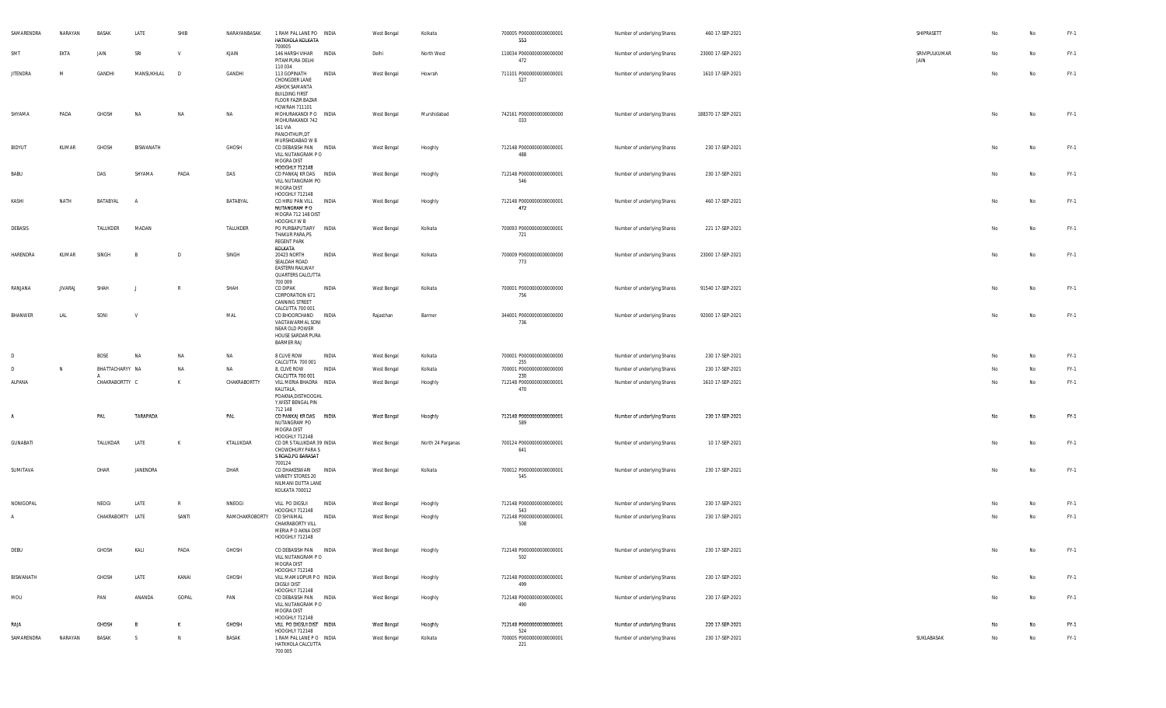| SAMARENDRA                  | NARAYAN        | <b>BASAK</b>     | LATE             | SHIB         | NARAYANBASAK      | 1 RAM PAL LANE PO INDIA<br>HATKHOLA KOLKATA<br>700005                                                         |              | West Bengal                | Kolkata                      | 700005 P0000000000000001<br>553                             | Number of underlying Shares                                | 460 17-SEP-2021                      | SHIPRASETT            | No       | No       | FY-1           |
|-----------------------------|----------------|------------------|------------------|--------------|-------------------|---------------------------------------------------------------------------------------------------------------|--------------|----------------------------|------------------------------|-------------------------------------------------------------|------------------------------------------------------------|--------------------------------------|-----------------------|----------|----------|----------------|
| SM1                         | EKTA           | JAIN             | SRI              | $\mathsf{v}$ | KJAIN             | 146 HARSH VIHAR INDIA<br>PITAMPURA DELHI<br>110 034                                                           |              | Delhi                      | North West                   | 110034 P0000000000000000<br>472                             | Number of underlying Shares                                | 23000 17-SEP-2021                    | SRIVIPULKUMAR<br>JAIN | No       | No       | FY-1           |
| <b>JITENDRA</b>             | M              | GANDHI           | MANSUKHLAL       | $\sqrt{2}$   | GANDHI            | 113 GOPINATH<br>CHONGDER LANE<br>ASHOK SAMANTA<br><b>BUILDING FIRST</b><br>FLOOR FAZIR BAZAR<br>HOWRAH 711101 | INDIA        | West Bengal                | Howrah                       | 711101 P0000000000000001<br>527                             | Number of underlying Shares                                | 1610 17-SEP-2021                     |                       | No       | No       | FY-1           |
| SHYAMA                      | PADA           | GHOSH            | NA               | $N$ A        | NA                | MOHURAKANDI PO INDIA<br>MOHURAKANDI 742<br>161 VIA<br>PANCHTHUPI,DT<br>MURSHIDABAD W B                        |              | West Bengal                | Murshidabad                  | 742161 P0000000000000000<br>033                             | Number of underlying Shares                                | 188370 17-SEP-2021                   |                       | No       | No       | FY-1           |
| BIDYUT                      | KUMAR          | GHOSH            | BISWANATH        |              | GHOSH             | CO DEBASISH PAN INDIA<br>VILL NUTANGRAM PO<br>MOGRA DIST<br>HOOGHLY 712148                                    |              | West Bengal                | Hooghly                      | 712148 P0000000000000001<br>488                             | Number of underlying Shares                                | 230 17-SEP-2021                      |                       | No       | No       | $FY-1$         |
| BABU                        |                | DAS              | SHYAMA           | PADA         | DAS               | CO PANKAJ KR DAS INDIA<br>VILL NUTANGRAM PO<br>MOGRA DIST<br>HOOGHLY 712148                                   |              | West Bengal                | Hooghly                      | 712148 P0000000000000001<br>546                             | Number of underlying Shares                                | 230 17-SEP-2021                      |                       | No       | No       | FY-1           |
| KASHI                       | NATH           | BATABYAL         | $\overline{A}$   |              | BATABYAL          | CO HIRU PAN VILL<br>NUTANGRAM PO<br>MOGRA 712 148 DIST<br>HOOGHLY W B                                         | <b>INDIA</b> | West Bengal                | Hooghly                      | 712148 P0000000000000001<br>472                             | Number of underlying Shares                                | 460 17-SEP-2021                      |                       | No       | No       | FY-1           |
| DEBASIS                     |                | TALUKDER         | MADAN            |              | TALUKDER          | PO PURBAPUTIARY INDIA<br>THAKUR PARA, PS<br><b>REGENT PARK</b><br>KOLKATA                                     |              | West Bengal                | Kolkata                      | 700093 P0000000000000001<br>721<br>700009 P0000000000000000 | Number of underlying Shares                                | 221 17-SEP-2021<br>23000 17-SEP-2021 |                       | No       | No       | FY-1           |
| HARENDRA                    | KUMAR          | SINGH            |                  |              | SINGH             | 20423 NORTH<br>SEALDAH ROAD<br><b>EASTERN RAILWAY</b><br>QUARTERS CALCUTTA<br>700 009                         | INDIA        | West Bengal                | Kolkata                      | 773                                                         | Number of underlying Shares                                |                                      |                       | No       | No       | FY-1           |
| RANJANA                     | <b>JIVARAJ</b> | SHAH             |                  | R            | SHAH              | CO DIPAK<br>CORPORATION 671<br>CANNING STREET<br>CALCUTTA 700 001                                             | INDIA        | West Bengal                | Kolkata                      | 700001 P0000000000000000<br>756                             | Number of underlying Shares                                | 91540 17-SEP-2021                    |                       | No       | No       | $FY-1$         |
| BHANWER                     | LAL            | SONI             | V                |              | MAL               | CO BHOORCHAND INDIA<br>VAGTAWARMAL SONI<br>NEAR OLD POWER<br>HOUSE SARDAR PURA<br><b>BARMER RAJ</b>           |              | Rajasthan                  | Barmer                       | 344001 P0000000000000000<br>736                             | Number of underlying Shares                                | 92000 17-SEP-2021                    |                       | No       | No       | FY-1           |
|                             |                | BOSE             | <b>NA</b>        | NA           | NA                | 8 CLIVE ROW<br>CALCUTTA 700 001                                                                               | INDIA        | West Bengal                | Kolkata                      | 700001 P0000000000000000<br>255                             | Number of underlying Shares                                | 230 17-SEP-2021                      |                       | No       | No       | FY-1           |
| D                           | N              | BHATTACHARYY NA  |                  | NA           | NA                | 8, CLIVE ROW<br>CALCUTTA 700 001                                                                              | INDIA        | West Bengal                | Kolkata                      | 700001 P0000000000000000<br>230                             | Number of underlying Shares                                | 230 17-SEP-2021                      |                       | No       | No       | FY-1           |
| ALPANA                      |                | CHAKRABORTTY C   |                  | $\mathsf{K}$ | CHAKRABORTTY      | VILL MERIA BHADRA INDIA<br>KALITALA,<br>POAKNA, DISTHOOGHL<br>Y, WEST BENGAL PIN<br>712 148                   |              | West Bengal                | Hooghly                      | 712148 P0000000000000001<br>470                             | Number of underlying Shares                                | 1610 17-SEP-2021                     |                       | No       | No       | FY-1           |
| A                           |                | PAL              | TARAPADA         |              | PAL               | CO PANKAJ KR DAS INDIA<br>NUTANGRAM PO<br>MOGRA DIST<br>HOOGHLY 712148                                        |              | West Bengal                | Hooghly                      | 712148 P0000000000000001<br>589                             | Number of underlying Shares                                | 230 17-SEP-2021                      |                       | No       | No       | FY-1           |
| <b>GUNABATI</b><br>SUMITAVA |                | TALUKDAR<br>DHAR | LATE<br>JANENDRA | . к          | KTALUKDAR<br>DHAR | CO DR S TALUKDAR 39 INDIA<br>CHOWDHURY PARA S<br>S ROAD, PO BARASAT<br>700124<br>CO DHAKESWARI                | INDIA        | West Bengal<br>West Bengal | North 24 Parganas<br>Kolkata | 700124 P0000000000000001<br>641<br>700012 P0000000000000001 | Number of underlying Shares<br>Number of underlying Shares | 10 17-SEP-2021<br>230 17-SEP-2021    |                       | No<br>No | No<br>No | FY-1<br>$FY-1$ |
|                             |                |                  |                  |              |                   | VARIETY STORES 20<br>NILMANI DUTTA LANE<br>KOLKATA 700012                                                     |              |                            |                              | 545                                                         |                                                            |                                      |                       |          |          |                |
| NONIGOPAL                   |                | NEOGI            | LATE             | R            | NNEOGI            | VILL PO DIGSUI<br>HOOGHLY 712148                                                                              | INDIA        | West Bengal                | Hooghly                      | 712148 P0000000000000001<br>543                             | Number of underlying Shares                                | 230 17-SEP-2021                      |                       | No       | No       | FY-1           |
| $\mathsf{A}$                |                | CHAKRABORTY LATE |                  | SANTI        | RAMCHAKROBORTY    | CO SHYAMAL<br>CHAKRABORTY VILL<br>MERIA P O AKNA DIST<br>HOOGHLY 712148                                       | INDIA        | West Bengal                | Hooghly                      | 712148 P0000000000000001<br>508                             | Number of underlying Shares                                | 230 17-SEP-2021                      |                       | No       | No       | FY-1           |
| DEBU                        |                | GHOSH            | KALI             | PADA         | GHOSH             | CO DEBASISH PAN INDIA<br>VILL NUTANGRAM PO<br>MOGRA DIST<br>HOOGHLY 712148                                    |              | West Bengal                | Hooghly                      | 712148 P0000000000000001<br>502                             | Number of underlying Shares                                | 230 17-SEP-2021                      |                       | No       | No       | FY-1           |
| BISWANATH                   |                | GHOSH            | LATE             | KANAI        | GHOSH             | VILL MAMUDPUR PO INDIA<br><b>DIGSUI DIST</b><br>HOOGHLY 712148                                                |              | West Bengal                | Hooghly                      | 712148 P0000000000000001<br>499                             | Number of underlying Shares                                | 230 17-SEP-2021                      |                       | No       | No       | $FY-1$         |
| MOU                         |                | PAN              | ANANDA           | GOPAL        | PAN               | CO DEBASISH PAN INDIA<br>VILL NUTANGRAM P O<br>MOGRA DIST<br>HOOGHLY 712148                                   |              | West Bengal                | Hooghly                      | 712148 P0000000000000001<br>490                             | Number of underlying Shares                                | 230 17-SEP-2021                      |                       | No       | No       | FY-1           |
| RAJA                        |                | <b>GHOSH</b>     | B                | K            | GHOSH             | VILL PO DIGSUI DIST INDIA<br>HOOGHLY 712148                                                                   |              | West Bengal                | Hooghly                      | 712148 P0000000000000001<br>524                             | Number of underlying Shares                                | 220 17-SEP-2021                      |                       | No       | No       | FY-1           |
| SAMARENDRA                  | NARAYAN        | BASAK            | - S              | N            | BASAK             | 1 RAM PAL LANE PO INDIA<br>HATKHOLA CALCUTTA<br>700 005                                                       |              | West Bengal                | Kolkata                      | 700005 P0000000000000001<br>221                             | Number of underlying Shares                                | 230 17-SEP-2021                      | SUKLABASAK            | No       | No       | FY-1           |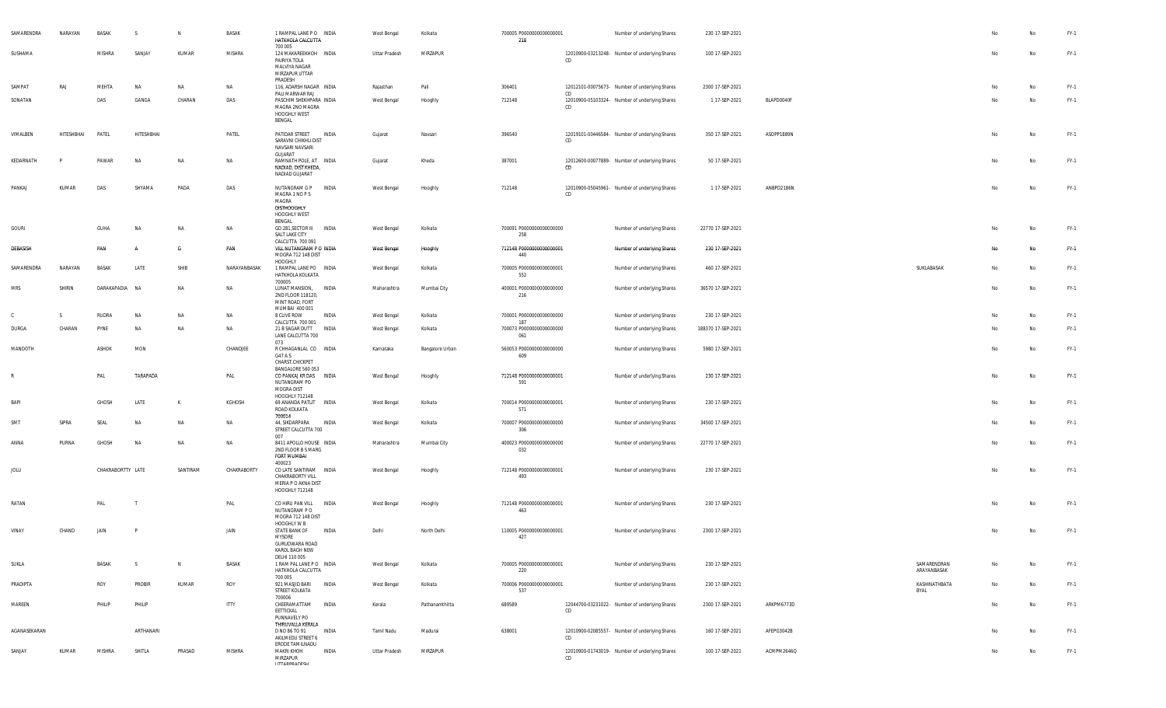| SAMARENDRA   | NARAYAN    | <b>BASAK</b>      | -S         | N         | BASAK        | 1 RAMPAL LANE PO INDIA<br>HATKHOLA CALCUTTA<br>700 005                                        |       | West Bengal   | Kolkata         | 700005 P0000000000000001<br>218 |     | Number of underlying Shares                    | 230 17-SEP-2021    |            |                            |    | No        | $FY-1$ |
|--------------|------------|-------------------|------------|-----------|--------------|-----------------------------------------------------------------------------------------------|-------|---------------|-----------------|---------------------------------|-----|------------------------------------------------|--------------------|------------|----------------------------|----|-----------|--------|
| SUSHAMA      |            | MISHRA            | SANJAY     | KUMAR     | MISHRA       | 124 MAKAREEKHOH INDIA<br>PAIRIYA TOLA<br>MALVIYA NAGAR<br>MIRZAPUR UTTAR<br>PRADESH           |       | Uttar Pradesh | MIRZAPUR        |                                 | CD  | 12010900-03213248- Number of underlying Shares | 100 17-SEP-2021    |            |                            | No | No        | $FY-1$ |
| SAMPAT       | RAJ        | MEHTA             | <b>NA</b>  | NA        | NA           | 116, ADARSH NAGAR INDIA                                                                       |       | Rajasthan     | Pali            | 306401                          | CD  | 12012101-00075673- Number of underlying Shares | 2300 17-SEP-2021   |            |                            | No | No        | $FY-1$ |
| SONATAN      |            | DAS               | GANGA      | CHARAN    | DAS          | PALI MARWAR RAJ<br>PASCHIM SHEKHPARA INDIA<br>MAGRA 2NO MAGRA<br>HOOGHLY WEST<br>BENGAL       |       | West Bengal   | Hooghly         | 712148                          | CD  | 12010900-05103324- Number of underlying Shares | 1 17-SEP-2021      | BLAPD0040F |                            | No | No        | $FY-1$ |
| VIMALBEN     | HITESHBHAI | PATEL             | HITESHBHAI |           | PATEL        | PATIDAR STREET INDIA<br>SARAVNI CHIKHLI DIST<br>NAVSARI NAVSARI<br>GUJARAT                    |       | Gujarat       | Navsari         | 396540                          | CD  | 12019101-00446584- Number of underlying Shares | 350 17-SEP-2021    | ASOPP1889N |                            | No | <b>No</b> | $FY-1$ |
| KEDARNATH    |            | PAWAR             | NA         | <b>NA</b> | NA           | RAMNATH POLE, AT INDIA<br>NADIAD, DIST KHEDA,<br>NADIAD GUJARAT                               |       | Gujarat       | Kheda           | 387001                          | CD  | 12012600-00077889- Number of underlying Shares | 50 17-SEP-2021     |            |                            | No | No        | $FY-1$ |
| PANKAJ       | KUMAR      | DAS               | SHYAMA     | PADA      | DAS          | NUTANGRAM G P<br>MAGRA 1 NO P S<br>MAGRA<br>DISTHOOGHLY<br>HOOGHLY WEST<br>BENGAL             | INDIA | West Bengal   | Hooghly         | 712148                          | CD  | 12010900-05045961- Number of underlying Shares | 1 17-SEP-2021      | ANBPD2186N |                            | No | No        | $FY-1$ |
| GOURI        |            | GUHA              | <b>NA</b>  | NA        | NA           | GD 281, SECTOR III INDIA<br>SALT LAKE CITY<br>CALCUTTA 700 091                                |       | West Bengal   | Kolkata         | 700091 P0000000000000000<br>258 |     | Number of underlying Shares                    | 22770 17-SEP-2021  |            |                            | No | No        | $FY-1$ |
| DEBASISH     |            | PAN               | A          | G         | PAN          | VILL NUTANGRAM P O INDIA<br>MOGRA 712 148 DIST<br>HOOGHLY                                     |       | West Bengal   | Hooghly         | 712148 P0000000000000001<br>440 |     | Number of underlying Shares                    | 230 17-SEP-2021    |            |                            | No | No.       | FY-1   |
| SAMARENDRA   | NARAYAN    | <b>BASAK</b>      | LATE       | SHIB      | NARAYANBASAK | 1 RAMPAL LANE PO INDIA<br>HATKHOLA KOLKATA<br>700005                                          |       | West Bengal   | Kolkata         | 700005 P0000000000000001<br>552 |     | Number of underlying Shares                    | 460 17-SEP-2021    |            | SUKLABASAK                 | No | <b>No</b> | $FY-1$ |
| MRS          | SHIRIN     | DARAKAPADIA NA    |            | NA        | NA           | LUNAT MANSION, INDIA<br>2ND FLOOR 118120,<br>MINT ROAD, FORT<br>MUMBAI 400 001                |       | Maharashtra   | Mumbai City     | 400001 P0000000000000000<br>216 |     | Number of underlying Shares                    | 36570 17-SEP-2021  |            |                            | No | No        | $FY-1$ |
| C            | S.         | RUDRA             | NA         | ΝA        | NA           | 8 CLIVE ROW<br>CALCUTTA 700 001                                                               | INDIA | West Bengal   | Kolkata         | 700001 P0000000000000000<br>187 |     | Number of underlying Shares                    | 230 17-SEP-2021    |            |                            | No | No        | $FY-1$ |
| DURGA        | CHARAN     | PYNE              | <b>NA</b>  | NA        | NA           | 21 B SAGAR DUTT<br>LANE CALCUTTA 700<br>073                                                   | INDIA | West Bengal   | Kolkata         | 700073 P0000000000000000<br>061 |     | Number of underlying Shares                    | 188370 17-SEP-2021 |            |                            | No | No        | $FY-1$ |
| MANDOTH      |            | ASHOK             | MON        |           | CHANDJEE     | R CHHAGANLAL CO INDIA<br>G47 A S<br>CHARST, CHICKPET<br>BANGALORE 560 053                     |       | Karnataka     | Bangalore Urban | 560053 P0000000000000000<br>609 |     | Number of underlying Shares                    | 5980 17-SEP-2021   |            |                            | No | No        | $FY-1$ |
| $\mathbb{R}$ |            | PAL               | TARAPADA   |           | PAL          | CO PANKAJ KR DAS INDIA<br>NUTANGRAM PO<br>MOGRA DIST<br>HOOGHLY 712148                        |       | West Bengal   | Hooghly         | 712148 P0000000000000001<br>591 |     | Number of underlying Shares                    | 230 17-SEP-2021    |            |                            | No | No        | $FY-1$ |
| <b>BAP</b>   |            | GHOSH             | LATE       | К         | KGHOSH       | 69 ANANDA PATLIT<br>ROAD KOLKATA<br>700014                                                    | INDIA | West Bengal   | Kolkata         | 700014 P0000000000000001<br>571 |     | Number of underlying Shares                    | 230 17-SEP-2021    |            |                            | No | No        | $FY-1$ |
| SMT          | SIPRA      | SEAL              | NA         | ΝA        | NA           | 44, SIKDARPARA<br>STREET CALCUTTA 700<br>007                                                  | INDIA | West Bengal   | Kolkata         | 700007 P0000000000000000<br>306 |     | Number of underlying Shares                    | 34500 17-SEP-2021  |            |                            | No | No        | $FY-1$ |
| ANNA         | PURNA      | GHOSH             | <b>NA</b>  | NA        | NA           | 8411 APOLLO HOUSE INDIA<br>2ND FLOOR B S MARG<br>FORT MUMBAI                                  |       | Maharashtra   | Mumbai City     | 400023 P0000000000000000<br>032 |     | Number of underlying Shares                    | 22770 17-SEP-2021  |            |                            | No | <b>No</b> | $FY-1$ |
| JOLU         |            | CHAKRABORTTY LATE |            | SANTIRAM  | CHAKRABORTY  | 400023<br>CO LATE SANTIRAM INDIA<br>CHAKRABORTY VILL<br>MERIA P O AKNA DIST<br>HOOGHLY 712148 |       | West Bengal   | Hooghly         | 712148 P0000000000000001<br>493 |     | Number of underlying Shares                    | 230 17-SEP-2021    |            |                            | No | No        | $FY-1$ |
| RATAN        |            | PAL               |            |           | PAL          | CO HIRU PAN VILL<br>NUTANGRAM PO<br>MOGRA 712 148 DIST                                        | INDIA | West Bengal   | Hooghly         | 712148 P0000000000000001<br>463 |     | Number of underlying Shares                    | 230 17-SEP-2021    |            |                            | No | <b>No</b> | FY-1   |
| VINAY        | CHAND      | JAIN              | P          |           | JAIN         | HOOGHLY W B<br>STATE BANK OF<br>MYSORE<br>GURUDWARA ROAD<br>KAROL BAGH NEW                    | INDIA | Delhi         | North Delhi     | 110005 P0000000000000001<br>427 |     | Number of underlying Shares                    | 2300 17-SEP-2021   |            |                            | No | <b>No</b> | $FY-1$ |
| SUKLA        |            | BASAK             | S.         | N         | BASAK        | DELHI 110 005<br>1 RAM PAL LANE PO INDIA<br>HATKHOLA CALCUTTA<br>700 005                      |       | West Bengal   | Kolkata         | 700005 P0000000000000001<br>220 |     | Number of underlying Shares                    | 230 17-SEP-2021    |            | SAMARENDRAN<br>ARAYANBASAK | No | <b>No</b> | $FY-1$ |
| PRADIPTA     |            | ROY               | PROBIR     | KUMAR     | ROY          | 921 MASJID BARI INDIA<br>STREET KOLKATA<br>700006                                             |       | West Bengal   | Kolkata         | 700006 P0000000000000001<br>537 |     | Number of underlying Shares                    | 230 17-SEP-2021    |            | KASHINATHBATA<br>BYAL      | No | No        | $FY-1$ |
| MAREEN       |            | PHILIP            | PHILIP     |           | <b>ITTY</b>  | CHEERAMATTAM<br>EETTICKAL<br>PUNNAVELY PO                                                     | INDIA | Kerala        | Pathanamthitta  | 689589                          | CD  | 12044700-03231022- Number of underlying Shares | 2300 17-SEP-2021   | ARKPM6773D |                            | No | No        | $FY-1$ |
| AGANASEKARAN |            |                   | ARTHANARI  |           |              | THIRUVALLA KERALA<br>D NO 86 TO 91<br>AKILMEDU STREET 6<br>ERODE TAMILNADU                    | INDIA | Tamil Nadu    | Madurai         | 638001                          | CD. | 12010900-02085557- Number of underlying Shares | 160 17-SEP-2021    | AFEPG3042B |                            | No | No        | $FY-1$ |
| SANJAY       | KUMAR      | <b>MISHRA</b>     | SHITLA     | PRASAD    | MISHRA       | <b>MAKRI KHOH</b><br>MIRZAPUR<br><b>IITTADDDANECH</b>                                         | INDIA | Uttar Pradesh | MIRZAPUR        |                                 | CD  | 12010900-01743019- Number of underlying Shares | 100 17-SEP-2021    | ACMPM2646Q |                            | No | No        | $FY-1$ |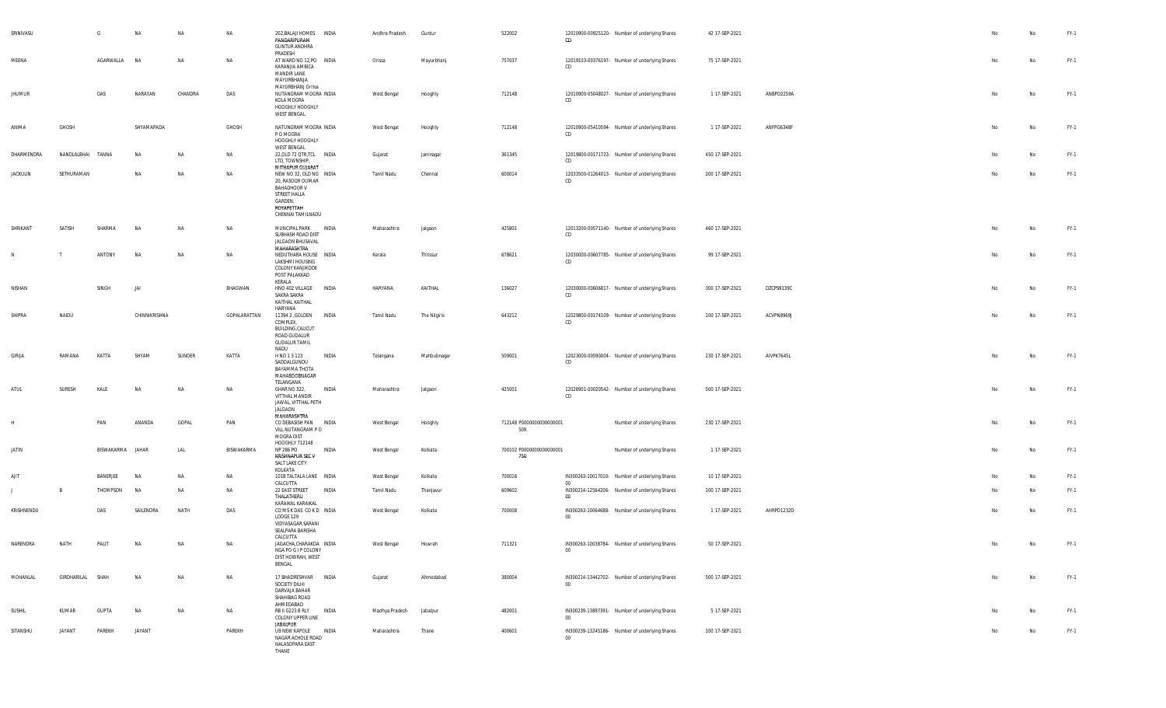| SRINIVASU       |                  | G            | NA            | <b>NA</b> | NA           | 202, BALAJI HOMES INDIA<br>PANDARIPURAM<br><b>GUNTUR ANDHRA</b>                                                             | Andhra Pradesh | Guntur       | 522002                          | CD     | 12010900-00925120- Number of underlying Shares | 42 17-SEP-2021  |            | No | No | FY-1   |
|-----------------|------------------|--------------|---------------|-----------|--------------|-----------------------------------------------------------------------------------------------------------------------------|----------------|--------------|---------------------------------|--------|------------------------------------------------|-----------------|------------|----|----|--------|
| MEENA           |                  | AGARWALLA    | NA            | NA        | NA           | PRADESH<br>AT WARD NO 12, PO INDIA<br>KARANJIA AMBICA<br>MANDIR LANE<br>MAYURBHANJA                                         | Orissa         | Mayurbhanj   | 757037                          | CD     | 12019103-00376197- Number of underlying Shares | 75 17-SEP-2021  |            | No | No | FY-1   |
| <b>JHUMUR</b>   |                  | DAS          | NARAYAN       | CHANDRA   | DAS          | MAYURBHANJ Orrisa<br>NUTANGRAM MOGRA INDIA<br>KOLA MOGRA<br>HOOGHLY HOOGHLY<br><b>WEST BENGAL</b>                           | West Bengal    | Hooghly      | 712148                          | CD     | 12010900-05048027- Number of underlying Shares | 1 17-SEP-2021   | ANBPD2259A | No | No | FY-1   |
| ANIMA           | GHOSH            |              | SHYAMAPADA    |           | GHOSH        | NATUNGRAM MOGRA INDIA<br>P O MOGRA<br>HOOGHLY HOOGHLY                                                                       | West Bengal    | Hooghly      | 712148                          | CD     | 12010900-05410594- Number of underlying Shares | 1 17-SEP-2021   | ANFPG6348F | No | No | FY-1   |
| DHARMENDRA      | NANDLALBHAI      | TANNA        | <b>NA</b>     | NA        | NA           | <b>WEST BENGAL</b><br>22, OLD 72 QTR, TCL INDIA<br>LTD, TOWNSHIP,<br>MITHAPUR GUJARAT                                       | Gujarat        | Jamnagar     | 361345                          | CD     | 12019800-00171723- Number of underlying Shares | 450 17-SEP-2021 |            | No | No | FY-1   |
| <b>JACKULIN</b> | SETHURAMAN       |              | <b>NA</b>     | NA        | NA           | NEW NO 32, OLD NO INDIA<br>20, RASOOR OUMAR<br>BAHADHOOR V<br>STREET HALLA<br>GARDEN,<br>ROYAPETTAH<br>CHENNAI TAMILNADU    | Tamil Nadu     | Chennai      | 600014                          | CD     | 12033500-01264013- Number of underlying Shares | 200 17-SEP-2021 |            | No | No | FY-1   |
| SHRIKANT        | SATISH           | SHARMA       | <b>NA</b>     | NA        | NA           | MUNCIPAL PARK<br>INDIA<br>SUBHASH ROAD DIST<br>JALGAON BHUSAVAL<br>MAHARASHTRA                                              | Maharashtra    | Jalgaon      | 425801                          | CD     | 12013200-00571140- Number of underlying Shares | 460 17-SEP-2021 |            | No | No | FY-1   |
| N               | T                | ANTONY       | <b>NA</b>     | NA        | NA           | NEDUTHARA HOUSE INDIA<br>LAKSHMI HOUSING<br>COLONY KANJIKODE<br>POST PALAKKAD<br>KERALA                                     | Kerala         | Thrissur     | 678621                          | CD     | 12030000-00607785- Number of underlying Shares | 99 17-SEP-2021  |            | No | No | FY-1   |
| NISHAN          |                  | SINGH        | JAI           |           | BHAGWAN      | INDIA<br>HNO 402 VILLAGE<br>SAKRA SAKRA<br>KAITHAL KAITHAL                                                                  | HARYANA        | KAITHAL      | 136027                          | CD     | 12030000-00606817- Number of underlying Shares | 300 17-SEP-2021 | DZCPS9139C | No | No | $FY-1$ |
| SHIPRA          | NAIDU            |              | CHINNIKRISHNA |           | GOPALARATTAN | HARYANA<br>11394 2 , GOLDEN<br><b>INDIA</b><br>COMPLEX,<br><b>BUILDING, CALICUT</b><br>ROAD GUDALUR<br><b>GUDALUR TAMIL</b> | Tamil Nadu     | The Nilgiris | 643212                          | CD     | 12029800-00174109- Number of underlying Shares | 100 17-SEP-2021 | ACVPN8969J | No | No | FY-1   |
| GIRIJA          | RAMANA           | KATTA        | SHYAM         | SUNDER    | KATTA        | NADU<br>H NO 1 3 123<br>INDIA<br>SADDALGUNDU<br>BAYAMMA THOTA<br>MAHABOOBNAGAR<br>TELANGANA                                 | Telangana      | Mahbubnagar  | 509001                          | CD     | 12023000-00590004- Number of underlying Shares | 230 17-SEP-2021 | AIVPK7645L | No | No | FY-1   |
| ATUL            | SURESH           | KALE         | NA            | <b>NA</b> | <b>NA</b>    | INDIA<br>GHAR NO 322,<br>VITTHAL MANDIR<br>JAWAL, VITTHAL PETH<br>JALGAON<br>MAHARASHTRA                                    | Maharashtra    | Jalgaon      | 425001                          | CD     | 12028901-00020542- Number of underlying Shares | 500 17-SEP-2021 |            | No | No | FY-1   |
|                 |                  | PAN          | ANANDA        | GOPAL     | PAN          | CO DEBASISH PAN INDIA<br>VILL NUTANGRAM PO<br>MOGRA DIST<br>HOOGHLY 712148                                                  | West Bengal    | Hooghly      | 712148 P0000000000000001<br>509 |        | Number of underlying Shares                    | 230 17-SEP-2021 |            | No | No | FY-1   |
| JATIN           |                  | BISWAKARMA   | JAHAR         | LAL       | BISWAKARMA   | NP 286 PO<br>INDIA<br>KRISHNAPUR SEC V<br>SALT LAKE CITY<br>KOLKATA                                                         | West Bengal    | Kolkata      | 700102 P0000000000000001<br>750 |        | Number of underlying Shares                    | 1 17-SEP-2021   |            | No | No | $FY-1$ |
| AJIT            |                  | BANERJEE     | NA            | NA        | NA           | 101B TALTALA LANE INDIA<br>CALCUTTA                                                                                         | West Bengal    | Kolkata      | 700016                          | $00\,$ | IN300263-10017010- Number of underlying Shares | 10 17-SEP-2021  |            | No | No | FY-1   |
| Π.              | B                | THOMPSON     | NA            | NA        | NA           | 22 EAST STREET<br>INDIA<br>THALATHERU<br>KARAIKAL KARAIKAL                                                                  | Tamil Nadu     | Thanjavur    | 609602                          | 00     | IN300214-12564206- Number of underlying Shares | 100 17-SEP-2021 |            | No | No | FY-1   |
| KRISHNENDU      |                  | DAS          | SAILENDRA     | NATH      | DAS          | COMSKDAS COKD INDIA<br>LODGE 129<br>VIDYASAGAR SARANI<br>SEALPARA BARISHA<br>CALCUTTA                                       | West Bengal    | Kolkata      | 700008                          | $00\,$ | IN300263-10064688- Number of underlying Shares | 1 17-SEP-2021   | AHRPD1232D | No | No | FY-1   |
| NARENDRA        | NATH             | PALI         | NΔ            | <b>NA</b> | NΔ           | JAGACHA, CHARAKDA INDIA<br>NGA PO G I P COLONY<br>DIST HOWRAH, WEST<br>BENGAL                                               | West Bengal    | Howrah       | 711321                          | 00     | IN300263-10038784- Number of underlying Shares | 50 17-SEP-2021  |            | No | No | FY-1   |
| MOHANLAL        | GIRDHARILAL SHAH |              | NA            | NA        | NA           | 17 BHADRESHVAR INDIA<br>SOCIETY DILHI<br>DARVAJA BAHAR<br>SHAHIBAG ROAD<br>AHMEDABAD                                        | Gujarat        | Ahmedabad    | 380004                          | $00\,$ | IN300214-13442702- Number of underlying Shares | 500 17-SEP-2021 |            | No | No | FY-1   |
| SUSHIL          | KUMAR            | <b>GUPTA</b> | NA            | NA        | NA           | RB II G223 B RLY<br><b>INDIA</b><br>COLONY UPPER LINE<br><b>JABALPUR</b>                                                    | Madhya Pradesh | Jabalpur     | 482001                          | $00\,$ | IN300239-13897391- Number of underlying Shares | 5 17-SEP-2021   |            | No | No | FY-1   |
| SITANSHU        | JAYANT           | PAREKH       | JAYANT        |           | PAREKH       | U9 NEW KAPOLE INDIA<br>NAGAR ACHOLE ROAD<br>NALASOPARA EAST<br>THANE                                                        | Maharashtra    | Thane        | 400601                          | $00\,$ | IN300239-13245186- Number of underlying Shares | 100 17-SEP-2021 |            | No | No | FY-1   |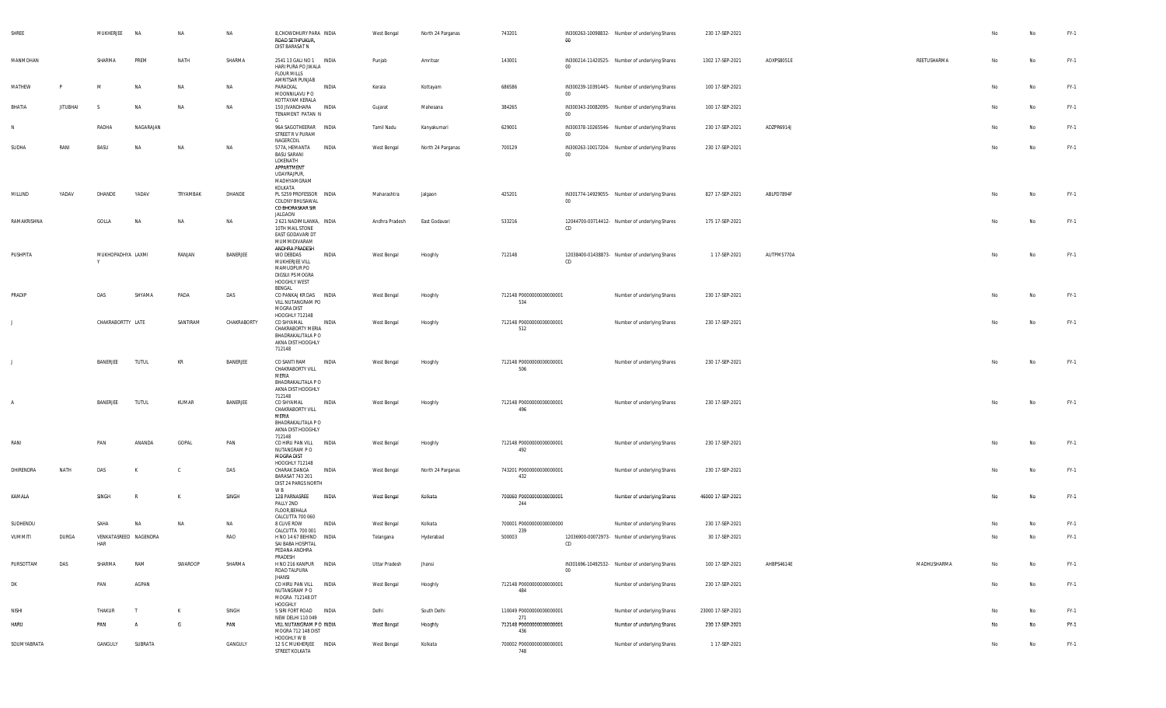| SHREE       |                 | MUKHERJEE              | <b>NA</b>             | NA        | NA          | 8, CHOWDHURY PARA INDIA<br>ROAD SETHPUKUR,<br>DIST BARASAT N                                                        |       | West Bengal        | North 24 Parganas | 743201                                 | 00     | IN300263-10098832- Number of underlying Shares | 230 17-SEP-2021   |            |             |    | No | $FY-1$ |
|-------------|-----------------|------------------------|-----------------------|-----------|-------------|---------------------------------------------------------------------------------------------------------------------|-------|--------------------|-------------------|----------------------------------------|--------|------------------------------------------------|-------------------|------------|-------------|----|----|--------|
| MANMOHAN    |                 | SHARMA                 | PREM                  | NATH      | SHARMA      | 2541 13 GALI NO 1 INDIA<br>HARI PURA PO JWALA<br><b>FLOUR MILLS</b>                                                 |       | Punjab             | Amritsar          | 143001                                 | $00\,$ | IN300214-11420525- Number of underlying Shares | 1302 17-SEP-2021  | AOXPS8051E | REETUSHARMA | No | No | $FY-1$ |
| MATHEW      | <b>P</b>        | M                      | <b>NA</b>             | NA        | NA          | AMRITSAR PUNJAB<br>PARACKAL<br>MOONNILAVU P O                                                                       | INDIA | Kerala             | Kottayam          | 686586                                 | $00\,$ | IN300239-10391445- Number of underlying Shares | 100 17-SEP-2021   |            |             | No | No | $FY-1$ |
| BHATIA      | <b>JITUBHAI</b> | -S                     | <b>NA</b>             | <b>NA</b> | <b>NA</b>   | KOTTAYAM KERALA<br>150 JIVANDHARA INDIA<br>TENAMENT PATAN N                                                         |       | Gujarat            | Mahesana          | 384265                                 | $00\,$ | IN300343-20082095- Number of underlying Shares | 100 17-SEP-2021   |            |             | No | No | $FY-1$ |
| N           |                 | RADHA                  | NAGARAJAN             |           |             | G<br>96A SAGOTHEERAR INDIA<br>STREET R V PURAM                                                                      |       | Tamil Nadu         | Kanyakumari       | 629001                                 | $00\,$ | IN300378-10265546- Number of underlying Shares | 230 17-SEP-2021   | ADZPR6914J |             | No | No | $FY-1$ |
| SUDHA       | RANI            | BASU                   | <b>NA</b>             | <b>NA</b> | <b>NA</b>   | NAGERCOIL<br>577A, HEMANTA<br><b>BASU SARANI</b><br>LOKENATH<br>APPARTMENT<br>UDAYRAJPUR,<br>MADHYAMGRAM<br>KOLKATA | INDIA | West Bengal        | North 24 Parganas | 700129                                 | $00 -$ | IN300263-10017204- Number of underlying Shares | 230 17-SEP-2021   |            |             | No | No | $FY-1$ |
| MILLIND     | YADAV           | DHANDE                 | YADAV                 | TRYAMBAK  | DHANDE      | PL 5259 PROFESSOR INDIA<br>COLONY BHUSAWAL<br>CO BHORASKAR SIR<br>JALGAON                                           |       | Maharashtra        | Jalgaon           | 425201                                 | $00\,$ | IN301774-14929055- Number of underlying Shares | 827 17-SEP-2021   | ABLPD7894F |             | No | No | $FY-1$ |
| RAMAKRISHNA |                 | GOLLA                  | <b>NA</b>             | NA        | NA          | 2 621 NADIMILANKA, INDIA<br>10TH MAIL STONE<br>EAST GODAVARI DT<br>MUMMIDIVARAM<br>ANDHRA PRADESH                   |       | Andhra Pradesh     | East Godavari     | 533216                                 | CD     | 12044700-00714412- Number of underlying Shares | 175 17-SEP-2021   |            |             | No | No | $FY-1$ |
| PUSHPITA    |                 | MUKHOPADHYA LAXMI<br>Y |                       | RANJAN    | BANERJEE    | WO DEBDAS<br>MUKHERJEE VILL<br>MAMUDPUR PO<br><b>DIGSUI PS MOGRA</b><br>HOOGHLY WEST<br>BENGAL                      | INDIA | West Bengal        | Hooghly           | 712148                                 | CD     | 12038400-01438873- Number of underlying Shares | 1 17-SEP-2021     | AUTPM5770A |             | No | No | $FY-1$ |
| PRADIP      |                 | DAS                    | SHYAMA                | PADA      | DAS         | CO PANKAJ KR DAS INDIA<br>VILL NUTANGRAM PO<br>MOGRA DIST                                                           |       | West Bengal        | Hooghly           | 712148 P0000000000000001<br>534        |        | Number of underlying Shares                    | 230 17-SEP-2021   |            |             | No | No | $FY-1$ |
|             |                 | CHAKRABORTTY LATE      |                       | SANTIRAM  | CHAKRABORTY | HOOGHLY 712148<br>CO SHYAMAL<br>CHAKRABORTY MERIA<br>BHADRAKALITALA P O<br>AKNA DIST HOOGHLY<br>712148              | INDIA | West Bengal        | Hooghly           | 712148 P0000000000000001<br>512        |        | Number of underlying Shares                    | 230 17-SEP-2021   |            |             | No | No | $FY-1$ |
|             |                 | BANERJEE               | <b>TUTUL</b>          | KR        | BANERJEE    | CO SANTI RAM<br>CHAKRABORTY VILL<br>MERIA<br>BHADRAKALITALA P O<br>AKNA DIST HOOGHLY<br>712148                      | INDIA | West Bengal        | Hooghly           | 712148 P0000000000000001<br>506        |        | Number of underlying Shares                    | 230 17-SEP-2021   |            |             |    | No | $FY-1$ |
| A           |                 | BANERJEE               | TUTUL                 | KUMAR     | BANERJEE    | CO SHYAMAL<br>CHAKRABORTY VILL<br>MERIA<br>BHADRAKALITALA P O<br>AKNA DIST HOOGHLY<br>712148                        | INDIA | West Bengal        | Hooghly           | 712148 P0000000000000001<br>496        |        | Number of underlying Shares                    | 230 17-SEP-2021   |            |             | No | No | $FY-1$ |
| RANI        |                 | PAN                    | ANANDA                | GOPAL     | PAN         | CO HIRU PAN VILL<br>NUTANGRAM P O<br><b>MOGRA DIST</b>                                                              | INDIA | West Bengal        | Hooghly           | 712148 P0000000000000001<br>492        |        | Number of underlying Shares                    | 230 17-SEP-2021   |            |             | No | No | $FY-1$ |
| DHIRENDRA   | NATH            | DAS                    |                       | - C       | DAS         | HOOGHLY 712148<br>CHARAK DANGA<br><b>BARASAT 743 201</b><br>DIST 24 PARGS NORTH                                     | INDIA | West Bengal        | North 24 Parganas | 743201 P0000000000000001<br>432        |        | Number of underlying Shares                    | 230 17-SEP-2021   |            |             | No | No | $FY-1$ |
| KAMALA      |                 | SINGH                  | R                     | к         | SINGH       | W B<br>128 PARNASREE<br>PALLY 2ND<br>FLOOR, BEHALA<br>CALCUTTA 700 060                                              | INDIA | West Bengal        | Kolkata           | 700060 P0000000000000001<br>244        |        | Number of underlying Shares                    | 46000 17-SEP-2021 |            |             | No | No | $FY-1$ |
| SUDHENDU    |                 | SAHA                   | <b>NA</b>             | <b>NA</b> | NA          | 8 CLIVE ROW                                                                                                         | INDIA | <b>West Bengal</b> | Kolkata           | 700001 P0000000000000000               |        | Number of underlying Shares                    | 230 17-SEP-2021   |            |             | N٥ | No | $FY-1$ |
| VUMMITI     | DURGA           | HAR                    | VENKATASREED NAGENDRA |           | RAO         | CALCUTTA 700 001<br>H NO 14 67 BEHIND INDIA<br>SAI BABA HOSPITAL<br>PEDANA ANDHRA                                   |       | Telangana          | Hyderabad         | 239<br>500003                          | CD     | 12036900-00072973- Number of underlying Shares | 30 17-SEP-2021    |            |             |    | No | FY-1   |
| PURSOTTAM   | DAS             | SHARMA                 | RAM                   | SWAROOP   | SHARMA      | PRADESH<br>H NO 216 KANPUR INDIA<br>ROAD TALPURA                                                                    |       | Uttar Pradesh      | Jhansi            |                                        | 00     | IN301696-10492532- Number of underlying Shares | 100 17-SEP-2021   | AHBPS4614E | MADHUSHARMA | No | No | $FY-1$ |
| DK          |                 | PAN                    | AGPAN                 |           |             | <b>JHANSI</b><br>CO HIRU PAN VILL INDIA<br>NUTANGRAM P O<br>MOGRA 712148 DT                                         |       | West Bengal        | Hooghly           | 712148 P0000000000000001<br>484        |        | Number of underlying Shares                    | 230 17-SEP-2021   |            |             | No | No | $FY-1$ |
| Nishi       |                 | THAKUR                 | $\mathsf{T}$          | K         | SINGH       | HOOGHLY<br>5 SIRI FORT ROAD                                                                                         | INDIA | Delhi              | South Delhi       | 110049 P0000000000000001               |        | Number of underlying Shares                    | 23000 17-SEP-2021 |            |             | No | No | $FY-1$ |
| HARU        |                 | PAN                    | $\mathbf{A}$          | G         | PAN         | NEW DELHI 110 049<br>VILL NUTANGRAM P O INDIA<br>MOGRA 712 148 DIST                                                 |       | West Bengal        | Hooghly           | 271<br>712148 P0000000000000001<br>436 |        | Number of underlying Shares                    | 230 17-SEP-2021   |            |             | No | No | FY-1   |
| SOUMYABRATA |                 | GANGULY                | SUBRATA               |           | GANGULY     | HOOGHLY W B<br>12 S C MUKHERJEE INDIA<br>STREET KOLKATA                                                             |       | West Bengal        | Kolkata           | 700002 P0000000000000001<br>748        |        | Number of underlying Shares                    | 1 17-SEP-2021     |            |             | No | No | FY-1   |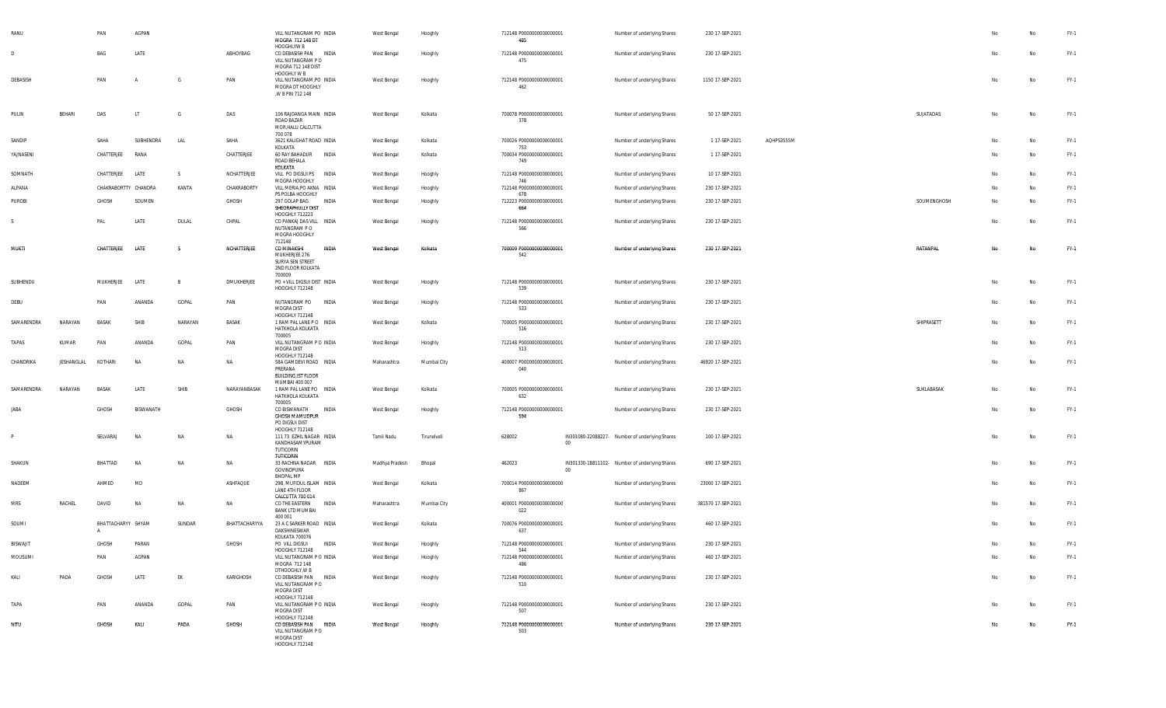| RANU            |            | PAN                  | AGPAN     |           |               | VILL NUTANGRAM PO INDIA<br>MOGRA 712 148 DT<br>HOOGHLYW B                                                 | West Bengal    | Hooghly     | 712148 P0000000000000001<br>485        |        | Number of underlying Shares                    | 230 17-SEP-2021    |            |             |    | No | FY-1   |
|-----------------|------------|----------------------|-----------|-----------|---------------|-----------------------------------------------------------------------------------------------------------|----------------|-------------|----------------------------------------|--------|------------------------------------------------|--------------------|------------|-------------|----|----|--------|
| D               |            | BAG                  | LATE      |           | ABHOYBAG      | CO DEBASISH PAN INDIA<br>VILL NUTANGRAM PO<br>MOGRA 712 148 DIST                                          | West Bengal    | Hooghly     | 712148 P0000000000000001<br>475        |        | Number of underlying Shares                    | 230 17-SEP-2021    |            |             | No | No | FY-1   |
| DEBASISH        |            | PAN                  | A         | G         | PAN           | HOOGHLY W B<br>VILL NUTANGRAM, PO INDIA<br>MOGRA DT HOOGHLY<br>, W B PIN 712 148                          | West Bengal    | Hooghly     | 712148 P0000000000000001<br>462        |        | Number of underlying Shares                    | 1150 17-SEP-2021   |            |             | No | No | FY-1   |
| PULIN           | BEHARI     | DAS                  | IJ        | G         | DAS           | 106 RAJDANGA MAIN INDIA<br>ROAD BAZAR<br>MOR, HALU CALCUTTA<br>700 078                                    | West Bengal    | Kolkata     | 700078 P0000000000000001<br>378        |        | Number of underlying Shares                    | 50 17-SEP-2021     |            | SUJATADAS   | No | No | FY-1   |
| SANDIP          |            | SAHA                 | SUBHENDRA | LAL       | SAHA          | 3621 KALIGHAT ROAD INDIA                                                                                  | West Bengal    | Kolkata     | 700026 P0000000000000001               |        | Number of underlying Shares                    | 1 17-SEP-2021      | AQHPS3555M |             | No | No | FY-1   |
| YAJNASENI       |            | CHATTERJEE           | RANA      |           | CHATTERJEE    | KOLKATA<br>60 RAY BAHADUR INDIA<br>ROAD BEHALA<br>KOLKATA                                                 | West Bengal    | Kolkata     | 753<br>700034 P0000000000000001<br>749 |        | Number of underlying Shares                    | 1 17-SEP-2021      |            |             | No | No | FY-1   |
| SOMNATH         |            | CHATTERJEE           | LATE      | S         | NCHATTERJEE   | VILL PO DIGSUI PS INDIA                                                                                   | West Bengal    | Hooghly     | 712148 P0000000000000001               |        | Number of underlying Shares                    | 10 17-SEP-2021     |            |             | No | No | FY-1   |
| ALPANA          |            | CHAKRABORTTY CHANDRA |           | KANTA     | CHAKRABORTY   | MOGRA HOOGHLY<br>VILL MERIA, PO AKNA INDIA                                                                | West Bengal    | Hooghly     | 746<br>712148 P0000000000000001        |        | Number of underlying Shares                    | 230 17-SEP-2021    |            |             | No | No | FY-1   |
| PUROBI          |            | GHOSH                | SOUMEN    |           | GHOSH         | PS POLBA HOOGHLY<br>297 GOLAP BAG<br>INDIA<br>SHEORAPHULLY DIST                                           | West Bengal    | Hooghly     | 678<br>712223 P0000000000000001<br>664 |        | Number of underlying Shares                    | 230 17-SEP-2021    |            | SOUMENGHOSH | No | No | FY-1   |
|                 |            | PAL                  | LATE      | DULAL     | CHPAL         | <b>HOOGHLY 712223</b><br>CO PANKAJ DAS VILL INDIA<br>NUTANGRAM PO<br>MOGRA HOOGHLY                        | West Bengal    | Hooghly     | 712148 P0000000000000001<br>566        |        | Number of underlying Shares                    | 230 17-SEP-2021    |            |             | No | No | FY-1   |
| MUKTI           |            | CHATTERJEE           | LATE      | - S       | NCHATTERJEE   | 712148<br>CO MINAKSHI<br><b>INDIA</b><br>MUKHERJEE 276<br>SURYA SEN STREET<br>2ND FLOOR KOLKATA<br>700009 | West Bengal    | Kolkata     | 700009 P00000000000000001<br>542       |        | Number of underlying Shares                    | 230 17-SEP-2021    |            | RATANPAL    | No | No | FY-1   |
| SUBHENDU        |            | MUKHERJEE            | LATE      | В         | DMUKHERJEE    | PO + VILL DIGSUI DIST INDIA<br>HOOGHLY 712148                                                             | West Bengal    | Hooghly     | 712148 P0000000000000001<br>539        |        | Number of underlying Shares                    | 230 17-SEP-2021    |            |             | No | No | FY-1   |
| DEBU            |            | PAN                  | ANANDA    | GOPAL     | PAN           | NUTANGRAM PO INDIA<br>MOGRA DIST<br>HOOGHLY 712148                                                        | West Bengal    | Hooghly     | 712148 P0000000000000001<br>533        |        | Number of underlying Shares                    | 230 17-SEP-2021    |            |             | No | No | FY-1   |
| SAMARENDRA      | NARAYAN    | <b>BASAK</b>         | SHIB      | NARAYAN   | BASAK         | 1 RAM PAL LANE PO INDIA<br>HATKHOLA KOLKATA<br>700005                                                     | West Bengal    | Kolkata     | 700005 P0000000000000001<br>516        |        | Number of underlying Shares                    | 230 17-SEP-2021    |            | SHIPRASETT  | No | No | FY-1   |
| TAPAS           | KUMAR      | PAN                  | ANANDA    | GOPAL     | PAN           | VILL NUTANGRAM P O INDIA<br><b>MOGRA DIST</b><br>HOOGHLY 712148                                           | West Bengal    | Hooghly     | 712148 P0000000000000001<br>513        |        | Number of underlying Shares                    | 230 17-SEP-2021    |            |             | No | No | FY-1   |
| CHANDRIKA       | JESHANGLAL | KOTHARI              | <b>NA</b> | <b>NA</b> | <b>NA</b>     | 58A GAMDEVI ROAD INDIA<br>PRERANA<br>BUILDING, IST FLOOR<br>MUMBAI 400 007                                | Maharashtra    | Mumbai City | 400007 P0000000000000001<br>040        |        | Number of underlying Shares                    | 46920 17-SEP-2021  |            |             | No | No | FY-1   |
| SAMARENDRA      | NARAYAN    | <b>BASAK</b>         | LATE      | SHIB      | NARAYANBASAK  | 1 RAM PAL LANE PO INDIA<br>HATKHOLA KOLKATA<br>700005                                                     | West Bengal    | Kolkata     | 700005 P0000000000000001<br>632        |        | Number of underlying Shares                    | 230 17-SEP-2021    |            | SUKLABASAK  | No | No | FY-1   |
| <b>IARA</b>     |            | GHOSH                | BISWANATH |           | GHOSH         | CO BISWANATH<br>INDIA<br>GHOSH MAMUDPUR<br>PO DIGSUI DIST<br>HOOGHLY 712148                               | West Bengal    | Hooghly     | 712148 P0000000000000001<br>594        |        | Number of underlying Shares                    | 230 17-SEP-2021    |            |             | No | No | FY-1   |
|                 |            | SELVARAJ             | <b>NA</b> | <b>NA</b> | NA            | 111 73 EZHIL NAGAR INDIA<br>KANDHASAMYPURAM<br>TUTICORIN<br><b>TUTICORIN</b>                              | Tamil Nadu     | Tirunelveli | 628002                                 | 00     | IN301080-22088227- Number of underlying Shares | 100 17-SEP-2021    |            |             | No | No | FY-1   |
| SHAKUN          |            | BHATTAD              | <b>NA</b> | NA        | NA            | 33 RACHNA NAGAR INDIA<br>GOVINDPURA<br><b>BHOPAL MP</b>                                                   | Madhya Pradesh | Bhopal      | 462023                                 | $00\,$ | IN301330-18811102- Number of underlying Shares | 690 17-SEP-2021    |            |             | No | No | FY-1   |
| NADEEM          |            | AHMED                | MD        |           | ASHFAQUE      | 29B, MUFIDUL ISLAM INDIA<br>LANE 4TH FLOOR<br>CALCUTTA 700 014                                            | West Bengal    | Kolkata     | 700014 P0000000000000000<br>867        |        | Number of underlying Shares                    | 23000 17-SEP-2021  |            |             | No | No | FY-1   |
| MRS             | RACHEL     | DAVID                | NA        | NA        | <b>NA</b>     | CO THE EASTERN<br>INDIA<br><b>BANK LTD MUMBAI</b><br>400 001                                              | Maharashtra    | Mumbai City | 400001 P0000000000000000<br>022        |        | Number of underlying Shares                    | 381570 17-SEP-2021 |            |             | No | No | FY-1   |
| SOUMI           |            | BHATTACHARYY SHYAM   |           | SUNDAR    | BHATTACHARYYA | 23 A C SARKER ROAD INDIA<br>DAKSHINESWAR<br>KOLKATA 700076                                                | West Bengal    | Kolkata     | 700076 P0000000000000001<br>637        |        | Number of underlying Shares                    | 460 17-SEP-2021    |            |             | No | No | FY-1   |
| <b>BISWAJIT</b> |            | GHOSH                | PARAN     |           | GHOSH         | PO VILL DIGSUI<br>INDIA                                                                                   | West Bengal    | Hooghly     | 712148 P0000000000000001               |        | Number of underlying Shares                    | 230 17-SEP-2021    |            |             | Nο | No | $FY-1$ |
| MOUSUMI         |            | PAN                  | AGPAN     |           |               | HOOGHLY 712148<br>VILL NUTANGRAM P O INDIA<br>MOGRA 712 148                                               | West Bengal    | Hooghly     | 544<br>712148 P0000000000000001<br>486 |        | Number of underlying Shares                    | 460 17-SEP-2021    |            |             | No | No | FY-1   |
| KALI            | PADA       | GHOSH                | LATE      | EK        | KARIGHOSH     | DTHOOGHLY, W B<br>CO DEBASISH PAN INDIA<br>VILL NUTANGRAM PO<br>MOGRA DIST                                | West Bengal    | Hooghly     | 712148 P0000000000000001<br>510        |        | Number of underlying Shares                    | 230 17-SEP-2021    |            |             | No | No | FY-1   |
| TAPA            |            | PAN                  | ANANDA    | GOPAL     | PAN           | HOOGHLY 712148<br>VILL NUTANGRAM P O INDIA<br>MOGRA DIST                                                  | West Bengal    | Hooghly     | 712148 P0000000000000001<br>507        |        | Number of underlying Shares                    | 230 17-SEP-2021    |            |             | No | No | FY-1   |
| NITU            |            | GHOSH                | KALI      | PADA      | <b>GHOSH</b>  | HOOGHLY 712148<br>CO DEBASISH PAN INDIA<br>VILL NUTANGRAM PO<br>MOGRA DIST<br>HOOGHLY 712148              | West Bengal    | Hooghly     | 712148 P0000000000000001<br>503        |        | Number of underlying Shares                    | 230 17-SEP-2021    |            |             | No | No | FY-1   |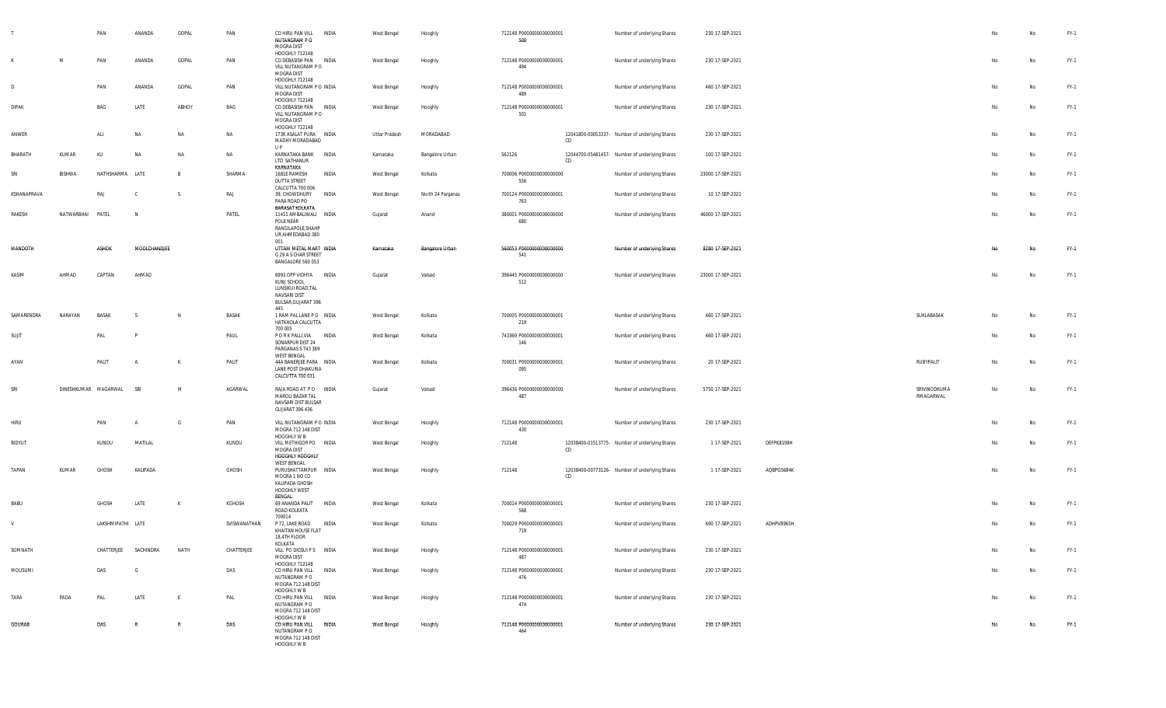|              |            | PAN                  | ANANDA       | GOPAL    | PAN          | CO HIRU PAN VILL<br>NUTANGRAM P O<br>MOGRA DIST<br>HOOGHLY 712148                                        | INDIA | West Bengal   | Hooghly           | 712148 P0000000000000001<br>500  |    | Number of underlying Shares                    | 230 17-SEP-2021   |            |                           |                | $\mathsf{No}$ | FY-1   |
|--------------|------------|----------------------|--------------|----------|--------------|----------------------------------------------------------------------------------------------------------|-------|---------------|-------------------|----------------------------------|----|------------------------------------------------|-------------------|------------|---------------------------|----------------|---------------|--------|
|              | M          | PAN                  | ANANDA       | GOPAL    | PAN          | CO DEBASISH PAN<br>VILL NUTANGRAM PO<br>MOGRA DIST                                                       | INDIA | West Bengal   | Hooghly           | 712148 P0000000000000001<br>494  |    | Number of underlying Shares                    | 230 17-SEP-2021   |            |                           | N <sub>o</sub> | No            | FY-1   |
| $\mathsf{D}$ |            | PAN                  | ANANDA       | GOPAL    | PAN          | HOOGHLY 712148<br>VILL NUTANGRAM P O INDIA<br>MOGRA DIST                                                 |       | West Bengal   | Hooghly           | 712148 P0000000000000001<br>489  |    | Number of underlying Shares                    | 460 17-SEP-2021   |            |                           | N <sub>o</sub> | No            | $FY-1$ |
| <b>DIPAK</b> |            | BAG                  | LATE         | ABHOY    | BAG          | HOOGHLY 712148<br>CO DEBASISH PAN INDIA<br>VILL NUTANGRAM PO<br>MOGRA DIST                               |       | West Bengal   | Hooghly           | 712148 P0000000000000001<br>501  |    | Number of underlying Shares                    | 230 17-SEP-2021   |            |                           | No             | No            | $FY-1$ |
| ANWER        |            | ALI                  | NA           | NA       | NA           | HOOGHLY 712148<br>173K ASALAT PURA INDIA<br>MADHY MORADABAD<br>U P                                       |       | Uttar Pradesh | MORADABAD         |                                  | CD | 12041800-00053337- Number of underlying Shares | 230 17-SEP-2021   |            |                           | No             | No            | $FY-1$ |
| BHARATH      | KUMAR      | KU                   | <b>NA</b>    | NA       | NA           | KARNATAKA BANK INDIA<br>LTD SATHANUR<br>KARNATAKA                                                        |       | Karnataka     | Bangalore Urban   | 562126                           | CD | 12044700-05481457- Number of underlying Shares | 100 17-SEP-2021   |            |                           | No             | No            | $FY-1$ |
| SRI          | BISHWA     | NATHSHARMA LATE      |              | <b>B</b> | SHARMA       | 1681E RAMESH<br><b>DUTTA STREET</b><br>CALCUTTA 700 006                                                  | INDIA | West Bengal   | Kolkata           | 700006 P0000000000000000<br>556  |    | Number of underlying Shares                    | 23000 17-SEP-2021 |            |                           | N <sub>o</sub> | No            | $FY-1$ |
| KSHANAPRAVA  |            | RAJ                  |              | - S      | RAJ          | 39, CHOWDHURY<br>PARA ROAD PO<br><b>BARASAT KOLKATA</b>                                                  | INDIA | West Bengal   | North 24 Parganas | 700124 P0000000000000001<br>763  |    | Number of underlying Shares                    | 10 17-SEP-2021    |            |                           | No             | No            | $FY-1$ |
| RAKESH       | NATWARBHAI | PATEL                | N            |          | PATEL        | 11411 AMBALIWALI INDIA<br>POLE NEAR<br>RANGILAPOLE, SHAHP<br>UR AHMEDABAD 380                            |       | Gujarat       | Anand             | 380001 P0000000000000000<br>680  |    | Number of underlying Shares                    | 46000 17-SEP-2021 |            |                           | No             | No            | $FY-1$ |
| MANDOTH      |            | <b>ASHOK</b>         | MOOLCHANDJEE |          |              | 001<br>UTTAM METAL MART INDIA<br>G 29 A S CHAR STREET<br>BANGALORE 560 053                               |       | Karnataka     | Bangalore Urban   | 560053 P0000000000000000<br>541  |    | Number of underlying Shares                    | 8280 17-SEP-2021  |            |                           | No             | No            | FY-1   |
| KASIM        | AHMAD      | CAPTAN               | AHMAD        |          |              | 6993 OPP VIDHYA INDIA<br>KUNJ SCHOOL<br>LUNSIKUI ROAD, TAL<br>NAVSARI DIST<br>BULSAR, GUJARAT 396<br>445 |       | Gujarat       | Valsad            | 396445 P0000000000000000<br>512  |    | Number of underlying Shares                    | 23000 17-SEP-2021 |            |                           | No             | No            | $FY-1$ |
| SAMARENDRA   | NARAYAN    | <b>BASAK</b>         |              |          | BASAK        | 1 RAM PAL LANE PO INDIA<br>HATKHOLA CALCUTTA                                                             |       | West Bengal   | Kolkata           | 700005 P0000000000000001<br>219  |    | Number of underlying Shares                    | 460 17-SEP-2021   |            | SUKLABASAK                | No             | No            | $FY-1$ |
| SUJIT        |            | PAL                  |              |          | PAUL         | 700 005<br>P O R K PALLI, VIA<br>SONARPUR DIST 24<br>PARGANAS S 743 369<br>WEST BENGAL                   | INDIA | West Bengal   | Kolkata           | 743369 P0000000000000001<br>146  |    | Number of underlying Shares                    | 460 17-SEP-2021   |            |                           | No             | No            | $FY-1$ |
| AYAN         |            | PALIT                |              |          | PALIT        | 44A BANERJEE PARA INDIA<br>LANE POST DHAKURIA<br>CALCUTTA 700 031                                        |       | West Bengal   | Kolkata           | 700031 P0000000000000001<br>095  |    | Number of underlying Shares                    | 20 17-SEP-2021    |            | RUBYPALIT                 | No             | No            | $FY-1$ |
| SRI          |            | DINESHKUMAR MAGARWAL | SRI          | M        | AGARWAL      | RAJA ROAD AT PO INDIA<br>MAROLI BAZAR TAL<br>NAVSARI DIST BULSAR<br><b>GUJARAT 396 436</b>               |       | Gujarat       | Valsad            | 396436 P0000000000000000<br>487  |    | Number of underlying Shares                    | 5750 17-SEP-2021  |            | SRIVINODKUMA<br>RMAGARWAL | No             | No            | $FY-1$ |
| HIRU         |            | PAN                  |              |          | PAN          | VILL NUTANGRAM P O INDIA<br>MOGRA 712 148 DIST<br>HOOGHLY W B                                            |       | West Bengal   | Hooghly           | 712148 P0000000000000001<br>430  |    | Number of underlying Shares                    | 230 17-SEP-2021   |            |                           | No             | No            | $FY-1$ |
| BIDYUT       |            | KUNDU                | MATILAL      |          | KUNDU        | VILL METHIGOR PO INDIA<br>MOGRA DIST<br>HOOGHLY HOOGHLY<br>WEST BENGAL                                   |       | West Bengal   | Hooghly           | 712148                           | CD | 12038400-01513775- Number of underlying Shares | 1 17-SEP-2021     | DEFPK8198H |                           | No             | No            | $FY-1$ |
| TAPAN        | KUMAR      | GHOSH                | KALIPADA     |          | GHOSH        | PURUSHATTAMPUR INDIA<br>MOGRA 1 NO CO<br>KALIPADA GHOSH<br>HOOGHLY WEST<br>BENGAL                        |       | West Bengal   | Hooghly           | 712148                           | CD | 12038400-00773126- Number of underlying Shares | 1 17-SEP-2021     | AQBPG5684K |                           | No             | No            | $FY-1$ |
| BABU         |            | GHOSH                | LATE         | K        | KGHOSH       | 69 ANANDA PALIT<br>ROAD KOLKATA<br>700014                                                                | INDIA | West Bengal   | Kolkata           | 700014 P0000000000000001<br>568  |    | Number of underlying Shares                    | 230 17-SEP-2021   |            |                           | No             | No            | $FY-1$ |
|              |            | LAKSHMIPATHI LATE    |              |          | SVISWANATHAN | P 72, LAKE ROAD<br>KHAITAN HOUSE FLAT<br>18,4TH FLOOR<br>KOLKATA                                         | INDIA | West Bengal   | Kolkata           | 700029 P00000000000000001<br>719 |    | Number of underlying Shares                    | 690 17-SEP-2021   | ADHPV8965H |                           | No             | No            | $FY-1$ |
| SOMNATH      |            | CHATTERJEE           | SACHINDRA    | NATH     | CHATTERJEE   | VILL PO DIGSUI P S   INDIA<br>MOGRA DIST<br>HOOGHLY 712148                                               |       | West Bengal   | Hooghly           | 712148 P0000000000000001<br>487  |    | Number of underlying Shares                    | 230 17-SEP-2021   |            |                           | No             | No            | FY-1   |
| MOUSUMI      |            | DAS                  | G            |          | DAS          | CO HIRU PAN VILL INDIA<br>NUTANGRAM P O<br>MOGRA 712 148 DIST<br>HOOGHLY W B                             |       | West Bengal   | Hooghly           | 712148 P0000000000000001<br>476  |    | Number of underlying Shares                    | 230 17-SEP-2021   |            |                           | No             | No            | $FY-1$ |
| TARA         | PADA       | PAL                  | LATE         | E        | PAL          | CO HIRU PAN VILL INDIA<br>NUTANGRAM P O<br>MOGRA 712 148 DIST<br>HOOGHLY W B                             |       | West Bengal   | Hooghly           | 712148 P0000000000000001<br>474  |    | Number of underlying Shares                    | 230 17-SEP-2021   |            |                           | No             | No            | $FY-1$ |
| GOURAB       |            | DAS                  | R            | R        | DAS          | CO HIRU PAN VILL INDIA<br>NUTANGRAM P O<br>MOGRA 712 148 DIST<br>HOOGHLY W B                             |       | West Bengal   | Hooghly           | 712148 P0000000000000001<br>464  |    | Number of underlying Shares                    | 230 17-SEP-2021   |            |                           | No             | No            | FY-1   |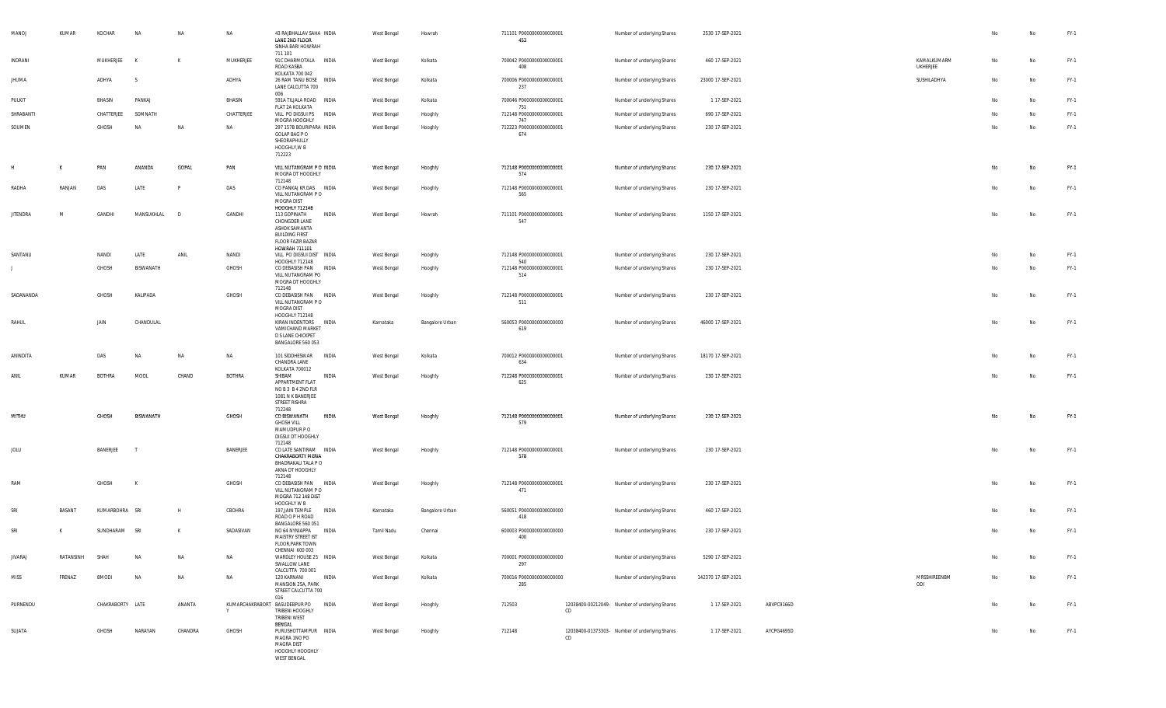| MANOJ           | KUMAR     | KOCHAR           | <b>NA</b>        | NA      | <b>NA</b>     | 43 RAJBHALLAV SAHA INDIA<br>LANE 2ND FLOOR<br>SINHA BARI HOWRAH                                                             |       | West Bengal | Howrah          | 711101 P0000000000000001<br>453 |     | Number of underlying Shares                    | 2530 17-SEP-2021   |            |                         | No | No        | FY-1   |
|-----------------|-----------|------------------|------------------|---------|---------------|-----------------------------------------------------------------------------------------------------------------------------|-------|-------------|-----------------|---------------------------------|-----|------------------------------------------------|--------------------|------------|-------------------------|----|-----------|--------|
| INDRANI         |           | MUKHERJEE        | $\mathsf{k}$     | K       | MUKHERJEE     | 711 101<br>91C DHARMOTALA INDIA<br>ROAD KASBA<br>KOLKATA 700 042                                                            |       | West Bengal | Kolkata         | 700042 P0000000000000001<br>408 |     | Number of underlying Shares                    | 460 17-SEP-2021    |            | KAMALKUMARM<br>UKHERJEE | No | No        | FY-1   |
| <b>JHUMA</b>    |           | ADHYA            | - S              |         | ADHYA         | 26 RAM TANU BOSE INDIA<br>LANE CALCUTTA 700<br>006                                                                          |       | West Bengal | Kolkata         | 700006 P0000000000000001<br>237 |     | Number of underlying Shares                    | 23000 17-SEP-2021  |            | SUSHILADHYA             | No | <b>No</b> | FY-1   |
| PULKIT          |           | BHASIN           | PANKAJ           |         | BHASIN        | 591A TILJALA ROAD INDIA                                                                                                     |       | West Bengal | Kolkata         | 700046 P0000000000000001        |     | Number of underlying Shares                    | 1 17-SEP-2021      |            |                         | No | <b>No</b> | FY-1   |
| SHRABANTI       |           | CHATTERJEE       | SOMNATH          |         | CHATTERJEE    | FLAT 2A KOLKATA<br>Vill po digsui ps                                                                                        | INDIA | West Bengal | Hooghly         | 751<br>712148 P0000000000000001 |     | Number of underlying Shares                    | 690 17-SEP-2021    |            |                         | No | No        | FY-1   |
| SOUMEN          |           | GHOSH            | <b>NA</b>        | NA      | <b>NA</b>     | MOGRA HOOGHLY<br>297 157B BOURIPARA INDIA                                                                                   |       | West Bengal | Hooghly         | 747<br>712223 P0000000000000001 |     | Number of underlying Shares                    | 230 17-SEP-2021    |            |                         | No | No        | FY-1   |
|                 |           |                  |                  |         |               | GOLAP BAG P O<br>SHEORAPHULLY<br>HOOGHLY, W B<br>712223                                                                     |       |             |                 | 674                             |     |                                                |                    |            |                         |    |           |        |
| H               | к         | PAN              | ANANDA           | GOPAL   | PAN           | VILL NUTANGRAM P O INDIA<br>MOGRA DT HOOGHLY<br>712148                                                                      |       | West Bengal | Hooghly         | 712148 P0000000000000001<br>574 |     | Number of underlying Shares                    | 230 17-SEP-2021    |            |                         | No | No        | FY-1   |
| RADHA           | RANJAN    | DAS              | LATE             |         | DAS           | CO PANKAJ KR DAS INDIA<br>VILL NUTANGRAM PO<br>MOGRA DIST<br><b>HOOGHLY 712148</b>                                          |       | West Bengal | Hooghly         | 712148 P0000000000000001<br>565 |     | Number of underlying Shares                    | 230 17-SEP-2021    |            |                         | No | No        | FY-1   |
| <b>JITENDRA</b> | M         | GANDHI           | MANSUKHLAL       | - D     | GANDHI        | 113 GOPINATH<br>CHONGDER LANE<br>ASHOK SAMANTA<br><b>BUILDING FIRST</b><br><b>FLOOR FAZIR BAZAR</b><br><b>HOWRAH 711101</b> | INDIA | West Bengal | Howrah          | 711101 P0000000000000001<br>547 |     | Number of underlying Shares                    | 1150 17-SEP-2021   |            |                         | No | No        | FY-1   |
| SANTANU         |           | NANDI            | LATE             | ANIL    | NANDI         | VILL PO DIGSUI DIST INDIA<br>HOOGHLY 712148                                                                                 |       | West Bengal | Hooghly         | 712148 P0000000000000001<br>540 |     | Number of underlying Shares                    | 230 17-SEP-2021    |            |                         | No | No        | FY-1   |
| $\perp$         |           | GHOSH            | BISWANATH        |         | GHOSH         | CO DEBASISH PAN<br>VILL NUTANGRAM PO<br>MOGRA DT HOOGHLY                                                                    | INDIA | West Bengal | Hooghly         | 712148 P0000000000000001<br>514 |     | Number of underlying Shares                    | 230 17-SEP-2021    |            |                         | No | No        | FY-1   |
| SADANANDA       |           | GHOSH            | KALIPADA         |         | GHOSH         | 712148<br>CO DEBASISH PAN INDIA<br>VILL NUTANGRAM PO<br>MOGRA DIST                                                          |       | West Bengal | Hooghly         | 712148 P0000000000000001<br>511 |     | Number of underlying Shares                    | 230 17-SEP-2021    |            |                         | No | No        | FY-1   |
| RAHUL           |           | JAIN             | CHANDULAL        |         |               | HOOGHLY 712148<br>KIRAN INDENTORS<br>VAMICHAND MARKET<br>D S LANE CHICKPET<br>BANGALORE 560 053                             | INDIA | Karnataka   | Bangalore Urban | 560053 P0000000000000000<br>619 |     | Number of underlying Shares                    | 46000 17-SEP-2021  |            |                         | No | No        | FY-1   |
| ANINDITA        |           | DAS              | <b>NA</b>        | NA      | <b>NA</b>     | 101 SIDDHESWAR INDIA<br>CHANDRA LANE<br>KOLKATA 700012                                                                      |       | West Bengal | Kolkata         | 700012 P0000000000000001<br>634 |     | Number of underlying Shares                    | 18170 17-SEP-2021  |            |                         | No | No        | FY-1   |
| ANIL            | KUMAR     | <b>BOTHRA</b>    | MOOL             | CHAND   | <b>BOTHRA</b> | SHIBAM<br>APPARTMENT FLAT<br>NO B 3 B 4 2ND FLR<br>1081 N K BANERJEE<br>STREET RISHRA<br>712248                             | INDIA | West Bengal | Hooghly         | 712248 P0000000000000001<br>625 |     | Number of underlying Shares                    | 230 17-SEP-2021    |            |                         | No | Na        | $FY-1$ |
| MITHU           |           | <b>GHOSH</b>     | <b>BISWANATH</b> |         | GHOSH         | CO BISWANATH<br><b>GHOSH VILL</b><br>MAMUDPUR PO<br>DIGSUI DT HOOGHLY<br>712148                                             | INDIA | West Bengal | Hooghly         | 712148 P0000000000000001<br>579 |     | Number of underlying Shares                    | 230 17-SEP-2021    |            |                         | No | No        | FY-1   |
| JOLU            |           | BANERJEE         | - 1              |         | BANERJEE      | CO LATE SANTIRAM INDIA<br>CHAKRABORTY MERIA<br>BHADRAKALI TALA P O<br>AKNA DT HOOGHLY<br>712148                             |       | West Bengal | Hooghly         | 712148 P0000000000000001<br>578 |     | Number of underlying Shares                    | 230 17-SEP-2021    |            |                         | No | No        | FY-1   |
| RAM             |           | GHOSH            | K                |         | GHOSH         | CO DEBASISH PAN INDIA<br>VILL NUTANGRAM PO<br>MOGRA 712 148 DIST<br>HOOGHLY W B                                             |       | West Bengal | Hooghly         | 712148 P0000000000000001<br>471 |     | Number of underlying Shares                    | 230 17-SEP-2021    |            |                         | No | No        | FY-1   |
| SRI             | BASANT    | KUMARBOHRA SRI   |                  |         | CBOHRA        | 197, JAIN TEMPLE<br>ROAD O P H ROAD<br>BANGALORE 560 051                                                                    | INDIA | Karnataka   | Bangalore Urban | 560051 P0000000000000000<br>418 |     | Number of underlying Shares                    | 460 17-SEP-2021    |            |                         | No | No        | FY-1   |
| SRI             | К         | SUNDHARAM        | SRI              | K       | SADASIVAN     | NO 64 NYNIAPPA<br>MAISTRY STREET IST<br>FLOOR, PARK TOWN<br>CHENNAI 600 003                                                 | INDIA | Tamil Nadu  | Chennai         | 600003 P0000000000000000<br>400 |     | Number of underlying Shares                    | 230 17-SEP-2021    |            |                         | No | No        | FY-1   |
| <b>JIVARAJ</b>  | RATANSINH | SHAH             | <b>NA</b>        | NA      | NA            | WARDLEY HOUSE 25 INDIA<br>SWALLOW LANE<br>CALCUTTA 700 001                                                                  |       | West Bengal | Kolkata         | 700001 P0000000000000000<br>297 |     | Number of underlying Shares                    | 5290 17-SEP-2021   |            |                         | No | <b>No</b> | $FY-1$ |
| MISS            | FRENAZ    | <b>BMODI</b>     | NA               | NA      | NA            | 120 KARNANI<br>MANSION 25A, PARK<br>STREET CALCUTTA 700<br>016                                                              | INDIA | West Bengal | Kolkata         | 700016 P0000000000000000<br>285 |     | Number of underlying Shares                    | 142370 17-SEP-2021 |            | MRSSHIREENBM<br>ODI     | No | No        | FY-1   |
| PURNENDU        |           | CHAKRABORTY LATE |                  | ANANTA  | Y             | KUMARCHAKRABORT BASUDEBPUR PO INDIA<br>TRIBENI HOOGHLY<br>TRIBENI WEST<br>BENGAL                                            |       | West Bengal | Hooghly         | 712503                          | CD  | 12038400-00212049- Number of underlying Shares | 1 17-SEP-2021      | ABVPC9166D |                         | No | No        | FY-1   |
| SUJATA          |           | GHOSH            | NARAYAN          | CHANDRA | GHOSH         | PURUSHOTTAMPUR INDIA<br>MAGRA 1NO PO<br>MAGRA DIST<br>HOOGHLY HOOGHLY<br><b>WEST BENGAL</b>                                 |       | West Bengal | Hooghly         | 712148                          | CD. | 12038400-01373303- Number of underlying Shares | 1 17-SEP-2021      | AYCPG4695D |                         | No | No        | FY-1   |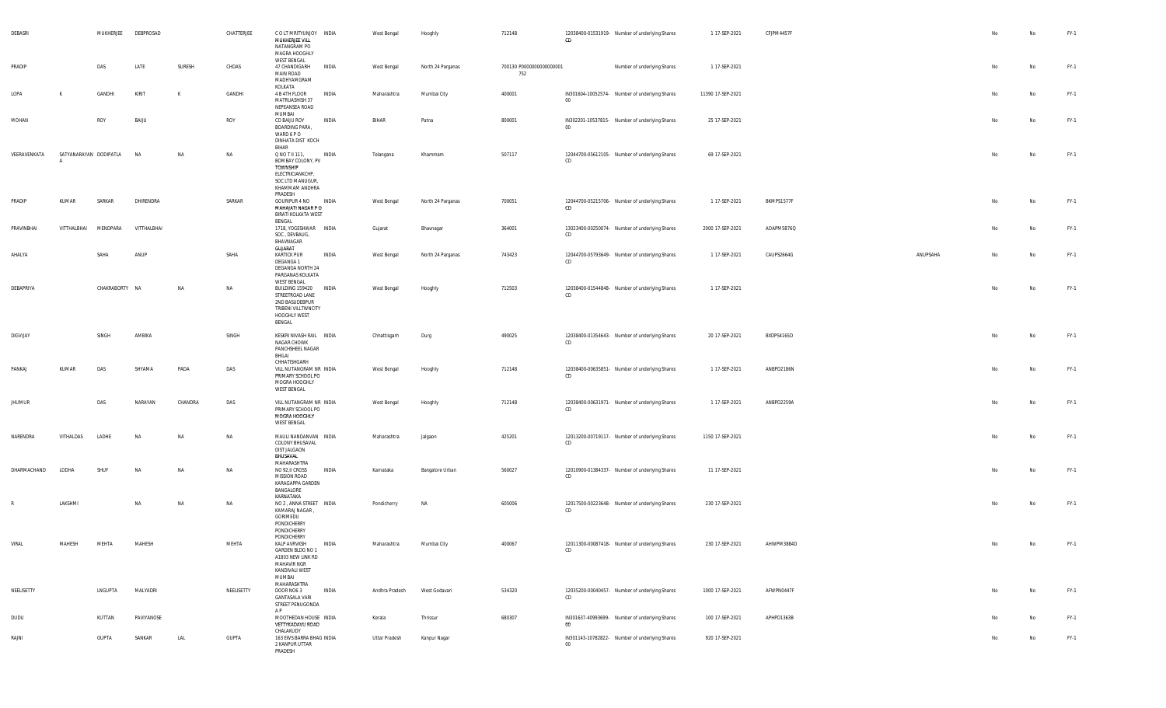| DEBASRI       |                        | MUKHERJEE      | DEBPROSAD    |         | CHATTERJEE | COLT MRITYUNJOY INDIA<br>MUKHERJEE VILL<br>NATANGRAM PO<br>MAGRA HOOGHLY<br><b>WEST BENGAL</b>                                  | West Bengal    | Hooghly           | 712148                          | 12038400-01531919- Number of underlying Shares<br>CD     | 1 17-SEP-2021     | CFJPM4457F |          | No             | No | $FY-1$ |
|---------------|------------------------|----------------|--------------|---------|------------|---------------------------------------------------------------------------------------------------------------------------------|----------------|-------------------|---------------------------------|----------------------------------------------------------|-------------------|------------|----------|----------------|----|--------|
| PRADIP        |                        | DAS            | LATE         | SURESH  | CHDAS      | 47 CHANDIGARH<br>INDIA<br><b>MAIN ROAD</b><br>MADHYAMGRAM                                                                       | West Bengal    | North 24 Parganas | 700130 P0000000000000001<br>752 | Number of underlying Shares                              | 1 17-SEP-2021     |            |          | No             | No | $FY-1$ |
| LOPA          | к                      | GANDHI         | <b>KIRIT</b> | K       | GANDHI     | KOLKATA<br>4 B 4TH FLOOR<br>INDIA<br>MATRUASHISH 37<br>NEPEANSEA ROAD                                                           | Maharashtra    | Mumbai City       | 400001                          | IN301604-10052574- Number of underlying Shares<br>00     | 11390 17-SEP-2021 |            |          | No             | No | $FY-1$ |
| MOHAN         |                        | ROY            | BAIJU        |         | ROY        | MUMBAI<br>CO BAIJU ROY<br>INDIA<br><b>BOARDING PARA,</b><br>WARD 6 P O<br>DINHATA DIST KOCH<br><b>BIHAR</b>                     | BIHAR          | Patna             | 800001                          | IN302201-10537815- Number of underlying Shares<br>$00\,$ | 25 17-SEP-2021    |            |          | No             | No | $FY-1$ |
| VEERAVENKATA  | SATYANARAYAN DODIPATLA |                | <b>NA</b>    | NA      | NA         | Q NO T II 111,<br>INDIA<br>BOMBAY COLONY, PV<br>TOWNSHIP<br>ELECTRICIANKCHP,<br>SOC LTD MANUGUR,<br>KHAMMAM ANDHRA<br>PRADESH   | Telangana      | Khammam           | 507117                          | 12044700-05612105- Number of underlying Shares<br>CD     | 69 17-SEP-2021    |            |          |                | No | $FY-1$ |
| PRADIP        | KUMAR                  | SARKAR         | DHIRENDRA    |         | SARKAR     | <b>GOURIPUR 4 NO</b><br>INDIA<br>MAHAJATI NAGAR PO<br>BIRATI KOLKATA WEST<br>BENGAL                                             | West Bengal    | North 24 Parganas | 700051                          | 12044700-05215706- Number of underlying Shares<br>CD     | 1 17-SEP-2021     | BKMPS1577F |          | No             | No | $FY-1$ |
| PRAVINBHAI    | VITTHALBHAI            | MENDPARA       | VITTHALBHAI  |         |            | 1718, YOGESHWAR INDIA<br>SOC, DEVBAUG,<br>BHAVNAGAR<br>GUJARAT                                                                  | Gujarat        | Bhavnagar         | 364001                          | 13023400-00250074- Number of underlying Shares<br>CD     | 2000 17-SEP-2021  | AOAPM5876Q |          | No             | No | $FY-1$ |
| AHALYA        |                        | SAHA           | ANUP         |         | SAHA       | <b>KARTICK PUR</b><br>INDIA<br>DEGANGA 1<br>DEGANGA NORTH 24<br>PARGANAS KOLKATA<br><b>WEST BENGAL</b>                          | West Bengal    | North 24 Parganas | 743423                          | 12044700-05793649- Number of underlying Shares<br>CD     | 1 17-SEP-2021     | CAUPS2664G | ANUPSAHA | No             | No | $FY-1$ |
| DEBAPRIYA     |                        | CHAKRABORTY NA |              | NA      | NA         | BUILDING 159420 INDIA<br>STREETROAD LANE<br>2ND BASUDEBPUR<br>TRIBENI VILLTWNCITY<br>HOOGHLY WEST<br>BENGAL                     | West Bengal    | Hooghly           | 712503                          | 12038400-01544848- Number of underlying Shares<br>CD     | 1 17-SEP-2021     |            |          | No             | No | $FY-1$ |
| DIGVIJAY      |                        | SINGH          | AMBIKA       |         | SINGH      | KESKRI NIVASH RAIL INDIA<br>NAGAR CHOWK<br>PANCHSHEEL NAGAR<br>BHILAI<br>CHHATISHGARH                                           | Chhattisgarh   | Durg              | 490025                          | 12038400-01354643- Number of underlying Shares<br>CD     | 20 17-SEP-2021    | BXDPS4165D |          | No             | No | $FY-1$ |
| PANKAJ        | KUMAR                  | DAS            | SHYAMA       | PADA    | DAS        | VILL NUTANGRAM NR INDIA<br>PRIMARY SCHOOL PO<br>MOGRA HOOGHLY<br><b>WEST BENGAL</b>                                             | West Bengal    | Hooghly           | 712148                          | 12038400-00635851- Number of underlying Shares<br>CD     | 1 17-SEP-2021     | ANBPD2186N |          | No             | No | $FY-1$ |
| <b>JHUMUR</b> |                        | DAS            | NARAYAN      | CHANDRA | DAS        | VILL NUTANGRAM NR INDIA<br>PRIMARY SCHOOL PO<br>MOGRA HOOGHLY<br><b>WEST BENGAL</b>                                             | West Bengal    | Hooghly           | 712148                          | 12038400-00631971- Number of underlying Shares<br>CD     | 1 17-SEP-2021     | ANBPD2259A |          | No             | No | $FY-1$ |
| NARENDRA      | VITHALDAS              | LADHE          | <b>NA</b>    | NA      | NA         | MAULI NANDANVAN INDIA<br>COLONY BHUSAVAL<br>DIST JALGAON<br>BHUSAVAL<br>MAHARASHTRA                                             | Maharashtra    | Jalgaon           | 425201                          | 12013200-00719117- Number of underlying Shares<br>CD     | 1150 17-SEP-2021  |            |          | No             | No | $FY-1$ |
| DHARMACHAND   | LODHA                  | SHUF           | <b>NA</b>    | NA      | NA         | NO 92, II CROSS<br>INDIA<br><b>MISSION ROAD</b><br>KARAGAPPA GARDEN<br>BANGALORE<br>KARNATAKA                                   | Karnataka      | Bangalore Urban   | 560027                          | 12010900-01384337- Number of underlying Shares<br>CD     | 11 17-SEP-2021    |            |          | No             | No | $FY-1$ |
| R             | LAKSHMI                |                | NA           | NA      | NA         | NO 2, ANNA STREET INDIA<br>KAMARAJ NAGAR<br>GORIMEDU<br>PONDICHERRY<br>PONDICHERRY<br>PONDICHERRY                               | Pondicherry    | NA                | 605006                          | 12017500-00223648- Number of underlying Shares<br>CD     | 230 17-SEP-2021   |            |          | N <sub>o</sub> | No | $FY-1$ |
| VIRAL         | MAHESH                 | MEHTA          | MAHESH       |         | MEHTA      | KALP AVRVKSH<br>INDIA<br>GARDEN BLDG NO 1<br>A1803 NEW LINK RD<br><b>MAHAVIR NGR</b><br>KANDIVALI WEST<br>MUMBAI<br>MAHARASHTRA | Maharashtra    | Mumbai City       | 400067                          | 12011300-00087418- Number of underlying Shares<br>CD     | 230 17-SEP-2021   | AHWPM3884D |          |                | No | FY-1   |
| NEELISETTY    |                        | LNGUPTA        | MALYADRI     |         | NEELISETTY | DOOR NO6 3<br>INDIA<br><b>GANTASALA VARI</b><br>STREET PENUGONDA<br>A P                                                         | Andhra Pradesh | West Godavari     | 534320                          | 12035200-00040457- Number of underlying Shares<br>CD     | 1000 17-SEP-2021  | AFWPN0447F |          | No             | No | $FY-1$ |
| DUDU          |                        | KUTTAN         | PAVIYANOSE   |         |            | MOOTHEDAN HOUSE INDIA<br>VETTYKADAVU ROAD<br>CHALAKUDY                                                                          | Kerala         | Thrissur          | 680307                          | IN301637-40993699- Number of underlying Shares<br>00     | 100 17-SEP-2021   | APHPD1363B |          | No             | No | $FY-1$ |
| RAJNI         |                        | <b>GUPTA</b>   | SANKAR       | LAL     | GUPTA      | 163 EWS BARRA BHAG INDIA<br>2 KANPUR UTTAR<br>PRADESH                                                                           | Uttar Pradesh  | Kanpur Nagar      |                                 | IN301143-10782822- Number of underlying Shares<br>$00\,$ | 920 17-SEP-2021   |            |          | No             | No | FY-1   |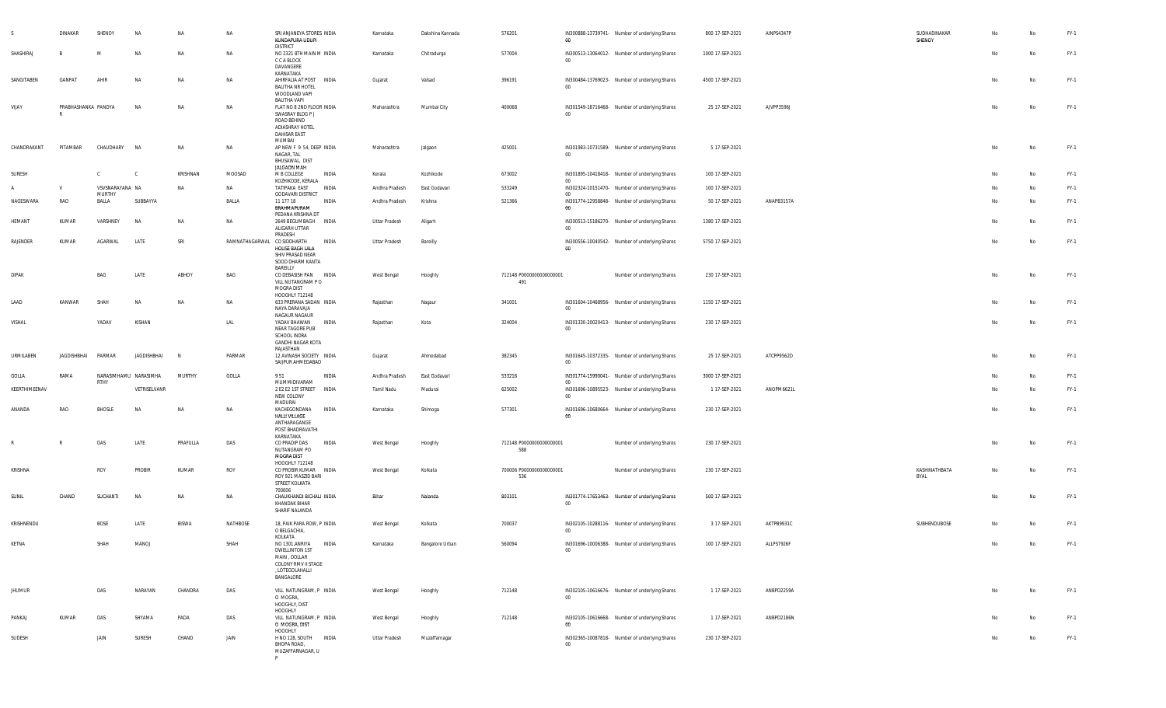|               | <b>DINAKAR</b>      | SHENOY                 | NA                    | NA           | NA        | SRI ANJANEYA STORES INDIA<br>KUNDAPURA UDUPI<br><b>DISTRICT</b>                                                                            | Karnataka          | Dakshina Kannada | 576201                          | IN300888-13739741- Number of underlying Shares<br>$00\,$           | 800 17-SEP-2021  | AINPS4347P | SUDHADINAKAR<br>SHENOY | No | <b>No</b> | FY-1   |
|---------------|---------------------|------------------------|-----------------------|--------------|-----------|--------------------------------------------------------------------------------------------------------------------------------------------|--------------------|------------------|---------------------------------|--------------------------------------------------------------------|------------------|------------|------------------------|----|-----------|--------|
| SHASHIRAJ     |                     | M                      | <b>NA</b>             | NA           | NA        | NO 2321 8TH MAIN M INDIA<br>C C A BLOCK<br>DAVANGERE                                                                                       | Karnataka          | Chitradurga      | 577004                          | IN300513-13064012- Number of underlying Shares<br>$00\degree$      | 1000 17-SEP-2021 |            |                        | No | No        | FY-1   |
| SANGITABEN    | GANPAT              | AHIR                   | NA                    | NA           | NA        | KARNATAKA<br>AHIRFALIA AT POST INDIA<br><b>BALITHA NR HOTEL</b><br>WOODLAND VAPI                                                           | Gujarat            | Valsad           | 396191                          | IN300484-13769023- Number of underlying Shares<br>$00\degree$      | 4500 17-SEP-2021 |            |                        | No | No        | FY-1   |
| VIJAY         | PRABHASHANKA PANDYA |                        | <b>NA</b>             | NA           | NA        | BALITHA VAPI<br>FLAT NO 8 2ND FLOOR INDIA<br>SWASRAY BLDG P J<br>ROAD BEHIND<br>ADIASHRAY HOTEL<br><b>DAHISAR EAST</b>                     | Maharashtra        | Mumbai City      | 400068                          | IN301549-18716468- Number of underlying Shares<br>$00 -$           | 25 17-SEP-2021   | AJVPP3596J |                        | No | No        | FY-1   |
| CHANDRAKANT   | PITAMBAR            | CHAUDHARY              | <b>NA</b>             | NA           | NA        | MUMBAI<br>AP NEW F 9 54, DEEP INDIA<br>NAGAR, TAL<br>BHUSAWAL, DIST                                                                        | Maharashtra        | Jalgaon          | 425001                          | IN301983-10731589- Number of underlying Shares<br>$00\,$           | 5 17-SEP-2021    |            |                        | No | <b>No</b> | FY-1   |
| SURESH        |                     | C                      | - C                   | KRISHNAN     | MOOSAD    | JALGAON MAH<br>M B COLLEGE<br>INDIA                                                                                                        | Kerala             | Kozhikode        | 673002                          | IN301895-10418418- Number of underlying Shares                     | 100 17-SEP-2021  |            |                        | No | No        | FY-1   |
|               | V                   | VSVSNARAYANA NA        |                       | <b>NA</b>    | <b>NA</b> | KOZHIKODE, KERALA<br>TATIPAKA EAST<br>INDIA                                                                                                | Andhra Pradesh     | East Godavari    | 533249                          | 00<br>IN302324-10151470- Number of underlying Shares               | 100 17-SEP-2021  |            |                        | No | No        | FY-1   |
| NAGESWARA     | RAO                 | <b>MURTHY</b><br>BALLA | SUBBAYYA              |              | BALLA     | <b>GODAVARI DISTRICT</b><br>11 177 18<br>INDIA                                                                                             | Andhra Pradesh     | Krishna          | 521366                          | $00\,$<br>IN301774-12958848- Number of underlying Shares           | 50 17-SEP-2021   | ANAPB3157A |                        | No | No        | FY-1   |
| HEMANT        | KUMAR               | VARSHNEY               | NA                    | <b>NA</b>    | <b>NA</b> | BRAHMAPURAM<br>PEDANA KRISHNA DT<br>2649 BEGUMBAGH<br>INDIA<br>ALIGARH UTTAR                                                               | Uttar Pradesh      | Aligarh          |                                 | $00\,$<br>IN300513-15186270- Number of underlying Shares<br>$00\,$ | 1380 17-SEP-2021 |            |                        | No | No        | FY-1   |
| RAJENDER      | KUMAR               | AGARWAL                | LATE                  | SRI          |           | PRADESH<br>RAMNATHAGARWAL CO SIDDHARTH<br>INDIA<br>HOUSE BAGH LALA<br>SHIV PRASAD NEAR<br>SOOD DHARM KANTA                                 | Uttar Pradesh      | Bareilly         |                                 | IN300556-10040542- Number of underlying Shares<br>$00\,$           | 5750 17-SEP-2021 |            |                        | No | No        | FY-1   |
|               |                     |                        |                       |              |           | BAREILLY                                                                                                                                   |                    |                  |                                 |                                                                    |                  |            |                        |    |           |        |
| <b>DIPAK</b>  |                     | BAG                    | LATE                  | ABHOY        | BAG       | CO DEBASISH PAN INDIA<br>VILL NUTANGRAM PO<br>MOGRA DIST<br>HOOGHLY 712148                                                                 | West Bengal        | Hooghly          | 712148 P0000000000000001<br>491 | Number of underlying Shares                                        | 230 17-SEP-2021  |            |                        | No | No        | FY-1   |
| LAAD          | KANWAR              | SHAH                   | <b>NA</b>             | NA           | NA        | 633 PRERANA SADAN INDIA<br>NAYA DARAVAJA<br>NAGAUR NAGAUR                                                                                  | Rajasthan          | Nagaur           | 341001                          | IN301604-10468956- Number of underlying Shares<br>$00\,$           | 1150 17-SEP-2021 |            |                        | No | <b>No</b> | FY-1   |
| VISHAL        |                     | YADAV                  | KISHAN                |              | LAL       | INDIA<br>YADAV BHAWAN<br>NEAR TAGORE PUB<br>SCHOOL INDRA<br><b>GANDHI NAGAR KOTA</b><br>RAJASTHAN                                          | Rajasthan          | Kota             | 324004                          | IN301330-20020413- Number of underlying Shares<br>$00\,$           | 230 17-SEP-2021  |            |                        | No | No        | FY-1   |
| URMILABEN     | JAGDISHBHAI         | PARMAR                 | JAGDISHBHAI           | <b>N</b>     | PARMAR    | 12 AVINASH SOCIETY INDIA<br>SAIJPUR AHMEDABAD                                                                                              | Gujarat            | Ahmedabad        | 382345                          | IN301645-10372335- Number of underlying Shares<br>$00\,$           | 25 17-SEP-2021   | ATCPP9562D |                        | No | <b>No</b> | FY-1   |
| GOLLA         | RAMA                | RTHY                   | NARASIMHAMU NARASIMHA | MURTHY       | GOLLA     | 951<br>INDIA<br>MUMMIDIVARAM                                                                                                               | Andhra Pradesh     | East Godavari    | 533216                          | IN301774-15990041- Number of underlying Shares<br>00 <sup>1</sup>  | 3000 17-SEP-2021 |            |                        | No | No        | FY-1   |
| KEERTHIMEENAV |                     |                        | VETRISELVANR          |              |           | 2 E2 E2 1ST STREET INDIA<br>NEW COLONY<br>MADURAI                                                                                          | Tamil Nadu         | Madurai          | 625002                          | IN301696-10895523- Number of underlying Shares<br>$00\,$           | 1 17-SEP-2021    | ANOPM6621L |                        | No | No        | FY-1   |
| ANANDA        | RAO                 | <b>BHOSLE</b>          | <b>NA</b>             | <b>NA</b>    | NA        | KACHEGONDANA<br><b>INDIA</b><br><b>HALLI VILLAGE</b><br>ANTHARAGANGE<br>POST BHADRAVATHI                                                   | Karnataka          | Shimoga          | 577301                          | IN301696-10680664- Number of underlying Shares<br>00               | 230 17-SEP-2021  |            |                        | No | <b>No</b> | FY-1   |
| $\mathbb{R}$  |                     | DAS                    | LATE                  | PRAFULLA     | DAS       | KARNATAKA<br>CO PRADIP DAS<br>INDIA<br>NUTANGRAM PO<br><b>MOGRA DIST</b>                                                                   | West Bengal        | Hooghly          | 712148 P0000000000000001<br>588 | Number of underlying Shares                                        | 230 17-SEP-2021  |            |                        | No | No        | FY-1   |
| KRISHNA       |                     | ROY                    | PROBIR                | KUMAR        | ROY       | HOOGHLY 712148<br>CO PROBIR KUMAR<br>INDIA<br>ROY 921 MASZID BARI<br>STREET KOLKATA                                                        | West Bengal        | Kolkata          | 700006 P0000000000000001<br>536 | Number of underlying Shares                                        | 230 17-SEP-2021  |            | KASHINATHBATA<br>BYAL  | No | No        | FY-1   |
| SUNIL         | CHAND               | SUCHANTI               | <b>NA</b>             | NA           | NA        | 700006<br>CHAUKHANDI BICHALI INDIA<br>KHANDAK BIHAR<br>SHARIF NALANDA                                                                      | Bihar              | Nalanda          | 803101                          | IN301774-17653463- Number of underlying Shares<br>$00 -$           | 500 17-SEP-2021  |            |                        | No | No        | $FY-1$ |
| KRISHNENDU    |                     | <b>BOSE</b>            | LATE                  | <b>BISWA</b> | NATHBOSE  | 18, PAIK PARA ROW, P INDIA<br>O BELGACHIA,                                                                                                 | <b>West Bengal</b> | Kolkata          | 700037                          | IN302105-10288116- Number of underlying Shares<br>$00\,$           | 3 17-SEP-2021    | AKTPB9931C | SUBHENDUBOSE           | No | No        | FY-1   |
| KETNA         |                     | SHAH                   | MANOJ                 |              | SHAH      | KOLKATA<br>NO 1301, ANRIYA<br><b>INDIA</b><br><b>DWELLINTON 1ST</b><br>MAIN, DOLLAR<br>COLONY RMV II STAGE<br>, LOTEGOLAHALLI<br>BANGALORE | Karnataka          | Bangalore Urban  | 560094                          | IN301696-10006388- Number of underlying Shares<br>$00\,$           | 100 17-SEP-2021  | ALLPS7926F |                        |    | No        | $FY-1$ |
| <b>JHUMUR</b> |                     | DAS                    | NARAYAN               | CHANDRA      | DAS       | VILL NATUNGRAM, P INDIA<br>O MOGRA,<br>HOOGHLY, DIST<br>HOOGHLY                                                                            | West Bengal        | Hooghly          | 712148                          | IN302105-10616676- Number of underlying Shares<br>$00\degree$      | 1 17-SEP-2021    | ANBPD2259A |                        | No | No        | $FY-1$ |
| PANKAJ        | KUMAR               | DAS                    | SHYAMA                | PADA         | DAS       | VILL NATUNGRAM, P INDIA<br>o Mogra, DIST<br>HOOGHLY                                                                                        | West Bengal        | Hooghly          | 712148                          | IN302105-10616668- Number of underlying Shares<br>00               | 1 17-SEP-2021    | ANBPD2186N |                        | No | No        | FY-1   |
| SUDESH        |                     | JAIN                   | SURESH                | CHAND        | JAIN      | H NO 128, SOUTH INDIA<br>BHOPA ROAD,<br>MUZAFFARNAGAR, U<br>P.                                                                             | Uttar Pradesh      | Muzaffarnagar    |                                 | IN302365-10087818- Number of underlying Shares<br>$00\,$           | 230 17-SEP-2021  |            |                        | No | No        | FY-1   |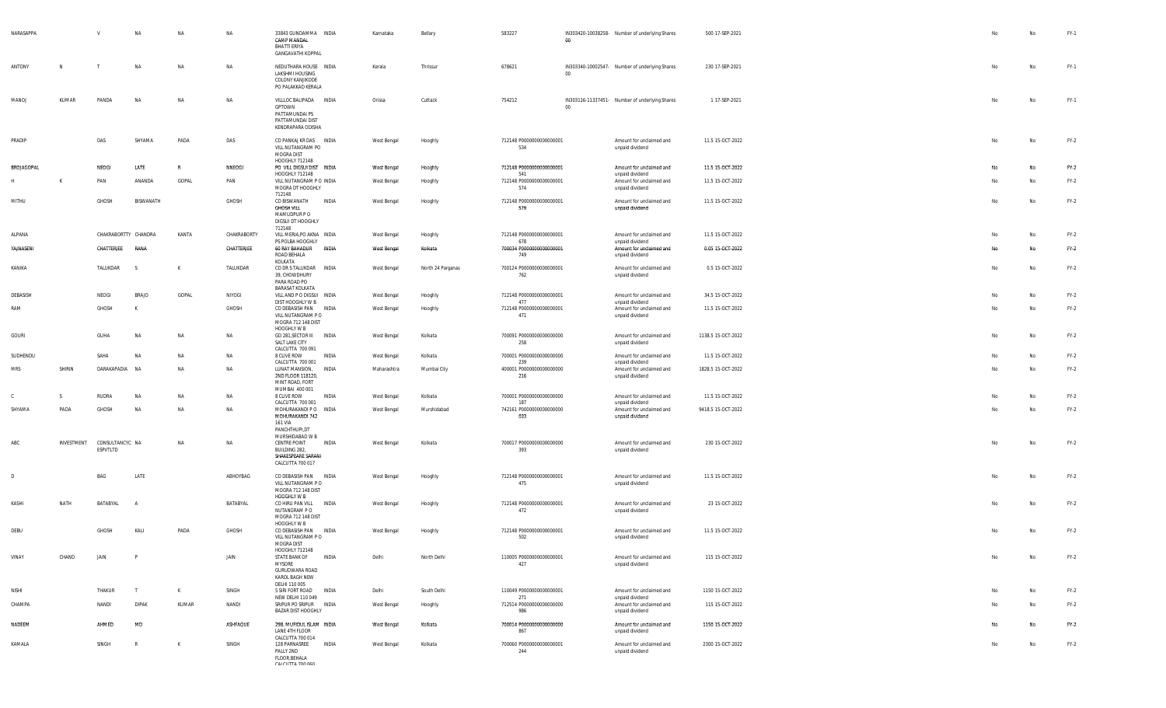| NARASAPPA         |            | V                           | NA             | NA           | NA          | 33843 GUNDAMMA INDIA<br>CAMP MANDAL<br><b>BHATTI ERIYA</b><br><b>GANGAVATHI KOPPAL</b>              |              | Karnataka   | Bellary           | 583227                                  | $00\,$ | IN303420-10038258- Number of underlying Shares                 | 500 17-SEP-2021    | No | No        | $FY-1$ |
|-------------------|------------|-----------------------------|----------------|--------------|-------------|-----------------------------------------------------------------------------------------------------|--------------|-------------|-------------------|-----------------------------------------|--------|----------------------------------------------------------------|--------------------|----|-----------|--------|
| ANTONY            | N          |                             | <b>NA</b>      | <b>NA</b>    | NA          | NEDUTHARA HOUSE INDIA<br>LAKSHMI HOUSING<br>COLONY KANJIKODE<br>PO PALAKKAD KERALA                  |              | Kerala      | Thrissur          | 678621                                  | $00\,$ | IN303340-10002547- Number of underlying Shares                 | 230 17-SEP-2021    | No | No        | $FY-1$ |
| MANOJ             | KUMAR      | PANDA                       | <b>NA</b>      | <b>NA</b>    | NA          | VILLLOC BALIPADA INDIA<br>GPTOWN<br>PATTAMUNDAI PS<br>PATTAMUNDAI DIST<br>KENDRAPARA ODISHA         |              | Orissa      | Cuttack           | 754212                                  | 00     | IN303116-11337451- Number of underlying Shares                 | 1 17-SEP-2021      | No | No        | $FY-1$ |
| PRADIP            |            | DAS                         | SHYAMA         | PADA         | DAS         | CO PANKAJ KR DAS INDIA<br>VILL NUTANGRAM PO<br>MOGRA DIST<br>HOOGHLY 712148                         |              | West Bengal | Hooghly           | 712148 P0000000000000001<br>534         |        | Amount for unclaimed and<br>unpaid dividend                    | 11.5 15-OCT-2022   | No | <b>No</b> | $FY-2$ |
| <b>BROJAGOPAL</b> |            | NEOGI                       | LATE           | R            | NNEOGI      | PO VILL DIGSUI DIST INDIA<br>HOOGHLY 712148                                                         |              | West Bengal | Hooghly           | 712148 P0000000000000001<br>541         |        | Amount for unclaimed and<br>unpaid dividend                    | 11.5 15-OCT-2022   | No | No        | $FY-2$ |
|                   | К          | PAN                         | ANANDA         | GOPAL        | PAN         | VILL NUTANGRAM P O INDIA<br>MOGRA DT HOOGHLY<br>712148                                              |              | West Bengal | Hooghly           | 712148 P0000000000000001<br>574         |        | Amount for unclaimed and<br>unpaid dividend                    | 11.5 15-OCT-2022   | No | No        | $FY-2$ |
| MITHU             |            | GHOSH                       | BISWANATH      |              | GHOSH       | CO BISWANATH<br><b>GHOSH VILL</b><br>MAMUDPUR PO<br>DIGSUI DT HOOGHLY<br>712148                     | INDIA        | West Bengal | Hooghly           | 712148 P0000000000000001<br>579         |        | Amount for unclaimed and<br>unpaid dividend                    | 11.5 15-OCT-2022   | No | No        | $FY-2$ |
| ALPANA            |            | CHAKRABORTTY CHANDRA        |                | KANTA        | CHAKRABORTY | VILL MERIA, PO AKNA INDIA                                                                           |              | West Bengal | Hooghly           | 712148 P0000000000000001                |        | Amount for unclaimed and                                       | 11.5 15-OCT-2022   | No | No        | $FY-2$ |
| YAJNASENI         |            | CHATTERJEE                  | RANA           |              | CHATTERJEE  | PS POLBA HOOGHLY<br>60 RAY BAHADUR INDIA<br>ROAD BEHALA<br>KOLKATA                                  |              | West Bengal | Kolkata           | 678<br>700034 P00000000000000001<br>749 |        | unpaid dividend<br>Amount for unclaimed and<br>unpaid dividend | 0.05 15-OCT-2022   | No | No        | $FY-2$ |
| KANIKA            |            | TALUKDAR                    | - S            | $\mathsf{K}$ | TALUKDAR    | CO DR S TALUKDAR INDIA<br>39, CHOWDHURY<br>PARA ROAD PO<br>BARASAT KOLKATA                          |              | West Bengal | North 24 Parganas | 700124 P0000000000000001<br>762         |        | Amount for unclaimed and<br>unpaid dividend                    | 0.5 15-OCT-2022    | No | No        | $FY-2$ |
| DEBASISH          |            | NEOGI                       | BRAJO          | GOPAL        | NIYOGI      | VILL AND P O DIGSUI INDIA                                                                           |              | West Bengal | Hooghly           | 712148 P0000000000000001<br>477         |        | Amount for unclaimed and                                       | 34.5 15-OCT-2022   | No | No        | $FY-2$ |
| RAM               |            | GHOSH                       | K              |              | GHOSH       | DIST HOOGHLY W B<br>CO DEBASISH PAN INDIA<br>VILL NUTANGRAM PO<br>MOGRA 712 148 DIST<br>HOOGHLY W B |              | West Bengal | Hooghly           | 712148 P0000000000000001<br>471         |        | unpaid dividend<br>Amount for unclaimed and<br>unpaid dividend | 11.5 15-OCT-2022   | No | No        | $FY-2$ |
| GOURI             |            | <b>GUHA</b>                 | <b>NA</b>      | NA           | NA          | GD 281, SECTOR III INDIA<br>SALT LAKE CITY<br>CALCUTTA 700 091                                      |              | West Bengal | Kolkata           | 700091 P0000000000000000<br>258         |        | Amount for unclaimed and<br>unpaid dividend                    | 1138.5 15-OCT-2022 | No | <b>No</b> | $FY-2$ |
| SUDHENDU          |            | SAHA                        | NA             | NA           | <b>NA</b>   | 8 CLIVE ROW                                                                                         | INDIA        | West Bengal | Kolkata           | 700001 P0000000000000000<br>239         |        | Amount for unclaimed and                                       | 11.5 15-OCT-2022   | No | No        | $FY-2$ |
| <b>MRS</b>        | SHIRIN     | DARAKAPADIA NA              |                | <b>NA</b>    | NA          | CALCUTTA 700 001<br>LUNAT MANSION, INDIA<br>2ND FLOOR 118120,<br>MINT ROAD, FORT<br>MUMBAI 400 001  |              | Maharashtra | Mumbai City       | 400001 P0000000000000000<br>216         |        | unpaid dividend<br>Amount for unclaimed and<br>unpaid dividend | 1828.5 15-OCT-2022 | No | No        | $FY-2$ |
|                   | S          | RUDRA                       | <b>NA</b>      | NA           | NA          | 8 CLIVE ROW<br>CALCUTTA 700 001                                                                     | INDIA        | West Bengal | Kolkata           | 700001 P0000000000000000<br>187         |        | Amount for unclaimed and<br>unpaid dividend                    | 11.5 15-OCT-2022   | No | No        | $FY-2$ |
| SHYAMA            | PADA       | GHOSH                       | NA             | NA           | NA          | MOHURAKANDI PO INDIA<br>MOHURAKANDI 742<br><b>161 VIA</b><br>PANCHTHUPI,DT                          |              | West Bengal | Murshidabad       | 742161 P0000000000000000<br>033         |        | Amount for unclaimed and<br>unpaid dividend                    | 9418.5 15-OCT-2022 | No | No        | $FY-2$ |
| ABC               | INVESTMENT | CONSULTANCYC NA<br>ESPVTLTD |                | NA           | NA          | MURSHIDABAD W B<br>CENTRE POINT<br>BUILDING 282,<br>SHAKESPEARE SARANI<br>CALCUTTA 700 017          | INDIA        | West Bengal | Kolkata           | 700017 P0000000000000000<br>393         |        | Amount for unclaimed and<br>unpaid dividend                    | 230 15-OCT-2022    | No | No        | $FY-2$ |
| D                 |            | BAG                         | LATE           |              | ABHOYBAG    | CO DEBASISH PAN INDIA<br>VILL NUTANGRAM PO<br>MOGRA 712 148 DIST<br>HOOGHLY W B                     |              | West Bengal | Hooghly           | 712148 P0000000000000001<br>475         |        | Amount for unclaimed and<br>unpaid dividend                    | 11.5 15-OCT-2022   | No | No        | $FY-2$ |
| KASHI             | NATH       | BATABYAL                    | $\overline{A}$ |              | BATABYAL    | CO HIRU PAN VILL<br>NUTANGRAM P O<br>MOGRA 712 148 DIST<br>HOOGHLY W B                              | INDIA        | West Bengal | Hooghly           | 712148 P0000000000000001<br>472         |        | Amount for unclaimed and<br>unpaid dividend                    | 23 15-OCT-2022     | No | <b>No</b> | $FY-2$ |
| DEBU              |            | GHOSH                       | KALI           | PADA         | GHOSH       | CO DEBASISH PAN INDIA<br>VILL NUTANGRAM PO<br>MOGRA DIST<br>HOOGHLY 712148                          |              | West Bengal | Hooghly           | 712148 P0000000000000001<br>502         |        | Amount for unclaimed and<br>unpaid dividend                    | 11.5 15-OCT-2022   | No | <b>No</b> | $FY-2$ |
| VINAY             | CHAND      | JAIN                        | $\mathsf{P}$   |              | JAIN        | STATE BANK OF<br>MYSORE<br>GURUDWARA ROAD<br>KAROL BAGH NEW<br>DELHI 110 005                        | INDIA        | Delhi       | North Delhi       | 110005 P0000000000000001<br>427         |        | Amount for unclaimed and<br>unpaid dividend                    | 115 15-OCT-2022    | No | No        | $FY-2$ |
| <b>NISHI</b>      |            | THAKUR                      | $\mathsf{T}$   | K            | SINGH       | 5 SIRI FORT ROAD INDIA<br>NEW DELHI 110 049                                                         |              | Delhi       | South Delhi       | 110049 P0000000000000001<br>271         |        | Amount for unclaimed and<br>unpaid dividend                    | 1150 15-OCT-2022   | No | No        | $FY-2$ |
| CHAMPA            |            | NANDI                       | <b>DIPAK</b>   | KUMAR        | NANDI       | SRIPUR PO SRIPUR INDIA<br>BAZAR DIST HOOGHLY                                                        |              | West Bengal | Hooghly           | 712514 P0000000000000000<br>986         |        | Amount for unclaimed and<br>unpaid dividend                    | 115 15-OCT-2022    | No | No        | $FY-2$ |
| NADEEM            |            | AHMED                       | MD             |              | ASHFAQUE    | 29B, MUFIDUL ISLAM INDIA<br>LANE 4TH FLOOR<br>CALCUTTA 700 014                                      |              | West Bengal | Kolkata           | 700014 P0000000000000000<br>867         |        | Amount for unclaimed and<br>unpaid dividend                    | 1150 15-OCT-2022   | No | No        | $FY-2$ |
| KAMALA            |            | SINGH                       | $\mathsf{R}$   | K            | SINGH       | 128 PARNASREE<br>PALLY 2ND<br>FLOOR, BEHALA<br>CALCUTTA 700 040                                     | <b>INDIA</b> | West Bengal | Kolkata           | 700060 P00000000000000001<br>244        |        | Amount for unclaimed and<br>unpaid dividend                    | 2300 15-OCT-2022   | No | No        | FY-2   |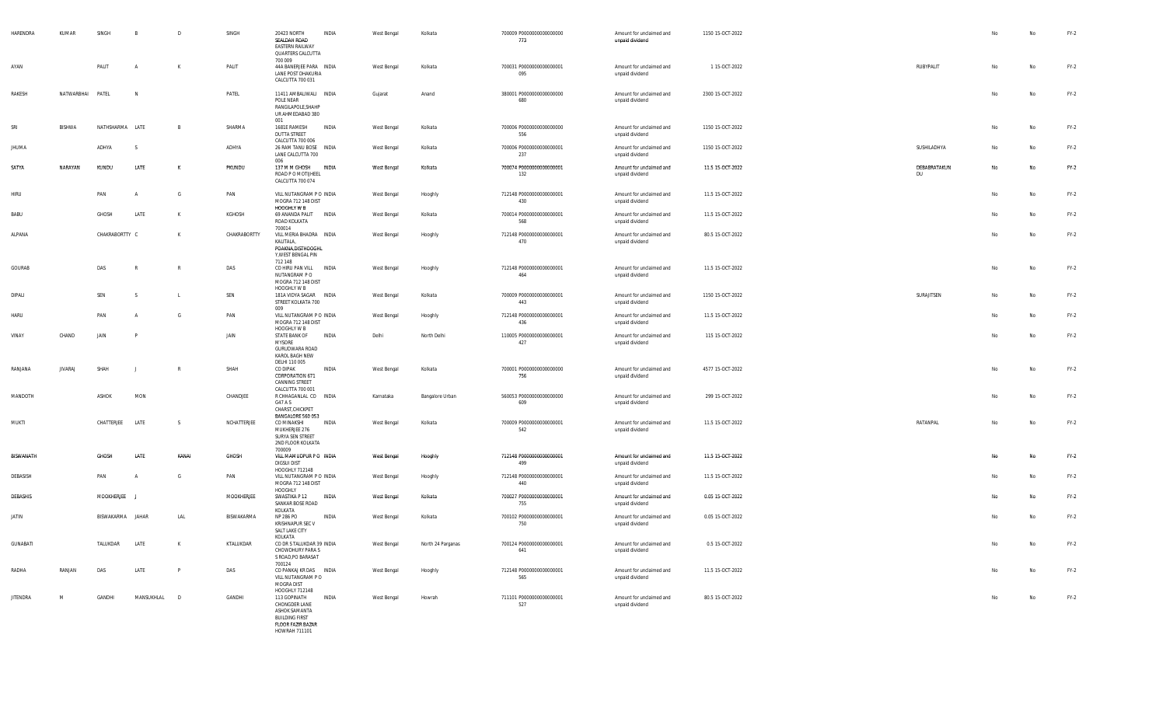| HARENDRA        | KUMAR            | SINGH            | B              | D              | SINGH        | INDIA<br>20423 NORTH<br>SEALDAH ROAD<br><b>EASTERN RAILWAY</b><br>QUARTERS CALCUTTA<br>700 009                                | West Bengal | Kolkata           | 700009 P0000000000000000<br>773  | Amount for unclaimed and<br>unpaid dividend | 1150 15-OCT-2022 |                    | No | No | FY-2   |
|-----------------|------------------|------------------|----------------|----------------|--------------|-------------------------------------------------------------------------------------------------------------------------------|-------------|-------------------|----------------------------------|---------------------------------------------|------------------|--------------------|----|----|--------|
| AYAN            |                  | PALIT            |                | K              | PALIT        | 44A BANERJEE PARA INDIA<br>LANE POST DHAKURIA<br>CALCUTTA 700 031                                                             | West Bengal | Kolkata           | 700031 P0000000000000001<br>095  | Amount for unclaimed and<br>unpaid dividend | 1 15-OCT-2022    | RUBYPALIT          | No | No | $FY-2$ |
| RAKESH          | NATWARBHAI PATEL |                  | N <sub>N</sub> |                | PATEL        | 11411 AMBALIWALI INDIA<br>POLE NEAR<br>RANGILAPOLE, SHAHP<br>UR AHMEDABAD 380<br>001                                          | Gujarat     | Anand             | 380001 P0000000000000000<br>680  | Amount for unclaimed and<br>unpaid dividend | 2300 15-OCT-2022 |                    | No | No | $FY-2$ |
| SRI             | BISHWA           | NATHSHARMA LATE  |                | $\overline{B}$ | SHARMA       | 1681E RAMESH<br>INDIA<br><b>DUTTA STREET</b><br>CALCUTTA 700 006                                                              | West Bengal | Kolkata           | 700006 P0000000000000000<br>556  | Amount for unclaimed and<br>unpaid dividend | 1150 15-OCT-2022 |                    | No | No | $FY-2$ |
| <b>JHUMA</b>    |                  | ADHYA            | S.             |                | ADHYA        | 26 RAM TANU BOSE INDIA<br>LANE CALCUTTA 700<br>006                                                                            | West Bengal | Kolkata           | 700006 P0000000000000001<br>237  | Amount for unclaimed and<br>unpaid dividend | 1150 15-OCT-2022 | SUSHILADHYA        | No | No | $FY-2$ |
| SATYA           | NARAYAN          | KUNDU            | LATE           | K              | PKUNDU       | 137 M M GHOSH<br>INDIA<br>ROAD P O MOTIJHEEL<br>CALCUTTA 700 074                                                              | West Bengal | Kolkata           | 700074 P0000000000000001<br>132  | Amount for unclaimed and<br>unpaid dividend | 11.5 15-OCT-2022 | DEBABRATAKUN<br>DU | No | No | $FY-2$ |
| <b>HIRU</b>     |                  | PAN              |                | G              | PAN          | VILL NUTANGRAM P O INDIA<br>MOGRA 712 148 DIST<br>HOOGHLY W B                                                                 | West Bengal | Hooghly           | 712148 P0000000000000001<br>430  | Amount for unclaimed and<br>unpaid dividend | 11.5 15-OCT-2022 |                    | No | No | $FY-2$ |
| BABU            |                  | GHOSH            | LATE           | K              | KGHOSH       | 69 ANANDA PALIT<br>INDIA<br>ROAD KOLKATA<br>700014                                                                            | West Bengal | Kolkata           | 700014 P0000000000000001<br>568  | Amount for unclaimed and<br>unpaid dividend | 11.5 15-OCT-2022 |                    | No | No | $FY-2$ |
| ALPANA          |                  | CHAKRABORTTY C   |                | $\mathsf{K}$   | CHAKRABORTTY | VILL MERIA BHADRA INDIA<br>KALITALA,<br>POAKNA, DISTHOOGHL<br>Y, WEST BENGAL PIN                                              | West Bengal | Hooghly           | 712148 P0000000000000001<br>470  | Amount for unclaimed and<br>unpaid dividend | 80.5 15-OCT-2022 |                    | No | No | $FY-2$ |
| GOURAB          |                  | DAS              |                | -R             | DAS          | 712 148<br><b>INDIA</b><br>CO HIRU PAN VILL<br>NUTANGRAM PO<br>MOGRA 712 148 DIST<br>HOOGHLY W B                              | West Bengal | Hooghly           | 712148 P0000000000000001<br>464  | Amount for unclaimed and<br>unpaid dividend | 11.5 15-OCT-2022 |                    | No | No | $FY-2$ |
| DIPALI          |                  | SEN              | - S            |                | SEN          | 181A VIDYA SAGAR INDIA<br>STREET KOLKATA 700<br>009                                                                           | West Bengal | Kolkata           | 700009 P00000000000000001<br>443 | Amount for unclaimed and<br>unpaid dividend | 1150 15-OCT-2022 | SURAJITSEN         | No | No | $FY-2$ |
| HARU            |                  | PAN              |                | G              | PAN          | VILL NUTANGRAM P O INDIA<br>MOGRA 712 148 DIST<br>HOOGHLY W B                                                                 | West Bengal | Hooghly           | 712148 P0000000000000001<br>436  | Amount for unclaimed and<br>unpaid dividend | 11.5 15-OCT-2022 |                    | No | No | $FY-2$ |
| VINAY           | CHAND            | JAIN             |                |                | JAIN         | STATE BANK OF<br>INDIA<br><b>MYSORE</b><br>GURUDWARA ROAD<br>KAROL BAGH NEW<br>DELHI 110 005                                  | Delhi       | North Delhi       | 110005 P0000000000000001<br>427  | Amount for unclaimed and<br>unpaid dividend | 115 15-OCT-2022  |                    | No | No | $FY-2$ |
| RANJANA         | <b>JIVARAJ</b>   | SHAH             |                | -R             | SHAH         | CO DIPAK<br>INDIA<br>CORPORATION 671<br>CANNING STREET<br>CALCUTTA 700 001                                                    | West Bengal | Kolkata           | 700001 P0000000000000000<br>756  | Amount for unclaimed and<br>unpaid dividend | 4577 15-OCT-2022 |                    | No | No | $FY-2$ |
| MANDOTH         |                  | ASHOK            | MON            |                | CHANDJEE     | R CHHAGANLAL CO INDIA<br>G47 A S<br>CHARST, CHICKPET<br>BANGALORE 560 053                                                     | Karnataka   | Bangalore Urban   | 560053 P0000000000000000<br>609  | Amount for unclaimed and<br>unpaid dividend | 299 15-OCT-2022  |                    | No | No | $FY-2$ |
| MUKTI           |                  | CHATTERJEE       | LATE           | - S            | NCHATTERJEE  | CO MINAKSHI<br>INDIA<br>MUKHERJEE 276<br>SURYA SEN STREET<br>2ND FLOOR KOLKATA<br>700009                                      | West Bengal | Kolkata           | 700009 P0000000000000001<br>542  | Amount for unclaimed and<br>unpaid dividend | 11.5 15-OCT-2022 | RATANPAL           | No | No | $FY-2$ |
| BISWANATH       |                  | GHOSH            | LATE           | KANAI          | <b>GHOSH</b> | VILL MAMUDPUR PO INDIA<br><b>DIGSUI DIST</b><br>HOOGHLY 712148                                                                | West Bengal | Hooghly           | 712148 P0000000000000001<br>499  | Amount for unclaimed and<br>unpaid dividend | 11.5 15-OCT-2022 |                    | No | No | $FY-2$ |
| DEBASISH        |                  | PAN              |                | G              | PAN          | VILL NUTANGRAM P O INDIA<br>MOGRA 712 148 DIST<br>HOOGHLY                                                                     | West Bengal | Hooghly           | 712148 P0000000000000001<br>440  | Amount for unclaimed and<br>unpaid dividend | 11.5 15-OCT-2022 |                    | No | No | $FY-2$ |
| DEBASHIS        |                  | MOOKHERJEE       |                |                | MOOKHERJEE   | SWASTIKA P 12<br>INDIA<br>SANKAR BOSE ROAD<br>KOLKATA                                                                         | West Bengal | Kolkata           | 700027 P0000000000000001<br>755  | Amount for unclaimed and<br>unpaid dividend | 0.05 15-OCT-2022 |                    | No | No | $FY-2$ |
| JATIN           |                  | BISWAKARMA JAHAR |                | LAL            | BISWAKARMA   | NP 286 PO<br>INDIA<br>KRISHNAPUR SEC V<br>SALT LAKE CITY<br>KOLKATA                                                           | West Bengal | Kolkata           | 700102 P0000000000000001<br>750  | Amount for unclaimed and<br>unpaid dividend | 0.05 15-OCT-2022 |                    | No | No | $FY-2$ |
| <b>GUNABATI</b> |                  | TALUKDAR         | LATE           | $\mathsf{K}$   | KTALUKDAR    | CO DR S TALUKDAR 39 INDIA<br>CHOWDHURY PARA S<br>S ROAD.PO BARASAT<br>700124                                                  | West Bengal | North 24 Parganas | 700124 P0000000000000001<br>641  | Amount for unclaimed and<br>unpaid dividend | 0.5 15-OCT-2022  |                    | No | No | $FY-2$ |
| RADHA           | RANJAN           | DAS              | LATE           | P              | DAS          | CO PANKAJ KR DAS INDIA<br>VILL NUTANGRAM PO<br>MOGRA DIST<br>HOOGHLY 712148                                                   | West Bengal | Hooghly           | 712148 P0000000000000001<br>565  | Amount for unclaimed and<br>unpaid dividend | 11.5 15-OCT-2022 |                    | No | No | FY-2   |
| <b>JITENDRA</b> | M                | GANDHI           | MANSUKHLAL D   |                | GANDHI       | 113 GOPINATH<br>INDIA<br>CHONGDER LANE<br>ASHOK SAMANTA<br><b>BUILDING FIRST</b><br><b>FLOOR FAZIR BAZAR</b><br>HOWRAH 711101 | West Bengal | Howrah            | 711101 P0000000000000001<br>527  | Amount for unclaimed and<br>unpaid dividend | 80.5 15-OCT-2022 |                    | No | No | FY-2   |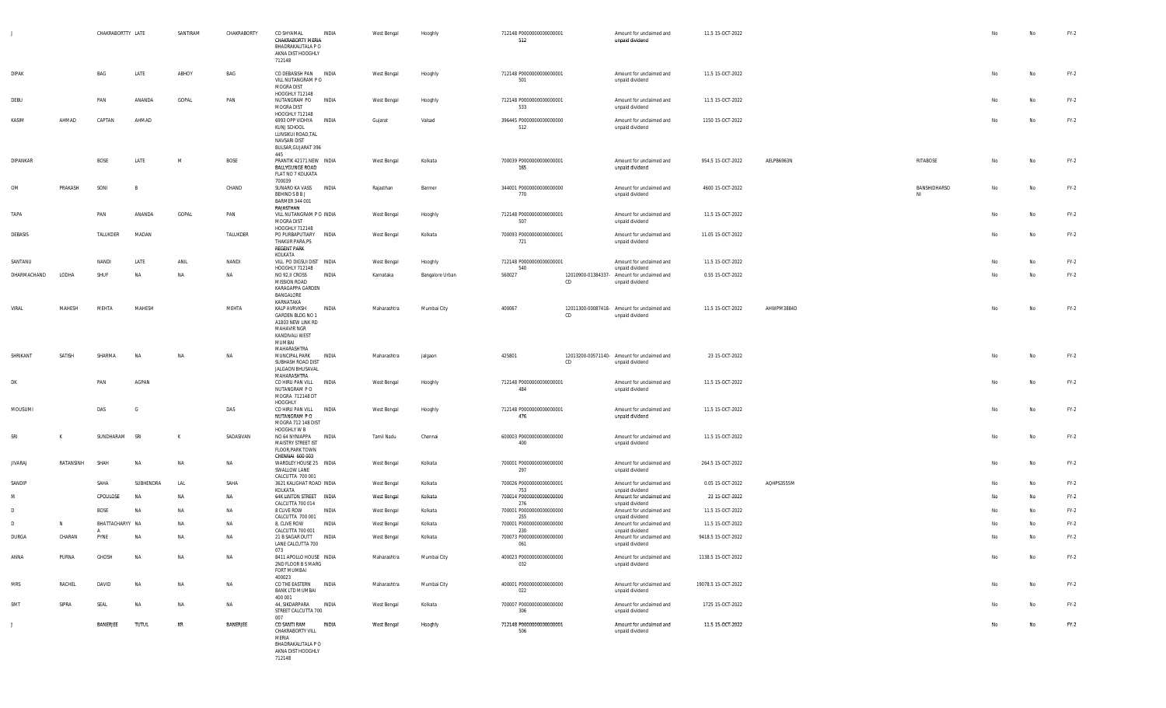|              |           | CHAKRABORTTY LATE |           | SANTIRAM  | CHAKRABORTY | CO SHYAMAL<br>CHAKRABORTY MERIA<br>BHADRAKALITALA P O<br>AKNA DIST HOOGHLY<br>712148                                 | INDIA        | West Bengal                | Hooghly         | 712148 P0000000000000001<br>512  |    | Amount for unclaimed and<br>unpaid dividend                    | 11.5 15-OCT-2022    |            |              | No | No        | $FY-2$ |
|--------------|-----------|-------------------|-----------|-----------|-------------|----------------------------------------------------------------------------------------------------------------------|--------------|----------------------------|-----------------|----------------------------------|----|----------------------------------------------------------------|---------------------|------------|--------------|----|-----------|--------|
| <b>DIPAK</b> |           | BAG               | LATE      | ABHOY     | BAG         | CO DEBASISH PAN INDIA<br>VILL NUTANGRAM PO<br>MOGRA DIST                                                             |              | West Bengal                | Hooghly         | 712148 P0000000000000001<br>501  |    | Amount for unclaimed and<br>unpaid dividend                    | 11.5 15-OCT-2022    |            |              | No | No        | $FY-2$ |
| DEBU         |           | PAN               | ANANDA    | GOPAL     | PAN         | HOOGHLY 712148<br>NUTANGRAM PO<br>MOGRA DIST                                                                         | INDIA        | West Bengal                | Hooghly         | 712148 P0000000000000001<br>533  |    | Amount for unclaimed and<br>unpaid dividend                    | 11.5 15-OCT-2022    |            |              | No | <b>No</b> | $FY-2$ |
| KASIM        | AHMAD     | CAPTAN            | AHMAD     |           |             | HOOGHLY 712148<br>6993 OPP VIDHYA<br>KUNJ SCHOOL<br>LUNSIKUI ROAD, TAL<br>NAVSARI DIST<br>BULSAR, GUJARAT 396<br>445 | INDIA        | Gujarat                    | Valsad          | 396445 P0000000000000000<br>512  |    | Amount for unclaimed and<br>unpaid dividend                    | 1150 15-OCT-2022    |            |              | No | No        | $FY-2$ |
| DIPANKAR     |           | BOSE              | LATE      | M         | BOSE        | PRANTIK 42171 NEW INDIA<br>BALLYGUNGE ROAD<br>FLAT NO 7 KOLKATA<br>700039                                            |              | West Bengal                | Kolkata         | 700039 P00000000000000001<br>165 |    | Amount for unclaimed and<br>unpaid dividend                    | 954.5 15-OCT-2022   | AELPB6963N | RITABOSE     | No | No        | $FY-2$ |
| OM           | PRAKASH   | SONI              | - R       |           | CHAND       | SUNARO KA VASS<br>BEHIND S B B J<br><b>BARMER 344 001</b><br>RAJASTHAN                                               | INDIA        | Rajasthan                  | Barmer          | 344001 P0000000000000000<br>770  |    | Amount for unclaimed and<br>unpaid dividend                    | 4600 15-OCT-2022    |            | BANSHIDHARSO | No | No        | $FY-2$ |
| TAPA         |           | PAN               | ANANDA    | GOPAL     | PAN         | VILL NUTANGRAM P O INDIA<br>MOGRA DIST                                                                               |              | West Bengal                | Hooghly         | 712148 P0000000000000001<br>507  |    | Amount for unclaimed and<br>unpaid dividend                    | 11.5 15-OCT-2022    |            |              | No | No        | $FY-2$ |
| DEBASIS      |           | TALUKDER          | MADAN     |           | TALUKDER    | HOOGHLY 712148<br>PO PURBAPUTIARY<br>THAKUR PARA, PS<br><b>REGENT PARK</b>                                           | <b>INDIA</b> | West Bengal                | Kolkata         | 700093 P0000000000000001<br>721  |    | Amount for unclaimed and<br>unpaid dividend                    | 11.05 15-OCT-2022   |            |              | No | No        | $FY-2$ |
| SANTANU      |           | NANDI             | LATE      | ANIL      | NANDI       | KOLKATA<br>VILL PO DIGSUI DIST INDIA                                                                                 |              | West Bengal                | Hooghly         | 712148 P0000000000000001         |    | Amount for unclaimed and                                       | 11.5 15-OCT-2022    |            |              | No | No        | $FY-2$ |
| DHARMACHAND  | LODHA     | SHUF              | <b>NA</b> | NA        | NA          | HOOGHLY 712148<br>NO 92, II CROSS                                                                                    | INDIA        | Karnataka                  | Bangalore Urban | 540<br>560027                    |    | unpaid dividend<br>12010900-01384337- Amount for unclaimed and | 0.55 15-OCT-2022    |            |              | No | No        | $FY-2$ |
|              |           |                   |           |           |             | MISSION ROAD<br>KARAGAPPA GARDEN<br>BANGALORE<br>KARNATAKA                                                           |              |                            |                 |                                  | CD | unpaid dividend                                                |                     |            |              |    |           |        |
| VIRAL        | MAHESH    | MEHTA             | MAHESH    |           | MEHTA       | KALP AVRVKSH<br>GARDEN BLDG NO 1<br>A1803 NEW LINK RD<br>MAHAVIR NGR<br>KANDIVALI WEST<br>MUMBAI<br>MAHARASHTRA      | INDIA        | Maharashtra                | Mumbai City     | 400067                           | CD | 12011300-00087418- Amount for unclaimed and<br>unpaid dividend | 11.5 15-OCT-2022    | AHWPM3884D |              | No | No        | $FY-2$ |
| SHRIKANT     | SATISH    | SHARMA            | <b>NA</b> | <b>NA</b> | NA          | MUNCIPAL PARK<br>SUBHASH ROAD DIST<br>JALGAON BHUSAVAL<br>MAHARASHTRA                                                | INDIA        | Maharashtra                | Jalgaon         | 425801                           | CD | 12013200-00571140- Amount for unclaimed and<br>unpaid dividend | 23 15-OCT-2022      |            |              | No | No        | $FY-2$ |
| DK           |           | PAN               | AGPAN     |           |             | CO HIRU PAN VILL INDIA<br>NUTANGRAM PO<br>MOGRA 712148 DT<br>HOOGHLY                                                 |              | West Bengal                | Hooghly         | 712148 P0000000000000001<br>484  |    | Amount for unclaimed and<br>unpaid dividend                    | 11.5 15-OCT-2022    |            |              | No | No        | $FY-2$ |
| MOUSUMI      |           | DAS               | G         |           | DAS         | CO HIRU PAN VILL INDIA<br>NUTANGRAM PO<br>MOGRA 712 148 DIST<br>HOOGHLY W B                                          |              | West Bengal                | Hooghly         | 712148 P0000000000000001<br>476  |    | Amount for unclaimed and<br>unpaid dividend                    | 11.5 15-OCT-2022    |            |              | No | No        | $FY-2$ |
| SRI          | K         | SUNDHARAM         | SRI       | К         | SADASIVAN   | NO 64 NYNIAPPA<br>MAISTRY STREET IST<br>FLOOR, PARK TOWN<br>CHENNAI 600 003                                          | INDIA        | Tamil Nadu                 | Chennai         | 600003 P0000000000000000<br>400  |    | Amount for unclaimed and<br>unpaid dividend                    | 11.5 15-OCT-2022    |            |              | No | No        | $FY-2$ |
| JIVARAJ      | RATANSINH | SHAH              | <b>NA</b> | NA        | NA          | WARDLEY HOUSE 25 INDIA<br>SWALLOW LANE<br>CALCUTTA 700 001                                                           |              | West Bengal                | Kolkata         | 700001 P0000000000000000<br>297  |    | Amount for unclaimed and<br>unpaid dividend                    | 264.5 15-OCT-2022   |            |              | No | <b>No</b> | $FY-2$ |
| SANDIP       |           | SAHA              | SUBHENDRA | LAL       | SAHA        | 3621 KALIGHAT ROAD INDIA<br>KOLKATA                                                                                  |              | West Bengal                | Kolkata         | 700026 P0000000000000001<br>753  |    | Amount for unclaimed and<br>unpaid dividend                    | 0.05 15-OCT-2022    | AQHPS3555M |              | No | No        | $FY-2$ |
| M            |           | CPOULOSE          | <b>NA</b> | NA        | NA          | <b>64K LINTON STREET INDIA</b><br>CALCUTTA 700 014                                                                   |              | West Bengal                | Kolkata         | 700014 P0000000000000000<br>276  |    | Amount for unclaimed and                                       | 23 15-OCT-2022      |            |              | No | No        | $FY-2$ |
| $\mathsf{D}$ |           | BOSE              | <b>NA</b> | NA        | NA          | 8 CLIVE ROW                                                                                                          | INDIA        | West Bengal                | Kolkata         | 700001 P0000000000000000         |    | unpaid dividend<br>Amount for unclaimed and                    | 11.5 15-OCT-2022    |            |              | Nο | No        | $FY-2$ |
| D            | N         | BHATTACHARYY NA   |           | NA        | NA          | CALCUTTA 700 001<br>8, CLIVE ROW                                                                                     | <b>INDIA</b> | West Bengal                | Kolkata         | 255<br>700001 P0000000000000000  |    | unpaid dividend<br>Amount for unclaimed and                    | 11.5 15-OCT-2022    |            |              |    | <b>No</b> | $FY-2$ |
| DURGA        | CHARAN    | PYNE              | <b>NA</b> | NA        | NA          | CALCUTTA 700 001<br>21 B SAGAR DUTT                                                                                  | <b>INDIA</b> |                            | Kolkata         | 230<br>700073 P0000000000000000  |    | unpaid dividend<br>Amount for unclaimed and                    | 9418.5 15-OCT-2022  |            |              | No | No        | $FY-2$ |
| ANNA         | PURNA     | GHOSH             | <b>NA</b> | NA        | NA          | LANE CALCUTTA 700<br>073<br>8411 APOLLO HOUSE INDIA                                                                  |              | West Bengal<br>Maharashtra | Mumbai City     | 061<br>400023 P0000000000000000  |    | unpaid dividend<br>Amount for unclaimed and                    | 1138.5 15-OCT-2022  |            |              | No | <b>No</b> | $FY-2$ |
| MRS          | RACHEL    | DAVID             | <b>NA</b> | NA        | NA          | 2ND FLOOR B S MARG<br>FORT MUMBAI<br>400023<br>CO THE EASTERN INDIA                                                  |              | Maharashtra                | Mumbai City     | 032<br>400001 P0000000000000000  |    | unpaid dividend<br>Amount for unclaimed and                    | 19078.5 15-OCT-2022 |            |              | No | No        | $FY-2$ |
|              |           |                   |           |           |             | <b>BANK LTD MUMBAI</b><br>400 001                                                                                    |              |                            |                 | 022                              |    | unpaid dividend                                                |                     |            |              |    |           |        |
| SMT          | SIPRA     | SEAL              | <b>NA</b> | NA        | NA          | 44, SIKDARPARA INDIA<br>STREET CALCUTTA 700<br>007                                                                   |              | West Bengal                | Kolkata         | 700007 P0000000000000000<br>306  |    | Amount for unclaimed and<br>unpaid dividend                    | 1725 15-OCT-2022    |            |              | No | No        | $FY-2$ |
| J            |           | BANERJEE          | TUTUL     | KR        | BANERJEE    | CO SANTI RAM<br>CHAKRABORTY VILL<br>MFRIA<br>BHADRAKALITALA P O<br>AKNA DIST HOOGHLY<br>712148                       | INDIA        | West Bengal                | Hooghly         | 712148 P0000000000000001<br>506  |    | Amount for unclaimed and<br>unpaid dividend                    | 11.5 15-OCT-2022    |            |              | No | No        | $FY-2$ |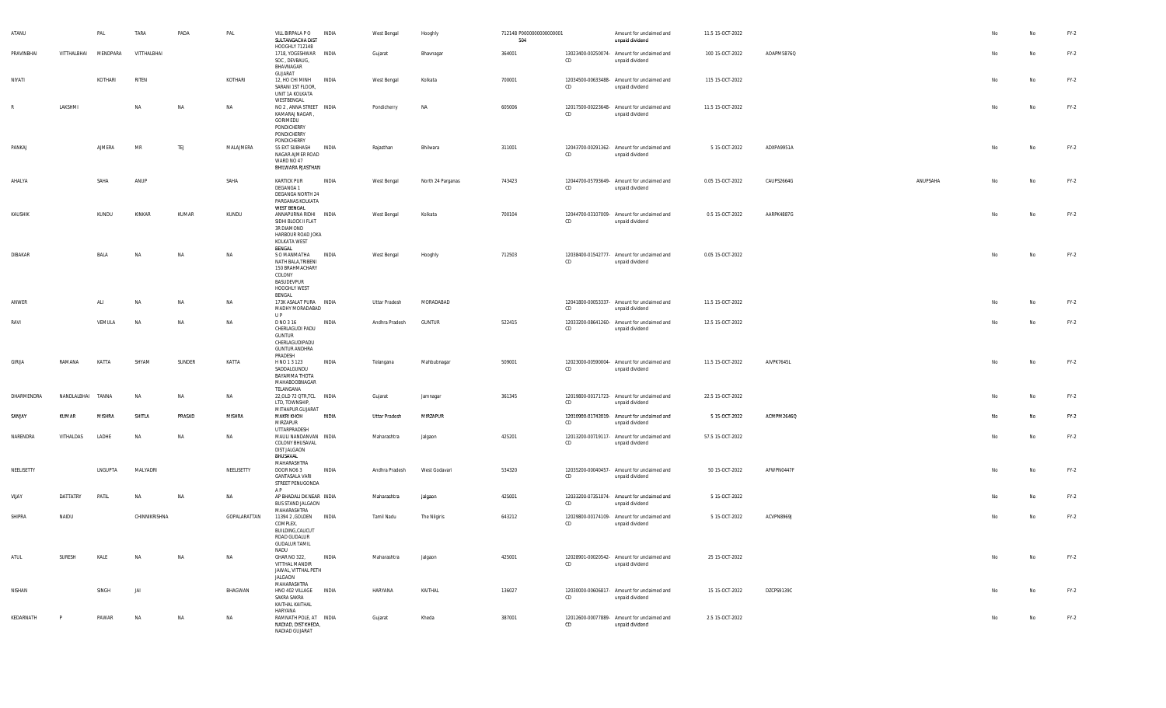| ATANU      |             | PAL      | TARA          | PADA   | PAL          | VILL BIRPALA P O<br>SULTANGACHA DIST<br>HOOGHLY 712148                                                           | INDIA        | West Bengal          | Hooghly           | 712148 P0000000000000001<br>504 |    | Amount for unclaimed and<br>unpaid dividend                    | 11.5 15-OCT-2022 |            |          |    | No        | FY-2   |
|------------|-------------|----------|---------------|--------|--------------|------------------------------------------------------------------------------------------------------------------|--------------|----------------------|-------------------|---------------------------------|----|----------------------------------------------------------------|------------------|------------|----------|----|-----------|--------|
| PRAVINBHAI | VITTHALBHAI | MENDPARA | VITTHALBHAI   |        |              | 1718, YOGESHWAR INDIA<br>SOC, DEVBAUG,<br>BHAVNAGAR<br>GUJARAT                                                   |              | Gujarat              | Bhavnagar         | 364001                          | CD | 13023400-00250074- Amount for unclaimed and<br>unpaid dividend | 100 15-OCT-2022  | AOAPM5876Q |          | No | No        | $FY-2$ |
| NIYATI     |             | KOTHARI  | RITEN         |        | KOTHARI      | 12, HO CHI MINH INDIA<br>SARANI 1ST FLOOR,<br>UNIT 1A KOLKATA                                                    |              | West Bengal          | Kolkata           | 700001                          | CD | 12034500-00633488- Amount for unclaimed and<br>unpaid dividend | 115 15-OCT-2022  |            |          | No | No        | $FY-2$ |
| R          | LAKSHMI     |          | NA            | NA     | NA           | WESTBENGAL<br>NO 2, ANNA STREET INDIA<br>KAMARAJ NAGAR,<br>GORIMEDU<br>PONDICHERRY<br>PONDICHERRY<br>PONDICHERRY |              | Pondicherry          | NA                | 605006                          | CD | 12017500-00223648- Amount for unclaimed and<br>unpaid dividend | 11.5 15-OCT-2022 |            |          | No | No        | $FY-2$ |
| PANKAJ     |             | AJMERA   | MR            | TEJ    | MALAJMERA    | 55 EXT SUBHASH INDIA<br>NAGAR AJMER ROAD<br>WARD NO 47<br>BHILWARA RJASTHAN                                      |              | Rajasthan            | Bhilwara          | 311001                          | CD | 12043700-00291362- Amount for unclaimed and<br>unpaid dividend | 5 15-OCT-2022    | ADXPA9951A |          | No | No        | $FY-2$ |
| AHALYA     |             | SAHA     | ANUP          |        | SAHA         | <b>KARTICK PUR</b><br>DEGANGA 1<br>DEGANGA NORTH 24<br>PARGANAS KOLKATA<br>WEST BENGAL                           | INDIA        | West Bengal          | North 24 Parganas | 743423                          | CD | 12044700-05793649- Amount for unclaimed and<br>unpaid dividend | 0.05 15-OCT-2022 | CAUPS2664G | ANUPSAHA | No | <b>No</b> | $FY-2$ |
| KAUSHIK    |             | KUNDU    | KINKAR        | KUMAR  | KUNDU        | ANNAPURNA RIDHI INDIA<br>SIDHI BLOCK II FLAT<br>3R DIAMOND<br>HARBOUR ROAD JOKA<br>KOLKATA WEST<br>BENGAL        |              | West Bengal          | Kolkata           | 700104                          | CD | 12044700-03107009- Amount for unclaimed and<br>unpaid dividend | 0.5 15-OCT-2022  | AARPK4887G |          | No | No        | FY-2   |
| DIBAKAR    |             | BALA     | NA            | NA     | NA           | S O MANMATHA INDIA<br>NATH BALA, TRIBENI<br>150 BRAHMACHARY<br>COLONY<br>BASUDEVPUR<br>HOOGHLY WEST<br>BENGAL    |              | West Bengal          | Hooghly           | 712503                          | CD | 12038400-01542777- Amount for unclaimed and<br>unpaid dividend | 0.05 15-OCT-2022 |            |          | No | No        | FY-2   |
| ANWER      |             | ALI      | NA            | NA     | NA           | 173K ASALAT PURA INDIA<br>MADHY MORADABAD<br>UP                                                                  |              | Uttar Pradesh        | MORADABAD         |                                 | CD | 12041800-00053337- Amount for unclaimed and<br>unpaid dividend | 11.5 15-OCT-2022 |            |          | No | No        | $FY-2$ |
| RAVI       |             | VEMULA   | NA            | NA     | NA           | D NO 3 16<br>CHERLAGUDI PADU<br><b>GUNTUR</b><br>CHERLAGUDIPADU<br><b>GUNTUR ANDHRA</b><br>PRADESH               | INDIA        | Andhra Pradesh       | <b>GUNTUR</b>     | 522415                          | CD | 12033200-08641260- Amount for unclaimed and<br>unpaid dividend | 12.5 15-OCT-2022 |            |          | No | No        | FY-2   |
| GIRIJA     | RAMANA      | KATTA    | SHYAM         | SUNDER | KATTA        | H NO 1 3 123<br>SADDALGUNDU<br>BAYAMMA THOTA<br>MAHABOOBNAGAR<br>TELANGANA                                       | <b>INDIA</b> | Telangana            | Mahbubnagar       | 509001                          | CD | 12023000-00590004- Amount for unclaimed and<br>unpaid dividend | 11.5 15-OCT-2022 | AIVPK7645L |          | No | No        | $FY-2$ |
| DHARMENDRA | NANDLALBHAI | TANNA    | <b>NA</b>     | NA     | NA           | 22, OLD 72 QTR, TCL INDIA<br>LTD, TOWNSHIP,<br>MITHAPUR GUJARAT                                                  |              | Gujarat              | Jamnagar          | 361345                          | CD | 12019800-00171723- Amount for unclaimed and<br>unpaid dividend | 22.5 15-OCT-2022 |            |          | No | No        | $FY-2$ |
| SANIAY     | KUMAR       | MISHRA   | SHITLA        | PRASAD | MISHRA       | <b>MAKRI KHOH</b><br>MIRZAPUR<br>UTTARPRADESH                                                                    | <b>INDIA</b> | <b>Uttar Pradesh</b> | MIRZAPUR          |                                 | CD | 12010900-01743019- Amount for unclaimed and<br>unpaid dividend | 5 15-OCT-2022    | ACMPM2646Q |          | No | <b>No</b> | $FY-2$ |
| NARENDRA   | VITHALDAS   | LADHE    | <b>NA</b>     | NA     | NA           | MAULI NANDANVAN INDIA<br>COLONY BHUSAVAL<br>DIST JALGAON<br>BHUSAVAL                                             |              | Maharashtra          | Jalgaon           | 425201                          | CD | 12013200-00719117- Amount for unclaimed and<br>unpaid dividend | 57.5 15-OCT-2022 |            |          | No | No        | $FY-2$ |
| NEELISETTY |             | LNGUPTA  | MALYADRI      |        | NEELISETTY   | MAHARASHTRA<br>DOOR NO6 3<br><b>GANTASALA VARI</b><br>STREET PENUGONDA<br>AP.                                    | INDIA        | Andhra Pradesh       | West Godavari     | 534320                          | CD | 12035200-00040457- Amount for unclaimed and<br>unpaid dividend | 50 15-OCT-2022   | AFWPN0447F |          | No | No        | $FY-2$ |
| VIJAY      | DATTATRY    | PATIL    | <b>NA</b>     | NA     | NA           | AP BHADALI DK NEAR INDIA<br><b>BUS STAND JALGAON</b><br>MAHARASHTRA                                              |              | Maharashtra          | Jalgaon           | 425001                          | CD | 12033200-07351074- Amount for unclaimed and<br>unpaid dividend | 5 15-OCT-2022    |            |          | No | No        | $FY-2$ |
| SHIPRA     | NAIDU       |          | CHINNIKRISHNA |        | GOPALARATTAN | 11394 2 , GOLDEN INDIA<br>COMPLEX,<br>BUILDING, CALICUT<br>ROAD GUDALUR<br><b>GUDALUR TAMIL</b><br>NADU          |              | Tamil Nadu           | The Nilgiris      | 643212                          | CD | 12029800-00174109- Amount for unclaimed and<br>unpaid dividend | 5 15-OCT-2022    | ACVPN8969J |          | No | No        | FY-2   |
| ATUL       | SURESH      | KALE     | NА            | NA     | NA           | GHAR NO 322,<br>VITTHAL MANDIR<br>JAWAL, VITTHAL PETH<br>JALGAON<br>MAHARASHTRA                                  | INDIA        | Maharashtra          | Jalgaon           | 425001                          | CD | 12028901-00020542- Amount for unclaimed and<br>unpaid dividend | 25 15-OCT-2022   |            |          | No | No        | FY-2   |
| NISHAN     |             | SINGH    | JAI           |        | BHAGWAN      | HNO 402 VILLAGE INDIA<br>SAKRA SAKRA<br>KAITHAL KAITHAL<br>HARYANA                                               |              | HARYANA              | KAITHAL           | 136027                          | CD | 12030000-00606817- Amount for unclaimed and<br>unpaid dividend | 15 15-OCT-2022   | DZCPS9139C |          | No | No        | $FY-2$ |
| KEDARNATH  | <b>P</b>    | PAWAR    | NA            | NA     | NA           | RAMNATH POLE, AT INDIA<br>NADIAD, DIST KHEDA,<br>NADIAD GUJARAT                                                  |              | Gujarat              | Kheda             | 387001                          | CD | 12012600-00077889- Amount for unclaimed and<br>unpaid dividend | 2.5 15-OCT-2022  |            |          | No | No        | FY-2   |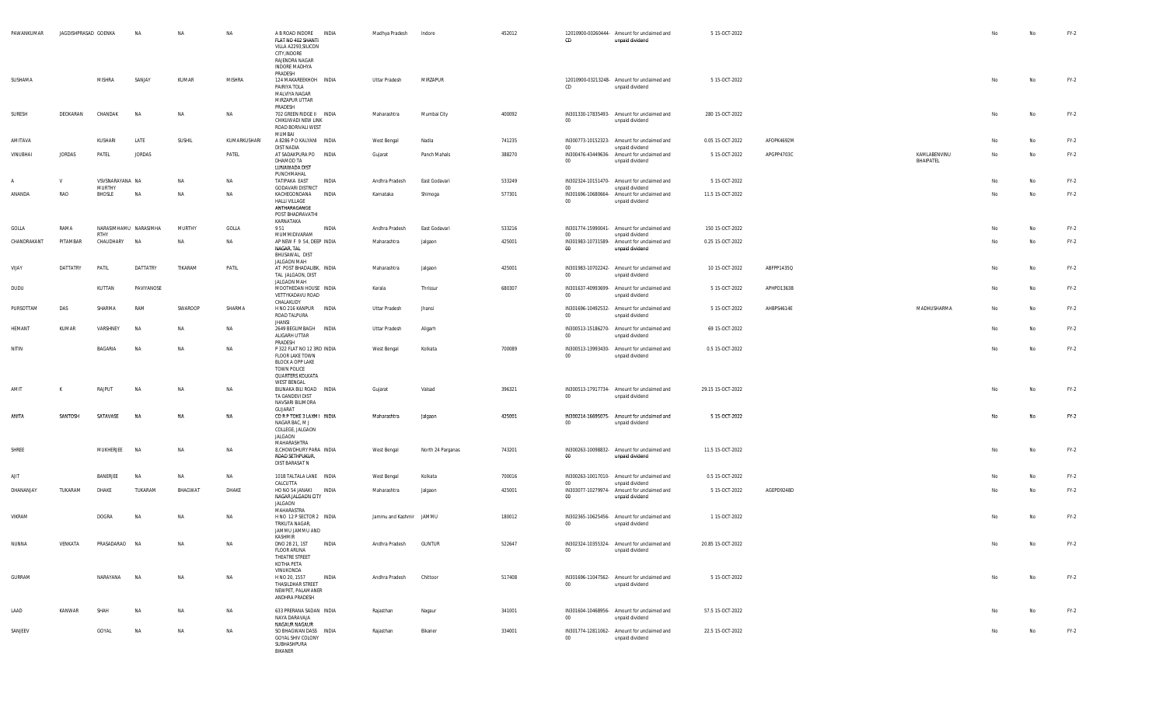| PAWANKUMAR      | JAGDISHPRASAD GOENKA |                               | NA               | NA             | NA                  | A B ROAD INDORE INDIA<br>FLAT NO 402 SHANTI<br>VILLA A2293, SILICON<br>CITY, INDORE<br>RAJENDRA NAGAR<br>INDORE MADHYA<br>PRADESH | Madhya Pradesh               | Indore             | 452012           | 12010900-00260444- Amount for unclaimed and<br>CD<br>unpaid dividend                                                | 5 15-OCT-2022                        |            |                           | No       | No | $FY-2$           |
|-----------------|----------------------|-------------------------------|------------------|----------------|---------------------|-----------------------------------------------------------------------------------------------------------------------------------|------------------------------|--------------------|------------------|---------------------------------------------------------------------------------------------------------------------|--------------------------------------|------------|---------------------------|----------|----|------------------|
| SUSHAMA         |                      | <b>MISHRA</b>                 | SANJAY           | KUMAR          | MISHRA              | 124 MAKAREEKHOH INDIA<br>PAIRIYA TOLA<br>MALVIYA NAGAR<br>MIRZAPUR UTTAR<br>PRADESH                                               | Uttar Pradesh                | MIRZAPUR           |                  | 12010900-03213248- Amount for unclaimed and<br>CD<br>unpaid dividend                                                | 5 15-OCT-2022                        |            |                           | No       | No | $FY-2$           |
| SURESH          | DEOKARAN             | CHANDAK                       | <b>NA</b>        | NA             | <b>NA</b>           | 702 GREEN RIDGE II INDIA<br>CHIKUWADI NEW LINK<br>ROAD BORIVALI WEST<br>MUMBAI                                                    | Maharashtra                  | Mumbai City        | 400092           | IN301330-17835493- Amount for unclaimed and<br>00<br>unpaid dividend                                                | 280 15-OCT-2022                      |            |                           | No       | No | $FY-2$           |
| AMITAVA         |                      | KUSHARI                       | LATE             | SUSHIL         | KUMARKUSHARI        | A 8286 P O KALYANI INDIA                                                                                                          | West Bengal                  | Nadia              | 741235           | IN300773-10152323- Amount for unclaimed and                                                                         | 0.05 15-OCT-2022                     | AFOPK4692M |                           | No       | No | $FY-2$           |
| VINUBHAI        | JORDAS               | PATEL                         | <b>JORDAS</b>    |                | PATEL               | DIST NADIA<br>AT SADAKPURA PO INDIA<br>DHAMOD TA<br>LUNAWADA DIST<br>PUNCHMAHAL                                                   | Gujarat                      | Panch Mahals       | 388270           | 00<br>unpaid dividend<br>IN300476-43449636- Amount for unclaimed and<br>$00\,$<br>unpaid dividend                   | 5 15-OCT-2022                        | APGPP4703C | KAMLABENVINU<br>BHAIPATEL | No       | No | $FY-2$           |
|                 | V                    | VSVSNARAYANA NA<br>MURTHY     |                  | NA             | NA                  | TATIPAKA EAST<br>INDIA<br><b>GODAVARI DISTRICT</b>                                                                                | Andhra Pradesh               | East Godavari      | 533249           | IN302324-10151470- Amount for unclaimed and<br>00                                                                   | 5 15-OCT-2022                        |            |                           | No       | No | $FY-2$           |
| ANANDA          | RAO                  | BHOSLE                        | NA               | NA             | NA                  | KACHEGONDANA<br>INDIA<br>HALLI VILLAGE<br>ANTHARAGANGE<br>POST BHADRAVATHI<br>KARNATAKA                                           | Karnataka                    | Shimoga            | 577301           | unpaid dividend<br>IN301696-10680664- Amount for unclaimed and<br>$00\,$<br>unpaid dividend                         | 11.5 15-OCT-2022                     |            |                           | No       | No | $FY-2$           |
| GOLLA           | RAMA                 | NARASIMHAMU NARASIMHA<br>RTHY |                  | MURTHY         | GOLLA               | 951<br>INDIA                                                                                                                      | Andhra Pradesh               | East Godavari      | 533216           | IN301774-15990041- Amount for unclaimed and<br>00                                                                   | 150 15-OCT-2022                      |            |                           | No       | No | $FY-2$           |
| CHANDRAKANT     | PITAMBAR             | CHAUDHARY                     | <b>NA</b>        | NA             | NA                  | MUMMIDIVARAM<br>AP NEW F 9 54, DEEP INDIA<br>NAGAR, TAL<br>BHUSAWAL, DIST                                                         | Maharashtra                  | Jalgaon            | 425001           | unpaid dividend<br>IN301983-10731589- Amount for unclaimed and<br>- 00<br>unpaid dividend                           | 0.25 15-OCT-2022                     |            |                           | No       | No | $FY-2$           |
| VIJAY           | DATTATRY             | PATIL                         | DATTATRY         | TIKARAM        | PATIL               | JALGAON MAH<br>AT POST BHADALIBK, INDIA<br>TAL JALGAON, DIST<br>JALGAON MAH                                                       | Maharashtra                  | Jalgaon            | 425001           | IN301983-10702242- Amount for unclaimed and<br>00<br>unpaid dividend                                                | 10 15-OCT-2022                       | ABFPP1435Q |                           | No       | No | $FY-2$           |
| DUDU            |                      | KUTTAN                        | PAVIYANOSE       |                |                     | MOOTHEDAN HOUSE INDIA<br>VETTYKADAVU ROAD<br>CHALAKUDY                                                                            | Kerala                       | Thrissur           | 680307           | IN301637-40993699- Amount for unclaimed and<br>$_{00}$<br>unpaid dividend                                           | 5 15-OCT-2022                        | APHPD1363B |                           | No       | No | $FY-2$           |
| PURSOTTAM       | DAS<br>KUMAR         | SHARMA<br>VARSHNEY            | RAM<br><b>NA</b> | SWAROOP<br>NA  | SHARMA<br><b>NA</b> | H NO 216 KANPUR INDIA<br>ROAD TALPURA<br><b>JHANSI</b>                                                                            | Uttar Pradesh                | Jhansi             |                  | IN301696-10492532- Amount for unclaimed and<br>00<br>unpaid dividend                                                | 5 15-OCT-2022                        | AHBPS4614E | MADHUSHARMA               | No<br>No | No | $FY-2$           |
| HEMANT<br>NITIN |                      | BAGARIA                       | <b>NA</b>        | NA             | NA                  | 2649 BEGUMBAGH INDIA<br>ALIGARH UTTAR<br>PRADESH<br>P 322 FLAT NO 12 3RD INDIA                                                    | Uttar Pradesh<br>West Bengal | Aligarh<br>Kolkata | 700089           | IN300513-15186270- Amount for unclaimed and<br>00<br>unpaid dividend<br>IN300513-13993430- Amount for unclaimed and | 69 15-OCT-2022<br>0.5 15-OCT-2022    |            |                           | No       | No | $FY-2$<br>$FY-2$ |
|                 |                      |                               |                  |                |                     | FLOOR LAKE TOWN<br>BLOCK A OPP LAKE<br>TOWN POLICE<br>QUARTERS KOLKATA<br><b>WEST BENGAL</b>                                      |                              |                    |                  | $_{00}$<br>unpaid dividend                                                                                          |                                      |            |                           |          |    |                  |
| AMIT            | К                    | RAJPUT                        | <b>NA</b>        | <b>NA</b>      | NA                  | BILINAKA BILI ROAD INDIA<br>TA GANDEVI DIST<br>NAVSARI BILIMORA<br>GUJARAT                                                        | Gujarat                      | Valsad             | 396321           | IN300513-17917734- Amount for unclaimed and<br>00<br>unpaid dividend                                                | 29.15 15-OCT-2022                    |            |                           | No       | No | $FY-2$           |
| ANITA           | SANTOSH              | SATAVASE                      | NA               | <b>NA</b>      | NA                  | CORP TOKE 3 LAXMI INDIA<br>NAGAR BAC, M J<br>COLLEGE, JALGAON<br>JALGAON<br>MAHARASHTRA                                           | Maharashtra                  | Jalgaon            | 425001           | IN300214-16695075- Amount for unclaimed and<br>00<br>unpaid dividend                                                | 5 15-OCT-2022                        |            |                           | No       | No | $FY-2$           |
| SHREE           |                      | MUKHERJEE                     | NA               | NA             | NA                  | 8, CHOWDHURY PARA INDIA<br>ROAD SETHPUKUR,<br>DIST BARASAT N                                                                      | West Bengal                  | North 24 Parganas  | 743201           | IN300263-10098832- Amount for unclaimed and<br>$_{00}$<br>unpaid dividend                                           | 11.5 15-OCT-2022                     |            |                           | No       | No | $FY-2$           |
| AJIT            |                      | BANERJEE                      | <b>NA</b>        | <b>NA</b>      | NA                  | 101B TALTALA LANE INDIA<br>CALCUTTA                                                                                               | West Bengal                  | Kolkata            | 700016           | IN300263-10017010- Amount for unclaimed and<br>00<br>unpaid dividend                                                | 0.5 15-OCT-2022                      |            |                           | No       | No | $FY-2$           |
| DHANANJAY       | TUKARAM              | DHAKE                         | TUKARAM          | BHAGWAT        | DHAKE               | HO NO 54 JANAKI INDIA<br>NAGAR JALGAON CITY<br><b>JALGAON</b><br>MAHARASTRA                                                       | Maharashtra                  | Jalgaon            | 425001           | IN303077-10279974- Amount for unclaimed and<br>unpaid dividend<br>00                                                | 5 15-OCT-2022                        | AGEPD9248D |                           | No       | No | $FY-2$           |
| VIKRAM          |                      | DOGRA                         | NA               | <b>NA</b>      | NA                  | H NO 12 P SECTOR 2 INDIA<br>TRIKUTA NAGAR,<br>JAMMU JAMMU AND<br>KASHMIR                                                          | Jammu and Kashmir JAMMU      |                    | 180012           | IN302365-10625456- Amount for unclaimed and<br>unpaid dividend<br>- 00                                              | 1 15-OCT-2022                        |            |                           | No       | No | $FY-2$           |
| NUNNA           | VENKATA              | PRASADARAO                    | <b>NA</b>        | NA             | NA                  | DNO 28 21, 1ST INDIA<br><b>FLOOR ARUNA</b><br>THEATRE STREET<br>KOTHA PETA<br>VINUKONDA                                           | Andhra Pradesh               | <b>GUNTUR</b>      | 522647           | IN302324-10355324- Amount for unclaimed and<br>00<br>unpaid dividend                                                | 20.85 15-OCT-2022                    |            |                           | No       |    | $FY-2$           |
| GURRAM          |                      | NARAYANA                      | <b>NA</b>        | NA             | NA                  | H NO 20, 1557<br>INDIA<br>THASILDHAR STREET<br>NEWPET, PALAMANER<br>ANDHRA PRADESH                                                | Andhra Pradesh               | Chittoor           | 517408           | IN301696-11047562- Amount for unclaimed and<br>$00\,$<br>unpaid dividend                                            | 5 15-OCT-2022                        |            |                           | No       | No | $FY-2$           |
| LAAD<br>SANJEEV | KANWAR               | SHAH<br>GOYAL                 | NA               | NA<br>$\sf NA$ | NA<br>NA            | 633 PRERANA SADAN INDIA<br>NAYA DARAVAJA<br><b>NAGAUR NAGAUR</b><br>SO BHAGWAN DASS INDIA                                         | Rajasthan                    | Nagaur             | 341001<br>334001 | IN301604-10468956- Amount for unclaimed and<br>00<br>unpaid dividend<br>IN301774-12811062- Amount for unclaimed and | 57.5 15-OCT-2022<br>22.5 15-OCT-2022 |            |                           | No       | No | $FY-2$           |
|                 |                      |                               | NA               |                |                     | GOYAL SHIV COLONY<br>SUBHASHPURA<br>BIKANER                                                                                       | Rajasthan                    | Bikaner            |                  | unpaid dividend<br>00                                                                                               |                                      |            |                           | No       | No | $FY-2$           |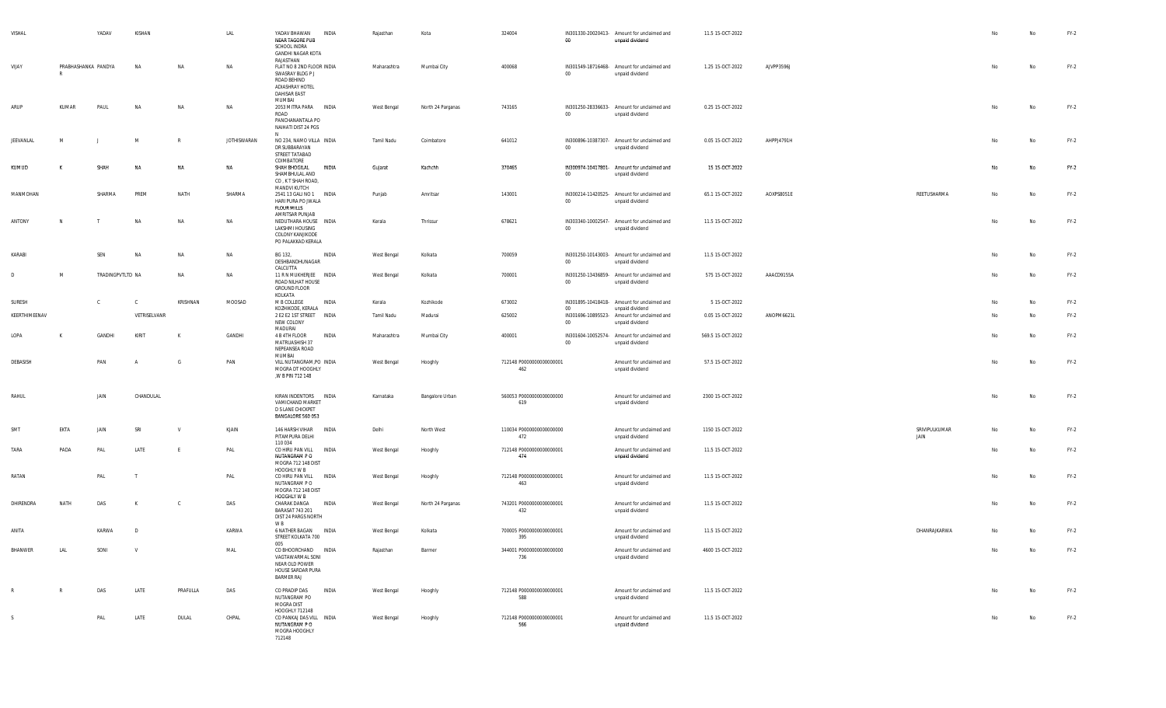| VISHAL        |                           | YADAV            | KISHAN       |               | LAL                | YADAV BHAWAN<br><b>INDIA</b><br>NEAR TAGORE PUB<br>SCHOOL INDRA<br>GANDHI NAGAR KOTA                                          | Rajasthan   | Kota              | 324004                          | $00\,$           | IN301330-20020413- Amount for unclaimed and<br>unpaid dividend                    | 11.5 15-OCT-2022  |            |                       | No | No        | $FY-2$ |
|---------------|---------------------------|------------------|--------------|---------------|--------------------|-------------------------------------------------------------------------------------------------------------------------------|-------------|-------------------|---------------------------------|------------------|-----------------------------------------------------------------------------------|-------------------|------------|-----------------------|----|-----------|--------|
| VIJAY         | PRABHASHANKA PANDYA<br>-R |                  | NA           | NA            | NA                 | RAJASTHAN<br>FLAT NO 8 2ND FLOOR INDIA<br>SWASRAY BLDG P J<br>ROAD BEHIND<br>ADIASHRAY HOTEL<br><b>DAHISAR EAST</b><br>MUMBAI | Maharashtra | Mumbai City       | 400068                          | 00               | IN301549-18716468- Amount for unclaimed and<br>unpaid dividend                    | 1.25 15-OCT-2022  | AJVPP3596J |                       | No | No        | $FY-2$ |
| ARUP          | KUMAR                     | PAUL             | <b>NA</b>    | NA            | NA                 | 2053 MITRA PARA INDIA<br>ROAD<br>PANCHANANTALA PO<br>NAIHATI DIST 24 PGS                                                      | West Bengal | North 24 Parganas | 743165                          | $00\,$           | IN301250-28336633- Amount for unclaimed and<br>unpaid dividend                    | 0.25 15-OCT-2022  |            |                       | No | No        | $FY-2$ |
| JEEVANLAL     | M                         |                  | M            | $\mathsf{R}$  | <b>JOTHISWARAN</b> | N<br>NO 234, NAMO VILLA INDIA<br>DR SUBBARAYAN<br>STREET TATABAD<br>COIMBATORE                                                | Tamil Nadu  | Coimbatore        | 641012                          | $00\,$           | IN300896-10387307- Amount for unclaimed and<br>unpaid dividend                    | 0.05 15-OCT-2022  | AHPPJ4791H |                       |    | No        | $FY-2$ |
| KUMUD         | к                         | SHAH             | ΝA           | NA            | NA                 | SHAH BHOGILAL<br>INDIA<br>SHAMBHULAL AND<br>CO, K T SHAH ROAD,<br>MANDVI KUTCH                                                | Gujarat     | Kachchh           | 370465                          | $00\,$           | IN300974-10417801- Amount for unclaimed and<br>unpaid dividend                    | 15 15 OCT-2022    |            |                       | No | No        | $FY-2$ |
| MANMOHAN      |                           | SHARMA           | PREM         | NATH          | SHARMA             | 2541 13 GALI NO 1 INDIA<br>HARI PURA PO JWALA<br><b>FLOUR MILLS</b><br>AMRITSAR PUNJAB                                        | Punjab      | Amritsar          | 143001                          | $00\,$           | IN300214-11420525- Amount for unclaimed and<br>unpaid dividend                    | 65.1 15-OCT-2022  | AOXPS8051E | REETUSHARMA           | No | <b>No</b> | $FY-2$ |
| ANTONY        | N                         |                  | NA           | NA            | NA                 | NEDUTHARA HOUSE INDIA<br>LAKSHMI HOUSING<br>COLONY KANJIKODE<br>PO PALAKKAD KERALA                                            | Kerala      | Thrissur          | 678621                          | $00\,$           | IN303340-10002547- Amount for unclaimed and<br>unpaid dividend                    | 11.5 15-OCT-2022  |            |                       | No | No        | $FY-2$ |
| KARABI        |                           | SEN              | NA           | NA            | NA                 | BG 132,<br>INDIA<br>DESHBANDHUNAGAR<br>CALCUTTA                                                                               | West Bengal | Kolkata           | 700059                          | $00\,$           | IN301250-10143003- Amount for unclaimed and<br>unpaid dividend                    | 11.5 15-OCT-2022  |            |                       | No | No        | $FY-2$ |
| D             | M                         | TRADINGPVTLTD NA |              | NA            | NA                 | 11 R N MUKHERJEE INDIA<br>ROAD NILHAT HOUSE<br>GROUND FLOOR<br>KOLKATA                                                        | West Bengal | Kolkata           | 700001                          | 00               | IN301250-13436859- Amount for unclaimed and<br>unpaid dividend                    | 575 15-OCT-2022   | AAACD9155A |                       | No | No        | $FY-2$ |
| SURESH        |                           | $\mathbb{C}$     | $\mathbf{C}$ | KRISHNAN      | MOOSAD             | M B COLLEGE<br>INDIA                                                                                                          | Kerala      | Kozhikode         | 673002                          |                  | IN301895-10418418- Amount for unclaimed and                                       | 5 15-OCT-2022     |            |                       | No | No        | $FY-2$ |
| KEERTHIMEENAV |                           |                  | VETRISELVANR |               |                    | KOZHIKODE, KERALA<br>2 E2 E2 1ST STREET INDIA<br>NEW COLONY                                                                   | Tamil Nadu  | Madurai           | 625002                          | $00\,$<br>$00\,$ | unpaid dividend<br>IN301696-10895523- Amount for unclaimed and<br>unpaid dividend | 0.05 15-OCT-2022  | ANOPM6621L |                       | No | No        | $FY-2$ |
| LOPA          | K                         | GANDHI           | KIRIT        | K             | GANDHI             | MADURAI<br>4 B 4TH FLOOR<br>INDIA<br>MATRUASHISH 37<br>NEPEANSEA ROAD                                                         | Maharashtra | Mumbai City       | 400001                          | 00               | IN301604-10052574- Amount for unclaimed and<br>unpaid dividend                    | 569.5 15-OCT-2022 |            |                       | No | No        | $FY-2$ |
| DEBASISH      |                           | PAN              |              | G             | PAN                | MUMBAI<br>VILL NUTANGRAM, PO INDIA<br>MOGRA DT HOOGHLY<br>,W B PIN 712 148                                                    | West Bengal | Hooghly           | 712148 P0000000000000001<br>462 |                  | Amount for unclaimed and<br>unpaid dividend                                       | 57.5 15-OCT-2022  |            |                       |    | No        | $FY-2$ |
| RAHUL         |                           | JAIN             | CHANDULAL    |               |                    | KIRAN INDENTORS INDIA<br>VAMICHAND MARKET<br><b>D S LANE CHICKPET</b><br>BANGALORE 560 053                                    | Karnataka   | Bangalore Urban   | 560053 P0000000000000000<br>619 |                  | Amount for unclaimed and<br>unpaid dividend                                       | 2300 15-OCT-2022  |            |                       | No | No        | $FY-2$ |
| <b>SM</b>     | EKTA                      | JAIN             | SRI          | v             | KJAIN              | 146 HARSH VIHAR INDIA<br>PITAMPURA DELHI<br>110 034                                                                           | Delhi       | North West        | 110034 P0000000000000000<br>472 |                  | Amount for unclaimed and<br>unpaid dividend                                       | 1150 15-OCT-2022  |            | SRIVIPULKUMAR<br>JAIN | No | No        | $FY-2$ |
| TARA          | PADA                      | PAL              | LATE         |               | PAL                | CO HIRU PAN VILL INDIA<br>NUTANGRAM PO<br>MOGRA 712 148 DIST                                                                  | West Bengal | Hooghly           | 712148 P0000000000000001<br>474 |                  | Amount for unclaimed and<br>unpaid dividend                                       | 11.5 15-OCT-2022  |            |                       | No | No        | $FY-2$ |
| RATAN         |                           | PAL              | Т            |               | PAL                | HOOGHLY W B<br>CO HIRU PAN VILL INDIA<br>NUTANGRAM P O<br>MOGRA 712 148 DIST                                                  | West Bengal | Hooghly           | 712148 P0000000000000001<br>463 |                  | Amount for unclaimed and<br>unpaid dividend                                       | 11.5 15-OCT-2022  |            |                       | No | No        | $FY-2$ |
| DHIRENDRA     | NATH                      | DAS              | K            | $\mathcal{C}$ | DAS                | HOOGHLY W B<br>CHARAK DANGA<br>INDIA<br>BARASAT 743 201<br>DIST 24 PARGS NORTH<br>W B                                         | West Bengal | North 24 Parganas | 743201 P0000000000000001<br>432 |                  | Amount for unclaimed and<br>unpaid dividend                                       | 11.5 15-OCT-2022  |            |                       |    | No        | $FY-2$ |
| ANITA         |                           | KARWA            | D            |               | KARWA              | 6 NATHER BAGAN INDIA<br>STREET KOLKATA 700                                                                                    | West Bengal | Kolkata           | 700005 P0000000000000001<br>395 |                  | Amount for unclaimed and<br>unpaid dividend                                       | 11.5 15-OCT-2022  |            | DHANRAJKARWA          |    | No        | $FY-2$ |
| BHANWER       | LAL                       | SONI             | <b>V</b>     |               | MAL                | 005<br>CO BHOORCHAND INDIA<br>VAGTAWARMAL SONI<br>NEAR OLD POWER<br>HOUSE SARDAR PURA<br><b>BARMER RAJ</b>                    | Rajasthan   | Barmer            | 344001 P0000000000000000<br>736 |                  | Amount for unclaimed and<br>unpaid dividend                                       | 4600 15-OCT-2022  |            |                       | No | No        | $FY-2$ |
| $\mathsf{R}$  | R                         | DAS              | LATE         | PRAFULLA      | DAS                | CO PRADIP DAS<br><b>INDIA</b><br>NUTANGRAM PO<br>MOGRA DIST<br>HOOGHLY 712148                                                 | West Bengal | Hooghly           | 712148 P0000000000000001<br>588 |                  | Amount for unclaimed and<br>unpaid dividend                                       | 11.5 15-OCT-2022  |            |                       | No | No        | $FY-2$ |
| S.            |                           | PAL              | LATE         | DULAL         | CHPAL              | CO PANKAJ DAS VILL INDIA<br>NUTANGRAM P O<br>MOGRA HOOGHLY<br>712148                                                          | West Bengal | Hooghly           | 712148 P0000000000000001<br>566 |                  | Amount for unclaimed and<br>unpaid dividend                                       | 11.5 15-OCT-2022  |            |                       |    | No        | $FY-2$ |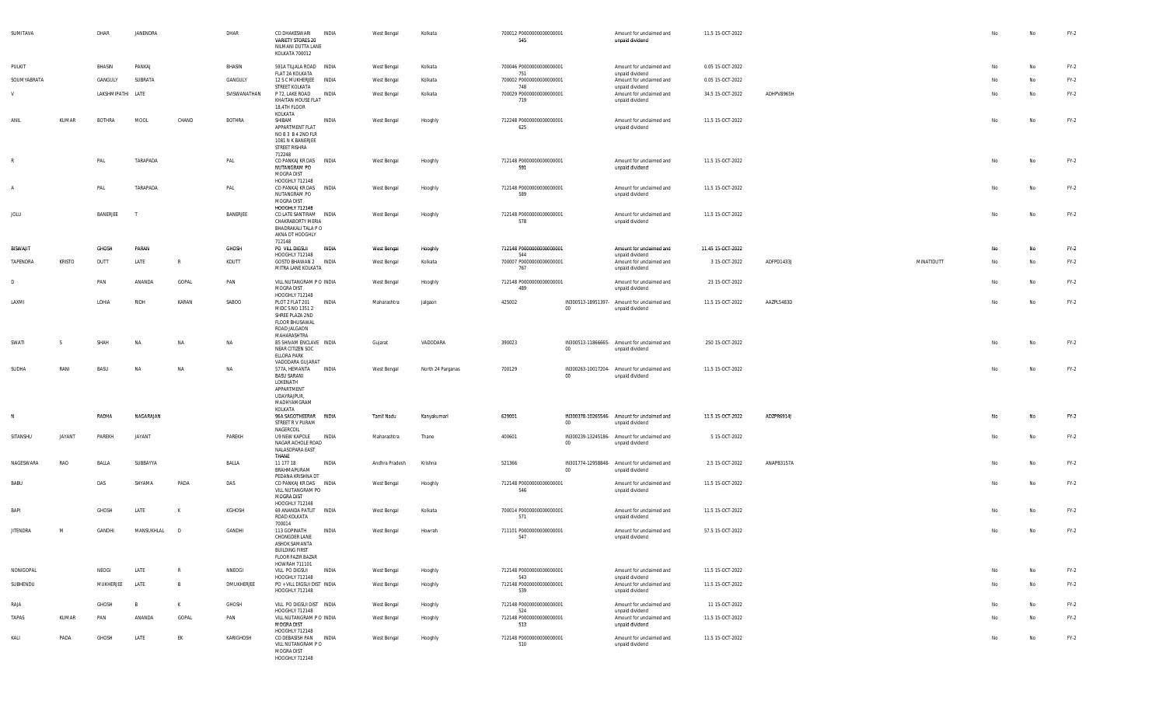| SUMITAVA        |               | DHAR              | JANENDRA       |            | DHAR          | CO DHAKESWARI<br>VARIETY STORES 20<br>NILMANI DUTTA LANE<br>KOLKATA 700012                                    | <b>INDIA</b> | West Bengal    | Kolkata           | 700012 P0000000000000001<br>545         |         | Amount for unclaimed and<br>unpaid dividend                    | 11.5 15-OCT-2022  |            |            | No | No | $FY-2$ |
|-----------------|---------------|-------------------|----------------|------------|---------------|---------------------------------------------------------------------------------------------------------------|--------------|----------------|-------------------|-----------------------------------------|---------|----------------------------------------------------------------|-------------------|------------|------------|----|----|--------|
| PULKIT          |               | BHASIN            | PANKAJ         |            | BHASIN        | 591A TILJALA ROAD INDIA                                                                                       |              | West Bengal    | Kolkata           | 700046 P0000000000000001                |         | Amount for unclaimed and                                       | 0.05 15-OCT-2022  |            |            | No | No | $FY-2$ |
| SOUMYABRATA     |               | GANGULY           | SUBRATA        |            | GANGULY       | FLAT 2A KOLKATA<br>12 S C MUKHERJEE INDIA                                                                     |              | West Bengal    | Kolkata           | 751<br>700002 P0000000000000001         |         | unpaid dividend<br>Amount for unclaimed and                    | 0.05 15-OCT-2022  |            |            | No | No | FY-2   |
| V               |               | LAKSHMIPATHI LATE |                |            | SVISWANATHAN  | STREET KOLKATA<br>P 72, LAKE ROAD<br>KHAITAN HOUSE FLAT<br>18,4TH FLOOR                                       | INDIA        | West Bengal    | Kolkata           | 748<br>700029 P00000000000000001<br>719 |         | unpaid dividend<br>Amount for unclaimed and<br>unpaid dividend | 34.5 15-OCT-2022  | ADHPV8965H |            | No | No | FY-2   |
| ANIL            | KUMAR         | <b>BOTHRA</b>     | MOOL           | CHAND      | <b>BOTHRA</b> | KOLKATA<br>SHIBAM<br>APPARTMENT FLAT<br>NOB3B42NDFLR<br>1081 N K BANERJEE<br>STREET RISHRA<br>712248          | INDIA        | West Bengal    | Hooghly           | 712248 P0000000000000001<br>625         |         | Amount for unclaimed and<br>unpaid dividend                    | 11.5 15-OCT-2022  |            |            | No | No | $FY-2$ |
| R               |               | PAL               | TARAPADA       |            | PAL           | CO PANKAJ KR DAS INDIA<br>NUTANGRAM PO<br>MOGRA DIST<br>HOOGHLY 712148                                        |              | West Bengal    | Hooghly           | 712148 P0000000000000001<br>591         |         | Amount for unclaimed and<br>unpaid dividend                    | 11.5 15-OCT-2022  |            |            | No | No | $FY-2$ |
|                 |               | PAL               | TARAPADA       |            | PAL           | CO PANKAJ KR DAS INDIA<br>NUTANGRAM PO<br>MOGRA DIST<br><b>HOOGHLY 712148</b>                                 |              | West Bengal    | Hooghly           | 712148 P0000000000000001<br>589         |         | Amount for unclaimed and<br>unpaid dividend                    | 11.5 15-OCT-2022  |            |            | No | No | FY-2   |
| JOLU            |               | BANERJEE          | - 1            |            | BANERJEE      | CO LATE SANTIRAM INDIA<br>CHAKRABORTY MERIA<br>BHADRAKALI TALA P O<br>AKNA DT HOOGHLY<br>712148               |              | West Bengal    | Hooghly           | 712148 P0000000000000001<br>578         |         | Amount for unclaimed and<br>unpaid dividend                    | 11.5 15-OCT-2022  |            |            | No | No | $FY-2$ |
| <b>BISWAJIT</b> |               | GHOSH             | PARAN          |            | GHOSH         | po vill digsui<br>HOOGHLY 712148                                                                              | INDIA        | West Bengal    | Hooghly           | 712148 P0000000000000001<br>544         |         | Amount for unclaimed and<br>unpaid dividend                    | 11.45 15-OCT-2022 |            |            | No | No | FY-2   |
| TAPENDRA        | <b>KRISTO</b> | DUTT              | LATE           |            | KDUTT         | GOSTO BHAWAN 2 INDIA<br>MITRA LANE KOLKATA                                                                    |              | West Bengal    | Kolkata           | 700007 P0000000000000001<br>767         |         | Amount for unclaimed and<br>unpaid dividend                    | 3 15-OCT-2022     | ADFPD1433J | MINATIDUTT | No | No | $FY-2$ |
| D               |               | PAN               | ANANDA         | GOPAL      | PAN           | VILL NUTANGRAM P O INDIA<br>MOGRA DIST                                                                        |              | West Bengal    | Hooghly           | 712148 P0000000000000001<br>489         |         | Amount for unclaimed and<br>unpaid dividend                    | 23 15-OCT-2022    |            |            | No | No | FY-2   |
| LAXMI           |               | LOHIA             | RIDH           | KARAN      | SABOO         | HOOGHLY 712148<br>PLOT 2 FLAT 201<br>MIDC S NO 1351 2<br>SHREE PLAZA 2ND<br>FLOOR BHUSAWAL<br>ROAD JALGAON    | <b>INDIA</b> | Maharashtra    | Jalgaon           | 425002                                  | 00      | IN300513-18951397- Amount for unclaimed and<br>unpaid dividend | 11.5 15-OCT-2022  | AAZPL5483D |            | No | No | $FY-2$ |
| SWATI           | <sup>S</sup>  | SHAH              | <b>NA</b>      | NA         | NA            | MAHARASHTRA<br>B5 SHIVAM ENCLAVE INDIA<br>NEAR CITIZEN SOC<br>ELLORA PARK<br>VADODARA GUJARAT                 |              | Gujarat        | VADODARA          | 390023                                  | $00\,$  | IN300513-11866665- Amount for unclaimed and<br>unpaid dividend | 250 15-OCT-2022   |            |            | No | No | $FY-2$ |
| SUDHA           | RANI          | BASU              | <b>NA</b>      | NA         | NA            | 577A, HEMANTA<br><b>BASU SARANI</b><br>LOKENATH<br>APPARTMENT<br>UDAYRAJPUR,<br>MADHYAMGRAM<br>KOLKATA        | <b>INDIA</b> | West Bengal    | North 24 Parganas | 700129                                  | $00\,$  | IN300263-10017204- Amount for unclaimed and<br>unpaid dividend | 11.5 15-OCT-2022  |            |            | No | No | $FY-2$ |
| - N             |               | RADHA             | NAGARAJAN      |            |               | 96A SAGOTHEERAR INDIA<br>STREET R V PURAM<br>NAGERCOIL                                                        |              | Tamil Nadu     | Kanyakumari       | 629001                                  | 00      | IN300378-10265546- Amount for unclaimed and<br>unpaid dividend | 11.5 15-OCT-2022  | ADZPR6914J |            | No | No | $FY-2$ |
| SITANSHU        | JAYANT        | PAREKH            | JAYANT         |            | PAREKH        | U9 NEW KAPOLE INDIA<br>NAGAR ACHOLE ROAD<br>NALASOPARA EAST<br>THANE                                          |              | Maharashtra    | Thane             | 400601                                  | $_{00}$ | IN300239-13245186- Amount for unclaimed and<br>unpaid dividend | 5 15-OCT-2022     |            |            | No | No | $FY-2$ |
| NAGESWARA       | RAO           | BALLA             | SUBBAYYA       |            | BALLA         | 11 177 18<br>BRAHMAPURAM<br>PEDANA KRISHNA DT                                                                 | INDIA        | Andhra Pradesh | Krishna           | 521366                                  | $00\,$  | IN301774-12958848- Amount for unclaimed and<br>unpaid dividend | 2.5 15-OCT-2022   | ANAPB3157A |            | No | No | $FY-2$ |
| BABU            |               | DAS               | SHYAMA         | PADA       | DAS           | CO PANKAJ KR DAS INDIA<br>VILL NUTANGRAM PO<br>MOGRA DIST<br>HOOGHLY 712148                                   |              | West Bengal    | Hooghly           | 712148 P0000000000000001<br>546         |         | Amount for unclaimed and<br>unpaid dividend                    | 11.5 15-OCT-2022  |            |            | No | No | $FY-2$ |
| BAPI            |               | GHOSH             | LATE           | K          | KGHOSH        | 69 ANANDA PATLIT INDIA<br>ROAD KOLKATA<br>700014                                                              |              | West Bengal    | Kolkata           | 700014 P0000000000000001<br>571         |         | Amount for unclaimed and<br>unpaid dividend                    | 11.5 15-OCT-2022  |            |            | No | No | $FY-2$ |
| <b>JITENDRA</b> | M             | GANDHI            | MANSUKHLAL     | $\sqrt{2}$ | GANDHI        | 113 GOPINATH<br>CHONGDER LANE<br>ASHOK SAMANTA<br><b>BUILDING FIRST</b><br>FLOOR FAZIR BAZAR<br>HOWRAH 711101 | <b>INDIA</b> | West Bengal    | Howrah            | 711101 P0000000000000001<br>547         |         | Amount for unclaimed and<br>unpaid dividend                    | 57.5 15-OCT-2022  |            |            | No | No | $FY-2$ |
| NONIGOPAL       |               | NEOGI             | LATE           | R          | NNEOGI        | VILL PO DIGSUI                                                                                                | <b>INDIA</b> | West Bengal    | Hooghly           | 712148 P0000000000000001                |         | Amount for unclaimed and                                       | 11.5 15-OCT-2022  |            |            | No | No | $FY-2$ |
| SUBHENDU        |               | MUKHERJEE         | LATE           | B          | DMUKHERJEE    | HOOGHLY 712148<br>PO + VILL DIGSUI DIST INDIA<br>HOOGHLY 712148                                               |              | West Bengal    | Hooghly           | 543<br>712148 P0000000000000001<br>539  |         | unpaid dividend<br>Amount for unclaimed and<br>unpaid dividend | 11.5 15-OCT-2022  |            |            | No | No | $FY-2$ |
| RAJA            |               | GHOSH             | $\overline{B}$ | K          | GHOSH         | VILL PO DIGSUI DIST INDIA                                                                                     |              | West Bengal    | Hooghly           | 712148 P0000000000000001                |         | Amount for unclaimed and                                       | 11 15-OCT-2022    |            |            | No | No | $FY-2$ |
| TAPAS           | KUMAR         | PAN               | ANANDA         | GOPAL      | PAN           | HOOGHLY 712148<br>VILL NUTANGRAM P O INDIA<br>MOGRA DIST                                                      |              | West Bengal    | Hooghly           | 524<br>712148 P0000000000000001<br>513  |         | unpaid dividend<br>Amount for unclaimed and<br>unpaid dividend | 11.5 15-OCT-2022  |            |            | No | No | $FY-2$ |
| KALI            | PADA          | GHOSH             | LATE           | EK         | KARIGHOSH     | HOOGHLY 712148<br>CO DEBASISH PAN INDIA<br>VILL NUTANGRAM P O<br>MOGRA DIST<br>HOOGHLY 712148                 |              | West Bengal    | Hooghly           | 712148 P0000000000000001<br>510         |         | Amount for unclaimed and<br>unpaid dividend                    | 11.5 15-OCT-2022  |            |            | No | No | $FY-2$ |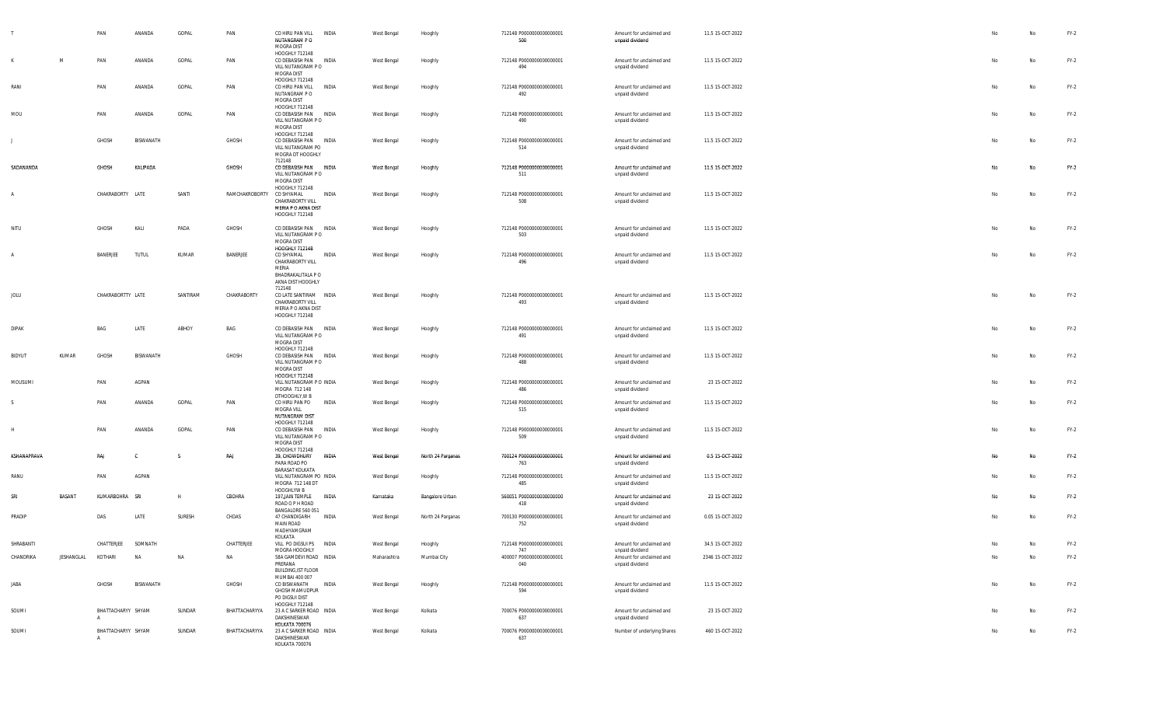|                |            | PAN                            | ANANDA    | GOPAL    | PAN            | CO HIRU PAN VILL<br>NUTANGRAM P O<br>MOGRA DIST                                               | INDIA        | West Bengal | Hooghly           | 712148 P0000000000000001<br>500                             | Amount for unclaimed and<br>unpaid dividend | 11.5 15-OCT-2022 |          | No        | $FY-2$ |
|----------------|------------|--------------------------------|-----------|----------|----------------|-----------------------------------------------------------------------------------------------|--------------|-------------|-------------------|-------------------------------------------------------------|---------------------------------------------|------------------|----------|-----------|--------|
| K              | M          | PAN                            | ANANDA    | GOPAL    | PAN            | HOOGHLY 712148<br>CO DEBASISH PAN INDIA<br>VILL NUTANGRAM PO<br>MOGRA DIST                    |              | West Bengal | Hooghly           | 712148 P0000000000000001<br>494                             | Amount for unclaimed and<br>unpaid dividend | 11.5 15-OCT-2022 | No       | No        | $FY-2$ |
| RANI           |            | PAN                            | ANANDA    | GOPAL    | PAN            | HOOGHLY 712148<br>CO HIRU PAN VILL<br>NUTANGRAM PO<br>MOGRA DIST                              | INDIA        | West Bengal | Hooghly           | 712148 P0000000000000001<br>492                             | Amount for unclaimed and<br>unpaid dividend | 11.5 15-OCT-2022 | No       | No        | $FY-2$ |
| MOU            |            | PAN                            | ANANDA    | GOPAL    | PAN            | HOOGHLY 712148<br>CO DEBASISH PAN INDIA<br>VILL NUTANGRAM PO<br>MOGRA DIST                    |              | West Bengal | Hooghly           | 712148 P0000000000000001<br>490                             | Amount for unclaimed and<br>unpaid dividend | 11.5 15-OCT-2022 | No       | No        | $FY-2$ |
|                |            | <b>GHOSH</b>                   | BISWANATH |          | GHOSH          | HOOGHLY 712148<br>CO DEBASISH PAN<br>VILL NUTANGRAM PO<br>MOGRA DT HOOGHLY                    | <b>INDIA</b> | West Bengal | Hooghly           | 712148 P0000000000000001<br>514                             | Amount for unclaimed and<br>unpaid dividend | 11.5 15-OCT-2022 | No       | No        | $FY-2$ |
| SADANANDA      |            | GHOSH                          | KALIPADA  |          | GHOSH          | 712148<br>CO DEBASISH PAN INDIA<br>VILL NUTANGRAM PO<br>MOGRA DIST                            |              | West Bengal | Hooghly           | 712148 P0000000000000001<br>511                             | Amount for unclaimed and<br>unpaid dividend | 11.5 15-OCT-2022 | No       | No        | $FY-2$ |
| $\mathsf{A}$   |            | CHAKRABORTY LATE               |           | SANTI    | RAMCHAKROBORTY | HOOGHLY 712148<br>CO SHYAMAL<br>CHAKRABORTY VILL<br>MERIA P O AKNA DIST<br>HOOGHLY 712148     | INDIA        | West Bengal | Hooghly           | 712148 P0000000000000001<br>508                             | Amount for unclaimed and<br>unpaid dividend | 11.5 15-OCT-2022 | No       | No        | $FY-2$ |
| NITU           |            | <b>GHOSH</b>                   | KALI      | PADA     | GHOSH          | CO DEBASISH PAN INDIA<br>VILL NUTANGRAM PO<br>MOGRA DIST<br><b>HOOGHLY 712148</b>             |              | West Bengal | Hooghly           | 712148 P0000000000000001<br>503                             | Amount for unclaimed and<br>unpaid dividend | 11.5 15-OCT-2022 | No       | No        | $FY-2$ |
| $\overline{A}$ |            | BANERJEE                       | TUTUL     | KUMAR    | BANERJEE       | CO SHYAMAL<br>CHAKRABORTY VILL<br>MERIA<br>BHADRAKALITALA P O<br>AKNA DIST HOOGHLY            | INDIA        | West Bengal | Hooghly           | 712148 P0000000000000001<br>496                             | Amount for unclaimed and<br>unpaid dividend | 11.5 15-OCT-2022 | No       | No        | $FY-2$ |
| JOLU           |            | CHAKRABORTTY LATE              |           | SANTIRAM | CHAKRABORTY    | 712148<br>CO LATE SANTIRAM INDIA<br>CHAKRABORTY VILL<br>MERIA P O AKNA DIST<br>HOOGHLY 712148 |              | West Bengal | Hooghly           | 712148 P0000000000000001<br>493                             | Amount for unclaimed and<br>unpaid dividend | 11.5 15-OCT-2022 | No       | No        | $FY-2$ |
| <b>DIPAK</b>   |            | BAG                            | LATE      | ABHOY    | BAG            | CO DEBASISH PAN INDIA<br>VILL NUTANGRAM PO<br>MOGRA DIST<br>HOOGHLY 712148                    |              | West Bengal | Hooghly           | 712148 P0000000000000001<br>491                             | Amount for unclaimed and<br>unpaid dividend | 11.5 15-OCT-2022 | No       | No        | $FY-2$ |
| BIDYUT         | KUMAR      | <b>GHOSH</b>                   | BISWANATH |          | GHOSH          | CO DEBASISH PAN INDIA<br>VILL NUTANGRAM PO<br>MOGRA DIST<br>HOOGHLY 712148                    |              | West Bengal | Hooghly           | 712148 P0000000000000001<br>488                             | Amount for unclaimed and<br>unpaid dividend | 11.5 15-OCT-2022 | No       | No        | $FY-2$ |
| MOUSUMI        |            | PAN                            | AGPAN     |          |                | VILL NUTANGRAM P O INDIA<br>MOGRA 712 148<br>DTHOOGHLY, W B                                   |              | West Bengal | Hooghly           | 712148 P0000000000000001<br>486                             | Amount for unclaimed and<br>unpaid dividend | 23 15-OCT-2022   | No       | No        | $FY-2$ |
|                |            | PAN                            | ANANDA    | GOPAL    | PAN            | CO HIRU PAN PO<br>MOGRA VILL<br>NUTANGRAM DIST<br>HOOGHLY 712148                              | INDIA        | West Bengal | Hooghly           | 712148 P0000000000000001<br>515                             | Amount for unclaimed and<br>unpaid dividend | 11.5 15-OCT-2022 | No       | No        | $FY-2$ |
| H              |            | PAN                            | ANANDA    | GOPAL    | PAN            | CO DEBASISH PAN<br>VILL NUTANGRAM PO<br>MOGRA DIST<br>HOOGHLY 712148                          | INDIA        | West Bengal | Hooghly           | 712148 P0000000000000001<br>509                             | Amount for unclaimed and<br>unpaid dividend | 11.5 15-OCT-2022 | No       | <b>No</b> | $FY-2$ |
| KSHANAPRAVA    |            | RAJ                            |           |          | RAJ            | 39, CHOWDHURY<br>PARA ROAD PO<br>BARASAT KOLKATA                                              | <b>INDIA</b> | West Bengal | North 24 Parganas | 700124 P0000000000000001<br>763                             | Amount for unclaimed and<br>unpaid dividend | 0.5 15-OCT-2022  | No.      | <b>No</b> | $FY-2$ |
| RANU           |            | PAN                            | AGPAN     |          |                | VILL NUTANGRAM PO INDIA<br>MOGRA 712 148 DT<br>HOOGHLYW B                                     |              | West Bengal | Hooghly           | 712148 P0000000000000001<br>485                             | Amount for unclaimed and<br>unpaid dividend | 11.5 15-OCT-2022 | No       | No        | $FY-2$ |
| SRI            | BASANT     | KUMARBOHRA SRI                 |           | H        | CBOHRA         | 197 JAIN TEMPLE<br>ROAD O P H ROAD<br>BANGALORE 560 051                                       | INDIA        | Karnataka   | Bangalore Urban   | 560051 P0000000000000000<br>418<br>700130 P0000000000000001 | Amount for unclaimed and<br>unpaid dividend | 23 15-OCT-2022   | No<br>No | <b>No</b> | $FY-2$ |
| PRADIP         |            | DAS                            | LATE      | SURESH   | CHDAS          | 47 CHANDIGARH<br>MAIN ROAD<br>MADHYAMGRAM<br>KOLKATA                                          | INDIA        | West Bengal | North 24 Parganas | 752                                                         | Amount for unclaimed and<br>unpaid dividend | 0.05 15-OCT-2022 |          | No        | $FY-2$ |
| SHRABANTI      |            | CHATTERJEE                     | SOMNATH   |          | CHATTERJEE     | VILL PO DIGSUI PS INDIA<br>MOGRA HOOGHLY                                                      |              | West Bengal | Hooghly           | 712148 P0000000000000001<br>747                             | Amount for unclaimed and<br>unpaid dividend | 34.5 15-OCT-2022 |          | No        | $FY-2$ |
| CHANDRIKA      | JESHANGLAL | KOTHARI                        | <b>NA</b> | NA       | NA             | 58A GAMDEVI ROAD INDIA<br>PRERANA<br><b>BUILDING, IST FLOOR</b><br>MUMBAI 400 007             |              | Maharashtra | Mumbai City       | 400007 P0000000000000001<br>040                             | Amount for unclaimed and<br>unpaid dividend | 2346 15-OCT-2022 | No       | No        | $FY-2$ |
| JABA           |            | GHOSH                          | BISWANATH |          | GHOSH          | CO BISWANATH<br>GHOSH MAMUDPUR<br>PO DIGSUI DIST<br>HOOGHLY 712148                            | INDIA        | West Bengal | Hooghly           | 712148 P0000000000000001<br>594                             | Amount for unclaimed and<br>unpaid dividend | 11.5 15-OCT-2022 | No       | No        | $FY-2$ |
| SOUMI          |            | BHATTACHARYY SHYAM<br>$\Delta$ |           | SUNDAR   | BHATTACHARYYA  | 23 A C SARKER ROAD INDIA<br>DAKSHINESWAR<br>KOLKATA 700076                                    |              | West Bengal | Kolkata           | 700076 P0000000000000001<br>637                             | Amount for unclaimed and<br>unpaid dividend | 23 15-OCT-2022   | No       | No        | $FY-2$ |
| SOUMI          |            | BHATTACHARYY SHYAM             |           | SUNDAR   | BHATTACHARYYA  | 23 A C SARKER ROAD INDIA<br>DAKSHINESWAR<br>KOI KATA 700076                                   |              | West Bengal | Kolkata           | 700076 P0000000000000001<br>637                             | Number of underlying Shares                 | 460 15-OCT-2022  | No       | No        | $FY-2$ |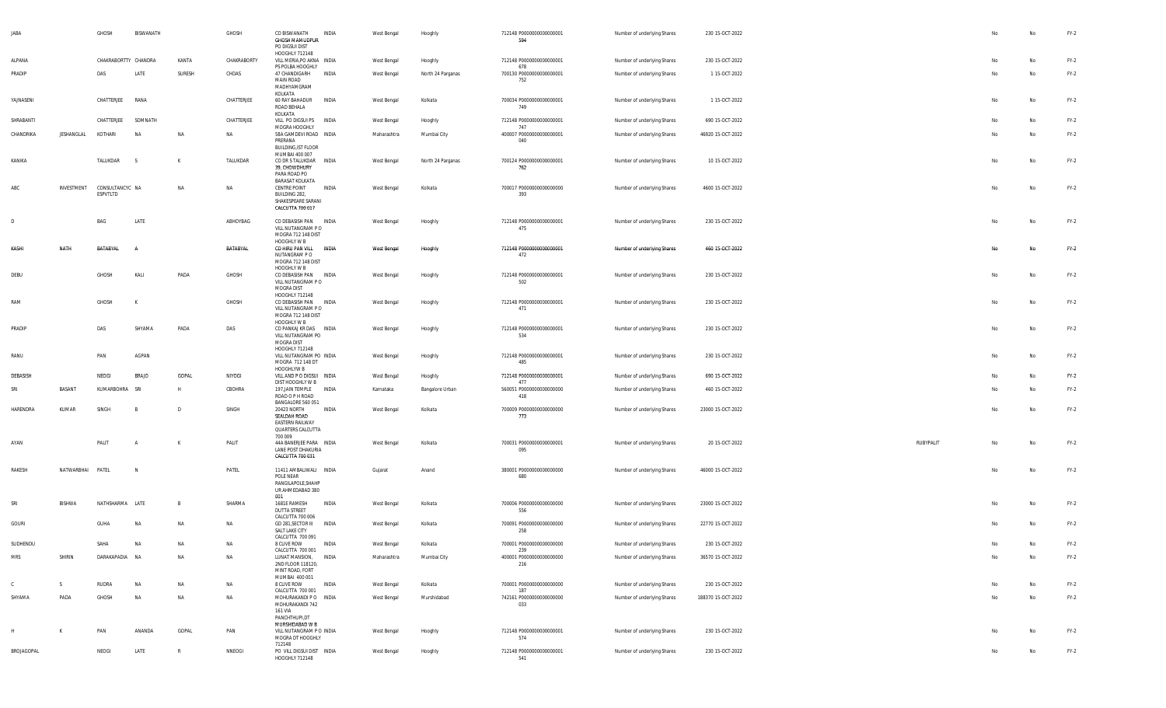| <b>JABA</b>  |            | GHOSH                       | BISWANATH    |              | GHOSH       | CO BISWANATH<br>GHOSH MAMUDPUR<br>PO DIGSUI DIST<br>HOOGHLY 712148                                  | INDIA        | West Bengal | Hooghly           | 712148 P0000000000000001<br>594        | Number of underlying Shares | 230 15-OCT-2022    |           |    | No        | $FY-2$ |
|--------------|------------|-----------------------------|--------------|--------------|-------------|-----------------------------------------------------------------------------------------------------|--------------|-------------|-------------------|----------------------------------------|-----------------------------|--------------------|-----------|----|-----------|--------|
| ALPANA       |            | CHAKRABORTTY CHANDRA        |              | KANTA        | CHAKRABORTY | VILL MERIA, PO AKNA INDIA                                                                           |              | West Bengal | Hooghly           | 712148 P0000000000000001               | Number of underlying Shares | 230 15-OCT-2022    |           | No | No        | $FY-2$ |
| PRADIP       |            | DAS                         | LATE         | SURESH       | CHDAS       | PS POLBA HOOGHLY<br>47 CHANDIGARH<br>MAIN ROAD<br>MADHYAMGRAM<br>KOLKATA                            | INDIA        | West Bengal | North 24 Parganas | 678<br>700130 P0000000000000001<br>752 | Number of underlying Shares | 1 15-OCT-2022      |           | No | <b>No</b> | $FY-2$ |
| YAJNASENI    |            | CHATTERJEE                  | RANA         |              | CHATTERJEE  | 60 RAY BAHADUR<br>ROAD BEHALA<br>KOLKATA                                                            | INDIA        | West Bengal | Kolkata           | 700034 P0000000000000001<br>749        | Number of underlying Shares | 1 15-OCT-2022      |           | No | No        | $FY-2$ |
| SHRABANTI    |            | CHATTERJEE                  | SOMNATH      |              | CHATTERJEE  | VILL PO DIGSUI PS INDIA<br>MOGRA HOOGHLY                                                            |              | West Bengal | Hooghly           | 712148 P0000000000000001<br>747        | Number of underlying Shares | 690 15-OCT-2022    |           | No | <b>No</b> | $FY-2$ |
| CHANDRIKA    | JESHANGLAL | KOTHARI                     | <b>NA</b>    | NA           | NA          | 58A GAMDEVI ROAD INDIA                                                                              |              | Maharashtra | Mumbai City       | 400007 P0000000000000001               | Number of underlying Shares | 46920 15-OCT-2022  |           | No | <b>No</b> | $FY-2$ |
|              |            |                             |              |              |             | PRERANA<br><b>BUILDING, IST FLOOR</b>                                                               |              |             |                   | 040                                    |                             |                    |           |    |           |        |
| KANIKA       |            | TALUKDAR                    | - S          | K            | TALUKDAR    | MUMBAI 400 007<br>CO DR S TALUKDAR INDIA<br>39, CHOWDHURY<br>PARA ROAD PO<br><b>BARASAT KOLKATA</b> |              | West Bengal | North 24 Parganas | 700124 P0000000000000001<br>762        | Number of underlying Shares | 10 15-OCT-2022     |           | No | No        | $FY-2$ |
| ABC          | INVESTMENT | CONSULTANCYC NA<br>ESPVTLTD |              | <b>NA</b>    | NA          | CENTRE POINT<br>BUILDING 282,<br>SHAKESPEARE SARANI<br>CALCUTTA 700 017                             | <b>INDIA</b> | West Bengal | Kolkata           | 700017 P0000000000000000<br>393        | Number of underlying Shares | 4600 15-OCT-2022   |           | No | <b>No</b> | $FY-2$ |
| D            |            | BAG                         | LATE         |              | ABHOYBAG    | CO DEBASISH PAN INDIA<br>VILL NUTANGRAM PO<br>MOGRA 712 148 DIST                                    |              | West Bengal | Hooghly           | 712148 P0000000000000001<br>475        | Number of underlying Shares | 230 15-OCT-2022    |           | No | No        | $FY-2$ |
| KASHI        | NATH       | BATABYAL                    |              |              | BATABYAL    | HOOGHLY W B<br>CO HIRU PAN VILL<br>NUTANGRAM P O<br>MOGRA 712 148 DIST                              | <b>INDIA</b> | West Bengal | Hooghly           | 712148 P0000000000000001<br>472        | Number of underlying Shares | 460 15-OCT-2022    |           | No | No        | $FY-2$ |
| DEBU         |            | GHOSH                       | KALI         | PADA         | GHOSH       | HOOGHLY W B<br>CO DEBASISH PAN INDIA<br>VILL NUTANGRAM PO<br>MOGRA DIST                             |              | West Bengal | Hooghly           | 712148 P0000000000000001<br>502        | Number of underlying Shares | 230 15-OCT-2022    |           | No | No        | $FY-2$ |
| RAM          |            | GHOSH                       | K            |              | GHOSH       | HOOGHLY 712148<br>CO DEBASISH PAN INDIA<br>VILL NUTANGRAM P O<br>MOGRA 712 148 DIST                 |              | West Bengal | Hooghly           | 712148 P0000000000000001<br>471        | Number of underlying Shares | 230 15-OCT-2022    |           | No | No        | $FY-2$ |
| PRADIP       |            | DAS                         | SHYAMA       | PADA         | DAS         | HOOGHLY W B<br>CO PANKAJ KR DAS INDIA<br>VILL NUTANGRAM PO                                          |              | West Bengal | Hooghly           | 712148 P0000000000000001<br>534        | Number of underlying Shares | 230 15-OCT-2022    |           | No | No        | $FY-2$ |
| RANU         |            | PAN                         | AGPAN        |              |             | MOGRA DIST<br>HOOGHLY 712148<br>VILL NUTANGRAM PO INDIA<br>MOGRA 712 148 DT                         |              | West Bengal | Hooghly           | 712148 P0000000000000001<br>485        | Number of underlying Shares | 230 15-OCT-2022    |           | No | No        | $FY-2$ |
| DEBASISH     |            | NEOGI                       | <b>BRAJO</b> | GOPAL        | NIYOGI      | HOOGHLYW B<br>VILL AND P O DIGSUI INDIA                                                             |              | West Bengal | Hooghly           | 712148 P0000000000000001               | Number of underlying Shares | 690 15-OCT-2022    |           | No | No        | $FY-2$ |
| SRI          | BASANT     | KUMARBOHRA                  | SRI          | H            | CBOHRA      | DIST HOOGHLY W B<br>197, JAIN TEMPLE<br>ROAD O P H ROAD                                             | <b>INDIA</b> | Karnataka   | Bangalore Urban   | 477<br>560051 P0000000000000000<br>418 | Number of underlying Shares | 460 15-OCT-2022    |           | No | No        | $FY-2$ |
| HARENDRA     | KUMAR      | SINGH                       | B            | D            | SINGH       | BANGALORE 560 051<br>20423 NORTH<br>SEALDAH ROAD<br>EASTERN RAILWAY<br>QUARTERS CALCUTTA            | <b>INDIA</b> | West Bengal | Kolkata           | 700009 P0000000000000000<br>773        | Number of underlying Shares | 23000 15-OCT-2022  |           | No | No        | $FY-2$ |
| AYAN         |            | PALIT                       |              | к            | PALIT       | 700 009<br>44A BANERJEE PARA INDIA<br>LANE POST DHAKURIA<br>CALCUTTA 700 031                        |              | West Bengal | Kolkata           | 700031 P0000000000000001<br>095        | Number of underlying Shares | 20 15-OCT-2022     | RUBYPALIT | No | No        | $FY-2$ |
| RAKESH       | NATWARBHAI | PATEL                       | $\sqrt{2}$   |              | PATEL       | 11411 AMBALIWALI INDIA<br>POLE NEAR<br>RANGILAPOLE, SHAHP<br>UR AHMEDABAD 380                       |              | Gujarat     | Anand             | 380001 P0000000000000000<br>680        | Number of underlying Shares | 46000 15-OCT-2022  |           | No | No        | $FY-2$ |
| SRI          | BISHWA     | NATHSHARMA LATE             |              | B            | SHARMA      | 001<br>1681E RAMESH<br><b>DUTTA STREET</b>                                                          | INDIA        | West Bengal | Kolkata           | 700006 P0000000000000000<br>556        | Number of underlying Shares | 23000 15-OCT-2022  |           | No | No        | $FY-2$ |
| GOURI        |            | GUHA                        | NA           | NA           | NA          | CALCUTTA 700 006<br>GD 281, SECTOR III<br>SALT LAKE CITY                                            | INDIA        | West Bengal | Kolkata           | 700091 P0000000000000000<br>258        | Number of underlying Shares | 22770 15-OCT-2022  |           | No | No        | $FY-2$ |
| SUDHENDU     |            |                             |              |              | <b>NA</b>   | CALCUTTA 700 091<br>8 CLIVE ROW                                                                     | <b>INDIA</b> | West Bengal | Kolkata           | 700001 P0000000000000000               | Number of underlying Shares | 230 15-OCT-2022    |           |    | <b>No</b> | $FY-2$ |
| <b>MRS</b>   | SHIRIN     | DARAKAPADIA NA              |              | NA           | NA          | CALCUTTA 700 001<br>LUNAT MANSION, INDIA                                                            |              | Maharashtra | Mumbai City       | 239<br>400001 P0000000000000000        | Number of underlying Shares | 36570 15-OCT-2022  |           | No | No        | $FY-2$ |
|              |            |                             |              |              |             | 2ND FLOOR 118120,<br>MINT ROAD, FORT<br>MUMBAI 400 001                                              |              |             |                   | 216                                    |                             |                    |           |    |           |        |
| $\mathbb{C}$ | S          | RUDRA                       | <b>NA</b>    | NA           | NA          | 8 CLIVE ROW<br>CALCUTTA 700 001                                                                     | <b>INDIA</b> | West Bengal | Kolkata           | 700001 P0000000000000000<br>187        | Number of underlying Shares | 230 15-OCT-2022    |           | No | No        | $FY-2$ |
| SHYAMA       | PADA       | GHOSH                       | <b>NA</b>    | NA           | NA          | MOHURAKANDI P O INDIA<br>MOHURAKANDI 742<br>161 VIA<br>PANCHTHUPI,DT                                |              | West Bengal | Murshidabad       | 742161 P0000000000000000<br>033        | Number of underlying Shares | 188370 15-OCT-2022 |           | No | No        | $FY-2$ |
| H            | K          | PAN                         | ANANDA       | GOPAL        | PAN         | MURSHIDABAD W B<br>VILL NUTANGRAM P O INDIA<br>MOGRA DT HOOGHLY                                     |              | West Bengal | Hooghly           | 712148 P0000000000000001<br>574        | Number of underlying Shares | 230 15-OCT-2022    |           | No | No        | $FY-2$ |
| BROJAGOPAL   |            | NEOGI                       | LATE         | $\mathbb{R}$ | NNEOGI      | 712148<br>PO VILL DIGSUI DIST INDIA<br>HOOGHLY 712148                                               |              | West Bengal | Hooghly           | 712148 P0000000000000001<br>541        | Number of underlying Shares | 230 15-OCT-2022    |           | No | No        | $FY-2$ |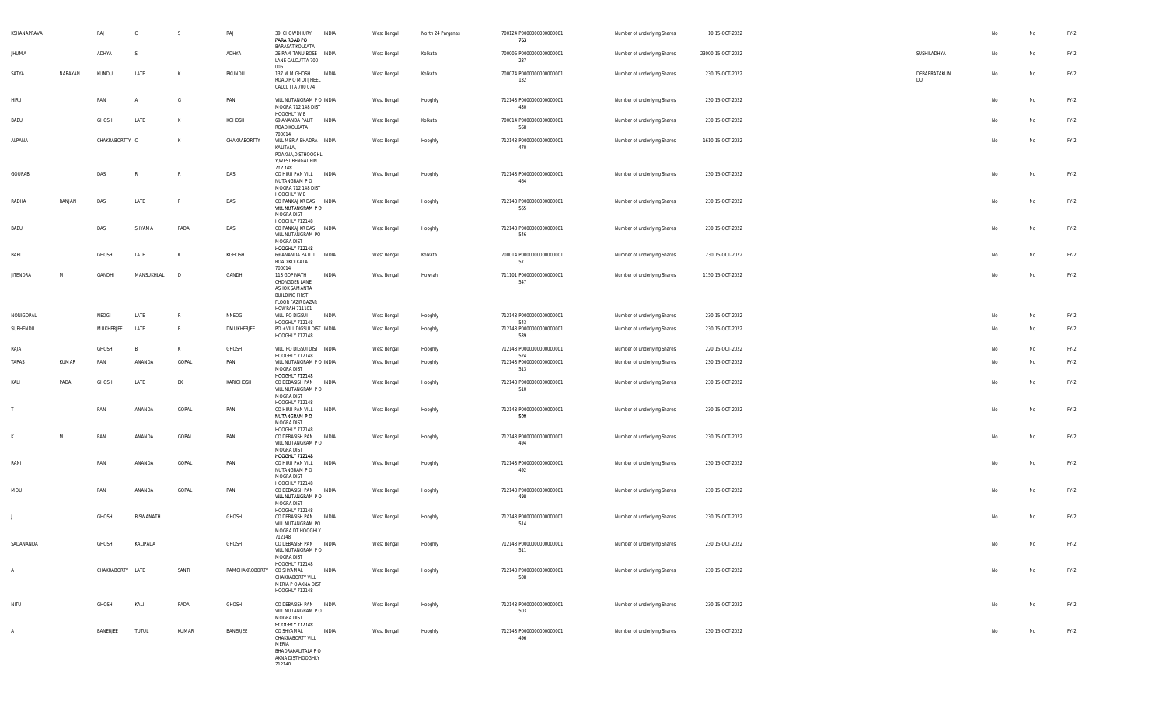| KSHANAPRAVA<br><b>JHUMA</b> |         | RAJ<br>ADHYA     | $\mathbf{C}$<br>- S | S            | RAJ<br>ADHYA   | 39, CHOWDHURY<br>PARA ROAD PO<br><b>BARASAT KOLKATA</b><br>26 RAM TANU BOSE INDIA                             | INDIA | West Bengal<br>West Bengal | North 24 Parganas<br>Kolkata | 700124 P0000000000000001<br>763<br>700006 P0000000000000001 | Number of underlying Shares<br>Number of underlying Shares | 10 15-OCT-2022<br>23000 15-OCT-2022 | SUSHILADHYA        | No<br>No | No<br>No | $FY-2$<br>$FY-2$ |
|-----------------------------|---------|------------------|---------------------|--------------|----------------|---------------------------------------------------------------------------------------------------------------|-------|----------------------------|------------------------------|-------------------------------------------------------------|------------------------------------------------------------|-------------------------------------|--------------------|----------|----------|------------------|
|                             |         |                  |                     |              |                | LANE CALCUTTA 700<br>006                                                                                      |       |                            |                              | 237                                                         |                                                            |                                     |                    |          |          |                  |
| SATYA                       | NARAYAN | KUNDU            | LATE                | K            | PKUNDU         | 137 M M GHOSH INDIA<br>ROAD P O MOTIJHEEL<br>CALCUTTA 700 074                                                 |       | West Bengal                | Kolkata                      | 700074 P0000000000000001<br>132                             | Number of underlying Shares                                | 230 15-OCT-2022                     | DEBABRATAKUN<br>DU | No       | No       | $FY-2$           |
| HIRU                        |         | PAN              | A                   | G            | PAN            | VILL NUTANGRAM P O INDIA<br>MOGRA 712 148 DIST<br>HOOGHLY W B                                                 |       | West Bengal                | Hooghly                      | 712148 P0000000000000001<br>430                             | Number of underlying Shares                                | 230 15-OCT-2022                     |                    | No       | No       | $FY-2$           |
| BABU                        |         | GHOSH            | LATE                | К            | KGHOSH         | 69 ANANDA PALIT INDIA<br>ROAD KOLKATA                                                                         |       | West Bengal                | Kolkata                      | 700014 P0000000000000001<br>568                             | Number of underlying Shares                                | 230 15-OCT-2022                     |                    | No       | No       | $FY-2$           |
| ALPANA                      |         | CHAKRABORTTY C   |                     | K            | CHAKRABORTTY   | 700014<br>VILL MERIA BHADRA INDIA<br>KALITALA,<br>POAKNA, DISTHOOGHL<br>Y, WEST BENGAL PIN<br>712 148         |       | West Bengal                | Hooghly                      | 712148 P0000000000000001<br>470                             | Number of underlying Shares                                | 1610 15-OCT-2022                    |                    | No       | No       | $FY-2$           |
| GOURAB                      |         | DAS              |                     | $\mathbb{R}$ | DAS            | CO HIRU PAN VILL INDIA<br>NUTANGRAM P O<br>MOGRA 712 148 DIST<br>HOOGHLY W B                                  |       | West Bengal                | Hooghly                      | 712148 P0000000000000001<br>464                             | Number of underlying Shares                                | 230 15-OCT-2022                     |                    | No       | No       | $FY-2$           |
| RADHA                       | RANJAN  | DAS              | LATE                | P            | DAS            | CO PANKAJ KR DAS INDIA<br>VILL NUTANGRAM PO<br>MOGRA DIST                                                     |       | West Bengal                | Hooghly                      | 712148 P0000000000000001<br>565                             | Number of underlying Shares                                | 230 15-OCT-2022                     |                    | No       | No       | $FY-2$           |
| BABU                        |         | DAS              | SHYAMA              | PADA         | DAS            | HOOGHLY 712148<br>CO PANKAJ KR DAS INDIA<br>VILL NUTANGRAM PO<br>MOGRA DIST                                   |       | West Bengal                | Hooghly                      | 712148 P0000000000000001<br>546                             | Number of underlying Shares                                | 230 15-OCT-2022                     |                    | No       | No       | $FY-2$           |
| BAPI                        |         | GHOSH            | LATE                | K            | KGHOSH         | <b>HOOGHLY 712148</b><br>69 ANANDA PATLIT<br>ROAD KOLKATA                                                     | INDIA | West Bengal                | Kolkata                      | 700014 P0000000000000001<br>571                             | Number of underlying Shares                                | 230 15-OCT-2022                     |                    | No       | No       | $FY-2$           |
| <b>JITENDRA</b>             | M       | GANDHI           | MANSUKHLAL          | D            | GANDHI         | 700014<br>113 GOPINATH<br>CHONGDER LANE<br>ASHOK SAMANTA<br><b>BUILDING FIRST</b><br><b>FLOOR FAZIR BAZAR</b> | INDIA | West Bengal                | Howrah                       | 711101 P0000000000000001<br>547                             | Number of underlying Shares                                | 1150 15-OCT-2022                    |                    | No       | No       | $FY-2$           |
| NONIGOPAL                   |         | NEOGI            | LATE                | R            | NNEOGI         | HOWRAH 711101<br>VILL PO DIGSUI                                                                               | INDIA | West Bengal                | Hooghly                      | 712148 P0000000000000001                                    | Number of underlying Shares                                | 230 15-OCT-2022                     |                    | No       | No       | $FY-2$           |
| SUBHENDU                    |         | MUKHERJEE        | LATE                | B            | DMUKHERJEE     | HOOGHLY 712148<br>PO + VILL DIGSUI DIST INDIA<br>HOOGHLY 712148                                               |       | West Bengal                | Hooghly                      | 543<br>712148 P0000000000000001<br>539                      | Number of underlying Shares                                | 230 15-OCT-2022                     |                    | No       | No       | $FY-2$           |
| RAJA                        |         | GHOSH            | $\overline{B}$      | K            | GHOSH          | VILL PO DIGSUI DIST INDIA                                                                                     |       | West Bengal                | Hooghly                      | 712148 P0000000000000001                                    | Number of underlying Shares                                | 220 15-OCT-2022                     |                    | No       | No       | $FY-2$           |
| TAPAS                       | KUMAR   | PAN              | ANANDA              | GOPAL        | PAN            | HOOGHLY 712148<br>VILL NUTANGRAM P O INDIA<br>MOGRA DIST                                                      |       | West Bengal                | Hooghly                      | 524<br>712148 P0000000000000001<br>513                      | Number of underlying Shares                                | 230 15-OCT-2022                     |                    | No       | No       | $FY-2$           |
| KALI                        | PADA    | GHOSH            | LATE                | EK           | KARIGHOSH      | HOOGHLY 712148<br>CO DEBASISH PAN INDIA<br>VILL NUTANGRAM P O<br>MOGRA DIST                                   |       | West Bengal                | Hooghly                      | 712148 P0000000000000001<br>510                             | Number of underlying Shares                                | 230 15-OCT-2022                     |                    | No       | No       | $FY-2$           |
|                             |         | PAN              | ANANDA              | GOPAL        | PAN            | HOOGHLY 712148<br>CO HIRU PAN VILL<br>NUTANGRAM P O<br>MOGRA DIST                                             | INDIA | West Bengal                | Hooghly                      | 712148 P0000000000000001<br>500                             | Number of underlying Shares                                | 230 15-OCT-2022                     |                    | No       | No       | $FY-2$           |
|                             | M       | PAN              | ANANDA              | GOPAL        | PAN            | HOOGHLY 712148<br>CO DEBASISH PAN INDIA<br>VILL NUTANGRAM P O<br>MOGRA DIST                                   |       | West Bengal                | Hooghly                      | 712148 P0000000000000001<br>494                             | Number of underlying Shares                                | 230 15-OCT-2022                     |                    | No       | No       | $FY-2$           |
| RANI                        |         | PAN              | ANANDA              | GOPAL        | PAN            | <b>HOOGHLY 712148</b><br>CO HIRU PAN VILL<br>NUTANGRAM P O<br>MOGRA DIST                                      | INDIA | West Bengal                | Hooghly                      | 712148 P0000000000000001<br>492                             | Number of underlying Shares                                | 230 15-OCT-2022                     |                    | No       | No       | $FY-2$           |
| MOU                         |         | PAN              | ANANDA              | GOPAL        | PAN            | HOOGHLY 712148<br>CO DEBASISH PAN INDIA<br>VILL NUTANGRAM P O<br>MOGRA DIST                                   |       | West Bengal                | Hooghly                      | 712148 P0000000000000001<br>490                             | Number of underlying Shares                                | 230 15-OCT-2022                     |                    | No       | No       | $FY-2$           |
|                             |         | GHOSH            | BISWANATH           |              | GHOSH          | HOOGHLY 712148<br>CO DEBASISH PAN INDIA<br>VILL NUTANGRAM PO<br>MOGRA DT HOOGHLY                              |       | West Bengal                | Hooghly                      | 712148 P0000000000000001<br>514                             | Number of underlying Shares                                | 230 15-OCT-2022                     |                    | No       | No       | $FY-2$           |
| SADANANDA                   |         | GHOSH            | KALIPADA            |              | GHOSH          | 712148<br>CO DEBASISH PAN INDIA<br>VILL NUTANGRAM PO<br>MOGRA DIST                                            |       | West Bengal                | Hooghly                      | 712148 P0000000000000001<br>511                             | Number of underlying Shares                                | 230 15-OCT-2022                     |                    |          |          | $FY-2$           |
| A                           |         | CHAKRABORTY LATE |                     | SANTI        | RAMCHAKROBORTY | HOOGHLY 712148<br>CO SHYAMAL<br>CHAKRABORTY VILL<br>MERIA P O AKNA DIST<br>HOOGHLY 712148                     | INDIA | West Bengal                | Hooghly                      | 712148 P0000000000000001<br>508                             | Number of underlying Shares                                | 230 15-OCT-2022                     |                    | No       | No       | $FY-2$           |
| NITU                        |         | GHOSH            | KALI                | PADA         | GHOSH          | CO DEBASISH PAN INDIA<br>VILL NUTANGRAM P O<br>MOGRA DIST<br>HOOGHLY 712148                                   |       | West Bengal                | Hooghly                      | 712148 P0000000000000001<br>503                             | Number of underlying Shares                                | 230 15-OCT-2022                     |                    | No       | No       | $FY-2$           |
| $\mathsf{A}$                |         | BANERJEE         | <b>TUTUL</b>        | KUMAR        | BANERJEE       | CO SHYAMAL<br>CHAKRABORTY VILL<br>MERIA<br>BHADRAKALITALA P O<br>AKNA DIST HOOGHLY<br>719140                  | INDIA | West Bengal                | Hooghly                      | 712148 P0000000000000001<br>496                             | Number of underlying Shares                                | 230 15-OCT-2022                     |                    | No       | No       | $FY-2$           |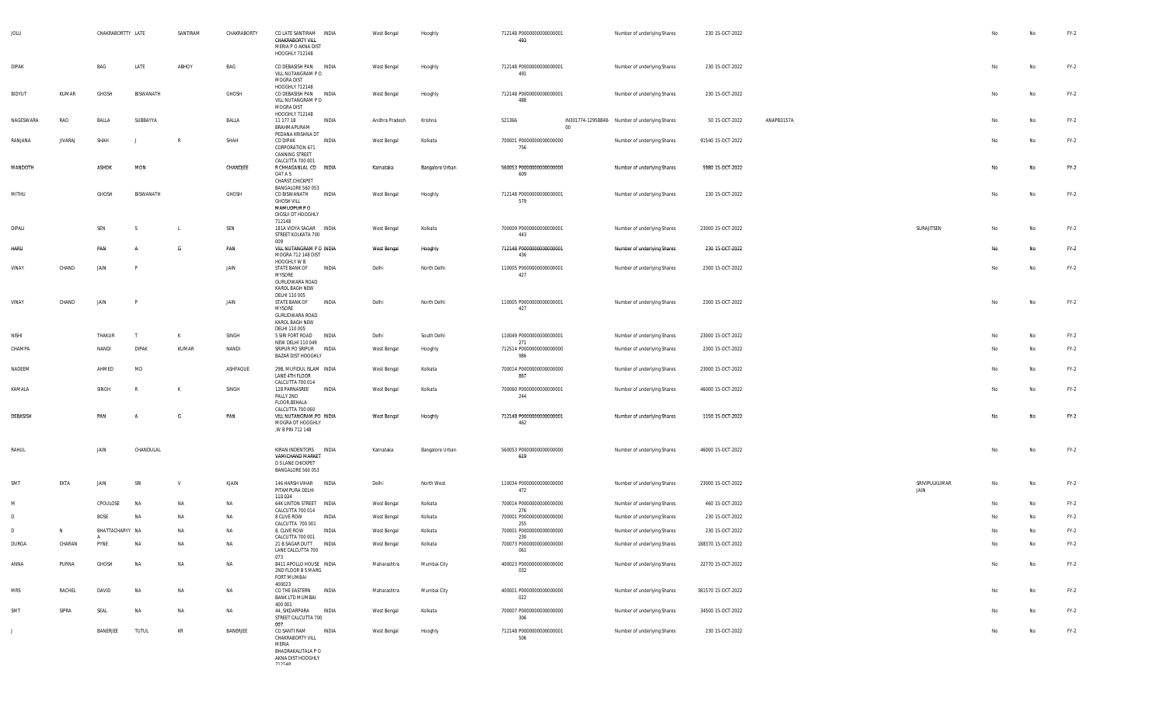| JOLU         |                | CHAKRABORTTY LATE |              | SANTIRAM       | CHAKRABORTY | CO LATE SANTIRAM INDIA<br>CHAKRABORTY VILL<br>MERIA P O AKNA DIST<br>HOOGHLY 712148                   |       | West Bengal    | Hooghly         | 712148 P0000000000000001<br>493        |        | Number of underlying Shares                    | 230 15-OCT-2022    |            |                       | No | No        | $FY-2$ |
|--------------|----------------|-------------------|--------------|----------------|-------------|-------------------------------------------------------------------------------------------------------|-------|----------------|-----------------|----------------------------------------|--------|------------------------------------------------|--------------------|------------|-----------------------|----|-----------|--------|
| <b>DIPAK</b> |                | BAG               | LATE         | ABHOY          | BAG         | CO DEBASISH PAN INDIA<br>VILL NUTANGRAM PO<br>MOGRA DIST                                              |       | West Bengal    | Hooghly         | 712148 P0000000000000001<br>491        |        | Number of underlying Shares                    | 230 15-OCT-2022    |            |                       | No | No        | $FY-2$ |
| BIDYUT       | KUMAR          | GHOSH             | BISWANATH    |                | GHOSH       | HOOGHLY 712148<br>CO DEBASISH PAN INDIA<br>VILL NUTANGRAM PO<br>MOGRA DIST<br>HOOGHLY 712148          |       | West Bengal    | Hooghly         | 712148 P0000000000000001<br>488        |        | Number of underlying Shares                    | 230 15-OCT-2022    |            |                       | No | No        | $FY-2$ |
| NAGESWARA    | RAO            | BALLA             | SUBBAYYA     |                | BALLA       | 11 177 18<br>BRAHMAPURAM<br>PEDANA KRISHNA DT                                                         | INDIA | Andhra Pradesh | Krishna         | 521366                                 | $00\,$ | IN301774-12958848- Number of underlying Shares | 50 15-OCT-2022     | ANAPB3157A |                       | No | No        | $FY-2$ |
| RANJANA      | <b>JIVARAJ</b> | SHAH              |              | R              | SHAH        | CO DIPAK<br>CORPORATION 671<br>CANNING STREET<br>CALCUTTA 700 001                                     | INDIA | West Bengal    | Kolkata         | 700001 P0000000000000000<br>756        |        | Number of underlying Shares                    | 91540 15-OCT-2022  |            |                       | No | No        | $FY-2$ |
| MANDOTH      |                | ASHOK             | MON          |                | CHANDJEE    | R CHHAGANLAL CO INDIA<br>G47 A S<br>CHARST, CHICKPET<br>BANGALORE 560 053                             |       | Karnataka      | Bangalore Urban | 560053 P0000000000000000<br>609        |        | Number of underlying Shares                    | 5980 15-OCT-2022   |            |                       | No | No        | $FY-2$ |
| MITHU        |                | GHOSH             | BISWANATH    |                | GHOSH       | CO BISWANATH<br><b>GHOSH VILL</b><br>MAMUDPUR PO<br>DIGSUI DT HOOGHLY<br>712148                       | INDIA | West Bengal    | Hooghly         | 712148 P0000000000000001<br>579        |        | Number of underlying Shares                    | 230 15-OCT-2022    |            |                       | No | No        | $FY-2$ |
| DIPALI       |                | SEN               | -S           | $\blacksquare$ | SEN         | 181A VIDYA SAGAR INDIA<br>STREET KOLKATA 700<br>009                                                   |       | West Bengal    | Kolkata         | 700009 P0000000000000001<br>443        |        | Number of underlying Shares                    | 23000 15-OCT-2022  |            | SURAJITSEN            | No | <b>No</b> | $FY-2$ |
| HARU         |                | PAN               |              | G              | PAN         | VILL NUTANGRAM P O INDIA<br>MOGRA 712 148 DIST<br>HOOGHLY W B                                         |       | West Bengal    | Hooghly         | 712148 P0000000000000001<br>436        |        | Number of underlying Shares                    | 230 15-OCT-2022    |            |                       | No | Na        | $FY-2$ |
| VINAY        | CHAND          | JAIN              |              |                | JAIN        | <b>STATE BANK OF</b><br>MYSORE<br>GURUDWARA ROAD<br>KAROL BAGH NEW                                    | INDIA | Delhi          | North Delhi     | 110005 P0000000000000001<br>427        |        | Number of underlying Shares                    | 2300 15-OCT-2022   |            |                       | No | No        | $FY-2$ |
| VINAY        | CHAND          | JAIN              | P            |                | JAIN        | DELHI 110 005<br>STATE BANK OF<br>MYSORE<br>GURUDWARA ROAD<br>KAROL BAGH NEW                          | INDIA | Delhi          | North Delhi     | 110005 P0000000000000001<br>427        |        | Number of underlying Shares                    | 2300 15-OCT-2022   |            |                       | No | No        | $FY-2$ |
| NISHI        |                | THAKUR            | $\mathsf{T}$ | К              | SINGH       | DELHI 110 005<br>5 SIRI FORT ROAD                                                                     | INDIA | Delhi          | South Delhi     | 110049 P0000000000000001               |        | Number of underlying Shares                    | 23000 15-OCT-2022  |            |                       | No | No        | $FY-2$ |
| CHAMPA       |                | NANDI             | <b>DIPAK</b> | KUMAR          | NANDI       | NEW DELHI 110 049<br>SRIPUR PO SRIPUR INDIA<br>BAZAR DIST HOOGHLY                                     |       | West Bengal    | Hooghly         | 271<br>712514 P0000000000000000<br>986 |        | Number of underlying Shares                    | 2300 15-OCT-2022   |            |                       | No | No        | $FY-2$ |
| NADEEM       |                | AHMED             | MD           |                | ASHFAQUE    | 29B, MUFIDUL ISLAM INDIA<br>LANE 4TH FLOOR                                                            |       | West Bengal    | Kolkata         | 700014 P0000000000000000<br>867        |        | Number of underlying Shares                    | 23000 15-OCT-2022  |            |                       | No | No        | $FY-2$ |
| KAMALA       |                | SINGH             | R            | К              | SINGH       | CALCUTTA 700 014<br>128 PARNASREE<br>PALLY 2ND                                                        | INDIA | West Bengal    | Kolkata         | 700060 P0000000000000001<br>244        |        | Number of underlying Shares                    | 46000 15-OCT-2022  |            |                       | No | No        | $FY-2$ |
| DEBASISH     |                | PAN               |              | G              | PAN         | FLOOR, BEHALA<br>CALCUTTA 700 060<br>VILL NUTANGRAM, PO INDIA<br>MOGRA DT HOOGHLY<br>,W B PIN 712 148 |       | West Bengal    | Hooghly         | 712148 P0000000000000001<br>462        |        | Number of underlying Shares                    | 1150 15-OCT-2022   |            |                       | No | No        | $FY-2$ |
| RAHUL        |                | JAIN              | CHANDULAL    |                |             | KIRAN INDENTORS INDIA<br>VAMICHAND MARKET<br>D S LANE CHICKPET<br>BANGALORE 560 053                   |       | Karnataka      | Bangalore Urban | 560053 P0000000000000000<br>619        |        | Number of underlying Shares                    | 46000 15-OCT-2022  |            |                       | No | No        | $FY-2$ |
| SMT          | EKTA           | JAIN              | SRI          | v              | KJAIN       | 146 HARSH VIHAR INDIA<br>PITAMPURA DELHI<br>110 034                                                   |       | Delhi          | North West      | 110034 P0000000000000000<br>472        |        | Number of underlying Shares                    | 23000 15-OCT-2022  |            | SRIVIPULKUMAR<br>JAIN | No | <b>No</b> | $FY-2$ |
| M            |                | CPOULOSE          | <b>NA</b>    | NA             | NA          | <b>64K LINTON STREET</b>                                                                              | INDIA | West Bengal    | Kolkata         | 700014 P0000000000000000               |        | Number of underlying Shares                    | 460 15-OCT-2022    |            |                       | No | <b>No</b> | $FY-2$ |
| D            |                | BOSE              | <b>NA</b>    | NA             | NA          | CALCUTTA 700 014<br>8 CLIVE ROW                                                                       | INDIA | West Bengal    | Kolkata         | 276<br>700001 P0000000000000000        |        | Number of underlying Shares                    | 230 15-OCT-2022    |            |                       |    | No        | $FY-2$ |
| -n           | N.             | BHATTACHARYY NA   |              | <b>NA</b>      | NA          | CALCUTTA 700 001<br>8, CLIVE ROW                                                                      | INDIA | West Bengal    | Kolkata         | 255<br>700001 P0000000000000000        |        | Number of underlying Shares                    | 230 15-OCT-2022    |            |                       |    | No        | $FY-2$ |
| DURGA        | CHARAN         | А<br>PYNE         | <b>NA</b>    | NA             | NA          | CALCUTTA 700 001<br>21 B SAGAR DUTT<br>LANE CALCUTTA 700                                              | INDIA | West Bengal    | Kolkata         | 230<br>700073 P0000000000000000        |        | Number of underlying Shares                    | 188370 15-OCT-2022 |            |                       | No | No        | $FY-2$ |
| ANNA         | PURNA          | GHOSH             | <b>NA</b>    | NA             | NA          | 073<br>8411 APOLLO HOUSE INDIA<br>2ND FLOOR B S MARG                                                  |       | Maharashtra    | Mumbai City     | 061<br>400023 P0000000000000000<br>032 |        | Number of underlying Shares                    | 22770 15-OCT-2022  |            |                       | No | No        | $FY-2$ |
| <b>MRS</b>   | RACHEL         | DAVID             | NA           | NA             | NA          | FORT MUMBAI<br>400023<br>CO THE EASTERN INDIA<br>BANK LTD MUMBAI                                      |       | Maharashtra    | Mumbai City     | 400001 P0000000000000000<br>022        |        | Number of underlying Shares                    | 381570 15-OCT-2022 |            |                       | No | No        | $FY-2$ |
| SMT          | SIPRA          | SEAL              | NA           | NA             | NA          | 400 001<br>44, SIKDARPARA INDIA<br>STREET CALCUTTA 700                                                |       | West Bengal    | Kolkata         | 700007 P0000000000000000<br>306        |        | Number of underlying Shares                    | 34500 15-OCT-2022  |            |                       | No | No        | $FY-2$ |
| J            |                | BANERJEE          | <b>TUTUL</b> | KR             | BANERJEE    | 007<br>CO SANTI RAM<br>CHAKRABORTY VILL                                                               | INDIA | West Bengal    | Hooghly         | 712148 P0000000000000001<br>506        |        | Number of underlying Shares                    | 230 15-OCT-2022    |            |                       | No | No        | $FY-2$ |
|              |                |                   |              |                |             | MERIA<br>BHADRAKALITALA P O<br>AKNA DIST HOOGHLY<br>717140                                            |       |                |                 |                                        |        |                                                |                    |            |                       |    |           |        |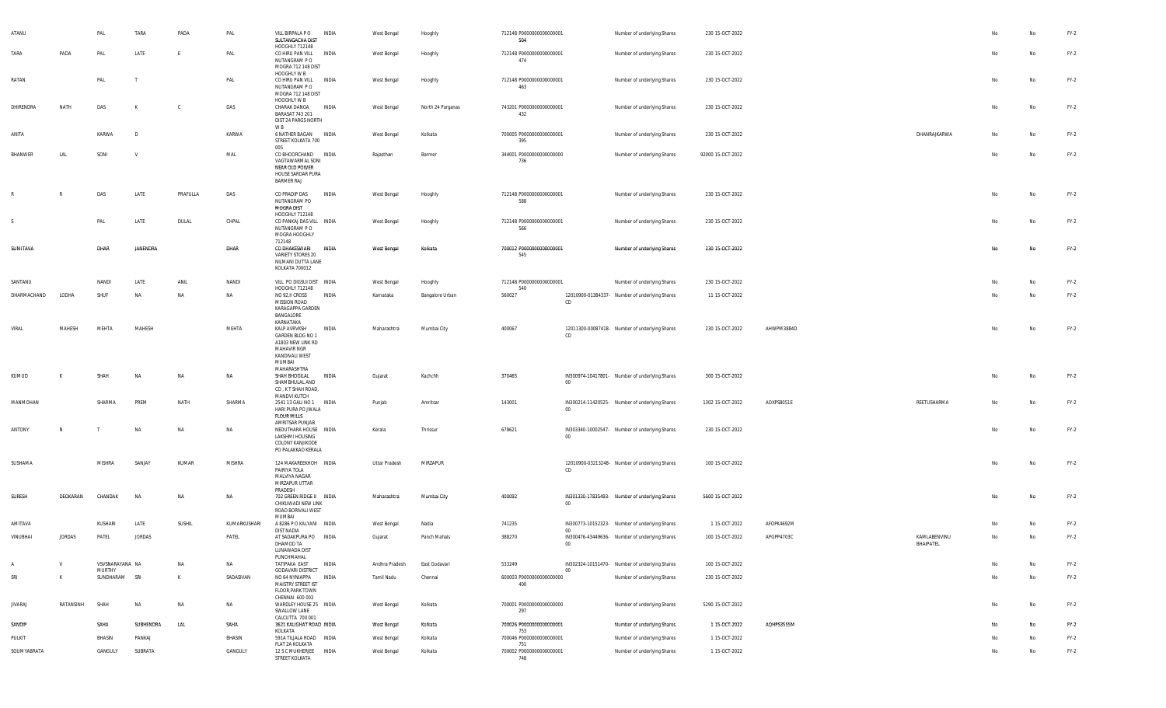| ATANU          |               | PAL                       | TARA          | PADA      | PAL          | VILL BIRPALA PO<br>SULTANGACHA DIST<br>HOOGHLY 712148                                                           | INDIA        | West Bengal    | Hooghly           | 712148 P0000000000000001<br>504        |             | Number of underlying Shares                    | 230 15-OCT-2022   |            |                           |    | No  | $FY-2$ |
|----------------|---------------|---------------------------|---------------|-----------|--------------|-----------------------------------------------------------------------------------------------------------------|--------------|----------------|-------------------|----------------------------------------|-------------|------------------------------------------------|-------------------|------------|---------------------------|----|-----|--------|
| TARA           | PADA          | PAL                       | LATE          | E         | PAL          | CO HIRU PAN VILL INDIA<br>NUTANGRAM P O<br>MOGRA 712 148 DIST<br>HOOGHLY W B                                    |              | West Bengal    | Hooghly           | 712148 P0000000000000001<br>474        |             | Number of underlying Shares                    | 230 15-OCT-2022   |            |                           | No | No  | $FY-2$ |
| RATAN          |               | PAL                       |               |           | PAL          | CO HIRU PAN VILL INDIA<br>NUTANGRAM PO<br>MOGRA 712 148 DIST<br>HOOGHLY W B                                     |              | West Bengal    | Hooghly           | 712148 P0000000000000001<br>463        |             | Number of underlying Shares                    | 230 15-OCT-2022   |            |                           | No | No  | $FY-2$ |
| DHIRENDRA      | NATH          | DAS                       | К             | C.        | DAS          | CHARAK DANGA<br>BARASAT 743 201<br>DIST 24 PARGS NORTH<br>W B                                                   | INDIA        | West Bengal    | North 24 Parganas | 743201 P0000000000000001<br>432        |             | Number of underlying Shares                    | 230 15-OCT-2022   |            |                           | No | No  | $FY-2$ |
| ANITA          |               | KARWA                     | D             |           | KARWA        | 6 NATHER BAGAN INDIA<br>STREET KOLKATA 700<br>005                                                               |              | West Bengal    | Kolkata           | 700005 P0000000000000001<br>395        |             | Number of underlying Shares                    | 230 15-OCT-2022   |            | DHANRAJKARWA              | No | No. | $FY-2$ |
| <b>BHANWER</b> | LAL           | SONI                      | $\mathsf{V}$  |           | MAL          | CO BHOORCHAND INDIA<br>VAGTAWARMAL SONI<br>NEAR OLD POWER<br>HOUSE SARDAR PURA<br><b>BARMER RAJ</b>             |              | Rajasthan      | Barmer            | 344001 P0000000000000000<br>736        |             | Number of underlying Shares                    | 92000 15-OCT-2022 |            |                           | No | No  | $FY-2$ |
|                | $\mathsf{R}$  | DAS                       | LATE          | PRAFULLA  | DAS          | CO PRADIP DAS<br>NUTANGRAM PO<br><b>MOGRA DIST</b><br>HOOGHLY 712148                                            | INDIA        | West Bengal    | Hooghly           | 712148 P0000000000000001<br>588        |             | Number of underlying Shares                    | 230 15-OCT-2022   |            |                           | No | No  | $FY-2$ |
| - S            |               | PAL                       | LATE          | DULAL     | CHPAL        | CO PANKAJ DAS VILL INDIA<br>NUTANGRAM P O<br>MOGRA HOOGHLY<br>712148                                            |              | West Bengal    | Hooghly           | 712148 P0000000000000001<br>566        |             | Number of underlying Shares                    | 230 15-OCT-2022   |            |                           | No | No  | $FY-2$ |
| SUMITAVA       |               | DHAR                      | JANENDRA      |           | DHAR         | CO DHAKESWARI<br>VARIETY STORES 20<br>NILMANI DUTTA LANE<br>KOLKATA 700012                                      | <b>INDIA</b> | West Bengal    | Kolkata           | 700012 P0000000000000001<br>545        |             | Number of underlying Shares                    | 230 15-OCT-2022   |            |                           | No | No  | $FY-2$ |
| SANTANU        |               | NANDI                     | LATE          | ANIL      | NANDI        | VILL PO DIGSUI DIST INDIA<br>HOOGHLY 712148                                                                     |              | West Bengal    | Hooghly           | 712148 P0000000000000001<br>540        |             | Number of underlying Shares                    | 230 15-OCT-2022   |            |                           | Nο | No. | $FY-2$ |
| DHARMACHAND    | LODHA         | SHUF                      | NA            | <b>NA</b> | NA           | NO 92, II CROSS<br>MISSION ROAD<br>KARAGAPPA GARDEN<br>BANGALORE<br>KARNATAKA                                   | INDIA        | Karnataka      | Bangalore Urban   | 560027                                 | CD          | 12010900-01384337- Number of underlying Shares | 11 15-OCT-2022    |            |                           | No | No  | $FY-2$ |
| VIRAL          | MAHESH        | MEHTA                     | MAHESH        |           | MEHTA        | KALP AVRVKSH<br>GARDEN BLDG NO 1<br>A1803 NEW LINK RD<br>MAHAVIR NGR<br>KANDIVALI WEST<br>MUMBAI<br>MAHARASHTRA | INDIA        | Maharashtra    | Mumbai City       | 400067                                 | CD          | 12011300-00087418- Number of underlying Shares | 230 15-OCT-2022   | AHWPM3884D |                           | No | No  | $FY-2$ |
| KUMUD          |               | SHAH                      | <b>NA</b>     | <b>NA</b> | <b>NA</b>    | SHAH BHOGILAL<br>SHAMBHULAL AND<br>CO, K T SHAH ROAD,<br>MANDVI KUTCH                                           | INDIA        | Gujarat        | Kachchh           | 370465                                 | $00\,$      | IN300974-10417801- Number of underlying Shares | 300 15-OCT-2022   |            |                           |    | Na  | $FY-2$ |
| MANMOHAN       |               | SHARMA                    | PREM          | NATH      | SHARMA       | 2541 13 GALI NO 1 INDIA<br>HARI PURA PO JWALA<br>FLOUR MILLS<br>AMRITSAR PUNJAB                                 |              | Punjab         | Amritsar          | 143001                                 | $00\,$      | IN300214-11420525- Number of underlying Shares | 1302 15-OCT-2022  | AOXPS8051E | REETUSHARMA               | No | No  | $FY-2$ |
| ANTONY         | N             |                           | NA            | NA        | NA           | NEDUTHARA HOUSE INDIA<br>LAKSHMI HOUSING<br>COLONY KANJIKODE<br>PO PALAKKAD KERALA                              |              | Kerala         | Thrissur          | 678621                                 | $00\degree$ | IN303340-10002547- Number of underlying Shares | 230 15-OCT-2022   |            |                           | No | No  | $FY-2$ |
| SUSHAMA        |               | MISHRA                    | SANJAY        | KUMAR     | MISHRA       | 124 MAKAREEKHOH INDIA<br>PAIRIYA TOLA<br>MALVIYA NAGAR<br>MIRZAPUR UTTAR<br>PRADESH                             |              | Uttar Pradesh  | MIRZAPUR          |                                        | CD          | 12010900-03213248- Number of underlying Shares | 100 15-OCT-2022   |            |                           | No | No  | $FY-2$ |
| SURESH         | DEOKARAN      | CHANDAK                   | NA            | <b>NA</b> | NA           | 702 GREEN RIDGE II INDIA<br>CHIKUWADI NEW LINK<br>ROAD BORIVALI WEST<br>MUMBAI                                  |              | Maharashtra    | Mumbai City       | 400092                                 | $00\,$      | IN301330-17835493- Number of underlying Shares | 5600 15-OCT-2022  |            |                           | No | No  | $FY-2$ |
| AMITAVA        |               | KUSHARI                   | LATE          | SUSHIL    | KUMARKUSHARI | A 8286 P O KALYANI INDIA<br><b>DIST NADIA</b>                                                                   |              | West Bengal    | Nadia             | 741235                                 | -00         | IN300773-10152323- Number of underlying Shares | 1 15-OCT-2022     | AFOPK4692M |                           |    | No  | $FY-2$ |
| VINUBHAI       | <b>JORDAS</b> | PATEL                     | <b>JORDAS</b> |           | PATEL        | AT SADAKPURA PO INDIA<br>DHAMOD TA<br>LUNAWADA DIST<br>PUNCHMAHAL                                               |              | Gujarat        | Panch Mahals      | 388270                                 | $00 -$      | IN300476-43449636- Number of underlying Shares | 100 15-OCT-2022   | APGPP4703C | KAMLABENVINU<br>BHAIPATEL |    | No  | $FY-2$ |
| A              | $\mathsf{V}$  | VSVSNARAYANA NA<br>MURTHY |               | NA        | NA           | TATIPAKA EAST<br><b>GODAVARI DISTRICT</b>                                                                       | INDIA        | Andhra Pradesh | East Godavari     | 533249                                 | 00          | IN302324-10151470- Number of underlying Shares | 100 15-OCT-2022   |            |                           | No | No  | $FY-2$ |
| SRI            | K             | SUNDHARAM SRI             |               | K         | SADASIVAN    | NO 64 NYNIAPPA INDIA<br>MAISTRY STREET IST<br><b>FLOOR, PARK TOWN</b><br>CHENNAI 600 003                        |              | Tamil Nadu     | Chennai           | 600003 P0000000000000000<br>400        |             | Number of underlying Shares                    | 230 15-OCT-2022   |            |                           | No | No  | $FY-2$ |
| <b>JIVARAJ</b> | RATANSINH     | SHAH                      | NA            | NA        | NA           | WARDLEY HOUSE 25 INDIA<br>SWALLOW LANE<br>CALCUTTA 700 001                                                      |              | West Bengal    | Kolkata           | 700001 P0000000000000000<br>297        |             | Number of underlying Shares                    | 5290 15-OCT-2022  |            |                           | No | No  | $FY-2$ |
| SANDIP         |               | SAHA                      | SUBHENDRA     | LAL       | SAHA         | 3621 KALIGHAT ROAD INDIA                                                                                        |              | West Bengal    | Kolkata           | 700026 P0000000000000001               |             | Number of underlying Shares                    | 1 15-OCT-2022     | AQHPS3555M |                           | No | No  | $FY-2$ |
| PULKIT         |               | BHASIN                    | PANKAJ        |           | BHASIN       | KOLKATA<br>591A TILJALA ROAD INDIA                                                                              |              | West Bengal    | Kolkata           | 753<br>700046 P0000000000000001        |             | Number of underlying Shares                    | 1 15-OCT-2022     |            |                           | No | No  | $FY-2$ |
| SOUMYABRATA    |               | GANGULY                   | SUBRATA       |           | GANGULY      | FLAT 2A KOLKATA<br>12 S C MUKHERJEE INDIA<br>STREET KOLKATA                                                     |              | West Bengal    | Kolkata           | 751<br>700002 P0000000000000001<br>748 |             | Number of underlying Shares                    | 1 15-OCT-2022     |            |                           | No | No  | $FY-2$ |
|                |               |                           |               |           |              |                                                                                                                 |              |                |                   |                                        |             |                                                |                   |            |                           |    |     |        |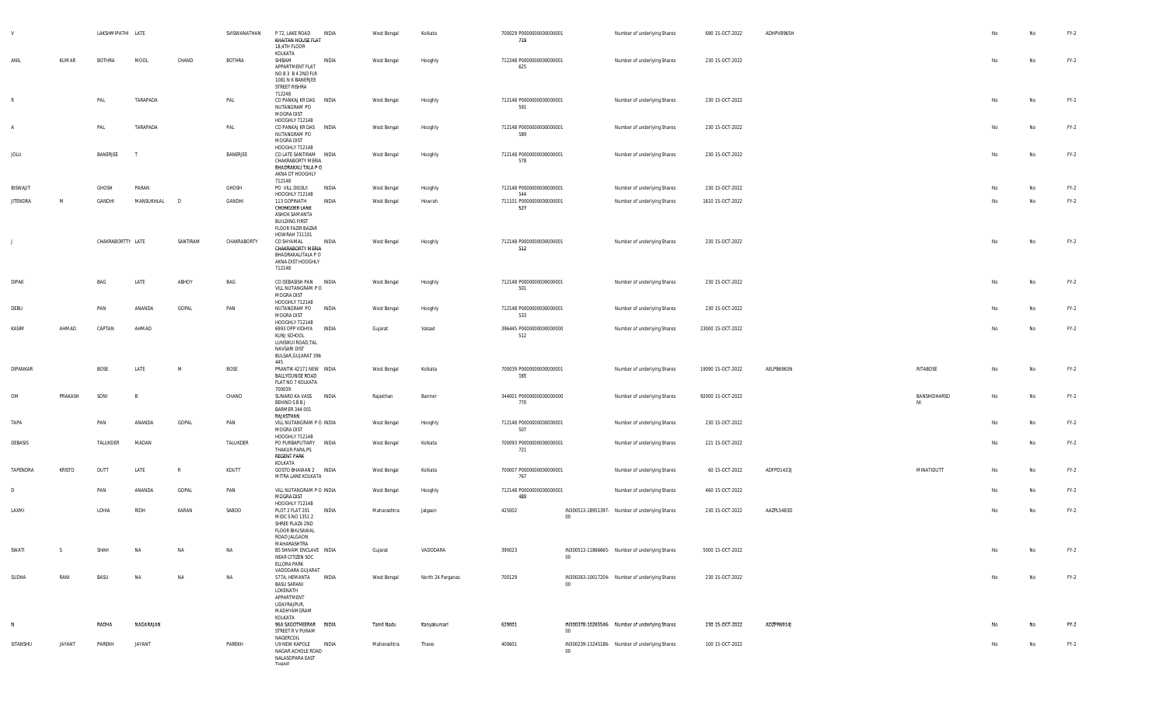|                 |               | LAKSHMIPATHI LATE |              |              | SVISWANATHAN  | P 72. LAKE ROAD<br><b>INDIA</b><br>KHAITAN HOUSE FLAT<br>18,4TH FLOOR<br>KOLKATA                                                          | West Bengal | Kolkata           | 700029 P00000000000000001<br>719 |                                                               | Number of underlying Shares | 690 15-OCT-2022   | ADHPV8965H |                    | No | No        | $FY-2$ |
|-----------------|---------------|-------------------|--------------|--------------|---------------|-------------------------------------------------------------------------------------------------------------------------------------------|-------------|-------------------|----------------------------------|---------------------------------------------------------------|-----------------------------|-------------------|------------|--------------------|----|-----------|--------|
| ANIL            | KUMAR         | BOTHRA            | MOOL         | CHAND        | <b>BOTHRA</b> | SHIBAM<br>INDIA<br>APPARTMENT FLAT<br>NOB3B42NDFLR<br>1081 N K BANERJEE<br>STREET RISHRA<br>712248                                        | West Bengal | Hooghly           | 712248 P0000000000000001<br>625  |                                                               | Number of underlying Shares | 230 15-OCT-2022   |            |                    | No | No        | $FY-2$ |
|                 |               | PAL               | TARAPADA     |              | PAL           | CO PANKAJ KR DAS INDIA<br>NUTANGRAM PO<br>MOGRA DIST                                                                                      | West Bengal | Hooghly           | 712148 P0000000000000001<br>591  |                                                               | Number of underlying Shares | 230 15-OCT-2022   |            |                    | No | No        | $FY-2$ |
| $\overline{A}$  |               | PAL               | TARAPADA     |              | PAL           | HOOGHLY 712148<br>CO PANKAJ KR DAS INDIA<br>NUTANGRAM PO<br>MOGRA DIST                                                                    | West Bengal | Hooghly           | 712148 P0000000000000001<br>589  |                                                               | Number of underlying Shares | 230 15-OCT-2022   |            |                    | No | No        | $FY-2$ |
| JOLU            |               | BANERJEE          | $\mathsf{T}$ |              | BANERJEE      | HOOGHLY 712148<br>CO LATE SANTIRAM INDIA<br>CHAKRABORTY MERIA<br>BHADRAKALI TALA P O<br>AKNA DT HOOGHLY<br>712148                         | West Bengal | Hooghly           | 712148 P0000000000000001<br>578  |                                                               | Number of underlying Shares | 230 15-OCT-2022   |            |                    | No | No        | $FY-2$ |
| <b>BISWAJIT</b> |               | GHOSH             | PARAN        |              | GHOSH         | PO VILL DIGSUI<br><b>INDIA</b><br>HOOGHLY 712148                                                                                          | West Bengal | Hooghly           | 712148 P0000000000000001<br>544  |                                                               | Number of underlying Shares | 230 15-OCT-2022   |            |                    | No | No        | $FY-2$ |
| <b>JITENDRA</b> | M             | GANDHI            | MANSUKHLAL   | D            | GANDHI        | 113 GOPINATH<br>INDIA<br>CHONGDER LANE<br>ASHOK SAMANTA<br><b>BUILDING FIRST</b><br>FLOOR FAZIR BAZAR<br>HOWRAH 711101                    | West Bengal | Howrah            | 711101 P0000000000000001<br>527  |                                                               | Number of underlying Shares | 1610 15-OCT-2022  |            |                    | No | <b>No</b> | $FY-2$ |
| $\blacksquare$  |               | CHAKRABORTTY LATE |              | SANTIRAM     | CHAKRABORTY   | CO SHYAMAL<br><b>INDIA</b><br>CHAKRABORTY MERIA<br>BHADRAKALITALA P O<br>AKNA DIST HOOGHLY<br>712148                                      | West Bengal | Hooghly           | 712148 P0000000000000001<br>512  |                                                               | Number of underlying Shares | 230 15-OCT-2022   |            |                    | No | No        | $FY-2$ |
| DIPAK           |               | BAG               | LATE         | ABHOY        | BAG           | CO DEBASISH PAN INDIA<br>VILL NUTANGRAM PO<br>MOGRA DIST<br>HOOGHLY 712148                                                                | West Bengal | Hooghly           | 712148 P0000000000000001<br>501  |                                                               | Number of underlying Shares | 230 15-OCT-2022   |            |                    | No | No        | $FY-2$ |
| DEBU            |               | PAN               | ANANDA       | GOPAL        | PAN           | NUTANGRAM PO<br>INDIA<br>MOGRA DIST<br>HOOGHLY 712148                                                                                     | West Bengal | Hooghly           | 712148 P0000000000000001<br>533  |                                                               | Number of underlying Shares | 230 15-OCT-2022   |            |                    | No | No        | $FY-2$ |
| KASIM           | AHMAD         | CAPTAN            | AHMAD        |              |               | 6993 OPP VIDHYA INDIA<br>KUNJ SCHOOL<br>LUNSIKUI ROAD, TAL<br>NAVSARI DIST<br>BULSAR, GUJARAT 396<br>445                                  | Gujarat     | Valsad            | 396445 P0000000000000000<br>512  |                                                               | Number of underlying Shares | 23000 15-OCT-2022 |            |                    | No | No        | $FY-2$ |
| DIPANKAR        |               | <b>BOSE</b>       | LATE         | M            | BOSE          | PRANTIK 42171 NEW INDIA<br><b>BALLYGUNGE ROAD</b><br>FLAT NO 7 KOLKATA<br>700039                                                          | West Bengal | Kolkata           | 700039 P00000000000000001<br>165 |                                                               | Number of underlying Shares | 19090 15-OCT-2022 | AELPB6963N | RITABOSE           | No | No        | $FY-2$ |
| OM              | PRAKASH       | SONI              | - B          |              | CHAND         | SUNARO KA VASS INDIA<br>BEHIND S B B J<br><b>BARMER 344 001</b><br>RAJASTHAN                                                              | Rajasthan   | Barmer            | 344001 P0000000000000000<br>770  |                                                               | Number of underlying Shares | 92000 15-OCT-2022 |            | BANSHIDHARSO<br>NI | No | No        | $FY-2$ |
| TAPA            |               | PAN               | ANANDA       | GOPAL        | PAN           | VILL NUTANGRAM P O INDIA<br>MOGRA DIST<br>HOOGHLY 712148                                                                                  | West Bengal | Hooghly           | 712148 P0000000000000001<br>507  |                                                               | Number of underlying Shares | 230 15-OCT-2022   |            |                    | No | No        | $FY-2$ |
| DEBASIS         |               | TALUKDER          | MADAN        |              | TALUKDER      | PO PURBAPUTIARY INDIA<br>THAKUR PARA, PS<br><b>REGENT PARK</b><br>KOLKATA                                                                 | West Bengal | Kolkata           | 700093 P0000000000000001<br>721  |                                                               | Number of underlying Shares | 221 15-OCT-2022   |            |                    | No | No        | $FY-2$ |
| TAPENDRA        | <b>KRISTO</b> | DUTT              | LATE         | $\mathbb{R}$ | KDUTT         | GOSTO BHAWAN 2 INDIA<br>MITRA LANE KOLKATA                                                                                                | West Bengal | Kolkata           | 700007 P0000000000000001<br>767  |                                                               | Number of underlying Shares | 60 15-OCT-2022    | ADFPD1433J | MINATIDUTT         | No | No        | $FY-2$ |
| D               |               | PAN               | ANANDA       | GOPAL        | PAN           | VILL NUTANGRAM P O INDIA<br>MOGRA DIST                                                                                                    | West Bengal | Hooghly           | 712148 P0000000000000001<br>489  |                                                               | Number of underlying Shares | 460 15-OCT-2022   |            |                    | No | No        | $FY-2$ |
| LAXMI           |               | LOHIA             | RIDH         | KARAN        | SABOO         | HOOGHLY 712148<br>PLOT 2 FLAT 201<br>INDIA<br>MIDC S NO 1351 2<br>SHREE PLAZA 2ND<br><b>FLOOR BHUSAWAL</b><br>ROAD JALGAON<br>MAHARASHTRA | Maharashtra | Jalgaon           | 425002                           | IN300513-18951397- Number of underlying Shares<br>$00\,$      |                             | 230 15-OCT-2022   | AAZPL5483D |                    | No | No        | $FY-2$ |
| SWATI           | S.            | SHAH              | ΝA           | NA           | NA            | B5 SHIVAM ENCLAVE INDIA<br>NEAR CITIZEN SOC<br>ELLORA PARK                                                                                | Gujarat     | VADODARA          | 390023                           | IN300513-11866665- Number of underlying Shares<br>$00\,$      |                             | 5000 15-OCT-2022  |            |                    | No | No        | $FY-2$ |
| SUDHA           | RANI          | BASU              | <b>NA</b>    | NA           | NA            | VADODARA GUJARAT<br>577A, HEMANTA INDIA<br>BASU SARANI<br>LOKENATH<br>APPARTMENT<br>UDAYRAJPUR,<br>MADHYAMGRAM<br>KOLKATA                 | West Bengal | North 24 Parganas | 700129                           | IN300263-10017204- Number of underlying Shares<br>$00\degree$ |                             | 230 15-OCT-2022   |            |                    | No | No        | $FY-2$ |
| N               |               | RADHA             | NAGARAJAN    |              |               | 96A SAGOTHEERAR INDIA<br>STREET R V PURAM<br>NAGERCOIL                                                                                    | Tamil Nadu  | Kanyakumari       | 629001                           | IN300378-10265546- Number of underlying Shares<br>00          |                             | 230 15-OCT-2022   | ADZPR6914J |                    | No | No        | $FY-2$ |
| SITANSHU        | JAYANT        | PAREKH            | JAYANT       |              | PAREKH        | U9 NEW KAPOLE<br>INDIA<br>NAGAR ACHOLE ROAD<br>NALASOPARA EAST<br>TLIANIC                                                                 | Maharashtra | Thane             | 400601                           | IN300239-13245186- Number of underlying Shares<br>$00\degree$ |                             | 100 15-OCT-2022   |            |                    | No | No        | $FY-2$ |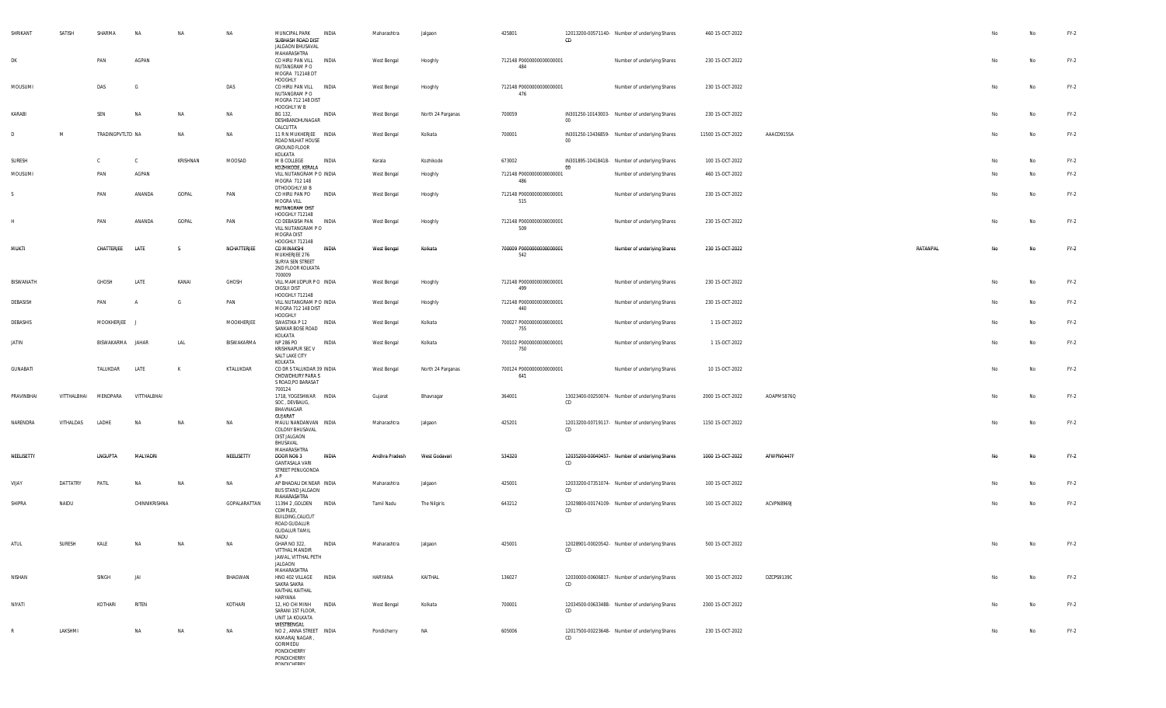| SHRIKANT<br>DK | SATISH      | SHARMA<br>PAN    | NA<br>AGPAN   | NA        | NA           | INDIA<br>MUNCIPAL PARK<br>SUBHASH ROAD DIST<br>JALGAON BHUSAVAL<br>MAHARASHTRA<br>CO HIRU PAN VILL<br>INDIA<br>NUTANGRAM PO      | Maharashtra<br>West Bengal | Jalgaon<br>Hooghly | 425801<br>712148 P0000000000000001<br>484 | CD     | 12013200-00571140- Number of underlying Shares<br>Number of underlying Shares | 460 15-OCT-2022<br>230 15-OCT-2022 |            |          | No<br>No  | No<br><b>No</b> | $FY-2$<br>$FY-2$ |
|----------------|-------------|------------------|---------------|-----------|--------------|----------------------------------------------------------------------------------------------------------------------------------|----------------------------|--------------------|-------------------------------------------|--------|-------------------------------------------------------------------------------|------------------------------------|------------|----------|-----------|-----------------|------------------|
| MOUSUMI        |             | DAS              | G             |           | DAS          | MOGRA 712148 DT<br>HOOGHLY<br>INDIA<br>CO HIRU PAN VILL<br>NUTANGRAM P O                                                         | West Bengal                | Hooghly            | 712148 P0000000000000001<br>476           |        | Number of underlying Shares                                                   | 230 15-OCT-2022                    |            |          | No        | No              | $FY-2$           |
| KARABI         |             | SEN              | <b>NA</b>     | <b>NA</b> | NA           | MOGRA 712 148 DIST<br>HOOGHLY W B<br>BG 132,<br>INDIA                                                                            | West Bengal                | North 24 Parganas  | 700059                                    |        | IN301250-10143003- Number of underlying Shares                                | 230 15-OCT-2022                    |            |          | No        | <b>No</b>       | $FY-2$           |
| D              | M           | TRADINGPVTLTD NA |               | NA        | NA           | DESHBANDHUNAGAR<br>CALCUTTA<br>11 R N MUKHERJEE INDIA                                                                            | West Bengal                | Kolkata            | 700001                                    | 00     | IN301250-13436859- Number of underlying Shares                                | 11500 15-OCT-2022                  | AAACD9155A |          | No        | No              | $FY-2$           |
|                |             |                  |               |           |              | ROAD NILHAT HOUSE<br><b>GROUND FLOOR</b><br>KOLKATA                                                                              |                            |                    |                                           | $00\,$ |                                                                               |                                    |            |          |           |                 |                  |
| SURESH         |             | C                | - C           | KRISHNAN  | MOOSAD       | M B COLLEGE<br>INDIA<br>KOZHIKODE, KERALA                                                                                        | Kerala                     | Kozhikode          | 673002                                    | $00\,$ | IN301895-10418418- Number of underlying Shares                                | 100 15-OCT-2022                    |            |          | No        | No              | $FY-2$           |
| MOUSUMI        |             | PAN              | AGPAN         |           |              | VILL NUTANGRAM P O INDIA<br>MOGRA 712 148<br>DTHOOGHLY, W B                                                                      | West Bengal                | Hooghly            | 712148 P0000000000000001<br>486           |        | Number of underlying Shares                                                   | 460 15-OCT-2022                    |            |          | No        | <b>No</b>       | $FY-2$           |
| S.             |             | PAN              | ANANDA        | GOPAL     | PAN          | CO HIRU PAN PO<br>INDIA<br>MOGRA VILL<br>NUTANGRAM DIST                                                                          | West Bengal                | Hooghly            | 712148 P0000000000000001<br>515           |        | Number of underlying Shares                                                   | 230 15-OCT-2022                    |            |          | No        | No              | $FY-2$           |
| Н              |             | PAN              | ANANDA        | GOPAL     | PAN          | HOOGHLY 712148<br>CO DEBASISH PAN INDIA<br>VILL NUTANGRAM PO<br>MOGRA DIST                                                       | West Bengal                | Hooghly            | 712148 P0000000000000001<br>509           |        | Number of underlying Shares                                                   | 230 15-OCT-2022                    |            |          | No        | No              | $FY-2$           |
| <b>MUKTI</b>   |             | CHATTERJEE       | LATE          | -S        | NCHATTERJEE  | HOOGHLY 712148<br>CO MINAKSHI<br><b>INDIA</b><br>MUKHERJEE 276<br>SURYA SEN STREET<br>2ND FLOOR KOLKATA                          | West Bengal                | Kolkata            | 700009 P00000000000000001<br>542          |        | Number of underlying Shares                                                   | 230 15-OCT-2022                    |            | RATANPAL | No        | No              | $FY-2$           |
| BISWANATH      |             | GHOSH            | LATE          | KANAI     | GHOSH        | 700009<br>VILL MAMUDPUR PO INDIA<br>DIGSUI DIST                                                                                  | West Bengal                | Hooghly            | 712148 P0000000000000001<br>499           |        | Number of underlying Shares                                                   | 230 15-OCT-2022                    |            |          | No        | No              | $FY-2$           |
| DEBASISH       |             | PAN              | A             | G         | PAN          | HOOGHLY 712148<br>VILL NUTANGRAM P O INDIA<br>MOGRA 712 148 DIST<br>HOOGHLY                                                      | West Bengal                | Hooghly            | 712148 P0000000000000001<br>440           |        | Number of underlying Shares                                                   | 230 15-OCT-2022                    |            |          | No        | No              | $FY-2$           |
| DEBASHIS       |             | MOOKHERJEE J     |               |           | MOOKHERJEE   | SWASTIKA P 12<br>INDIA<br>SANKAR BOSE ROAD<br>KOLKATA                                                                            | West Bengal                | Kolkata            | 700027 P0000000000000001<br>755           |        | Number of underlying Shares                                                   | 1 15-OCT-2022                      |            |          | No        | No              | $FY-2$           |
| JATIN          |             | BISWAKARMA JAHAR |               | LAL       | BISWAKARMA   | NP 286 PO<br>INDIA<br>KRISHNAPUR SEC V<br>SALT LAKE CITY                                                                         | West Bengal                | Kolkata            | 700102 P0000000000000001<br>750           |        | Number of underlying Shares                                                   | 1 15-OCT-2022                      |            |          | No        | No              | $FY-2$           |
| GUNABATI       |             | TALUKDAR         | LATE          | K         | KTALUKDAR    | KOLKATA<br>CO DR S TALUKDAR 39 INDIA<br><b>CHOWDHURY PARA S</b><br>S ROAD, PO BARASAT                                            | West Bengal                | North 24 Parganas  | 700124 P0000000000000001<br>641           |        | Number of underlying Shares                                                   | 10 15-OCT-2022                     |            |          | No        | No              | $FY-2$           |
| PRAVINBHAI     | VITTHALBHAI | MENDPARA         | VITTHALBHAI   |           |              | 700124<br>1718, YOGESHWAR INDIA<br>SOC, DEVBAUG,<br>BHAVNAGAR                                                                    | Gujarat                    | Bhavnagar          | 364001                                    | CD     | 13023400-00250074- Number of underlying Shares                                | 2000 15-OCT-2022                   | AOAPM5876Q |          | No        | No              | $FY-2$           |
| NARENDRA       | VITHALDAS   | LADHE            | <b>NA</b>     | <b>NA</b> | NA           | <b>GUJARAT</b><br>MAULI NANDANVAN INDIA<br>COLONY BHUSAVAL<br>DIST JALGAON<br>BHUSAVAL                                           | Maharashtra                | Jalgaon            | 425201                                    | CD     | 12013200-00719117- Number of underlying Shares                                | 1150 15-OCT-2022                   |            |          | No        | No              | $FY-2$           |
| NEELISETTY     |             | LNGUPTA          | MALYADRI      |           | NEELISETTY   | MAHARASHTRA<br><b>INDIA</b><br>DOOR NO6 3<br><b>GANTASALA VARI</b><br>STREET PENUGONDA                                           | Andhra Pradesh             | West Godavari      | 534320                                    | CD     | 12035200-00040457- Number of underlying Shares                                | 1000 15-OCT-2022                   | AFWPN0447F |          | <b>No</b> | No              | $FY-2$           |
| VIJAY          | DATTATRY    | PATIL            | <b>NA</b>     | <b>NA</b> | NA           | AP<br>AP BHADALI DK NEAR INDIA<br><b>BUS STAND JALGAON</b>                                                                       | Maharashtra                | Jalgaon            | 425001                                    | CD     | 12033200-07351074- Number of underlying Shares                                | 100 15-OCT-2022                    |            |          | No        | <b>No</b>       | $FY-2$           |
| SHIPRA         | NAIDU       |                  | CHINNIKRISHNA |           | GOPALARATTAN | MAHARASHTRA<br>11394 2 , GOLDEN<br><b>INDIA</b><br>COMPLEX,<br>BUILDING, CALICUT<br>ROAD GUDALUR<br><b>GUDALUR TAMIL</b><br>NADU | Tamil Nadu                 | The Nilgiris       | 643212                                    | CD     | 12029800-00174109- Number of underlying Shares                                | 100 15-OCT-2022                    | ACVPN8969J |          | No        | No              | $FY-2$           |
| ATUL           | SURESH      | KALE             | NA            | <b>NA</b> | <b>NA</b>    | GHAR NO 322,<br>INDIA<br>VITTHAL MANDIR<br>JAWAL, VITTHAL PETH<br>JALGAON<br>MAHARASHTRA                                         | Maharashtra                | Jalgaon            | 425001                                    | CD     | 12028901-00020542- Number of underlying Shares                                | 500 15-OCT-2022                    |            |          |           | <b>No</b>       | $FY-2$           |
| NISHAN         |             | SINGH            | JAI           |           | BHAGWAN      | HNO 402 VILLAGE INDIA<br>SAKRA SAKRA<br>KAITHAL KAITHAL                                                                          | HARYANA                    | KAITHAL            | 136027                                    | CD     | 12030000-00606817- Number of underlying Shares                                | 300 15-OCT-2022                    | DZCPS9139C |          | No        | No              | $FY-2$           |
| NIYATI         |             | KOTHARI          | RITEN         |           | KOTHARI      | HARYANA<br>12, HO CHI MINH<br>INDIA<br>SARANI 1ST FLOOR,<br>UNIT 1A KOLKATA                                                      | West Bengal                | Kolkata            | 700001                                    | CD     | 12034500-00633488- Number of underlying Shares                                | 2300 15-OCT-2022                   |            |          | No        | No              | $FY-2$           |
| R              | LAKSHMI     |                  | <b>NA</b>     | NA        | NA           | WESTBENGAL<br>NO 2, ANNA STREET INDIA<br>KAMARAJ NAGAR,<br>GORIMEDU<br>PONDICHERRY<br>PONDICHERRY<br><b>DOMINICUEDDV</b>         | Pondicherry                | NA                 | 605006                                    | CD     | 12017500-00223648- Number of underlying Shares                                | 230 15-OCT-2022                    |            |          | No        | No              | $FY-2$           |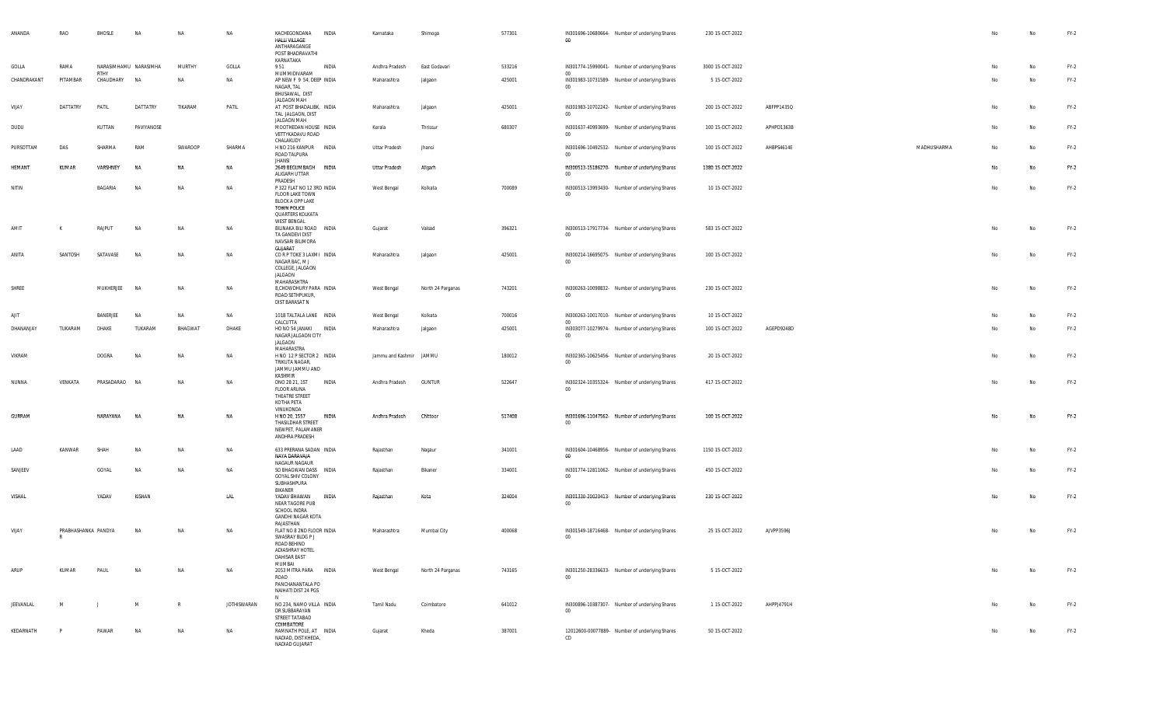| ANANDA          | RAO                      | BHOSLE                               | NA         | NA        | NA                 | KACHEGONDANA<br>HALLI VILLAGE<br>ANTHARAGANGE<br>POST BHADRAVATHI<br>KARNATAKA                            | INDIA        | Karnataka                    | Shimoga            | 577301 | IN301696-10680664- Number of underlying Shares<br>$00\,$                                                   | 230 15-OCT-2022                    |            |             | No       | No       | $FY-2$           |
|-----------------|--------------------------|--------------------------------------|------------|-----------|--------------------|-----------------------------------------------------------------------------------------------------------|--------------|------------------------------|--------------------|--------|------------------------------------------------------------------------------------------------------------|------------------------------------|------------|-------------|----------|----------|------------------|
| GOLLA           | RAMA                     | NARASIMHAMU NARASIMHA<br><b>RTHY</b> |            | MURTHY    | GOLLA              | 951                                                                                                       | INDIA        | Andhra Pradesh               | East Godavari      | 533216 | IN301774-15990041- Number of underlying Shares<br>00 <sup>1</sup>                                          | 3000 15-OCT-2022                   |            |             | No       | No       | $FY-2$           |
| CHANDRAKANT     | PITAMBAR                 | CHAUDHARY                            | <b>NA</b>  | NA        | NA                 | MUMMIDIVARAM<br>AP NEW F 9 54, DEEP INDIA<br>NAGAR, TAL<br>BHUSAWAL, DIST<br>JALGAON MAH                  |              | Maharashtra                  | Jalgaon            | 425001 | IN301983-10731589- Number of underlying Shares<br>$00\,$                                                   | 5 15-OCT-2022                      |            |             | No       | No       | $FY-2$           |
| VIJAY           | DATTATRY                 | PATIL                                | DATTATRY   | TIKARAM   | PATIL              | AT POST BHADALIBK, INDIA<br>TAL JALGAON, DIST<br>JALGAON MAH                                              |              | Maharashtra                  | Jalgaon            | 425001 | IN301983-10702242- Number of underlying Shares<br>00                                                       | 200 15-OCT-2022                    | ABFPP1435Q |             | No       | No       | $FY-2$           |
| DUDU            |                          | KUTTAN                               | PAVIYANOSE |           |                    | MOOTHEDAN HOUSE INDIA<br>VETTYKADAVU ROAD<br>CHALAKUDY                                                    |              | Kerala                       | Thrissur           | 680307 | IN301637-40993699- Number of underlying Shares<br>$00\,$                                                   | 100 15-OCT-2022                    | APHPD1363B |             | No       | No       | $FY-2$           |
| PURSOTTAM       | DAS                      | SHARMA                               | RAM        | SWAROOP   | SHARMA<br>NA       | H NO 216 KANPUR INDIA<br>ROAD TALPURA<br><b>JHANSI</b><br>2649 BEGUMBAGH INDIA                            |              | <b>Uttar Pradesh</b>         | Jhansi             |        | IN301696-10492532- Number of underlying Shares<br>$00\,$<br>IN300513-15186270- Number of underlying Shares | 100 15-OCT-2022                    | AHBPS4614E | MADHUSHARMA | No       | No       | $FY-2$           |
| HEMANT<br>NITIN | KUMAR                    | VARSHNEY<br>BAGARIA                  | NA<br>NA   | NA<br>NA  | NA                 | ALIGARH UTTAR<br>PRADESH<br>P 322 FLAT NO 12 3RD INDIA                                                    |              | Uttar Pradesh<br>West Bengal | Aligarh<br>Kolkata | 700089 | $00\,$<br>IN300513-13993430- Number of underlying Shares                                                   | 1380 15-OCT-2022<br>10 15-OCT-2022 |            |             | No<br>No | No<br>No | $FY-2$<br>$FY-2$ |
|                 |                          |                                      |            |           |                    | FLOOR LAKE TOWN<br><b>BLOCK A OPP LAKE</b><br>TOWN POLICE<br>QUARTERS KOLKATA<br>WEST BENGAL              |              |                              |                    |        | $00\,$                                                                                                     |                                    |            |             |          |          |                  |
| AMIT            | К                        | RAJPUT                               | NA         | NA        | NA                 | BILINAKA BILI ROAD INDIA<br>TA GANDEVI DIST<br>NAVSARI BILIMORA<br>GUJARAT                                |              | Gujarat                      | Valsad             | 396321 | IN300513-17917734- Number of underlying Shares<br>$00\,$                                                   | 583 15-OCT-2022                    |            |             | No       | No       | $FY-2$           |
| ANITA           | SANTOSH                  | SATAVASE                             | NA         | NA        | <b>NA</b>          | CORP TOKE 3 LAXMI INDIA<br>NAGAR BAC, M J<br>COLLEGE, JALGAON<br>JALGAON<br>MAHARASHTRA                   |              | Maharashtra                  | Jalgaon            | 425001 | IN300214-16695075- Number of underlying Shares<br>$00\,$                                                   | 100 15-OCT-2022                    |            |             | No       | No       | $FY-2$           |
| SHREE           |                          | MUKHERJEE                            | <b>NA</b>  | NA        | NA                 | 8, CHOWDHURY PARA INDIA<br>ROAD SETHPUKUR,<br>DIST BARASAT N                                              |              | West Bengal                  | North 24 Parganas  | 743201 | IN300263-10098832- Number of underlying Shares<br>$00\,$                                                   | 230 15-OCT-2022                    |            |             | No       | No       | $FY-2$           |
| AJIT            |                          | BANERJEE                             | NA         | NA        | NA                 | 101B TALTALA LANE INDIA<br>CALCUTTA                                                                       |              | West Bengal                  | Kolkata            | 700016 | IN300263-10017010- Number of underlying Shares<br>$00\degree$                                              | 10 15-OCT-2022                     |            |             | No       | No       | $FY-2$           |
| DHANANJAY       | TUKARAM                  | DHAKE                                | TUKARAM    | BHAGWAT   | DHAKE              | HO NO 54 JANAKI<br>NAGAR JALGAON CITY<br>JALGAON<br>MAHARASTRA                                            | <b>INDIA</b> | Maharashtra                  | Jalgaon            | 425001 | IN303077-10279974- Number of underlying Shares<br>$00\,$                                                   | 100 15-OCT-2022                    | AGEPD9248D |             | No       | No       | $FY-2$           |
| VIKRAM          |                          | DOGRA                                | <b>NA</b>  | NA        | NA                 | H NO 12 P SECTOR 2 INDIA<br>TRIKUTA NAGAR,<br>JAMMU JAMMU AND<br>KASHMIR                                  |              | Jammu and Kashmir JAMMU      |                    | 180012 | IN302365-10625456- Number of underlying Shares<br>$00\,$                                                   | 20 15-OCT-2022                     |            |             | No       | No       | $FY-2$           |
| NUNNA           | VENKATA                  | PRASADARAO                           | <b>NA</b>  | NA        | <b>NA</b>          | DNO 28 21, 1ST<br><b>FLOOR ARUNA</b><br>THEATRE STREET<br>KOTHA PETA<br>VINUKONDA                         | INDIA        | Andhra Pradesh               | <b>GUNTUR</b>      | 522647 | IN302324-10355324- Number of underlying Shares<br>$00\,$                                                   | 417 15-OCT-2022                    |            |             | No       | No       | $FY-2$           |
| <b>GURRAM</b>   |                          | NARAYANA                             | NA         | NA        | NA                 | H NO 20, 1557<br>THASILDHAR STREET<br>NEWPET, PALAMANER<br>ANDHRA PRADESH                                 | INDIA        | Andhra Pradesh               | Chittoor           | 517408 | IN301696-11047562- Number of underlying Shares<br>$00\,$                                                   | 100 15-OCT-2022                    |            |             | No       | No       | $FY-2$           |
| LAAD            | KANWAR                   | SHAH                                 | <b>NA</b>  | NA        | NA                 | 633 PRERANA SADAN INDIA<br>NAYA DARAVAJA<br>NAGAUR NAGAUR                                                 |              | Rajasthan                    | Nagaur             | 341001 | IN301604-10468956- Number of underlying Shares<br>00                                                       | 1150 15-OCT-2022                   |            |             | No       | No       | $FY-2$           |
| SANJEEV         |                          | GOYAL                                | <b>NA</b>  | NA        | <b>NA</b>          | SO BHAGWAN DASS INDIA<br>GOYAL SHIV COLONY<br>SUBHASHPURA<br>BIKANER                                      |              | Rajasthan                    | Bikaner            | 334001 | IN301774-12811062- Number of underlying Shares<br>$00\,$                                                   | 450 15-OCT-2022                    |            |             | No       | No       | $FY-2$           |
| VISHAL          |                          | YADAV                                | KISHAN     |           | LAL                | YADAV BHAWAN<br>NEAR TAGORE PUB<br>SCHOOL INDRA<br><b>GANDHI NAGAR KOTA</b><br>RAJASTHAN                  | INDIA        | Rajasthan                    | Kota               | 324004 | IN301330-20020413- Number of underlying Shares<br>00                                                       | 230 15-OCT-2022                    |            |             | No       | No       | $FY-2$           |
| VIJAY           | PRABHASHANKA PANDYA<br>R |                                      | <b>NA</b>  | <b>NA</b> | NA                 | FLAT NO 8 2ND FLOOR INDIA<br>SWASRAY BLDG P J<br>ROAD BEHIND<br>ADIASHRAY HOTEL<br>DAHISAR EAST<br>MUMBAI |              | Maharashtra                  | Mumbai City        | 400068 | IN301549-18716468- Number of underlying Shares<br>00 <sup>1</sup>                                          | 25 15-OCT-2022                     | AJVPP3596J |             |          | No       | $FY-2$           |
| ARUP            | KUMAR                    | PAUL                                 | NA         | NA        | NA                 | 2053 MITRA PARA INDIA<br>ROAD<br>PANCHANANTALA PO<br>NAIHATI DIST 24 PGS<br>N                             |              | West Bengal                  | North 24 Parganas  | 743165 | IN301250-28336633- Number of underlying Shares<br>$_{00}$                                                  | 5 15-OCT-2022                      |            |             | No       | No       | $FY-2$           |
| JEEVANLAL       | M                        | $\perp$                              | M          | R         | <b>JOTHISWARAN</b> | NO 234, NAMO VILLA INDIA<br>DR SUBBARAYAN<br>STREET TATABAD<br>COIMBATORE                                 |              | Tamil Nadu                   | Coimbatore         | 641012 | IN300896-10387307- Number of underlying Shares<br>00                                                       | 1 15-OCT-2022                      | AHPPJ4791H |             | No       | No       | $FY-2$           |
| KEDARNATH       | P                        | PAWAR                                | NA         | NA        | NA                 | RAMNATH POLE, AT INDIA<br>NADIAD, DIST KHEDA,<br>NADIAD GUJARAT                                           |              | Gujarat                      | Kheda              | 387001 | 12012600-00077889- Number of underlying Shares<br>CD                                                       | 50 15-OCT-2022                     |            |             | No       | No       | $FY-2$           |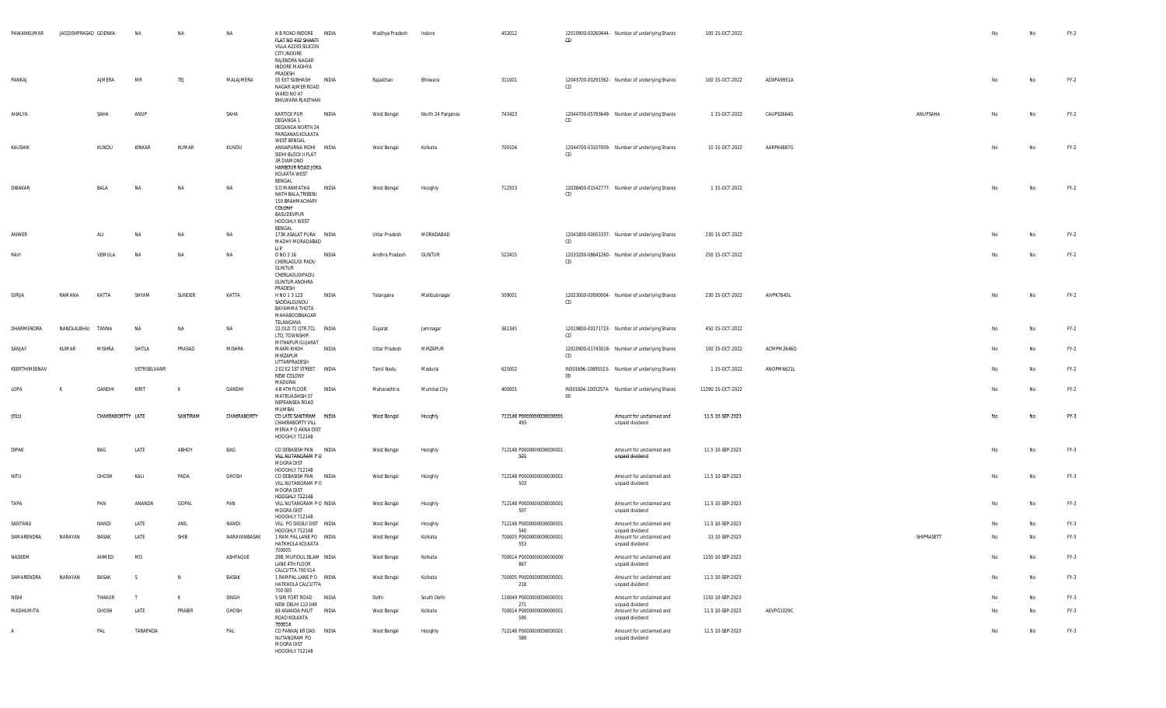| PAWANKUMAR    | JAGDISHPRASAD GOENKA |                   | <b>NA</b>    | NA       | NA           | A B ROAD INDORE INDIA<br>FLAT NO 402 SHANTI<br>VILLA A2293, SILICON<br>CITY, INDORE<br>RAJENDRA NAGAR<br><b>INDORE MADHYA</b><br>PRADESH |       | Madhya Pradesh | Indore            | 452012                          | CD     | 12010900-00260444- Number of underlying Shares | 100 15-OCT-2022   |            |            | No | No        | $FY-2$ |
|---------------|----------------------|-------------------|--------------|----------|--------------|------------------------------------------------------------------------------------------------------------------------------------------|-------|----------------|-------------------|---------------------------------|--------|------------------------------------------------|-------------------|------------|------------|----|-----------|--------|
| PANKAJ        |                      | AJMERA            | MR           | TEJ      | MALAJMERA    | 55 EXT SUBHASH INDIA<br>NAGAR AJMER ROAD<br>WARD NO 47<br>BHILWARA RJASTHAN                                                              |       | Rajasthan      | Bhilwara          | 311001                          | CD     | 12043700-00291362- Number of underlying Shares | 100 15-OCT-2022   | ADXPA9951A |            | No | No        | $FY-2$ |
| AHALYA        |                      | SAHA              | ANUP         |          | SAHA         | <b>KARTICK PUR</b><br>DEGANGA 1<br>DEGANGA NORTH 24<br>PARGANAS KOLKATA<br><b>WEST BENGAL</b>                                            | INDIA | West Bengal    | North 24 Parganas | 743423                          | CD     | 12044700-05793649- Number of underlying Shares | 1 15-OCT-2022     | CAUPS2664G | ANUPSAHA   | No | No        | $FY-2$ |
| KAUSHIK       |                      | KUNDU             | KINKAR       | KUMAR    | KUNDU        | ANNAPURNA RIDHI INDIA<br>SIDHI BLOCK II FLAT<br>3R DIAMOND<br>HARBOUR ROAD JOKA<br>KOLKATA WEST<br>BENGAL                                |       | West Bengal    | Kolkata           | 700104                          | CD     | 12044700-03107009- Number of underlying Shares | 10 15-OCT-2022    | AARPK4887G |            | No | <b>No</b> | $FY-2$ |
| DIBAKAR       |                      | BALA              | NA           | NA       | NA           | S O MANMATHA<br>NATH BALA, TRIBENI<br>150 BRAHMACHARY<br>COLONY<br>BASUDEVPUR<br>HOOGHLY WEST                                            | INDIA | West Bengal    | Hooghly           | 712503                          | CD     | 12038400-01542777- Number of underlying Shares | 1 15-OCT-2022     |            |            | No | No        | $FY-2$ |
| ANWER         |                      | ALI               | <b>NA</b>    | NA       | NA           | BENGAL<br>173K ASALAT PURA INDIA<br>MADHY MORADABAD<br>U P                                                                               |       | Uttar Pradesh  | MORADABAD         |                                 | CD     | 12041800-00053337- Number of underlying Shares | 230 15-OCT-2022   |            |            | No | No        | $FY-2$ |
| RAVI          |                      | VEMULA            | NA           | NA       | NA           | D NO 3 16<br>CHERLAGUDI PADU<br><b>GUNTUR</b><br>CHERLAGUDIPADU<br><b>GUNTUR ANDHRA</b><br>PRADESH                                       | INDIA | Andhra Pradesh | GUNTUR            | 522415                          | CD.    | 12033200-08641260- Number of underlying Shares | 250 15-OCT-2022   |            |            | No | No        | $FY-2$ |
| GIRIJA        | RAMANA               | KATTA             | SHYAM        | SUNDER   | KATTA        | H NO 1 3 123<br>SADDALGUNDU<br>BAYAMMA THOTA<br>MAHABOOBNAGAR<br>TELANGANA                                                               | INDIA | Telangana      | Mahbubnagar       | 509001                          | CD     | 12023000-00590004- Number of underlying Shares | 230 15-OCT-2022   | AIVPK7645L |            | No | <b>No</b> | $FY-2$ |
| DHARMENDRA    | NANDLALBHAI          | TANNA             | <b>NA</b>    | NA       | NA           | 22, OLD 72 QTR, TCL INDIA<br>LTD, TOWNSHIP,<br>MITHAPUR GUJARAT                                                                          |       | Gujarat        | Jamnagar          | 361345                          | CD     | 12019800-00171723- Number of underlying Shares | 450 15-OCT-2022   |            |            | No | No        | $FY-2$ |
| SANJAY        | KUMAR                | <b>MISHRA</b>     | SHITLA       | PRASAD   | MISHRA       | <b>MAKRI KHOH</b><br>MIRZAPUR<br>UTTARPRADESH                                                                                            | INDIA | Uttar Pradesh  | MIRZAPUR          |                                 | CD     | 12010900-01743019- Number of underlying Shares | 100 15-OCT-2022   | ACMPM2646Q |            | No | No        | $FY-2$ |
| KEERTHIMEENAV |                      |                   | VETRISELVANR |          |              | 2 E2 E2 1ST STREET INDIA<br>NEW COLONY<br>MADURAI                                                                                        |       | Tamil Nadu     | Madurai           | 625002                          | 00     | IN301696-10895523- Number of underlying Shares | 1 15-OCT-2022     | ANOPM6621L |            | No | No        | $FY-2$ |
| LOPA          |                      | GANDHI            | <b>KIRIT</b> | K        | GANDHI       | 4 B 4TH FLOOR<br>MATRUASHISH 37<br>NEPEANSEA ROAD<br>MUMBAI                                                                              | INDIA | Maharashtra    | Mumbai City       | 400001                          | $00\,$ | IN301604-10052574- Number of underlying Shares | 11390 15-OCT-2022 |            |            | No | No        | $FY-2$ |
| JOLU          |                      | CHAKRABORTTY LATE |              | SANTIRAM | CHAKRABORTY  | CO LATE SANTIRAM INDIA<br>CHAKRABORTY VILL<br>MERIA P O AKNA DIST<br>HOOGHLY 712148                                                      |       | West Bengal    | Hooghly           | 712148 P0000000000000001<br>493 |        | Amount for unclaimed and<br>unpaid dividend    | 11.5 10-SEP-2023  |            |            | No | No        | FY-3   |
| <b>DIPAK</b>  |                      | BAG               | LATE         | ABHOY    | BAG          | CO DEBASISH PAN INDIA<br>VILL NUTANGRAM PO<br>MOGRA DIST<br>HOOGHLY 712148                                                               |       | West Bengal    | Hooghly           | 712148 P0000000000000001<br>501 |        | Amount for unclaimed and<br>unpaid dividend    | 11.5 10-SEP-2023  |            |            | No | No        | $FY-3$ |
| NITU          |                      | GHOSH             | Kali         | PADA     | GHOSH        | CO DEBASISH PAN INDIA<br>VILL NUTANGRAM PO<br>MOGRA DIST<br>HOOGHLY 712148                                                               |       | West Bengal    | Hooghly           | 712148 P0000000000000001<br>503 |        | Amount for unclaimed and<br>unpaid dividend    | 11.5 10-SEP-2023  |            |            | No | No        | FY-3   |
| TAPA          |                      | PAN               | ANANDA       | GOPAL    | PAN          | VILL NUTANGRAM P O INDIA<br>MOGRA DIST<br>HOOGHLY 712148                                                                                 |       | West Bengal    | Hooghly           | 712148 P0000000000000001<br>507 |        | Amount for unclaimed and<br>unpaid dividend    | 11.5 10-SEP-2023  |            |            | No | No        | FY-3   |
| SANTANU       |                      | NANDI             | LATE         | ANIL     | NANDI        | VILL PO DIGSUI DIST INDIA<br>HOOGHLY 712148                                                                                              |       | West Bengal    | Hooghly           | 712148 P0000000000000001<br>540 |        | Amount for unclaimed and<br>unpaid dividend    | 11.5 10-SEP-2023  |            |            |    | No        | FY-3   |
| SAMARENDRA    | NARAYAN              | BASAK             | LATE         | SHIB     | NARAYANBASAK | 1 RAM PAL LANE PO INDIA<br>HATKHOLA KOLKATA<br>700005                                                                                    |       | West Bengal    | Kolkata           | 700005 P0000000000000001<br>553 |        | Amount for unclaimed and<br>unpaid dividend    | 23 10-SEP-2023    |            | SHIPRASETT | No | <b>No</b> | $FY-3$ |
| NADEEM        |                      | AHMED             | MD           |          | ASHFAQUE     | 29B, MUFIDUL ISLAM INDIA<br>LANE 4TH FLOOR<br>CALCUTTA 700 014                                                                           |       | West Bengal    | Kolkata           | 700014 P0000000000000000<br>867 |        | Amount for unclaimed and<br>unpaid dividend    | 1150 10-SEP-2023  |            |            |    | No        | FY-3   |
| SAMARENDRA    | NARAYAN              | BASAK             | S.           | N        | BASAK        | 1 RAMPAL LANE PO INDIA<br>HATKHOLA CALCUTTA<br>700 005                                                                                   |       | West Bengal    | Kolkata           | 700005 P0000000000000001<br>218 |        | Amount for unclaimed and<br>unpaid dividend    | 11.5 10-SEP-2023  |            |            | No | No        | FY-3   |
| <b>NISHI</b>  |                      | THAKUR            | T            | K        | SINGH        | 5 SIRI FORT ROAD INDIA<br>NEW DELHI 110 049                                                                                              |       | Delhi          | South Delhi       | 110049 P0000000000000001<br>271 |        | Amount for unclaimed and<br>unpaid dividend    | 1150 10-SEP-2023  |            |            | No | No        | FY-3   |
| MADHUMITA     |                      | GHOSH             | LATE         | PRABIR   | GHOSH        | 69 ANANDA PALIT INDIA<br>ROAD KOLKATA<br>700014                                                                                          |       | West Bengal    | Kolkata           | 700014 P0000000000000001<br>590 |        | Amount for unclaimed and<br>unpaid dividend    | 11.5 10-SEP-2023  | AEVPG1029C |            | No | No        | FY-3   |
| A             |                      | PAL               | TARAPADA     |          | PAL          | CO PANKAJ KR DAS INDIA<br>NUTANGRAM PO<br>MOGRA DIST<br>HOOGHLY 712148                                                                   |       | West Bengal    | Hooghly           | 712148 P0000000000000001<br>589 |        | Amount for unclaimed and<br>unpaid dividend    | 11.5 10-SEP-2023  |            |            | No | No        | $FY-3$ |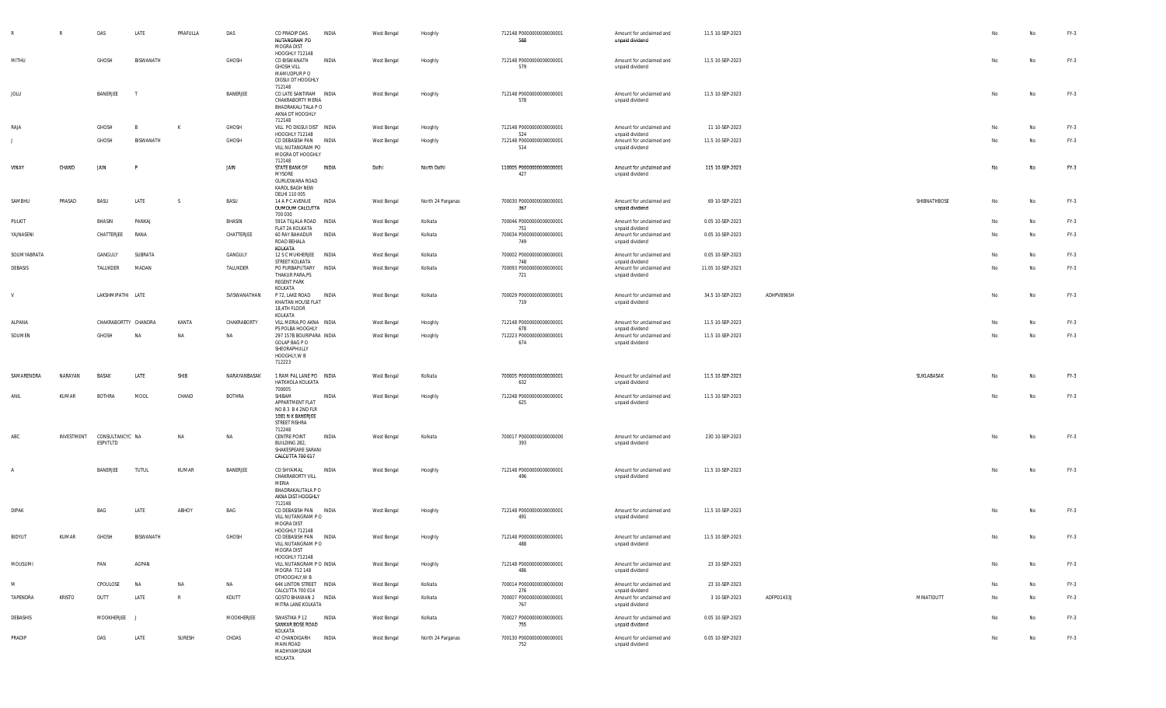|             | R             | DAS                         | LATE                     | PRAFULLA | DAS           | CO PRADIP DAS<br>NUTANGRAM PO<br>MOGRA DIST                                                       | INDIA        | West Bengal        | Hooghly           | 712148 P0000000000000001<br>588        | Amount for unclaimed and<br>unpaid dividend                    | 11.5 10-SEP-2023  |            |              |    | No | FY-3   |
|-------------|---------------|-----------------------------|--------------------------|----------|---------------|---------------------------------------------------------------------------------------------------|--------------|--------------------|-------------------|----------------------------------------|----------------------------------------------------------------|-------------------|------------|--------------|----|----|--------|
| MITHU       |               | GHOSH                       | BISWANATH                |          | GHOSH         | HOOGHLY 712148<br>CO BISWANATH<br><b>GHOSH VILL</b><br>MAMUDPUR PO<br>DIGSUI DT HOOGHLY<br>712148 | INDIA        | West Bengal        | Hooghly           | 712148 P0000000000000001<br>579        | Amount for unclaimed and<br>unpaid dividend                    | 11.5 10-SEP-2023  |            |              | No | No | FY-3   |
| JOLU        |               | BANERJEE                    | T                        |          | BANERJEE      | CO LATE SANTIRAM INDIA<br>CHAKRABORTY MERIA<br>BHADRAKALI TALA P O<br>AKNA DT HOOGHLY<br>712148   |              | West Bengal        | Hooghly           | 712148 P0000000000000001<br>578        | Amount for unclaimed and<br>unpaid dividend                    | 11.5 10-SEP-2023  |            |              | No | No | FY-3   |
| RAJA        |               | GHOSH                       |                          | K        | GHOSH         | VILL PO DIGSUI DIST INDIA                                                                         |              | West Bengal        | Hooghly           | 712148 P0000000000000001               | Amount for unclaimed and                                       | 11 10-SEP-2023    |            |              | No | No | FY-3   |
|             |               | GHOSH                       | BISWANATH                |          | GHOSH         | HOOGHLY 712148<br>CO DEBASISH PAN INDIA<br>VILL NUTANGRAM PO<br>MOGRA DT HOOGHLY<br>712148        |              | West Bengal        | Hooghly           | 524<br>712148 P0000000000000001<br>514 | unpaid dividend<br>Amount for unclaimed and<br>unpaid dividend | 11.5 10-SEP-2023  |            |              | No | No | FY-3   |
| VINAY       | CHAND         | JAIN                        |                          |          | JAIN          | STATE BANK OF<br><b>MYSORE</b><br>GURUDWARA ROAD<br>KAROL BAGH NEW<br>DELHI 110 005               | INDIA        | Delhi              | North Delhi       | 110005 P0000000000000001<br>427        | Amount for unclaimed and<br>unpaid dividend                    | 115 10-SEP-2023   |            |              | No | No | $FY-3$ |
| SAMBHU      | PRASAD        | BASU                        | LATE                     | - S      | BASU          | 14 A P C AVENUE INDIA<br>DUMDUM CALCUTTA<br>700 030                                               |              | West Bengal        | North 24 Parganas | 700030 P0000000000000001<br>367        | Amount for unclaimed and<br>unpaid dividend                    | 69 10-SEP-2023    |            | SHIBNATHBOSE | No | No | $FY-3$ |
| PULKIT      |               | BHASIN                      | PANKAJ                   |          | BHASIN        | 591A TILJALA ROAD INDIA<br>FLAT 2A KOLKATA                                                        |              | West Bengal        | Kolkata           | 700046 P0000000000000001<br>751        | Amount for unclaimed and<br>unpaid dividend                    | 0.05 10-SEP-2023  |            |              | No | No | $FY-3$ |
| YAJNASENI   |               | CHATTERJEE                  | RANA                     |          | CHATTERJEE    | 60 RAY BAHADUR<br>ROAD BEHALA<br>KOLKATA                                                          | <b>INDIA</b> | West Bengal        | Kolkata           | 700034 P0000000000000001<br>749        | Amount for unclaimed and<br>unpaid dividend                    | 0.05 10-SEP-2023  |            |              | No | No | $FY-3$ |
| SOUMYABRATA |               | GANGULY                     | SUBRATA                  |          | GANGULY       | 12 S C MUKHERJEE                                                                                  | <b>INDIA</b> | West Bengal        | Kolkata           | 700002 P0000000000000001               | Amount for unclaimed and                                       | 0.05 10-SEP-2023  |            |              | No | No | FY-3   |
| DEBASIS     |               | TALUKDER                    | MADAN                    |          | TALUKDER      | STREET KOLKATA<br>PO PURBAPUTIARY<br>THAKUR PARA, PS<br>REGENT PARK                               | <b>INDIA</b> | West Bengal        | Kolkata           | 748<br>700093 P0000000000000001<br>721 | unpaid dividend<br>Amount for unclaimed and<br>unpaid dividend | 11.05 10-SEP-2023 |            |              | No | No | $FY-3$ |
| V           |               | LAKSHMIPATHI LATE           |                          |          | SVISWANATHAN  | KOLKATA<br>P 72, LAKE ROAD<br>KHAITAN HOUSE FLAT<br>18,4TH FLOOR<br>KOLKATA                       | <b>INDIA</b> | West Bengal        | Kolkata           | 700029 P00000000000000001<br>719       | Amount for unclaimed and<br>unpaid dividend                    | 34.5 10-SEP-2023  | ADHPV8965H |              | No | No | FY-3   |
| ALPANA      |               | CHAKRABORTTY CHANDRA        |                          | KANTA    | CHAKRABORTY   | VILL MERIA, PO AKNA INDIA                                                                         |              | West Bengal        | Hooghly           | 712148 P0000000000000001               | Amount for unclaimed and                                       | 11.5 10-SEP-2023  |            |              | No | No | $FY-3$ |
| SOUMEN      |               | GHOSH                       | NA                       | NA       | NA            | PS POLBA HOOGHLY<br>297 157B BOURIPARA INDIA                                                      |              | West Bengal        | Hooghly           | 678<br>712223 P0000000000000001        | unpaid dividend<br>Amount for unclaimed and                    | 11.5 10-SEP-2023  |            |              | No | No | $FY-3$ |
|             |               |                             |                          |          |               | GOLAP BAG P O<br>SHEORAPHULLY<br>HOOGHLY, W B<br>712223                                           |              |                    |                   | 674                                    | unpaid dividend                                                |                   |            |              |    |    |        |
| SAMARENDRA  | NARAYAN       | <b>BASAK</b>                | LATE                     | SHIB     | NARAYANBASAK  | 1 RAM PAL LANE PO INDIA<br>HATKHOLA KOLKATA<br>700005                                             |              | <b>West Bengal</b> | Kolkata           | 700005 P0000000000000001<br>632        | Amount for unclaimed and<br>unpaid dividend                    | 11.5 10-SEP-2023  |            | SUKLABASAK   |    |    | $FY-3$ |
| ANIL        | KUMAR         | <b>BOTHRA</b>               | MOOL                     | CHAND    | <b>BOTHRA</b> | SHIBAM<br>APPARTMENT FLAT<br>NO B 3 B 4 2ND FLR<br>1081 N K BANERJEE<br>STREET RISHRA<br>712248   | INDIA        | West Bengal        | Hooghly           | 712248 P0000000000000001<br>625        | Amount for unclaimed and<br>unpaid dividend                    | 11.5 10-SEP-2023  |            |              | No | No | $FY-3$ |
| ABC         | INVESTMENT    | CONSULTANCYC NA<br>ESPVTLTD |                          | NA       | <b>NA</b>     | CENTRE POINT<br>BUILDING 282,<br>SHAKESPEARE SARANI<br>CALCUTTA 700 017                           | INDIA        | West Bengal        | Kolkata           | 700017 P0000000000000000<br>393        | Amount for unclaimed and<br>unpaid dividend                    | 230 10-SEP-2023   |            |              | No | No | $FY-3$ |
|             |               | BANERJEE                    | <b>TUTUL</b>             | KUMAR    | BANERJEE      | CO SHYAMAL<br>CHAKRABORTY VILL<br>MERIA<br>BHADRAKALITALA P O<br>AKNA DIST HOOGHLY<br>712148      | INDIA        | West Bengal        | Hooghly           | 712148 P0000000000000001<br>496        | Amount for unclaimed and<br>unpaid dividend                    | 11.5 10-SEP-2023  |            |              | No | No | FY-3   |
| DIPAK       |               | BAG                         | LATE                     | ABHOY    | BAG           | CO DEBASISH PAN INDIA<br>VILL NUTANGRAM PO<br>MOGRA DIST                                          |              | West Bengal        | Hooghly           | 712148 P0000000000000001<br>491        | Amount for unclaimed and<br>unpaid dividend                    | 11.5 10-SEP-2023  |            |              | No | No | FY-3   |
| BIDYUT      | KUMAR         | GHOSH                       | BISWANATH                |          | GHOSH         | HOOGHLY 712148<br>CO DEBASISH PAN INDIA<br>VILL NUTANGRAM P O<br>MOGRA DIST<br>HOOGHLY 712148     |              | West Bengal        | Hooghly           | 712148 P0000000000000001<br>488        | Amount for unclaimed and<br>unpaid dividend                    | 11.5 10-SEP-2023  |            |              |    | No | $FY-3$ |
| MOUSUMI     |               | PAN                         | AGPAN                    |          |               | VILL NUTANGRAM P O INDIA<br>MOGRA 712 148<br>DTHOOGHLY, W B                                       |              | West Bengal        | Hooghly           | 712148 P0000000000000001<br>486        | Amount for unclaimed and<br>unpaid dividend                    | 23 10-SEP-2023    |            |              | No | No | FY-3   |
| M           |               |                             |                          | NA       |               | 64K LINTON STREET INDIA                                                                           |              | West Bengal        | Kolkata           | 700014 P0000000000000000               | Amount for unclaimed and                                       | 23 10-SEP-2023    |            |              | No | No | $FY-3$ |
|             |               | CPOULOSE                    | NA                       |          | NA            |                                                                                                   |              |                    |                   |                                        |                                                                |                   |            |              |    |    |        |
| TAPENDRA    | <b>KRISTO</b> | DUTT                        | LATE                     | R        | KDUTT         | CALCUTTA 700 014<br>GOSTO BHAWAN 2 INDIA<br>MITRA LANE KOLKATA                                    |              | West Bengal        | Kolkata           | 276<br>700007 P0000000000000001<br>767 | unpaid dividend<br>Amount for unclaimed and<br>unpaid dividend | 3 10-SEP-2023     | ADFPD1433J | MINATIDUTT   | No | No | $FY-3$ |
| DEBASHIS    |               | MOOKHERJEE                  | $\overline{\phantom{a}}$ |          | MOOKHERJEE    | SWASTIKA P 12<br>SANKAR BOSE ROAD<br>KOLKATA                                                      | INDIA        | West Bengal        | Kolkata           | 700027 P0000000000000001<br>755        | Amount for unclaimed and<br>unpaid dividend                    | 0.05 10-SEP-2023  |            |              | No | No | FY-3   |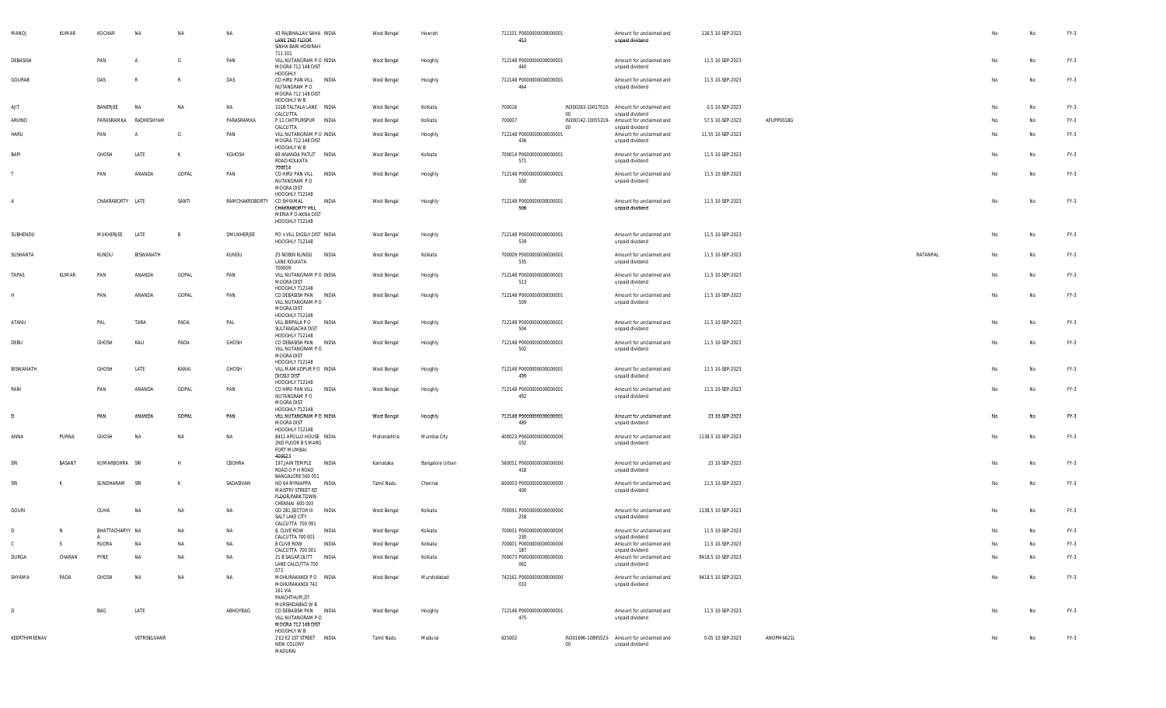| MANOJ          | KUMAR  | KOCHAR           | <b>NA</b>      | NA           | NA             | 43 RAJBHALLAV SAHA INDIA<br>LANE 2ND FLOOR<br>SINHA BARI HOWRAH                         |              | West Bengal | Howrah          | 711101 P0000000000000001<br>453 |        | Amount for unclaimed and<br>unpaid dividend                    | 126.5 10-SEP-2023  |            |          |    | No | FY-3   |
|----------------|--------|------------------|----------------|--------------|----------------|-----------------------------------------------------------------------------------------|--------------|-------------|-----------------|---------------------------------|--------|----------------------------------------------------------------|--------------------|------------|----------|----|----|--------|
| DEBASISH       |        | PAN              | $\overline{A}$ | G            | PAN            | 711 101<br>VILL NUTANGRAM P O INDIA<br>MOGRA 712 148 DIST                               |              | West Bengal | Hooghly         | 712148 P0000000000000001<br>440 |        | Amount for unclaimed and<br>unpaid dividend                    | 11.5 10-SEP-2023   |            |          | No | No | FY-3   |
| GOURAB         |        | DAS              | R              | $\mathbb{R}$ | DAS            | HOOGHLY<br>CO HIRU PAN VILL INDIA<br>NUTANGRAM P O<br>MOGRA 712 148 DIST<br>HOOGHLY W B |              | West Bengal | Hooghly         | 712148 P0000000000000001<br>464 |        | Amount for unclaimed and<br>unpaid dividend                    | 11.5 10-SEP-2023   |            |          | No | No | FY-3   |
| AJIT           |        | BANERJEE         | <b>NA</b>      | <b>NA</b>    | NA             | 101B TALTALA LANE INDIA                                                                 |              | West Bengal | Kolkata         | 700016                          |        | IN300263-10017010- Amount for unclaimed and                    | 0.5 10-SEP-2023    |            |          | No | No | $FY-3$ |
| ARVIND         |        | PARASRAMKA       | RADHESHYAM     |              | PARASRAMKA     | CALCUTTA<br>P 11 CHITPURSPUR INDIA                                                      |              | West Bengal | Kolkata         | 700007                          | $00\,$ | unpaid dividend<br>IN300142-10055319- Amount for unclaimed and | 57.5 10-SEP-2023   | AFUPP0018G |          | No | No | FY-3   |
| <b>HARU</b>    |        | PAN              | $\mathsf{A}$   | G            | PAN            | CALCUTTA<br>VILL NUTANGRAM P O INDIA                                                    |              | West Bengal | Hooghly         | 712148 P0000000000000001        | 00     | unpaid dividend<br>Amount for unclaimed and                    | 11.55 10-SEP-2023  |            |          | No | No | FY-3   |
|                |        |                  |                |              |                | MOGRA 712 148 DIST<br>HOOGHLY W B                                                       |              |             |                 | 436                             |        | unpaid dividend                                                |                    |            |          |    |    |        |
| BAPI           |        | GHOSH            | LATE           | K            | KGHOSH         | 69 ANANDA PATLIT INDIA<br>ROAD KOLKATA<br>700014                                        |              | West Bengal | Kolkata         | 700014 P0000000000000001<br>571 |        | Amount for unclaimed and<br>unpaid dividend                    | 11.5 10-SEP-2023   |            |          | No | No | FY-3   |
|                |        | PAN              | ANANDA         | GOPAL        | PAN            | CO HIRU PAN VILL<br>NUTANGRAM PO<br>MOGRA DIST                                          | INDIA        | West Bengal | Hooghly         | 712148 P0000000000000001<br>500 |        | Amount for unclaimed and<br>unpaid dividend                    | 11.5 10-SEP-2023   |            |          | No | No | FY-3   |
| $\overline{A}$ |        | CHAKRABORTY LATE |                | SANTI        | RAMCHAKROBORTY | HOOGHLY 712148<br>CO SHYAMAL                                                            | INDIA        | West Bengal | Hooghly         | 712148 P0000000000000001        |        | Amount for unclaimed and                                       | 11.5 10-SEP-2023   |            |          | No | No | FY-3   |
|                |        |                  |                |              |                | CHAKRABORTY VILL<br>MERIA P O AKNA DIST<br>HOOGHLY 712148                               |              |             |                 | 508                             |        | unpaid dividend                                                |                    |            |          |    |    |        |
| SUBHENDU       |        | MUKHERJEE        | LATE           | B            | DMUKHERJEE     | PO + VILL DIGSUI DIST INDIA<br>HOOGHLY 712148                                           |              | West Bengal | Hooghly         | 712148 P0000000000000001<br>539 |        | Amount for unclaimed and<br>unpaid dividend                    | 11.5 10-SEP-2023   |            |          | No | No | FY-3   |
| SUSHANTA       |        | KUNDU            | BISWANATH      |              | KUNDU          | 25 NOBIN KUNDU<br>LANE KOLKATA<br>700009                                                | INDIA        | West Bengal | Kolkata         | 700009 P0000000000000001<br>535 |        | Amount for unclaimed and<br>unpaid dividend                    | 11.5 10-SEP-2023   |            | RATANPAL | No | No | $FY-3$ |
| TAPAS          | KUMAR  | PAN              | ANANDA         | GOPAL        | PAN            | VILL NUTANGRAM P O INDIA<br>MOGRA DIST<br>HOOGHLY 712148                                |              | West Bengal | Hooghly         | 712148 P0000000000000001<br>513 |        | Amount for unclaimed and<br>unpaid dividend                    | 11.5 10-SEP-2023   |            |          | No | No | FY-3   |
| H              |        | PAN              | ANANDA         | GOPAL        | PAN            | CO DEBASISH PAN<br>VILL NUTANGRAM PO<br>MOGRA DIST                                      | INDIA        | West Bengal | Hooghly         | 712148 P0000000000000001<br>509 |        | Amount for unclaimed and<br>unpaid dividend                    | 11.5 10-SEP-2023   |            |          | No | No | $FY-3$ |
| ATANU          |        | PAL              | TARA           | PADA         | PAL            | HOOGHLY 712148<br>VILL BIRPALA P O<br>SULTANGACHA DIST                                  | INDIA        | West Bengal | Hooghly         | 712148 P0000000000000001<br>504 |        | Amount for unclaimed and<br>unpaid dividend                    | 11.5 10-SEP-2023   |            |          | No | No | FY-3   |
| DEBU           |        | GHOSH            | KALI           | PADA         | GHOSH          | HOOGHLY 712148<br>CO DEBASISH PAN                                                       | INDIA        | West Bengal | Hooghly         | 712148 P0000000000000001        |        | Amount for unclaimed and                                       | 11.5 10-SEP-2023   |            |          | No | No | FY-3   |
|                |        |                  |                |              |                | VILL NUTANGRAM PO<br>MOGRA DIST<br>HOOGHLY 712148                                       |              |             |                 | 502                             |        | unpaid dividend                                                |                    |            |          |    |    |        |
| BISWANATH      |        | GHOSH            | LATE           | KANAI        | GHOSH          | VILL MAMUDPUR PO INDIA<br><b>DIGSUI DIST</b><br>HOOGHLY 712148                          |              | West Bengal | Hooghly         | 712148 P0000000000000001<br>499 |        | Amount for unclaimed and<br>unpaid dividend                    | 11.5 10-SEP-2023   |            |          | No | No | $FY-3$ |
| RANI           |        | PAN              | ANANDA         | GOPAL        | PAN            | CO HIRU PAN VILL<br>NUTANGRAM P O<br>MOGRA DIST                                         | INDIA        | West Bengal | Hooghly         | 712148 P0000000000000001<br>492 |        | Amount for unclaimed and<br>unpaid dividend                    | 11.5 10-SEP-2023   |            |          | No | No | FY-3   |
| D              |        | PAN              | ANANDA         | GOPAL        | PAN            | HOOGHLY 712148<br>VILL NUTANGRAM P O INDIA<br>MOGRA DIST<br>HOOGHLY 712148              |              | West Bengal | Hooghly         | 712148 P0000000000000001<br>489 |        | Amount for unclaimed and<br>unpaid dividend                    | 23 10-SEP-2023     |            |          | No | No | FY-3   |
| ANNA           | PURNA  | GHOSH            | <b>NA</b>      | NA           | NA             | 8411 APOLLO HOUSE INDIA<br>2ND FLOOR B S MARG<br>FORT MUMBAI                            |              | Maharashtra | Mumbai City     | 400023 P0000000000000000<br>032 |        | Amount for unclaimed and<br>unpaid dividend                    | 1138.5 10-SEP-2023 |            |          | No | No | FY-3   |
| SRI            | BASANT | KUMARBOHRA SRI   |                | H            | CBOHRA         | 400023<br>197, JAIN TEMPLE<br>ROAD O P H ROAD                                           | INDIA        | Karnataka   | Bangalore Urban | 560051 P0000000000000000<br>418 |        | Amount for unclaimed and<br>unpaid dividend                    | 23 10-SEP-2023     |            |          | No | No | $FY-3$ |
| SRI            | K      | SUNDHARAM        | SRI            | K            | SADASIVAN      | BANGALORE 560 051<br>NO 64 NYNIAPPA<br>MAISTRY STREET IST                               | INDIA        | Tamil Nadu  | Chennai         | 600003 P0000000000000000<br>400 |        | Amount for unclaimed and<br>unpaid dividend                    | 11.5 10-SEP-2023   |            |          | No | No | $FY-3$ |
| GOURI          |        | GUHA             | NA             | NA           | NA             | FLOOR, PARK TOWN<br>CHENNAI 600 003<br>GD 281, SECTOR III<br>SALT LAKE CITY             | INDIA        | West Bengal | Kolkata         | 700091 P0000000000000000<br>258 |        | Amount for unclaimed and<br>unpaid dividend                    | 1138.5 10-SEP-2023 |            |          | No | No | $FY-3$ |
| $\mathsf{D}$   |        | BHATTACHARYY NA  |                |              |                | CALCUTTA 700 091                                                                        |              |             |                 |                                 |        | Amount for unclaimed and                                       | 11.5 10-SEP-2023   |            |          |    |    |        |
|                |        |                  |                | NA           | NA             | 8, CLIVE ROW<br>CALCUTTA 700 001                                                        | INDIA        | West Bengal | Kolkata         | 700001 P0000000000000000<br>230 |        | unpaid dividend                                                |                    |            |          | No | No | $FY-3$ |
| $\mathcal{C}$  | -S.    | RUDRA            | NΔ             | <b>NA</b>    | <b>NA</b>      | 8 CLIVE ROW<br>CALCUTTA 700 001                                                         | <b>INDIA</b> | West Bengal | Kolkata         | 700001 P0000000000000000<br>187 |        | Amount for unclaimed and<br>unpaid dividend                    | 11.5 10-SEP-2023   |            |          |    | No | $FY-3$ |
| DURGA          | CHARAN | PYNE             | <b>NA</b>      | NA           | NA             | 21 B SAGAR DUTT INDIA<br>LANE CALCUTTA 700<br>073                                       |              | West Bengal | Kolkata         | 700073 P0000000000000000<br>061 |        | Amount for unclaimed and<br>unpaid dividend                    | 9418.5 10-SEP-2023 |            |          |    | No | $FY-3$ |
| SHYAMA         | PADA   | GHOSH            | <b>NA</b>      | NA           | NA             | MOHURAKANDI P O INDIA<br>MOHURAKANDI 742<br>161 VIA<br>PANCHTHUPI,DT                    |              | West Bengal | Murshidabad     | 742161 P0000000000000000<br>033 |        | Amount for unclaimed and<br>unpaid dividend                    | 9418.5 10-SEP-2023 |            |          | No | No | $FY-3$ |
| $\mathsf{D}$   |        | BAG              | LATE           |              | ABHOYBAG       | MURSHIDABAD W B<br>CO DEBASISH PAN INDIA<br>VILL NUTANGRAM PO<br>MOGRA 712 148 DIST     |              | West Bengal | Hooghly         | 712148 P0000000000000001<br>475 |        | Amount for unclaimed and<br>unpaid dividend                    | 11.5 10-SEP-2023   |            |          | No | No | $FY-3$ |
| KEERTHIMEENAV  |        |                  | VETRISELVANR   |              |                | HOOGHLY W B<br>2 E2 E2 1ST STREET INDIA<br>NEW COLONY<br>MADURAI                        |              | Tamil Nadu  | Madurai         | 625002                          | $00\,$ | IN301696-10895523- Amount for unclaimed and<br>unpaid dividend | 0.05 10-SEP-2023   | ANOPM6621L |          | No | No | $FY-3$ |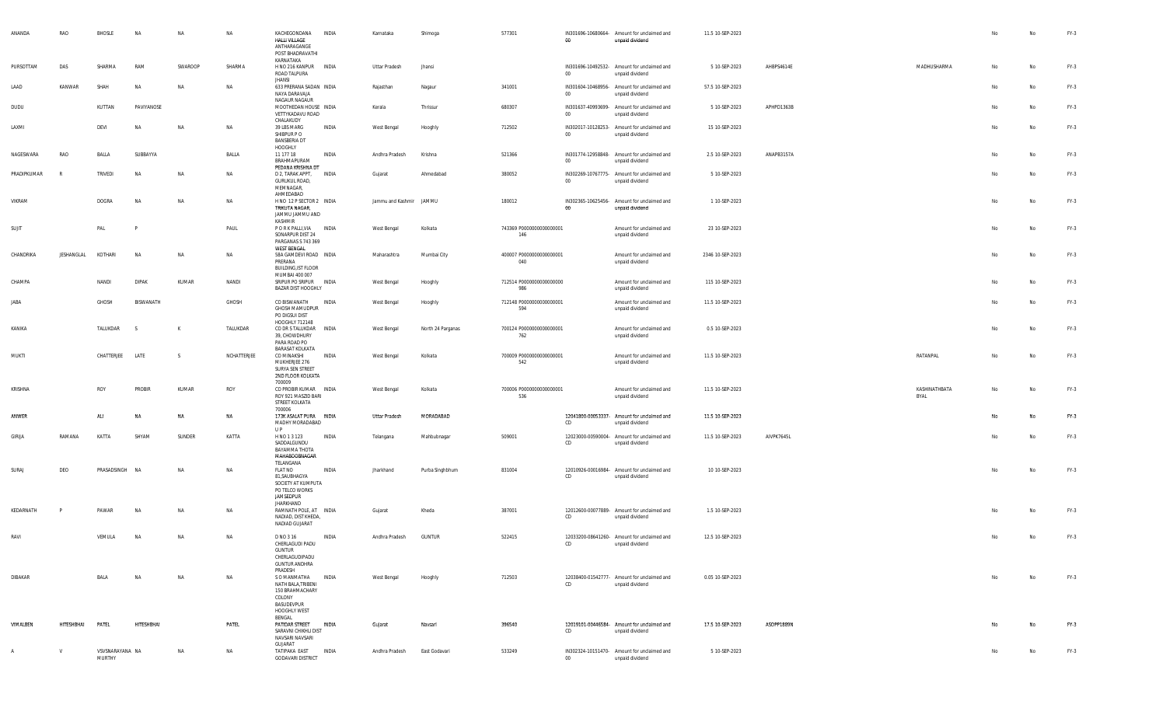| ANANDA      | RAO        | BHOSLE      | <b>NA</b>    | NA           | NA          | KACHEGONDANA<br>HALLI VILLAGE<br>ANTHARAGANGE<br>POST BHADRAVATHI                                        | INDIA | Karnataka               | Shimoga           | 577301                          | $00\,$ | IN301696-10680664- Amount for unclaimed and<br>unpaid dividend | 11.5 10-SEP-2023 |            |                       | No | No | FY-3   |
|-------------|------------|-------------|--------------|--------------|-------------|----------------------------------------------------------------------------------------------------------|-------|-------------------------|-------------------|---------------------------------|--------|----------------------------------------------------------------|------------------|------------|-----------------------|----|----|--------|
| PURSOTTAM   | DAS        | SHARMA      | RAM          | SWAROOP      | SHARMA      | KARNATAKA<br>H NO 216 KANPUR INDIA<br>ROAD TALPURA                                                       |       | Uttar Pradesh           | Jhansi            |                                 | $00\,$ | IN301696-10492532- Amount for unclaimed and<br>unpaid dividend | 5 10-SEP-2023    | AHBPS4614E | MADHUSHARMA           | No | No | FY-3   |
| LAAD        | KANWAR     | SHAH        | <b>NA</b>    | <b>NA</b>    | <b>NA</b>   | <b>JHANSI</b><br>633 PRERANA SADAN INDIA<br>NAYA DARAVAJA<br>NAGAUR NAGAUR                               |       | Rajasthan               | Nagaur            | 341001                          | $00\,$ | IN301604-10468956- Amount for unclaimed and<br>unpaid dividend | 57.5 10-SEP-2023 |            |                       | No | No | $FY-3$ |
| DUDU        |            | KUTTAN      | PAVIYANOSE   |              |             | MOOTHEDAN HOUSE INDIA<br>VETTYKADAVU ROAD<br>CHALAKUDY                                                   |       | Kerala                  | Thrissur          | 680307                          | $00\,$ | IN301637-40993699- Amount for unclaimed and<br>unpaid dividend | 5 10-SEP-2023    | APHPD1363B |                       | No | No | $FY-3$ |
| LAXMI       |            | DEVI        | <b>NA</b>    | <b>NA</b>    | NA          | 39 LBS MARG<br>SHIBPUR P O<br><b>BANSBERIA DT</b><br>HOOGHLY                                             | INDIA | West Bengal             | Hooghly           | 712502                          | $00\,$ | IN302017-10128253- Amount for unclaimed and<br>unpaid dividend | 15 10-SEP-2023   |            |                       | No | No | FY-3   |
| NAGESWARA   | RAO        | BALLA       | SUBBAYYA     |              | BALLA       | 11 177 18<br>BRAHMAPURAM<br>PEDANA KRISHNA DT                                                            | INDIA | Andhra Pradesh          | Krishna           | 521366                          | $00\,$ | IN301774-12958848- Amount for unclaimed and<br>unpaid dividend | 2.5 10-SEP-2023  | ANAPB3157A |                       | No | No | $FY-3$ |
| PRADIPKUMAR |            | TRIVEDI     | <b>NA</b>    | <b>NA</b>    | <b>NA</b>   | D 2, TARAK APPT,<br><b>GURUKUL ROAD,</b><br>MEMNAGAR,                                                    | INDIA | Gujarat                 | Ahmedabad         | 380052                          | $00\,$ | IN302269-10767775- Amount for unclaimed and<br>unpaid dividend | 5 10-SEP-2023    |            |                       | No | No | FY-3   |
| VIKRAM      |            | DOGRA       | NA           | NA           | NA          | AHMEDABAD<br>H NO 12 P SECTOR 2 INDIA<br>TRIKUTA NAGAR,<br><b>JAMMU JAMMU AND</b>                        |       | Jammu and Kashmir JAMMU |                   | 180012                          | $00\,$ | IN302365-10625456- Amount for unclaimed and<br>unpaid dividend | 1 10-SEP-2023    |            |                       | No | No | $FY-3$ |
| SUJIT       |            | PAL         |              |              | PAUL        | KASHMIR<br>P O R K PALLI, VIA<br>SONARPUR DIST 24<br>PARGANAS S 743 369                                  | INDIA | West Bengal             | Kolkata           | 743369 P0000000000000001<br>146 |        | Amount for unclaimed and<br>unpaid dividend                    | 23 10-SEP-2023   |            |                       | No | No | FY-3   |
| CHANDRIKA   | JESHANGLAL | KOTHARI     | NA           | NA           | <b>NA</b>   | <b>WEST BENGAL</b><br>58A GAMDEVI ROAD INDIA<br>PRERANA<br><b>BUILDING, IST FLOOR</b>                    |       | Maharashtra             | Mumbai City       | 400007 P0000000000000001<br>040 |        | Amount for unclaimed and<br>unpaid dividend                    | 2346 10-SEP-2023 |            |                       | No | No | $FY-3$ |
| CHAMPA      |            | NANDI       | <b>DIPAK</b> | KUMAR        | NANDI       | MUMBAI 400 007<br>SRIPUR PO SRIPUR INDIA<br>BAZAR DIST HOOGHLY                                           |       | West Bengal             | Hooghly           | 712514 P0000000000000000<br>986 |        | Amount for unclaimed and<br>unpaid dividend                    | 115 10-SEP-2023  |            |                       | No | No | FY-3   |
| JABA        |            | GHOSH       | BISWANATH    |              | GHOSH       | CO BISWANATH<br><b>GHOSH MAMUDPUR</b><br>PO DIGSUI DIST                                                  | INDIA | West Bengal             | Hooghly           | 712148 P0000000000000001<br>594 |        | Amount for unclaimed and<br>unpaid dividend                    | 11.5 10-SEP-2023 |            |                       | No | No | $FY-3$ |
| KANIKA      |            | TALUKDAR    | - S          | K            | TALUKDAR    | HOOGHLY 712148<br>CO DR S TALUKDAR INDIA<br>39, CHOWDHURY<br>PARA ROAD PO                                |       | West Bengal             | North 24 Parganas | 700124 P0000000000000001<br>762 |        | Amount for unclaimed and<br>unpaid dividend                    | 0.5 10-SEP-2023  |            |                       | No | No | $FY-3$ |
|             |            |             |              |              |             |                                                                                                          |       |                         |                   |                                 |        |                                                                |                  |            |                       |    |    |        |
| MUKTI       |            | CHATTERJEE  | LATE         | <sub>S</sub> | NCHATTERJEE | <b>BARASAT KOLKATA</b><br>CO MINAKSHI<br>MUKHERJEE 276<br>SURYA SEN STREET<br>2ND FLOOR KOLKATA          | INDIA | West Bengal             | Kolkata           | 700009 P0000000000000001<br>542 |        | Amount for unclaimed and<br>unpaid dividend                    | 11.5 10-SEP-2023 |            | RATANPAL              | No | No | $FY-3$ |
| KRISHNA     |            | ROY         | PROBIR       | KUMAR        | ROY         | 700009<br>CO PROBIR KUMAR   INDIA<br>ROY 921 MASZID BARI<br>STREET KOLKATA                               |       | West Bengal             | Kolkata           | 700006 P0000000000000001<br>536 |        | Amount for unclaimed and<br>unpaid dividend                    | 11.5 10-SEP-2023 |            | KASHINATHBATA<br>BYAL | No | No | FY-3   |
| ANWER       |            | ALI         | NA           | NA           | NA          | 700006<br>173K ASALAT PURA INDIA<br>MADHY MORADABAD                                                      |       | Uttar Pradesh           | MORADABAD         |                                 | CD     | 12041800-00053337- Amount for unclaimed and<br>unpaid dividend | 11.5 10-SEP-2023 |            |                       | No | No | $FY-3$ |
| GIRIJA      | RAMANA     | KATTA       | SHYAM        | SUNDER       | KATTA       | U P<br>H NO 1 3 123<br>SADDALGUNDU<br>BAYAMMA THOTA<br>MAHABOOBNAGAR                                     | INDIA | Telangana               | Mahbubnagar       | 509001                          | CD     | 12023000-00590004- Amount for unclaimed and<br>unpaid dividend | 11.5 10-SEP-2023 | AIVPK7645L |                       | No | No | FY-3   |
| SURAJ       | DEO        | PRASADSINGH | <b>NA</b>    | NA           | NA          | TELANGANA<br>FLAT NO<br>81, SAUBHAGYA<br>SOCIETY AT KUMPUTA<br>PO TELCO WORKS<br><b>JAMSEDPUR</b>        | INDIA | Jharkhand               | Purba Singhbhum   | 831004                          | CD     | 12010926-00016984- Amount for unclaimed and<br>unpaid dividend | 10 10-SEP-2023   |            |                       | No | No | $FY-3$ |
| KEDARNATH   |            | PAWAR       | <b>NA</b>    | NA           | NA          | JHARKHAND<br>RAMNATH POLE, AT INDIA<br>NADIAD, DIST KHEDA.<br>NADIAD GUJARAT                             |       | Gujarat                 | Kheda             | 387001                          | CD     | 12012600-00077889- Amount for unclaimed and<br>unpaid dividend | 1.5 10-SEP-2023  |            |                       | No | No | FY-3   |
| RAVI        |            | VEMULA      | NA           | NA           | NA          | D NO 3 16<br>CHERLAGUDI PADU<br>GUNTUR<br>CHERLAGUDIPADU<br><b>GUNTUR ANDHRA</b>                         | INDIA | Andhra Pradesh          | GUNTUR            | 522415                          | CD.    | 12033200-08641260- Amount for unclaimed and<br>unpaid dividend | 12.5 10-SEP-2023 |            |                       | No | No | $FY-3$ |
| DIBAKAR     |            | BALA        | NA           | NA           | NA          | PRADESH<br>S O MANMATHA<br>NATH BALA, TRIBENI<br>150 BRAHMACHARY<br>COLONY<br>BASUDEVPUR<br>HOOGHLY WEST | INDIA | West Bengal             | Hooghly           | 712503                          | CD     | 12038400-01542777- Amount for unclaimed and<br>unpaid dividend | 0.05 10-SEP-2023 |            |                       | No | No | $FY-3$ |
| VIMALBEN    | HITESHBHAI | PATEL       | HITESHBHAI   |              | PATEL       | BENGAL<br>PATIDAR STREET<br>SARAVNI CHIKHLI DIST<br>NAVSARI NAVSARI<br>GUJARAT                           | INDIA | Gujarat                 | Navsari           | 396540                          | CD     | 12019101-00446584- Amount for unclaimed and<br>unpaid dividend | 17.5 10-SEP-2023 | ASOPP1889N |                       | No | No | $FY-3$ |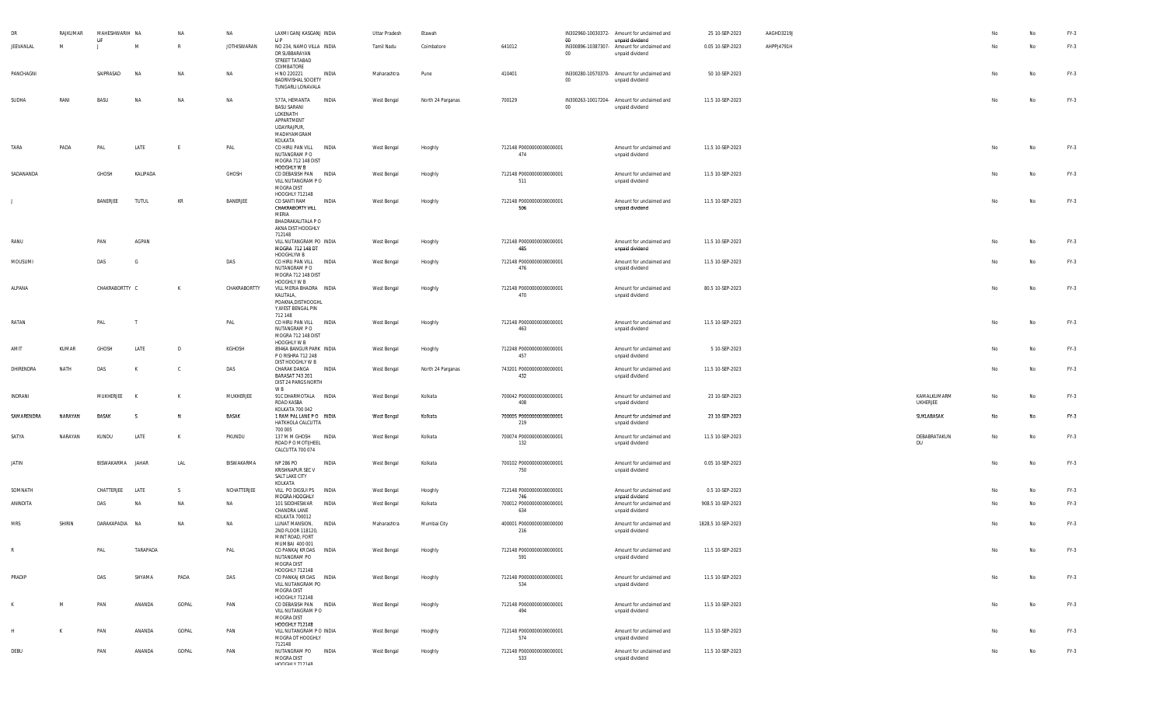|            | RAJKUMAR | MAHESHWARIH NA    |           | NA           | NA                 | LAXMI GANJ KASGANJ INDIA<br>$_{\text{HP}}$                                                                   |              | <b>Uttar Pradesh</b> | Etawah            |                                 |              | IN302960-10030372- Amount for unclaimed and                                       | 25 10-SEP-2023     | AAGHD3219J |                           |    | No        | $FY-3$ |
|------------|----------|-------------------|-----------|--------------|--------------------|--------------------------------------------------------------------------------------------------------------|--------------|----------------------|-------------------|---------------------------------|--------------|-----------------------------------------------------------------------------------|--------------------|------------|---------------------------|----|-----------|--------|
| JEEVANLAL  | M        | U<br>$\mathbf{J}$ | M         | R            | <b>JOTHISWARAN</b> | NO 234, NAMO VILLA INDIA<br>DR SUBBARAYAN<br>STREET TATABAD<br>COIMBATORE                                    |              | Tamil Nadu           | Coimbatore        | 641012                          | 00<br>$00\,$ | unpaid dividend<br>IN300896-10387307- Amount for unclaimed and<br>unpaid dividend | 0.05 10-SEP-2023   | AHPPJ4791H |                           | No | No        | $FY-3$ |
| PANCHAGNI  |          | SAIPRASAD         | <b>NA</b> | NA           | NA                 | H NO 220221<br><b>BADRIVISHAL SOCIETY</b><br>TUNGARLI LONAVALA                                               | <b>INDIA</b> | Maharashtra          | Pune              | 410401                          | 00           | IN300280-10570370- Amount for unclaimed and<br>unpaid dividend                    | 50 10-SEP-2023     |            |                           | No | No        | FY-3   |
| SUDHA      | RANI     | BASU              | <b>NA</b> | NA           | NA                 | 577A, HEMANTA INDIA<br><b>BASU SARANI</b><br>LOKENATH<br>APPARTMENT<br>UDAYRAJPUR,<br>MADHYAMGRAM<br>KOLKATA |              | West Bengal          | North 24 Parganas | 700129                          | 00           | IN300263-10017204- Amount for unclaimed and<br>unpaid dividend                    | 11.5 10-SEP-2023   |            |                           | No | No        | FY-3   |
| TARA       | PADA     | PAL               | LATE      | E            | PAL                | CO HIRU PAN VILL INDIA<br>NUTANGRAM P O<br>MOGRA 712 148 DIST<br>HOOGHLY W B                                 |              | West Bengal          | Hooghly           | 712148 P0000000000000001<br>474 |              | Amount for unclaimed and<br>unpaid dividend                                       | 11.5 10-SEP-2023   |            |                           | No | No        | FY-3   |
| SADANANDA  |          | <b>GHOSH</b>      | KALIPADA  |              | GHOSH              | CO DEBASISH PAN INDIA<br>VILL NUTANGRAM PO<br>MOGRA DIST<br>HOOGHLY 712148                                   |              | West Bengal          | Hooghly           | 712148 P0000000000000001<br>511 |              | Amount for unclaimed and<br>unpaid dividend                                       | 11.5 10-SEP-2023   |            |                           | No | No        | FY-3   |
|            |          | BANERJEE          | TUTUL     | KR           | BANERJEE           | CO SANTI RAM<br>CHAKRABORTY VILL<br>MERIA<br>BHADRAKALITALA P O<br>AKNA DIST HOOGHLY<br>712148               | <b>INDIA</b> | West Bengal          | Hooghly           | 712148 P0000000000000001<br>506 |              | Amount for unclaimed and<br>unpaid dividend                                       | 11.5 10-SEP-2023   |            |                           | No | No        | FY-3   |
| RANU       |          | PAN               | AGPAN     |              |                    | VILL NUTANGRAM PO INDIA<br>MOGRA 712 148 DT<br>HOOGHLYW B                                                    |              | West Bengal          | Hooghly           | 712148 P0000000000000001<br>485 |              | Amount for unclaimed and<br>unpaid dividend                                       | 11.5 10-SEP-2023   |            |                           | No | No        | FY-3   |
| MOUSUMI    |          | DAS               | G         |              | DAS                | CO HIRU PAN VILL<br>NUTANGRAM P O<br>MOGRA 712 148 DIST<br>HOOGHLY W B                                       | <b>INDIA</b> | West Bengal          | Hooghly           | 712148 P0000000000000001<br>476 |              | Amount for unclaimed and<br>unpaid dividend                                       | 11.5 10-SEP-2023   |            |                           | No | <b>No</b> | $FY-3$ |
| ALPANA     |          | CHAKRABORTTY C    |           | K            | CHAKRABORTTY       | VILL MERIA BHADRA INDIA<br>KALITALA,<br>POAKNA, DISTHOOGHL<br>Y, WEST BENGAL PIN<br>712 148                  |              | West Bengal          | Hooghly           | 712148 P0000000000000001<br>470 |              | Amount for unclaimed and<br>unpaid dividend                                       | 80.5 10-SEP-2023   |            |                           | No | No        | FY-3   |
| RATAN      |          | PAL               |           |              | PAL                | CO HIRU PAN VILL INDIA<br>NUTANGRAM P O<br>MOGRA 712 148 DIST<br>HOOGHLY W B                                 |              | West Bengal          | Hooghly           | 712148 P0000000000000001<br>463 |              | Amount for unclaimed and<br>unpaid dividend                                       | 11.5 10-SEP-2023   |            |                           | No | No        | FY-3   |
| AMIT       | KUMAR    | <b>GHOSH</b>      | LATE      | $\mathsf{D}$ | KGHOSH             | 8946A BANGUR PARK INDIA<br>P O RISHRA 712 248<br>DIST HOOGHLY W B                                            |              | West Bengal          | Hooghly           | 712248 P0000000000000001<br>457 |              | Amount for unclaimed and<br>unpaid dividend                                       | 5 10-SEP-2023      |            |                           | No | No        | FY-3   |
| DHIRENDRA  | NATH     | DAS               |           | c.           | DAS                | CHARAK DANGA INDIA<br><b>BARASAT 743 201</b><br>DIST 24 PARGS NORTH<br>W B                                   |              | West Bengal          | North 24 Parganas | 743201 P0000000000000001<br>432 |              | Amount for unclaimed and<br>unpaid dividend                                       | 11.5 10-SEP-2023   |            |                           | No | No        | FY-3   |
| INDRANI    |          | MUKHERJEE         | K         | K            | MUKHERJEE          | 91C DHARMOTALA INDIA<br>ROAD KASBA<br>KOLKATA 700 042                                                        |              | West Bengal          | Kolkata           | 700042 P0000000000000001<br>408 |              | Amount for unclaimed and<br>unpaid dividend                                       | 23 10-SEP-2023     |            | KAMALKUMARM<br>UKHERJEE   | No | No        | FY-3   |
| SAMARENDRA | NARAYAN  | <b>BASAK</b>      | -S        | N            | BASAK              | 1 RAM PAL LANE PO INDIA<br>HATKHOLA CALCUTTA<br>700 005                                                      |              | West Bengal          | Kolkata           | 700005 P0000000000000001<br>219 |              | Amount for unclaimed and<br>unpaid dividend                                       | 23 10-SEP-2023     |            | SUKLABASAK                | No | <b>No</b> | FY-3   |
| SATYA      | NARAYAN  | KUNDU             | LATE      | K            | PKUNDU             | 137 M M GHOSH INDIA<br>ROAD P O MOTIJHEEL<br>CALCUTTA 700 074                                                |              | West Bengal          | Kolkata           | 700074 P0000000000000001<br>132 |              | Amount for unclaimed and<br>unpaid dividend                                       | 11.5 10-SEP-2023   |            | DEBABRATAKUN<br><b>DU</b> | No | No        | FY-3   |
| JATIN      |          | BISWAKARMA        | JAHAR     | LAL          | BISWAKARMA         | NP 286 PO<br>KRISHNAPUR SEC V<br>SALT LAKE CITY<br>KOLKATA                                                   | INDIA        | West Bengal          | Kolkata           | 700102 P0000000000000001<br>750 |              | Amount for unclaimed and<br>unpaid dividend                                       | 0.05 10-SEP-2023   |            |                           | No | No        | FY-3   |
| SOMNATH    |          | CHATTERJEE        | LATE      | S.           | NCHATTERJEE        | VILL PO DIGSUI PS INDIA<br>MOGRA HOOGHLY                                                                     |              | West Bengal          | Hooghly           | 712148 P0000000000000001<br>746 |              | Amount for unclaimed and<br>unpaid dividend                                       | 0.5 10-SEP-2023    |            |                           | No | No        | FY-3   |
| ANINDITA   |          | DAS               | NA        | NA           | NA                 | 101 SIDDHESWAR<br>CHANDRA LANE<br>KOLKATA 700012                                                             | INDIA        | West Bengal          | Kolkata           | 700012 P0000000000000001<br>634 |              | Amount for unclaimed and<br>unpaid dividend                                       | 908.5 10-SEP-2023  |            |                           | No | No        | FY-3   |
| <b>MRS</b> | SHIRIN   | DARAKAPADIA NA    |           | NA           | NA                 | LUNAT MANSION,<br>2ND FLOOR 118120,<br>MINT ROAD, FORT<br>MUMBAI 400 001                                     | <b>INDIA</b> | Maharashtra          | Mumbai City       | 400001 P0000000000000000<br>216 |              | Amount for unclaimed and<br>unpaid dividend                                       | 1828.5 10-SEP-2023 |            |                           | No | No        | $FY-3$ |
| R          |          | PAL               | TARAPADA  |              | PAL                | CO PANKAJ KR DAS INDIA<br>NUTANGRAM PO<br>MOGRA DIST<br>HOOGHLY 712148                                       |              | West Bengal          | Hooghly           | 712148 P0000000000000001<br>591 |              | Amount for unclaimed and<br>unpaid dividend                                       | 11.5 10-SEP-2023   |            |                           | No | No        | $FY-3$ |
| PRADIP     |          | DAS               | SHYAMA    | PADA         | DAS                | CO PANKAJ KR DAS INDIA<br>VILL NUTANGRAM PO<br>MOGRA DIST<br>HOOGHLY 712148                                  |              | West Bengal          | Hooghly           | 712148 P0000000000000001<br>534 |              | Amount for unclaimed and<br>unpaid dividend                                       | 11.5 10-SEP-2023   |            |                           | No | No        | FY-3   |
|            | M        | PAN               | ANANDA    | GOPAL        | PAN                | CO DEBASISH PAN INDIA<br>VILL NUTANGRAM PO<br>MOGRA DIST<br>HOOGHLY 712148                                   |              | West Bengal          | Hooghly           | 712148 P0000000000000001<br>494 |              | Amount for unclaimed and<br>unpaid dividend                                       | 11.5 10-SEP-2023   |            |                           | No | No        | FY-3   |
|            |          | PAN               | ANANDA    | GOPAL        | PAN                | VILL NUTANGRAM P O INDIA<br>MOGRA DT HOOGHLY<br>712148                                                       |              | West Bengal          | Hooghly           | 712148 P0000000000000001<br>574 |              | Amount for unclaimed and<br>unpaid dividend                                       | 11.5 10-SEP-2023   |            |                           | No | <b>No</b> | $FY-3$ |
| DEBU       |          | PAN               | ANANDA    | GOPAL        | PAN                | NUTANGRAM PO INDIA<br>MOGRA DIST<br>LIOOCHI V 719140                                                         |              | West Bengal          | Hooghly           | 712148 P0000000000000001<br>533 |              | Amount for unclaimed and<br>unpaid dividend                                       | 11.5 10-SEP-2023   |            |                           | No | No        | $FY-3$ |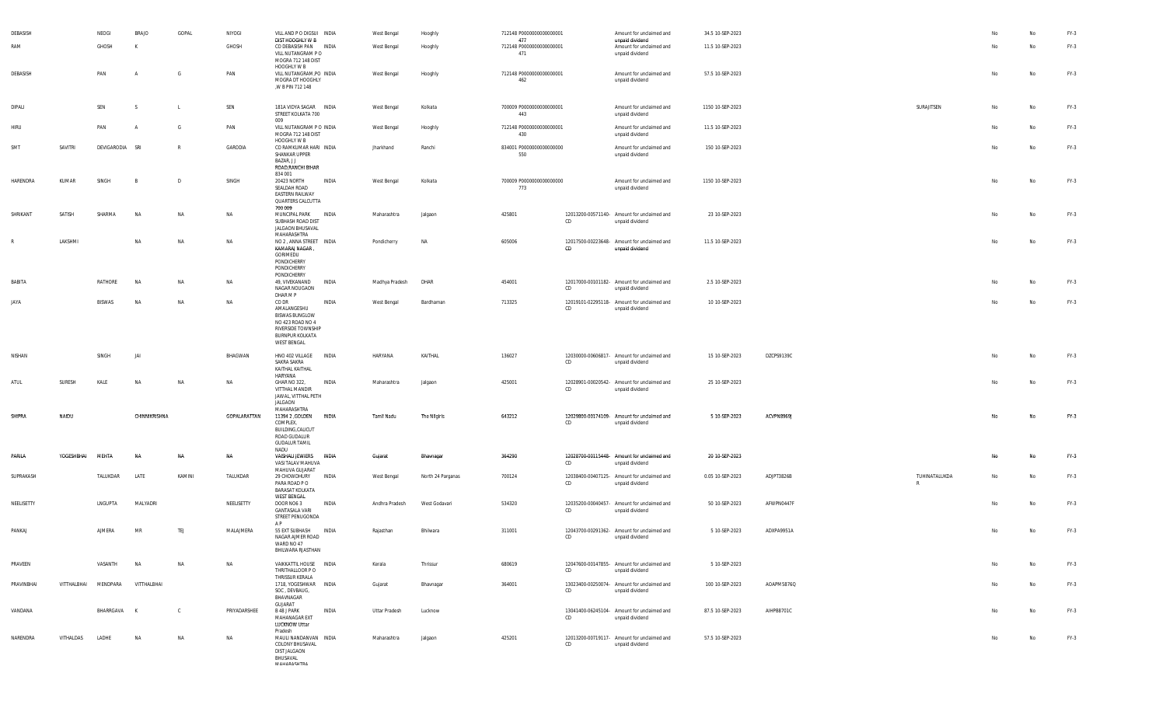| DEBASISH   |             | NEOGI           | <b>BRAJO</b>   | GOPAL        | NIYOGI       | VILL AND P O DIGSUI INDIA                                                                                                        |              | West Bengal          | Hooghly           | 712148 P0000000000000001               |    | Amount for unclaimed and                                       | 34.5 10-SEP-2023 |            |                               |    | No | FY-3   |
|------------|-------------|-----------------|----------------|--------------|--------------|----------------------------------------------------------------------------------------------------------------------------------|--------------|----------------------|-------------------|----------------------------------------|----|----------------------------------------------------------------|------------------|------------|-------------------------------|----|----|--------|
| RAM        |             | GHOSH           | K              |              | GHOSH        | DIST HOOGHLY W B<br>CO DEBASISH PAN INDIA<br>VILL NUTANGRAM PO<br>MOGRA 712 148 DIST                                             |              | West Bengal          | Hooghly           | 477<br>712148 P0000000000000001<br>471 |    | unpaid dividend<br>Amount for unclaimed and<br>unpaid dividend | 11.5 10-SEP-2023 |            |                               | No | No | FY-3   |
| DEBASISH   |             | PAN             | $\overline{A}$ | G            | PAN          | HOOGHLY W B<br>VILL NUTANGRAM,PO INDIA<br>MOGRA DT HOOGHLY<br>,W B PIN 712 148                                                   |              | West Bengal          | Hooghly           | 712148 P0000000000000001<br>462        |    | Amount for unclaimed and<br>unpaid dividend                    | 57.5 10-SEP-2023 |            |                               | No | No | FY-3   |
| DIPALI     |             | SEN             | -S             |              | SEN          | 181A VIDYA SAGAR INDIA<br>STREET KOLKATA 700                                                                                     |              | West Bengal          | Kolkata           | 700009 P00000000000000001<br>443       |    | Amount for unclaimed and<br>unpaid dividend                    | 1150 10-SEP-2023 |            | SURAJITSEN                    | No | No | FY-3   |
| HIRU       |             | PAN             | $\overline{A}$ | G            | PAN          | 009<br>VILL NUTANGRAM P O INDIA<br>MOGRA 712 148 DIST<br>HOOGHLY W B                                                             |              | West Bengal          | Hooghly           | 712148 P0000000000000001<br>430        |    | Amount for unclaimed and<br>unpaid dividend                    | 11.5 10-SEP-2023 |            |                               | No | No | FY-3   |
| SMT        | SAVITRI     | DEVIGARODIA SRI |                | $\mathsf{R}$ | GARODIA      | CO RAMKUMAR HARI INDIA<br>SHANKAR UPPER<br>BAZAR, JJ<br>ROAD, RANCHI BIHAR<br>834 001                                            |              | Jharkhand            | Ranchi            | 834001 P0000000000000000<br>550        |    | Amount for unclaimed and<br>unpaid dividend                    | 150 10-SEP-2023  |            |                               | No | No | FY-3   |
| HARENDRA   | KUMAR       | SINGH           | $\overline{B}$ | D            | SINGH        | 20423 NORTH<br>SEALDAH ROAD<br>EASTERN RAILWAY<br>QUARTERS CALCUTTA<br>700 009                                                   | INDIA        | West Bengal          | Kolkata           | 700009 P0000000000000000<br>773        |    | Amount for unclaimed and<br>unpaid dividend                    | 1150 10-SEP-2023 |            |                               | Nc | No | $FY-3$ |
| SHRIKANT   | SATISH      | SHARMA          | <b>NA</b>      | NA           | NA           | MUNCIPAL PARK<br>SUBHASH ROAD DIST<br>JALGAON BHUSAVAL                                                                           | INDIA        | Maharashtra          | Jalgaon           | 425801                                 | CD | 12013200-00571140- Amount for unclaimed and<br>unpaid dividend | 23 10-SEP-2023   |            |                               | No | No | FY-3   |
| R          | LAKSHMI     |                 | NA             | NA           | NA           | MAHARASHTRA<br>NO 2, ANNA STREET INDIA<br>KAMARAJ NAGAR<br>GORIMEDU<br>PONDICHERRY<br>PONDICHERRY                                |              | Pondicherry          | NA                | 605006                                 | CD | 12017500-00223648- Amount for unclaimed and<br>unpaid dividend | 11.5 10-SEP-2023 |            |                               | No | No | $FY-3$ |
| BABITA     |             | RATHORE         | NA             | NA           | NA           | PONDICHERRY<br>49, VIVEKANAND<br>NAGAR NOUGAON<br>DHAR M P                                                                       | INDIA        | Madhya Pradesh       | DHAR              | 454001                                 | CD | 12017000-00101182- Amount for unclaimed and<br>unpaid dividend | 2.5 10-SEP-2023  |            |                               |    | No | $FY-3$ |
| JAYA       |             | BISWAS          | <b>NA</b>      | NA           | NA           | CO DR<br>AMALANGESHU<br><b>BISWAS BUNGLOW</b><br>NO 423 ROAD NO 4<br>RIVERSIDE TOWNSHIP<br>BURNPUR KOLKATA<br><b>WEST BENGAL</b> | INDIA        | West Bengal          | Bardhaman         | 713325                                 | CD | 12019101-02295118- Amount for unclaimed and<br>unpaid dividend | 10 10-SEP-2023   |            |                               | No | No | $FY-3$ |
| NISHAN     |             | SINGH           | JAI            |              | BHAGWAN      | HNO 402 VILLAGE INDIA<br>SAKRA SAKRA<br>KAITHAL KAITHAL<br>HARYANA                                                               |              | HARYANA              | KAITHAL           | 136027                                 | CD | 12030000-00606817- Amount for unclaimed and<br>unpaid dividend | 15 10-SEP-2023   | DZCPS9139C |                               | No | No | $FY-3$ |
| ATUL       | SURESH      | KALE            | <b>NA</b>      | NA           | NA           | GHAR NO 322,<br>VITTHAL MANDIR<br>JAWAL, VITTHAL PETH<br>JALGAON                                                                 | INDIA        | Maharashtra          | Jalgaon           | 425001                                 | CD | 12028901-00020542- Amount for unclaimed and<br>unpaid dividend | 25 10-SEP-2023   |            |                               | No | No | $FY-3$ |
| SHIPRA     | NAIDU       |                 | CHINNIKRISHNA  |              | GOPALARATTAN | MAHARASHTRA<br>11394 2 , GOLDEN<br>COMPLEX,<br>BUILDING, CALICUT<br>ROAD GUDALUR<br><b>GUDALUR TAMIL</b><br>NADU                 | <b>INDIA</b> | Tamil Nadu           | The Nilgiris      | 643212                                 | CD | 12029800-00174109- Amount for unclaimed and<br>unpaid dividend | 5 10-SEP-2023    | ACVPN8969J |                               | No | No | FY-3   |
| PARILA     | YOGESHBHAI  | MFHTA           | NΑ             | NA           | NA           | VAISHALI JEWIERS INDIA<br>VASI TALAV MAHUVA<br>MAHUVA GUJARAT                                                                    |              | Gujarat              | Bhavnagar         | 364290                                 | CD | 12028700-00115448- Amount for unclaimed and<br>unpaid dividend | 20 10-SEP-2023   |            |                               | No | No | FY-3   |
| SUPRAKASH  |             | TALUKDAR        | LATE           | KAMINI       | TALUKDAR     | 29 CHOWDHURY<br>PARA ROAD PO<br><b>BARASAT KOLKATA</b><br><b>WEST BENGAL</b>                                                     | INDIA        | West Bengal          | North 24 Parganas | 700124                                 | CD | 12038400-00407125- Amount for unclaimed and<br>unpaid dividend | 0.05 10-SEP-2023 | ADJPT3826B | TUHINATALUKDA<br>$\mathsf{R}$ | No | No | $FY-3$ |
| NEELISETTY |             | LNGUPTA         | MALYADRI       |              | NEELISETTY   | DOOR NO6 3<br>GANTASALA VARI<br>STREET PENUGONDA<br>A P                                                                          | INDIA        | Andhra Pradesh       | West Godavari     | 534320                                 | CD | 12035200-00040457- Amount for unclaimed and<br>unpaid dividend | 50 10-SEP-2023   | AFWPN0447F |                               | No | No | $FY-3$ |
| PANKAJ     |             | AJMERA          | MR             | TEJ          | MALAJMERA    | 55 EXT SUBHASH<br>NAGAR AJMER ROAD<br>WARD NO 47<br>BHILWARA RJASTHAN                                                            | INDIA        | Rajasthan            | Bhilwara          | 311001                                 | CD | 12043700-00291362- Amount for unclaimed and<br>unpaid dividend | 5 10-SEP-2023    | ADXPA9951A |                               | No | No | $FY-3$ |
| PRAVEEN    |             | VASANTH         | NA             | NA           | <b>NA</b>    | VAIKKATTIL HOUSE INDIA<br>THRITHALLOOR P O<br>THRISSUR KERALA                                                                    |              | Kerala               | Thrissur          | 680619                                 | CD | 12047600-00147855- Amount for unclaimed and<br>unpaid dividend | 5 10-SEP-2023    |            |                               | No | No | FY-3   |
| PRAVINBHAI | VITTHALBHAI | MENDPARA        | VITTHALBHAI    |              |              | 1718, YOGESHWAR INDIA<br>SOC, DEVBAUG,<br>BHAVNAGAR<br>GUJARAT                                                                   |              | Gujarat              | Bhavnagar         | 364001                                 | CD | 13023400-00250074- Amount for unclaimed and<br>unpaid dividend | 100 10-SEP-2023  | AOAPM5876Q |                               | No | No | $FY-3$ |
| VANDANA    |             | BHARRGAVA K     |                | $\mathbf{C}$ | PRIYADARSHEE | B 48 J PARK<br>MAHANAGAR EXT<br>LUCKNOW Uttar<br>Pradesh                                                                         | INDIA        | <b>Uttar Pradesh</b> | Lucknow           |                                        | CD | 13041400-06245104- Amount for unclaimed and<br>unpaid dividend | 87.5 10-SEP-2023 | AIHPB8701C |                               | No | No | $FY-3$ |
| NARENDRA   | VITHALDAS   | LADHE           | <b>NA</b>      | NA           | NA           | MAULI NANDANVAN INDIA<br>COLONY BHUSAVAL<br>DIST JALGAON<br>BHUSAVAL<br><b>МАЦАВАСЦТВА</b>                                       |              | Maharashtra          | Jalgaon           | 425201                                 | CD | 12013200-00719117- Amount for unclaimed and<br>unpaid dividend | 57.5 10-SEP-2023 |            |                               | No | No | $FY-3$ |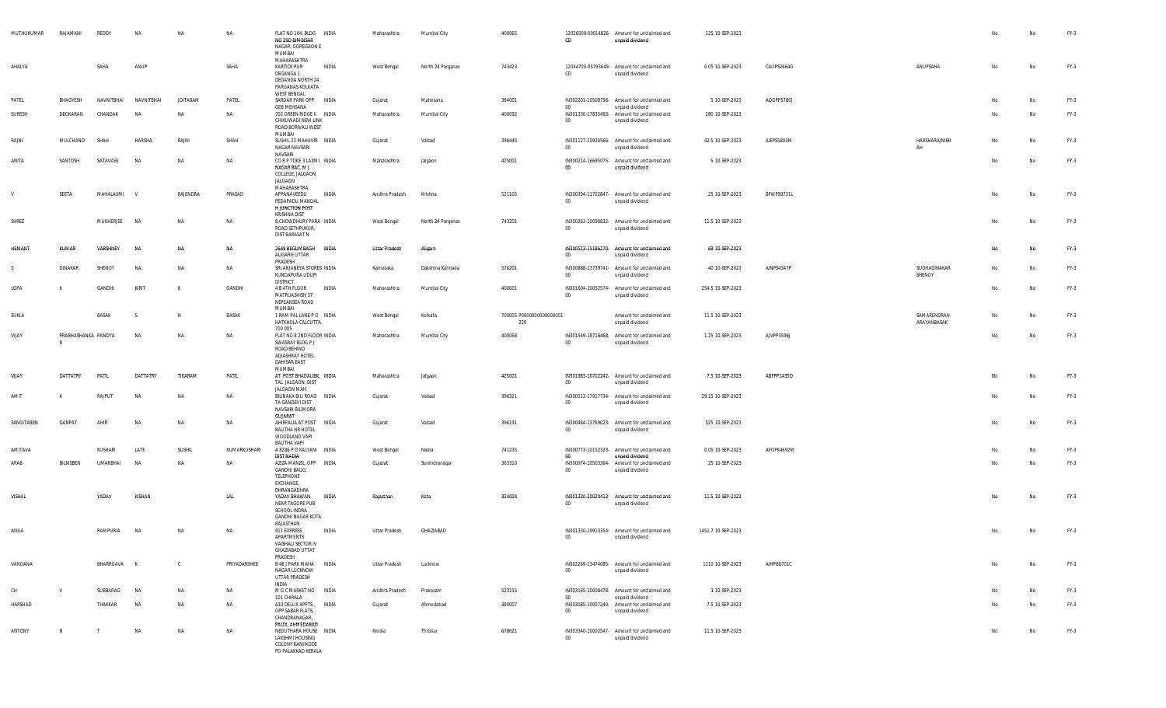| MUTHUKUMAR | RAJAMANI                 | REDDY        | NA           | NA              | NA           | FLAT NO 104, BLDG INDIA<br>NO 29D BIMBISAR<br>NAGAR, GOREGAON E<br>MUMBAI                                 | Maharashtra          | Mumbai City       | 400065                          | CD               | 12026500-00014826- Amount for unclaimed and<br>unpaid dividend                    | 125 10-SEP-2023    |            |                            | No | No | FY-3   |
|------------|--------------------------|--------------|--------------|-----------------|--------------|-----------------------------------------------------------------------------------------------------------|----------------------|-------------------|---------------------------------|------------------|-----------------------------------------------------------------------------------|--------------------|------------|----------------------------|----|----|--------|
| AHALYA     |                          | SAHA         | ANUP         |                 | SAHA         | MAHARASHTRA<br><b>KARTICK PUR</b><br>INDIA<br>DEGANGA 1<br>DEGANGA NORTH 24<br>PARGANAS KOLKATA           | West Bengal          | North 24 Parganas | 743423                          | CD               | 12044700-05793649- Amount for unclaimed and<br>unpaid dividend                    | 0.05 10-SEP-2023   | CAUPS2664G | ANUPSAHA                   | No | No | $FY-3$ |
| PATEL      | BHAGYESH                 | NAVNITRHAI   | NAVNITRHAI   | <b>JOITARAM</b> | PATEL        | <b>WEST BENGAL</b><br>SARDAR PARK OPP INDIA                                                               | Gujarat              | Mahesana          | 384001                          |                  | IN302201-10508756- Amount for unclaimed and                                       | 5 10-SEP-2023      | AQGPP5780J |                            |    | No | $FY-3$ |
| SURESH     | DEOKARAN                 | CHANDAK      | <b>NA</b>    | <b>NA</b>       | <b>NA</b>    | <b>GEB MEHSANA</b><br>702 GREEN RIDGE II INDIA<br>CHIKUWADI NEW LINK<br>ROAD BORIVALI WEST                | Maharashtra          | Mumbai City       | 400092                          | $00\,$<br>$00\,$ | unpaid dividend<br>IN301330-17835493- Amount for unclaimed and<br>unpaid dividend | 280 10-SEP-2023    |            |                            | No | No | $FY-3$ |
| RAJNI      | MULCHAND                 | SHAI         | HARSHA       | RAJNI           | SHAH         | MUMBAI<br>SUSHIL 23 MAHAVIR INDIA<br>NAGAR NAVSARI                                                        | Gujarat              | Valsad            | 396445                          | $00\degree$      | IN301127-15930566- Amount for unclaimed and<br>unpaid dividend                    | 42.5 10-SEP-2023   | AIEPS5803M | HARSHARAJNISH<br>AH        |    | No | $FY-3$ |
| ANITA      | SANTOSH                  | SATAVASE     | <b>NA</b>    | NA              | <b>NA</b>    | NAVSARI<br>CORP TOKE 3 LAXMI INDIA<br>NAGAR BAC, M J<br>COLLEGE, JALGAON<br>JALGAON                       | Maharashtra          | Jalgaon           | 425001                          | 00               | IN300214-16695075- Amount for unclaimed and<br>unpaid dividend                    | 5 10-SEP-2023      |            |                            | No | No | $FY-3$ |
| V          | SEETA                    | MAHALAXMI    | $\mathsf{v}$ | RAJENDRA        | PRASAD       | MAHARASHTRA<br>INDIA<br>APPANAVEEDU<br>PEDAPADU MANDAL<br><b>H JUNCTION POST</b>                          | Andhra Pradesh       | Krishna           | 521105                          | $00\,$           | IN300394-11702847- Amount for unclaimed and<br>unpaid dividend                    | 25 10-SEP-2023     | BFWPS9731L |                            | No | No | $FY-3$ |
| SHREE      |                          | MUKHERJEE    | <b>NA</b>    | NA              | NA           | KRISHNA DIST<br>8, CHOWDHURY PARA INDIA<br>ROAD SETHPUKUR,<br>DIST BARASAT N                              | West Bengal          | North 24 Parganas | 743201                          | $00\,$           | IN300263-10098832- Amount for unclaimed and<br>unpaid dividend                    | 11.5 10-SEP-2023   |            |                            | No | No | $FY-3$ |
| HEMANT     | KUMAR                    | VARSHNEY     | <b>NA</b>    | NA              | NA           | 2649 BEGUMBAGH INDIA<br>ALIGARH UTTAR<br>PRADESH                                                          | <b>Uttar Pradesh</b> | Aligarh           |                                 | $00\,$           | IN300513-15186270- Amount for unclaimed and<br>unpaid dividend                    | 69 10-SEP-2023     |            |                            | No | No | $FY-3$ |
| -S         | DINAKAR                  | SHENOY       | NA           | NA              | <b>NA</b>    | SRI ANJANEYA STORES INDIA<br>KUNDAPURA UDUPI<br><b>DISTRICT</b>                                           | Karnataka            | Dakshina Kannada  | 576201                          | $00\,$           | IN300888-13739741- Amount for unclaimed and<br>unpaid dividend                    | 40 10-SEP-2023     | AINPS4347P | SUDHADINAKAR<br>SHENOY     | No | No | $FY-3$ |
| LOPA       |                          | GANDHI       | KIRIT        | K               | GANDHI       | 4 B 4TH FLOOR<br>INDIA<br>MATRUASHISH 37<br>NEPEANSEA ROAD<br>MUMBAI                                      | Maharashtra          | Mumbai City       | 400001                          | $00\degree$      | IN301604-10052574- Amount for unclaimed and<br>unpaid dividend                    | 254.5 10-SEP-2023  |            |                            | No | No | $FY-3$ |
| SUKLA      |                          | BASAK        | -S           | <b>N</b>        | BASAK        | 1 RAM PAL LANE PO INDIA<br>HATKHOLA CALCUTTA<br>700 005                                                   | West Bengal          | Kolkata           | 700005 P0000000000000001<br>220 |                  | Amount for unclaimed and<br>unpaid dividend                                       | 11.5 10-SEP-2023   |            | SAMARENDRAN<br>ARAYANBASAK | No | No | $FY-3$ |
| VIJAY      | PRABHASHANKA PANDYA<br>R |              | <b>NA</b>    | NA              | NA           | FLAT NO 8 2ND FLOOR INDIA<br>SWASRAY BLDG P J<br>ROAD BEHIND<br>ADIASHRAY HOTEL<br>DAHISAR EAST<br>MUMBAI | Maharashtra          | Mumbai City       | 400068                          | $00\,$           | IN301549-18716468- Amount for unclaimed and<br>unpaid dividend                    | 1.25 10-SEP-2023   | AJVPP3596J |                            |    | No | $FY-3$ |
| VIJAY      | DATTATRY                 | PATIL        | DATTATRY     | TIKARAM         | PATIL        | AT POST BHADALIBK, INDIA<br>TAL JALGAON, DIST<br>JALGAON MAH                                              | Maharashtra          | Jalgaon           | 425001                          | $00\,$           | IN301983-10702242- Amount for unclaimed and<br>unpaid dividend                    | 7.5 10-SEP-2023    | ABFPP1435Q |                            |    | No | $FY-3$ |
| AMIT       | K                        | RAJPUT       | NA           | NA              | NA           | BILINAKA BILI ROAD INDIA<br>TA GANDEVI DIST<br>NAVSARI BILIMORA<br><b>GUJARAT</b>                         | Gujarat              | Valsad            | 396321                          | $00\,$           | IN300513-17917734- Amount for unclaimed and<br>unpaid dividend                    | 29.15 10-SEP-2023  |            |                            | No | No | $FY-3$ |
| SANGITABEN | GANPAT                   | AHIR         | <b>NA</b>    | NA              | <b>NA</b>    | AHIRFALIA AT POST INDIA<br><b>BALITHA NR HOTEL</b><br>WOODLAND VAPI<br>BALITHA VAPI                       | Gujarat              | Valsad            | 396191                          | $00\,$           | IN300484-13769023- Amount for unclaimed and<br>unpaid dividend                    | 525 10-SEP-2023    |            |                            | No | No | $FY-3$ |
| AMITAVA    |                          | KUSHARI      | LATE         | <b>SUSHIL</b>   | KUMARKUSHARI | A 8286 P O KALYANI INDIA<br>DIST NADIA                                                                    | West Bengal          | Nadia             | 741235                          | 00               | IN300773-10152323- Amount for unclaimed and<br>unpaid dividend                    | 0.05 10-SEP-2023   | AFOPK4692M |                            | No | No | $FY-3$ |
| ARAB       | BILKISBEN                | UMARBHAI     | NA           | NA              | <b>NA</b>    | AZIZA MANZIL, OPP INDIA<br><b>GANDHI BAUG,</b><br>TELEPHONE<br>EXCHANGE,<br>DHRANGADHRA                   | Gujarat              | Surendranagar     | 363310                          | $00\,$           | IN300974-10503364- Amount for unclaimed and<br>unpaid dividend                    | 25 10-SEP-2023     |            |                            | No | No | $FY-3$ |
| VISHAL     |                          | YADAV        | KISHAN       |                 | LAL          | YADAV BHAWAN<br>INDIA<br>NEAR TAGORE PUB<br>SCHOOL INDRA<br><b>GANDHI NAGAR KOTA</b><br>RAJASTHAN         | Rajasthan            | Kota              | 324004                          | $00\,$           | IN301330-20020413- Amount for unclaimed and<br>unpaid dividend                    | 11.5 10-SEP-2023   |            |                            | No | No | $FY-3$ |
| ANILA      |                          | RAMPURIA     | <b>NA</b>    | <b>NA</b>       | <b>NA</b>    | 911 EXPRESS<br>INDIA<br>APARTMENTS<br>VAISHALI SECTOR IV<br><b>GHAZIABAD UTTAT</b><br>PRADESH             | Uttar Pradesh        | GHAZIABAD         |                                 | $00\,$           | IN301330-19913354- Amount for unclaimed and<br>unpaid dividend                    | 1451.7 10-SEP-2023 |            |                            |    | No | FY-3   |
| VANDANA    |                          | BHARRGAVA K  |              | $\mathbb{C}$    | PRIYADARSHEE | B 48 J PARK MAHA INDIA<br>NAGAR LUCKNOW<br>UTTAR PRADESH<br>INDIA                                         | Uttar Pradesh        | Lucknow           |                                 | $00\,$           | IN302269-13474085- Amount for unclaimed and<br>unpaid dividend                    | 1110 10-SEP-2023   | AIHPB8701C |                            | No | No | $FY-3$ |
| CH         | V                        | SUBBARAO     | NA           | NA              | NA           | M G C MARKET NO INDIA<br>101 CHIRALA                                                                      | Andhra Pradesh       | Prakasam          | 523155                          | $00\,$           | IN303165-10008478- Amount for unclaimed and<br>unpaid dividend                    | 3 10-SEP-2023      |            |                            |    | No | $FY-3$ |
| HARSHAD    |                          | THAKKAR      | <b>NA</b>    | NA              | NA           | A10 DELUX APPTS, INDIA<br>OPP SABAR FLATS,<br>CHANDRANAGAR,<br>PALDI, AHMEDABAD                           | Gujarat              | Ahmedabad         | 380007                          | $00\,$           | IN303085-10007240- Amount for unclaimed and<br>unpaid dividend                    | 7.5 10-SEP-2023    |            |                            | No | No | $FY-3$ |
| ANTONY     | N                        | $\mathsf{T}$ | <b>NA</b>    | <b>NA</b>       | NA           | NEDUTHARA HOUSE INDIA<br>LAKSHMI HOUSING<br>COLONY KANJIKODE<br>PO PALAKKAD KERALA                        | Kerala               | Thrissur          | 678621                          | $00\,$           | IN303340-10002547- Amount for unclaimed and<br>unpaid dividend                    | 11.5 10-SEP-2023   |            |                            | No | No | $FY-3$ |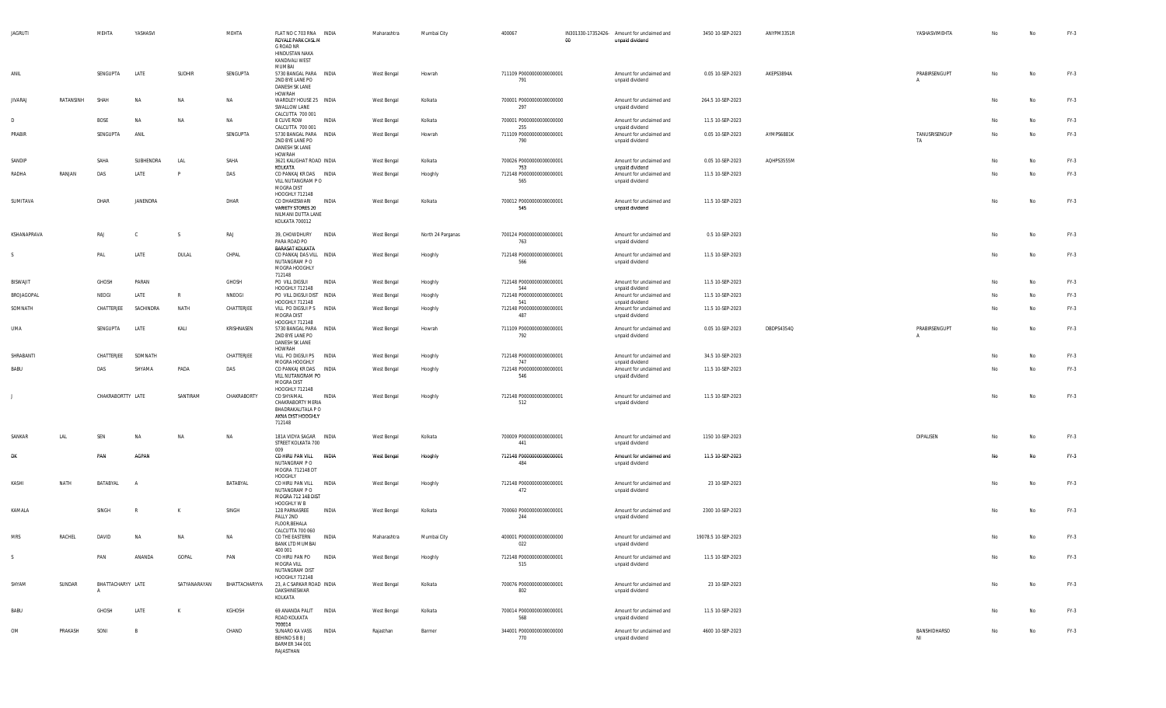| <b>JAGRUTI</b>  |           | MEHTA             | YASHASVI     |               | MEHTA         | FLAT NO C 703 RNA INDIA<br>ROYALE PARK CHSL M<br>G ROAD NR<br>HINDUSTAN NAKA<br>KANDIVALI WEST<br>MUMBAI |              | Maharashtra | Mumbai City       | 400067                                 | 00 | IN301330-17352426- Amount for unclaimed and<br>unpaid dividend | 3450 10-SEP-2023    | ANYPM3351R | YASHASVIMEHTA      | No | No  | $FY-3$ |
|-----------------|-----------|-------------------|--------------|---------------|---------------|----------------------------------------------------------------------------------------------------------|--------------|-------------|-------------------|----------------------------------------|----|----------------------------------------------------------------|---------------------|------------|--------------------|----|-----|--------|
| ANIL            |           | SENGUPTA          | LATE         | <b>SUDHIR</b> | SENGUPTA      | 5730 BANGAL PARA INDIA<br>2ND BYE LANE PO<br>DANESH SK LANE<br>HOWRAH                                    |              | West Bengal | Howrah            | 711109 P0000000000000001<br>791        |    | Amount for unclaimed and<br>unpaid dividend                    | 0.05 10-SEP-2023    | AKEPS3894A | PRABIRSENGUPT      | No | No  | $FY-3$ |
| <b>JIVARAJ</b>  | RATANSINH | SHAH              | NA           | NA            | NA            | WARDLEY HOUSE 25 INDIA<br>SWALLOW LANE                                                                   |              | West Bengal | Kolkata           | 700001 P0000000000000000<br>297        |    | Amount for unclaimed and<br>unpaid dividend                    | 264.5 10-SEP-2023   |            |                    | No | No  | $FY-3$ |
| D.              |           | BOSE              | NA           | <b>NA</b>     | NA            | CALCUTTA 700 001<br>8 CLIVE ROW                                                                          | <b>INDIA</b> | West Bengal | Kolkata           | 700001 P0000000000000000               |    | Amount for unclaimed and                                       | 11.5 10-SEP-2023    |            |                    | No | No. | $FY-3$ |
| PRABIR          |           | SENGUPTA          | ANIL         |               | SENGUPTA      | CALCUTTA 700 001<br>5730 BANGAL PARA INDIA                                                               |              | West Bengal | Howrah            | 255<br>711109 P0000000000000001        |    | unpaid dividend<br>Amount for unclaimed and                    | 0.05 10-SEP-2023    | AYMPS6881K | TANUSRISENGUP      | No | No  | $FY-3$ |
|                 |           |                   |              |               |               | 2ND BYE LANE PO<br>DANESH SK LANE<br>HOWRAH                                                              |              |             |                   | 790                                    |    | unpaid dividend                                                |                     |            | TA                 |    |     |        |
| SANDIP          |           | SAHA              | SUBHENDRA    | LAL           | SAHA          | 3621 KALIGHAT ROAD INDIA<br>KOLKATA                                                                      |              | West Bengal | Kolkata           | 700026 P0000000000000001<br>753        |    | Amount for unclaimed and<br>unpaid dividend                    | 0.05 10-SEP-2023    | AQHPS3555M |                    | No | No  | $FY-3$ |
| RADHA           | RANJAN    | DAS               | LATE         |               | DAS           | CO PANKAJ KR DAS INDIA<br>VILL NUTANGRAM PO<br>MOGRA DIST<br>HOOGHLY 712148                              |              | West Bengal | Hooghly           | 712148 P0000000000000001<br>565        |    | Amount for unclaimed and<br>unpaid dividend                    | 11.5 10-SEP-2023    |            |                    | No | No  | $FY-3$ |
| SUMITAVA        |           | DHAR              | JANENDRA     |               | DHAR          | CO DHAKESWARI<br>VARIETY STORES 20<br>NILMANI DUTTA LANE<br>KOLKATA 700012                               | INDIA        | West Bengal | Kolkata           | 700012 P0000000000000001<br>545        |    | Amount for unclaimed and<br>unpaid dividend                    | 11.5 10-SEP-2023    |            |                    | No | No  | $FY-3$ |
| KSHANAPRAVA     |           | RAJ               | C            | S             | RAJ           | 39, CHOWDHURY INDIA<br>PARA ROAD PO<br><b>BARASAT KOLKATA</b>                                            |              | West Bengal | North 24 Parganas | 700124 P0000000000000001<br>763        |    | Amount for unclaimed and<br>unpaid dividend                    | 0.5 10-SEP-2023     |            |                    | No | No  | $FY-3$ |
|                 |           | PAL               | LATE         | DULAL         | CHPAL         | CO PANKAJ DAS VILL INDIA<br>NUTANGRAM P O<br>MOGRA HOOGHLY<br>712148                                     |              | West Bengal | Hooghly           | 712148 P0000000000000001<br>566        |    | Amount for unclaimed and<br>unpaid dividend                    | 11.5 10-SEP-2023    |            |                    | No | No  | $FY-3$ |
| <b>BISWAJIT</b> |           | GHOSH             | PARAN        |               | GHOSH         | PO VILL DIGSUI<br>HOOGHLY 712148                                                                         | INDIA        | West Bengal | Hooghly           | 712148 P0000000000000001<br>544        |    | Amount for unclaimed and<br>unpaid dividend                    | 11.5 10-SEP-2023    |            |                    | No | No  | $FY-3$ |
| BROJAGOPAL      |           | NEOGI             | LATE         | R             | NNEOGI        | PO VILL DIGSUI DIST INDIA<br>HOOGHLY 712148                                                              |              | West Bengal | Hooghly           | 712148 P0000000000000001<br>541        |    | Amount for unclaimed and<br>unpaid dividend                    | 11.5 10-SEP-2023    |            |                    | No | No  | $FY-3$ |
| SOMNATH         |           | CHATTERJEE        | SACHINDRA    | NATH          | CHATTERJEE    | VILL PO DIGSUI P S INDIA<br>MOGRA DIST<br>HOOGHLY 712148                                                 |              | West Bengal | Hooghly           | 712148 P0000000000000001<br>487        |    | Amount for unclaimed and<br>unpaid dividend                    | 11.5 10-SEP-2023    |            |                    | No | No  | $FY-3$ |
| UMA             |           | SENGUPTA          | LATE         | KALI          | KRISHNASEN    | 5730 BANGAL PARA INDIA<br>2ND BYE LANE PO<br>DANESH SK LANE                                              |              | West Bengal | Howrah            | 711109 P0000000000000001<br>792        |    | Amount for unclaimed and<br>unpaid dividend                    | 0.05 10-SEP-2023    | DBDPS4354Q | PRABIRSENGUPT      | No | No. | FY-3   |
| SHRABANTI       |           | CHATTERJEE        | SOMNATH      |               | CHATTERJEE    | HOWRAH<br>VILL PO DIGSUI PS INDIA                                                                        |              | West Bengal | Hooghly           | 712148 P0000000000000001               |    | Amount for unclaimed and                                       | 34.5 10-SEP-2023    |            |                    | No | No  | $FY-3$ |
| <b>BABU</b>     |           | DAS               | SHYAMA       | PADA          | DAS           | MOGRA HOOGHLY<br>CO PANKAJ KR DAS INDIA<br>VILL NUTANGRAM PO<br>MOGRA DIST                               |              | West Bengal | Hooghly           | 747<br>712148 P0000000000000001<br>546 |    | unpaid dividend<br>Amount for unclaimed and<br>unpaid dividend | 11.5 10-SEP-2023    |            |                    | No | No  | FY-3   |
|                 |           | CHAKRABORTTY LATE |              | SANTIRAM      | CHAKRABORTY   | HOOGHLY 712148<br>CO SHYAMAL<br>CHAKRABORTY MERIA<br>BHADRAKALITALA P O<br>AKNA DIST HOOGHLY<br>712148   | INDIA        | West Bengal | Hooghly           | 712148 P0000000000000001<br>512        |    | Amount for unclaimed and<br>unpaid dividend                    | 11.5 10-SEP-2023    |            |                    | No | No  | $FY-3$ |
| SANKAR          | LAL       | SEN               | NA           | NA            | NA            | 181A VIDYA SAGAR INDIA<br>STREET KOLKATA 700<br>009                                                      |              | West Bengal | Kolkata           | 700009 P0000000000000001<br>441        |    | Amount for unclaimed and<br>unpaid dividend                    | 1150 10-SEP-2023    |            | DIPALISEN          | No | No  | FY-3   |
| Đŀ              |           | PAN               | AGPAN        |               |               | CO HIRU PAN VILL INDIA<br>NUTANGRAM P O<br>MOGRA 712148 DT                                               |              | West Bengal | Hooghly           | 712148 P0000000000000001<br>484        |    | Amount for unclaimed and<br>unpaid dividend                    | 11.5 10-SEP-2023    |            |                    |    | Nα  | $FY-3$ |
| KASHI           | NATH      | BATABYAL          | A            |               | BATABYAL      | HOOGHLY<br>CO HIRU PAN VILL INDIA<br>NUTANGRAM P O<br>MOGRA 712 148 DIST                                 |              | West Bengal | Hooghly           | 712148 P0000000000000001<br>472        |    | Amount for unclaimed and<br>unpaid dividend                    | 23 10-SEP-2023      |            |                    | No | No  | FY-3   |
| KAMALA          |           | SINGH             | $\mathsf{R}$ | K             | SINGH         | HOOGHLY W B<br>128 PARNASREE<br>PALLY 2ND<br>FLOOR, BEHALA                                               | INDIA        | West Bengal | Kolkata           | 700060 P0000000000000001<br>244        |    | Amount for unclaimed and<br>unpaid dividend                    | 2300 10-SEP-2023    |            |                    | No | No  | FY-3   |
| <b>MRS</b>      | RACHEL    | DAVID             | <b>NA</b>    | <b>NA</b>     | NA            | CALCUTTA 700 060<br>CO THE EASTERN<br><b>BANK LTD MUMBAI</b>                                             | <b>INDIA</b> | Maharashtra | Mumbai City       | 400001 P0000000000000000<br>022        |    | Amount for unclaimed and<br>unpaid dividend                    | 19078.5 10-SEP-2023 |            |                    | No | No  | $FY-3$ |
| S               |           | PAN               | ANANDA       | GOPAL         | PAN           | 400 001<br>CO HIRU PAN PO INDIA<br>MOGRA VILL<br>NUTANGRAM DIST                                          |              | West Bengal | Hooghly           | 712148 P0000000000000001<br>515        |    | Amount for unclaimed and<br>unpaid dividend                    | 11.5 10-SEP-2023    |            |                    | No | No  | $FY-3$ |
| SHYAM           | SUNDAR    | BHATTACHARYY LATE |              | SATYANARAYAN  | BHATTACHARYYA | HOOGHLY 712148<br>23, A C SARKAR ROAD INDIA<br>DAKSHINESWAR<br>KOLKATA                                   |              | West Bengal | Kolkata           | 700076 P0000000000000001<br>802        |    | Amount for unclaimed and<br>unpaid dividend                    | 23 10-SEP-2023      |            |                    | No | No  | $FY-3$ |
| BABU            |           | GHOSH             | LATE         | K             | KGHOSH        | 69 ANANDA PALIT INDIA<br>ROAD KOLKATA                                                                    |              | West Bengal | Kolkata           | 700014 P0000000000000001<br>568        |    | Amount for unclaimed and<br>unpaid dividend                    | 11.5 10-SEP-2023    |            |                    | No | No  | $FY-3$ |
| <b>OM</b>       | PRAKASH   | SONI              | B            |               | CHAND         | 700014<br>SUNARO KA VASS<br>BEHIND S B B J<br><b>BARMER 344 001</b><br>RAJASTHAN                         | INDIA        | Rajasthan   | Barmer            | 344001 P0000000000000000<br>770        |    | Amount for unclaimed and<br>unpaid dividend                    | 4600 10-SEP-2023    |            | BANSHIDHARSO<br>NI | No | No  | $FY-3$ |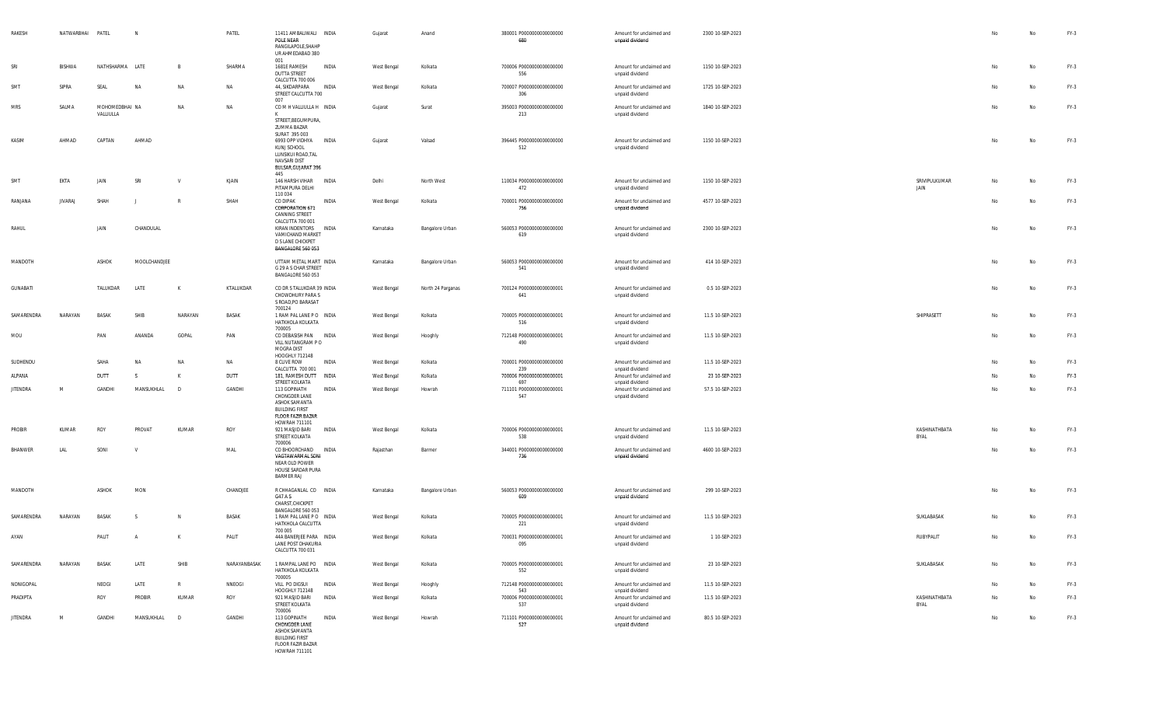| RAKESH          | NATWARBHAI PATEL |                             | N            |              | PATEL        | 11411 AMBALIWALI INDIA<br>POLE NEAR<br>RANGILAPOLE.SHAHP<br>UR AHMEDABAD 380                                                           |       | Gujarat     | Anand             | 380001 P0000000000000000<br>680        | Amount for unclaimed and<br>unpaid dividend                    | 2300 10-SEP-2023 |                       | No | No        | FY-3   |
|-----------------|------------------|-----------------------------|--------------|--------------|--------------|----------------------------------------------------------------------------------------------------------------------------------------|-------|-------------|-------------------|----------------------------------------|----------------------------------------------------------------|------------------|-----------------------|----|-----------|--------|
| SRI             | BISHWA           | NATHSHARMA LATE             |              | B            | SHARMA       | 001<br>1681E RAMESH<br><b>DUTTA STREET</b><br>CALCUTTA 700 006                                                                         | INDIA | West Bengal | Kolkata           | 700006 P0000000000000000<br>556        | Amount for unclaimed and<br>unpaid dividend                    | 1150 10-SEP-2023 |                       | No | No        | FY-3   |
| SMT             | SIPRA            | SEAL                        | NA           | NA           | <b>NA</b>    | 44, SIKDARPARA<br>STREET CALCUTTA 700<br>007                                                                                           | INDIA | West Bengal | Kolkata           | 700007 P0000000000000000<br>306        | Amount for unclaimed and<br>unpaid dividend                    | 1725 10-SEP-2023 |                       | No | <b>No</b> | FY-3   |
| MRS             | SALMA            | MOHOMEDBHAI NA<br>VALLIULLA |              | N            | <b>NA</b>    | COMHVALLIULLAH INDIA<br>STREET, BEGUMPURA,<br>ZUMMA BAZAR<br>SURAT 395 003                                                             |       | Gujarat     | Surat             | 395003 P0000000000000000<br>213        | Amount for unclaimed and<br>unpaid dividend                    | 1840 10-SEP-2023 |                       | No | No        | FY-3   |
| KASIM           | AHMAD            | CAPTAN                      | AHMAD        |              |              | 6993 OPP VIDHYA INDIA<br>KUNJ SCHOOL<br>LUNSIKUI ROAD, TAL<br>NAVSARI DIST<br>BULSAR, GUJARAT 396<br>445                               |       | Gujarat     | Valsad            | 396445 P0000000000000000<br>512        | Amount for unclaimed and<br>unpaid dividend                    | 1150 10-SEP-2023 |                       | No | <b>No</b> | FY-3   |
| SMT             | EKTA             | JAIN                        | SRI          | $\mathsf{v}$ | KJAIN        | 146 HARSH VIHAR INDIA<br>PITAMPURA DELHI<br>110 034                                                                                    |       | Delhi       | North West        | 110034 P0000000000000000<br>472        | Amount for unclaimed and<br>unpaid dividend                    | 1150 10-SEP-2023 | SRIVIPULKUMAR<br>JAIN | No | No        | FY-3   |
| RANJANA         | <b>JIVARAJ</b>   | SHAH                        |              |              | SHAH         | CO DIPAK<br><b>CORPORATION 671</b><br>CANNING STREET<br>CALCUTTA 700 001                                                               | INDIA | West Bengal | Kolkata           | 700001 P0000000000000000<br>756        | Amount for unclaimed and<br>unpaid dividend                    | 4577 10-SEP-2023 |                       | No | No        | FY-3   |
| RAHUL           |                  | JAIN                        | CHANDULAL    |              |              | KIRAN INDENTORS INDIA<br>VAMICHAND MARKET<br>D S LANE CHICKPET<br>BANGALORE 560 053                                                    |       | Karnataka   | Bangalore Urban   | 560053 P0000000000000000<br>619        | Amount for unclaimed and<br>unpaid dividend                    | 2300 10-SEP-2023 |                       | No | No        | FY-3   |
| MANDOTH         |                  | ASHOK                       | MOOLCHANDJEE |              |              | UTTAM METAL MART INDIA<br>G 29 A S CHAR STREET<br>BANGALORE 560 053                                                                    |       | Karnataka   | Bangalore Urban   | 560053 P0000000000000000<br>541        | Amount for unclaimed and<br>unpaid dividend                    | 414 10-SEP-2023  |                       | No | No        | FY-3   |
| GUNABATI        |                  | TALUKDAR                    | LATE         | K            | KTALUKDAR    | CO DR S TALUKDAR 39 INDIA<br>CHOWDHURY PARA S<br>S ROAD, PO BARASAT<br>700124                                                          |       | West Bengal | North 24 Parganas | 700124 P0000000000000001<br>641        | Amount for unclaimed and<br>unpaid dividend                    | 0.5 10-SEP-2023  |                       | No | No        | FY-3   |
| SAMARENDRA      | NARAYAN          | <b>BASAK</b>                | SHIB         | NARAYAN      | BASAK        | 1 RAM PAL LANE PO INDIA<br>HATKHOLA KOLKATA<br>700005                                                                                  |       | West Bengal | Kolkata           | 700005 P0000000000000001<br>516        | Amount for unclaimed and<br>unpaid dividend                    | 11.5 10-SEP-2023 | SHIPRASETT            | No | No        | FY-3   |
| MOU             |                  | PAN                         | ANANDA       | GOPAL        | PAN          | CO DEBASISH PAN INDIA<br>VILL NUTANGRAM PO<br>MOGRA DIST<br>HOOGHLY 712148                                                             |       | West Bengal | Hooghly           | 712148 P0000000000000001<br>490        | Amount for unclaimed and<br>unpaid dividend                    | 11.5 10-SEP-2023 |                       | No | No        | FY-3   |
| SUDHENDU        |                  | SAHA                        | NA           | N            | NA           | 8 CLIVE ROW                                                                                                                            | INDIA | West Bengal | Kolkata           | 700001 P0000000000000000               | Amount for unclaimed and                                       | 11.5 10-SEP-2023 |                       | No | No        | FY-3   |
| ALPANA          |                  | DUTT                        | S.           | K            | DUTT         | CALCUTTA 700 001<br>181, RAMESH DUTT INDIA                                                                                             |       | West Bengal | Kolkata           | 239<br>700006 P0000000000000001        | unpaid dividend<br>Amount for unclaimed and                    | 23 10-SEP-2023   |                       | No | No        | $FY-3$ |
| <b>JITENDRA</b> | M                | GANDHI                      | MANSUKHLAL   | D            | GANDHI       | STREET KOLKATA<br>113 GOPINATH<br>CHONGDER LANE<br>ASHOK SAMANTA<br><b>BUILDING FIRST</b><br><b>FLOOR FAZIR BAZAR</b><br>HOWRAH 711101 | INDIA | West Bengal | Howrah            | 697<br>711101 P0000000000000001<br>547 | unpaid dividend<br>Amount for unclaimed and<br>unpaid dividend | 57.5 10-SEP-2023 |                       | No | No        | FY-3   |
| PROBIR          | KUMAR            | ROY                         | PROVAT       | KUMAR        | ROY          | 921 MASJID BARI<br>STREET KOLKATA<br>700006                                                                                            | INDIA | West Bengal | Kolkata           | 700006 P0000000000000001<br>538        | Amount for unclaimed and<br>unpaid dividend                    | 11.5 10-SEP-2023 | KASHINATHBATA<br>BYAL | No | No        | $FY-3$ |
| <b>BHANWER</b>  | LAL              | SONI                        | V            |              | MAL          | CO BHOORCHAND INDIA<br>VAGTAWARMAL SONI<br>NEAR OLD POWER<br>HOUSE SARDAR PURA<br>BARMER RAJ                                           |       | Rajasthan   | Barmer            | 344001 P0000000000000000<br>736        | Amount for unclaimed and<br>unpaid dividend                    | 4600 10-SEP-2023 |                       | No | No        | FY-3   |
| MANDOTH         |                  | ASHOK                       | MON          |              | CHANDJEE     | R CHHAGANLAL CO INDIA<br>G47 A S<br>CHARST, CHICKPET<br>BANGALORE 560 053                                                              |       | Karnataka   | Bangalore Urban   | 560053 P0000000000000000<br>609        | Amount for unclaimed and<br>unpaid dividend                    | 299 10-SEP-2023  |                       | No | No        | FY-3   |
| SAMARENDRA      | NARAYAN          | BASAK                       | -S.          | N.           | BASAK        | 1 RAM PAL LANE PO INDIA<br>HATKHOLA CALCUTTA<br>700 005                                                                                |       | West Bengal | Kolkata           | 700005 P0000000000000001<br>221        | Amount for unclaimed and<br>unpaid dividend                    | 11.5 10-SEP-2023 | SUKLABASAK            | No | No        | FY-3   |
| AYAN            |                  | PALIT                       | A            | K            | PALIT        | 44A BANERJEE PARA INDIA<br>LANE POST DHAKURIA<br>CALCUTTA 700 031                                                                      |       | West Bengal | Kolkata           | 700031 P00000000000000001<br>095       | Amount for unclaimed and<br>unpaid dividend                    | 1 10-SEP-2023    | RUBYPALIT             | No | No        | $FY-3$ |
| SAMARENDRA      | NARAYAN          | BASAK                       | LATE         | SHIB         | NARAYANBASAK | 1 RAMPAL LANE PO INDIA<br>HATKHOLA KOLKATA<br>700005                                                                                   |       | West Bengal | Kolkata           | 700005 P0000000000000001<br>552        | Amount for unclaimed and<br>unpaid dividend                    | 23 10-SEP-2023   | SUKLABASAK            | No | No        | FY-3   |
| NONIGOPAL       |                  | NEOGI                       | LATE         | R            | NNEOGI       | VILL PO DIGSUI<br>HOOGHLY 712148                                                                                                       | INDIA | West Bengal | Hooghly           | 712148 P0000000000000001<br>543        | Amount for unclaimed and<br>unpaid dividend                    | 11.5 10-SEP-2023 |                       | No | No        | FY-3   |
| PRADIPTA        |                  | ROY                         | PROBIR       | KUMAR        | ROY          | 921 MASJID BARI<br>STREET KOLKATA<br>700006                                                                                            | INDIA | West Bengal | Kolkata           | 700006 P0000000000000001<br>537        | Amount for unclaimed and<br>unpaid dividend                    | 11.5 10-SEP-2023 | KASHINATHBATA<br>BYAL | No | No        | FY-3   |
| <b>JITENDRA</b> | M                | GANDHI                      | MANSUKHLAL   | $\Box$       | GANDHI       | 113 GOPINATH<br>CHONGDER LANE<br>ASHOK SAMANTA<br><b>BUILDING FIRST</b><br><b>FLOOR FAZIR BAZAR</b><br>HOWRAH 711101                   | INDIA | West Bengal | Howrah            | 711101 P0000000000000001<br>527        | Amount for unclaimed and<br>unpaid dividend                    | 80.5 10-SEP-2023 |                       | No | No        | FY-3   |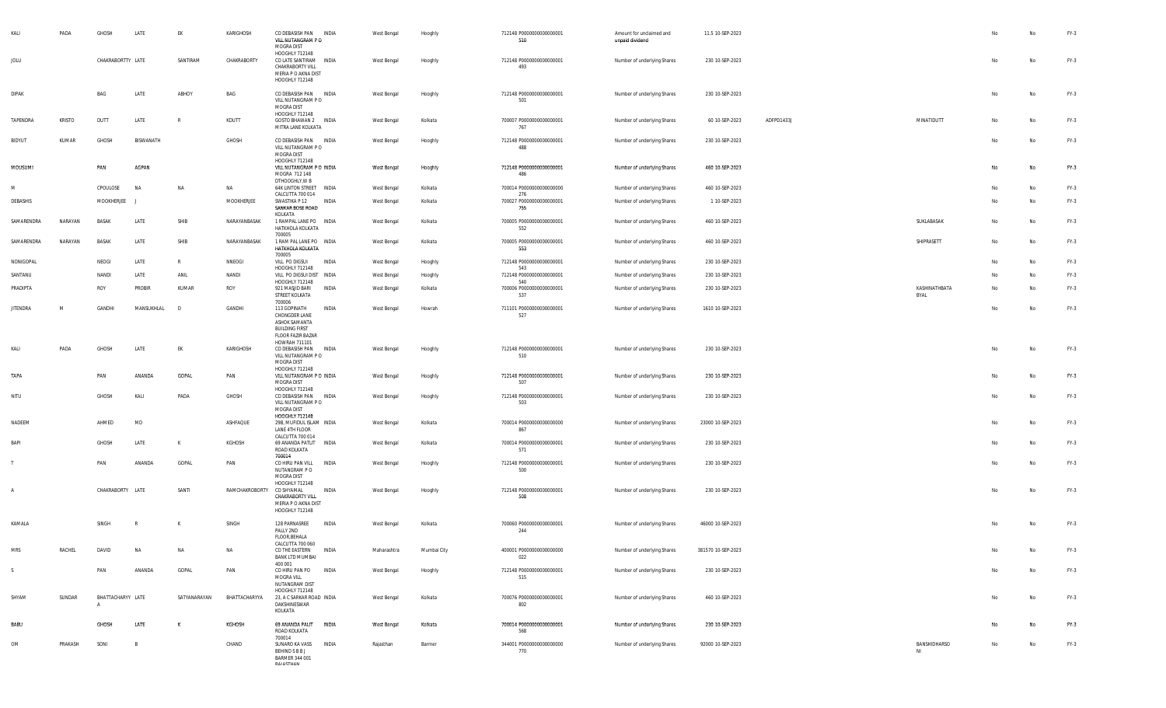| KALI            | PADA          | GHOSH                  | LATE           | EK           | KARIGHOSH      | CO DEBASISH PAN<br>VILL NUTANGRAM P O<br>MOGRA DIST<br>HOOGHLY 712148                               | INDIA | West Bengal | Hooghly     | 712148 P0000000000000001<br>510  | Amount for unclaimed and<br>unpaid dividend | 11.5 10-SEP-2023   |            |                       |    | No | FY-3   |
|-----------------|---------------|------------------------|----------------|--------------|----------------|-----------------------------------------------------------------------------------------------------|-------|-------------|-------------|----------------------------------|---------------------------------------------|--------------------|------------|-----------------------|----|----|--------|
| JOLU            |               | CHAKRABORTTY LATE      |                | SANTIRAM     | CHAKRABORTY    | CO LATE SANTIRAM INDIA<br>CHAKRABORTY VILL<br>MERIA P O AKNA DIST<br>HOOGHLY 712148                 |       | West Bengal | Hooghly     | 712148 P0000000000000001<br>493  | Number of underlying Shares                 | 230 10-SEP-2023    |            |                       | No | No | FY-3   |
| DIPAK           |               | BAG                    | LATE           | ABHOY        | BAG            | CO DEBASISH PAN INDIA<br>VILL NUTANGRAM PO<br>MOGRA DIST                                            |       | West Bengal | Hooghly     | 712148 P0000000000000001<br>501  | Number of underlying Shares                 | 230 10-SEP-2023    |            |                       | No | No | FY-3   |
| TAPENDRA        | <b>KRISTO</b> | DUTT                   | LATE           | $\mathbb{R}$ | KDUTT          | HOOGHLY 712148<br>GOSTO BHAWAN 2 INDIA<br>MITRA LANE KOLKATA                                        |       | West Bengal | Kolkata     | 700007 P0000000000000001<br>767  | Number of underlying Shares                 | 60 10-SEP-2023     | ADFPD1433J | MINATIDUTT            | No | No | FY-3   |
| BIDYUT          | KUMAR         | GHOSH                  | BISWANATH      |              | GHOSH          | CO DEBASISH PAN INDIA<br>VILL NUTANGRAM PO<br>MOGRA DIST                                            |       | West Bengal | Hooghly     | 712148 P0000000000000001<br>488  | Number of underlying Shares                 | 230 10-SEP-2023    |            |                       | No | No | FY-3   |
| MOUSUMI         |               | PAN                    | AGPAN          |              |                | HOOGHLY 712148<br>VILL NUTANGRAM P O INDIA<br>MOGRA 712 148<br>DTHOOGHLY, W B                       |       | West Bengal | Hooghly     | 712148 P0000000000000001<br>486  | Number of underlying Shares                 | 460 10-SEP-2023    |            |                       | No | No | $FY-3$ |
| M               |               | CPOULOSE               | <b>NA</b>      | NA           | NA             | 64K LINTON STREET INDIA<br>CALCUTTA 700 014                                                         |       | West Bengal | Kolkata     | 700014 P0000000000000000<br>276  | Number of underlying Shares                 | 460 10-SEP-2023    |            |                       | No | No | FY-3   |
| DEBASHIS        |               | MOOKHERJEE             | - 1            |              | MOOKHERJEE     | SWASTIKA P 12<br>SANKAR BOSE ROAD                                                                   | INDIA | West Bengal | Kolkata     | 700027 P0000000000000001<br>755  | Number of underlying Shares                 | 1 10-SEP-2023      |            |                       | No | No | FY-3   |
| SAMARENDRA      | NARAYAN       | <b>BASAK</b>           | LATE           | SHIB         | NARAYANBASAK   | KOLKATA<br>1 RAMPAL LANE PO INDIA<br>HATKHOLA KOLKATA<br>700005                                     |       | West Bengal | Kolkata     | 700005 P0000000000000001<br>552  | Number of underlying Shares                 | 460 10-SEP-2023    |            | SUKLABASAK            | No | No | FY-3   |
| SAMARENDRA      | NARAYAN       | BASAK                  | LATE           | SHIB         | NARAYANBASAK   | 1 RAM PAL LANE PO INDIA<br>HATKHOLA KOLKATA<br>700005                                               |       | West Bengal | Kolkata     | 700005 P0000000000000001<br>553  | Number of underlying Shares                 | 460 10-SEP-2023    |            | SHIPRASETT            | No | No | FY-3   |
| NONIGOPAL       |               | NEOGI                  | LATE           | $\mathbb{R}$ | NNEOGI         | VILL PO DIGSUI<br>HOOGHLY 712148                                                                    | INDIA | West Bengal | Hooghly     | 712148 P0000000000000001<br>543  | Number of underlying Shares                 | 230 10-SEP-2023    |            |                       | No | No | FY-3   |
| SANTANU         |               | NANDI                  | LATE           | ANIL         | NANDI          | VILL PO DIGSUI DIST INDIA<br>HOOGHLY 712148                                                         |       | West Bengal | Hooghly     | 712148 P0000000000000001<br>540  | Number of underlying Shares                 | 230 10-SEP-2023    |            |                       | No | No | FY-3   |
| PRADIPTA        |               | ROY                    | PROBIR         | KUMAR        | ROY            | 921 MASJID BARI<br>STREET KOLKATA<br>700006                                                         | INDIA | West Bengal | Kolkata     | 700006 P0000000000000001<br>537  | Number of underlying Shares                 | 230 10-SEP-2023    |            | KASHINATHBATA<br>BYAL | No | No | FY-3   |
| <b>JITENDRA</b> | M             | GANDHI                 | MANSUKHLAL     | D            | GANDHI         | 113 GOPINATH<br>CHONGDER LANE<br>ASHOK SAMANTA<br><b>BUILDING FIRST</b><br><b>FLOOR FAZIR BAZAR</b> | INDIA | West Bengal | Howrah      | 711101 P0000000000000001<br>527  | Number of underlying Shares                 | 1610 10-SEP-2023   |            |                       | No | No | FY-3   |
| Kali            | PADA          | GHOSH                  | LATE           | EK           | KARIGHOSH      | HOWRAH 711101<br>CO DEBASISH PAN<br>VILL NUTANGRAM PO<br>MOGRA DIST                                 | INDIA | West Bengal | Hooghly     | 712148 P0000000000000001<br>510  | Number of underlying Shares                 | 230 10-SEP-2023    |            |                       | No | No | FY-3   |
| TAPA            |               | PAN                    | ANANDA         | GOPAL        | PAN            | HOOGHLY 712148<br>VILL NUTANGRAM P O INDIA<br>MOGRA DIST<br>HOOGHLY 712148                          |       | West Bengal | Hooghly     | 712148 P0000000000000001<br>507  | Number of underlying Shares                 | 230 10-SEP-2023    |            |                       | No | No | $FY-3$ |
| NITU            |               | GHOSH                  | KALI           | PADA         | GHOSH          | CO DEBASISH PAN INDIA<br>VILL NUTANGRAM PO<br>MOGRA DIST<br>HOOGHLY 712148                          |       | West Bengal | Hooghly     | 712148 P0000000000000001<br>503  | Number of underlying Shares                 | 230 10-SEP-2023    |            |                       | No | No | FY-3   |
| NADEEM          |               | AHMED                  | MD             |              | ASHFAQUE       | 29B, MUFIDUL ISLAM INDIA<br>LANE 4TH FLOOR<br>CALCUTTA 700 014                                      |       | West Bengal | Kolkata     | 700014 P0000000000000000<br>867  | Number of underlying Shares                 | 23000 10-SEP-2023  |            |                       | No | No | FY-3   |
| BAPI            |               | GHOSH                  | LATE           | К            | KGHOSH         | 69 ANANDA PATLIT<br>ROAD KOLKATA<br>700014                                                          | INDIA | West Bengal | Kolkata     | 700014 P0000000000000001<br>571  | Number of underlying Shares                 | 230 10-SEP-2023    |            |                       | No | No | $FY-3$ |
|                 |               | PAN                    | ANANDA         | GOPAL        | PAN            | CO HIRU PAN VILL<br>NUTANGRAM P O<br>MOGRA DIST                                                     | INDIA | West Bengal | Hooghly     | 712148 P0000000000000001<br>500  | Number of underlying Shares                 | 230 10-SEP-2023    |            |                       | No | No | FY-3   |
| $\overline{A}$  |               | CHAKRABORTY LATE       |                | SANTI        | RAMCHAKROBORTY | HOOGHLY 712148<br>CO SHYAMAL<br>CHAKRABORTY VILL<br>MERIA P O AKNA DIST<br>HOOGHLY 712148           | INDIA | West Bengal | Hooghly     | 712148 P0000000000000001<br>508  | Number of underlying Shares                 | 230 10-SEP-2023    |            |                       | No | No | $FY-3$ |
| KAMALA          |               | SINGH                  | R              | к            | SINGH          | 128 PARNASREE<br>PALLY 2ND<br>FLOOR, BEHALA                                                         | INDIA | West Bengal | Kolkata     | 700060 P00000000000000001<br>244 | Number of underlying Shares                 | 46000 10-SEP-2023  |            |                       | No | No | FY-3   |
| MRS             | RACHEL        | DAVID                  | NA             | NA           | NA             | CALCUTTA 700 060<br>CO THE EASTERN<br>BANK LTD MUMBAI                                               | INDIA | Maharashtra | Mumbai City | 400001 P0000000000000000<br>022  | Number of underlying Shares                 | 381570 10-SEP-2023 |            |                       | No | No | $FY-3$ |
| $\mathsf{S}$    |               | PAN                    | ANANDA         | GOPAL        | PAN            | 400 001<br>CO HIRU PAN PO INDIA<br>MOGRA VILL<br>NUTANGRAM DIST                                     |       | West Bengal | Hooghly     | 712148 P0000000000000001<br>515  | Number of underlying Shares                 | 230 10-SEP-2023    |            |                       | No | No | FY-3   |
| SHYAM           | SUNDAR        | BHATTACHARYY LATE<br>A |                | SATYANARAYAN | BHATTACHARYYA  | HOOGHLY 712148<br>23, A C SARKAR ROAD INDIA<br>DAKSHINESWAR<br>KOLKATA                              |       | West Bengal | Kolkata     | 700076 P0000000000000001<br>802  | Number of underlying Shares                 | 460 10-SEP-2023    |            |                       | No | No | FY-3   |
| <b>BABU</b>     |               | GHOSH                  | LATE           | K            | KGHOSH         | 69 ANANDA PALIT INDIA<br>ROAD KOLKATA                                                               |       | West Bengal | Kolkata     | 700014 P0000000000000001<br>568  | Number of underlying Shares                 | 230 10-SEP-2023    |            |                       | No | No | $FY-3$ |
| OM              | PRAKASH       | SONI                   | $\overline{B}$ |              | CHAND          | 700014<br>SUNARO KA VASS<br>BEHIND S B B J<br><b>BARMER 344 001</b><br><b>DA IACTLIAM</b>           | INDIA | Rajasthan   | Barmer      | 344001 P0000000000000000<br>770  | Number of underlying Shares                 | 92000 10-SEP-2023  |            | BANSHIDHARSO<br>NI    | No | No | FY-3   |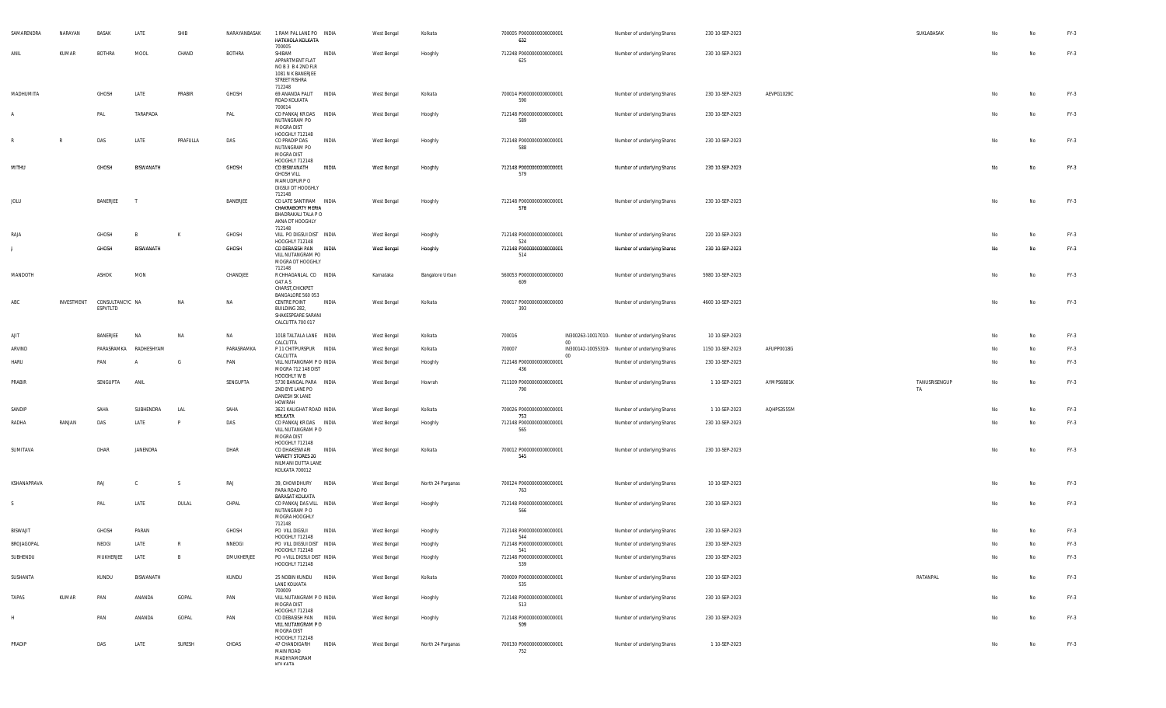| SAMARENDRA      | NARAYAN    | <b>BASAK</b>                | LATE                  | SHIB           | NARAYANBASAK | 1 RAM PAL LANE PO INDIA<br>HATKHOLA KOLKATA<br>700005                                               |              | West Bengal | Kolkata           | 700005 P0000000000000001<br>632        |        | Number of underlying Shares                    | 230 10-SEP-2023  |            | SUKLABASAK          | No | No  | $FY-3$ |
|-----------------|------------|-----------------------------|-----------------------|----------------|--------------|-----------------------------------------------------------------------------------------------------|--------------|-------------|-------------------|----------------------------------------|--------|------------------------------------------------|------------------|------------|---------------------|----|-----|--------|
| ANII            | KUMAR      | <b>BOTHRA</b>               | MOOL                  | CHAND          | BOTHRA       | SHIBAM<br>APPARTMENT FLAT<br>NOB3 B42ND FLR<br>1081 N K BANERJEE<br>STREET RISHRA<br>712248         | <b>INDIA</b> | West Bengal | Hooghly           | 712248 P0000000000000001<br>625        |        | Number of underlying Shares                    | 230 10-SEP-2023  |            |                     | No | No  | $FY-3$ |
| MADHUMITA       |            | GHOSH                       | LATE                  | PRABIR         | GHOSH        | 69 ANANDA PALIT INDIA<br>ROAD KOLKATA                                                               |              | West Bengal | Kolkata           | 700014 P0000000000000001<br>590        |        | Number of underlying Shares                    | 230 10-SEP-2023  | AEVPG1029C |                     | No | No  | $FY-3$ |
|                 |            | PAL                         | TARAPADA              |                | PAL          | 700014<br>CO PANKAJ KR DAS INDIA<br>NUTANGRAM PO<br>MOGRA DIST                                      |              | West Bengal | Hooghly           | 712148 P0000000000000001<br>589        |        | Number of underlying Shares                    | 230 10-SEP-2023  |            |                     | No | No  | $FY-3$ |
|                 |            | DAS                         | LATE                  | PRAFULLA       | DAS          | HOOGHLY 712148<br>CO PRADIP DAS<br>NUTANGRAM PO<br>MOGRA DIST                                       | INDIA        | West Bengal | Hooghly           | 712148 P0000000000000001<br>588        |        | Number of underlying Shares                    | 230 10-SEP-2023  |            |                     | No | No  | $FY-3$ |
| MITHU           |            | GHOSH                       | <b>BISWANATH</b>      |                | <b>GHOSH</b> | HOOGHLY 712148<br>CO BISWANATH<br><b>GHOSH VILL</b><br>MAMUDPUR PO<br>DIGSUI DT HOOGHLY<br>712148   | INDIA        | West Bengal | Hooghly           | 712148 P0000000000000001<br>579        |        | Number of underlying Shares                    | 230 10-SEP-2023  |            |                     | No | No  | $FY-3$ |
| JOLU            |            | BANERJEE                    |                       |                | BANERJEE     | CO LATE SANTIRAM INDIA<br><b>CHAKRABORTY MERIA</b><br>BHADRAKALI TALA P O<br>AKNA DT HOOGHLY        |              | West Bengal | Hooghly           | 712148 P0000000000000001<br>578        |        | Number of underlying Shares                    | 230 10-SEP-2023  |            |                     | No | No  | $FY-3$ |
| RAJA            |            | GHOSH                       | B                     | K              | GHOSH        | 712148<br>VILL PO DIGSUI DIST INDIA                                                                 |              | West Bengal | Hooghly           | 712148 P0000000000000001               |        | Number of underlying Shares                    | 220 10-SEP-2023  |            |                     | No | No  | $FY-3$ |
|                 |            | GHOSH                       | BISWANATH             |                | GHOSH        | HOOGHLY 712148<br>CO DEBASISH PAN INDIA<br>VILL NUTANGRAM PO<br>MOGRA DT HOOGHLY                    |              | West Bengal | Hooghly           | 524<br>712148 P0000000000000001<br>514 |        | Number of underlying Shares                    | 230 10-SEP-2023  |            |                     | No | No  | $FY-3$ |
| MANDOTH         |            | ASHOK                       | <b>MON</b>            |                | CHANDJEE     | 712148<br>R CHHAGANLAL CO INDIA<br>G47 A S<br>CHARST, CHICKPET                                      |              | Karnataka   | Bangalore Urban   | 560053 P0000000000000000<br>609        |        | Number of underlying Shares                    | 5980 10-SEP-2023 |            |                     | No | No  | $FY-3$ |
| ABC             | INVESTMENT | CONSULTANCYC NA<br>ESPVTLTD |                       | NA             | NA           | BANGALORE 560 053<br><b>CENTRE POINT</b><br>BUILDING 282,<br>SHAKESPEARE SARANI<br>CALCUTTA 700 017 | INDIA        | West Bengal | Kolkata           | 700017 P0000000000000000<br>393        |        | Number of underlying Shares                    | 4600 10-SEP-2023 |            |                     | No | No  | $FY-3$ |
| AJIT            |            | BANERJEE                    | NA                    | NA             | NA           | 101B TALTALA LANE INDIA                                                                             |              | West Bengal | Kolkata           | 700016                                 |        | IN300263-10017010- Number of underlying Shares | 10 10-SEP-2023   |            |                     |    | No  | FY-3   |
| ARVIND          |            |                             | PARASRAMKA RADHESHYAM |                | PARASRAMKA   | CALCUTTA<br>P 11 CHITPURSPUR INDIA                                                                  |              | West Bengal | Kolkata           | 700007                                 | 00     | IN300142-10055319- Number of underlying Shares | 1150 10-SEP-2023 | AFUPP0018G |                     | No | No  | $FY-3$ |
| <b>HARU</b>     |            | PAN                         |                       | G              | PAN          | CALCUTTA<br>VILL NUTANGRAM P O INDIA<br>MOGRA 712 148 DIST                                          |              | West Bengal | Hooghly           | 712148 P0000000000000001<br>436        | $00\,$ | Number of underlying Shares                    | 230 10-SEP-2023  |            |                     | No | No  | $FY-3$ |
| PRABIR          |            | SENGUPTA                    | ANIL                  |                | SENGUPTA     | HOOGHLY W B<br>5730 BANGAL PARA INDIA<br>2ND BYE LANE PO<br>DANESH SK LANE<br>HOWRAH                |              | West Bengal | Howrah            | 711109 P0000000000000001<br>790        |        | Number of underlying Shares                    | 1 10-SEP-2023    | AYMPS6881K | TANUSRISENGUP<br>TA | No | No  | $FY-3$ |
| SANDIP          |            | SAHA                        | SUBHENDRA             | LAL            | SAHA         | 3621 KALIGHAT ROAD INDIA                                                                            |              | West Bengal | Kolkata           | 700026 P00000000000000001              |        | Number of underlying Shares                    | 1 10-SEP-2023    | AQHPS3555M |                     | No | No  | $FY-3$ |
| RADHA           | RANJAN     | DAS                         | LATE                  |                | DAS          | KOLKATA<br>CO PANKAJ KR DAS INDIA<br>VILL NUTANGRAM P O<br>MOGRA DIST                               |              | West Bengal | Hooghly           | 753<br>712148 P0000000000000001<br>565 |        | Number of underlying Shares                    | 230 10-SEP-2023  |            |                     | No | No  | $FY-3$ |
| SUMITAVA        |            | DHAR                        | JANENDRA              |                | DHAR         | HOOGHLY 712148<br>CO DHAKESWARI<br><b>VARIETY STORES 20</b><br>NILMANI DUTTA LANE<br>KOLKATA 700012 | <b>INDIA</b> | West Bengal | Kolkata           | 700012 P0000000000000001<br>545        |        | Number of underlying Shares                    | 230 10-SEP-2023  |            |                     | No | No  | FY-3   |
| KSHANAPRAVA     |            | RAJ                         | C                     | -S             | RAJ          | 39, CHOWDHURY INDIA<br>PARA ROAD PO                                                                 |              | West Bengal | North 24 Parganas | 700124 P0000000000000001<br>763        |        | Number of underlying Shares                    | 10 10-SEP-2023   |            |                     | No | No  | $FY-3$ |
|                 |            | PAL                         | LATE                  | DULAL          | CHPAL        | <b>BARASAT KOLKATA</b><br>CO PANKAJ DAS VILL INDIA<br>NUTANGRAM P O<br>MOGRA HOOGHLY<br>712148      |              | West Bengal | Hooghly           | 712148 P0000000000000001<br>566        |        | Number of underlying Shares                    | 230 10-SEP-2023  |            |                     | No | No  | $FY-3$ |
| <b>BISWAJIT</b> |            | GHOSH                       | PARAN                 |                | GHOSH        | PO VILL DIGSUI                                                                                      | INDIA        | West Bengal | Hooghly           | 712148 P0000000000000001               |        | Number of underlying Shares                    | 230 10-SEP-2023  |            |                     | No | No  | $FY-3$ |
| BROJAGOPAL      |            | NEOGI                       | LATE                  | R              | NNEOGI       | HOOGHLY 712148<br>PO VILL DIGSUI DIST INDIA                                                         |              | West Bengal | Hooghly           | 544<br>712148 P0000000000000001        |        | Number of underlying Shares                    | 230 10-SEP-2023  |            |                     | No | No. | $FY-3$ |
| SUBHENDU        |            | MUKHERJEE                   | LATE                  | $\overline{B}$ | DMUKHERJEE   | HOOGHLY 712148<br>PO + VILL DIGSUI DIST INDIA<br>HOOGHLY 712148                                     |              | West Bengal | Hooghly           | 541<br>712148 P0000000000000001<br>539 |        | Number of underlying Shares                    | 230 10-SEP-2023  |            |                     | No | No  | $FY-3$ |
| SUSHANTA        |            | KUNDU                       | BISWANATH             |                | KUNDU        | 25 NOBIN KUNDU INDIA<br>LANE KOLKATA                                                                |              | West Bengal | Kolkata           | 700009 P00000000000000001<br>535       |        | Number of underlying Shares                    | 230 10-SEP-2023  |            | RATANPAL            | No | No  | $FY-3$ |
| TAPAS           | KUMAR      | PAN                         | ANANDA                | GOPAL          | PAN          | 700009<br>VILL NUTANGRAM P O INDIA<br>MOGRA DIST<br>HOOGHLY 712148                                  |              | West Bengal | Hooghly           | 712148 P0000000000000001<br>513        |        | Number of underlying Shares                    | 230 10-SEP-2023  |            |                     | No | No  | FY-3   |
| H               |            | PAN                         | ANANDA                | GOPAL          | PAN          | CO DEBASISH PAN INDIA<br>VILL NUTANGRAM P O<br><b>MOGRA DIST</b>                                    |              | West Bengal | Hooghly           | 712148 P0000000000000001<br>509        |        | Number of underlying Shares                    | 230 10-SEP-2023  |            |                     | No | No  | $FY-3$ |
| PRADIP          |            | DAS                         | LATE                  | SURESH         | CHDAS        | HOOGHLY 712148<br>47 CHANDIGARH<br><b>MAIN ROAD</b><br>MADHYAMGRAM<br><b>VOI VATA</b>               | INDIA        | West Bengal | North 24 Parganas | 700130 P0000000000000001<br>752        |        | Number of underlying Shares                    | 1 10-SEP-2023    |            |                     | No | No  | FY-3   |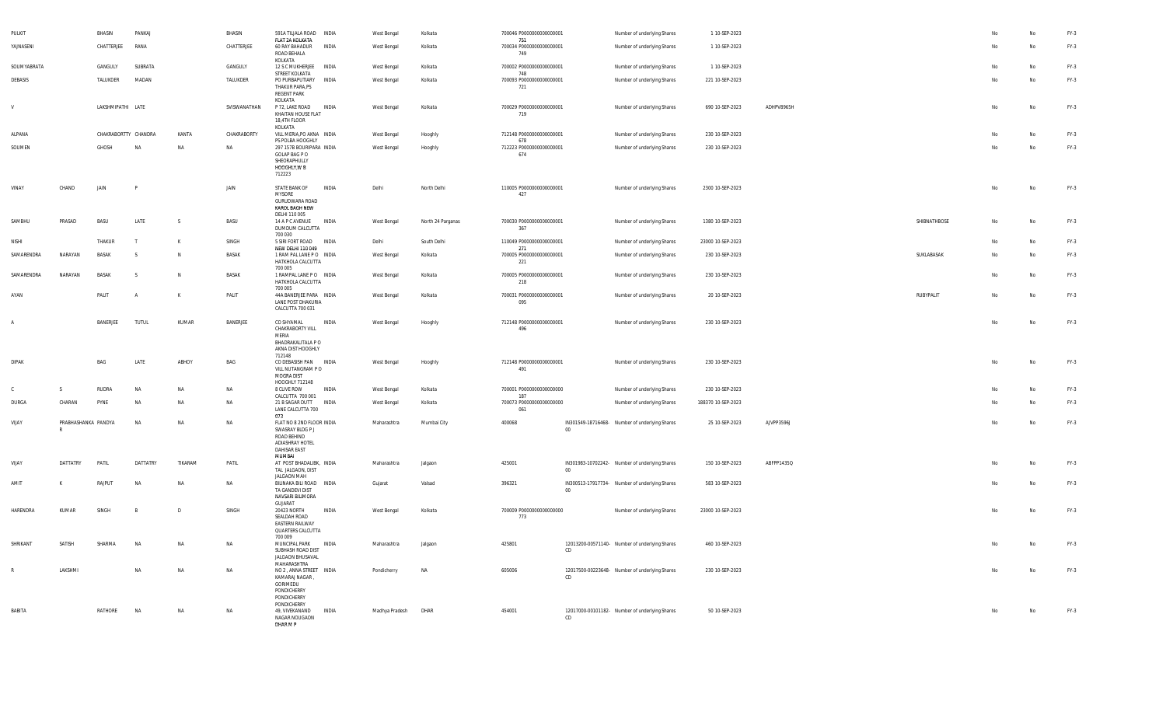| PULKIT         |                     | BHASIN               | PANKAJ         |              | BHASIN       | 591A TILJALA ROAD INDIA<br>FLAT 2A KOLKATA                                                                              |              | West Bengal    | Kolkata           | 700046 P0000000000000001<br>751        |        | Number of underlying Shares                    | 1 10-SEP-2023      |            |              |    | No        | $FY-3$ |
|----------------|---------------------|----------------------|----------------|--------------|--------------|-------------------------------------------------------------------------------------------------------------------------|--------------|----------------|-------------------|----------------------------------------|--------|------------------------------------------------|--------------------|------------|--------------|----|-----------|--------|
| YAJNASENI      |                     | CHATTERJEE           | RANA           |              | CHATTERJEE   | 60 RAY BAHADUR<br>ROAD BEHALA<br>KOI KATA                                                                               | INDIA        | West Bengal    | Kolkata           | 700034 P0000000000000001<br>749        |        | Number of underlying Shares                    | 1 10-SEP-2023      |            |              |    | No        | $FY-3$ |
| SOUMYABRATA    |                     | GANGULY              | SUBRATA        |              | GANGULY      | 12 S C MUKHERJEE                                                                                                        | <b>INDIA</b> | West Bengal    | Kolkata           | 700002 P0000000000000001               |        | Number of underlying Shares                    | 1 10-SEP-2023      |            |              | No | <b>No</b> | $FY-3$ |
| DEBASIS        |                     | TALUKDER             | MADAN          |              | TALUKDER     | STREET KOLKATA<br>PO PURBAPUTIARY<br>THAKUR PARA, PS<br><b>REGENT PARK</b>                                              | <b>INDIA</b> | West Bengal    | Kolkata           | 748<br>700093 P0000000000000001<br>721 |        | Number of underlying Shares                    | 221 10-SEP-2023    |            |              | No | No        | FY-3   |
| ${\sf V}$      |                     | LAKSHMIPATHI LATE    |                |              | SVISWANATHAN | KOLKATA<br>P 72, LAKE ROAD<br>KHAITAN HOUSE FLAT<br>18,4TH FLOOR<br>KOLKATA                                             | <b>INDIA</b> | West Bengal    | Kolkata           | 700029 P0000000000000001<br>719        |        | Number of underlying Shares                    | 690 10-SEP-2023    | ADHPV8965H |              | No | <b>No</b> | $FY-3$ |
| AI PANA        |                     | CHAKRABORTTY CHANDRA |                | KANTA        | CHAKRABORTY  | VILL MERIA, PO AKNA INDIA<br>PS POLBA HOOGHLY                                                                           |              | West Bengal    | Hooghly           | 712148 P0000000000000001<br>678        |        | Number of underlying Shares                    | 230 10-SEP-2023    |            |              | No | No        | $FY-3$ |
| SOUMEN         |                     | GHOSH                | <b>NA</b>      | NA           | NA           | 297 157B BOURIPARA INDIA<br>GOI AP BAG P O<br>SHEORAPHULLY<br>HOOGHLY, WB<br>712223                                     |              | West Bengal    | Hooghly           | 712223 P0000000000000001<br>674        |        | Number of underlying Shares                    | 230 10-SEP-2023    |            |              | No | <b>No</b> | $FY-3$ |
| VINAY          | CHAND               | JAIN                 |                |              | JAIN         | STATE BANK OF<br><b>MYSORE</b><br>GURUDWARA ROAD<br>KAROL BAGH NEW                                                      | <b>INDIA</b> | Delhi          | North Delhi       | 110005 P0000000000000001<br>427        |        | Number of underlying Shares                    | 2300 10-SEP-2023   |            |              | No | No        | $FY-3$ |
| SAMBHU         | PRASAD              | <b>BASU</b>          | LATE           | <sub>S</sub> | BASU         | DELHI 110 005<br>14 A P C AVENUE<br>DUMDUM CALCUTTA<br>700 030                                                          | <b>INDIA</b> | West Bengal    | North 24 Parganas | 700030 P0000000000000001<br>367        |        | Number of underlying Shares                    | 1380 10-SEP-2023   |            | SHIBNATHBOSE | No | No        | $FY-3$ |
| <b>NISHI</b>   |                     | THAKUR               | T              | $\mathbf{K}$ | SINGH        | 5 SIRI FORT ROAD INDIA                                                                                                  |              | Delhi          | South Delhi       | 110049 P0000000000000001<br>271        |        | Number of underlying Shares                    | 23000 10-SEP-2023  |            |              | No | <b>No</b> | $FY-3$ |
| SAMARENDRA     | NARAYAN             | BASAK                | <sub>S</sub>   | N            | <b>BASAK</b> | <b>NEW DELHI 110 049</b><br>1 RAM PAL LANE PO INDIA<br>HATKHOLA CALCUTTA<br>700 005                                     |              | West Bengal    | Kolkata           | 700005 P0000000000000001<br>221        |        | Number of underlying Shares                    | 230 10-SEP-2023    |            | SUKLABASAK   | No | No        | $FY-3$ |
| SAMARENDRA     | NARAYAN             | BASAK                | <sup>S</sup>   | N            | <b>BASAK</b> | 1 RAMPAL LANE PO INDIA<br>HATKHOLA CALCUTTA<br>700 005                                                                  |              | West Bengal    | Kolkata           | 700005 P0000000000000001<br>218        |        | Number of underlying Shares                    | 230 10-SEP-2023    |            |              | No | No        | $FY-3$ |
| AYAN           |                     | PALIT                | $\overline{A}$ | К            | PALIT        | 44A BANERJEE PARA INDIA<br>LANE POST DHAKURIA<br>CALCUTTA 700 031                                                       |              | West Bengal    | Kolkata           | 700031 P0000000000000001<br>095        |        | Number of underlying Shares                    | 20 10-SEP-2023     |            | RUBYPALIT    | No | No        | FY-3   |
| $\overline{A}$ |                     | BANERJEE             | TUTUL          | KUMAR        | BANERJEE     | CO SHYAMAL<br>CHAKRABORTY VILL<br>MERIA<br>BHADRAKALITALA P O<br>AKNA DIST HOOGHLY<br>712148                            | <b>INDIA</b> | West Bengal    | Hooghly           | 712148 P0000000000000001<br>496        |        | Number of underlying Shares                    | 230 10-SEP-2023    |            |              | No | <b>No</b> | $FY-3$ |
| <b>DIPAK</b>   |                     | BAG                  | LATE           | ABHOY        | <b>BAG</b>   | CO DEBASISH PAN INDIA<br>VILL NUTANGRAM PO<br>MOGRA DIST                                                                |              | West Bengal    | Hooghly           | 712148 P0000000000000001<br>491        |        | Number of underlying Shares                    | 230 10-SEP-2023    |            |              | No | No        | $FY-3$ |
| $\mathbb C$    | S.                  | RUDRA                | <b>NA</b>      | NA           | NA           | HOOGHLY 712148<br>8 CLIVE ROW<br>CALCUTTA 700 001                                                                       | INDIA        | West Bengal    | Kolkata           | 700001 P0000000000000000<br>187        |        | Number of underlying Shares                    | 230 10-SEP-2023    |            |              | No | No        | $FY-3$ |
| DURGA          | CHARAN              | PYNE                 | <b>NA</b>      | <b>NA</b>    | <b>NA</b>    | 21 B SAGAR DUTT<br>LANE CALCUTTA 700<br>073                                                                             | INDIA        | West Bengal    | Kolkata           | 700073 P0000000000000000<br>061        |        | Number of underlying Shares                    | 188370 10-SEP-2023 |            |              | No | No        | $FY-3$ |
| VIJAY          | PRABHASHANKA PANDYA |                      | <b>NA</b>      | <b>NA</b>    | NA           | FLAT NO 8 2ND FLOOR INDIA<br>SWASRAY BLDG P J<br>ROAD BEHIND<br><b>ADIASHRAY HOTEL</b><br><b>DAHISAR EAST</b><br>MUMBAL |              | Maharashtra    | Mumbai City       | 400068                                 | 00     | IN301549-18716468- Number of underlying Shares | 25 10-SEP-2023     | AJVPP3596J |              | No | No        | $FY-3$ |
| VIJAY          | DATTATRY            | PATIL                | DATTATRY       | TIKARAM      | PATIL        | AT POST BHADALIBK, INDIA<br>TAL JALGAON, DIST<br>JALGAON MAH                                                            |              | Maharashtra    | Jalgaon           | 425001                                 | 00     | IN301983-10702242- Number of underlying Shares | 150 10-SEP-2023    | ABFPP1435Q |              |    | No        | FY-3   |
| AMIT           |                     | RAJPUT               | <b>NA</b>      | NA           | NA           | BILINAKA BILI ROAD INDIA<br>TA GANDEVI DIST<br>NAVSARI BILIMORA<br>GUJARAT                                              |              | Gujarat        | Valsad            | 396321                                 | $00\,$ | IN300513-17917734- Number of underlying Shares | 583 10-SEP-2023    |            |              | No | No        | FY-3   |
| HARENDRA       | KUMAR               | SINGH                |                | D            | SINGH        | 20423 NORTH<br>SEALDAH ROAD<br>EASTERN RAILWAY<br>QUARTERS CALCUTTA<br>700 009                                          | <b>INDIA</b> | West Bengal    | Kolkata           | 700009 P0000000000000000<br>773        |        | Number of underlying Shares                    | 23000 10-SEP-2023  |            |              | No | No        | $FY-3$ |
| SHRIKANT       | SATISH              | SHARMA               | <b>NA</b>      | NA           | NA           | MUNCIPAL PARK<br>SUBHASH ROAD DIST<br>JALGAON BHUSAVAL                                                                  | INDIA        | Maharashtra    | Jalgaon           | 425801                                 | CD.    | 12013200-00571140- Number of underlying Shares | 460 10-SEP-2023    |            |              | No | No        | $FY-3$ |
| $\mathbb{R}$   | LAKSHMI             |                      | <b>NA</b>      | NA           | <b>NA</b>    | MAHARASHTRA<br>NO 2, ANNA STREET INDIA<br>KAMARAJ NAGAR,<br>GORIMEDU<br>PONDICHERRY<br>PONDICHERRY<br>PONDICHERRY       |              | Pondicherry    | NA                | 605006                                 | CD     | 12017500-00223648- Number of underlying Shares | 230 10-SEP-2023    |            |              | No | No        | $FY-3$ |
| <b>BABITA</b>  |                     | RATHORE              | <b>NA</b>      | <b>NA</b>    | NA           | 49. VIVEKANAND<br>NAGAR NOUGAON<br>DHAR M P                                                                             | <b>INDIA</b> | Madhya Pradesh | <b>DHAR</b>       | 454001                                 | CD     | 12017000-00101182- Number of underlying Shares | 50 10-SEP-2023     |            |              | No | No        | $FY-3$ |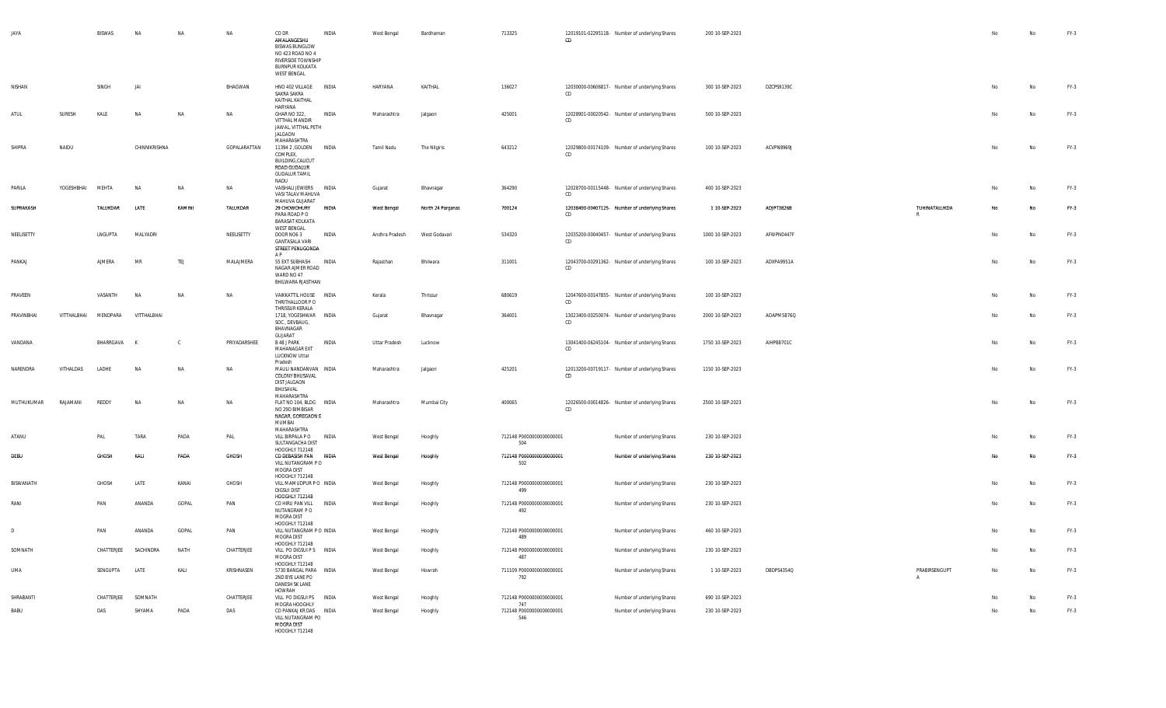| <b>JAYA</b>      |             | <b>BISWAS</b>   |               |             |              | CO DR<br>AMALANGESHU<br><b>BISWAS BUNGLOW</b><br>NO 423 ROAD NO 4<br>RIVERSIDE TOWNSHIP<br><b>BURNPUR KOLKATA</b><br><b>WEST BENGAL</b> | INDIA        | West Bengal    | Bardhaman         | 713325                          | CD  | 12019101-02295118- Number of underlying Shares | 200 10-SEP-2023  |            |                                 |    |           | $FY-3$ |
|------------------|-------------|-----------------|---------------|-------------|--------------|-----------------------------------------------------------------------------------------------------------------------------------------|--------------|----------------|-------------------|---------------------------------|-----|------------------------------------------------|------------------|------------|---------------------------------|----|-----------|--------|
| NISHAN           |             | SINGH           | IAI           |             | BHAGWAN      | HNO 402 VILLAGE<br>SAKRA SAKRA<br>KAITHAL KAITHAL<br>HARYANA                                                                            | <b>INDIA</b> | HARYANA        | KAITHAL           | 136027                          | CD. | 12030000-00606817- Number of underlying Shares | 300 10-SEP-2023  | DZCPS9139C |                                 | No | No        | $FY-3$ |
| ATUL             | SURESH      | KALE            | <b>NA</b>     | <b>NA</b>   | <b>NA</b>    | GHAR NO 322.<br>VITTHAL MANDIR<br>JAWAL, VITTHAL PETH<br><b>JAI GAON</b><br>MAHARASHTRA                                                 | <b>INDIA</b> | Maharashtra    | Jalgaon           | 425001                          | CD  | 12028901-00020542- Number of underlying Shares | 500 10-SEP-2023  |            |                                 | No | No        | FY-3   |
| SHIPRA           | NAIDU       |                 | CHINNIKRISHNA |             | GOPALARATTAN | 11394 2 , GOLDEN<br>COMPLEX.<br>BUILDING, CALICUT<br>ROAD GUDALUR<br><b>GUDALUR TAMIL</b><br>NADU                                       | <b>INDIA</b> | Tamil Nadu     | The Nilgiris      | 643212                          | CD  | 12029800-00174109- Number of underlying Shares | 100 10-SEP-2023  | ACVPN8969J |                                 | No | No        | $FY-3$ |
| PARILA           | YOGESHBHAI  | MEHTA           | <b>NA</b>     | <b>NA</b>   | <b>NA</b>    | VAISHALI JEWIERS INDIA<br>VASI TALAV MAHUVA<br>MAHUVA GUJARAT                                                                           |              | Gujarat        | Bhavnagar         | 364290                          | CD  | 12028700-00115448- Number of underlying Shares | 400 10-SEP-2023  |            |                                 | No | No        | $FY-3$ |
| SUPRAKASH        |             | <b>TALUKDAR</b> | LATE          | KAMINI      | TALUKDAR     | 29 CHOWDHURY<br>PARA ROAD PO<br><b>BARASAT KOLKATA</b><br><b>WEST BENGAL</b>                                                            | <b>INDIA</b> | West Bengal    | North 24 Parganas | 700124                          | CD  | 12038400-00407125- Number of underlying Shares | 1 10-SEP-2023    | ADJPT3826B | TUHINATALUKDA<br>R              | No | No        | $FY-3$ |
| NEELISETTY       |             | <b>INGUPTA</b>  | MAI YADRI     |             | NEELISETTY   | DOOR NO6 3<br><b>GANTASALA VARI</b><br>STREET PENUGONDA<br>A P                                                                          | INDIA        | Andhra Pradesh | West Godavari     | 534320                          | CD  | 12035200-00040457- Number of underlying Shares | 1000 10-SEP-2023 | AFWPN0447F |                                 | No | No        | $FY-3$ |
| PANKAJ           |             | AJMERA          | MR            | TEJ         | MALAJMERA    | 55 EXT SUBHASH<br>NAGAR AJMER ROAD<br>WARD NO 47<br>BHILWARA RJASTHAN                                                                   | INDIA        | Rajasthan      | Bhilwara          | 311001                          | CD  | 12043700-00291362- Number of underlying Shares | 100 10-SEP-2023  | ADXPA9951A |                                 | No | No        | $FY-3$ |
| PRAVEEN          |             | VASANTH         | <b>NA</b>     | NA          | NA           | VAIKKATTIL HOUSE INDIA<br>THRITHALLOOR PO<br>THRISSUR KERALA                                                                            |              | Kerala         | Thrissur          | 680619                          | CD  | 12047600-00147855- Number of underlying Shares | 100 10-SEP-2023  |            |                                 | No | No        | $FY-3$ |
| PRAVINBHAI       | VITTHALBHAI | MENDPARA        | VITTHALBHAI   |             |              | 1718, YOGESHWAR INDIA<br>SOC, DEVBAUG,<br>BHAVNAGAR<br>GUJARAT                                                                          |              | Gujarat        | Bhavnagar         | 364001                          | CD  | 13023400-00250074- Number of underlying Shares | 2000 10-SEP-2023 | AOAPM5876Q |                                 | No | No        | FY-3   |
| VANDANA          |             | BHARRGAVA       |               | $\mathsf C$ | PRIYADARSHEE | B 48 J PARK<br>MAHANAGAR EXT<br>LUCKNOW Uttar<br>Pradesh                                                                                | INDIA        | Uttar Pradesh  | Lucknow           |                                 | CD  | 13041400-06245104- Number of underlying Shares | 1750 10-SEP-2023 | AIHPB8701C |                                 | No | <b>No</b> | $FY-3$ |
| NARENDRA         | VITHAI DAS  | <b>LADHE</b>    | <b>NA</b>     | <b>NA</b>   | <b>NA</b>    | MAULI NANDANVAN INDIA<br><b>COLONY BHUSAVAL</b><br>DIST JALGAON<br>BHUSAVAL<br>MAHARASHTRA                                              |              | Maharashtra    | Jalgaon           | 425201                          | CD. | 12013200-00719117- Number of underlying Shares | 1150 10-SEP-2023 |            |                                 | No | No        | $FY-3$ |
| MUTHUKUMAR       | RAJAMANI    | REDDY           | <b>NA</b>     | NA          | NA           | FLAT NO 104, BLDG INDIA<br>NO 29D BIMBISAR<br>NAGAR, GOREGAON E<br>MUMBAI<br>MAHARASHTRA                                                |              | Maharashtra    | Mumbai City       | 400065                          | CD. | 12026500-00014826- Number of underlying Shares | 2500 10-SEP-2023 |            |                                 | No | No        | $FY-3$ |
| ATANU            |             | PAL             | TARA          | PADA        | PAL          | VILL BIRPALA P O<br>SULTANGACHA DIST<br>HOOGHI Y 712148                                                                                 | INDIA        | West Bengal    | Hooghly           | 712148 P0000000000000001<br>504 |     | Number of underlying Shares                    | 230 10-SEP-2023  |            |                                 | No | No        | $FY-3$ |
| DEBU             |             | GHOSH           | KALI          | PADA        | GHOSH        | CO DEBASISH PAN INDIA<br>VILL NUTANGRAM PO<br>MOGRA DIST<br>HOOGHLY 712148                                                              |              | West Bengal    | Hooghly           | 712148 P0000000000000001<br>502 |     | Number of underlying Shares                    | 230 10-SEP-2023  |            |                                 | No | <b>No</b> | $FY-3$ |
| <b>BISWANATH</b> |             | GHOSH           | LATE          | KANAI       | GHOSH        | VILL MAMUDPUR PO INDIA<br>DIGSULDIST<br>HOOGHLY 712148                                                                                  |              | West Bengal    | Hooghly           | 712148 P0000000000000001<br>499 |     | Number of underlying Shares                    | 230 10-SEP-2023  |            |                                 | No | No        | $FY-3$ |
| RANI             |             | PAN             | ANANDA        | GOPAL       | PAN          | CO HIRU PAN VILL INDIA<br>NUTANGRAM PO<br>MOGRA DIST<br>HOOGHLY 712148                                                                  |              | West Bengal    | Hooghly           | 712148 P0000000000000001<br>492 |     | Number of underlying Shares                    | 230 10-SEP-2023  |            |                                 | No | No        | $FY-3$ |
| D                |             | PAN             | ANANDA        | GOPAL       | PAN          | VILL NUTANGRAM P O INDIA<br>MOGRA DIST<br>HOOGHLY 712148                                                                                |              | West Bengal    | Hooghly           | 712148 P0000000000000001<br>489 |     | Number of underlying Shares                    | 460 10-SFP-2023  |            |                                 | No | No        | $FY-3$ |
| SOMNATH          |             | CHATTERJEE      | SACHINDRA     | NATH        | CHATTERJEE   | VILL PO DIGSUI P S INDIA<br>MOGRA DIST<br>HOOGHLY 712148                                                                                |              | West Bengal    | Hooghly           | 712148 P0000000000000001<br>487 |     | Number of underlying Shares                    | 230 10-SEP-2023  |            |                                 | No | No        | $FY-3$ |
| <b>UMA</b>       |             | SENGUPTA        | LATE          | KALI        | KRISHNASEN   | 5730 BANGAL PARA INDIA<br>2ND BYE LANE PO<br>DANESH SK LANE<br><b>HOWRAH</b>                                                            |              | West Bengal    | Howrah            | 711109 P0000000000000001<br>792 |     | Number of underlying Shares                    | 1 10-SEP-2023    | DBDPS4354Q | PRABIRSENGUPT<br>$\overline{A}$ | No | No        | $FY-3$ |
| SHRABANTI        |             | CHATTERJEE      | SOMNATH       |             | CHATTERJEE   | VILL PO DIGSUI PS INDIA<br>MOGRA HOOGHLY                                                                                                |              | West Bengal    | Hooghly           | 712148 P0000000000000001<br>747 |     | Number of underlying Shares                    | 690 10-SEP-2023  |            |                                 | No | No        | FY-3   |
| BABU             |             | DAS             | SHYAMA        | PADA        | DAS          | CO PANKAJ KR DAS INDIA<br>VILL NUTANGRAM PO<br>MOGRA DIST<br><b>HOOGHI Y 712148</b>                                                     |              | West Bengal    | Hooghly           | 712148 P0000000000000001<br>546 |     | Number of underlying Shares                    | 230 10-SEP-2023  |            |                                 | No | No        | $FY-3$ |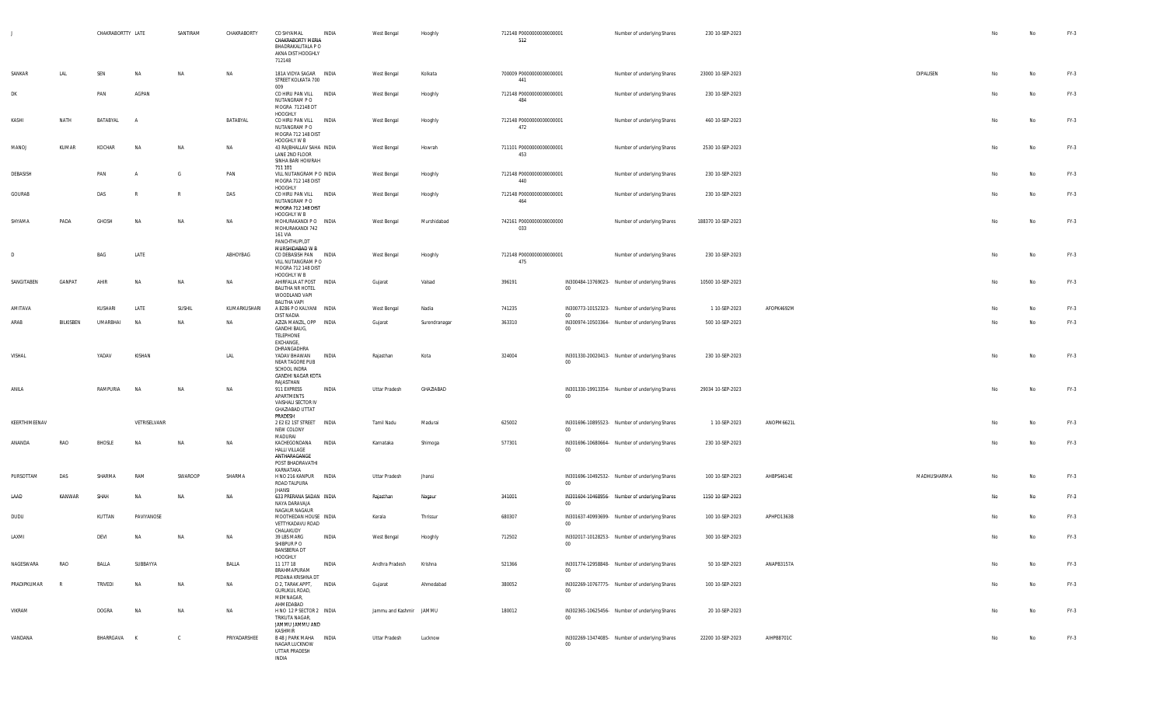|    |               |              | CHAKRABORTTY LATE |              | SANTIRAM     | CHAKRABORTY  | CO SHYAMAL<br>CHAKRABORTY MERIA<br>BHADRAKALITALA P O<br>AKNA DIST HOOGHLY<br>712148       | INDIA        | West Bengal             | Hooghly       | 712148 P0000000000000001<br>512 |                | Number of underlying Shares                    | 230 10-SEP-2023    |            |             | No | No | $FY-3$ |
|----|---------------|--------------|-------------------|--------------|--------------|--------------|--------------------------------------------------------------------------------------------|--------------|-------------------------|---------------|---------------------------------|----------------|------------------------------------------------|--------------------|------------|-------------|----|----|--------|
|    | SANKAR        | LAL          | SEN               | <b>NA</b>    | <b>NA</b>    | NA           | 181A VIDYA SAGAR INDIA<br>STREET KOLKATA 700<br>009                                        |              | West Bengal             | Kolkata       | 700009 P0000000000000001<br>441 |                | Number of underlying Shares                    | 23000 10-SEP-2023  |            | DIPALISEN   | Nο | No | $FY-3$ |
| DK |               |              | PAN               | AGPAN        |              |              | CO HIRU PAN VILL INDIA<br>NUTANGRAM P O<br>MOGRA 712148 DT<br>HOOGHLY                      |              | West Bengal             | Hooghly       | 712148 P0000000000000001<br>484 |                | Number of underlying Shares                    | 230 10-SEP-2023    |            |             | No | No | $FY-3$ |
|    | KASHI         | NATH         | BATABYAL          | A            |              | BATABYAL     | CO HIRU PAN VILL INDIA<br>NUTANGRAM P O<br>MOGRA 712 148 DIST                              |              | West Bengal             | Hooghly       | 712148 P0000000000000001<br>472 |                | Number of underlying Shares                    | 460 10-SEP-2023    |            |             | No | No | $FY-3$ |
|    | MANOJ         | KUMAR        | KOCHAR            | NA           | NA           | NA           | HOOGHLY W B<br>43 RAJBHALLAV SAHA INDIA<br>LANE 2ND FLOOR<br>SINHA BARI HOWRAH             |              | West Bengal             | Howrah        | 711101 P0000000000000001<br>453 |                | Number of underlying Shares                    | 2530 10-SEP-2023   |            |             | No | No | $FY-3$ |
|    | DEBASISH      |              | PAN               | $\mathsf{A}$ | - G          | PAN          | 711 101<br>VILL NUTANGRAM P O INDIA<br>MOGRA 712 148 DIST<br>HOOGHLY                       |              | West Bengal             | Hooghly       | 712148 P0000000000000001<br>440 |                | Number of underlying Shares                    | 230 10-SEP-2023    |            |             | No | No | FY-3   |
|    | GOURAB        |              | DAS               |              | $\mathbb{R}$ | DAS          | CO HIRU PAN VILL INDIA<br>NUTANGRAM P O<br>MOGRA 712 148 DIST                              |              | West Bengal             | Hooghly       | 712148 P0000000000000001<br>464 |                | Number of underlying Shares                    | 230 10-SEP-2023    |            |             | No | No | $FY-3$ |
|    | SHYAMA        | PADA         | GHOSH             | <b>NA</b>    | <b>NA</b>    | NA           | HOOGHLY W B<br>MOHURAKANDI P O INDIA<br>MOHURAKANDI 742<br>161 VIA<br>PANCHTHUPI,DT        |              | West Bengal             | Murshidabad   | 742161 P0000000000000000<br>033 |                | Number of underlying Shares                    | 188370 10-SEP-2023 |            |             | No | No | $FY-3$ |
| D  |               |              | BAG               | LATE         |              | ABHOYBAG     | MURSHIDABAD W B<br>CO DEBASISH PAN INDIA<br>VILL NUTANGRAM P O<br>MOGRA 712 148 DIST       |              | West Bengal             | Hooghly       | 712148 P0000000000000001<br>475 |                | Number of underlying Shares                    | 230 10-SEP-2023    |            |             | No | No | $FY-3$ |
|    | SANGITABEN    | GANPAT       | AHIR              | <b>NA</b>    | <b>NA</b>    | NA           | HOOGHLY W B<br>AHIRFALIA AT POST INDIA<br><b>BALITHA NR HOTEL</b><br>WOODLAND VAPI         |              | Gujarat                 | Valsad        | 396191                          | $00\,$         | IN300484-13769023- Number of underlying Shares | 10500 10-SEP-2023  |            |             | No | No | $FY-3$ |
|    | AMITAVA       |              | KUSHARI           | LATE         | SUSHIL       | KUMARKUSHARI | BALITHA VAPI<br>A 8286 P O KALYANI INDIA                                                   |              | West Bengal             | Nadia         | 741235                          |                | IN300773-10152323- Number of underlying Shares | 1 10-SEP-2023      | AFOPK4692M |             |    | No | $FY-3$ |
|    | ARAB          | BILKISBEN    | <b>UMARBHAI</b>   | <b>NA</b>    | NA           | NA           | DIST NADIA<br>AZIZA MANZIL, OPP INDIA<br>GANDHI BAUG,<br>TELEPHONE<br>EXCHANGE,            |              | Gujarat                 | Surendranagar | 363310                          | 00<br>$00\,$   | IN300974-10503364- Number of underlying Shares | 500 10-SEP-2023    |            |             | No | No | $FY-3$ |
|    | VISHAL        |              | YADAV             | KISHAN       |              | LAL          | DHRANGADHRA<br>YADAV BHAWAN<br>NEAR TAGORE PUB<br>SCHOOL INDRA<br><b>GANDHI NAGAR KOTA</b> | INDIA        | Rajasthan               | Kota          | 324004                          | $00\,$         | IN301330-20020413- Number of underlying Shares | 230 10-SEP-2023    |            |             | No | No | $FY-3$ |
|    | ANILA         |              | RAMPURIA          | <b>NA</b>    | NA           | NA           | RAJASTHAN<br>911 EXPRESS<br>APARTMENTS<br>VAISHALI SECTOR IV<br><b>GHAZIABAD UTTAT</b>     | INDIA        | <b>Uttar Pradesh</b>    | GHAZIABAD     |                                 | $00\,$         | IN301330-19913354- Number of underlying Shares | 29034 10-SEP-2023  |            |             | No | No | $FY-3$ |
|    | KEERTHIMEENAV |              |                   | VETRISELVANR |              |              | PRADESH<br>2 E2 E2 1ST STREET   INDIA<br>NEW COLONY<br>MADURAI                             |              | Tamil Nadu              | Madurai       | 625002                          | $00\,$         | IN301696-10895523- Number of underlying Shares | 1 10-SEP-2023      | ANOPM6621L |             | No | No | $FY-3$ |
|    | ANANDA        | RAO          | BHOSLE            | <b>NA</b>    | <b>NA</b>    | NA           | KACHEGONDANA<br><b>HALLI VILLAGE</b><br>ANTHARAGANGE<br>POST BHADRAVATHI                   | <b>INDIA</b> | Karnataka               | Shimoga       | 577301                          | $00\,$         | IN301696-10680664- Number of underlying Shares | 230 10-SEP-2023    |            |             | No | No | $FY-3$ |
|    | PURSOTTAM     | DAS          | SHARMA            | RAM          | SWAROOP      | SHARMA       | KARNATAKA<br>H NO 216 KANPUR<br>ROAD TALPURA<br><b>JHANSI</b>                              | <b>INDIA</b> | Uttar Pradesh           | Jhansi        |                                 | 0 <sup>0</sup> | IN301696-10492532- Number of underlying Shares | 100 10-SEP-2023    | AHBPS4614E | MADHUSHARMA | No | No | $FY-3$ |
|    | LAAD          | KANWAR       | SHAH              | <b>NA</b>    | <b>NA</b>    | NA           | 633 PRERANA SADAN INDIA<br>NAYA DARAVAJA                                                   |              | Rajasthan               | Nagaur        | 341001                          | $00\,$         | IN301604-10468956- Number of underlying Shares | 1150 10-SEP-2023   |            |             | No | No | $FY-3$ |
|    | DUDU          |              | KUTTAN            | PAVIYANOSE   |              |              | NAGAUR NAGAUR<br>MOOTHEDAN HOUSE INDIA<br>VETTYKADAVU ROAD<br>CHALAKUDY                    |              | Kerala                  | Thrissur      | 680307                          | $00\,$         | IN301637-40993699- Number of underlying Shares | 100 10-SEP-2023    | APHPD1363B |             |    | No | $FY-3$ |
|    | LAXMI         |              | DEVI              | <b>NA</b>    | <b>NA</b>    | NA           | 39 LBS MARG<br>SHIBPUR PO<br><b>BANSBERIA DT</b><br>HOOGHLY                                | INDIA        | West Bengal             | Hooghly       | 712502                          | $00\,$         | IN302017-10128253- Number of underlying Shares | 300 10-SEP-2023    |            |             |    | No | $FY-3$ |
|    | NAGESWARA     | RAO          | BALLA             | SUBBAYYA     |              | BALLA        | 11 177 18<br>BRAHMAPURAM                                                                   | INDIA        | Andhra Pradesh          | Krishna       | 521366                          | $00\,$         | IN301774-12958848- Number of underlying Shares | 50 10-SEP-2023     | ANAPB3157A |             | No | No | $FY-3$ |
|    | PRADIPKUMAR   | $\mathbb{R}$ | <b>TRIVEDI</b>    | <b>NA</b>    | <b>NA</b>    | NA           | PEDANA KRISHNA DT<br>D 2, TARAK APPT,<br><b>GURUKUL ROAD,</b><br>MEMNAGAR,<br>AHMEDABAD    | <b>INDIA</b> | Gujarat                 | Ahmedabad     | 380052                          | $00\,$         | IN302269-10767775- Number of underlying Shares | 100 10-SEP-2023    |            |             | No | No | $FY-3$ |
|    | VIKRAM        |              | DOGRA             | NA           | NA           | NA           | H NO 12 P SECTOR 2 INDIA<br>TRIKUTA NAGAR,<br>JAMMU JAMMU AND<br>KASHMIR                   |              | Jammu and Kashmir JAMMU |               | 180012                          | $00\,$         | IN302365-10625456- Number of underlying Shares | 20 10-SEP-2023     |            |             | No | No | $FY-3$ |
|    | VANDANA       |              | BHARRGAVA K       |              | $\mathbb{C}$ | PRIYADARSHEE | B 48 J PARK MAHA  INDIA<br>NAGAR LUCKNOW<br>UTTAR PRADESH<br><b>INDIA</b>                  |              | Uttar Pradesh           | Lucknow       |                                 | $00\,$         | IN302269-13474085- Number of underlying Shares | 22200 10-SEP-2023  | AIHPB8701C |             | No | No | $FY-3$ |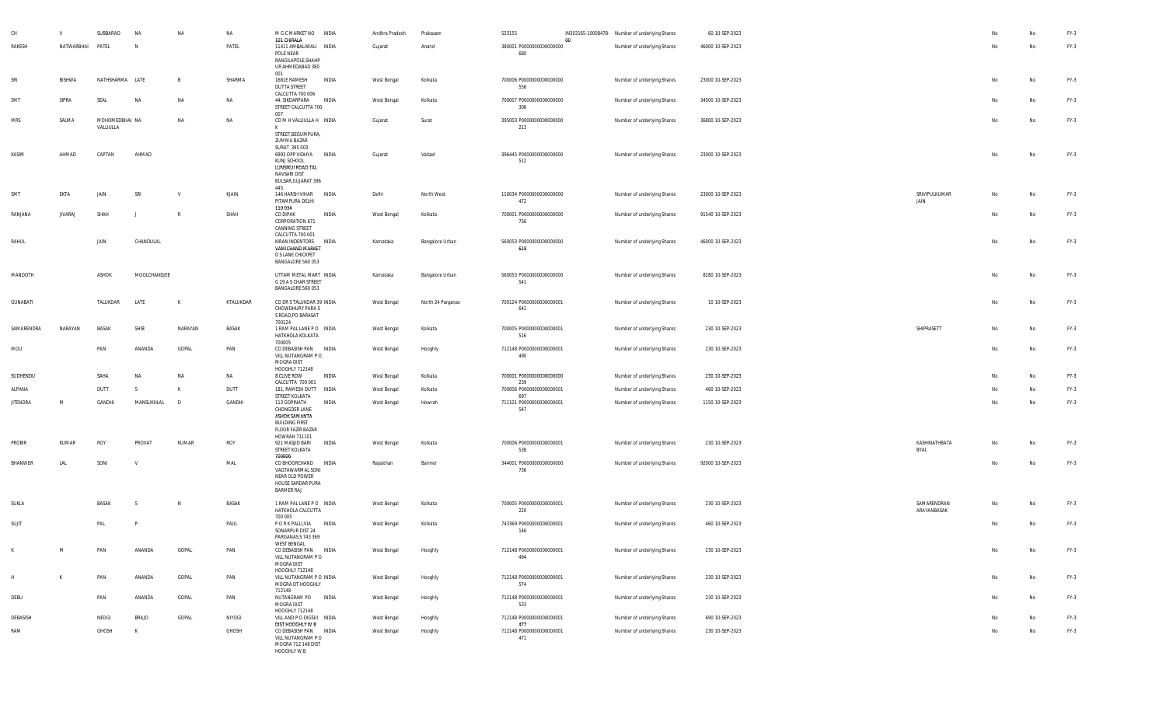|                 |                | SUBBARAO                    | <b>NA</b>    | <b>NA</b>  | NA        | M G C MARKET NO INDIA                                                                                                             |       | Andhra Pradesh | Prakasam          | 523155                          |    | IN303165-10008478- Number of underlying Shares | 60 10-SEP-2023    |                            |    |    | FY-3   |
|-----------------|----------------|-----------------------------|--------------|------------|-----------|-----------------------------------------------------------------------------------------------------------------------------------|-------|----------------|-------------------|---------------------------------|----|------------------------------------------------|-------------------|----------------------------|----|----|--------|
| RAKESH          | NATWARBHAI     | PATEL                       | N            |            | PATEL     | 101 CHIRALA<br>11411 AMBALIWALI INDIA<br>POLE NEAR<br>RANGILAPOLE, SHAHP<br>UR AHMEDABAD 380                                      |       | Gujarat        | Anand             | 380001 P0000000000000000<br>680 | 00 | Number of underlying Shares                    | 46000 10-SEP-2023 |                            | No | No | $FY-3$ |
| SRI             | BISHWA         | NATHSHARMA LATE             |              |            | SHARMA    | 001<br>1681E RAMESH<br><b>DUTTA STREET</b>                                                                                        | INDIA | West Bengal    | Kolkata           | 700006 P0000000000000000<br>556 |    | Number of underlying Shares                    | 23000 10-SEP-2023 |                            | No | No | $FY-3$ |
| SMT             | SIPRA          | SEAL                        | <b>NA</b>    | NA         | NA        | CALCUTTA 700 006<br>44, SIKDARPARA<br>STREET CALCUTTA 700                                                                         | INDIA | West Bengal    | Kolkata           | 700007 P0000000000000000<br>306 |    | Number of underlying Shares                    | 34500 10-SEP-2023 |                            | No | No | $FY-3$ |
| MRS             | SALMA          | MOHOMEDBHAI NA<br>VALLIULLA |              | <b>NA</b>  | NA        | 007<br>COMHVALLIULLAH INDIA<br>K<br>STREET, BEGUMPURA,                                                                            |       | Gujarat        | Surat             | 395003 P0000000000000000<br>213 |    | Number of underlying Shares                    | 36800 10-SEP-2023 |                            | No | No | $FY-3$ |
| KASIM           | AHMAD          | CAPTAN                      | AHMAD        |            |           | ZUMMA BAZAR<br>SURAT 395 003<br>6993 OPP VIDHYA INDIA<br>KUNJ SCHOOL<br>LUNSIKUI ROAD, TAL<br>NAVSARI DIST<br>BULSAR, GUJARAT 396 |       | Gujarat        | Valsad            | 396445 P0000000000000000<br>512 |    | Number of underlying Shares                    | 23000 10-SEP-2023 |                            | No | No | $FY-3$ |
| SMT             | EKTA           | JAIN                        | SRI          |            | KJAIN     | 445<br>146 HARSH VIHAR INDIA<br>PITAMPURA DELHI<br>110034                                                                         |       | Delhi          | North West        | 110034 P0000000000000000<br>472 |    | Number of underlying Shares                    | 23000 10-SEP-2023 | SRIVIPULKUMAR<br>JAIN      | No |    | FY-3   |
| RANJANA         | <b>JIVARAJ</b> | SHAH                        |              |            | SHAH      | CO DIPAK<br>CORPORATION 671<br>CANNING STREET<br>CALCUTTA 700 001                                                                 | INDIA | West Bengal    | Kolkata           | 700001 P0000000000000000<br>756 |    | Number of underlying Shares                    | 91540 10-SEP-2023 |                            | No | No | $FY-3$ |
| RAHUL           |                | JAIN                        | CHANDULAL    |            |           | KIRAN INDENTORS INDIA<br>VAMICHAND MARKET<br>D S LANE CHICKPET<br>BANGALORE 560 053                                               |       | Karnataka      | Bangalore Urban   | 560053 P0000000000000000<br>619 |    | Number of underlying Shares                    | 46000 10-SEP-2023 |                            | No | No | $FY-3$ |
| MANDOTH         |                | ASHOK                       | MOOLCHANDJEE |            |           | UTTAM METAL MART INDIA<br>G 29 A S CHAR STREET<br>BANGALORE 560 053                                                               |       | Karnataka      | Bangalore Urban   | 560053 P0000000000000000<br>541 |    | Number of underlying Shares                    | 8280 10-SEP-2023  |                            | No | No | FY-3   |
| GUNABATI        |                | TALUKDAR                    | LATE         | K          | KTALUKDAR | CO DR S TALUKDAR 39 INDIA<br>CHOWDHURY PARA S<br>S ROAD, PO BARASAT                                                               |       | West Bengal    | North 24 Parganas | 700124 P0000000000000001<br>641 |    | Number of underlying Shares                    | 10 10-SEP-2023    |                            | No | No | $FY-3$ |
| SAMARENDRA      | NARAYAN        | <b>BASAK</b>                | SHIB         | NARAYAN    | BASAK     | 700124<br>1 RAM PAL LANE PO INDIA<br>HATKHOLA KOLKATA<br>700005                                                                   |       | West Bengal    | Kolkata           | 700005 P0000000000000001<br>516 |    | Number of underlying Shares                    | 230 10-SEP-2023   | SHIPRASETT                 | No | No | $FY-3$ |
| MOU             |                | PAN                         | ANANDA       | GOPAL      | PAN       | CO DEBASISH PAN INDIA<br>VILL NUTANGRAM PO<br>MOGRA DIST                                                                          |       | West Bengal    | Hooghly           | 712148 P0000000000000001<br>490 |    | Number of underlying Shares                    | 230 10-SEP-2023   |                            | No | No | $FY-3$ |
| SUDHENDU        |                | SAHA                        | <b>NA</b>    | NA         | NA        | HOOGHLY 712148<br>8 CLIVE ROW                                                                                                     | INDIA | West Bengal    | Kolkata           | 700001 P0000000000000000        |    | Number of underlying Shares                    | 230 10-SEP-2023   |                            | No | No | $FY-3$ |
| ALPANA          |                | DUTT                        | S.           |            | DUTT      | CALCUTTA 700 001<br>181, RAMESH DUTT INDIA                                                                                        |       | West Bengal    | Kolkata           | 239<br>700006 P0000000000000001 |    | Number of underlying Shares                    | 460 10-SEP-2023   |                            | No | No | $FY-3$ |
| <b>JITENDRA</b> | M              | GANDHI                      | MANSUKHLAL   | $\sqrt{D}$ | GANDHI    | STREET KOLKATA<br>113 GOPINATH                                                                                                    | INDIA | West Bengal    | Howrah            | 697<br>711101 P0000000000000001 |    | Number of underlying Shares                    | 1150 10-SEP-2023  |                            | No | No | $FY-3$ |
|                 |                |                             |              |            |           | CHONGDER LANE<br>ASHOK SAMANTA<br><b>BUILDING FIRST</b><br><b>FLOOR FAZIR BAZAR</b><br>HOWRAH 711101                              |       |                |                   | 547                             |    |                                                |                   |                            |    |    |        |
| PROBIR          | KUMAR          | ROY                         | PROVAT       | KUMAR      | ROY       | 921 MASJID BARI<br>STREET KOLKATA<br>700006                                                                                       | INDIA | West Bengal    | Kolkata           | 700006 P0000000000000001<br>538 |    | Number of underlying Shares                    | 230 10-SEP-2023   | KASHINATHBATA<br>BYAL      | No | No | $FY-3$ |
| BHANWER         | LAL            | SONI                        | V            |            | MAL       | CO BHOORCHAND INDIA<br>VAGTAWARMAL SONI<br>NEAR OLD POWER<br>HOUSE SARDAR PURA<br><b>BARMER RAJ</b>                               |       | Rajasthan      | Barmer            | 344001 P0000000000000000<br>736 |    | Number of underlying Shares                    | 92000 10-SEP-2023 |                            | No | No | $FY-3$ |
| SUKLA           |                | BASAK                       |              | N          | BASAK     | 1 RAM PAL LANE PO INDIA<br>HATKHOLA CALCUTTA<br>700 005                                                                           |       | West Bengal    | Kolkata           | 700005 P0000000000000001<br>220 |    | Number of underlying Shares                    | 230 10-SEP-2023   | SAMARENDRAN<br>ARAYANBASAK | No | No | FY-3   |
| SUJIT           |                | PAL                         |              |            | PAUL      | PORK PALLI, VIA INDIA<br>SONARPUR DIST 24<br>PARGANAS S 743 369<br><b>WEST BENGAL</b>                                             |       | West Bengal    | Kolkata           | 743369 P0000000000000001<br>146 |    | Number of underlying Shares                    | 460 10-SEP-2023   |                            | No | No | FY-3   |
| K               | M              | PAN                         | ANANDA       | GOPAL      | PAN       | CO DEBASISH PAN INDIA<br>VILL NUTANGRAM PO<br>MOGRA DIST<br>HOOGHLY 712148                                                        |       | West Bengal    | Hooghly           | 712148 P0000000000000001<br>494 |    | Number of underlying Shares                    | 230 10-SEP-2023   |                            | No | No | $FY-3$ |
| H               | K              | PAN                         | ANANDA       | GOPAL      | PAN       | VILL NUTANGRAM PO INDIA<br>MOGRA DT HOOGHLY<br>712148                                                                             |       | West Bengal    | Hooghly           | 712148 P0000000000000001<br>574 |    | Number of underlying Shares                    | 230 10-SEP-2023   |                            | No | No | $FY-3$ |
| DEBU            |                | PAN                         | ANANDA       | GOPAL      | PAN       | NUTANGRAM PO INDIA<br>MOGRA DIST<br>HOOGHLY 712148                                                                                |       | West Bengal    | Hooghly           | 712148 P0000000000000001<br>533 |    | Number of underlying Shares                    | 230 10-SEP-2023   |                            | No | No | $FY-3$ |
| DEBASISH        |                | NEOGI                       | <b>BRAJO</b> | GOPAL      | NIYOGI    | VILL AND P O DIGSUI INDIA<br>DIST HOOGHLY W B                                                                                     |       | West Bengal    | Hooghly           | 712148 P0000000000000001<br>477 |    | Number of underlying Shares                    | 690 10-SEP-2023   |                            | No | No | $FY-3$ |
| RAM             |                | GHOSH                       | K            |            | GHOSH     | CO DEBASISH PAN INDIA<br>VILL NUTANGRAM PO<br>MOGRA 712 148 DIST<br>HOOGHLY W B                                                   |       | West Bengal    | Hooghly           | 712148 P0000000000000001<br>471 |    | Number of underlying Shares                    | 230 10-SEP-2023   |                            | No | No | $FY-3$ |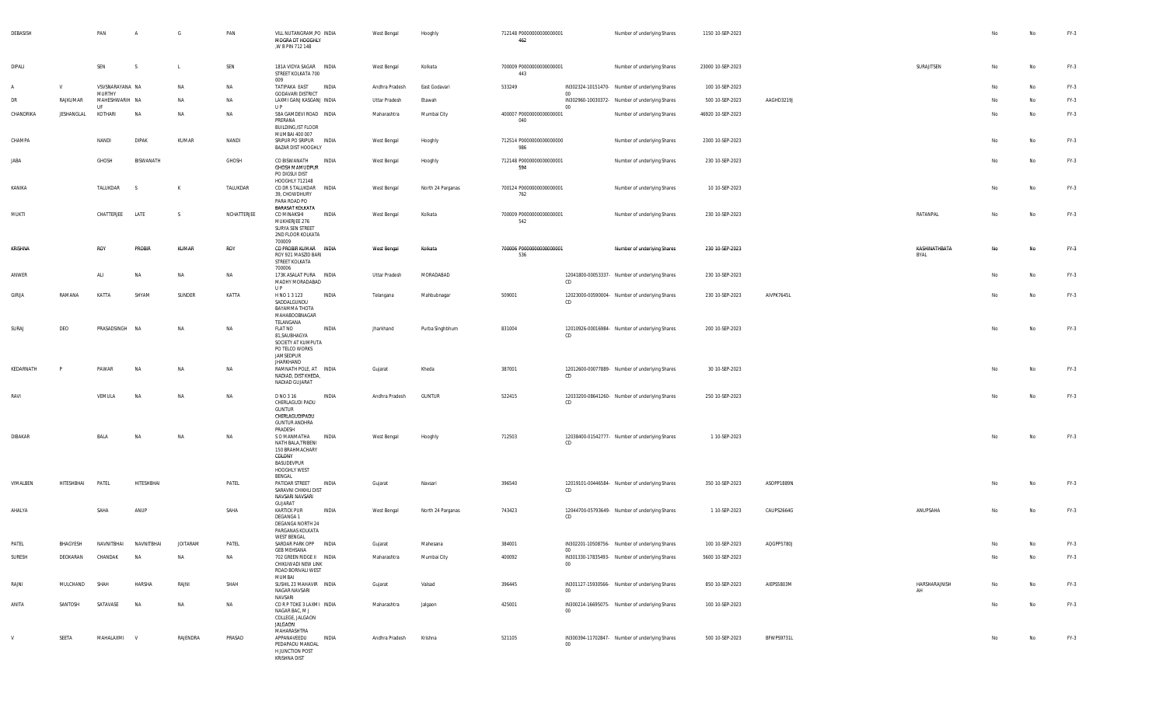| DEBASISH  |              | PAN                             | $\overline{A}$ | G               | PAN         | VILL NUTANGRAM, PO INDIA<br>MOGRA DT HOOGHLY<br>,W B PIN 712 148                                                               | West Bengal    | Hooghly           | 712148 P0000000000000001<br>462  |                       | Number of underlying Shares                    | 1150 10-SEP-2023  |            |                       | No | No        | $FY-3$ |
|-----------|--------------|---------------------------------|----------------|-----------------|-------------|--------------------------------------------------------------------------------------------------------------------------------|----------------|-------------------|----------------------------------|-----------------------|------------------------------------------------|-------------------|------------|-----------------------|----|-----------|--------|
| DIPALI    |              | SEN                             | - S            | $\mathsf{L}$    | SEN         | 181A VIDYA SAGAR INDIA<br>STREET KOLKATA 700<br>009                                                                            | West Bengal    | Kolkata           | 700009 P00000000000000001<br>443 |                       | Number of underlying Shares                    | 23000 10-SEP-2023 |            | SURAJITSEN            | No | No        | FY-3   |
|           | $\mathsf{V}$ | VSVSNARAYANA NA                 |                | NA              | NA          | TATIPAKA EAST<br><b>INDIA</b>                                                                                                  | Andhra Pradesh | East Godavari     | 533249                           |                       | IN302324-10151470- Number of underlying Shares | 100 10-SEP-2023   |            |                       | No | <b>No</b> | $FY-3$ |
| DR        | RAJKUMAR     | <b>MURTHY</b><br>MAHESHWARIH NA |                | NA              | NA          | <b>GODAVARI DISTRICT</b><br>LAXMI GANJ KASGANJ INDIA                                                                           | Uttar Pradesh  | Etawah            |                                  | $00\,$                | IN302960-10030372- Number of underlying Shares | 500 10-SEP-2023   | AAGHD3219J |                       | No | No        | FY-3   |
| CHANDRIKA | JESHANGLAL   | <b>LIF</b><br>KOTHARI           | NA             | NA              | <b>NA</b>   | U P<br>58A GAMDEVI ROAD INDIA<br>PRERANA<br><b>BUILDING, IST FLOOR</b>                                                         | Maharashtra    | Mumbai City       | 400007 P0000000000000001<br>040  | $00\,$                | Number of underlying Shares                    | 46920 10-SEP-2023 |            |                       | No | No        | FY-3   |
| CHAMPA    |              | NANDI                           | <b>DIPAK</b>   | KUMAR           | NANDI       | MUMBAI 400 007<br>SRIPUR PO SRIPUR INDIA<br>BAZAR DIST HOOGHLY                                                                 | West Bengal    | Hooghly           | 712514 P0000000000000000<br>986  |                       | Number of underlying Shares                    | 2300 10-SEP-2023  |            |                       | No | No        | FY-3   |
| JABA      |              | GHOSH                           | BISWANATH      |                 | GHOSH       | CO BISWANATH<br>INDIA<br><b>GHOSH MAMUDPUR</b><br>PO DIGSUI DIST                                                               | West Bengal    | Hooghly           | 712148 P0000000000000001<br>594  |                       | Number of underlying Shares                    | 230 10-SEP-2023   |            |                       | No | No        | FY-3   |
| KANIKA    |              | TALUKDAR                        | - S            | к               | TALUKDAR    | HOOGHLY 712148<br>CO DR S TALUKDAR  INDIA<br>39, CHOWDHURY<br>PARA ROAD PO                                                     | West Bengal    | North 24 Parganas | 700124 P0000000000000001<br>762  |                       | Number of underlying Shares                    | 10 10-SEP-2023    |            |                       | No | No        | $FY-3$ |
| MUKTI     |              | CHATTERJEE                      | LATE           | -S              | NCHATTERJEE | <b>BARASAT KOLKATA</b><br>CO MINAKSHI<br>INDIA<br>MUKHERJEE 276<br>SURYA SEN STREET<br>2ND FLOOR KOLKATA                       | West Bengal    | Kolkata           | 700009 P0000000000000001<br>542  |                       | Number of underlying Shares                    | 230 10-SEP-2023   |            | RATANPAL              | No | No        | FY-3   |
| KRISHNA   |              | ROY                             | <b>PROBIR</b>  | KUMAR           | ROY         | 700009<br>CO PROBIR KUMAR INDIA<br>ROY 921 MASZID BARI<br>STREET KOLKATA                                                       | West Bengal    | Kolkata           | 700006 P00000000000000001<br>536 |                       | Number of underlying Shares                    | 230 10-SEP-2023   |            | KASHINATHBATA<br>BYAL | No | No        | FY-3   |
| ANWER     |              | ALI                             | NA             | NA              | NA          | 700006<br>173K ASALAT PURA INDIA<br>MADHY MORADABAD<br>U P                                                                     | Uttar Pradesh  | MORADABAD         |                                  | CD                    | 12041800-00053337- Number of underlying Shares | 230 10-SEP-2023   |            |                       | No | No        | $FY-3$ |
| GIRIJA    | RAMANA       | KATTA                           | SHYAM          | SUNDER          | KATTA       | H NO 1 3 123<br>INDIA<br>SADDALGUNDU<br>BAYAMMA THOTA<br>MAHABOOBNAGAR                                                         | Telangana      | Mahbubnagar       | 509001                           | CD                    | 12023000-00590004- Number of underlying Shares | 230 10-SEP-2023   | AIVPK7645L |                       | No | No        | FY-3   |
| SURAJ     | DEO          | PRASADSINGH NA                  |                | NA              | NA          | TELANGANA<br><b>FLAT NO</b><br>INDIA<br>81, SAUBHAGYA<br>SOCIETY AT KUMPUTA<br>PO TELCO WORKS<br>JAMSEDPUR<br><b>JHARKHAND</b> | Jharkhand      | Purba Singhbhum   | 831004                           | CD                    | 12010926-00016984- Number of underlying Shares | 200 10-SEP-2023   |            |                       | No | No        | $FY-3$ |
| KEDARNATH |              | PAWAR                           | <b>NA</b>      | NA              | NA          | RAMNATH POLE, AT INDIA<br>NADIAD, DIST KHEDA,<br>NADIAD GUJARAT                                                                | Gujarat        | Kheda             | 387001                           | CD                    | 12012600-00077889- Number of underlying Shares | 30 10-SEP-2023    |            |                       | No | No        | FY-3   |
| RAVI      |              | VEMULA                          | NA             | NA              | NA          | D NO 3 16<br>INDIA<br>CHERLAGUDI PADU<br><b>GUNTUR</b><br>CHERLAGUDIPADU<br><b>GUNTUR ANDHRA</b><br>PRADESH                    | Andhra Pradesh | <b>GUNTUR</b>     | 522415                           | CD                    | 12033200-08641260- Number of underlying Shares | 250 10-SEP-2023   |            |                       | No | No        | $FY-3$ |
| DIBAKAR   |              | BALA                            | NA             | NA              | NA          | S O MANMATHA<br>INDIA<br>NATH BALA, TRIBENI<br>150 BRAHMACHARY<br>COLONY<br>BASUDEVPUR<br>HOOGHLY WEST                         | West Bengal    | Hooghly           | 712503                           | CD                    | 12038400-01542777- Number of underlying Shares | 1 10-SEP-2023     |            |                       | No | No        | FY-3   |
| VIMALBEN  | HITESHBHAI   | PATEL                           | HITESHBHAI     |                 | PATEL       | BENGAL<br>PATIDAR STREET<br>INDIA<br>SARAVNI CHIKHLI DIST<br>NAVSARI NAVSARI                                                   | Gujarat        | Navsari           | 396540                           | CD                    | 12019101-00446584- Number of underlying Shares | 350 10-SEP-2023   | ASOPP1889N |                       | No | No        | FY-3   |
| AHALYA    |              | SAHA                            | ANUP           |                 | SAHA        | GUJARAT<br><b>KARTICK PUR</b><br>INDIA<br>DEGANGA 1<br>DEGANGA NORTH 24<br>PARGANAS KOLKATA                                    | West Bengal    | North 24 Parganas | 743423                           | CD                    | 12044700-05793649- Number of underlying Shares | 1 10-SEP-2023     | CAUPS2664G | ANUPSAHA              | No | No        | FY-3   |
| PATEL     | BHAGYESH     | NAVNITBHAI                      | NAVNITBHAI     | <b>JOITARAM</b> | PATEL       | WEST BENGAL<br>SARDAR PARK OPP INDIA                                                                                           | Gujarat        | Mahesana          | 384001                           |                       | IN302201-10508756- Number of underlying Shares | 100 10-SEP-2023   | AQGPP5780J |                       | No | <b>No</b> | FY-3   |
| SURESH    | DEOKARAN     | CHANDAK                         | NA             | NA              | NA          | <b>GEB MEHSANA</b><br>702 GREEN RIDGE II INDIA<br>CHIKUWADI NEW LINK<br>ROAD BORIVALI WEST                                     | Maharashtra    | Mumbai City       | 400092                           | $00\degree$<br>$00\,$ | IN301330-17835493- Number of underlying Shares | 5600 10-SEP-2023  |            |                       | No | No        | FY-3   |
| RAJNI     | MULCHAND     | SHAH                            | HARSHA         | RAJNI           | SHAH        | MUMBAI<br>SUSHIL 23 MAHAVIR INDIA<br>NAGAR NAVSARI<br>NAVSARI                                                                  | Gujarat        | Valsad            | 396445                           | $00\,$                | IN301127-15930566- Number of underlying Shares | 850 10-SEP-2023   | AIEPS5803M | HARSHARAJNISH<br>AH   | No | No        | $FY-3$ |
| ANITA     | SANTOSH      | SATAVASE                        | NA             | NA              | NA          | CORP TOKE 3 LAXMI INDIA<br>NAGAR BAC, M J<br>COLLEGE, JALGAON<br><b>JALGAON</b>                                                | Maharashtra    | Jalgaon           | 425001                           | $00\,$                | IN300214-16695075- Number of underlying Shares | 100 10-SEP-2023   |            |                       | No | No        | $FY-3$ |
| V         | SEETA        | MAHALAXMI                       | V              | RAJENDRA        | PRASAD      | MAHARASHTRA<br>APPANAVEEDU<br>INDIA<br>PEDAPADU MANDAL<br>H JUNCTION POST<br>KRISHNA DIST                                      | Andhra Pradesh | Krishna           | 521105                           | $00\,$                | IN300394-11702847- Number of underlying Shares | 500 10-SEP-2023   | BFWPS9731L |                       | No | No        | $FY-3$ |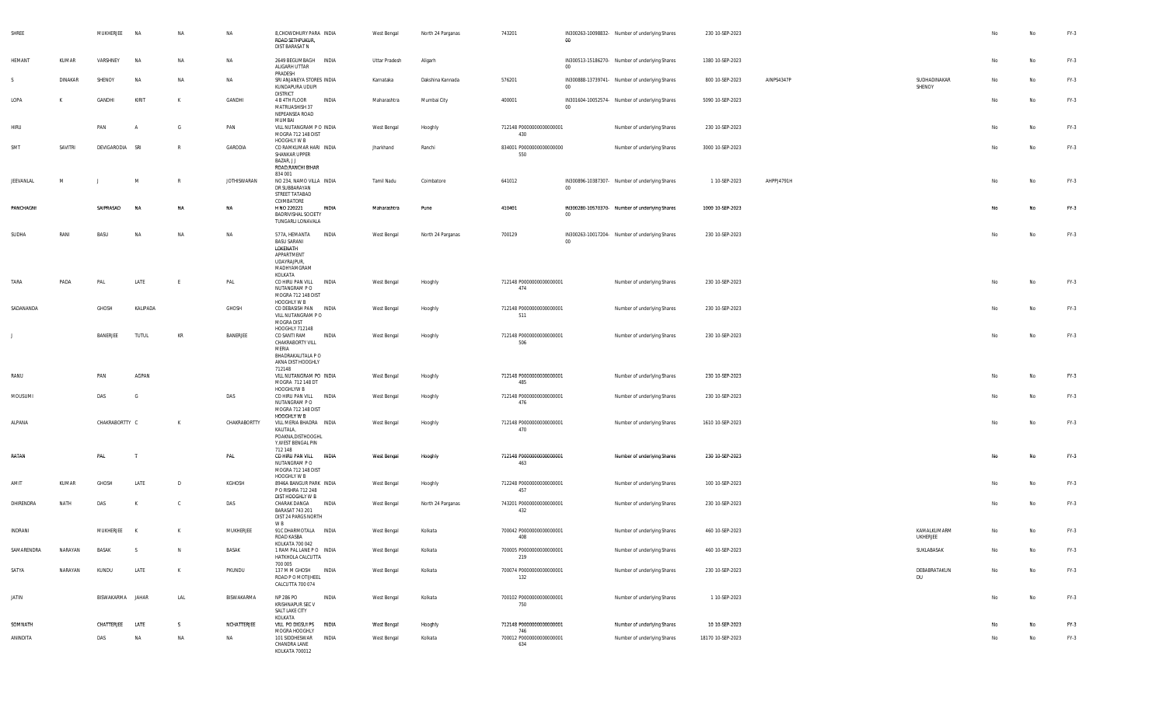| SHREE      |         | MUKHERJEE        | <b>NA</b>    | <b>NA</b>    | NA                 | 8, CHOWDHURY PARA INDIA<br>ROAD SETHPUKUR,<br>DIST BARASAT N                                                    | West Bengal   | North 24 Parganas | 743201                          | 00     | IN300263-10098832- Number of underlying Shares | 230 10-SEP-2023   |            |                                | No | $\mathsf{No}$ | $FY-3$ |
|------------|---------|------------------|--------------|--------------|--------------------|-----------------------------------------------------------------------------------------------------------------|---------------|-------------------|---------------------------------|--------|------------------------------------------------|-------------------|------------|--------------------------------|----|---------------|--------|
| HEMANT     | KUMAR   | VARSHNEY         | <b>NA</b>    | NA           | NA                 | 2649 BEGUMBAGH INDIA<br>ALIGARH UTTAR<br>PRADESH                                                                | Uttar Pradesh | Aligarh           |                                 | $00\,$ | IN300513-15186270- Number of underlying Shares | 1380 10-SEP-2023  |            |                                | No | No            | FY-3   |
| S.         | DINAKAR | SHENOY           | <b>NA</b>    | NA           | <b>NA</b>          | SRI ANJANEYA STORES INDIA<br>KUNDAPURA UDUPI<br><b>DISTRICT</b>                                                 | Karnataka     | Dakshina Kannada  | 576201                          | $00\,$ | IN300888-13739741- Number of underlying Shares | 800 10-SEP-2023   | AINPS4347P | SUDHADINAKAR<br>SHENOY         | No | No            | FY-3   |
| LOPA       | K       | GANDHI           | KIRIT        | K            | GANDHI             | 4 B 4TH FLOOR<br>INDIA<br>MATRUASHISH 37<br>NEPEANSEA ROAD<br>MUMBAI                                            | Maharashtra   | Mumbai City       | 400001                          | $00\,$ | IN301604-10052574- Number of underlying Shares | 5090 10-SEP-2023  |            |                                | No | No            | FY-3   |
| HIRU       |         | PAN              |              | G            | PAN                | VILL NUTANGRAM P O INDIA<br>MOGRA 712 148 DIST<br>HOOGHLY W B                                                   | West Bengal   | Hooghly           | 712148 P0000000000000001<br>430 |        | Number of underlying Shares                    | 230 10-SEP-2023   |            |                                | No | No            | FY-3   |
| SMT        | SAVITRI | DEVIGARODIA SRI  |              | R            | GARODIA            | CO RAMKUMAR HARI INDIA<br>SHANKAR UPPER<br>BAZAR, J J<br>ROAD, RANCHI BIHAR<br>834 001                          | Jharkhand     | Ranchi            | 834001 P0000000000000000<br>550 |        | Number of underlying Shares                    | 3000 10-SEP-2023  |            |                                | No | No            | FY-3   |
| JEEVANLAL  | M       |                  | M            | $\mathbb{R}$ | <b>JOTHISWARAN</b> | NO 234, NAMO VILLA INDIA<br>DR SUBBARAYAN<br>STREET TATABAD<br>COIMBATORE                                       | Tamil Nadu    | Coimbatore        | 641012                          | $00\,$ | IN300896-10387307- Number of underlying Shares | 1 10-SEP-2023     | AHPPJ4791H |                                | No | No            | FY-3   |
| PANCHAGNI  |         | SAIPRASAD        | <b>NA</b>    | <b>NA</b>    | NA                 | H NO 220221<br>INDIA<br><b>BADRIVISHAL SOCIETY</b><br>TUNGARLI LONAVALA                                         | Maharashtra   | Pune              | 410401                          | $00\,$ | IN300280-10570370- Number of underlying Shares | 1000 10-SEP-2023  |            |                                | No | No            | $FY-3$ |
| SUDHA      | RANI    | BASU             | ΝA           | NA           | NA                 | 577A, HEMANTA<br>INDIA<br><b>BASU SARANI</b><br>LOKENATH<br>APPARTMENT<br>UDAYRAJPUR,<br>MADHYAMGRAM<br>KOLKATA | West Bengal   | North 24 Parganas | 700129                          | 00     | IN300263-10017204- Number of underlying Shares | 230 10-SEP-2023   |            |                                | No | No            | FY-3   |
| TARA       | PADA    | PAL              | LATE         | E            | PAL                | <b>INDIA</b><br>CO HIRU PAN VILL<br>NUTANGRAM PO<br>MOGRA 712 148 DIST<br>HOOGHLY W B                           | West Bengal   | Hooghly           | 712148 P0000000000000001<br>474 |        | Number of underlying Shares                    | 230 10-SEP-2023   |            |                                | No | No            | FY-3   |
| SADANANDA  |         | GHOSH            | KALIPADA     |              | GHOSH              | CO DEBASISH PAN INDIA<br>VILL NUTANGRAM PO<br>MOGRA DIST<br>HOOGHLY 712148                                      | West Bengal   | Hooghly           | 712148 P0000000000000001<br>511 |        | Number of underlying Shares                    | 230 10-SEP-2023   |            |                                | No | No            | FY-3   |
| J.         |         | BANERJEE         | <b>TUTUL</b> | KR           | BANERJEE           | INDIA<br>CO SANTI RAM<br>CHAKRABORTY VILL<br>MERIA<br>BHADRAKALITALA P O<br>AKNA DIST HOOGHLY<br>712148         | West Bengal   | Hooghly           | 712148 P0000000000000001<br>506 |        | Number of underlying Shares                    | 230 10-SEP-2023   |            |                                | No | No            | FY-3   |
| RANU       |         | PAN              | AGPAN        |              |                    | VILL NUTANGRAM PO INDIA<br>MOGRA 712 148 DT<br>HOOGHLYW B                                                       | West Bengal   | Hooghly           | 712148 P0000000000000001<br>485 |        | Number of underlying Shares                    | 230 10-SEP-2023   |            |                                |    | No            | $FY-3$ |
| MOUSUMI    |         | DAS              | - G          |              | DAS                | CO HIRU PAN VILL INDIA<br>NUTANGRAM P O<br>MOGRA 712 148 DIST<br>HOOGHLY W B                                    | West Bengal   | Hooghly           | 712148 P0000000000000001<br>476 |        | Number of underlying Shares                    | 230 10-SEP-2023   |            |                                | No | No            | FY-3   |
| ALPANA     |         | CHAKRABORTTY C   |              | K            | CHAKRABORTTY       | VILL MERIA BHADRA INDIA<br>KALITALA,<br>POAKNA, DISTHOOGHL<br>Y, WEST BENGAL PIN<br>712 148                     | West Bengal   | Hooghly           | 712148 P0000000000000001<br>470 |        | Number of underlying Shares                    | 1610 10-SEP-2023  |            |                                | No | No            | FY-3   |
| RATAN      |         | PAL              |              |              | PAL                | CO HIRU PAN VILL<br><b>INDIA</b><br>NUTANGRAM P O<br>MOGRA 712 148 DIST<br>HOOGHLY W B                          | West Bengal   | Hooghly           | 712148 P0000000000000001<br>463 |        | Number of underlying Shares                    | 230 10-SEP-2023   |            |                                | No | No            | $FY-3$ |
| AMIT       | KUMAR   | GHOSH            | LATE         | $\mathsf{D}$ | KGHOSH             | 8946A BANGUR PARK INDIA<br>P O RISHRA 712 248<br>DIST HOOGHLY W B                                               | West Bengal   | Hooghly           | 712248 P0000000000000001<br>457 |        | Number of underlying Shares                    | 100 10-SEP-2023   |            |                                | No | No            | $FY-3$ |
| DHIRENDRA  | NATH    | DAS              |              | <b>C</b>     | DAS                | CHARAK DANGA<br>INDIA<br>BARASAT 743 201<br>DIST 24 PARGS NORTH<br>W B                                          | West Bengal   | North 24 Parganas | 743201 P0000000000000001<br>432 |        | Number of underlying Shares                    | 230 10-SEP-2023   |            |                                | No | No            | FY-3   |
| INDRANI    |         | MUKHERJEE K      |              | K            | MUKHERJEE          | 91C DHARMOTALA INDIA<br>ROAD KASBA<br>KOLKATA 700 042                                                           | West Bengal   | Kolkata           | 700042 P0000000000000001<br>408 |        | Number of underlying Shares                    | 460 10-SEP-2023   |            | KAMALKUMARM<br><b>UKHERJEE</b> | No | No            | FY-3   |
| SAMARENDRA | NARAYAN | BASAK            | S.           | N            | BASAK              | 1 RAM PAL LANE PO INDIA<br>HATKHOLA CALCUTTA<br>700 005                                                         | West Bengal   | Kolkata           | 700005 P0000000000000001<br>219 |        | Number of underlying Shares                    | 460 10-SEP-2023   |            | SUKLABASAK                     | No | No            | $FY-3$ |
| SATYA      | NARAYAN | KUNDU            | LATE         | K            | PKUNDU             | 137 M M GHOSH INDIA<br>ROAD P O MOTUHEEL<br>CALCUTTA 700 074                                                    | West Bengal   | Kolkata           | 700074 P0000000000000001<br>132 |        | Number of underlying Shares                    | 230 10-SEP-2023   |            | DEBABRATAKUN<br>DU             | No | No            | FY-3   |
| JATIN      |         | BISWAKARMA JAHAR |              | LAL          | BISWAKARMA         | NP 286 PO<br>INDIA<br>KRISHNAPUR SEC V<br>SALT LAKE CITY<br>KOLKATA                                             | West Bengal   | Kolkata           | 700102 P0000000000000001<br>750 |        | Number of underlying Shares                    | 1 10-SEP-2023     |            |                                | No | No            | $FY-3$ |
| SOMNATH    |         | CHATTERJEE       | LATE         | s.           | NCHATTERJEE        | VILL PO DIGSUI PS INDIA<br>MOGRA HOOGHLY                                                                        | West Bengal   | Hooghly           | 712148 P0000000000000001<br>746 |        | Number of underlying Shares                    | 10 10-SEP-2023    |            |                                | No | No            | $FY-3$ |
| ANINDITA   |         | DAS              | NA           | NA           | NA                 | 101 SIDDHESWAR<br><b>INDIA</b><br>CHANDRA LANE<br>KOLKATA 700012                                                | West Bengal   | Kolkata           | 700012 P0000000000000001<br>634 |        | Number of underlying Shares                    | 18170 10-SEP-2023 |            |                                | No | No            | FY-3   |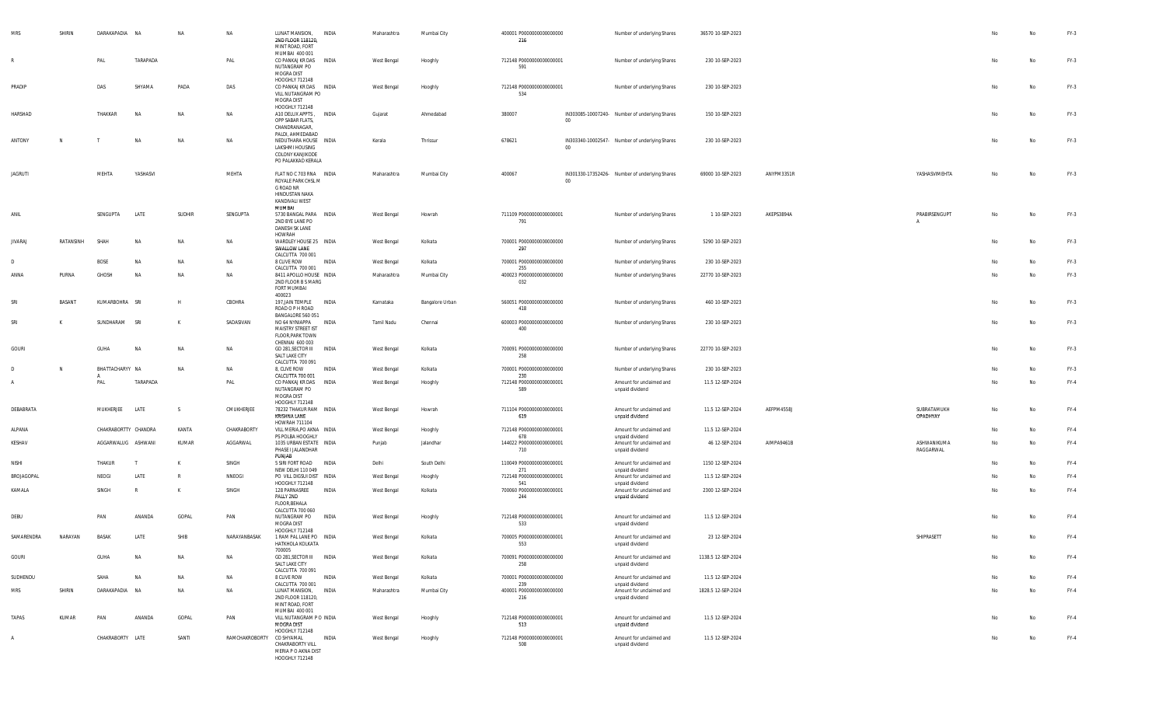| <b>MRS</b>     | SHIRIN    | DARAKAPADIA NA       |           | <b>NA</b>     | <b>NA</b>      | LUNAT MANSION,<br>2ND FLOOR 118120,<br>MINT ROAD, FORT<br>MUMBAI 400 001                                        | <b>INDIA</b> | Maharashtra | Mumbai City     | 400001 P0000000000000000<br>216        |             | Number of underlying Shares                                    | 36570 10-SEP-2023  |            |                          | No | No | $FY-3$ |
|----------------|-----------|----------------------|-----------|---------------|----------------|-----------------------------------------------------------------------------------------------------------------|--------------|-------------|-----------------|----------------------------------------|-------------|----------------------------------------------------------------|--------------------|------------|--------------------------|----|----|--------|
|                |           | PA                   | TARAPADA  |               | PAL            | CO PANKAJ KR DAS INDIA<br>NUTANGRAM PO<br>MOGRA DIST<br>HOOGHLY 712148                                          |              | West Bengal | Hooghly         | 712148 P0000000000000001<br>591        |             | Number of underlying Shares                                    | 230 10-SEP-2023    |            |                          | No | No | FY-3   |
| PRADIP         |           | DAS                  | SHYAMA    | PADA          | DAS            | CO PANKAJ KR DAS INDIA<br>VILL NUTANGRAM PO<br>MOGRA DIST<br>HOOGHLY 712148                                     |              | West Bengal | Hooghly         | 712148 P0000000000000001<br>534        |             | Number of underlying Shares                                    | 230 10-SEP-2023    |            |                          | No | No | FY-3   |
| HARSHAD        |           | THAKKAR              | <b>NA</b> | NA            | NA             | A10 DELUX APPTS, INDIA<br>OPP SABAR FLATS,<br>CHANDRANAGAR,<br>PALDI, AHMEDABAD                                 |              | Gujarat     | Ahmedabad       | 380007                                 | $00\degree$ | IN303085-10007240- Number of underlying Shares                 | 150 10-SEP-2023    |            |                          | No | No | FY-3   |
| ANTONY         | N         |                      | N         | $N$ A         | <b>NA</b>      | NEDUTHARA HOUSE INDIA<br>LAKSHMI HOUSING<br>COLONY KANJIKODE<br>PO PALAKKAD KERALA                              |              | Kerala      | Thrissur        | 678621                                 | $00\,$      | IN303340-10002547- Number of underlying Shares                 | 230 10-SEP-2023    |            |                          | No | No | FY-3   |
| <b>JAGRUTI</b> |           | MEHTA                | YASHASVI  |               | MEHTA          | FLAT NO C 703 RNA INDIA<br>ROYALE PARK CHSL M<br>G ROAD NR<br><b>HINDUSTAN NAKA</b><br>KANDIVALI WEST<br>MUMBAI |              | Maharashtra | Mumbai City     | 400067                                 | 00          | IN301330-17352426- Number of underlying Shares                 | 69000 10-SEP-2023  | ANYPM3351R | YASHASVIMEHTA            | No | No | FY-3   |
| ANIL           |           | SENGUPTA             | LATE      | <b>SUDHIR</b> | SENGUPTA       | 5730 BANGAL PARA INDIA<br>2ND BYE LANE PO<br>DANESH SK LANE<br>HOWRAH                                           |              | West Bengal | Howrah          | 711109 P0000000000000001<br>791        |             | Number of underlying Shares                                    | 1 10-SEP-2023      | AKEPS3894A | PRABIRSENGUPT            | No | No | $FY-3$ |
| <b>JIVARAJ</b> | RATANSINH | SHAH                 | <b>NA</b> | <b>NA</b>     | NA             | WARDLEY HOUSE 25 INDIA<br>SWALLOW LANE<br>CALCUTTA 700 001                                                      |              | West Bengal | Kolkata         | 700001 P0000000000000000<br>297        |             | Number of underlying Shares                                    | 5290 10-SEP-2023   |            |                          | No | No | $FY-3$ |
|                |           | <b>BOSE</b>          | <b>NA</b> | <b>NA</b>     | <b>NA</b>      | 8 CLIVE ROW<br>CALCUTTA 700 001                                                                                 | INDIA        | West Bengal | Kolkata         | 700001 P0000000000000000<br>255        |             | Number of underlying Shares                                    | 230 10-SEP-2023    |            |                          | No | No | $FY-3$ |
| ANNA           | PURNA     | GHOSH                | NA        | NA            | NA             | 8411 APOLLO HOUSE INDIA<br>2ND FLOOR B S MARG<br>FORT MUMBAI<br>400023                                          |              | Maharashtra | Mumbai City     | 400023 P0000000000000000<br>032        |             | Number of underlying Shares                                    | 22770 10-SEP-2023  |            |                          | No | No | FY-3   |
| SR             | BASANT    | KUMARBOHRA SRI       |           | H             | CBOHRA         | 197, JAIN TEMPLE INDIA<br>ROAD O P H ROAD<br>BANGALORE 560 051                                                  |              | Karnataka   | Bangalore Urban | 560051 P0000000000000000<br>418        |             | Number of underlying Shares                                    | 460 10-SEP-2023    |            |                          | No | No | $FY-3$ |
| SRI            | К         | SUNDHARAM            | SRI       | K             | SADASIVAN      | NO 64 NYNIAPPA INDIA<br>MAISTRY STREET IST<br>FLOOR, PARK TOWN<br>CHENNAI 600 003                               |              | Tamil Nadu  | Chennai         | 600003 P0000000000000000<br>400        |             | Number of underlying Shares                                    | 230 10-SEP-2023    |            |                          | No | No | FY-3   |
| GOURI          |           | GUHA                 | N/        | NA            | <b>NA</b>      | GD 281, SECTOR III<br>SALT LAKE CITY<br>CALCUTTA 700 091                                                        | <b>INDIA</b> | West Bengal | Kolkata         | 700091 P0000000000000000<br>258        |             | Number of underlying Shares                                    | 22770 10-SEP-2023  |            |                          | No | No | FY-3   |
|                | N         | BHATTACHARYY NA      |           | NA            | <b>NA</b>      | 8, CLIVE ROW<br>CALCUTTA 700 001                                                                                | INDIA        | West Bengal | Kolkata         | 700001 P0000000000000000<br>230        |             | Number of underlying Shares                                    | 230 10-SEP-2023    |            |                          | No | No | FY-3   |
|                |           | PAL                  | TARAPADA  |               | PAL            | CO PANKAJ KR DAS<br>NUTANGRAM PO<br>MOGRA DIST                                                                  | INDIA        | West Bengal | Hooghly         | 712148 P0000000000000001<br>589        |             | Amount for unclaimed and<br>unpaid dividend                    | 11.5 12-SEP-2024   |            |                          | No | No | FY-4   |
| DEBABRATA      |           | MUKHERJEE            | LATE      | S.            | CMUKHERJEE     | HOOGHLY 712148<br>78232 THAKUR RAM INDIA<br>KRISHNA LANE<br>HOWRAH 711104                                       |              | West Bengal | Howrah          | 711104 P0000000000000001<br>619        |             | Amount for unclaimed and<br>unpaid dividend                    | 11.5 12-SEP-2024   | AEFPM4558J | SUBRATAMUKH<br>OPADHYAY  | No | No | $FY-4$ |
| ALPANA         |           | CHAKRABORTTY CHANDRA |           | KANTA         | CHAKRABORTY    | VILL MERIA, PO AKNA INDIA<br>PS POLBA HOOGHLY                                                                   |              | West Bengal | Hooghly         | 712148 P0000000000000001<br>678        |             | Amount for unclaimed and<br>unpaid dividend                    | 11.5 12-SEP-2024   |            |                          | No | No | $FY-4$ |
| KESHAV         |           | AGGARWALUG ASHWANI   |           | KUMAR         | AGGARWAL       | 1035 URBAN ESTATE INDIA<br>PHASE I JALANDHAR<br>PUNJAB                                                          |              | Punjab      | Jalandhar       | 144022 P0000000000000001<br>710        |             | Amount for unclaimed and<br>unpaid dividend                    | 46 12-SEP-2024     | AIMPA9461B | ASHWANIKUMA<br>RAGGARWAL | No | No | FY-4   |
| NISHI          |           | THAKUR               | T         | K             | SINGH          | 5 SIRI FORT ROAD INDIA<br>NEW DELHI 110 049                                                                     |              | Delhi       | South Delhi     | 110049 P0000000000000001<br>271        |             | Amount for unclaimed and<br>unpaid dividend                    | 1150 12-SEP-2024   |            |                          | No | No | FY-4   |
| BROJAGOPAL     |           | NEOGI                | LATE      | R             | NNEOGI         | PO VILL DIGSUI DIST INDIA                                                                                       |              | West Bengal | Hooghly         | 712148 P0000000000000001               |             | Amount for unclaimed and                                       | 11.5 12-SEP-2024   |            |                          | No | No | $FY-4$ |
| KAMALA         |           | SINGH                | R         | K             | SINGH          | HOOGHLY 712148<br>128 PARNASREE<br>PALLY 2ND<br>FLOOR, BEHALA<br>CALCUTTA 700 060                               | INDIA        | West Bengal | Kolkata         | 541<br>700060 P0000000000000001<br>244 |             | unpaid dividend<br>Amount for unclaimed and<br>unpaid dividend | 2300 12-SEP-2024   |            |                          | No | No | $FY-4$ |
| DEBU           |           | PAN                  | ANANDA    | GOPAL         | PAN            | NUTANGRAM PO INDIA<br>MOGRA DIST<br>HOOGHLY 712148                                                              |              | West Bengal | Hooghly         | 712148 P0000000000000001<br>533        |             | Amount for unclaimed and<br>unpaid dividend                    | 11.5 12-SEP-2024   |            |                          | No | No | $FY-4$ |
| SAMARENDRA     | NARAYAN   | BASAK                | LATE      | SHIB          | NARAYANBASAK   | 1 RAM PAL LANE PO INDIA<br>HATKHOLA KOLKATA<br>700005                                                           |              | West Bengal | Kolkata         | 700005 P0000000000000001<br>553        |             | Amount for unclaimed and<br>unpaid dividend                    | 23 12-SEP-2024     |            | SHIPRASETT               | No | No | FY-4   |
| GOURI          |           | GUHA                 | <b>NA</b> | NA            | NA             | GD 281, SECTOR III INDIA<br>SALT LAKE CITY<br>CALCUTTA 700 091                                                  |              | West Bengal | Kolkata         | 700091 P0000000000000000<br>258        |             | Amount for unclaimed and<br>unpaid dividend                    | 1138.5 12-SEP-2024 |            |                          | No | No | $FY-4$ |
| SUDHENDU       |           | SAHA                 | <b>NA</b> | <b>NA</b>     | NA             | 8 CLIVE ROW<br>CALCUTTA 700 001                                                                                 | INDIA        | West Bengal | Kolkata         | 700001 P0000000000000000<br>239        |             | Amount for unclaimed and<br>unpaid dividend                    | 11.5 12-SEP-2024   |            |                          | No | No | $FY-4$ |
| MRS            | SHIRIN    | DARAKAPADIA NA       |           | NA            | NA             | LUNAT MANSION, INDIA<br>2ND FLOOR 118120,<br>MINT ROAD, FORT<br>MUMBAI 400 001                                  |              | Maharashtra | Mumbai City     | 400001 P0000000000000000<br>216        |             | Amount for unclaimed and<br>unpaid dividend                    | 1828.5 12-SEP-2024 |            |                          | No | No | FY-4   |
| TAPAS          | KUMAR     | PAN                  | ANANDA    | GOPAL         | PAN            | VILL NUTANGRAM P O INDIA<br>MOGRA DIST<br>HOOGHLY 712148                                                        |              | West Bengal | Hooghly         | 712148 P0000000000000001<br>513        |             | Amount for unclaimed and<br>unpaid dividend                    | 11.5 12-SEP-2024   |            |                          | No | No | $FY-4$ |
| A              |           | CHAKRABORTY LATE     |           | SANTI         | RAMCHAKROBORTY | CO SHYAMAL<br>CHAKRABORTY VILL<br>MERIA P O AKNA DIST<br>HOOGHLY 712148                                         | INDIA        | West Bengal | Hooghly         | 712148 P0000000000000001<br>508        |             | Amount for unclaimed and<br>unpaid dividend                    | 11.5 12-SEP-2024   |            |                          | No | No | $FY-4$ |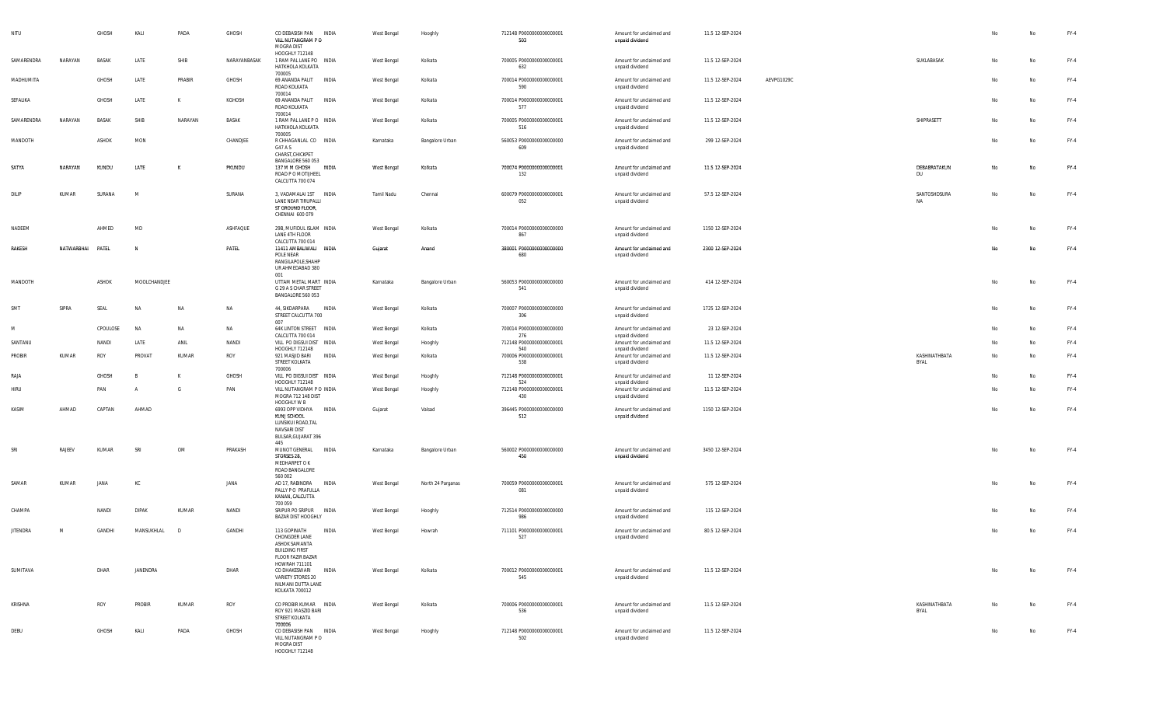| NITU            |            | GHOSH        | KALI           | PADA      | GHOSH        | CO DEBASISH PAN INDIA<br>VILL NUTANGRAM PO<br>MOGRA DIST<br>HOOGHLY 712148                                             | West Bengal | Hooghly           | 712148 P0000000000000001<br>503  | Amount for unclaimed and<br>unpaid dividend | 11.5 12-SEP-2024 |            |                           | No | No        | FY-4   |
|-----------------|------------|--------------|----------------|-----------|--------------|------------------------------------------------------------------------------------------------------------------------|-------------|-------------------|----------------------------------|---------------------------------------------|------------------|------------|---------------------------|----|-----------|--------|
| SAMARENDRA      | NARAYAN    | BASAK        | LATE           | SHIB      | NARAYANBASAK | 1 RAM PAL LANE PO INDIA<br>HATKHOLA KOLKATA<br>700005                                                                  | West Bengal | Kolkata           | 700005 P0000000000000001<br>632  | Amount for unclaimed and<br>unpaid dividend | 11.5 12-SEP-2024 |            | SUKLABASAK                | No | No        | FY-4   |
| MADHUMITA       |            | GHOSH        | LATE           | PRABIR    | GHOSH        | 69 ANANDA PALIT INDIA<br>ROAD KOLKATA<br>700014                                                                        | West Bengal | Kolkata           | 700014 P0000000000000001<br>590  | Amount for unclaimed and<br>unpaid dividend | 11.5 12-SEP-2024 | AEVPG1029C |                           | No | No        | FY-4   |
| SEFALIKA        |            | GHOSH        | LATE           | K         | KGHOSH       | 69 ANANDA PALIT<br>INDIA<br>ROAD KOLKATA<br>700014                                                                     | West Bengal | Kolkata           | 700014 P0000000000000001<br>577  | Amount for unclaimed and<br>unpaid dividend | 11.5 12-SEP-2024 |            |                           | No | No        | $FY-4$ |
| SAMARENDRA      | NARAYAN    | BASAK        | SHIB           | NARAYAN   | BASAK        | 1 RAM PAL LANE PO INDIA<br>HATKHOLA KOLKATA<br>700005                                                                  | West Bengal | Kolkata           | 700005 P0000000000000001<br>516  | Amount for unclaimed and<br>unpaid dividend | 11.5 12-SEP-2024 |            | SHIPRASETT                | No | No        | FY-4   |
| MANDOTH         |            | ASHOK        | MON            |           | CHANDJEE     | R CHHAGANLAL CO INDIA<br>G47 A S<br>CHARST, CHICKPET                                                                   | Karnataka   | Bangalore Urban   | 560053 P0000000000000000<br>609  | Amount for unclaimed and<br>unpaid dividend | 299 12-SEP-2024  |            |                           | No | <b>No</b> | $FY-4$ |
| SATYA           | NARAYAN    | KUNDU        | LATE           | K         | PKUNDU       | BANGALORE 560 053<br>137 M M GHOSH INDIA<br>ROAD P O MOTIJHEEL<br>CALCUTTA 700 074                                     | West Bengal | Kolkata           | 700074 P0000000000000001<br>132  | Amount for unclaimed and<br>unpaid dividend | 11.5 12-SEP-2024 |            | DEBABRATAKUN<br>DU        | No | No        | $FY-4$ |
| DILIP           | KUMAR      | SURANA       | M              |           | SURANA       | 3, VADAMALAI 1ST INDIA<br>LANE NEAR TIRUPALLI<br>ST GROUND FLOOR,<br>CHENNAI 600 079                                   | Tamil Nadu  | Chennai           | 600079 P0000000000000001<br>052  | Amount for unclaimed and<br>unpaid dividend | 57.5 12-SEP-2024 |            | SANTOSHDSURA<br><b>NA</b> | No | <b>No</b> | $FY-4$ |
| NADEEM          |            | AHMED        | MD             |           | ASHFAQUE     | 29B, MUFIDUL ISLAM INDIA<br>LANE 4TH FLOOR<br>CALCUTTA 700 014                                                         | West Bengal | Kolkata           | 700014 P0000000000000000<br>867  | Amount for unclaimed and<br>unpaid dividend | 1150 12-SEP-2024 |            |                           | No | No        | FY-4   |
| RAKESH          | NATWARBHAI | PATEL        | N              |           | PATEL        | 11411 AMBALIWALI INDIA<br>POLE NEAR<br>RANGILAPOLE.SHAHP<br>UR AHMEDABAD 380<br>001                                    | Gujarat     | Anand             | 380001 P00000000000000000<br>680 | Amount for unclaimed and<br>unpaid dividend | 2300 12-SEP-2024 |            |                           | No | No        | $FY-4$ |
| MANDOTH         |            | ASHOK        | MOOLCHANDJEE   |           |              | UTTAM METAL MART INDIA<br>G 29 A S CHAR STREET<br>BANGALORE 560 053                                                    | Karnataka   | Bangalore Urban   | 560053 P0000000000000000<br>541  | Amount for unclaimed and<br>unpaid dividend | 414 12-SEP-2024  |            |                           | No | No        | FY-4   |
| SMT             | SIPRA      | SEAL         | <b>NA</b>      | N         | NA           | 44, SIKDARPARA<br>INDIA<br>STREET CALCUTTA 700<br>007                                                                  | West Bengal | Kolkata           | 700007 P0000000000000000<br>306  | Amount for unclaimed and<br>unpaid dividend | 1725 12-SEP-2024 |            |                           | No | No        | $FY-4$ |
| M               |            | CPOULOSE     | NA             | <b>NA</b> | NA           | 64K LINTON STREET INDIA<br>CALCUTTA 700 014                                                                            | West Bengal | Kolkata           | 700014 P0000000000000000<br>276  | Amount for unclaimed and<br>unpaid dividend | 23 12-SEP-2024   |            |                           | No | No        | FY-4   |
| SANTANU         |            | NANDI        | LATE           | ANIL      | NANDI        | VILL PO DIGSUI DIST INDIA<br>HOOGHLY 712148                                                                            | West Bengal | Hooghly           | 712148 P0000000000000001<br>540  | Amount for unclaimed and<br>unpaid dividend | 11.5 12-SEP-2024 |            |                           | No | No        | $FY-4$ |
| PROBIR          | KUMAR      | ROY          | PROVAT         | KUMAR     | ROY          | 921 MASJID BARI<br>INDIA<br>STREET KOLKATA<br>700006                                                                   | West Bengal | Kolkata           | 700006 P0000000000000001<br>538  | Amount for unclaimed and<br>unpaid dividend | 11.5 12-SEP-2024 |            | KASHINATHBATA<br>BYAL     | No | <b>No</b> | $FY-4$ |
| RAJA            |            | <b>GHOSH</b> | B              | к         | <b>GHOSH</b> | VILL PO DIGSUI DIST INDIA<br>HOOGHLY 712148                                                                            | West Bengal | Hooghly           | 712148 P0000000000000001<br>524  | Amount for unclaimed and<br>unpaid dividend | 11 12-SEP-2024   |            |                           | No | No        | $FY-4$ |
| <b>HIRU</b>     |            | PAN          | $\overline{A}$ | G         | PAN          | VILL NUTANGRAM P O INDIA<br>MOGRA 712 148 DIST<br>HOOGHLY W B                                                          | West Bengal | Hooghly           | 712148 P0000000000000001<br>430  | Amount for unclaimed and<br>unpaid dividend | 11.5 12-SEP-2024 |            |                           | No | <b>No</b> | $FY-4$ |
| KASIM           | AHMAD      | CAPTAN       | AHMAD          |           |              | 6993 OPP VIDHYA INDIA<br>KUNJ SCHOOL<br>LUNSIKUI ROAD, TAL<br>NAVSARI DIST<br>BULSAR, GUJARAT 396<br>445               | Gujarat     | Valsad            | 396445 P0000000000000000<br>512  | Amount for unclaimed and<br>unpaid dividend | 1150 12-SEP-2024 |            |                           | No | No        | $FY-4$ |
| SRI             | RAJEEV     | KUMAR        | SRI            | OM        | PRAKASH      | MUNOT GENERAL INDIA<br>STORSES 28,<br>MEDHARPET O K<br>ROAD BANGALORE<br>560 002                                       | Karnataka   | Bangalore Urban   | 560002 P0000000000000000<br>450  | Amount for unclaimed and<br>unpaid dividend | 3450 12-SEP-2024 |            |                           | No | No        | $FY-4$ |
| SAMAR           | KUMAR      | JANA         | KC             |           | JANA         | AD 17, RABINDRA INDIA<br>PALLY PO PRAFULLA<br>KANAN, CALCUTTA<br>700 059                                               | West Bengal | North 24 Parganas | 700059 P0000000000000001<br>081  | Amount for unclaimed and<br>unpaid dividend | 575 12-SEP-2024  |            |                           | No | <b>No</b> | $FY-4$ |
| CHAMPA          |            | NANDI        | <b>DIPAK</b>   | KUMAR     | NANDI        | SRIPUR PO SRIPUR INDIA<br>BAZAR DIST HOOGHLY                                                                           | West Bengal | Hooghly           | 712514 P0000000000000000<br>986  | Amount for unclaimed and<br>unpaid dividend | 115 12-SEP-2024  |            |                           | No | <b>No</b> | $FY-4$ |
| <b>JITENDRA</b> | M          | GANDHI       | MANSUKHLAL     | D         | GANDHI       | 113 GOPINATH<br>INDIA<br>CHONGDER LANE<br>ASHOK SAMANTA<br><b>BUILDING FIRST</b><br>FLOOR FAZIR BAZAR<br>HOWRAH 711101 | West Bengal | Howrah            | 711101 P0000000000000001<br>527  | Amount for unclaimed and<br>unpaid dividend | 80.5 12-SEP-2024 |            |                           | No | No        | $FY-4$ |
| SUMITAVA        |            | DHAR         | JANENDRA       |           | DHAR         | CO DHAKESWARI<br>INDIA<br>VARIETY STORES 20<br>NILMANI DUTTA LANE<br>KOLKATA 700012                                    | West Bengal | Kolkata           | 700012 P0000000000000001<br>545  | Amount for unclaimed and<br>unpaid dividend | 11.5 12-SEP-2024 |            |                           | No | No        | $FY-4$ |
| KRISHNA         |            | ROY          | PROBIR         | KUMAR     | ROY          | CO PROBIR KUMAR INDIA<br>ROY 921 MASZID BARI<br>STREET KOLKATA<br>700006                                               | West Bengal | Kolkata           | 700006 P0000000000000001<br>536  | Amount for unclaimed and<br>unpaid dividend | 11.5 12-SEP-2024 |            | KASHINATHBATA<br>BYAL     | No | No        | FY-4   |
| DEBU            |            | GHOSH        | KALI           | PADA      | GHOSH        | CO DEBASISH PAN INDIA<br>VILL NUTANGRAM PO<br>MOGRA DIST<br>HOOGHLY 712148                                             | West Bengal | Hooghly           | 712148 P0000000000000001<br>502  | Amount for unclaimed and<br>unpaid dividend | 11.5 12-SEP-2024 |            |                           | No | <b>No</b> | $FY-4$ |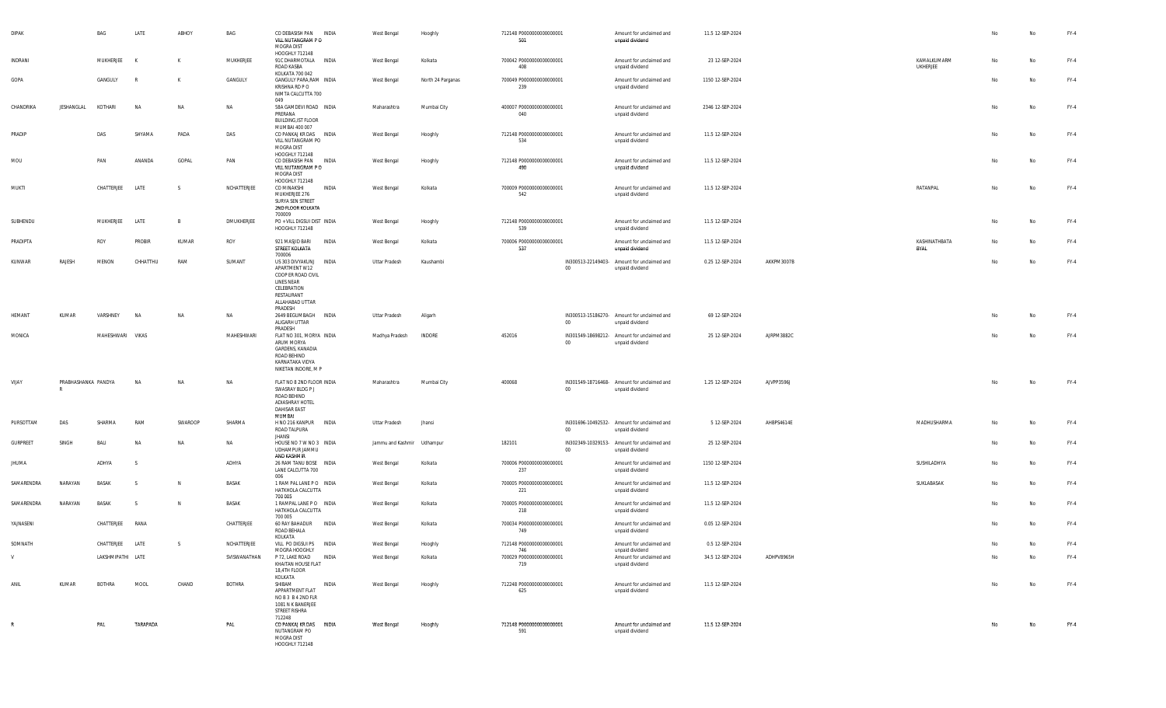| <b>DIPAK</b>    |                                     | BAG               | LATE      | ABHOY        | BAG           | CO DEBASISH PAN<br>VILL NUTANGRAM PO<br>MOGRA DIST                                                                               | INDIA        | West Bengal                | Hooghly           | 712148 P0000000000000001<br>501  |        | Amount for unclaimed and<br>unpaid dividend                    | 11.5 12-SEP-2024 |            |                                |    | No        | $FY-4$ |
|-----------------|-------------------------------------|-------------------|-----------|--------------|---------------|----------------------------------------------------------------------------------------------------------------------------------|--------------|----------------------------|-------------------|----------------------------------|--------|----------------------------------------------------------------|------------------|------------|--------------------------------|----|-----------|--------|
| INDRANI         |                                     | MUKHERJEE         | K         | к            | MUKHERJEE     | HOOGHLY 712148<br>91C DHARMOTALA INDIA<br>ROAD KASBA<br>KOLKATA 700 042                                                          |              | West Bengal                | Kolkata           | 700042 P0000000000000001<br>408  |        | Amount for unclaimed and<br>unpaid dividend                    | 23 12-SEP-2024   |            | KAMALKUMARM<br><b>UKHERJEE</b> | No | <b>No</b> | $FY-4$ |
| GOPA            |                                     | GANGULY           | R         | К            | GANGULY       | GANGULY PARA, RAM INDIA<br>KRISHNA RD P O<br>NIMTA CALCUTTA 700<br>049                                                           |              | West Bengal                | North 24 Parganas | 700049 P00000000000000001<br>239 |        | Amount for unclaimed and<br>unpaid dividend                    | 1150 12-SEP-2024 |            |                                | No | No        | $FY-4$ |
| CHANDRIKA       | JESHANGLAL                          | KOTHARI           | <b>NA</b> | NA           | NA            | 58A GAMDEVI ROAD INDIA<br>PRERANA<br><b>BUILDING, IST FLOOR</b>                                                                  |              | Maharashtra                | Mumbai City       | 400007 P0000000000000001<br>040  |        | Amount for unclaimed and<br>unpaid dividend                    | 2346 12-SEP-2024 |            |                                | No | No        | $FY-4$ |
| PRADIP          |                                     | DAS               | SHYAMA    | PADA         | DAS           | MUMBAI 400 007<br>CO PANKAJ KR DAS INDIA<br>VILL NUTANGRAM PO<br>MOGRA DIST                                                      |              | West Bengal                | Hooghly           | 712148 P0000000000000001<br>534  |        | Amount for unclaimed and<br>unpaid dividend                    | 11.5 12-SEP-2024 |            |                                | No | No        | $FY-4$ |
| MOU             |                                     | PAN               | ANANDA    | GOPAL        | PAN           | HOOGHLY 712148<br>CO DEBASISH PAN INDIA<br>VILL NUTANGRAM PO<br>MOGRA DIST                                                       |              | West Bengal                | Hooghly           | 712148 P0000000000000001<br>490  |        | Amount for unclaimed and<br>unpaid dividend                    | 11.5 12-SEP-2024 |            |                                | No | No        | $FY-4$ |
| MUKTI           |                                     | CHATTERJEE        | LATE      | -S           | NCHATTERJEE   | HOOGHLY 712148<br>CO MINAKSHI<br>MUKHERJEE 276<br>SURYA SEN STREET<br>2ND FLOOR KOLKATA                                          | INDIA        | West Bengal                | Kolkata           | 700009 P0000000000000001<br>542  |        | Amount for unclaimed and<br>unpaid dividend                    | 11.5 12-SEP-2024 |            | <b>RATANPAL</b>                | No | No        | $FY-4$ |
| SUBHENDU        |                                     | MUKHERJEE         | LATE      | $\mathsf{B}$ | DMUKHERJEE    | 700009<br>PO + VILL DIGSUI DIST INDIA<br>HOOGHLY 712148                                                                          |              | West Bengal                | Hooghly           | 712148 P0000000000000001<br>539  |        | Amount for unclaimed and<br>unpaid dividend                    | 11.5 12-SEP-2024 |            |                                | No | <b>No</b> | $FY-4$ |
| PRADIPTA        |                                     | ROY               | PROBIR    | KUMAR        | ROY           | 921 MASJID BARI<br>STREET KOLKATA<br>700006                                                                                      | INDIA        | West Bengal                | Kolkata           | 700006 P0000000000000001<br>537  |        | Amount for unclaimed and<br>unpaid dividend                    | 11.5 12-SEP-2024 |            | KASHINATHBATA<br><b>BYAL</b>   | No | No        | $FY-4$ |
| KUNWAR          | RAJESH                              | MENON             | CHHATTHU  | RAM          | SUMANT        | US 303 DIVYAKUNJ<br>APARTMENT W12<br>COOP ER ROAD CIVIL<br>LINES NEAR<br>CELEBRATION<br>RESTAURANT<br>ALLAHABAD UTTAR<br>PRADESH | INDIA        | Uttar Pradesh              | Kaushambi         |                                  | $00\,$ | IN300513-22149403- Amount for unclaimed and<br>unpaid dividend | 0.25 12-SEP-2024 | AKKPM3007B |                                | No | No        | FY-4   |
| HEMANT          | KUMAR                               | VARSHNEY          | <b>NA</b> | NA           | NA            | 2649 BEGUMBAGH INDIA<br>ALIGARH UTTAR<br>PRADESH                                                                                 |              | Uttar Pradesh              | Aligarh           |                                  | $00\,$ | IN300513-15186270- Amount for unclaimed and<br>unpaid dividend | 69 12-SEP-2024   |            |                                | No | No        | $FY-4$ |
| MONICA          |                                     | MAHESHWARI VIKAS  |           |              | MAHESHWARI    | FLAT NO 301, MORYA INDIA<br>ARUM MORYA<br>GARDENS, KANADIA<br>ROAD BEHIND<br>KARNATAKA VIDYA<br>NIKETAN INDORE, M P              |              | Madhya Pradesh             | INDORE            | 452016                           | $00\,$ | IN301549-18698212- Amount for unclaimed and<br>unpaid dividend | 25 12-SEP-2024   | AJRPM3882C |                                | No | No        | $FY-4$ |
| VIJAY           | PRABHASHANKA PANDYA<br>$\mathbb{R}$ |                   | <b>NA</b> | NA           | NA            | FLAT NO 8 2ND FLOOR INDIA<br>SWASRAY BLDG P J<br>ROAD BEHIND<br>ADIASHRAY HOTEL<br>DAHISAR EAST<br>MUMBAI                        |              | Maharashtra                | Mumbai City       | 400068                           | $00\,$ | IN301549-18716468- Amount for unclaimed and<br>unpaid dividend | 1.25 12-SEP-2024 | AJVPP3596J |                                | No | No        | $FY-4$ |
| PURSOTTAM       | DAS                                 | SHARMA            | RAM       | SWAROOP      | SHARMA        | H NO 216 KANPUR INDIA<br>ROAD TALPURA<br><b>JHANSI</b>                                                                           |              | Uttar Pradesh              | Jhansi            |                                  | $00\,$ | IN301696-10492532- Amount for unclaimed and<br>unpaid dividend | 5 12-SEP-2024    | AHBPS4614E | MADHUSHARMA                    | No | No        | FY-4   |
| <b>GURPREET</b> | SINGH                               | BALI              | <b>NA</b> | NA           | NA            | HOUSE NO 7 W NO 3 INDIA<br>UDHAMPUR JAMMU<br>AND KASHMIR                                                                         |              | Jammu and Kashmir Udhampur |                   | 182101                           | $00\,$ | IN302349-10329153- Amount for unclaimed and<br>unpaid dividend | 25 12-SEP-2024   |            |                                | No | <b>No</b> | $FY-4$ |
| JHUMA           |                                     | ADHYA             | s         |              | ADHYA         | 26 RAM TANU BOSE INDIA<br>LANE CALCUTTA 700<br>006                                                                               |              | West Bengal                | Kolkata           | 700006 P0000000000000001<br>237  |        | Amount for unclaimed and<br>unpaid dividend                    | 1150 12-SEP-2024 |            | SUSHILADHYA                    | No | No        | FY-4   |
| SAMARENDRA      | NARAYAN                             | BASAK             | -S        | N            | BASAK         | 1 RAM PAL LANE PO INDIA<br>HATKHOLA CALCUTTA<br>700 005                                                                          |              | West Bengal                | Kolkata           | 700005 P0000000000000001<br>221  |        | Amount for unclaimed and<br>unpaid dividend                    | 11.5 12-SEP-2024 |            | SUKLABASAK                     | No | No        | $FY-4$ |
| SAMARENDRA      | NARAYAN                             | BASAK             | -S        | N            | BASAK         | 1 RAMPAL LANE PO INDIA<br>HATKHOLA CALCUTTA<br>700 005                                                                           |              | West Bengal                | Kolkata           | 700005 P0000000000000001<br>218  |        | Amount for unclaimed and<br>unpaid dividend                    | 11.5 12-SEP-2024 |            |                                | No | No        | $FY-4$ |
| YAJNASENI       |                                     | CHATTERJEE        | RANA      |              | CHATTERJEE    | 60 RAY BAHADUR<br>ROAD BEHALA<br>KOLKATA                                                                                         | INDIA        | West Bengal                | Kolkata           | 700034 P0000000000000001<br>749  |        | Amount for unclaimed and<br>unpaid dividend                    | 0.05 12-SEP-2024 |            |                                | No | <b>No</b> | $FY-4$ |
| SOMNATH         |                                     | CHATTERJEE        | LATE      | S.           | NCHATTERJEE   | VILL PO DIGSUI PS<br>MOGRA HOOGHLY                                                                                               | INDIA        | West Bengal                | Hooghly           | 712148 P0000000000000001<br>746  |        | Amount for unclaimed and<br>unpaid dividend                    | 0.5 12-SEP-2024  |            |                                | No | <b>No</b> | $FY-4$ |
| V               |                                     | LAKSHMIPATHI LATE |           |              | SVISWANATHAN  | P 72, LAKE ROAD<br>KHAITAN HOUSE FLAT<br>18,4TH FLOOR<br>KOLKATA                                                                 | <b>INDIA</b> | West Bengal                | Kolkata           | 700029 P0000000000000001<br>719  |        | Amount for unclaimed and<br>unpaid dividend                    | 34.5 12-SEP-2024 | ADHPV8965H |                                | No | No        | FY-4   |
| ANIL            | KUMAR                               | <b>BOTHRA</b>     | MOOL      | CHAND        | <b>BOTHRA</b> | SHIBAM<br>APPARTMENT FLAT<br>NOB3B42NDFLR<br>1081 N K BANERJEE<br>STREET RISHRA<br>712248                                        | INDIA        | West Bengal                | Hooghly           | 712248 P0000000000000001<br>625  |        | Amount for unclaimed and<br>unpaid dividend                    | 11.5 12-SEP-2024 |            |                                | No | No        | $FY-4$ |
| R               |                                     | PAL               | TARAPADA  |              | PAL           | CO PANKAJ KR DAS INDIA<br>NUTANGRAM PO<br>MOGRA DIST<br>HOOGHLY 712148                                                           |              | West Bengal                | Hooghly           | 712148 P0000000000000001<br>591  |        | Amount for unclaimed and<br>unpaid dividend                    | 11.5 12-SEP-2024 |            |                                | No | No        | $FY-4$ |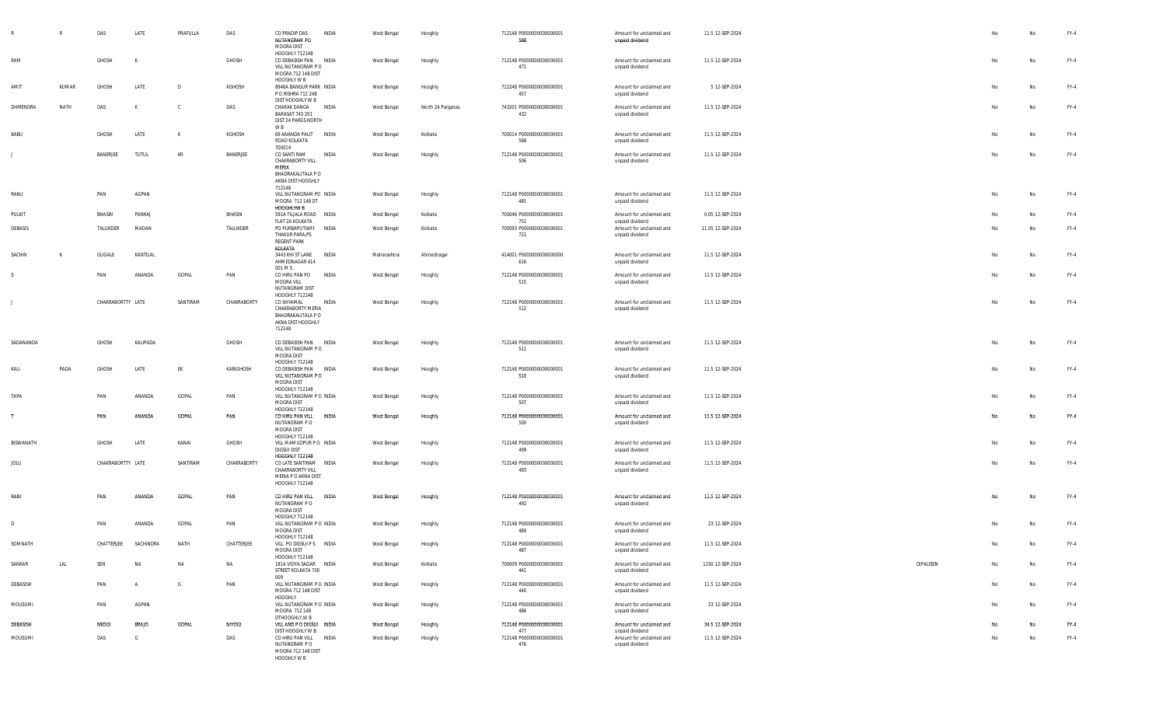|             | $\mathbb{R}$ | DAS               | LATE           | PRAFULLA     | DAS           | CO PRADIP DAS<br>NUTANGRAM PO<br>MOGRA DIST<br>HOOGHLY 712148                                          | INDIA        | West Bengal | Hooghly           | 712148 P0000000000000001<br>588 | Amount for unclaimed and<br>unpaid dividend | 11.5 12-SEP-2024  |           |    | No | FY-4   |
|-------------|--------------|-------------------|----------------|--------------|---------------|--------------------------------------------------------------------------------------------------------|--------------|-------------|-------------------|---------------------------------|---------------------------------------------|-------------------|-----------|----|----|--------|
| RAM         |              | GHOSH             | K              |              | GHOSH         | CO DEBASISH PAN<br>VILL NUTANGRAM PO<br>MOGRA 712 148 DIST<br>HOOGHLY W B                              | <b>INDIA</b> | West Bengal | Hooghly           | 712148 P0000000000000001<br>471 | Amount for unclaimed and<br>unpaid dividend | 11.5 12-SEP-2024  |           | No | No | FY-4   |
| AMIT        | KUMAR        | <b>GHOSH</b>      | LATE           | $\mathsf{D}$ | KGHOSH        | 8946A BANGUR PARK INDIA<br>P O RISHRA 712 248<br>DIST HOOGHLY W B                                      |              | West Bengal | Hooghly           | 712248 P0000000000000001<br>457 | Amount for unclaimed and<br>unpaid dividend | 5 12-SEP-2024     |           | No | No | FY-4   |
| DHIRENDRA   | NATH         | DAS               | к              | <sub>c</sub> | DAS           | CHARAK DANGA<br>BARASAT 743 201<br>DIST 24 PARGS NORTH                                                 | INDIA        | West Bengal | North 24 Parganas | 743201 P0000000000000001<br>432 | Amount for unclaimed and<br>unpaid dividend | 11.5 12-SEP-2024  |           | No | No | FY-4   |
| BABU        |              | GHOSH             | LATE           | К            | KGHOSH        | W B<br>69 ANANDA PALIT INDIA<br>ROAD KOLKATA                                                           |              | West Bengal | Kolkata           | 700014 P0000000000000001<br>568 | Amount for unclaimed and<br>unpaid dividend | 11.5 12-SEP-2024  |           | No | No | FY-4   |
|             |              | BANERJEE          | TUTUL          | KR           | BANERJEE      | 700014<br>CO SANTI RAM<br>CHAKRABORTY VILL<br>MERIA<br>BHADRAKALITALA P O<br>AKNA DIST HOOGHLY         | INDIA        | West Bengal | Hooghly           | 712148 P0000000000000001<br>506 | Amount for unclaimed and<br>unpaid dividend | 11.5 12-SEP-2024  |           | No | No | FY-4   |
| RANU        |              | PAN               | AGPAN          |              |               | 712148<br>VILL NUTANGRAM PO INDIA<br>MOGRA 712 148 DT<br>HOOGHLYW B                                    |              | West Bengal | Hooghly           | 712148 P0000000000000001<br>485 | Amount for unclaimed and<br>unpaid dividend | 11.5 12-SEP-2024  |           | No | No | FY-4   |
| PULKIT      |              | BHASIN            | PANKAJ         |              | BHASIN        | 591A TILJALA ROAD INDIA<br>FLAT 2A KOLKATA                                                             |              | West Bengal | Kolkata           | 700046 P0000000000000001<br>751 | Amount for unclaimed and<br>unpaid dividend | 0.05 12-SEP-2024  |           | No | No | FY-4   |
| DEBASIS     |              | TALUKDER          | MADAN          |              | TALUKDER      | PO PURBAPUTIARY<br>THAKUR PARA,PS<br>REGENT PARK                                                       | INDIA        | West Bengal | Kolkata           | 700093 P0000000000000001<br>721 | Amount for unclaimed and<br>unpaid dividend | 11.05 12-SEP-2024 |           | No | No | FY-4   |
| SACHIN      | K            | GUGALE            | KANTILAL       |              |               | KOLKATA<br>3443 KHI ST LANE<br>AHMEDNAGAR 414<br>001 M S                                               | INDIA        | Maharashtra | Ahmednagar        | 414001 P0000000000000000<br>616 | Amount for unclaimed and<br>unpaid dividend | 11.5 12-SEP-2024  |           | No | No | FY-4   |
| s           |              | PAN               | ANANDA         | GOPAL        | PAN           | CO HIRU PAN PO<br>MOGRA VILL<br>NUTANGRAM DIST                                                         | <b>INDIA</b> | West Bengal | Hooghly           | 712148 P0000000000000001<br>515 | Amount for unclaimed and<br>unpaid dividend | 11.5 12-SEP-2024  |           | No | No | FY-4   |
|             |              | CHAKRABORTTY LATE |                | SANTIRAM     | CHAKRABORTY   | HOOGHLY 712148<br>CO SHYAMAL<br>CHAKRABORTY MERIA<br>BHADRAKALITALA P O<br>AKNA DIST HOOGHLY<br>712148 | INDIA        | West Bengal | Hooghly           | 712148 P0000000000000001<br>512 | Amount for unclaimed and<br>unpaid dividend | 11.5 12-SEP-2024  |           | No | No | FY-4   |
| SADANANDA   |              | GHOSH             | KALIPADA       |              | GHOSH         | CO DEBASISH PAN INDIA<br>VILL NUTANGRAM PO<br>MOGRA DIST<br>HOOGHLY 712148                             |              | West Bengal | Hooghly           | 712148 P0000000000000001<br>511 | Amount for unclaimed and<br>unpaid dividend | 11.5 12-SEP-2024  |           | No | No | FY-4   |
| KALI        | PADA         | GHOSH             | LATE           | EK           | KARIGHOSH     | CO DEBASISH PAN INDIA<br>VILL NUTANGRAM PO<br>MOGRA DIST<br>HOOGHLY 712148                             |              | West Bengal | Hooghly           | 712148 P0000000000000001<br>510 | Amount for unclaimed and<br>unpaid dividend | 11.5 12-SEP-2024  |           | No | No | FY-4   |
| <b>TAPA</b> |              | PAN               | ANANDA         | GOPAL        | PAN           | VILL NUTANGRAM P O INDIA<br>MOGRA DIST<br>HOOGHLY 712148                                               |              | West Bengal | Hooghly           | 712148 P0000000000000001<br>507 | Amount for unclaimed and<br>unpaid dividend | 11.5 12-SEP-2024  |           | No | No | FY-4   |
| T           |              | PAN               | ANANDA         | GOPAL        | PAN           | CO HIRU PAN VILL<br>NUTANGRAM P O<br>MOGRA DIST<br>HOOGHLY 712148                                      | INDIA        | West Bengal | Hooghly           | 712148 P0000000000000001<br>500 | Amount for unclaimed and<br>unpaid dividend | 11.5 12-SEP-2024  |           | No | No | $FY-4$ |
| BISWANATH   |              | GHOSH             | LATE           | KANAI        | GHOSH         | VILL MAMUDPUR PO INDIA<br>DIGSUI DIST<br><b>HOOGHLY 712148</b>                                         |              | West Bengal | Hooghly           | 712148 P0000000000000001<br>499 | Amount for unclaimed and<br>unpaid dividend | 11.5 12-SEP-2024  |           | No | No | FY-4   |
| JOLU        |              | CHAKRABORTTY LATE |                | SANTIRAM     | CHAKRABORTY   | CO LATE SANTIRAM INDIA<br>CHAKRABORTY VILL<br>MERIA P O AKNA DIST<br>HOOGHLY 712148                    |              | West Bengal | Hooghly           | 712148 P0000000000000001<br>493 | Amount for unclaimed and<br>unpaid dividend | 11.5 12-SEP-2024  |           | No | No | FY-4   |
| RANI        |              | PAN               | ANANDA         | GOPAL        | PAN           | CO HIRU PAN VILL INDIA<br>NUTANGRAM PO<br>MOGRA DIST                                                   |              | West Bengal | Hooghly           | 712148 P0000000000000001<br>492 | Amount for unclaimed and<br>unpaid dividend | 11.5 12-SEP-2024  |           | No | No | FY-4   |
| D           |              | PAN               | ANANDA         | GOPAL        | PAN           | HOOGHLY 712148<br>VILL NUTANGRAM P O INDIA<br>MOGRA DIST                                               |              | West Bengal | Hooghly           | 712148 P0000000000000001<br>489 | Amount for unclaimed and<br>unpaid dividend | 23 12-SEP-2024    |           |    | No | FY-4   |
| SOMNATH     |              | CHATTERJEE        | SACHINDRA      | <b>NATH</b>  | CHATTERJEE    | HOOGHLY 712148<br>VILL PO DIGSUI P S INDIA<br>MOGRA DIST                                               |              | West Bengal | Hooghly           | 712148 P0000000000000001<br>487 | Amount for unclaimed and<br>unpaid dividend | 11.5 12-SEP-2024  |           |    | No | FY-4   |
| SANKAR      | LAL          | SEN               | <b>NA</b>      | NA           | NA            | HOOGHLY 712148<br>181A VIDYA SAGAR INDIA<br>STREET KOLKATA 700                                         |              | West Bengal | Kolkata           | 700009 P0000000000000001<br>441 | Amount for unclaimed and<br>unpaid dividend | 1150 12-SEP-2024  | DIPALISEN | No | No | FY-4   |
| DEBASISH    |              | PAN               | $\overline{A}$ | G            | PAN           | 009<br>VILL NUTANGRAM P O INDIA<br>MOGRA 712 148 DIST<br>HOOGHLY                                       |              | West Bengal | Hooghly           | 712148 P0000000000000001<br>440 | Amount for unclaimed and<br>unpaid dividend | 11.5 12-SEP-2024  |           | No | No | $FY-4$ |
| MOUSUMI     |              | PAN               | AGPAN          |              |               | VILL NUTANGRAM P O INDIA<br>MOGRA 712 148<br>DTHOOGHLY, W B                                            |              | West Bengal | Hooghly           | 712148 P0000000000000001<br>486 | Amount for unclaimed and<br>unpaid dividend | 23 12-SEP-2024    |           | No | No | FY-4   |
| DEBASISH    |              | NEOGI             | <b>BRAJO</b>   | GOPAL        | <b>NIYOGI</b> | VILL AND P O DIGSUI INDIA<br>DIST HOOGHLY W B                                                          |              | West Bengal | Hooghly           | 712148 P0000000000000001<br>477 | Amount for unclaimed and<br>unpaid dividend | 34.5 12-SEP-2024  |           |    | No | $FY-4$ |
| MOUSUMI     |              | DAS               | G              |              | DAS           | CO HIRU PAN VILL INDIA<br>NUTANGRAM PO<br>MOGRA 712 148 DIST<br>HOOGHLY W B                            |              | West Bengal | Hooghly           | 712148 P0000000000000001<br>476 | Amount for unclaimed and<br>unpaid dividend | 11.5 12-SEP-2024  |           | No | No | $FY-4$ |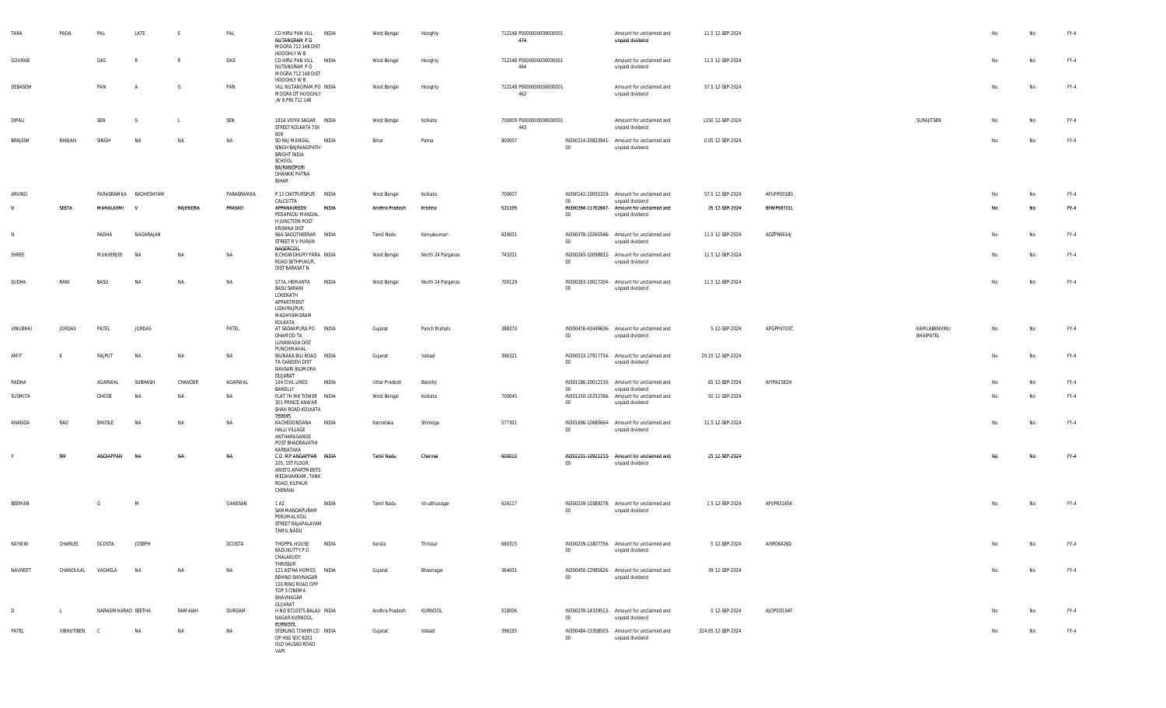| TARA         | PADA          | PAL                 | LATE                  | E            | PAL           | CO HIRU PAN VILL<br>NUTANGRAM P O<br>MOGRA 712 148 DIST                                                                   | INDIA        | West Bengal    | Hooghly           | 712148 P0000000000000001<br>474 |         | Amount for unclaimed and<br>unpaid dividend                    | 11.5 12-SEP-2024   |            |                           |    | No | $FY-4$ |
|--------------|---------------|---------------------|-----------------------|--------------|---------------|---------------------------------------------------------------------------------------------------------------------------|--------------|----------------|-------------------|---------------------------------|---------|----------------------------------------------------------------|--------------------|------------|---------------------------|----|----|--------|
| GOURAB       |               | DAS                 | $\mathbb{R}$          | $\mathsf{R}$ | DAS           | HOOGHLY W B<br>CO HIRU PAN VILL<br>NUTANGRAM P O<br>MOGRA 712 148 DIST<br>HOOGHLY W B                                     | INDIA        | West Bengal    | Hooghly           | 712148 P0000000000000001<br>464 |         | Amount for unclaimed and<br>unpaid dividend                    | 11.5 12-SEP-2024   |            |                           | No | No | FY-4   |
| DEBASISH     |               | PAN                 | $\overline{P}$        | G            | PAN           | VILL NUTANGRAM, PO INDIA<br>MOGRA DT HOOGHLY<br>,W B PIN 712 148                                                          |              | West Bengal    | Hooghly           | 712148 P0000000000000001<br>462 |         | Amount for unclaimed and<br>unpaid dividend                    | 57.5 12-SEP-2024   |            |                           | No | No | FY-4   |
| DIPALI       |               | SEN                 | -S                    | L            | SEN           | 181A VIDYA SAGAR INDIA<br>STREET KOLKATA 700<br>009                                                                       |              | West Bengal    | Kolkata           | 700009 P0000000000000001<br>443 |         | Amount for unclaimed and<br>unpaid dividend                    | 1150 12-SEP-2024   |            | SURAJITSEN                | No | No | $FY-4$ |
| BRAJESH      | RANJAN        | SINGH               | <b>NA</b>             | NA           | NA            | SO RAJ MANGAL<br>SINGH BAJRANGPATH<br>BRIGHT INDIA<br>SCHOOL<br>BAJRANGPURI<br>DHANKKI PATNA<br>BIHAR                     | INDIA        | Bihar          | Patna             | 800007                          | $00\,$  | IN300214-20823941- Amount for unclaimed and<br>unpaid dividend | 0.05 12-SEP-2024   |            |                           | No | No | $FY-4$ |
| ARVIND       |               |                     | PARASRAMKA RADHESHYAM |              | PARASRAMKA    | P 11 CHITPURSPUR INDIA<br>CALCUTTA                                                                                        |              | West Bengal    | Kolkata           | 700007                          | $00\,$  | IN300142-10055319- Amount for unclaimed and<br>unpaid dividend | 57.5 12-SEP-2024   | AFUPP0018G |                           | No | No | $FY-4$ |
| v            | SEETA         | MAHALAXMI V         |                       | RAJENDRA     | PRASAD        | APPANAVEEDU<br>PEDAPADU MANDAL<br>H JUNCTION POST<br>KRISHNA DIST                                                         | INDIA        | Andhra Pradesh | Krishna           | 521105                          | $00\,$  | IN300394-11702847- Amount for unclaimed and<br>unpaid dividend | 25 12-SEP-2024     | BFWPS9731L |                           | No | No | $FY-4$ |
| $\mathsf{N}$ |               | RADHA               | NAGARAJAN             |              |               | 96A SAGOTHEERAR INDIA<br>STREET R V PURAM<br>NAGERCOIL                                                                    |              | Tamil Nadu     | Kanyakumari       | 629001                          | $00\,$  | IN300378-10265546- Amount for unclaimed and<br>unpaid dividend | 11.5 12-SEP-2024   | ADZPR6914J |                           | No | No | $FY-4$ |
| SHREE        |               | MUKHERJEE           | NA                    | NA           | NA            | 8, CHOWDHURY PARA INDIA<br>ROAD SETHPUKUR,<br>DIST BARASAT N                                                              |              | West Bengal    | North 24 Parganas | 743201                          | $00\,$  | IN300263-10098832- Amount for unclaimed and<br>unpaid dividend | 11.5 12-SEP-2024   |            |                           | No | No | $FY-4$ |
| SUDHA        | RANI          | BASU                | <b>NA</b>             | NA           | NA            | 577A, HEMANTA<br><b>BASU SARANI</b><br>LOKENATH<br>APPARTMENT<br><b>UDAYRAJPUR,</b><br>MADHYAMGRAM<br>KOLKATA             | <b>INDIA</b> | West Bengal    | North 24 Parganas | 700129                          | $00\,$  | IN300263-10017204- Amount for unclaimed and<br>unpaid dividend | 11.5 12-SEP-2024   |            |                           | No | No | $FY-4$ |
| VINUBHAI     | <b>JORDAS</b> | PATEL               | <b>JORDAS</b>         |              | PATEL         | AT SADAKPURA PO INDIA<br>DHAMOD TA<br>LUNAWADA DIST<br>PUNCHMAHAL                                                         |              | Gujarat        | Panch Mahals      | 388270                          | $00\,$  | IN300476-43449636- Amount for unclaimed and<br>unpaid dividend | 5 12-SEP-2024      | APGPP4703C | KAMLABENVINU<br>BHAIPATEL | No | No | $FY-4$ |
| AMIT         |               | RAJPUT              | NA                    | NA           | NA            | BILINAKA BILI ROAD INDIA<br>TA GANDEVI DIST<br>NAVSARI BILIMORA<br>GUJARAT                                                |              | Gujarat        | Valsad            | 396321                          | $00\,$  | IN300513-17917734- Amount for unclaimed and<br>unpaid dividend | 29.15 12-SEP-2024  |            |                           | No | No | $FY-4$ |
| RADHA        |               | AGARWAL             | SUBHASH               | CHANDER      | AGARWAL       | 164 CIVIL LINES<br>BAREILLY                                                                                               | INDIA        | Uttar Pradesh  | Bareilly          |                                 | $00\,$  | IN301186-20012130- Amount for unclaimed and<br>unpaid dividend | 65 12-SEP-2024     | AIYPA1582H |                           | No | No | FY-4   |
| SUSMITA      |               | GHOSE               | <b>NA</b>             | NA           | NA            | FLAT 7H MK TOWER INDIA<br>301 PRINCE ANWAR<br>SHAH ROAD KOLKATA<br>700045                                                 |              | West Bengal    | Kolkata           | 700045                          | $_{00}$ | IN301250-15252766- Amount for unclaimed and<br>unpaid dividend | 50 12-SEP-2024     |            |                           | No | No | $FY-4$ |
| ANANDA       | RAO           | <b>BHOSLE</b>       | <b>NA</b>             | NA           | NA            | KACHEGONDANA<br>HALLI VILLAGE<br>ANTHARAGANGE<br>POST BHADRAVATHI                                                         | INDIA        | Karnataka      | Shimoga           | 577301                          | $00\,$  | IN301696-10680664- Amount for unclaimed and<br>unpaid dividend | 11.5 12-SEP-2024   |            |                           | No | No | $FY-4$ |
| Y            | <b>RM</b>     | ANDIAPPAN           | NA                    | NA           | NA            | KARNATAKA<br>CO MP ANGAPPAN INDIA<br>105, 1ST FLOOR,<br>ARISTO APARTMENTS<br>MEDAVAKKAM, TANK<br>ROAD, KILPAUK<br>CHENNAI |              | Tamil Nadu     | Chennai           | 600010                          | $00\,$  | IN302201-10921233- Amount for unclaimed and<br>unpaid dividend | 25 12-SEP-2024     |            |                           |    | No | $FY-4$ |
| BEEMAN       |               | G                   | M                     |              | GANESAN       | 1 A <sub>2</sub><br>SAMMANDAPURAM<br>PERUMAL KOIL<br>STREET RAJAPALAYAM<br>TAMIL NADU                                     | INDIA        | Tamil Nadu     | Virudhunagar      | 626117                          | $00\,$  | IN300239-10389278- Amount for unclaimed and<br>unpaid dividend | 1.5 12-SEP-2024    | AFVPB3165K |                           | No | No | FY-4   |
| KAYWIN       | CHARLES       | <b>DCOSTA</b>       | <b>JOSEPH</b>         |              | <b>DCOSTA</b> | THOPPIL HOUSE<br>KADUKUTTY P O<br>CHALAKUDY                                                                               | INDIA        | Kerala         | Thrissur          | 680315                          | $00\,$  | IN300239-11807756- Amount for unclaimed and<br>unpaid dividend | 5 12-SEP-2024      | AISPD6426D |                           | No | No | $FY-4$ |
| NAVNEET      |               | CHANDULAL VAGHELA   | NA                    | NA           | NA            | THRISSUR<br>121 ASTHA HOMES INDIA<br>BEHIND SHIVNAGAR<br>150 RING ROAD OPP<br>TOP 3 CINEMA<br>BHAVNAGAR<br>GUJARAT        |              | Gujarat        | Bhavnagar         | 364001                          | $00\,$  | IN300450-12985626- Amount for unclaimed and<br>unpaid dividend | 39 12-SEP-2024     |            |                           | No | No | FY-4   |
| D            | $\mathsf{L}$  | NARASIMHARAO SEETHA |                       | RAMAIAH      | DURGAM        | H NO 8710375 BALAJI INDIA<br>NAGAR KURNOOL<br>KURNOOL                                                                     |              | Andhra Pradesh | KURNOOL           | 518006                          | $00\,$  | IN300239-14339513- Amount for unclaimed and<br>unpaid dividend | 5 12-SEP-2024      | AJOPD3104F |                           | No | No | $FY-4$ |
| PATEL        | VIBHUTIBEN    | $\mathbb{C}$        | <b>NA</b>             | NA           | NA            | STERLING TOWER CO INDIA<br>OP HSG SOC B201<br>OLD VALSAD ROAD<br>VAPI                                                     |              | Gujarat        | Valsad            | 396195                          | $00\,$  | IN300484-13308503- Amount for unclaimed and<br>unpaid dividend | 324.05 12-SEP-2024 |            |                           | NΩ | No | FY-4   |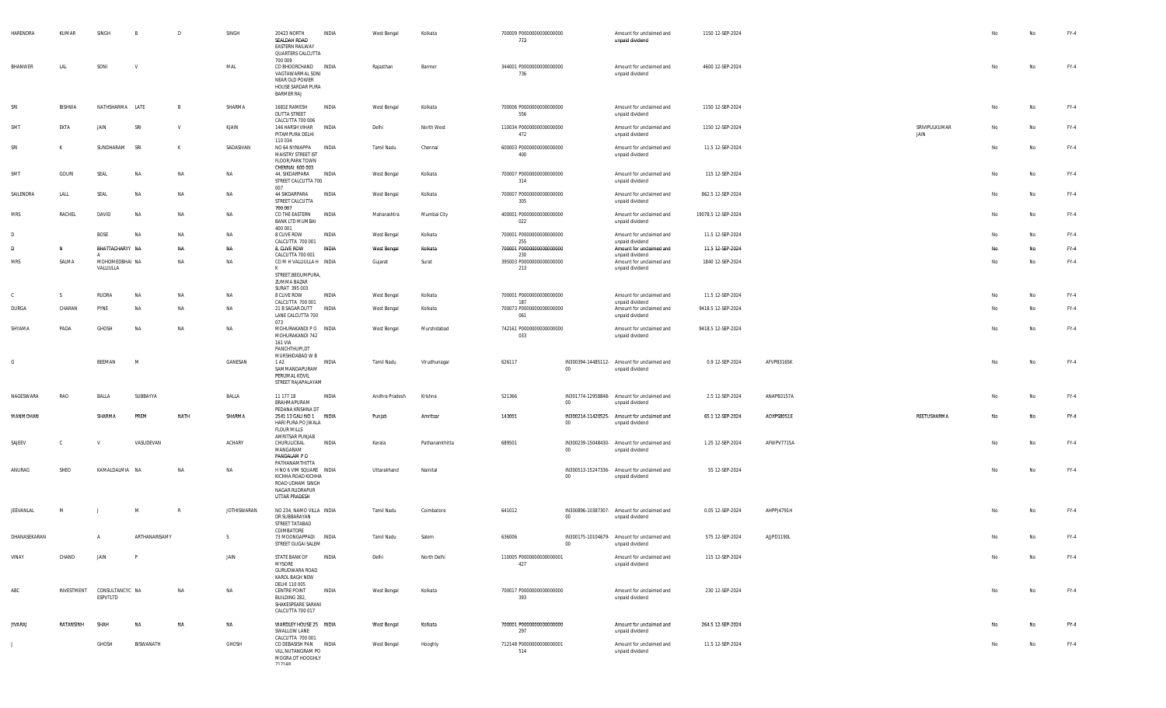| HARENDRA       | KUMAR        | SINGH                                  | B             | D            | SINGH              | 20423 NORTH<br>SEALDAH ROAD<br><b>EASTERN RAILWAY</b><br>QUARTERS CALCUTTA<br>700 009                                  | INDIA        | West Bengal    | Kolkata        | 700009 P0000000000000000<br>773        |                 | Amount for unclaimed and<br>unpaid dividend                    | 1150 12-SEP-2024    |            |                       | No | No | FY-4   |
|----------------|--------------|----------------------------------------|---------------|--------------|--------------------|------------------------------------------------------------------------------------------------------------------------|--------------|----------------|----------------|----------------------------------------|-----------------|----------------------------------------------------------------|---------------------|------------|-----------------------|----|----|--------|
| BHANWER        | LAL          | SONI                                   |               |              | MAL                | CO BHOORCHAND INDIA<br>VAGTAWARMAL SONI<br>NEAR OLD POWER<br>HOUSE SARDAR PURA<br><b>BARMER RAJ</b>                    |              | Rajasthan      | Barmer         | 344001 P0000000000000000<br>736        |                 | Amount for unclaimed and<br>unpaid dividend                    | 4600 12-SEP-2024    |            |                       | No | No | $FY-4$ |
| SRI            | BISHWA       | NATHSHARMA LATE                        |               | B            | SHARMA             | 1681E RAMESH<br>DUTTA STREET<br>CALCUTTA 700 006                                                                       | INDIA        | West Bengal    | Kolkata        | 700006 P0000000000000000<br>556        |                 | Amount for unclaimed and<br>unpaid dividend                    | 1150 12-SEP-2024    |            |                       | No | No | FY-4   |
| SMT            | EKTA         | JAIN                                   | SRI           | $\mathsf{v}$ | KJAIN              | 146 HARSH VIHAR<br>PITAMPURA DELHI<br>110 034                                                                          | INDIA        | Delhi          | North West     | 110034 P0000000000000000<br>472        |                 | Amount for unclaimed and<br>unpaid dividend                    | 1150 12-SEP-2024    |            | SRIVIPULKUMAR<br>JAIN | No | No | FY-4   |
| SRI            | $\mathsf{K}$ | SUNDHARAM                              | SRI           | K            | SADASIVAN          | NO 64 NYNIAPPA INDIA<br>MAISTRY STREET IST<br>FLOOR, PARK TOWN                                                         |              | Tamil Nadu     | Chennai        | 600003 P0000000000000000<br>400        |                 | Amount for unclaimed and<br>unpaid dividend                    | 11.5 12-SEP-2024    |            |                       | No | No | $FY-4$ |
| SMT            | GOURI        | SEAL                                   | NA            | NA           | <b>NA</b>          | CHENNAI 600 003<br>44, SIKDARPARA<br>STREET CALCUTTA 700                                                               | INDIA        | West Bengal    | Kolkata        | 700007 P0000000000000000<br>314        |                 | Amount for unclaimed and<br>unpaid dividend                    | 115 12-SEP-2024     |            |                       | No | No | FY-4   |
| SAILENDRA      | LALL         | SEAL                                   | NA            | NA           | NA                 | 007<br>44 SIKDARPARA<br>STREET CALCUTTA<br>700 007                                                                     | INDIA        | West Bengal    | Kolkata        | 700007 P0000000000000000<br>305        |                 | Amount for unclaimed and<br>unpaid dividend                    | 862.5 12-SEP-2024   |            |                       | No | No | $FY-4$ |
| <b>MRS</b>     | RACHEL       | DAVID                                  | NA            | NA           | NA                 | CO THE EASTERN<br>BANK LTD MUMBAI                                                                                      | INDIA        | Maharashtra    | Mumbai City    | 400001 P0000000000000000<br>022        |                 | Amount for unclaimed and<br>unpaid dividend                    | 19078.5 12-SEP-2024 |            |                       | No | No | FY-4   |
| D              |              | <b>BOSE</b>                            | NA            | NA           | <b>NA</b>          | 400 001<br>8 CLIVE ROW                                                                                                 | INDIA        | West Bengal    | Kolkata        | 700001 P0000000000000000               |                 | Amount for unclaimed and                                       | 11.5 12-SEP-2024    |            |                       | No | No | FY-4   |
| <b>D</b>       | <b>N</b>     | BHATTACHARYY NA                        |               | <b>NA</b>    | <b>NA</b>          | CALCUTTA 700 001<br>8, CLIVE ROW                                                                                       | <b>INDIA</b> | West Bengal    | Kolkata        | 255<br>700001 P0000000000000000        |                 | unpaid dividend<br>Amount for unclaimed and                    | 11.5 12-SEP-2024    |            |                       | No | No | $FY-4$ |
| <b>MRS</b>     | SALMA        | MOHOMEDBHAI NA                         |               | NA           | NA                 | CALCUTTA 700 001<br>COMHVALLIULLAH INDIA                                                                               |              | Gujarat        | Surat          | 230<br>395003 P0000000000000000        |                 | unpaid dividend<br>Amount for unclaimed and                    | 1840 12-SEP-2024    |            |                       | No | No | FY-4   |
|                |              | VALLIULLA                              |               |              |                    | К<br>STREET, BEGUMPURA,<br>ZUMMA BAZAR                                                                                 |              |                |                | 213                                    |                 | unpaid dividend                                                |                     |            |                       |    |    |        |
| $\mathbb{C}$   | S.           | RUDRA                                  | NA            | NA           | NA                 | SURAT 395 003<br>8 CLIVE ROW                                                                                           | INDIA        | West Bengal    | Kolkata        | 700001 P0000000000000000               |                 | Amount for unclaimed and                                       | 11.5 12-SEP-2024    |            |                       | No | No | $FY-4$ |
| DURGA          | CHARAN       | PYNE                                   | NA            | NA           | NA                 | CALCUTTA 700 001<br>21 B SAGAR DUTT INDIA<br>LANE CALCUTTA 700                                                         |              | West Bengal    | Kolkata        | 187<br>700073 P0000000000000000<br>061 |                 | unpaid dividend<br>Amount for unclaimed and<br>unpaid dividend | 9418.5 12-SEP-2024  |            |                       | No | No | $FY-4$ |
| SHYAMA         | PADA         | GHOSH                                  | <b>NA</b>     | NA           | NA                 | 073<br>MOHURAKANDI PO INDIA<br>MOHURAKANDI 742<br>161 VIA                                                              |              | West Bengal    | Murshidabad    | 742161 P0000000000000000<br>033        |                 | Amount for unclaimed and<br>unpaid dividend                    | 9418.5 12-SEP-2024  |            |                       | No | No | $FY-4$ |
| G              |              | BEEMAN                                 | M             |              | GANESAN            | PANCHTHUPI,DT<br>MURSHIDABAD W B<br>1 A <sub>2</sub>                                                                   | INDIA        | Tamil Nadu     | Virudhunagar   | 626117                                 |                 | IN300394-14485112- Amount for unclaimed and                    | 0.9 12-SEP-2024     | AFVPB3165K |                       | No | No | $FY-4$ |
|                |              |                                        |               |              |                    | SAMMANDAPURAM<br>PERUMAL KOVIL<br>STREET RAJAPALAYAM                                                                   |              |                |                |                                        | $00\,$          | unpaid dividend                                                |                     |            |                       |    |    |        |
| NAGESWARA      | RAO          | BALLA                                  | SUBBAYYA      |              | BALLA              | 11 177 18<br>BRAHMAPURAM<br>PEDANA KRISHNA DT                                                                          | INDIA        | Andhra Pradesh | Krishna        | 521366                                 | $00\,$          | IN301774-12958848- Amount for unclaimed and<br>unpaid dividend | 2.5 12-SEP-2024     | ANAPB3157A |                       | No | No | FY-4   |
| MANMOHAN       |              | SHARMA                                 | PREM          | NATH         | SHARMA             | 2541 13 GALI NO 1 INDIA<br>HARI PURA PO JWALA<br>FLOUR MILLS                                                           |              | Punjab         | Amritsar       | 143001                                 | 00              | IN300214-11420525- Amount for unclaimed and<br>unpaid dividend | 65.1 12-SEP-2024    | AOXPS8051E | REETUSHARMA           | No | No | $FY-4$ |
| SAJEEV         | C.           | <b>V</b>                               | VASUDEVAN     |              | ACHARY             | AMRITSAR PUNJAB<br>CHURULICKAL<br>MANGARAM<br>PANDALAM PO                                                              | INDIA        | Kerala         | Pathanamthitta | 689501                                 | 00              | IN300239-15048430- Amount for unclaimed and<br>unpaid dividend | 1.25 12-SEP-2024    | AFWPV7715A |                       | No | No | FY-4   |
| ANURAG         | SHEO         | KAMALDALMIA NA                         |               | NA           | NA                 | PATHANAMTHITTA<br>H NO 6 VIM SQUARE INDIA<br>KICHHA ROAD KICHHA<br>ROAD UDHAM SINGH<br>NAGAR RUDRAPUR<br>UTTAR PRADESH |              | Uttarakhand    | Nainital       |                                        | $00\,$          | IN300513-15247336- Amount for unclaimed and<br>unpaid dividend | 55 12-SEP-2024      |            |                       | No | No | $FY-4$ |
| JEEVANLAL      | M            |                                        | M             | $\mathbb{R}$ | <b>JOTHISWARAN</b> | NO 234, NAMO VILLA INDIA<br>DR SUBBARAYAN<br>STREET TATABAD                                                            |              | Tamil Nadu     | Coimbatore     | 641012                                 | $00\,$          | IN300896-10387307- Amount for unclaimed and<br>unpaid dividend | 0.05 12-SEP-2024    | AHPPJ4791H |                       | No | No | $FY-4$ |
| DHANASEKARAN   |              | $\mathsf{A}$                           | ARTHANARISAMY |              | S.                 | COIMBATORE<br>73 MOONGAPPADI INDIA<br>STREET GUGAI SALEM                                                               |              | Tamil Nadu     | Salem          | 636006                                 | 00 <sup>1</sup> | IN300175-10104679- Amount for unclaimed and<br>unpaid dividend | 575 12-SEP-2024     | AJJPD1190L |                       | No | No | $FY-4$ |
| VINAY          | CHAND        | JAIN                                   | P             |              | JAIN               | STATE BANK OF<br><b>MYSORE</b><br>GURUDWARA ROAD<br>KAROL BAGH NEW                                                     | <b>INDIA</b> | Delhi          | North Delhi    | 110005 P0000000000000001<br>427        |                 | Amount for unclaimed and<br>unpaid dividend                    | 115 12-SEP-2024     |            |                       | No | No | $FY-4$ |
| ABC            |              | INVESTMENT CONSULTANCYC NA<br>ESPVTLTD |               | NA           | NA                 | DELHI 110 005<br>CENTRE POINT<br>BUILDING 282,<br>SHAKESPEARE SARANI<br>CALCUTTA 700 017                               | INDIA        | West Bengal    | Kolkata        | 700017 P0000000000000000<br>393        |                 | Amount for unclaimed and<br>unpaid dividend                    | 230 12-SEP-2024     |            |                       | No | No | FY-4   |
| <b>JIVARAJ</b> | RATANSINH    | SHAH                                   | NA            | NA           | NA                 | WARDLEY HOUSE 25 INDIA<br>SWALLOW LANE<br>CALCUTTA 700 001                                                             |              | West Bengal    | Kolkata        | 700001 P0000000000000000<br>297        |                 | Amount for unclaimed and<br>unpaid dividend                    | 264.5 12-SEP-2024   |            |                       | No | No | $FY-4$ |
| J              |              | GHOSH                                  | BISWANATH     |              | GHOSH              | CO DEBASISH PAN INDIA<br>VILL NUTANGRAM PO<br>MOGRA DT HOOGHLY<br>712140                                               |              | West Bengal    | Hooghly        | 712148 P0000000000000001<br>514        |                 | Amount for unclaimed and<br>unpaid dividend                    | 11.5 12-SEP-2024    |            |                       | No | No | FY-4   |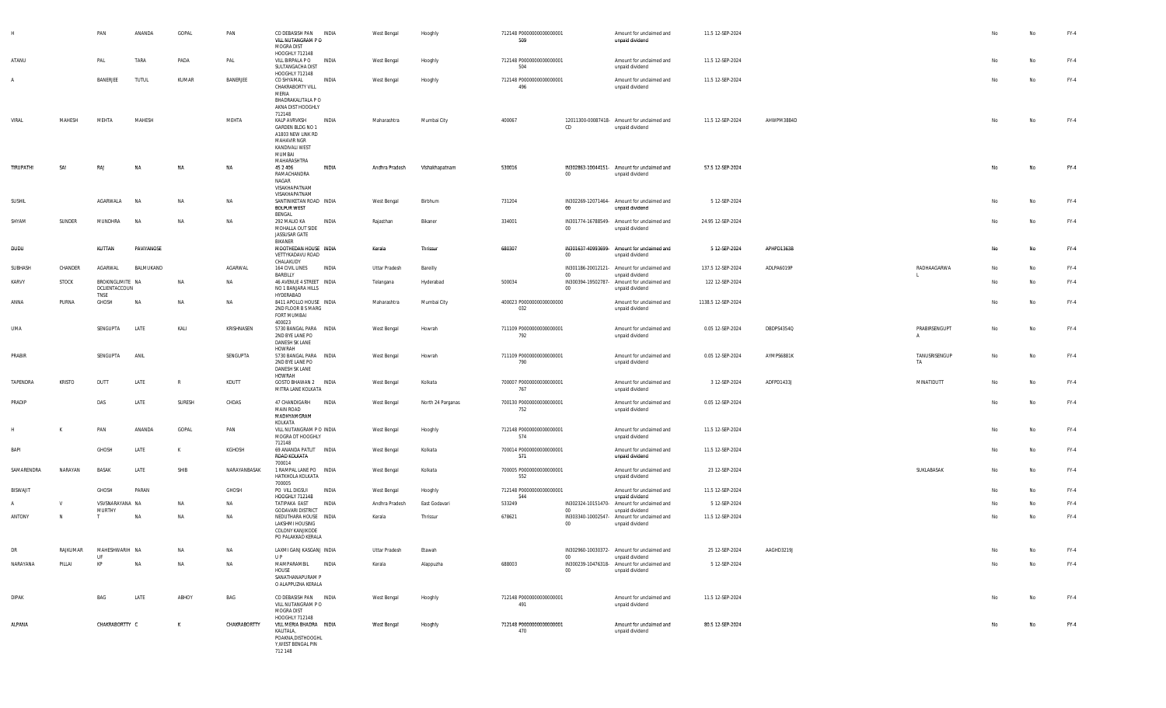|                 |               | PAN                                       | ANANDA       | GOPAL        | PAN          | CO DEBASISH PAN<br>VILL NUTANGRAM P O<br>MOGRA DIST<br>HOOGHLY 712148                                                     | INDIA        | West Bengal    | Hooghly           | 712148 P0000000000000001<br>509 |                          | Amount for unclaimed and<br>unpaid dividend                                       | 11.5 12-SEP-2024   |            |                               |                | No        | FY-4   |
|-----------------|---------------|-------------------------------------------|--------------|--------------|--------------|---------------------------------------------------------------------------------------------------------------------------|--------------|----------------|-------------------|---------------------------------|--------------------------|-----------------------------------------------------------------------------------|--------------------|------------|-------------------------------|----------------|-----------|--------|
| ATANU           |               | PAL                                       | TARA         | PADA         | PAL          | VILL BIRPALA PO<br>SULTANGACHA DIST<br>HOOGHLY 712148                                                                     | <b>INDIA</b> | West Bengal    | Hooghly           | 712148 P0000000000000001<br>504 |                          | Amount for unclaimed and<br>unpaid dividend                                       | 11.5 12-SEP-2024   |            |                               | N <sub>o</sub> | No        | $FY-4$ |
|                 |               | BANERJEE                                  | <b>TUTUL</b> | KUMAR        | BANERJEE     | CO SHYAMAL<br>CHAKRABORTY VILL<br>MERIA<br>BHADRAKALITALA P O<br>AKNA DIST HOOGHLY                                        | INDIA        | West Bengal    | Hooghly           | 712148 P0000000000000001<br>496 |                          | Amount for unclaimed and<br>unpaid dividend                                       | 11.5 12-SEP-2024   |            |                               | N <sub>o</sub> | No        | $FY-4$ |
| VIRAL           | MAHESH        | MEHTA                                     | MAHESH       |              | MEHTA        | 712148<br>KALP AVRVKSH<br>GARDEN BLDG NO 1<br>A1803 NEW LINK RD<br>MAHAVIR NGR<br>KANDIVALI WEST<br>MUMBAI<br>MAHARASHTRA | INDIA        | Maharashtra    | Mumbai City       | 400067                          | CD                       | 12011300-00087418- Amount for unclaimed and<br>unpaid dividend                    | 11.5 12-SEP-2024   | AHWPM3884D |                               | No             | No        | $FY-4$ |
| TIRUPATHI       | SAI           | RAJ                                       | NA           | NA           | NA           | 45 2 4 0 6<br>RAMACHANDRA<br>NAGAR<br>VISAKHAPATNAM<br>VISAKHAPATNAM                                                      | INDIA        | Andhra Pradesh | Vishakhapatnam    | 530016                          | $00\,$                   | IN302863-10044151- Amount for unclaimed and<br>unpaid dividend                    | 57.5 12-SEP-2024   |            |                               | No             | No        | $FY-4$ |
| SUSHIL          |               | AGARWALA                                  | <b>NA</b>    | NA           | NA           | SANTINIKETAN ROAD INDIA<br><b>BOLPUR WEST</b><br>BENGAL                                                                   |              | West Bengal    | Birbhum           | 731204                          | 00                       | IN302269-12071464- Amount for unclaimed and<br>unpaid dividend                    | 5 12-SEP-2024      |            |                               | No             | No        | $FY-4$ |
| SHYAM           | SUNDER        | MUNDHRA                                   | <b>NA</b>    | NA           | <b>NA</b>    | 292 MALIO KA<br>MOHALLA OUT SIDE<br>JASSUSAR GATE<br>BIKANER                                                              | INDIA        | Rajasthan      | Bikaner           | 334001                          | $00\,$                   | IN301774-16788549- Amount for unclaimed and<br>unpaid dividend                    | 24.95 12-SEP-2024  |            |                               | No             | No        | $FY-4$ |
| DUDU            |               | KUTTAN                                    | PAVIYANOSE   |              |              | MOOTHEDAN HOUSE INDIA<br>VETTYKADAVU ROAD<br>CHALAKUDY                                                                    |              | Kerala         | Thrissur          | 680307                          | $00\,$                   | IN301637-40993699- Amount for unclaimed and<br>unpaid dividend                    | 5 12-SEP-2024      | APHPD1363B |                               | No             | No        | $FY-4$ |
| SUBHASH         | CHANDER       | AGARWAL                                   | BALMUKAND    |              | AGARWAL      | 164 CIVIL LINES<br>BAREILLY                                                                                               | INDIA        | Uttar Pradesh  | Bareilly          |                                 | 00                       | IN301186-20012121- Amount for unclaimed and<br>unpaid dividend                    | 137.5 12-SEP-2024  | ADLPA6019P | RADHAAGARWA                   | No             | No        | $FY-4$ |
| KARVY           | <b>STOCK</b>  | BROKINGLIMITE NA<br>DCLIENTACCOUN<br>TNSE |              | NA           | NA           | 46 AVENUE 4 STREET INDIA<br>NO 1 BANJARA HILLS<br>HYDERABAD                                                               |              | Telangana      | Hyderabad         | 500034                          | IN300394-19502787-<br>00 | Amount for unclaimed and<br>unpaid dividend                                       | 122 12-SEP-2024    |            |                               | No             | No        | FY-4   |
| ANNA            | PURNA         | GHOSH                                     | <b>NA</b>    | NA           | NA           | 8411 APOLLO HOUSE INDIA<br>2ND FLOOR B S MARG<br>FORT MUMBAI<br>400023                                                    |              | Maharashtra    | Mumbai City       | 400023 P0000000000000000<br>032 |                          | Amount for unclaimed and<br>unpaid dividend                                       | 1138.5 12-SEP-2024 |            |                               | No             | No        | $FY-4$ |
| UMA             |               | SENGUPTA                                  | LATE         | KALI         | KRISHNASEN   | 5730 BANGAL PARA INDIA<br>2ND BYE LANE PO<br>DANESH SK LANE<br>HOWRAH                                                     |              | West Bengal    | Howrah            | 711109 P0000000000000001<br>792 |                          | Amount for unclaimed and<br>unpaid dividend                                       | 0.05 12-SEP-2024   | DBDPS4354Q | PRABIRSENGUPT<br>$\mathsf{A}$ | No             | No        | $FY-4$ |
| PRABIR          |               | SENGUPTA                                  | ANIL         |              | SENGUPTA     | 5730 BANGAL PARA INDIA<br>2ND BYE LANE PO<br>DANESH SK LANE<br>HOWRAH                                                     |              | West Bengal    | Howrah            | 711109 P0000000000000001<br>790 |                          | Amount for unclaimed and<br>unpaid dividend                                       | 0.05 12-SEP-2024   | AYMPS6881K | TANUSRISENGUP<br>TA           | No             | <b>No</b> | $FY-4$ |
| TAPENDRA        | <b>KRISTO</b> | DUTT                                      | LATE         | $\mathbb{R}$ | KDUTT        | GOSTO BHAWAN 2 INDIA<br>MITRA LANE KOLKATA                                                                                |              | West Bengal    | Kolkata           | 700007 P0000000000000001<br>767 |                          | Amount for unclaimed and<br>unpaid dividend                                       | 3 12-SEP-2024      | ADFPD1433J | MINATIDUTT                    | No             | No        | $FY-4$ |
| PRADIP          |               | DAS                                       | LATE         | SURESH       | CHDAS        | 47 CHANDIGARH<br><b>MAIN ROAD</b><br>MADHYAMGRAM<br>KOLKATA                                                               | INDIA        | West Bengal    | North 24 Parganas | 700130 P0000000000000001<br>752 |                          | Amount for unclaimed and<br>unpaid dividend                                       | 0.05 12-SEP-2024   |            |                               | No             | No        | FY-4   |
|                 |               | PAN                                       | ANANDA       | GOPAL        | PAN          | VILL NUTANGRAM P O INDIA<br>MOGRA DT HOOGHLY<br>712148                                                                    |              | West Bengal    | Hooghly           | 712148 P0000000000000001<br>574 |                          | Amount for unclaimed and<br>unpaid dividend                                       | 11.5 12-SEP-2024   |            |                               | No             | No        | $FY-4$ |
| BAPI            |               | GHOSH                                     | LATE         | K            | KGHOSH       | 69 ANANDA PATLIT INDIA<br>ROAD KOLKATA<br>700014                                                                          |              | West Bengal    | Kolkata           | 700014 P0000000000000001<br>571 |                          | Amount for unclaimed and<br>unpaid dividend                                       | 11.5 12-SEP-2024   |            |                               | No             | No        | FY-4   |
| SAMARENDRA      | NARAYAN       | <b>BASAK</b>                              | LATE         | SHIB         | NARAYANBASAK | 1 RAMPAL LANE PO INDIA<br>HATKHOLA KOLKATA<br>700005                                                                      |              | West Bengal    | Kolkata           | 700005 P0000000000000001<br>552 |                          | Amount for unclaimed and<br>unpaid dividend                                       | 23 12-SEP-2024     |            | SUKLABASAK                    | No             | No        | FY-4   |
| <b>BISWAJIT</b> |               | GHOSH                                     | PARAN        |              | GHOSH        | PO VILL DIGSUI<br>HOOGHLY 712148                                                                                          | INDIA        | West Bengal    | Hooghly           | 712148 P0000000000000001<br>544 |                          | Amount for unclaimed and<br>unpaid dividend                                       | 11.5 12-SEP-2024   |            |                               | No             | No        | $FY-4$ |
|                 | V             | VSVSNARAYANA NA                           |              | NA           | NA           | TATIPAKA EAST                                                                                                             | INDIA        | Andhra Pradesh | East Godavari     | 533249                          |                          | IN302324-10151470- Amount for unclaimed and                                       | 5 12-SEP-2024      |            |                               | No             | No        | FY-4   |
| ANTONY          | N             | MURTHY<br>. т.                            | NA           | NA           | NA           | <b>GODAVARI DISTRICT</b><br>NEDUTHARA HOUSE INDIA<br>LAKSHMI HOUSING<br><b>COLONY KANJIKODE</b><br>PO PALAKKAD KERALA     |              | Kerala         | Thrissur          | 678621                          | 00<br>$00\,$             | unpaid dividend<br>IN303340-10002547- Amount for unclaimed and<br>unpaid dividend | 11.5 12-SEP-2024   |            |                               | No             | No        | $FY-4$ |
| DR              | RAJKUMAR      | MAHESHWARIH NA<br>UF                      |              | NA           | NA           | LAXMI GANJ KASGANJ INDIA<br>U P                                                                                           |              | Uttar Pradesh  | Etawah            |                                 | 00                       | IN302960-10030372- Amount for unclaimed and                                       | 25 12-SEP-2024     | AAGHD3219J |                               | No             | No        | $FY-4$ |
| NARAYANA        | PILLAI        | KP                                        | NA           | NA           | NA           | MAMPARAMBIL<br>HOUSE<br>SANATHANAPURAM P<br>O ALAPPUZHA KERALA                                                            | INDIA        | Kerala         | Alappuzha         | 688003                          | $00\,$                   | unpaid dividend<br>IN300239-10476318- Amount for unclaimed and<br>unpaid dividend | 5 12-SEP-2024      |            |                               | No             | No        | FY-4   |
| <b>DIPAK</b>    |               | BAG                                       | LATE         | ABHOY        | BAG          | CO DEBASISH PAN INDIA<br>VILL NUTANGRAM P O<br>MOGRA DIST                                                                 |              | West Bengal    | Hooghly           | 712148 P0000000000000001<br>491 |                          | Amount for unclaimed and<br>unpaid dividend                                       | 11.5 12-SEP-2024   |            |                               | No             | No        | FY-4   |
| ALPANA          |               | CHAKRABORTTY C                            |              | K            | CHAKRABORTTY | HOOGHLY 712148<br>VILL MERIA BHADRA INDIA<br>KALITALA,<br>POAKNA, DISTHOOGHL<br>Y, WEST BENGAL PIN<br>712 148             |              | West Bengal    | Hooghly           | 712148 P0000000000000001<br>470 |                          | Amount for unclaimed and<br>unpaid dividend                                       | 80.5 12-SEP-2024   |            |                               | No             | No        | $FY-4$ |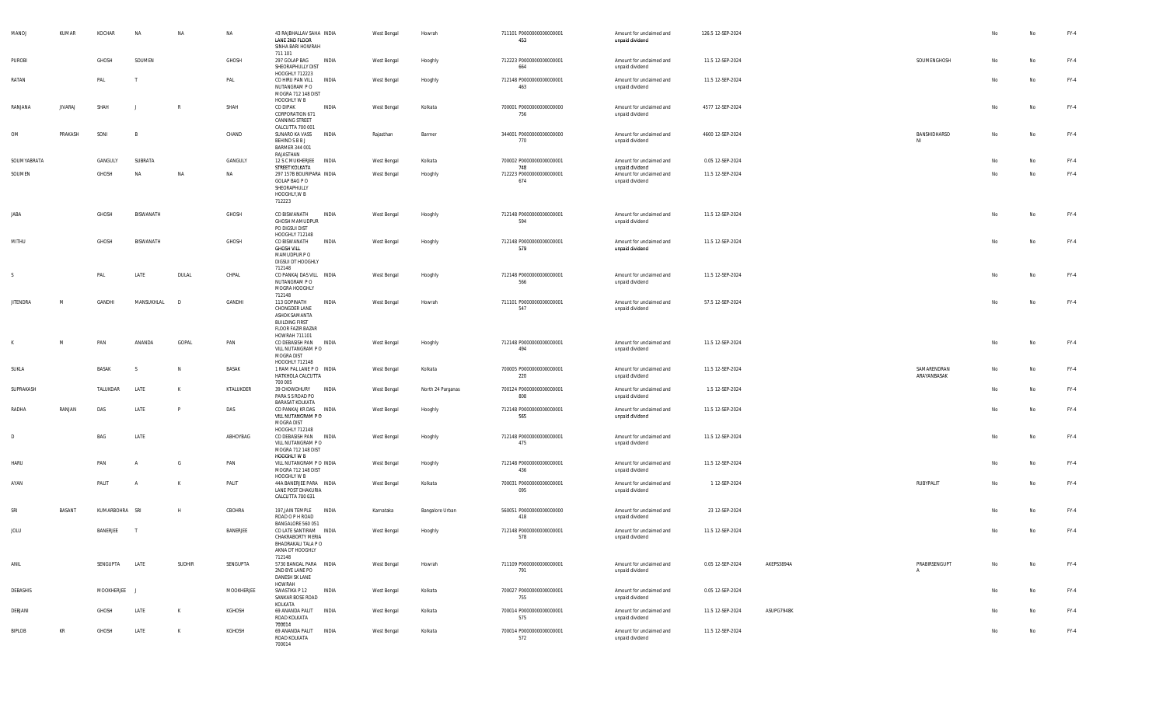| MANOJ           | KUMAR          | KOCHAR         | NA         | NA           | NA         | 43 RAJBHALLAV SAHA INDIA<br>LANE 2ND FLOOR<br>SINHA BARI HOWRAH                                              | West Bengal        | Howrah            | 711101 P0000000000000001<br>453 | Amount for unclaimed and<br>unpaid dividend | 126.5 12-SEP-2024 |            |                               | No | No | FY-4   |
|-----------------|----------------|----------------|------------|--------------|------------|--------------------------------------------------------------------------------------------------------------|--------------------|-------------------|---------------------------------|---------------------------------------------|-------------------|------------|-------------------------------|----|----|--------|
| PUROBI          |                | GHOSH          | SOUMEN     |              | GHOSH      | 711 101<br>297 GOLAP BAG<br>INDIA<br>SHEORAPHULLY DIST                                                       | West Bengal        | Hooghly           | 712223 P0000000000000001<br>664 | Amount for unclaimed and<br>unpaid dividend | 11.5 12-SEP-2024  |            | SOUMENGHOSH                   | No | No | FY-4   |
| RATAN           |                | PAL            |            |              | PAL        | HOOGHLY 712223<br>CO HIRU PAN VILL<br>INDIA<br>NUTANGRAM P O<br>MOGRA 712 148 DIST                           | West Bengal        | Hooghly           | 712148 P0000000000000001<br>463 | Amount for unclaimed and<br>unpaid dividend | 11.5 12-SEP-2024  |            |                               | No | No | $FY-4$ |
| RANJANA         | <b>JIVARAJ</b> | SHAH           |            |              | SHAH       | HOOGHLY W B<br>CO DIPAK<br>INDIA<br>CORPORATION 671<br>CANNING STREET                                        | West Bengal        | Kolkata           | 700001 P0000000000000000<br>756 | Amount for unclaimed and<br>unpaid dividend | 4577 12-SEP-2024  |            |                               | No | No | $FY-4$ |
| OM              | PRAKASH        | SONI           | <b>B</b>   |              | CHAND      | CALCUTTA 700 001<br>SUNARO KA VASS<br>INDIA<br>BEHIND S B B J<br>BARMER 344 001<br>RAJASTHAN                 | Rajasthan          | Barmer            | 344001 P0000000000000000<br>770 | Amount for unclaimed and<br>unpaid dividend | 4600 12-SEP-2024  |            | BANSHIDHARSO<br>NI            | No | No | $FY-4$ |
| SOUMYABRATA     |                | GANGULY        | SUBRATA    |              | GANGULY    | 12 S C MUKHERJEE INDIA<br>STREET KOLKATA                                                                     | West Bengal        | Kolkata           | 700002 P0000000000000001<br>748 | Amount for unclaimed and<br>unpaid dividend | 0.05 12-SEP-2024  |            |                               | No | No | $FY-4$ |
| SOUMEN          |                | GHOSH          | <b>NA</b>  | <b>NA</b>    | NA         | 297 157B BOURIPARA INDIA<br>GOLAP BAG P O<br>SHEORAPHULLY<br>HOOGHLY, W B<br>712223                          | <b>West Bengal</b> | Hooghly           | 712223 P0000000000000001<br>674 | Amount for unclaimed and<br>unpaid dividend | 11.5 12-SEP-2024  |            |                               | No | No | $FY-4$ |
| JABA            |                | GHOSH          | BISWANATH  |              | GHOSH      | CO BISWANATH<br>INDIA<br>GHOSH MAMUDPUR<br>PO DIGSUI DIST<br>HOOGHLY 712148                                  | West Bengal        | Hooghly           | 712148 P0000000000000001<br>594 | Amount for unclaimed and<br>unpaid dividend | 11.5 12-SEP-2024  |            |                               | No | No | $FY-4$ |
| MITHU           |                | GHOSH          | BISWANATH  |              | GHOSH      | CO BISWANATH<br>INDIA<br><b>GHOSH VILL</b><br>MAMUDPUR PO<br>DIGSUI DT HOOGHLY<br>712148                     | West Bengal        | Hooghly           | 712148 P0000000000000001<br>579 | Amount for unclaimed and<br>unpaid dividend | 11.5 12-SEP-2024  |            |                               | No | No | $FY-4$ |
| <sub>S</sub>    |                | PAL            | LATE       | DULAL        | CHPAL      | CO PANKAJ DAS VILL INDIA<br>NUTANGRAM P O<br>MOGRA HOOGHLY<br>712148                                         | West Bengal        | Hooghly           | 712148 P0000000000000001<br>566 | Amount for unclaimed and<br>unpaid dividend | 11.5 12-SEP-2024  |            |                               | No | No | $FY-4$ |
| <b>JITENDRA</b> | M              | GANDHI         | MANSUKHLAL | D            | GANDHI     | 113 GOPINATH<br>INDIA<br>CHONGDER LANE<br>ASHOK SAMANTA<br><b>BUILDING FIRST</b><br><b>FLOOR FAZIR BAZAR</b> | West Bengal        | Howrah            | 711101 P0000000000000001<br>547 | Amount for unclaimed and<br>unpaid dividend | 57.5 12-SEP-2024  |            |                               | No | No | $FY-4$ |
| K               | M              | PAN            | ANANDA     | GOPAL        | PAN        | HOWRAH 711101<br>CO DEBASISH PAN<br>INDIA<br>VILL NUTANGRAM PO<br>MOGRA DIST<br>HOOGHLY 712148               | West Bengal        | Hooghly           | 712148 P0000000000000001<br>494 | Amount for unclaimed and<br>unpaid dividend | 11.5 12-SEP-2024  |            |                               | No | No | $FY-4$ |
| SUKLA           |                | BASAK          | -S         | N            | BASAK      | 1 RAM PAL LANE PO INDIA<br>HATKHOLA CALCUTTA<br>700 005                                                      | West Bengal        | Kolkata           | 700005 P0000000000000001<br>220 | Amount for unclaimed and<br>unpaid dividend | 11.5 12-SEP-2024  |            | SAMARENDRAN<br>ARAYANBASAK    | No | No | $FY-4$ |
| SUPRAKASH       |                | TALUKDAR       | LATE       | К            | KTALUKDER  | 39 CHOWDHURY<br>INDIA<br>PARA S S ROAD PO<br><b>BARASAT KOLKATA</b>                                          | West Bengal        | North 24 Parganas | 700124 P0000000000000001<br>808 | Amount for unclaimed and<br>unpaid dividend | 1.5 12-SEP-2024   |            |                               | No | No | FY-4   |
| RADHA           | RANJAN         | DAS            | LATE       |              | DAS        | CO PANKAJ KR DAS INDIA<br>VILL NUTANGRAM PO<br>MOGRA DIST<br>HOOGHLY 712148                                  | West Bengal        | Hooghly           | 712148 P0000000000000001<br>565 | Amount for unclaimed and<br>unpaid dividend | 11.5 12-SEP-2024  |            |                               | No | No | $FY-4$ |
| D               |                | BAG            | LATE       |              | ABHOYBAG   | CO DEBASISH PAN<br>INDIA<br>VILL NUTANGRAM PO<br>MOGRA 712 148 DIST<br>HOOGHLY W B                           | West Bengal        | Hooghly           | 712148 P0000000000000001<br>475 | Amount for unclaimed and<br>unpaid dividend | 11.5 12-SEP-2024  |            |                               | No | No | FY-4   |
| HARU            |                | PAN            | A          | G            | PAN        | VILL NUTANGRAM P O INDIA<br>MOGRA 712 148 DIST<br>HOOGHLY W B                                                | West Bengal        | Hooghly           | 712148 P0000000000000001<br>436 | Amount for unclaimed and<br>unpaid dividend | 11.5 12-SEP-2024  |            |                               | No | No | FY-4   |
| AYAN            |                | PALIT          |            | К            | PALIT      | 44A BANERJEE PARA INDIA<br>LANE POST DHAKURIA<br>CALCUTTA 700 031                                            | West Bengal        | Kolkata           | 700031 P0000000000000001<br>095 | Amount for unclaimed and<br>unpaid dividend | 1 12-SEP-2024     |            | RUBYPALIT                     | No | No | FY-4   |
| SRI             | <b>BASANT</b>  | KUMARBOHRA SRI |            | H            | CBOHRA     | 197, JAIN TEMPLE<br>INDIA<br>ROAD O P H ROAD<br>BANGALORE 560 051                                            | Karnataka          | Bangalore Urban   | 560051 P0000000000000000<br>418 | Amount for unclaimed and<br>unpaid dividend | 23 12-SEP-2024    |            |                               | No | No | $FY-4$ |
| JOLU            |                | BANERJEE       | T          |              | BANERJEE   | CO LATE SANTIRAM INDIA<br>CHAKRABORTY MERIA<br>BHADRAKALI TALA P O<br>AKNA DT HOOGHLY<br>712148              | West Bengal        | Hooghly           | 712148 P0000000000000001<br>578 | Amount for unclaimed and<br>unpaid dividend | 11.5 12-SEP-2024  |            |                               | No | No | $FY-4$ |
| ANIL            |                | SENGUPTA       | LATE       | SUDHIR       | SENGUPTA   | 5730 BANGAL PARA INDIA<br>2ND BYE LANE PO<br>DANESH SK LANE<br>HOWRAH                                        | West Bengal        | Howrah            | 711109 P0000000000000001<br>791 | Amount for unclaimed and<br>unpaid dividend | 0.05 12-SEP-2024  | AKEPS3894A | PRABIRSENGUPT<br>$\mathsf{A}$ | No | No | $FY-4$ |
| DEBASHIS        |                | MOOKHERJEE J   |            |              | MOOKHERJEE | SWASTIKA P 12<br>INDIA<br>SANKAR BOSE ROAD<br>KOLKATA                                                        | West Bengal        | Kolkata           | 700027 P0000000000000001<br>755 | Amount for unclaimed and<br>unpaid dividend | 0.05 12-SEP-2024  |            |                               | No | No | FY-4   |
| DEBJANI         |                | GHOSH          | LATE       | K            | KGHOSH     | 69 ANANDA PALIT INDIA<br>ROAD KOLKATA<br>700014                                                              | West Bengal        | Kolkata           | 700014 P0000000000000001<br>575 | Amount for unclaimed and<br>unpaid dividend | 11.5 12-SEP-2024  | ASUPG7948K |                               | No | No | $FY-4$ |
| BIPLOB          | KR             | GHOSH          | LATE       | $\mathsf{K}$ | KGHOSH     | 69 ANANDA PALIT INDIA<br>ROAD KOLKATA<br>700014                                                              | West Bengal        | Kolkata           | 700014 P0000000000000001<br>572 | Amount for unclaimed and<br>unpaid dividend | 11.5 12-SEP-2024  |            |                               | No | No | $FY-4$ |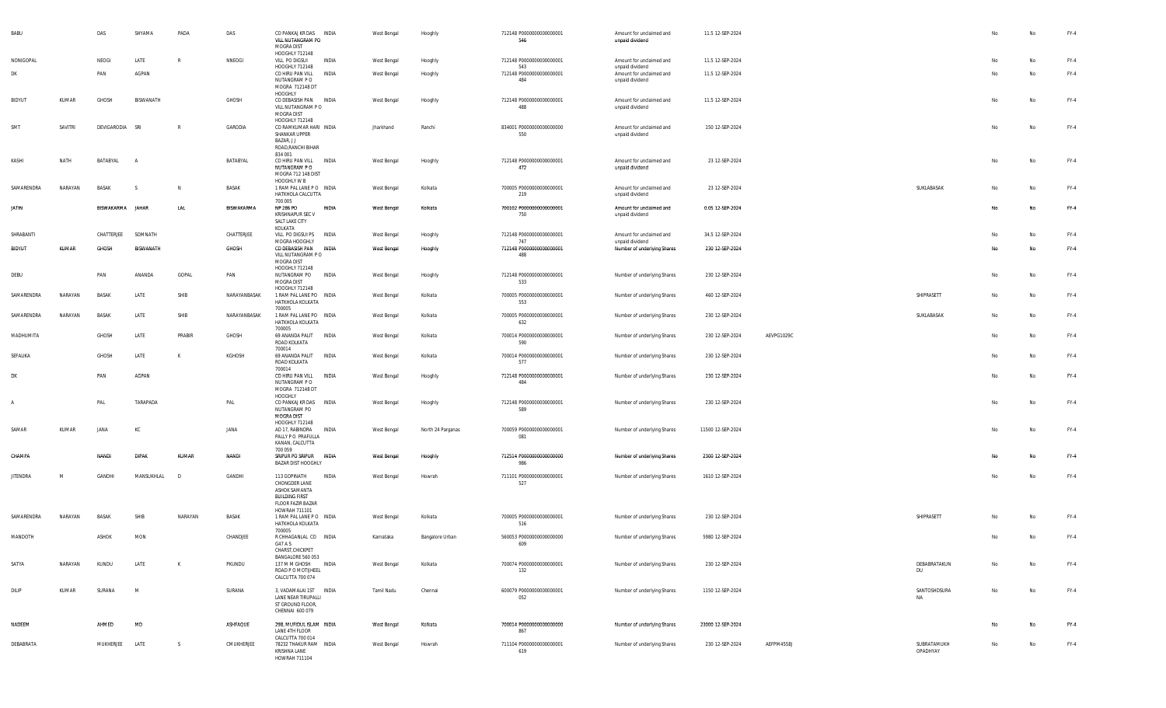| <b>BABU</b>     |         | DAS              | SHYAMA         | PADA       | DAS          | CO PANKAJ KR DAS INDIA<br>VILL NUTANGRAM PO<br>MOGRA DIST<br>HOOGHLY 712148                         |              | West Bengal        | Hooghly           | 712148 P0000000000000001<br>546        | Amount for unclaimed and<br>unpaid dividend                    | 11.5 12-SEP-2024  |            |                           |    | No        | FY-4   |
|-----------------|---------|------------------|----------------|------------|--------------|-----------------------------------------------------------------------------------------------------|--------------|--------------------|-------------------|----------------------------------------|----------------------------------------------------------------|-------------------|------------|---------------------------|----|-----------|--------|
| NONIGOPAL       |         | NEOGI            | LATE           |            | NNEOGI       | VILL PO DIGSUI                                                                                      | INDIA        | West Bengal        | Hooghly           | 712148 P0000000000000001               | Amount for unclaimed and                                       | 11.5 12-SEP-2024  |            |                           | No | <b>No</b> | $FY-4$ |
| <b>DK</b>       |         | PAN              | AGPAN          |            |              | HOOGHLY 712148<br>CO HIRU PAN VILL<br>NUTANGRAM P O<br>MOGRA 712148 DT                              | INDIA        | West Bengal        | Hooghly           | 543<br>712148 P0000000000000001<br>484 | unpaid dividend<br>Amount for unclaimed and<br>unpaid dividend | 11.5 12-SEP-2024  |            |                           | No | <b>No</b> | FY-4   |
| <b>BIDYUT</b>   | KUMAR   | GHOSH            | BISWANATH      |            | GHOSH        | HOOGHLY<br>CO DEBASISH PAN INDIA<br>VILL NUTANGRAM PO<br>MOGRA DIST                                 |              | West Bengal        | Hooghly           | 712148 P0000000000000001<br>488        | Amount for unclaimed and<br>unpaid dividend                    | 11.5 12-SEP-2024  |            |                           | No | No        | FY-4   |
| SMT             | SAVITRI | DEVIGARODIA SRI  |                |            | GARODIA      | HOOGHLY 712148<br>CO RAMKUMAR HARI INDIA<br>SHANKAR UPPER<br>BAZAR, J J                             |              | Jharkhand          | Ranchi            | 834001 P0000000000000000<br>550        | Amount for unclaimed and<br>unpaid dividend                    | 150 12-SEP-2024   |            |                           | No | <b>No</b> | FY-4   |
| KASHI           | NATH    | BATABYAL         | $\overline{A}$ |            | BATABYAL     | ROAD, RANCHI BIHAR<br>834 001<br>CO HIRU PAN VILL<br>NUTANGRAM P O<br>MOGRA 712 148 DIST            | <b>INDIA</b> | West Bengal        | Hooghly           | 712148 P0000000000000001<br>472        | Amount for unclaimed and<br>unpaid dividend                    | 23 12-SEP-2024    |            |                           | No | No        | $FY-4$ |
| SAMARENDRA      | NARAYAN | BASAK            |                |            | BASAK        | HOOGHLY W B<br>1 RAM PAL LANE PO INDIA<br>HATKHOLA CALCUTTA<br>700 005                              |              | West Bengal        | Kolkata           | 700005 P0000000000000001<br>219        | Amount for unclaimed and<br>unpaid dividend                    | 23 12-SEP-2024    |            | SUKLABASAK                | No | No        | $FY-4$ |
| <b>JATIN</b>    |         | BISWAKARMA JAHAR |                | LAL        | BISWAKARMA   | NP 286 PO<br>KRISHNAPUR SEC V<br>SALT LAKE CITY<br>KOLKATA                                          | INDIA        | West Bengal        | Kolkata           | 700102 P0000000000000001<br>750        | Amount for unclaimed and<br>unpaid dividend                    | 0.05 12-SEP-2024  |            |                           | No |           | $FY-4$ |
| SHRABANTI       |         | CHATTERJEE       | SOMNATH        |            | CHATTERJEE   | VILL PO DIGSUI PS                                                                                   | INDIA        | West Bengal        | Hooghly           | 712148 P0000000000000001<br>747        | Amount for unclaimed and                                       | 34.5 12-SEP-2024  |            |                           | No | No        | FY-4   |
| <b>BIDYUT</b>   | KUMAR   | GHOSH            | BISWANATH      |            | GHOSH        | MOGRA HOOGHLY<br>CO DEBASISH PAN<br>VILL NUTANGRAM PO<br>MOGRA DIST                                 | INDIA        | <b>West Bengal</b> | Hooghly           | 712148 P0000000000000001<br>488        | unpaid dividend<br>Number of underlying Shares                 | 230 12-SEP-2024   |            |                           | No | No.       | $FY-4$ |
| DEBU            |         | PAN              | ANANDA         | GOPAL      | PAN          | HOOGHLY 712148<br>NUTANGRAM PO<br>MOGRA DIST                                                        | INDIA        | West Bengal        | Hooghly           | 712148 P0000000000000001<br>533        | Number of underlying Shares                                    | 230 12-SEP-2024   |            |                           | No | No        | FY-4   |
| SAMARENDRA      | NARAYAN | BASAK            | LATE           | SHIB       | NARAYANBASAK | HOOGHLY 712148<br>1 RAM PAL LANE PO INDIA<br>HATKHOLA KOLKATA<br>700005                             |              | West Bengal        | Kolkata           | 700005 P0000000000000001<br>553        | Number of underlying Shares                                    | 460 12-SEP-2024   |            | SHIPRASETT                | No | No        | FY-4   |
| SAMARENDRA      | NARAYAN | BASAK            | LATE           | SHIB       | NARAYANBASAK | 1 RAM PAL LANE PO INDIA<br>HATKHOLA KOLKATA<br>700005                                               |              | West Bengal        | Kolkata           | 700005 P0000000000000001<br>632        | Number of underlying Shares                                    | 230 12-SEP-2024   |            | SUKLABASAK                | No | No        | FY-4   |
| MADHUMITA       |         | GHOSH            | LATE           | PRABIR     | GHOSH        | 69 ANANDA PALIT<br>ROAD KOLKATA<br>700014                                                           | <b>INDIA</b> | West Bengal        | Kolkata           | 700014 P0000000000000001<br>590        | Number of underlying Shares                                    | 230 12-SEP-2024   | AEVPG1029C |                           | No | No        | FY-4   |
| SEFALIKA        |         | GHOSH            | LATE           |            | KGHOSH       | 69 ANANDA PALIT<br>ROAD KOLKATA                                                                     | <b>INDIA</b> | West Bengal        | Kolkata           | 700014 P0000000000000001<br>577        | Number of underlying Shares                                    | 230 12-SEP-2024   |            |                           | No | No        | FY-4   |
| DK              |         | PAN              | AGPAN          |            |              | 700014<br>CO HIRU PAN VILL<br>NUTANGRAM P O<br>MOGRA 712148 DT                                      | INDIA        | West Bengal        | Hooghly           | 712148 P0000000000000001<br>484        | Number of underlying Shares                                    | 230 12-SEP-2024   |            |                           | No | No        | $FY-4$ |
| $\mathsf{A}$    |         | PAL              | TARAPADA       |            | PAL          | HOOGHLY<br>CO PANKAJ KR DAS INDIA<br>NUTANGRAM PO<br>MOGRA DIST                                     |              | West Bengal        | Hooghly           | 712148 P0000000000000001<br>589        | Number of underlying Shares                                    | 230 12-SEP-2024   |            |                           | No | No        | FY-4   |
| SAMAR           | KUMAR   | JANA             | КC             |            | JANA         | HOOGHLY 712148<br>AD 17, RABINDRA<br>PALLY PO PRAFULLA<br>KANAN, CALCUTTA                           | INDIA        | West Bengal        | North 24 Parganas | 700059 P0000000000000001<br>081        | Number of underlying Shares                                    | 11500 12-SEP-2024 |            |                           | No | No        | FY-4   |
| CHAMP/          |         | <b>NANDI</b>     | DIPAK          | KUMAR      | <b>NANDI</b> | 700 059<br>SRIPUR PO SRIPUR<br><b>BAZAR DIST HOOGHLY</b>                                            | <b>INDIA</b> | <b>West Bengal</b> | Hooghly           | 712514 P0000000000000000<br>986        | Number of underlying Shares                                    | 2300 12-SEP-2024  |            |                           |    |           | $FY-4$ |
| <b>JITENDRA</b> | M       | GANDHI           | MANSUKHLAL     | $\sqrt{2}$ | GANDHI       | 113 GOPINATH<br>CHONGDER LANE<br>ASHOK SAMANTA<br><b>BUILDING FIRST</b><br><b>FLOOR FAZIR BAZAR</b> | INDIA        | West Bengal        | Howrah            | 711101 P0000000000000001<br>527        | Number of underlying Shares                                    | 1610 12-SEP-2024  |            |                           | No | No        | $FY-4$ |
| SAMARENDRA      | NARAYAN | BASAK            | SHIB           | NARAYAN    | BASAK        | HOWRAH 711101<br>1 RAM PAL LANE PO INDIA<br>HATKHOLA KOLKATA<br>700005                              |              | West Bengal        | Kolkata           | 700005 P0000000000000001<br>516        | Number of underlying Shares                                    | 230 12-SEP-2024   |            | SHIPRASETT                | No | No        | FY-4   |
| MANDOTH         |         | ASHOK            | MON            |            | CHANDJEE     | R CHHAGANLAL CO INDIA<br>G47 A S<br>CHARST, CHICKPET                                                |              | Karnataka          | Bangalore Urban   | 560053 P0000000000000000<br>609        | Number of underlying Shares                                    | 5980 12-SEP-2024  |            |                           | No | No        | FY-4   |
| SATYA           | NARAYAN | KUNDU            | LATE           | K          | PKUNDU       | BANGALORE 560 053<br>137 M M GHOSH INDIA<br>ROAD P O MOTIJHEEL<br>CALCUTTA 700 074                  |              | West Bengal        | Kolkata           | 700074 P0000000000000001<br>132        | Number of underlying Shares                                    | 230 12-SEP-2024   |            | DEBABRATAKUN<br>DU        | No | No        | FY-4   |
| DILIP           | KUMAR   | SURANA           | M              |            | SURANA       | 3, VADAMALAI 1ST INDIA<br><b>LANE NEAR TIRUPALLI</b><br>ST GROUND FLOOR,<br>CHENNAI 600 079         |              | Tamil Nadu         | Chennai           | 600079 P0000000000000001<br>052        | Number of underlying Shares                                    | 1150 12-SEP-2024  |            | SANTOSHDSURA<br><b>NA</b> | No | No        | $FY-4$ |
| NADEEM          |         | AHMED            | MD             |            | ASHFAQUE     | 29B, MUFIDUL ISLAM INDIA                                                                            |              | West Bengal        | Kolkata           | 700014 P0000000000000000               | Number of underlying Shares                                    | 23000 12-SEP-2024 |            |                           | No | No        | FY-4   |
|                 |         |                  |                |            |              | LANE 4TH FLOOR<br>CALCUTTA 700 014                                                                  |              |                    |                   | 867                                    |                                                                |                   |            |                           |    |           |        |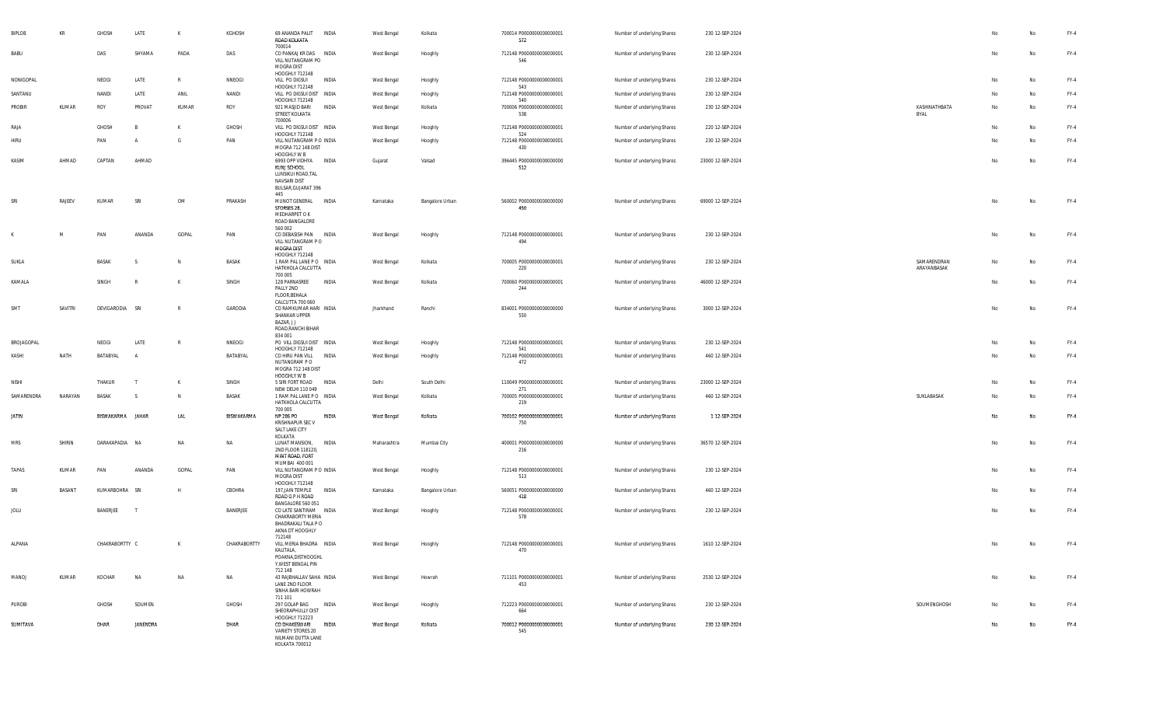| BIPLOB       | KR      | GHOSH           | LATE           | К            | KGHOSH       | 69 ANANDA PALIT<br>ROAD KOLKATA<br>700014                                                   | INDIA | West Bengal | Kolkata         | 700014 P0000000000000001<br>572        | Number of underlying Shares | 230 12-SEP-2024   |                            |    | No | $FY-4$ |
|--------------|---------|-----------------|----------------|--------------|--------------|---------------------------------------------------------------------------------------------|-------|-------------|-----------------|----------------------------------------|-----------------------------|-------------------|----------------------------|----|----|--------|
| BABU         |         | DAS             | SHYAMA         | PADA         | DAS          | CO PANKAJ KR DAS INDIA<br>VILL NUTANGRAM PO<br>MOGRA DIST                                   |       | West Bengal | Hooghly         | 712148 P0000000000000001<br>546        | Number of underlying Shares | 230 12-SEP-2024   |                            | No | No | $FY-4$ |
| NONIGOPAL    |         | NEOGI           | LATE           | $\mathbb{R}$ | NNEOGI       | HOOGHLY 712148<br>VILL PO DIGSUI                                                            | INDIA | West Bengal | Hooghly         | 712148 P0000000000000001               | Number of underlying Shares | 230 12-SEP-2024   |                            | No | No | FY-4   |
| SANTANU      |         | NANDI           | LATE           | ANIL         | NANDI        | HOOGHLY 712148<br>VILL PO DIGSUI DIST INDIA                                                 |       | West Bengal | Hooghly         | 543<br>712148 P0000000000000001        | Number of underlying Shares | 230 12-SEP-2024   |                            | No | No | $FY-4$ |
| PROBIR       | KUMAR   | ROY             | PROVAT         | KUMAR        | ROY          | HOOGHLY 712148<br>921 MASJID BARI                                                           | INDIA | West Bengal | Kolkata         | 540<br>700006 P0000000000000001        | Number of underlying Shares | 230 12-SEP-2024   | KASHINATHBATA              | No | No | $FY-4$ |
|              |         |                 |                |              |              | STREET KOLKATA<br>700006                                                                    |       |             |                 | 538                                    |                             |                   | BYAL                       |    |    |        |
| RAJA         |         | GHOSH           | B              | К            | GHOSH        | VILL PO DIGSUI DIST INDIA<br>HOOGHLY 712148                                                 |       | West Bengal | Hooghly         | 712148 P0000000000000001<br>524        | Number of underlying Shares | 220 12-SEP-2024   |                            | No | No | FY-4   |
| <b>HIRU</b>  |         | PAN             | $\mathsf{A}$   | G            | PAN          | VILL NUTANGRAM P O INDIA<br>MOGRA 712 148 DIST<br>HOOGHLY W B                               |       | West Bengal | Hooghly         | 712148 P0000000000000001<br>430        | Number of underlying Shares | 230 12-SEP-2024   |                            | No | No | $FY-4$ |
| KASIM        | AHMAD   | CAPTAN          | AHMAD          |              |              | 6993 OPP VIDHYA INDIA<br>KUNJ SCHOOL                                                        |       | Gujarat     | Valsad          | 396445 P0000000000000000<br>512        | Number of underlying Shares | 23000 12-SEP-2024 |                            | No | No | $FY-4$ |
|              |         |                 |                |              |              | LUNSIKUI ROAD, TAL<br>NAVSARI DIST<br>BULSAR, GUJARAT 396<br>445                            |       |             |                 |                                        |                             |                   |                            |    |    |        |
| SRI          | RAJEEV  | KUMAR           | SRI            | OM           | PRAKASH      | MUNOT GENERAL<br>STORSES 28,<br>MEDHARPET O K<br>ROAD BANGALORE                             | INDIA | Karnataka   | Bangalore Urban | 560002 P0000000000000000<br>450        | Number of underlying Shares | 69000 12-SEP-2024 |                            | No | No | $FY-4$ |
| K            | M       | PAN             | ANANDA         | GOPAL        | PAN          | 560 002<br>CO DEBASISH PAN INDIA                                                            |       | West Bengal | Hooghly         | 712148 P0000000000000001               | Number of underlying Shares | 230 12-SEP-2024   |                            | No | No | $FY-4$ |
|              |         |                 |                |              |              | VILL NUTANGRAM P O<br>MOGRA DIST<br>HOOGHLY 712148                                          |       |             |                 | 494                                    |                             |                   |                            |    |    |        |
| SUKLA        |         | BASAK           | -S             | N            | BASAK        | 1 RAM PAL LANE PO INDIA<br>HATKHOLA CALCUTTA<br>700 005                                     |       | West Bengal | Kolkata         | 700005 P0000000000000001<br>220        | Number of underlying Shares | 230 12-SEP-2024   | SAMARENDRAN<br>ARAYANBASAK | No | No | $FY-4$ |
| KAMALA       |         | SINGH           | - R            | K            | SINGH        | 128 PARNASREE<br>PALLY 2ND<br>FLOOR, BEHALA                                                 | INDIA | West Bengal | Kolkata         | 700060 P0000000000000001<br>244        | Number of underlying Shares | 46000 12-SEP-2024 |                            | No | No | FY-4   |
| SMT          | SAVITRI | DEVIGARODIA SRI |                | $\mathsf{R}$ | GARODIA      | CALCUTTA 700 060<br>CO RAMKUMAR HARI INDIA<br>SHANKAR UPPER<br>BAZAR, J J                   |       | Jharkhand   | Ranchi          | 834001 P0000000000000000<br>550        | Number of underlying Shares | 3000 12-SEP-2024  |                            | No | No | $FY-4$ |
|              |         |                 |                |              |              | ROAD, RANCHI BIHAR<br>834 001                                                               |       |             |                 |                                        |                             |                   |                            |    |    |        |
| BROJAGOPAL   |         | NEOGI           | LATE           | R            | NNEOGI       | PO VILL DIGSUI DIST INDIA<br>HOOGHLY 712148                                                 |       | West Bengal | Hooghly         | 712148 P0000000000000001<br>541        | Number of underlying Shares | 230 12-SEP-2024   |                            | No | No | FY-4   |
| KASHI        | NATH    | BATABYAL        | $\overline{A}$ |              | BATABYAL     | CO HIRU PAN VILL<br>NUTANGRAM PO<br>MOGRA 712 148 DIST<br>HOOGHLY W B                       | INDIA | West Bengal | Hooghly         | 712148 P0000000000000001<br>472        | Number of underlying Shares | 460 12-SEP-2024   |                            | No | No | $FY-4$ |
| NISHI        |         | THAKUR          | $\mathsf{T}$   | К            | SINGH        | 5 SIRI FORT ROAD                                                                            | INDIA | Delhi       | South Delhi     | 110049 P0000000000000001               | Number of underlying Shares | 23000 12-SEP-2024 |                            | No | No | FY-4   |
| SAMARENDRA   | NARAYAN | BASAK           | -S             | N.           | <b>BASAK</b> | NEW DELHI 110 049<br>1 RAM PAL LANE PO INDIA<br>HATKHOLA CALCUTTA                           |       | West Bengal | Kolkata         | 271<br>700005 P0000000000000001<br>219 | Number of underlying Shares | 460 12-SEP-2024   | SUKLABASAK                 | No | No | $FY-4$ |
| <b>JATIN</b> |         | BISWAKARMA      | JAHAR          | LAL          | BISWAKARMA   | 700 005<br>NP 286 PO<br><b>KRISHNAPUR SEC V</b><br>SALT LAKE CITY                           | INDIA | West Bengal | Kolkata         | 700102 P0000000000000001<br>750        | Number of underlying Shares | 1 12-SEP-2024     |                            | Nr | No | $FY-4$ |
|              |         | DARAKAPADIA NA  |                | NA           | NA           | KOLKATA                                                                                     | INDIA |             |                 |                                        |                             | 36570 12-SEP-2024 |                            | No |    | FY-4   |
| MRS          | SHIRIN  |                 |                |              |              | LUNAT MANSION,<br>2ND FLOOR 118120,<br>MINT ROAD, FORT                                      |       | Maharashtra | Mumbai City     | 400001 P0000000000000000<br>216        | Number of underlying Shares |                   |                            |    | No |        |
| TAPAS        | KUMAR   | PAN             | ANANDA         | GOPAL        | PAN          | MUMBAI 400 001<br>VILL NUTANGRAM P O INDIA<br>MOGRA DIST                                    |       | West Bengal | Hooghly         | 712148 P0000000000000001<br>513        | Number of underlying Shares | 230 12-SEP-2024   |                            | No | No | $FY-4$ |
| SRI          | BASANT  | KUMARBOHRA      | SRI            | H            | CBOHRA       | HOOGHLY 712148<br>197, JAIN TEMPLE<br>ROAD O P H ROAD<br>BANGALORE 560 051                  | INDIA | Karnataka   | Bangalore Urban | 560051 P0000000000000000<br>418        | Number of underlying Shares | 460 12-SEP-2024   |                            | No | No | FY-4   |
| JOLU         |         | BANERJEE        | $\mathsf{T}$   |              | BANERJEE     | CO LATE SANTIRAM INDIA                                                                      |       | West Bengal | Hooghly         | 712148 P0000000000000001               | Number of underlying Shares | 230 12-SEP-2024   |                            | No | No | $FY-4$ |
|              |         |                 |                |              |              | CHAKRABORTY MERIA<br>BHADRAKALI TALA P O<br>AKNA DT HOOGHLY<br>712148                       |       |             |                 | 578                                    |                             |                   |                            |    |    |        |
| ALPANA       |         | CHAKRABORTTY C  |                | К            | CHAKRABORTTY | VILL MERIA BHADRA INDIA<br>KALITALA,<br>POAKNA, DISTHOOGHL<br>Y, WEST BENGAL PIN<br>712 148 |       | West Bengal | Hooghly         | 712148 P0000000000000001<br>470        | Number of underlying Shares | 1610 12-SEP-2024  |                            |    | No | $FY-4$ |
| MANOJ        | KUMAR   | KOCHAR          | NA             | NA           | NA           | 43 RAJBHALLAV SAHA INDIA<br>LANE 2ND FLOOR<br>SINHA BARI HOWRAH                             |       | West Bengal | Howrah          | 711101 P0000000000000001<br>453        | Number of underlying Shares | 2530 12-SEP-2024  |                            | No | No | $FY-4$ |
| PUROBI       |         | GHOSH           | SOUMEN         |              | GHOSH        | 711 101<br>297 GOLAP BAG<br>SHEORAPHULLY DIST<br>HOOGHLY 712223                             | INDIA | West Bengal | Hooghly         | 712223 P0000000000000001<br>664        | Number of underlying Shares | 230 12-SEP-2024   | SOUMENGHOSH                |    | No | FY-4   |
| SUMITAVA     |         | DHAR            | JANENDRA       |              | DHAR         | CO DHAKESWARI<br>VARIETY STORES 20<br>NILMANI DUTTA LANE<br>KOLKATA 700012                  | INDIA | West Bengal | Kolkata         | 700012 P0000000000000001<br>545        | Number of underlying Shares | 230 12-SEP-2024   |                            | No | No | $FY-4$ |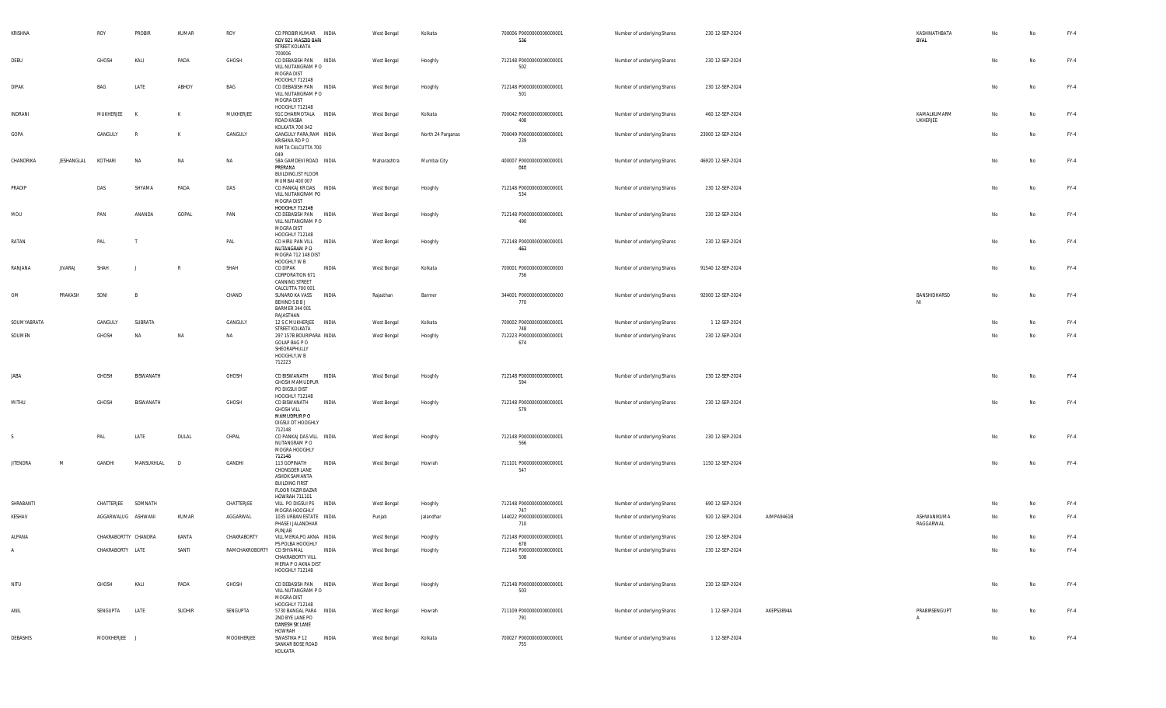| KRISHNA         |                | ROY              | PROBIR               | KUMAR        | ROY                       | CO PROBIR KUMAR<br>ROY 921 MASZID BARI<br>STREET KOLKATA<br>700006                                            | INDIA | West Bengal | Kolkata           | 700006 P0000000000000001<br>536 | Number of underlying Shares | 230 12-SEP-2024   |            | KASHINATHBATA<br>BYAL          | No | No        | FY-4   |
|-----------------|----------------|------------------|----------------------|--------------|---------------------------|---------------------------------------------------------------------------------------------------------------|-------|-------------|-------------------|---------------------------------|-----------------------------|-------------------|------------|--------------------------------|----|-----------|--------|
| DEBU            |                | GHOSH            | KALI                 | PADA         | GHOSH                     | CO DEBASISH PAN INDIA<br>VILL NUTANGRAM PO<br>MOGRA DIST                                                      |       | West Bengal | Hooghly           | 712148 P0000000000000001<br>502 | Number of underlying Shares | 230 12-SEP-2024   |            |                                | No | No        | FY-4   |
| DIPAK           |                | BAG              | LATE                 | ABHOY        | BAG                       | HOOGHLY 712148<br>CO DEBASISH PAN INDIA<br>VILL NUTANGRAM PO<br>MOGRA DIST                                    |       | West Bengal | Hooghly           | 712148 P0000000000000001<br>501 | Number of underlying Shares | 230 12-SEP-2024   |            |                                | No | No        | FY-4   |
| INDRANI         |                | MUKHERJEE        | K                    | к            | MUKHERJEE                 | HOOGHLY 712148<br>91C DHARMOTALA INDIA<br>ROAD KASBA<br>KOLKATA 700 042                                       |       | West Bengal | Kolkata           | 700042 P0000000000000001<br>408 | Number of underlying Shares | 460 12-SEP-2024   |            | KAMALKUMARM<br><b>UKHERJEE</b> | No | No        | FY-4   |
| GOPA            |                | GANGULY          | R                    | к            | GANGULY                   | GANGULY PARA, RAM INDIA<br>KRISHNA RD P O<br>NIMTA CALCUTTA 700<br>049                                        |       | West Bengal | North 24 Parganas | 700049 P0000000000000001<br>239 | Number of underlying Shares | 23000 12-SEP-2024 |            |                                | No | Na        | $FY-4$ |
| CHANDRIKA       | JESHANGLAL     | KOTHARI          | <b>NA</b>            | NA           | NA                        | 58A GAMDEVI ROAD INDIA<br>PRERANA<br>BUILDING, IST FLOOR<br>MUMBAI 400 007                                    |       | Maharashtra | Mumbai City       | 400007 P0000000000000001<br>040 | Number of underlying Shares | 46920 12-SEP-2024 |            |                                | No | No        | FY-4   |
| PRADIP          |                | DAS              | SHYAMA               | PADA         | DAS                       | CO PANKAJ KR DAS INDIA<br>VILL NUTANGRAM PO<br>MOGRA DIST<br>HOOGHLY 712148                                   |       | West Bengal | Hooghly           | 712148 P0000000000000001<br>534 | Number of underlying Shares | 230 12-SEP-2024   |            |                                | No | No        | FY-4   |
| MOU             |                | PAN              | ANANDA               | GOPAL        | PAN                       | CO DEBASISH PAN INDIA<br>VILL NUTANGRAM P O<br>MOGRA DIST<br>HOOGHLY 712148                                   |       | West Bengal | Hooghly           | 712148 P0000000000000001<br>490 | Number of underlying Shares | 230 12-SEP-2024   |            |                                | No | Na        | FY-4   |
| RATAN           |                | PAL              |                      |              | PAL                       | CO HIRU PAN VILL<br>NUTANGRAM P O<br>MOGRA 712 148 DIST<br>HOOGHLY W B                                        | INDIA | West Bengal | Hooghly           | 712148 P0000000000000001<br>463 | Number of underlying Shares | 230 12-SEP-2024   |            |                                | No | No        | FY-4   |
| RANJANA         | <b>JIVARAJ</b> | SHAH             |                      | R            | SHAH                      | CO DIPAK<br>CORPORATION 671<br>CANNING STREET<br>CALCUTTA 700 001                                             | INDIA | West Bengal | Kolkata           | 700001 P0000000000000000<br>756 | Number of underlying Shares | 91540 12-SEP-2024 |            |                                | No | No        | $FY-4$ |
| OM              | PRAKASH        | SONI             | $\overline{B}$       |              | CHAND                     | SUNARO KA VASS<br>BEHIND S B B J<br>BARMER 344 001<br>RAJASTHAN                                               | INDIA | Rajasthan   | Barmer            | 344001 P0000000000000000<br>770 | Number of underlying Shares | 92000 12-SEP-2024 |            | BANSHIDHARSO<br>NI             | No | No        | $FY-4$ |
| SOUMYABRATA     |                | GANGULY          | SUBRATA              |              | GANGULY                   | 12 S C MUKHERJEE<br>STREET KOLKATA                                                                            | INDIA | West Bengal | Kolkata           | 700002 P0000000000000001<br>748 | Number of underlying Shares | 1 12-SEP-2024     |            |                                | No | No        | FY-4   |
| SOUMEN          |                | GHOSH            | <b>NA</b>            | NA           | NA                        | 297 157B BOURIPARA INDIA<br>GOLAP BAG P O<br>SHEORAPHULLY<br>HOOGHLY, W B<br>712223                           |       | West Bengal | Hooghly           | 712223 P0000000000000001<br>674 | Number of underlying Shares | 230 12-SEP-2024   |            |                                | No | No        | FY-4   |
| JABA            |                | GHOSH            | BISWANATH            |              | GHOSH                     | CO BISWANATH<br>GHOSH MAMUDPUR<br>PO DIGSUI DIST<br>HOOGHLY 712148                                            | INDIA | West Bengal | Hooghly           | 712148 P0000000000000001<br>594 | Number of underlying Shares | 230 12-SEP-2024   |            |                                | No | No        | $FY-4$ |
| MITHU           |                | GHOSH            | BISWANATH            |              | GHOSH                     | CO BISWANATH<br><b>GHOSH VILL</b><br>MAMUDPUR P O<br>DIGSUI DT HOOGHLY<br>712148                              | INDIA | West Bengal | Hooghly           | 712148 P0000000000000001<br>579 | Number of underlying Shares | 230 12-SEP-2024   |            |                                | No | No        | FY-4   |
| -S              |                | PAL              | LATE                 | DULAL        | CHPAL                     | CO PANKAJ DAS VILL INDIA<br>NUTANGRAM PO<br>MOGRA HOOGHLY<br>712148                                           |       | West Bengal | Hooghly           | 712148 P0000000000000001<br>566 | Number of underlying Shares | 230 12-SEP-2024   |            |                                | No | No        | FY-4   |
| <b>JITENDRA</b> | M              | GANDHI           | MANSUKHLAL           | $\mathsf{D}$ | GANDHI                    | 113 GOPINATH<br>CHONGDER LANE<br>ASHOK SAMANTA<br><b>BUILDING FIRST</b><br>FLOOR FAZIR BAZAR<br>HOWRAH 711101 | INDIA | West Bengal | Howrah            | 711101 P0000000000000001<br>547 | Number of underlying Shares | 1150 12-SEP-2024  |            |                                | No | No        | $FY-4$ |
| SHRABANTI       |                | CHATTERJEE       | SOMNATH              |              | CHATTERJEE                | VILL PO DIGSUI PS<br>MOGRA HOOGHLY                                                                            | INDIA | West Bengal | Hooghly           | 712148 P0000000000000001<br>747 | Number of underlying Shares | 690 12-SEP-2024   |            |                                | No | No        | FY-4   |
| KESHAV          |                |                  | AGGARWALUG ASHWANI   | KUMAR        | AGGARWAL                  | 1035 URBAN ESTATE INDIA<br>PHASE I JALANDHAR<br>PUNJAB                                                        |       | Punjab      | Jalandhar         | 144022 P0000000000000001<br>710 | Number of underlying Shares | 920 12-SEP-2024   | AIMPA9461B | ASHWANIKUMA<br>RAGGARWAL       | No | <b>No</b> | $FY-4$ |
| ALPANA          |                |                  | CHAKRABORTTY CHANDRA | KANTA        | CHAKRABORTY               | VILL MERIA, PO AKNA INDIA<br>PS POLBA HOOGHLY                                                                 |       | West Bengal | Hooghly           | 712148 P0000000000000001<br>678 | Number of underlying Shares | 230 12-SEP-2024   |            |                                | No | No        | FY-4   |
| A               |                | CHAKRABORTY LATE |                      | SANTI        | RAMCHAKROBORTY CO SHYAMAL | CHAKRABORTY VILL<br>MERIA P O AKNA DIST<br>HOOGHLY 712148                                                     | INDIA | West Bengal | Hooghly           | 712148 P0000000000000001<br>508 | Number of underlying Shares | 230 12-SEP-2024   |            |                                | No | No        | $FY-4$ |
| NITU            |                | GHOSH            | KALI                 | PADA         | GHOSH                     | CO DEBASISH PAN INDIA<br>VILL NUTANGRAM PO<br>MOGRA DIST<br>HOOGHLY 712148                                    |       | West Bengal | Hooghly           | 712148 P0000000000000001<br>503 | Number of underlying Shares | 230 12-SEP-2024   |            |                                | No | No        | $FY-4$ |
| ANIL            |                | SENGUPTA         | LATE                 | SUDHIR       | SENGUPTA                  | 5730 BANGAL PARA INDIA<br>2ND BYE LANE PO<br>DANESH SK LANE<br><b>HOWRAH</b>                                  |       | West Bengal | Howrah            | 711109 P0000000000000001<br>791 | Number of underlying Shares | 1 12-SEP-2024     | AKEPS3894A | PRABIRSENGUPT<br>$\mathsf{A}$  | No | No        | $FY-4$ |
| DEBASHIS        |                | MOOKHERJEE J     |                      |              | MOOKHERJEE                | SWASTIKA P 12<br>SANKAR BOSE ROAD<br>KOLKATA                                                                  | INDIA | West Bengal | Kolkata           | 700027 P0000000000000001<br>755 | Number of underlying Shares | 1 12-SEP-2024     |            |                                | No | No        | $FY-4$ |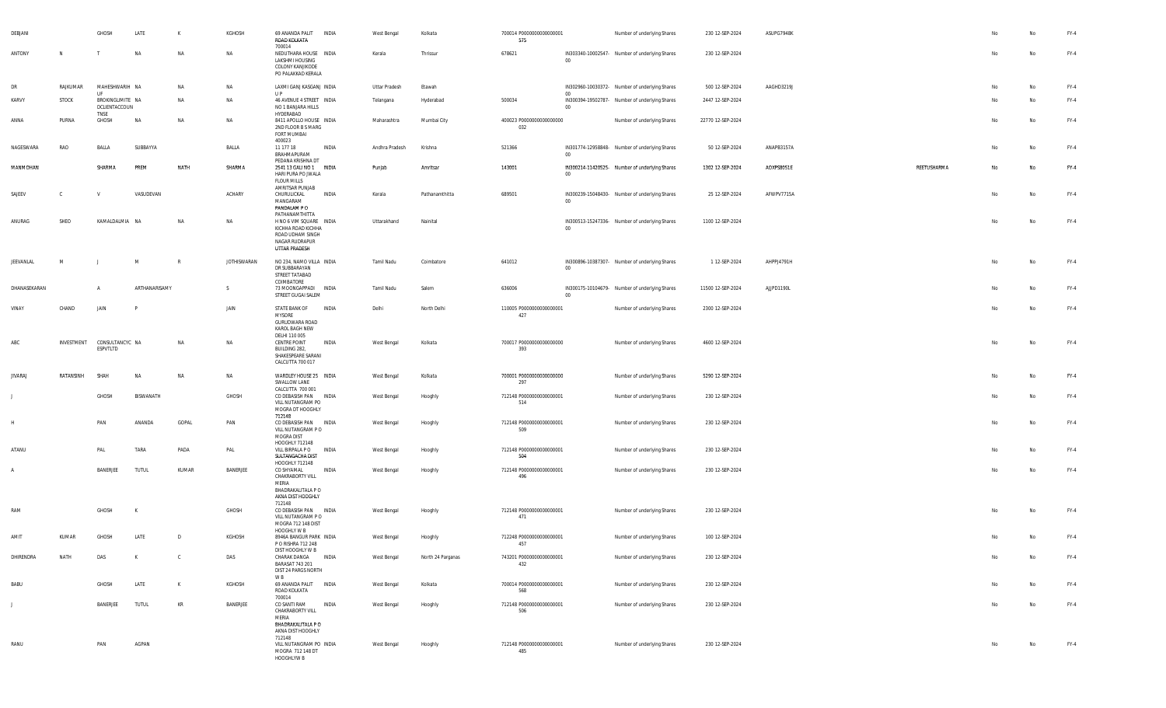| DEBJANI        |            | GHOSH                                   | LATE             | K            | KGHOSH             | 69 ANANDA PALIT<br>ROAD KOLKATA<br>700014                                                                              | <b>INDIA</b> | West Bengal          | Kolkata           | 700014 P0000000000000001<br>575 |          | Number of underlying Shares                    | 230 12-SEP-2024   | ASUPG7948K |             |    | No | FY-4   |
|----------------|------------|-----------------------------------------|------------------|--------------|--------------------|------------------------------------------------------------------------------------------------------------------------|--------------|----------------------|-------------------|---------------------------------|----------|------------------------------------------------|-------------------|------------|-------------|----|----|--------|
| ANTONY         | N          |                                         | NA               | <b>NA</b>    | NA                 | NEDUTHARA HOUSE INDIA<br>LAKSHMI HOUSING<br>COLONY KANJIKODE<br>PO PALAKKAD KERALA                                     |              | Kerala               | Thrissur          | 678621                          | 00       | IN303340-10002547- Number of underlying Shares | 230 12-SEP-2024   |            |             | No | No | $FY-4$ |
| DR             | RAJKUMAR   | MAHESHWARIH NA                          |                  | NA           | NA                 | LAXMI GANJ KASGANJ INDIA                                                                                               |              | <b>Uttar Pradesh</b> | Etawah            |                                 |          | IN302960-10030372- Number of underlying Shares | 500 12-SEP-2024   | AAGHD3219J |             | No | No | $FY-4$ |
| KARVY          | STOCK      | UF<br>BROKINGLIMITE NA<br>DCLIENTACCOUN |                  | NA           | NA                 | U P<br>46 AVENUE 4 STREET INDIA<br>NO 1 BANJARA HILLS                                                                  |              | Telangana            | Hyderabad         | 500034                          | 00<br>00 | IN300394-19502787- Number of underlying Shares | 2447 12-SEP-2024  |            |             | No | No | FY-4   |
| ANNA           | PURNA      | TNSE<br>GHOSH                           | NA               | NA           | <b>NA</b>          | HYDERABAD<br>8411 APOLLO HOUSE INDIA<br>2ND FLOOR B S MARG<br>FORT MUMBAI                                              |              | Maharashtra          | Mumbai City       | 400023 P0000000000000000<br>032 |          | Number of underlying Shares                    | 22770 12-SEP-2024 |            |             | No | No | $FY-4$ |
| NAGESWARA      | RAO        | BALLA                                   | SUBBAYYA         |              | BALLA              | 400023<br>11 177 18<br>BRAHMAPURAM                                                                                     | INDIA        | Andhra Pradesh       | Krishna           | 521366                          | - 00     | IN301774-12958848- Number of underlying Shares | 50 12-SEP-2024    | ANAPB3157A |             | No | No | $FY-4$ |
| MANMOHAN       |            | SHARMA                                  | PREM             | NATH         | SHARMA             | PEDANA KRISHNA DT<br>2541 13 GALI NO 1 INDIA<br>HARI PURA PO JWALA<br><b>FLOUR MILLS</b><br>AMRITSAR PUNJAB            |              | Punjab               | Amritsar          | 143001                          | 00       | IN300214-11420525- Number of underlying Shares | 1302 12-SEP-2024  | AOXPS8051E | REETUSHARMA | No | Na | $FY-4$ |
| SAJEEV         | C          |                                         | VASUDEVAN        |              | ACHARY             | CHURULICKAL<br>MANGARAM<br>PANDALAM PO                                                                                 | INDIA        | Kerala               | Pathanamthitta    | 689501                          | 00       | IN300239-15048430- Number of underlying Shares | 25 12-SEP-2024    | AFWPV7715A |             | No | No | $FY-4$ |
| ANURAG         | SHEO       | KAMALDALMIA NA                          |                  | <b>NA</b>    | <b>NA</b>          | PATHANAMTHITTA<br>H NO 6 VIM SQUARE INDIA<br>KICHHA ROAD KICHHA<br>ROAD UDHAM SINGH<br>NAGAR RUDRAPUR<br>UTTAR PRADESH |              | Uttarakhand          | Nainital          |                                 | $00\,$   | IN300513-15247336- Number of underlying Shares | 1100 12-SEP-2024  |            |             | No | No | $FY-4$ |
| JEEVANLAL      | M          |                                         | M                | R            | <b>JOTHISWARAN</b> | NO 234, NAMO VILLA INDIA<br>DR SUBBARAYAN<br>STREET TATABAD<br>COIMBATORE                                              |              | Tamil Nadu           | Coimbatore        | 641012                          | 00       | IN300896-10387307- Number of underlying Shares | 1 12-SEP-2024     | AHPPJ4791H |             | No | No | $FY-4$ |
| DHANASEKARAN   |            | $\overline{A}$                          | ARTHANARISAMY    |              | S.                 | 73 MOONGAPPADI INDIA<br>STREET GUGAI SALEM                                                                             |              | Tamil Nadu           | Salem             | 636006                          | 00       | IN300175-10104679- Number of underlying Shares | 11500 12-SEP-2024 | AJJPD1190L |             | No | No | $FY-4$ |
| VINAY          | CHAND      | JAIN                                    |                  |              | JAIN               | STATE BANK OF INDIA<br><b>MYSORE</b><br>GURUDWARA ROAD<br>KAROL BAGH NEW                                               |              | Delhi                | North Delhi       | 110005 P0000000000000001<br>427 |          | Number of underlying Shares                    | 2300 12-SEP-2024  |            |             | No | No | FY-4   |
| ABC            | INVESTMENT | CONSULTANCYC NA<br>ESPVTLTD             |                  | NA           | NA                 | DELHI 110 005<br>CENTRE POINT<br>BUILDING 282,<br>SHAKESPEARE SARANI<br>CALCUTTA 700 017                               | INDIA        | West Bengal          | Kolkata           | 700017 P0000000000000000<br>393 |          | Number of underlying Shares                    | 4600 12-SEP-2024  |            |             | No | No | $FY-4$ |
| <b>JIVARAJ</b> | RATANSINH  | SHAH                                    | <b>NA</b>        | NA           | <b>NA</b>          | WARDLEY HOUSE 25 INDIA<br>SWALLOW LANE                                                                                 |              | West Bengal          | Kolkata           | 700001 P0000000000000000<br>297 |          | Number of underlying Shares                    | 5290 12-SEP-2024  |            |             | No | No | $FY-4$ |
|                |            | <b>GHOSH</b>                            | <b>BISWANATH</b> |              | GHOSH              | CALCUTTA 700 001<br>CO DEBASISH PAN INDIA<br>VILL NUTANGRAM PO<br>MOGRA DT HOOGHLY<br>712148                           |              | West Bengal          | Hooghly           | 712148 P0000000000000001<br>514 |          | Number of underlying Shares                    | 230 12-SEP-2024   |            |             | No | Na | $FY-4$ |
|                |            | PAN                                     | ANANDA           | GOPAL        | PAN                | CO DEBASISH PAN INDIA<br>VILL NUTANGRAM PO<br>MOGRA DIST<br>HOOGHLY 712148                                             |              | West Bengal          | Hooghly           | 712148 P0000000000000001<br>509 |          | Number of underlying Shares                    | 230 12-SEP-2024   |            |             | No | No | $FY-4$ |
| ATANU          |            | PAL                                     | TARA             | PADA         | PAL                | VILL BIRPALA P O<br>SULTANGACHA DIST<br>HOOGHLY 712148                                                                 | INDIA        | West Bengal          | Hooghly           | 712148 P0000000000000001<br>504 |          | Number of underlying Shares                    | 230 12-SEP-2024   |            |             | No | No | $FY-4$ |
| A              |            | BANERJEE                                | <b>TUTUL</b>     | KUMAR        | BANERJEE           | CO SHYAMAL<br>CHAKRABORTY VILL<br>MERIA<br>BHADRAKALITALA P O<br>AKNA DIST HOOGHLY                                     | INDIA        | West Bengal          | Hooghly           | 712148 P0000000000000001<br>496 |          | Number of underlying Shares                    | 230 12-SEP-2024   |            |             | No | No | $FY-4$ |
| RAM            |            | GHOSH                                   | K                |              | GHOSH              | 712148<br>CO DEBASISH PAN INDIA<br>VILL NUTANGRAM PO<br>MOGRA 712 148 DIST<br>HOOGHLY W B                              |              | West Bengal          | Hooghly           | 712148 P0000000000000001<br>471 |          | Number of underlying Shares                    | 230 12-SEP-2024   |            |             | No | No | $FY-4$ |
| AMIT           | KUMAR      | GHOSH                                   | LATE             | D            | KGHOSH             | 8946A BANGUR PARK INDIA<br>P O RISHRA 712 248<br>DIST HOOGHLY W B                                                      |              | West Bengal          | Hooghly           | 712248 P0000000000000001<br>457 |          | Number of underlying Shares                    | 100 12-SEP-2024   |            |             | No | No | FY-4   |
| DHIRENDRA      | NATH       | DAS                                     | K                | $\mathbb{C}$ | DAS                | CHARAK DANGA INDIA<br>BARASAT 743 201<br>DIST 24 PARGS NORTH<br>W B                                                    |              | West Bengal          | North 24 Parganas | 743201 P0000000000000001<br>432 |          | Number of underlying Shares                    | 230 12-SEP-2024   |            |             | No | No | $FY-4$ |
| <b>BABU</b>    |            | GHOSH                                   | LATE             | K            | KGHOSH             | 69 ANANDA PALIT INDIA<br>ROAD KOLKATA<br>700014                                                                        |              | West Bengal          | Kolkata           | 700014 P0000000000000001<br>568 |          | Number of underlying Shares                    | 230 12-SEP-2024   |            |             | No | No | $FY-4$ |
|                |            | BANERJEE                                | <b>TUTUL</b>     | KR           | BANERJEE           | CO SANTI RAM<br>CHAKRABORTY VILL<br>MERIA<br>BHADRAKALITALA P O<br>AKNA DIST HOOGHLY<br>712148                         | INDIA        | West Bengal          | Hooghly           | 712148 P0000000000000001<br>506 |          | Number of underlying Shares                    | 230 12-SEP-2024   |            |             | No | No | $FY-4$ |
| RANU           |            | PAN                                     | AGPAN            |              |                    | VILL NUTANGRAM PO INDIA<br>MOGRA 712 148 DT<br>HOOGHLYW B                                                              |              | West Bengal          | Hooghly           | 712148 P0000000000000001<br>485 |          | Number of underlying Shares                    | 230 12-SEP-2024   |            |             | No | No | $FY-4$ |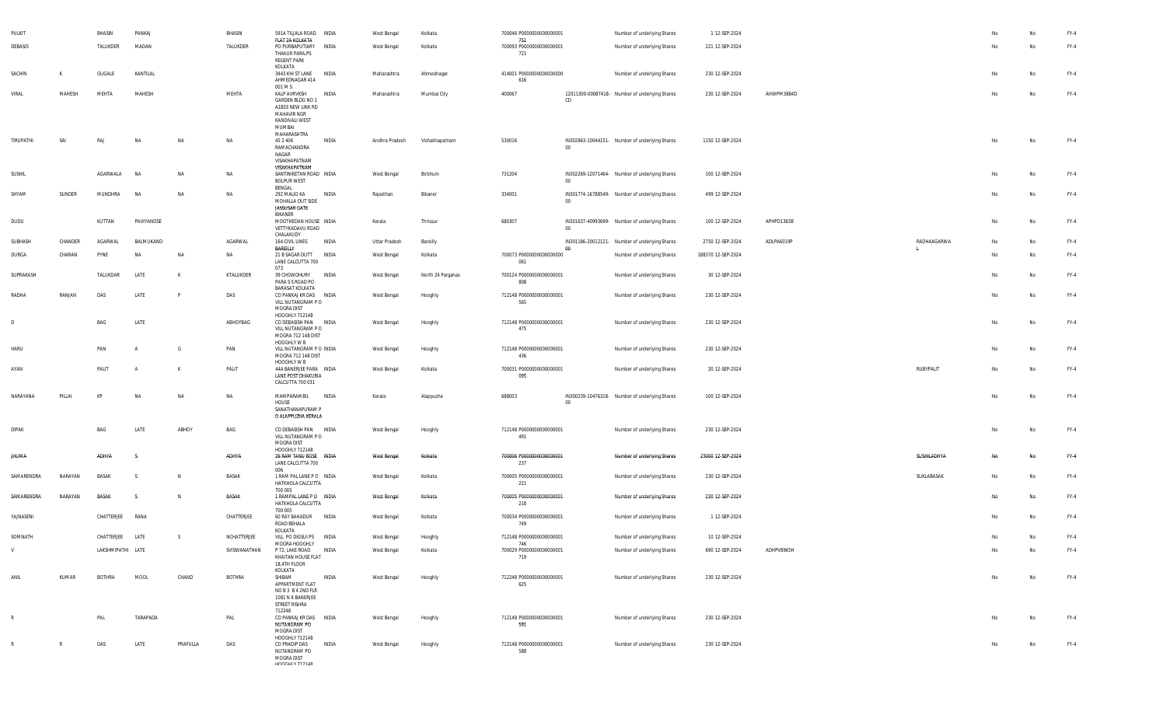| PULKIT       |              | BHASIN            | PANKAJ         |          | BHASIN        | 591A TILJALA ROAD INDIA                                                                         |              | West Bengal    | Kolkata           | 700046 P0000000000000001               |        | Number of underlying Shares                    | 1 12-SEP-2024      |            |             |    |    | FY-4   |
|--------------|--------------|-------------------|----------------|----------|---------------|-------------------------------------------------------------------------------------------------|--------------|----------------|-------------------|----------------------------------------|--------|------------------------------------------------|--------------------|------------|-------------|----|----|--------|
| DEBASIS      |              | TALUKDER          | MADAN          |          | TALUKDER      | FLAT 2A KOLKATA<br>PO PURBAPUTIARY<br>THAKUR PARA, PS<br>REGENT PARK                            | INDIA        | West Bengal    | Kolkata           | 751<br>700093 P0000000000000001<br>721 |        | Number of underlying Shares                    | 221 12-SEP-2024    |            |             | No | No | FY-4   |
| SACHIN       | K            | GUGALE            | KANTILAL       |          |               | KOLKATA<br>3443 KHI ST LANE<br>AHMEDNAGAR 414                                                   | INDIA        | Maharashtra    | Ahmednagar        | 414001 P0000000000000000<br>616        |        | Number of underlying Shares                    | 230 12-SEP-2024    |            |             | No | No | $FY-4$ |
| VIRAL        | MAHESH       | MEHTA             | MAHESH         |          | MEHTA         | 001 M S<br>KALP AVRVKSH                                                                         | INDIA        | Maharashtra    | Mumbai City       | 400067                                 |        | 12011300-00087418- Number of underlying Shares | 230 12-SEP-2024    | AHWPM3884D |             | No | No | $FY-4$ |
|              |              |                   |                |          |               | GARDEN BLDG NO 1<br>A1803 NEW LINK RD<br>MAHAVIR NGR<br>KANDIVALI WEST<br>MUMBAI<br>MAHARASHTRA |              |                |                   |                                        | CD     |                                                |                    |            |             |    |    |        |
| TIRUPATHI    | SAI          | RAJ               | <b>NA</b>      | NA       | NA            | 45 2 4 0 6<br>RAMACHANDRA<br>NAGAR<br>VISAKHAPATNAM<br>VISAKHAPATNAM                            | INDIA        | Andhra Pradesh | Vishakhapatnam    | 530016                                 | $00\,$ | IN302863-10044151- Number of underlying Shares | 1150 12-SEP-2024   |            |             | No | No | FY-4   |
| SUSHIL       |              | AGARWALA          | <b>NA</b>      | NA       | NA            | SANTINIKETAN ROAD INDIA<br><b>BOLPUR WEST</b><br>BENGAL                                         |              | West Bengal    | Birbhum           | 731204                                 | $00\,$ | IN302269-12071464- Number of underlying Shares | 100 12-SEP-2024    |            |             | No | No | FY-4   |
| SHYAM        | SUNDER       | MUNDHRA           | <b>NA</b>      | NA       | NA            | 292 MALIO KA<br>MOHALLA OUT SIDE<br>JASSUSAR GATE<br>BIKANER                                    | INDIA        | Rajasthan      | Bikaner           | 334001                                 | $00\,$ | IN301774-16788549- Number of underlying Shares | 499 12-SEP-2024    |            |             | No | No | FY-4   |
| DUDU         |              | KUTTAN            | PAVIYANOSE     |          |               | MOOTHEDAN HOUSE INDIA<br>VETTYKADAVU ROAD<br>CHALAKUDY                                          |              | Kerala         | Thrissur          | 680307                                 | $00\,$ | IN301637-40993699- Number of underlying Shares | 100 12-SEP-2024    | APHPD1363B |             | No | No | FY-4   |
| SUBHASH      | CHANDER      | AGARWAL           | BALMUKAND      |          | AGARWAL       | 164 CIVIL LINES<br>BAREILLY                                                                     | INDIA        | Uttar Pradesh  | Bareilly          |                                        | 00     | IN301186-20012121- Number of underlying Shares | 2750 12-SEP-2024   | ADLPA6019P | RADHAAGARWA | No | No | FY-4   |
| DURGA        | CHARAN       | PYNE              | <b>NA</b>      | NA       | NA            | 21 B SAGAR DUTT<br>LANE CALCUTTA 700<br>073                                                     | INDIA        | West Bengal    | Kolkata           | 700073 P0000000000000000<br>061        |        | Number of underlying Shares                    | 188370 12-SEP-2024 |            |             | No | No | $FY-4$ |
| SUPRAKASH    |              | TALUKDAR          | LATE           | к        | KTALUKDER     | 39 CHOWDHURY<br>PARA S S ROAD PO<br>BARASAT KOLKATA                                             | INDIA        | West Bengal    | North 24 Parganas | 700124 P0000000000000001<br>808        |        | Number of underlying Shares                    | 30 12-SEP-2024     |            |             | No | No | FY-4   |
| RADHA        | RANJAN       | DAS               | LATE           | P        | DAS           | CO PANKAJ KR DAS INDIA<br>VILL NUTANGRAM PO<br>MOGRA DIST<br>HOOGHLY 712148                     |              | West Bengal    | Hooghly           | 712148 P0000000000000001<br>565        |        | Number of underlying Shares                    | 230 12-SEP-2024    |            |             | No | No | FY-4   |
| D            |              | BAG               | LATE           |          | ABHOYBAG      | CO DEBASISH PAN INDIA<br>VILL NUTANGRAM PO<br>MOGRA 712 148 DIST<br>HOOGHLY W B                 |              | West Bengal    | Hooghly           | 712148 P0000000000000001<br>475        |        | Number of underlying Shares                    | 230 12-SEP-2024    |            |             | No | No | FY-4   |
| HARU         |              | PAN               | A              | G        | PAN           | VILL NUTANGRAM P O INDIA<br>MOGRA 712 148 DIST<br>HOOGHLY W B                                   |              | West Bengal    | Hooghly           | 712148 P0000000000000001<br>436        |        | Number of underlying Shares                    | 230 12-SEP-2024    |            |             | No | No | FY-4   |
| AYAN         |              | PALIT             | $\overline{A}$ | К        | PALIT         | 44A BANERJEE PARA INDIA<br>LANE POST DHAKURIA<br>CALCUTTA 700 031                               |              | West Bengal    | Kolkata           | 700031 P0000000000000001<br>095        |        | Number of underlying Shares                    | 20 12-SEP-2024     |            | RUBYPALIT   | No | No | FY-4   |
| NARAYANA     | PILLAI       | KP                | <b>NA</b>      | NA       | NA            | MAMPARAMBIL<br>HOUSE<br>SANATHANAPURAM P<br>O ALAPPUZHA KERALA                                  | INDIA        | Kerala         | Alappuzha         | 688003                                 | $00\,$ | IN300239-10476318- Number of underlying Shares | 100 12-SEP-2024    |            |             | No | No | FY-4   |
| <b>DIPAK</b> |              | BAG               | LATE           | ABHOY    | BAG           | CO DEBASISH PAN INDIA<br>VILL NUTANGRAM PO<br>MOGRA DIST<br>HOOGHLY 712148                      |              | West Bengal    | Hooghly           | 712148 P0000000000000001<br>491        |        | Number of underlying Shares                    | 230 12-SEP-2024    |            |             | No | No | FY-4   |
| <b>JHUMA</b> |              | ADHYA             | s              |          | ADHYA         | 26 RAM TANU BOSE INDIA<br>LANE CALCUTTA 700<br>006                                              |              | West Bengal    | Kolkata           | 700006 P0000000000000001<br>237        |        | Number of underlying Shares                    | 23000 12-SEP-2024  |            | SUSHILADHYA | No | No | FY-4   |
| SAMARENDRA   | NARAYAN      | BASAK             | s              | N        | BASAK         | 1 RAM PAL LANE PO INDIA<br>HATKHOLA CALCUTTA<br>700 005                                         |              | West Bengal    | Kolkata           | 700005 P0000000000000001<br>221        |        | Number of underlying Shares                    | 230 12-SEP-2024    |            | SUKLABASAK  | No | No | $FY-4$ |
| SAMARENDRA   | NARAYAN      | BASAK             | -S             | N        | BASAK         | 1 RAMPAL LANE PO INDIA<br>HATKHOLA CALCUTTA<br>700 005                                          |              | West Bengal    | Kolkata           | 700005 P00000000000000001<br>218       |        | Number of underlying Shares                    | 230 12-SEP-2024    |            |             | No | No | $FY-4$ |
| YAJNASENI    |              | CHATTERJEE        | RANA           |          | CHATTERJEE    | 60 RAY BAHADUR<br>ROAD BEHALA<br>KOLKATA                                                        | <b>INDIA</b> | West Bengal    | Kolkata           | 700034 P0000000000000001<br>749        |        | Number of underlying Shares                    | 1 12-SEP-2024      |            |             | No | No | FY-4   |
| SOMNATH      |              | CHATTERJEE LATE   |                | S.       | NCHATTERJEE   | VILL PO DIGSUI PS INDIA<br>MOGRA HOOGHLY                                                        |              | West Bengal    | Hooghly           | 712148 P0000000000000001<br>746        |        | Number of underlying Shares                    | 10 12-SEP-2024     |            |             | No | No | FY-4   |
| V            |              | LAKSHMIPATHI LATE |                |          | SVISWANATHAN  | P 72, LAKE ROAD INDIA<br>KHAITAN HOUSE FLAT<br>18,4TH FLOOR<br>KOLKATA                          |              | West Bengal    | Kolkata           | 700029 P00000000000000001<br>719       |        | Number of underlying Shares                    | 690 12-SEP-2024    | ADHPV8965H |             | No | No | $FY-4$ |
| ANIL         | KUMAR        | BOTHRA            | MOOL           | CHAND    | <b>BOTHRA</b> | SHIBAM<br>APPARTMENT FLAT<br>NOB3 B42ND FLR<br>1081 N K BANERJEE<br>STREET RISHRA<br>712248     | INDIA        | West Bengal    | Hooghly           | 712248 P0000000000000001<br>625        |        | Number of underlying Shares                    | 230 12-SEP-2024    |            |             | No | No | FY-4   |
| $\mathbb{R}$ |              | PAL               | TARAPADA       |          | PAL           | CO PANKAJ KR DAS INDIA<br>NUTANGRAM PO<br>MOGRA DIST<br>HOOGHLY 712148                          |              | West Bengal    | Hooghly           | 712148 P0000000000000001<br>591        |        | Number of underlying Shares                    | 230 12-SEP-2024    |            |             | No | No | $FY-4$ |
|              | $\mathbb{R}$ | DAS               | LATE           | PRAFULLA | DAS           | CO PRADIP DAS<br>NUTANGRAM PO<br>MOGRA DIST<br><b>HOOCHLY 712149</b>                            | INDIA        | West Bengal    | Hooghly           | 712148 P0000000000000001<br>588        |        | Number of underlying Shares                    | 230 12-SEP-2024    |            |             | Nο | No | FY-4   |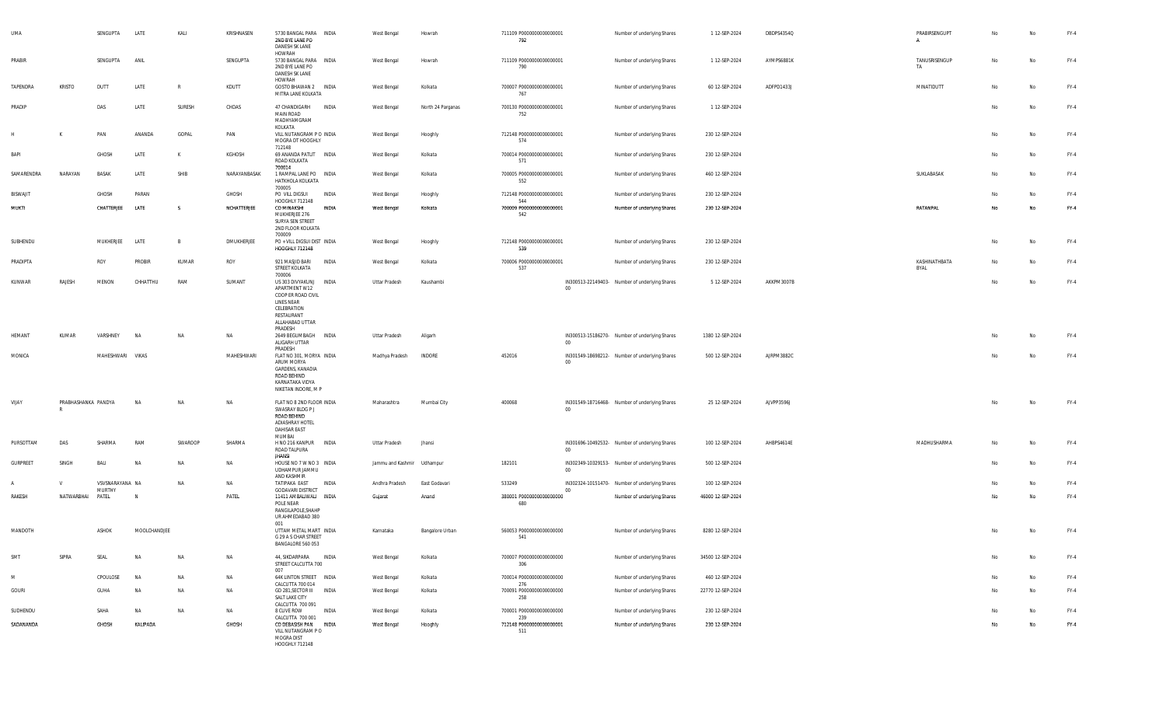| <b>UMA</b>      |                          | SENGUPTA                  | LATE         | KALI         | KRISHNASEN   | 5730 BANGAL PARA INDIA<br>2ND BYE LANE PO<br>DANESH SK LANE                                                                      |              | West Bengal                | Howrah            | 711109 P0000000000000001<br>792        |         | Number of underlying Shares                    | 1 12-SEP-2024     | DBDPS4354Q | PRABIRSENGUPT<br>A    | No | No        | $FY-4$ |
|-----------------|--------------------------|---------------------------|--------------|--------------|--------------|----------------------------------------------------------------------------------------------------------------------------------|--------------|----------------------------|-------------------|----------------------------------------|---------|------------------------------------------------|-------------------|------------|-----------------------|----|-----------|--------|
| PRABIR          |                          | SENGUPTA                  | ANIL         |              | SENGUPTA     | HOWRAH<br>5730 BANGAL PARA INDIA<br>2ND BYE LANE PO<br>DANESH SK LANE                                                            |              | West Bengal                | Howrah            | 711109 P0000000000000001<br>790        |         | Number of underlying Shares                    | 1 12-SEP-2024     | AYMPS6881K | TANUSRISENGUP<br>TA   | No | No        | FY-4   |
| TAPENDRA        | <b>KRISTO</b>            | DUTT                      | LATE         | $\mathbb{R}$ | KDUTT        | HOWRAH<br>GOSTO BHAWAN 2 INDIA<br>MITRA LANE KOLKATA                                                                             |              | West Bengal                | Kolkata           | 700007 P0000000000000001<br>767        |         | Number of underlying Shares                    | 60 12-SEP-2024    | ADFPD1433J | MINATIDUTT            | No | No        | $FY-4$ |
| PRADIP          |                          | DAS                       | LATE         | SURESH       | CHDAS        | 47 CHANDIGARH<br><b>MAIN ROAD</b><br>MADHYAMGRAM                                                                                 | INDIA        | West Bengal                | North 24 Parganas | 700130 P0000000000000001<br>752        |         | Number of underlying Shares                    | 1 12-SEP-2024     |            |                       | No | No        | FY-4   |
|                 | К                        | PAN                       | ANANDA       | GOPAL        | PAN          | KOLKATA<br>VILL NUTANGRAM P O INDIA<br>MOGRA DT HOOGHLY                                                                          |              | West Bengal                | Hooghly           | 712148 P0000000000000001<br>574        |         | Number of underlying Shares                    | 230 12-SEP-2024   |            |                       | No | No        | FY-4   |
| BAPI            |                          | GHOSH                     | LATE         |              | KGHOSH       | 712148<br>69 ANANDA PATLIT INDIA<br>ROAD KOLKATA                                                                                 |              | West Bengal                | Kolkata           | 700014 P0000000000000001<br>571        |         | Number of underlying Shares                    | 230 12-SEP-2024   |            |                       | No | No        | $FY-4$ |
| SAMARENDRA      | NARAYAN                  | BASAK                     | LATE         | SHIB         | NARAYANBASAK | 700014<br>1 RAMPAL LANE PO INDIA<br>HATKHOLA KOLKATA                                                                             |              | West Bengal                | Kolkata           | 700005 P0000000000000001<br>552        |         | Number of underlying Shares                    | 460 12-SEP-2024   |            | SUKLABASAK            | No | No        | FY-4   |
| <b>BISWAJIT</b> |                          | GHOSH                     | PARAN        |              | GHOSH        | 700005<br>PO VILL DIGSUI                                                                                                         | INDIA        | West Bengal                | Hooghly           | 712148 P0000000000000001               |         | Number of underlying Shares                    | 230 12-SEP-2024   |            |                       | No | No        | FY-4   |
| MUKTI           |                          | CHATTERJEE                | LATE         | <b>S</b>     | NCHATTERJEE  | HOOGHLY 712148<br>CO MINAKSHI<br>MUKHERJEE 276<br>SURYA SEN STREET<br>2ND FLOOR KOLKATA                                          | <b>INDIA</b> | West Bengal                | Kolkata           | 544<br>700009 P0000000000000001<br>542 |         | Number of underlying Shares                    | 230 12-SEP-2024   |            | RATANPAL              | No | <b>No</b> | $FY-4$ |
| SUBHENDU        |                          | MUKHERJEE                 | LATE         | B            | DMUKHERJEE   | 700009<br>PO + VILL DIGSUI DIST INDIA                                                                                            |              | West Bengal                | Hooghly           | 712148 P0000000000000001               |         | Number of underlying Shares                    | 230 12-SEP-2024   |            |                       | No | No        | FY-4   |
|                 |                          |                           |              |              |              | <b>HOOGHLY 712148</b>                                                                                                            |              |                            |                   | 539                                    |         |                                                |                   |            |                       |    |           |        |
| PRADIPTA        |                          | ROY                       | PROBIR       | KUMAR        | ROY          | 921 MASJID BARI<br>STREET KOLKATA<br>700006                                                                                      | INDIA        | West Bengal                | Kolkata           | 700006 P0000000000000001<br>537        |         | Number of underlying Shares                    | 230 12-SEP-2024   |            | KASHINATHBATA<br>BYAL | No | No        | $FY-4$ |
| KUNWAR          | RAJESH                   | MENON                     | CHHATTHU     | RAM          | SUMANT       | US 303 DIVYAKUNJ<br>APARTMENT W12<br>COOP ER ROAD CIVIL<br>LINES NEAR<br>CELEBRATION<br>RESTAURANT<br>ALLAHABAD UTTAR<br>PRADESH | INDIA        | Uttar Pradesh              | Kaushambi         |                                        | $00\,$  | IN300513-22149403- Number of underlying Shares | 5 12-SEP-2024     | AKKPM3007B |                       | No | No        | $FY-4$ |
| HEMANT          | KUMAR                    | VARSHNEY                  | NA           | NA           | <b>NA</b>    | 2649 BEGUMBAGH INDIA<br>ALIGARH UTTAR<br>PRADESH                                                                                 |              | Uttar Pradesh              | Aligarh           |                                        | $00\,$  | IN300513-15186270- Number of underlying Shares | 1380 12-SEP-2024  |            |                       | No | No        | FY-4   |
| MONICA          |                          | MAHESHWARI VIKAS          |              |              | MAHESHWARI   | FLAT NO 301, MORYA INDIA<br>ARUM MORYA<br>GARDENS, KANADIA<br>ROAD BEHIND<br>KARNATAKA VIDYA<br>NIKETAN INDORE, M P              |              | Madhya Pradesh             | <b>INDORE</b>     | 452016                                 | $00\,$  | IN301549-18698212- Number of underlying Shares | 500 12-SEP-2024   | AJRPM3882C |                       | No | No        | FY-4   |
| VIJAY           | PRABHASHANKA PANDYA<br>R |                           | <b>NA</b>    | NA           | <b>NA</b>    | FLAT NO 8 2ND FLOOR INDIA<br>SWASRAY BLDG P J<br>ROAD BEHIND<br>ADIASHRAY HOTEL<br>DAHISAR EAST<br>MUMBAI                        |              | Maharashtra                | Mumbai City       | 400068                                 | $00\,$  | IN301549-18716468- Number of underlying Shares | 25 12-SEP-2024    | AJVPP3596J |                       | No | No        | $FY-4$ |
| PURSOTTAM       | DAS                      | SHARMA                    | RAM          | SWAROOP      | SHARMA       | H NO 216 KANPUR<br>ROAD TALPURA<br><b>JHANSI</b>                                                                                 | INDIA        | Uttar Pradesh              | Jhansi            |                                        | $_{00}$ | IN301696-10492532- Number of underlying Shares | 100 12-SEP-2024   | AHBPS4614E | MADHUSHARMA           | No | No        | FY-4   |
| GURPREET        | SINGH                    | BALI                      | <b>NA</b>    | NA           | <b>NA</b>    | HOUSE NO 7 W NO 3 INDIA<br>UDHAMPUR JAMMU<br>AND KASHMIR                                                                         |              | Jammu and Kashmir Udhampur |                   | 182101                                 | $00\,$  | IN302349-10329153- Number of underlying Shares | 500 12-SEP-2024   |            |                       | No | No        | FY-4   |
|                 | V                        | VSVSNARAYANA NA<br>MURTHY |              | NA           | <b>NA</b>    | TATIPAKA EAST                                                                                                                    | <b>INDIA</b> | Andhra Pradesh             | East Godavari     | 533249                                 | $00\,$  | IN302324-10151470- Number of underlying Shares | 100 12-SEP-2024   |            |                       | No | No        | FY-4   |
| RAKESH          | NATWARBHAI               | PATEL                     | - N          |              | PATEL        | <b>GODAVARI DISTRICT</b><br>11411 AMBALIWALI INDIA<br>POLE NEAR<br>RANGILAPOLE, SHAHP<br>UR AHMEDABAD 380                        |              | Gujarat                    | Anand             | 380001 P00000000000000000<br>680       |         | Number of underlying Shares                    | 46000 12-SEP-2024 |            |                       | No | No        | $FY-4$ |
| MANDOTH         |                          | ASHOK                     | MOOLCHANDJEE |              |              | 001<br>UTTAM METAL MART INDIA<br>G 29 A S CHAR STREET<br>BANGALORE 560 053                                                       |              | Karnataka                  | Bangalore Urban   | 560053 P0000000000000000<br>541        |         | Number of underlying Shares                    | 8280 12-SEP-2024  |            |                       | No | No        | $FY-4$ |
| SMT             | SIPRA                    | SEAL                      | NA           | NA           | NA           | 44, SIKDARPARA<br>STREET CALCUTTA 700                                                                                            | <b>INDIA</b> | West Bengal                | Kolkata           | 700007 P00000000000000000<br>306       |         | Number of underlying Shares                    | 34500 12-SEP-2024 |            |                       | No | No        | FY-4   |
| M               |                          | CPOULOSE                  | <b>NA</b>    | NA           | NA           | 007<br>64K LINTON STREET INDIA                                                                                                   |              | West Bengal                | Kolkata           | 700014 P0000000000000000               |         | Number of underlying Shares                    | 460 12-SEP-2024   |            |                       | No | No        | $FY-4$ |
| GOURI           |                          | GUHA                      | NA           | NA           | NA           | CALCUTTA 700 014<br>GD 281, SECTOR III INDIA<br>SALT LAKE CITY                                                                   |              | West Bengal                | Kolkata           | 276<br>700091 P0000000000000000<br>258 |         | Number of underlying Shares                    | 22770 12-SEP-2024 |            |                       | No | No        | FY-4   |
| SUDHENDU        |                          | SAHA                      | NA           | NA           | NA           | CALCUTTA 700 091<br>8 CLIVE ROW                                                                                                  | <b>INDIA</b> | West Bengal                | Kolkata           | 700001 P0000000000000000               |         | Number of underlying Shares                    | 230 12-SEP-2024   |            |                       | No | No        | $FY-4$ |
| SADANANDA       |                          | <b>GHOSH</b>              | KALIPADA     |              | GHOSH        | CALCUTTA 700 001<br>CO DEBASISH PAN INDIA<br>VILL NUTANGRAM PO<br>MOGRA DIST<br>HOOGHLY 712148                                   |              | West Bengal                | Hooghly           | 239<br>712148 P0000000000000001<br>511 |         | Number of underlying Shares                    | 230 12-SEP-2024   |            |                       | No | <b>No</b> | $FY-4$ |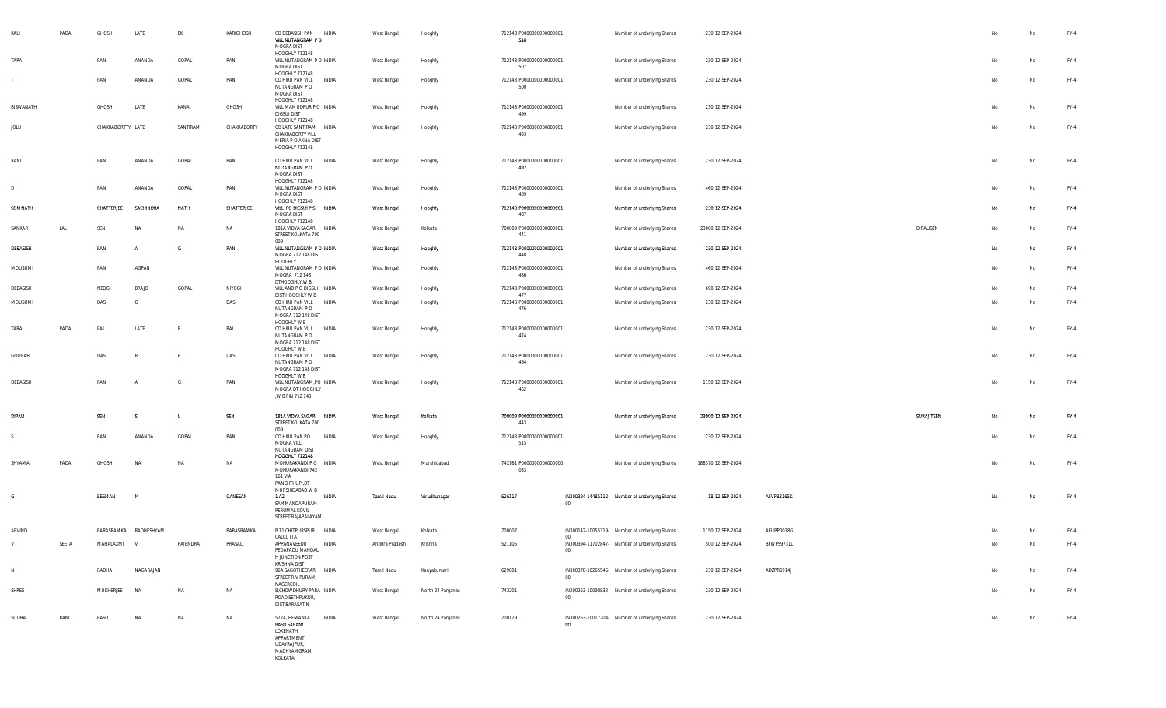| KALI             | PADA  | GHOSH             | LATE                  | EK           | KARIGHOSH   | CO DEBASISH PAN INDIA<br>VILL NUTANGRAM PO<br>MOGRA DIST<br>HOOGHLY 712148                             |              | West Bengal    | Hooghly           | 712148 P0000000000000001<br>510 |                 | Number of underlying Shares                    | 230 12-SEP-2024    |            |            | No | No        | FY-4   |
|------------------|-------|-------------------|-----------------------|--------------|-------------|--------------------------------------------------------------------------------------------------------|--------------|----------------|-------------------|---------------------------------|-----------------|------------------------------------------------|--------------------|------------|------------|----|-----------|--------|
| TAPA             |       | PAN               | ANANDA                | GOPAL        | PAN         | VILL NUTANGRAM P O INDIA<br>MOGRA DIST<br>HOOGHLY 712148                                               |              | West Bengal    | Hooghly           | 712148 P0000000000000001<br>507 |                 | Number of underlying Shares                    | 230 12-SEP-2024    |            |            | No | No        | FY-4   |
|                  |       | PAN               | ANANDA                | GOPAL        | PAN         | CO HIRU PAN VILL INDIA<br>NUTANGRAM PO<br>MOGRA DIST<br>HOOGHLY 712148                                 |              | West Bengal    | Hooghly           | 712148 P0000000000000001<br>500 |                 | Number of underlying Shares                    | 230 12-SEP-2024    |            |            | No | No        | FY-4   |
| <b>BISWANATH</b> |       | GHOSH             | LATE                  | KANAI        | GHOSH       | VILL MAMUDPUR PO INDIA<br><b>DIGSUI DIST</b><br>HOOGHLY 712148                                         |              | West Bengal    | Hooghly           | 712148 P0000000000000001<br>499 |                 | Number of underlying Shares                    | 230 12-SEP-2024    |            |            | No | No        | $FY-4$ |
| JOLU             |       | CHAKRABORTTY LATE |                       | SANTIRAM     | CHAKRABORTY | CO LATE SANTIRAM INDIA<br>CHAKRABORTY VILL<br>MERIA P O AKNA DIST<br>HOOGHLY 712148                    |              | West Bengal    | Hooghly           | 712148 P0000000000000001<br>493 |                 | Number of underlying Shares                    | 230 12-SEP-2024    |            |            | No | No        | FY-4   |
| RANI             |       | PAN               | ANANDA                | GOPAL        | PAN         | CO HIRU PAN VILL INDIA<br>NUTANGRAM PO<br>MOGRA DIST<br>HOOGHLY 712148                                 |              | West Bengal    | Hooghly           | 712148 P0000000000000001<br>492 |                 | Number of underlying Shares                    | 230 12-SEP-2024    |            |            | No | No        | $FY-4$ |
| D                |       | PAN               | ANANDA                | GOPAL        | PAN         | VILL NUTANGRAM P O INDIA<br>MOGRA DIST<br>HOOGHLY 712148                                               |              | West Bengal    | Hooghly           | 712148 P0000000000000001<br>489 |                 | Number of underlying Shares                    | 460 12-SEP-2024    |            |            | No | <b>No</b> | $FY-4$ |
| SOMNATH          |       | CHATTERJEE        | SACHINDRA             | NATH         | CHATTERJEE  | VILL PO DIGSUI P S INDIA<br>MOGRA DIST<br>HOOGHLY 712148                                               |              | West Bengal    | Hooghly           | 712148 P0000000000000001<br>487 |                 | Number of underlying Shares                    | 230 12-SEP-2024    |            |            | No | No        | $FY-4$ |
| SANKAR           | LAL   | SEN               | <b>NA</b>             | NA           | NA          | 181A VIDYA SAGAR INDIA<br>STREET KOLKATA 700<br>009                                                    |              | West Bengal    | Kolkata           | 700009 P0000000000000001<br>441 |                 | Number of underlying Shares                    | 23000 12-SEP-2024  |            | DIPALISEN  | No | No        | FY-4   |
| DEBASISH         |       | PAN               |                       | G            | PAN         | VILL NUTANGRAM P O INDIA<br>MOGRA 712 148 DIST<br>HOOGHLY                                              |              | West Bengal    | Hooghly           | 712148 P0000000000000001<br>440 |                 | Number of underlying Shares                    | 230 12-SEP-2024    |            |            | No | No        | $FY-4$ |
| MOUSUMI          |       | PAN               | AGPAN                 |              |             | VILL NUTANGRAM P O INDIA<br>MOGRA 712 148<br>DTHOOGHLY, W B                                            |              | West Bengal    | Hooghly           | 712148 P0000000000000001<br>486 |                 | Number of underlying Shares                    | 460 12-SEP-2024    |            |            | No | No        | FY-4   |
| DEBASISH         |       | NEOGI             | BRAJO                 | GOPAL        | NIYOGI      | VILL AND P O DIGSUI INDIA<br>DIST HOOGHLY W B                                                          |              | West Bengal    | Hooghly           | 712148 P0000000000000001<br>477 |                 | Number of underlying Shares                    | 690 12-SEP-2024    |            |            | No | No        | FY-4   |
| MOUSUMI          |       | DAS               | G                     |              | DAS         | CO HIRU PAN VILL INDIA<br>NUTANGRAM P O<br>MOGRA 712 148 DIST                                          |              | West Bengal    | Hooghly           | 712148 P0000000000000001<br>476 |                 | Number of underlying Shares                    | 230 12-SEP-2024    |            |            | No | No        | FY-4   |
| TARA             | PADA  | PAL               | LATE                  | F            | PAL         | HOOGHLY W B<br>CO HIRU PAN VILL<br>NUTANGRAM PO<br>MOGRA 712 148 DIST                                  | INDIA        | West Bengal    | Hooghly           | 712148 P0000000000000001<br>474 |                 | Number of underlying Shares                    | 230 12-SEP-2024    |            |            | No | No        | $FY-4$ |
| GOURAB           |       | DAS               |                       | $\mathbb{R}$ | DAS         | HOOGHLY W B<br>CO HIRU PAN VILL INDIA<br>NUTANGRAM P O<br>MOGRA 712 148 DIST                           |              | West Bengal    | Hooghly           | 712148 P0000000000000001<br>464 |                 | Number of underlying Shares                    | 230 12-SEP-2024    |            |            | No | No        | FY-4   |
| DEBASISH         |       | PAN               |                       | G            | PAN         | HOOGHLY W B<br>VILL NUTANGRAM, PO INDIA<br>MOGRA DT HOOGHLY<br>,W B PIN 712 148                        |              | West Bengal    | Hooghly           | 712148 P0000000000000001<br>462 |                 | Number of underlying Shares                    | 1150 12-SEP-2024   |            |            | No | No        | FY-4   |
| DIPALI           |       | SEN               | -S                    | L.           | SEN         | 181A VIDYA SAGAR INDIA                                                                                 |              | West Bengal    | Kolkata           | 700009 P0000000000000001        |                 | Number of underlying Shares                    | 23000 12-SEP-2024  |            | SURAJITSEN | No | No        | $FY-4$ |
| -S               |       | PAN               | ANANDA                | GOPAL        | PAN         | STREET KOLKATA 700<br>009<br>CO HIRU PAN PO                                                            | INDIA        | West Bengal    | Hooghly           | 443<br>712148 P0000000000000001 |                 | Number of underlying Shares                    | 230 12-SEP-2024    |            |            | No | No        | FY-4   |
|                  |       |                   |                       |              |             | MOGRA VILL<br>NUTANGRAM DIST<br><b>HOOGHLY 712148</b>                                                  |              |                |                   | 515                             |                 |                                                |                    |            |            |    |           |        |
| SHYAMA           | PADA  | GHOSH             | <b>NA</b>             | NA           | NA          | MOHURAKANDI P O INDIA<br>MOHURAKANDI 742<br>161 VIA<br>PANCHTHUPI,DT                                   |              | West Bengal    | Murshidabad       | 742161 P0000000000000000<br>033 |                 | Number of underlying Shares                    | 188370 12-SEP-2024 |            |            | No | No        | FY-4   |
| G                |       | BEEMAN            | M                     |              | GANESAN     | MURSHIDABAD W B<br>1 A <sub>2</sub><br>SAMMANDAPURAM<br>PERUMAL KOVIL<br>STREET RAJAPALAYAM            | INDIA        | Tamil Nadu     | Virudhunagar      | 626117                          | $00\,$          | IN300394-14485112- Number of underlying Shares | 18 12-SEP-2024     | AFVPB3165K |            | No | No        | $FY-4$ |
| ARVIND           |       |                   | PARASRAMKA RADHESHYAM |              | PARASRAMKA  | P 11 CHITPURSPUR INDIA                                                                                 |              | West Bengal    | Kolkata           | 700007                          |                 | IN300142-10055319- Number of underlying Shares | 1150 12-SEP-2024   | AFUPP0018G |            |    | Na        | FY-4   |
|                  | SEETA | MAHALAXMI         | V                     | RAJENDRA     | PRASAD      | CALCUTTA<br>APPANAVEEDU<br>PEDAPADU MANDAL<br>H JUNCTION POST                                          | <b>INDIA</b> | Andhra Pradesh | Krishna           | 521105                          | 00<br>$00\,$    | IN300394-11702847- Number of underlying Shares | 500 12-SEP-2024    | BFWPS9731L |            | No | <b>No</b> | $FY-4$ |
| N                |       | RADHA             | NAGARAJAN             |              |             | KRISHNA DIST<br>96A SAGOTHEERAR INDIA<br>STREET R V PURAM                                              |              | Tamil Nadu     | Kanyakumari       | 629001                          | $00\,$          | IN300378-10265546- Number of underlying Shares | 230 12-SEP-2024    | ADZPR6914J |            | No | No        | $FY-4$ |
| SHREE            |       | MUKHERJEE         | <b>NA</b>             | NA           | NA          | NAGERCOIL<br>8, CHOWDHURY PARA INDIA<br>ROAD SETHPUKUR,<br>DIST BARASAT N                              |              | West Bengal    | North 24 Parganas | 743201                          | 00              | IN300263-10098832- Number of underlying Shares | 230 12-SEP-2024    |            |            | No | No        | $FY-4$ |
| SUDHA            | RANI  | BASU              | NA                    | NA           | NA          | 577A, HEMANTA<br><b>BASU SARANI</b><br>LOKENATH<br>APPARTMENT<br>UDAYRAJPUR,<br>MADHYAMGRAM<br>KOLKATA | INDIA        | West Bengal    | North 24 Parganas | 700129                          | 00 <sub>o</sub> | IN300263-10017204- Number of underlying Shares | 230 12-SEP-2024    |            |            | No | No        | $FY-4$ |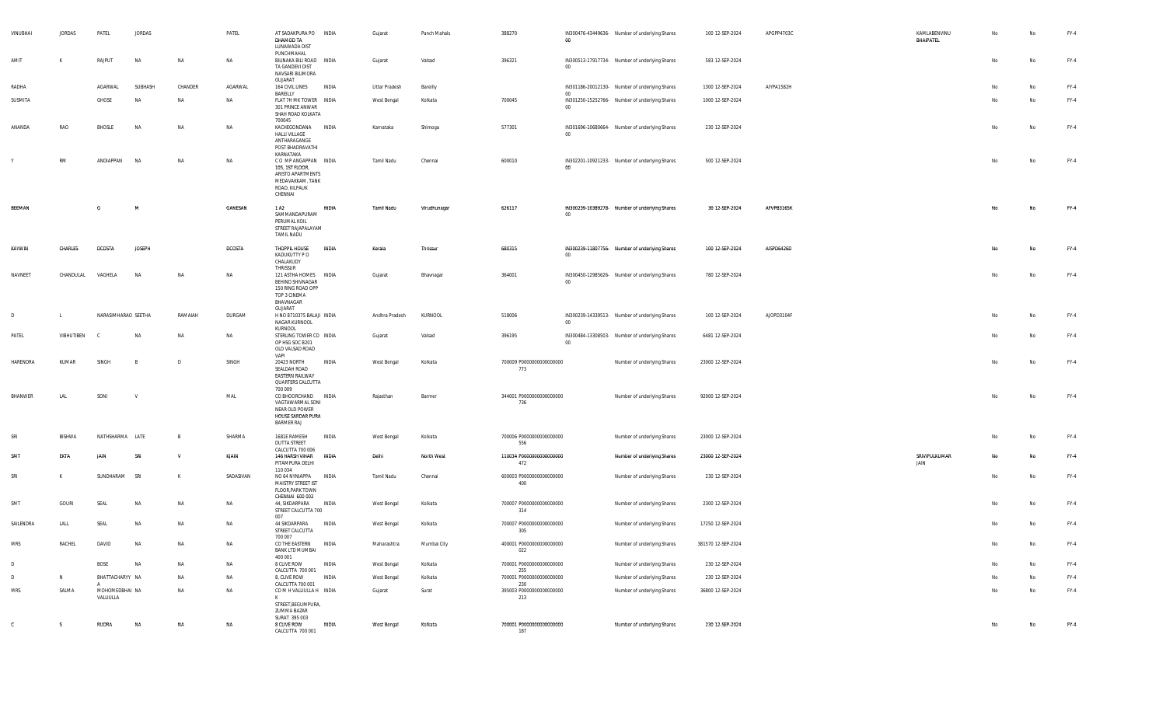| VINUBHAI        | JORDAS        | PATEL                       | JORDAS        |         | PATEL         | AT SADAKPURA PO INDIA<br>DHAMOD TA<br>LUNAWADA DIST                                                        |              | Gujarat        | Panch Mahals | 388270                          | $00\,$                | IN300476-43449636- Number of underlying Shares | 100 12-SEP-2024    | APGPP4703C | KAMLABENVINU<br>BHAIPATEL | No | No        | FY-4   |
|-----------------|---------------|-----------------------------|---------------|---------|---------------|------------------------------------------------------------------------------------------------------------|--------------|----------------|--------------|---------------------------------|-----------------------|------------------------------------------------|--------------------|------------|---------------------------|----|-----------|--------|
| AMIT            | K             | RAJPUT                      | <b>NA</b>     | NA      | NA            | PUNCHMAHAL<br>BILINAKA BILI ROAD INDIA<br>TA GANDEVI DIST<br>NAVSARI BILIMORA<br>GUJARAT                   |              | Gujarat        | Valsad       | 396321                          | $00\,$                | IN300513-17917734- Number of underlying Shares | 583 12-SEP-2024    |            |                           | No | No        | $FY-4$ |
| RADHA           |               | AGARWAL                     | SUBHASH       | CHANDER | AGARWAL       | 164 CIVIL LINES                                                                                            | INDIA        | Uttar Pradesh  | Bareilly     |                                 |                       | IN301186-20012130- Number of underlying Shares | 1300 12-SEP-2024   | AIYPA1582H |                           | No | No        | $FY-4$ |
| SUSMITA         |               | GHOSE                       | <b>NA</b>     | NA      | NA            | BAREILLY<br>FLAT 7H MK TOWER INDIA<br>301 PRINCE ANWAR<br>SHAH ROAD KOLKATA<br>700045                      |              | West Bengal    | Kolkata      | 700045                          | $00\degree$<br>$00\,$ | IN301250-15252766- Number of underlying Shares | 1000 12-SEP-2024   |            |                           | No | No        | $FY-4$ |
| ANANDA          | RAO           | BHOSLE                      | <b>NA</b>     | NA      | NA            | KACHEGONDANA INDIA<br>HALLI VILLAGE<br>ANTHARAGANGE<br>POST BHADRAVATHI<br>KARNATAKA                       |              | Karnataka      | Shimoga      | 577301                          | $00\,$                | IN301696-10680664- Number of underlying Shares | 230 12-SEP-2024    |            |                           | No | No        | FY-4   |
|                 | <b>RM</b>     | ANDIAPPAN                   | <b>NA</b>     | NA      | NA            | COMPANGAPPAN INDIA<br>105, 1ST FLOOR,<br>ARISTO APARTMENTS<br>MEDAVAKKAM, TANK<br>ROAD, KILPAUK<br>CHENNAI |              | Tamil Nadu     | Chennai      | 600010                          | <sub>00</sub>         | IN302201-10921233- Number of underlying Shares | 500 12-SEP-2024    |            |                           | No | No        | $FY-4$ |
| BEEMAN          |               | G                           | M             |         | GANESAN       | 1 A <sub>2</sub><br>SAMMANDAPURAM<br>PERUMAL KOIL<br>STREET RAJAPALAYAM<br>TAMIL NADU                      | INDIA        | Tamil Nadu     | Virudhunagar | 626117                          | $00\,$                | IN300239-10389278- Number of underlying Shares | 30 12-SEP-2024     | AFVPB3165K |                           | No | No        | $FY-4$ |
| KAYWIN          | CHARLES       | <b>DCOSTA</b>               | <b>JOSEPH</b> |         | <b>DCOSTA</b> | THOPPIL HOUSE<br>KADUKUTTY P O<br>CHALAKUDY<br>THRISSUR                                                    | INDIA        | Kerala         | Thrissur     | 680315                          | $00\degree$           | IN300239-11807756- Number of underlying Shares | 100 12-SEP-2024    | AISPD6426D |                           | No | No        | $FY-4$ |
| NAVNEET         | CHANDULAL     | VAGHELA                     | <b>NA</b>     | NA      | NA            | 121 ASTHA HOMES INDIA<br>BEHIND SHIVNAGAR<br>150 RING ROAD OPP<br>TOP 3 CINEMA<br>BHAVNAGAR<br>GUJARAT     |              | Gujarat        | Bhavnagar    | 364001                          | $00\,$                | IN300450-12985626- Number of underlying Shares | 780 12-SEP-2024    |            |                           | No | No        | $FY-4$ |
| D               | <b>L</b>      | NARASIMHARAO SEETHA         |               | RAMAIAH | DURGAM        | H NO 8710375 BALAJI INDIA<br>NAGAR KURNOOL<br>KURNOOL                                                      |              | Andhra Pradesh | KURNOOL      | 518006                          | $00\,$                | IN300239-14339513- Number of underlying Shares | 100 12-SEP-2024    | AJOPD3104F |                           | No | No        | $FY-4$ |
| PATEL           | VIBHUTIBEN    |                             | <b>NA</b>     | NA      | NA            | STERLING TOWER CO INDIA<br>OP HSG SOC B201<br>OLD VALSAD ROAD<br>VAPI                                      |              | Gujarat        | Valsad       | 396195                          | $00\,$                | IN300484-13308503- Number of underlying Shares | 6481 12-SEP-2024   |            |                           | No | No        | FY-4   |
| HARENDRA        | KUMAR         | SINGH                       | - B           | D       | SINGH         | 20423 NORTH<br>SEALDAH ROAD<br><b>EASTERN RAILWAY</b><br>QUARTERS CALCUTTA<br>700 009                      | INDIA        | West Bengal    | Kolkata      | 700009 P0000000000000000<br>773 |                       | Number of underlying Shares                    | 23000 12-SEP-2024  |            |                           | No | No        | $FY-4$ |
| BHANWER         | LAL           | SONI                        | $\mathsf{V}$  |         | MAL           | CO BHOORCHAND INDIA<br>VAGTAWARMAL SONI<br>NEAR OLD POWER<br>HOUSE SARDAR PURA<br>BARMER RAJ               |              | Rajasthan      | Barmer       | 344001 P0000000000000000<br>736 |                       | Number of underlying Shares                    | 92000 12-SEP-2024  |            |                           | No | <b>No</b> | $FY-4$ |
| SRI             | <b>BISHWA</b> | NATHSHARMA LATE             |               | B       | SHARMA        | 1681E RAMESH<br><b>DUTTA STREET</b>                                                                        | INDIA        | West Bengal    | Kolkata      | 700006 P0000000000000000<br>556 |                       | Number of underlying Shares                    | 23000 12-SEP-2024  |            |                           | No | No        | $FY-4$ |
| SM <sup>®</sup> | EKTA          |                             | SRI           | v       | KJAIN         | CALCUTTA 700 006<br>146 HARSH VIHAR<br>PITAMPURA DELHI<br>110 034                                          | <b>INDIA</b> | Delhi          | North West   | 110034 P0000000000000000<br>472 |                       | Number of underlying Shares                    | 23000 12-SEP-2024  |            | SRIVIPULKUMAR<br>JAIN     | No | No        | $FY-4$ |
| SRI             | K             | SUNDHARAM                   | SRI           | К       | SADASIVAN     | NO 64 NYNIAPPA INDIA<br>MAISTRY STREET IST<br>FLOOR, PARK TOWN<br>CHENNAI 600 003                          |              | Tamil Nadu     | Chennai      | 600003 P0000000000000000<br>400 |                       | Number of underlying Shares                    | 230 12-SEP-2024    |            |                           | No | No        | $FY-4$ |
| SMT             | GOURI         | SEAL                        | NA            | NA      | NA            | 44, SIKDARPARA<br>STREET CALCUTTA 700<br>007                                                               | INDIA        | West Bengal    | Kolkata      | 700007 P0000000000000000<br>314 |                       | Number of underlying Shares                    | 2300 12-SEP-2024   |            |                           | No | No        | $FY-4$ |
| SAILENDRA       | LALL          | SEAL                        | <b>NA</b>     | NA      | NA            | 44 SIKDARPARA<br>STREET CALCUTTA<br>700 007                                                                | INDIA        | West Bengal    | Kolkata      | 700007 P0000000000000000<br>305 |                       | Number of underlying Shares                    | 17250 12-SEP-2024  |            |                           | No | No        | $FY-4$ |
| <b>MRS</b>      | RACHEL        | DAVID                       |               | NΔ      | NA            | CO THE EASTERN<br>BANK LTD MUMBAI<br>400 001                                                               | <b>INDIA</b> | Maharashtra    | Mumbai City  | 400001 P0000000000000000<br>022 |                       | Number of underlying Shares                    | 381570 12-SEP-2024 |            |                           |    | No        | $FY-4$ |
| D               |               | BOSE                        | NA            | NA      | NA            | 8 CLIVE ROW<br>CALCUTTA 700 001                                                                            | INDIA        | West Bengal    | Kolkata      | 700001 P0000000000000000<br>255 |                       | Number of underlying Shares                    | 230 12-SEP-2024    |            |                           | No | No        | $FY-4$ |
| D               | N             | BHATTACHARYY NA             |               | NA      | NA            | 8, CLIVE ROW<br>CALCUTTA 700 001                                                                           | INDIA        | West Bengal    | Kolkata      | 700001 P0000000000000000<br>230 |                       | Number of underlying Shares                    | 230 12-SEP-2024    |            |                           | No | No        | FY-4   |
| MRS             | SALMA         | MOHOMEDBHAI NA<br>VALLIULLA |               | NA      | NA            | COMHVALLIULLAH INDIA<br>к<br>STREET, BEGUMPURA,                                                            |              | Gujarat        | Surat        | 395003 P0000000000000000<br>213 |                       | Number of underlying Shares                    | 36800 12-SEP-2024  |            |                           | No | No        | $FY-4$ |
| $\mathbf{c}$    | S.            | RUDRA                       | <b>NA</b>     | NA      | NA            | ZUMMA BAZAR<br>SURAT 395 003<br>8 CLIVE ROW<br>CALCUTTA 700 001                                            | INDIA        | West Bengal    | Kolkata      | 700001 P0000000000000000<br>187 |                       | Number of underlying Shares                    | 230 12-SEP-2024    |            |                           | No | No        | $FY-4$ |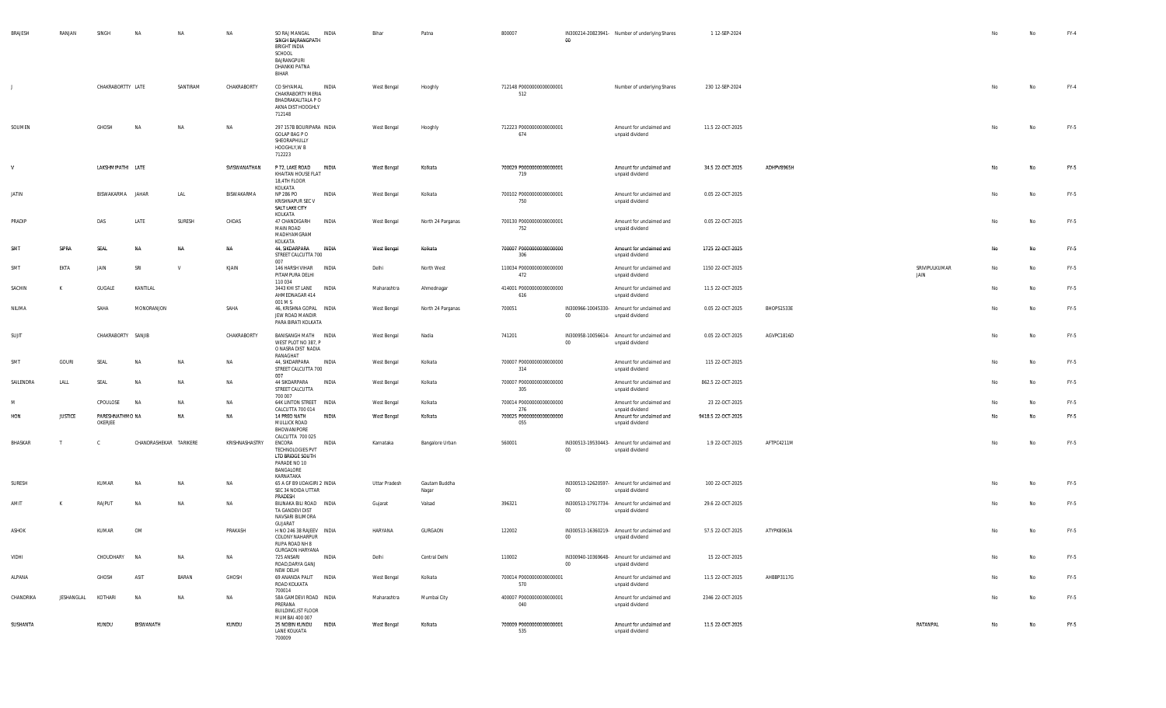| BRAJESH      | RANJAN         | SINGH                      | <b>NA</b>              | NA        | NA             | SO RAJ MANGAL<br>SINGH BAJRANGPATH<br><b>BRIGHT INDIA</b><br>SCHOOL<br>BAJRANGPURI<br>DHANKKI PATNA<br>BIHAR | INDIA        | Bihar         | Patna                  | 800007                           | 00     | IN300214-20823941- Number of underlying Shares                 | 1 12-SEP-2024      |            |                       | No        | No | $FY-4$ |
|--------------|----------------|----------------------------|------------------------|-----------|----------------|--------------------------------------------------------------------------------------------------------------|--------------|---------------|------------------------|----------------------------------|--------|----------------------------------------------------------------|--------------------|------------|-----------------------|-----------|----|--------|
| $\mathbf{J}$ |                | CHAKRABORTTY LATE          |                        | SANTIRAM  | CHAKRABORTY    | CO SHYAMAL<br>CHAKRABORTY MERIA<br>BHADRAKALITALA P O<br>AKNA DIST HOOGHLY<br>712148                         | INDIA        | West Bengal   | Hooghly                | 712148 P0000000000000001<br>512  |        | Number of underlying Shares                                    | 230 12-SEP-2024    |            |                       |           | No | $FY-4$ |
| SOUMEN       |                | GHOSH                      | N                      | NA        | NA             | 297 157B BOURIPARA INDIA<br>GOLAP BAG P O<br>SHEORAPHULLY<br>HOOGHLY, W B<br>712223                          |              | West Bengal   | Hooghly                | 712223 P0000000000000001<br>674  |        | Amount for unclaimed and<br>unpaid dividend                    | 11.5 22-OCT-2025   |            |                       |           | No | FY-5   |
| V            |                | LAKSHMIPATHI LATE          |                        |           | SVISWANATHAN   | P 72, LAKE ROAD<br>KHAITAN HOUSE FLAT<br>18,4TH FLOOR<br>KOLKATA                                             | INDIA        | West Bengal   | Kolkata                | 700029 P00000000000000001<br>719 |        | Amount for unclaimed and<br>unpaid dividend                    | 34.5 22-OCT-2025   | ADHPV8965H |                       |           | No | $FY-5$ |
| JATIN        |                | BISWAKARMA JAHAR           |                        | LAL       | BISWAKARMA     | NP 286 PO<br>KRISHNAPUR SEC V<br>SALT LAKE CITY<br>KOLKATA                                                   | INDIA        | West Bengal   | Kolkata                | 700102 P0000000000000001<br>750  |        | Amount for unclaimed and<br>unpaid dividend                    | 0.05 22-OCT-2025   |            |                       | No        | No | FY-5   |
| PRADIP       |                | DAS                        | LATE                   | SURESH    | CHDAS          | 47 CHANDIGARH<br><b>MAIN ROAD</b><br>MADHYAMGRAM<br>KOLKATA                                                  | <b>INDIA</b> | West Bengal   | North 24 Parganas      | 700130 P0000000000000001<br>752  |        | Amount for unclaimed and<br>unpaid dividend                    | 0.05 22-OCT-2025   |            |                       | No        | No | FY-5   |
| SMT          | SIPRA          | SEAL                       | <b>NA</b>              | NA        | NA             | 44, SIKDARPARA INDIA<br>STREET CALCUTTA 700<br>007                                                           |              | West Bengal   | Kolkata                | 700007 P0000000000000000<br>306  |        | Amount for unclaimed and<br>unpaid dividend                    | 1725 22-OCT-2025   |            |                       | <b>No</b> | No | FY-5   |
| SMT          | EKTA           | JAIN                       | SRI                    | <b>V</b>  | KJAIN          | 146 HARSH VIHAR INDIA<br>PITAMPURA DELHI<br>110 034                                                          |              | Delhi         | North West             | 110034 P0000000000000000<br>472  |        | Amount for unclaimed and<br>unpaid dividend                    | 1150 22-OCT-2025   |            | SRIVIPULKUMAR<br>JAIN | No        | No | FY-5   |
| SACHIN       | K              | GUGALE                     | KANTILAL               |           |                | 3443 KHI ST LANE INDIA<br>AHMEDNAGAR 414<br>001 M S                                                          |              | Maharashtra   | Ahmednagar             | 414001 P0000000000000000<br>616  |        | Amount for unclaimed and<br>unpaid dividend                    | 11.5 22-OCT-2025   |            |                       | No        | No | $FY-5$ |
| NILIMA       |                | SAHA                       | MONORANJON             |           | SAHA           | 46, KRISHNA GOPAL INDIA<br>JEW ROAD MANDIR<br>PARA BIRATI KOLKATA                                            |              | West Bengal   | North 24 Parganas      | 700051                           | $00\,$ | IN300966-10045330- Amount for unclaimed and<br>unpaid dividend | 0.05 22-OCT-2025   | BHOPS1533E |                       | No        | No | FY-5   |
| SUJIT        |                | CHAKRABORTY SANJIB         |                        |           | CHAKRABORTY    | BANISANGH MATH INDIA<br>WEST PLOT NO 387, P<br>O NASRA DIST NADIA<br>RANAGHAT                                |              | West Bengal   | Nadia                  | 741201                           | 00     | IN300958-10056614- Amount for unclaimed and<br>unpaid dividend | 0.05 22-OCT-2025   | AGVPC1816D |                       | No        | No | FY-5   |
| SMT          | GOURI          | SEAL                       | <b>NA</b>              | NA        | NA             | 44, SIKDARPARA INDIA<br>STREET CALCUTTA 700<br>007                                                           |              | West Bengal   | Kolkata                | 700007 P0000000000000000<br>314  |        | Amount for unclaimed and<br>unpaid dividend                    | 115 22-OCT-2025    |            |                       |           | No | FY-5   |
| SAILENDRA    | LALL           | SEAL                       | <b>NA</b>              | NA        | NA             | 44 SIKDARPARA<br>STREET CALCUTTA<br>700 007                                                                  | <b>INDIA</b> | West Bengal   | Kolkata                | 700007 P0000000000000000<br>305  |        | Amount for unclaimed and<br>unpaid dividend                    | 862.5 22-OCT-2025  |            |                       | No        | No | FY-5   |
| M            |                | CPOULOSE                   | <b>NA</b>              | NA        | NA             | 64K LINTON STREET INDIA<br>CALCUTTA 700 014                                                                  |              | West Bengal   | Kolkata                | 700014 P0000000000000000<br>276  |        | Amount for unclaimed and<br>unpaid dividend                    | 23 22-OCT-2025     |            |                       | No        | No | FY-5   |
| HON          | <b>JUSTICE</b> | PARESHNATHMO NA<br>OKERJEE |                        | NA        | NA             | 14 PREO NATH<br>MULLICK ROAD<br>BHOWANIPORE                                                                  | INDIA        | West Bengal   | Kolkata                | 700025 P0000000000000000<br>055  |        | Amount for unclaimed and<br>unpaid dividend                    | 9418.5 22-OCT-2025 |            |                       | No        | No | FY-5   |
| BHASKAR      |                | C.                         | CHANDRASHEKAR TARIKERE |           | KRISHNASHASTRY | CALCUTTA 700 025<br>ENCORA<br>TECHNOLOGIES PVT<br>LTD BRIDGE SOUTH<br>PARADE NO 10<br>BANGALORE<br>KARNATAKA | INDIA        | Karnataka     | Bangalore Urban        | 560001                           | 00     | IN300513-19530443- Amount for unclaimed and<br>unpaid dividend | 1.9 22-OCT-2025    | AFTPC4211M |                       | No        | No | FY-5   |
| SURESH       |                | KUMAR                      | <b>NA</b>              | NA        | NA             | 65 A GF B9 UDAIGIRI 2 INDIA<br>SEC 34 NOIDA UTTAR<br>PRADESH                                                 |              | Uttar Pradesh | Gautam Buddha<br>Nagar |                                  | $00\,$ | IN300513-12620597- Amount for unclaimed and<br>unpaid dividend | 100 22-OCT-2025    |            |                       | No        | No | FY-5   |
| AMIT         |                | RAJPUT                     | <b>NA</b>              | NA        | NA             | BILINAKA BILI ROAD INDIA<br>TA GANDEVI DIST<br>NAVSARI BILIMORA<br>GUJARAT                                   |              | Gujarat       | Valsad                 | 396321                           | 00     | IN300513-17917734- Amount for unclaimed and<br>unpaid dividend | 29.6 22-OCT-2025   |            |                       |           | No | FY-5   |
| ASHOK        |                | KUMAR                      | OM                     |           | PRAKASH        | H NO 246 38 RAJEEV INDIA<br>COLONY NAHARPUR<br>RUPA ROAD NH 8<br><b>GURGAON HARYANA</b>                      |              | HARYANA       | GURGAON                | 122002                           | 00     | IN300513-16360219- Amount for unclaimed and<br>unpaid dividend | 57.5 22-OCT-2025   | ATYPK8063A |                       |           | No | FY-5   |
| VIDHI        |                | CHOUDHARY                  | <b>NA</b>              | <b>NA</b> | NA             | 725 ANSARI<br>ROAD, DARYA GANJ<br>NEW DELHI                                                                  | INDIA        | Delhi         | Central Delhi          | 110002                           | $00\,$ | IN300940-10369648- Amount for unclaimed and<br>unpaid dividend | 15 22-OCT-2025     |            |                       |           | No | FY-5   |
| ALPANA       |                | GHOSH                      | ASIT                   | BARAN     | GHOSH          | 69 ANANDA PALIT INDIA<br>ROAD KOLKATA<br>700014                                                              |              | West Bengal   | Kolkata                | 700014 P0000000000000001<br>570  |        | Amount for unclaimed and<br>unpaid dividend                    | 11.5 22-OCT-2025   | AHBBP3117G |                       |           | No | FY-5   |
| CHANDRIKA    | JESHANGLAL     | KOTHARI                    | <b>NA</b>              | NA        | NA             | 58A GAMDEVI ROAD INDIA<br>PRERANA<br><b>BUILDING, IST FLOOR</b>                                              |              | Maharashtra   | Mumbai City            | 400007 P0000000000000001<br>040  |        | Amount for unclaimed and<br>unpaid dividend                    | 2346 22-OCT-2025   |            |                       | No        | No | FY-5   |
| SUSHANTA     |                | KUNDU                      | BISWANATH              |           | KUNDU          | MUMBAI 400 007<br>25 NOBIN KUNDU INDIA<br>LANE KOLKATA<br>700009                                             |              | West Bengal   | Kolkata                | 700009 P00000000000000001<br>535 |        | Amount for unclaimed and<br>unpaid dividend                    | 11.5 22-OCT-2025   |            | RATANPAL              | No        | No | $FY-5$ |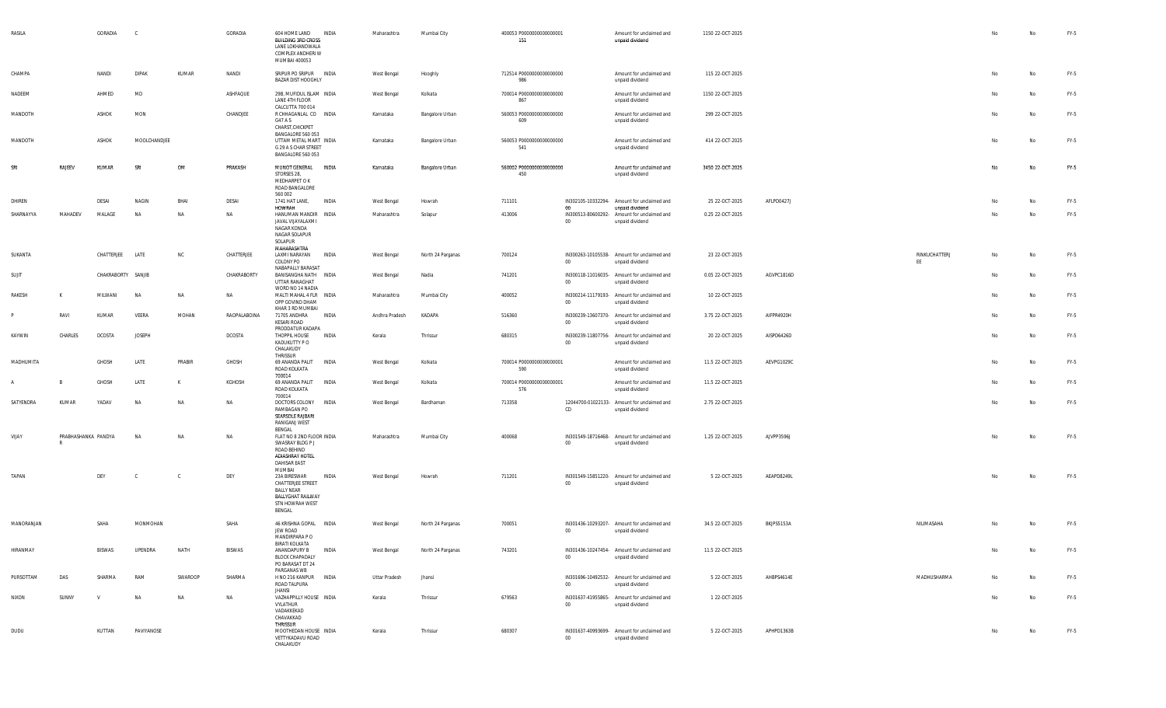| RASILA     |                          | GORADIA            | $\mathbb{C}$  |         | GORADIA      | 604 HOME LAND<br><b>BUILDING 3RD CROSS</b><br>LANE LOKHANDWALA<br>COMPLEX ANDHERI W<br>MUMBAI 400053            | <b>INDIA</b> | Maharashtra    | Mumbai City       | 400053 P0000000000000001<br>151 |        | Amount for unclaimed and<br>unpaid dividend                                       | 1150 22-OCT-2025 |            |                     | No | No        | FY-5   |
|------------|--------------------------|--------------------|---------------|---------|--------------|-----------------------------------------------------------------------------------------------------------------|--------------|----------------|-------------------|---------------------------------|--------|-----------------------------------------------------------------------------------|------------------|------------|---------------------|----|-----------|--------|
| CHAMPA     |                          | NANDI              | <b>DIPAK</b>  | KUMAR   | NANDI        | SRIPUR PO SRIPUR INDIA<br>BAZAR DIST HOOGHLY                                                                    |              | West Bengal    | Hooghly           | 712514 P0000000000000000<br>986 |        | Amount for unclaimed and<br>unpaid dividend                                       | 115 22-OCT-2025  |            |                     | No | No        | FY-5   |
| NADEEM     |                          | AHMED              | MD            |         | ASHFAQUE     | 29B, MUFIDUL ISLAM INDIA<br>LANE 4TH FLOOR                                                                      |              | West Bengal    | Kolkata           | 700014 P0000000000000000<br>867 |        | Amount for unclaimed and<br>unpaid dividend                                       | 1150 22-OCT-2025 |            |                     | No | No        | FY-5   |
| MANDOTH    |                          | ASHOK              | MON           |         | CHANDJEE     | CALCUTTA 700 014<br>R CHHAGANLAL CO INDIA<br>G47 A S<br>CHARST, CHICKPET                                        |              | Karnataka      | Bangalore Urban   | 560053 P0000000000000000<br>609 |        | Amount for unclaimed and<br>unpaid dividend                                       | 299 22-OCT-2025  |            |                     | No | No        | FY-5   |
| MANDOTH    |                          | ASHOK              | MOOLCHANDJEE  |         |              | BANGALORE 560 053<br>UTTAM METAL MART INDIA<br>G 29 A S CHAR STREET<br>BANGALORE 560 053                        |              | Karnataka      | Bangalore Urban   | 560053 P0000000000000000<br>541 |        | Amount for unclaimed and<br>unpaid dividend                                       | 414 22-OCT-2025  |            |                     | No | <b>No</b> | FY-5   |
| SRI        | RAJEEV                   | KUMAR              | SRI           | OM      | PRAKASH      | MUNOT GENERAL INDIA<br>STORSES 28,<br>MEDHARPET O K<br>ROAD BANGALORE<br>560 002                                |              | Karnataka      | Bangalore Urban   | 560002 P0000000000000000<br>450 |        | Amount for unclaimed and<br>unpaid dividend                                       | 3450 22-OCT-2025 |            |                     | No | No        | $FY-5$ |
| DHIREN     |                          | DESAI              | NAGIN         | BHAI    | DESAI        | 1741 HAT LANE,<br>HOWRAH                                                                                        | INDIA        | West Bengal    | Howrah            | 711101                          | 00     | IN302105-10332294- Amount for unclaimed and                                       | 25 22-OCT-2025   | AFLPD0427J |                     | No | No        | FY-5   |
| SHARNAYYA  | MAHADEV                  | MALAGE             | <b>NA</b>     | NA      | NA           | HANUMAN MANDIR INDIA<br>JAVAL VIJAYALAXMI<br>NAGAR KONDA<br>NAGAR SOLAPUR<br>SOLAPUR<br>MAHARASHTRA             |              | Maharashtra    | Solapur           | 413006                          | $00\,$ | unpaid dividend<br>IN300513-80600292- Amount for unclaimed and<br>unpaid dividend | 0.25 22-OCT-2025 |            |                     | No | No        | FY-5   |
| SUKANTA    |                          | CHATTERJEE LATE    |               | NC      | CHATTERJEE   | LAXMI NARAYAN<br>COLONY PO<br>NABAPALLY BARASAT                                                                 | INDIA        | West Bengal    | North 24 Parganas | 700124                          | $00\,$ | IN300263-10105538- Amount for unclaimed and<br>unpaid dividend                    | 23 22-OCT-2025   |            | RINKUCHATTERJ<br>EE | No | No        | FY-5   |
| SUJIT      |                          | CHAKRABORTY SANJIB |               |         | CHAKRABORTY  | BANISANGHA NATH INDIA<br>UTTAR RANAGHAT<br>WORD NO 14 NADIA                                                     |              | West Bengal    | Nadia             | 741201                          | $00\,$ | IN300118-11016035- Amount for unclaimed and<br>unpaid dividend                    | 0.05 22-OCT-2025 | AGVPC1816D |                     | No | No        | FY-5   |
| RAKESH     | K                        | MILWANI            | <b>NA</b>     | NA      | NA           | MALTI MAHAL 4 FLR INDIA<br>OPP GOVIND DHAM<br>KHAR 3 RD MUMBAI                                                  |              | Maharashtra    | Mumbai City       | 400052                          | $00\,$ | IN300214-11179193- Amount for unclaimed and<br>unpaid dividend                    | 10 22-OCT-2025   |            |                     | No | <b>No</b> | FY-5   |
|            | RAVI                     | KUMAR              | VEERA         | MOHAN   | RAOPALABOINA | 71705 ANDHRA<br>KESARI ROAD                                                                                     | <b>INDIA</b> | Andhra Pradesh | KADAPA            | 516360                          | $00\,$ | IN300239-13607370- Amount for unclaimed and<br>unpaid dividend                    | 3.75 22-OCT-2025 | AIFPR4920H |                     | No | <b>No</b> | FY-5   |
| KAYWIN     | CHARLES                  | DCOSTA             | <b>JOSEPH</b> |         | DCOSTA       | PRODDATUR KADAPA<br>THOPPIL HOUSE<br>KADUKUTTY P O<br>CHALAKUDY<br>THRISSUR                                     | INDIA        | Kerala         | Thrissur          | 680315                          | $00\,$ | IN300239-11807756- Amount for unclaimed and<br>unpaid dividend                    | 20 22-OCT-2025   | AISPD6426D |                     | No | <b>No</b> | FY-5   |
| MADHUMITA  |                          | GHOSH              | LATE          | PRABIR  | GHOSH        | 69 ANANDA PALIT INDIA<br>ROAD KOLKATA<br>700014                                                                 |              | West Bengal    | Kolkata           | 700014 P0000000000000001<br>590 |        | Amount for unclaimed and<br>unpaid dividend                                       | 11.5 22-OCT-2025 | AEVPG1029C |                     | No | <b>No</b> | FY-5   |
|            |                          | GHOSH              | LATE          | К       | KGHOSH       | 69 ANANDA PALIT INDIA<br>ROAD KOLKATA<br>700014                                                                 |              | West Bengal    | Kolkata           | 700014 P0000000000000001<br>576 |        | Amount for unclaimed and<br>unpaid dividend                                       | 11.5 22-OCT-2025 |            |                     | No | <b>No</b> | FY-5   |
| SATYENDRA  | KUMAR                    | YADAV              | <b>NA</b>     | NA      | NA           | DOCTORS COLONY INDIA<br>RAMBAGAN PO<br>SEARSOLE RAJBARI<br>RANIGANJ WEST<br>BENGAL                              |              | West Bengal    | Bardhaman         | 713358                          | CD     | 12044700-01022133- Amount for unclaimed and<br>unpaid dividend                    | 2.75 22-OCT-2025 |            |                     | No | <b>No</b> | FY-5   |
| VIJAY      | PRABHASHANKA PANDYA<br>R |                    | NA            | NA      | NA           | FLAT NO 8 2ND FLOOR INDIA<br>SWASRAY BLDG P J<br>ROAD BEHIND<br>ADIASHRAY HOTEL<br>DAHISAR EAST<br>MUMBAI       |              | Maharashtra    | Mumbai City       | 400068                          | 00     | IN301549-18716468- Amount for unclaimed and<br>unpaid dividend                    | 1.25 22-OCT-2025 | AJVPP3596J |                     | No | No        | FY-5   |
| TAPAN      |                          | DEY                | C             | C.      | DEY          | 23A BIRESWAR<br>CHATTERJEE STREET<br><b>BALLY NEAR</b><br><b>BALLYGHAT RAILWAY</b><br>STN HOWRAH WEST<br>BENGAL | INDIA        | West Bengal    | Howrah            | 711201                          | $00\,$ | IN301549-15851220- Amount for unclaimed and<br>unpaid dividend                    | 5 22-OCT-2025    | AEAPD8249L |                     | No | No        | FY-5   |
| MANORANJAN |                          | SAHA               | MONMOHAN      |         | SAHA         | 46 KRISHNA GOPAL INDIA<br>JEW ROAD<br>MANDIRPARA PO<br><b>BIRATI KOLKATA</b>                                    |              | West Bengal    | North 24 Parganas | 700051                          | $00\,$ | IN301436-10293207- Amount for unclaimed and<br>unpaid dividend                    | 34.5 22-OCT-2025 | BKJPS5153A | NILIMASAHA          | No | No        | FY-5   |
| HIRANMAY   |                          | BISWAS             | UPENDRA       | NATH    | BISWAS       | ANANDAPURY B<br><b>BLOCK CHAPADALY</b><br>PO BARASAT DT 24<br>PARGANAS WB                                       | INDIA        | West Bengal    | North 24 Parganas | 743201                          | $00\,$ | IN301436-10247454- Amount for unclaimed and<br>unpaid dividend                    | 11.5 22-OCT-2025 |            |                     | No | No        | FY-5   |
| PURSOTTAM  | DAS                      | SHARMA             | RAM           | SWAROOP | SHARMA       | H NO 216 KANPUR INDIA<br>ROAD TALPURA<br><b>JHANSI</b>                                                          |              | Uttar Pradesh  | Jhansi            |                                 | 00     | IN301696-10492532- Amount for unclaimed and<br>unpaid dividend                    | 5 22-OCT-2025    | AHBPS4614E | MADHUSHARMA         | No | No        | FY-5   |
| NIXON      | SUNNY                    | V                  | <b>NA</b>     | NA      | NA           | VAZHAPPILLY HOUSE INDIA<br>VYLATHUR<br>VADAKKEKAD<br>CHAVAKKAD<br>THRISSUR                                      |              | Kerala         | Thrissur          | 679563                          | $00\,$ | IN301637-41955865- Amount for unclaimed and<br>unpaid dividend                    | 1 22-OCT-2025    |            |                     | No | No        | FY-5   |
| DUDU       |                          | KUTTAN             | PAVIYANOSE    |         |              | MOOTHEDAN HOUSE INDIA<br>VETTYKADAVU ROAD<br>CHALAKUDY                                                          |              | Kerala         | Thrissur          | 680307                          | $00\,$ | IN301637-40993699- Amount for unclaimed and<br>unpaid dividend                    | 5 22-OCT-2025    | APHPD1363B |                     | No | No        | FY-5   |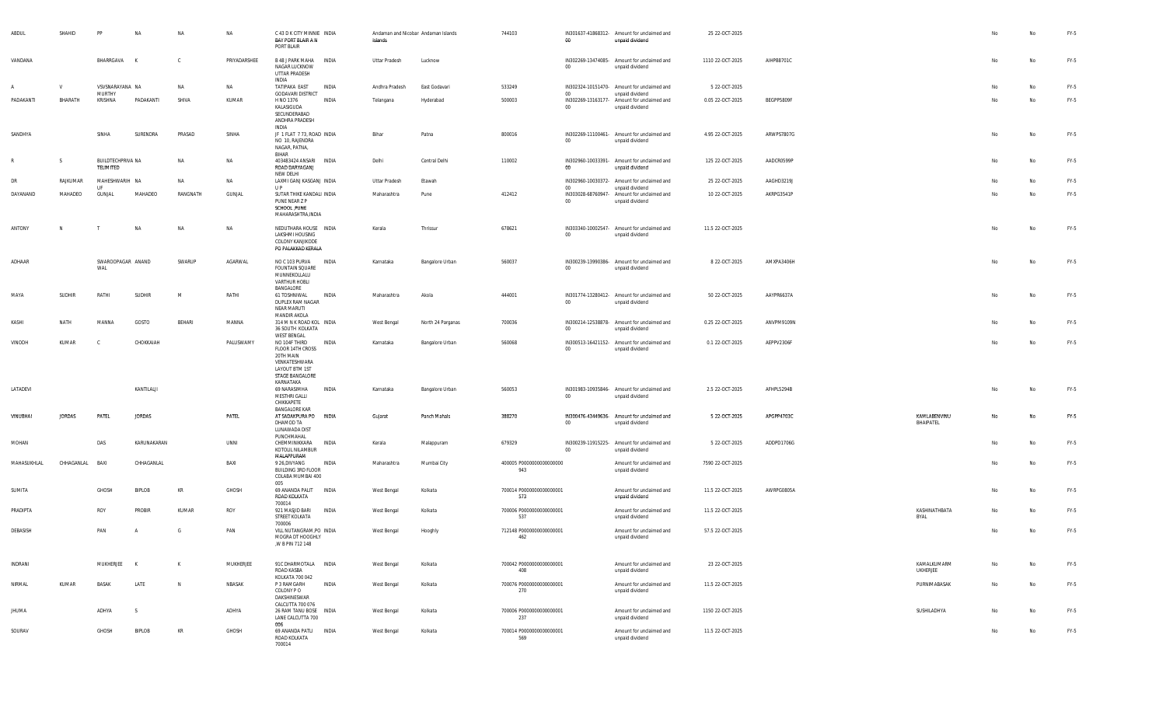| ABDUL        | SHAHID        | PP                             | NA            | NA           | <b>NA</b>    | C 43 D K CITY MINNIE INDIA<br>BAY PORT BLAIR A N<br>PORT BLAIR                                                    |              | Andaman and Nicobar Andaman Islands<br>Islands |                   | 744103                          | 00     | IN301637-41868312- Amount for unclaimed and<br>unpaid dividend | 25 22-OCT-2025   |            |                           |    | No | FY-5   |
|--------------|---------------|--------------------------------|---------------|--------------|--------------|-------------------------------------------------------------------------------------------------------------------|--------------|------------------------------------------------|-------------------|---------------------------------|--------|----------------------------------------------------------------|------------------|------------|---------------------------|----|----|--------|
| VANDANA      |               | BHARRGAVA                      |               | $\mathsf{C}$ | PRIYADARSHEE | B 48 J PARK MAHA INDIA<br>NAGAR LUCKNOW<br>UTTAR PRADESH                                                          |              | Uttar Pradesh                                  | Lucknow           |                                 | $00\,$ | IN302269-13474085- Amount for unclaimed and<br>unpaid dividend | 1110 22-OCT-2025 | AIHPB8701C |                           | No | No | FY-5   |
| $\mathsf{A}$ | $\mathsf{V}$  | VSVSNARAYANA NA                |               | NA           | <b>NA</b>    | INDIA<br>TATIPAKA EAST                                                                                            | INDIA        | Andhra Pradesh                                 | East Godavari     | 533249                          |        | IN302324-10151470- Amount for unclaimed and                    | 5 22-OCT-2025    |            |                           | No | No | FY-5   |
| PADAKANTI    | BHARATH       | MURTHY<br>KRISHNA              | PADAKANTI     | SHIVA        | KUMAR        | <b>GODAVARI DISTRICT</b><br>H NO 1376                                                                             | INDIA        | Telangana                                      | Hyderabad         | 500003                          | 00     | unpaid dividend<br>IN302269-13163177- Amount for unclaimed and | 0.05 22-OCT-2025 | BEGPP5809F |                           | No | No | FY-5   |
|              |               |                                |               |              |              | KALASIGUDA<br>SECUNDERABAD<br>ANDHRA PRADESH<br>INDIA                                                             |              |                                                |                   |                                 | $00\,$ | unpaid dividend                                                |                  |            |                           |    |    |        |
| SANDHYA      |               | SINHA                          | SURENDRA      | PRASAD       | SINHA        | JF 1 FLAT 7 73, ROAD INDIA<br>NO 10, RAJENDRA<br>NAGAR, PATNA,<br>BIHAR                                           |              | Bihar                                          | Patna             | 800016                          | $00\,$ | IN302269-11100461- Amount for unclaimed and<br>unpaid dividend | 4.95 22-OCT-2025 | ARWPS7807G |                           | No | No | FY-5   |
| R            | S             | BUILDTECHPRIVA NA<br>TELIMITED |               | NA           | <b>NA</b>    | 403483424 ANSARI INDIA<br>ROAD DARYAGANJ<br>NEW DELHI                                                             |              | Delhi                                          | Central Delhi     | 110002                          | 00     | IN302960-10033391- Amount for unclaimed and<br>unpaid dividend | 125 22-OCT-2025  | AADCR0599P |                           | No | No | FY-5   |
| DR           | RAJKUMAR      | MAHESHWARIH NA<br><b>LIF</b>   |               | <b>NA</b>    | NA           | LAXMI GANJ KASGANJ INDIA<br>U P                                                                                   |              | Uttar Pradesh                                  | Etawah            |                                 | $00\,$ | IN302960-10030372- Amount for unclaimed and<br>unpaid dividend | 25 22-OCT-2025   | AAGHD3219J |                           | No | No | FY-5   |
| DAYANAND     | MAHADEO       | GUNJAL                         | MAHADEO       | RANGNATH     | GUNJAL       | SUTAR THIKE KANDALI INDIA<br>PUNE NEAR Z P<br>SCHOOL , PUNE<br>MAHARASHTRA, INDIA                                 |              | Maharashtra                                    | Pune              | 412412                          | $00\,$ | IN303028-68760947- Amount for unclaimed and<br>unpaid dividend | 10 22-OCT-2025   | AKRPG3541P |                           | No | No | FY-5   |
| ANTONY       | N             |                                | <b>NA</b>     | NA           | NA           | NEDUTHARA HOUSE INDIA<br>LAKSHMI HOUSING                                                                          |              | Kerala                                         | Thrissur          | 678621                          | 00     | IN303340-10002547- Amount for unclaimed and<br>unpaid dividend | 11.5 22-OCT-2025 |            |                           | No | No | FY-5   |
|              |               |                                |               |              |              | COLONY KANJIKODE<br>PO PALAKKAD KERALA                                                                            |              |                                                |                   |                                 |        |                                                                |                  |            |                           |    |    |        |
| ADHAAR       |               | SWAROOPAGAR ANAND<br>WAL       |               | SWARUP       | AGARWAL      | NO C 103 PURVA INDIA<br><b>FOUNTAIN SQUARE</b><br>MUNNEKOLLALU<br>VARTHUR HOBLI                                   |              | Karnataka                                      | Bangalore Urban   | 560037                          | $00\,$ | IN300239-13990386- Amount for unclaimed and<br>unpaid dividend | 8 22-OCT-2025    | AMXPA3406H |                           | No | No | $FY-5$ |
| MAYA         | SUDHIR        | RATHI                          | <b>SUDHIR</b> | M            | RATHI        | BANGALORE<br>61 TOSHNIWAL                                                                                         | <b>INDIA</b> | Maharashtra                                    | Akola             | 444001                          |        | IN301774-13280412- Amount for unclaimed and                    | 50 22-OCT-2025   | AAYPR6637A |                           | No | No | FY-5   |
|              |               |                                |               |              |              | DUPLEX RAM NAGAR<br>NEAR MARUTI<br>MANDIR AKOLA                                                                   |              |                                                |                   |                                 | $00\,$ | unpaid dividend                                                |                  |            |                           |    |    |        |
| KASHI        | NATH          | MANNA                          | GOSTO         | BEHARI       | MANNA        | 314 M N K ROAD KOL INDIA<br>36 SOUTH KOLKATA<br>WEST BENGAL                                                       |              | West Bengal                                    | North 24 Parganas | 700036                          | $00\,$ | IN300214-12538878- Amount for unclaimed and<br>unpaid dividend | 0.25 22-OCT-2025 | ANVPM9109N |                           | No | No | FY-5   |
| VINODH       | KUMAR         | - C                            | CHOKKAIAH     |              | PALUSWAMY    | NO 104F THIRD<br>FLOOR 14TH CROSS<br>20TH MAIN<br>VENKATESHWARA<br>LAYOUT BTM 1ST<br>STAGE BANGALORE<br>KARNATAKA | INDIA        | Karnataka                                      | Bangalore Urban   | 560068                          | 00     | IN300513-16421152- Amount for unclaimed and<br>unpaid dividend | 0.1 22-OCT-2025  | AEPPV2306F |                           | No | No | $FY-5$ |
| LATADEVI     |               |                                | KANTILALJI    |              |              | 69 NARASIMHA<br>MESTHRI GALLI<br>CHIKKAPETE<br><b>BANGALORE KAR</b>                                               | INDIA        | Karnataka                                      | Bangalore Urban   | 560053                          | $00\,$ | IN301983-10935846- Amount for unclaimed and<br>unpaid dividend | 2.5 22-OCT-2025  | AFHPL5294B |                           | No | No | FY-5   |
| VINUBHAI     | <b>JORDAS</b> | PATEL                          | <b>JORDAS</b> |              | PATEL        | AT SADAKPURA PO INDIA<br>DHAMOD TA<br>LUNAWADA DIST<br>PUNCHMAHAL                                                 |              | Gujarat                                        | Panch Mahals      | 388270                          | $00\,$ | IN300476-43449636- Amount for unclaimed and<br>unpaid dividend | 5 22-OCT-2025    | APGPP4703C | KAMLABENVINU<br>BHAIPATEL | No | No | $FY-5$ |
| MOHAN        |               | DAS                            | KARUNAKARAN   |              | UNNI         | CHEMMINIKKARA<br>KOTOLIL NILAMBUR<br>MALAPPURAM                                                                   | INDIA        | Kerala                                         | Malappuram        | 679329                          | 00     | IN300239-11915225- Amount for unclaimed and<br>unpaid dividend | 5 22-OCT-2025    | ADDPD1706G |                           | No | No | FY-5   |
| MAHASUKHLAL  | CHHAGANLAL    | BAXI                           | CHHAGANLAL    |              | BAXI         | 9 26, DIVYANG<br>BUILDING 3RD FLOOR<br>COLABA MUMBAI 400<br>005                                                   | <b>INDIA</b> | Maharashtra                                    | Mumbai City       | 400005 P0000000000000000<br>943 |        | Amount for unclaimed and<br>unpaid dividend                    | 7590 22-OCT-2025 |            |                           | No | No | FY-5   |
| SUMITA       |               | GHOSH                          | BIPLOB        | KR           | GHOSH        | 69 ANANDA PALIT<br>ROAD KOLKATA<br>700014                                                                         | INDIA        | West Bengal                                    | Kolkata           | 700014 P0000000000000001<br>573 |        | Amount for unclaimed and<br>unpaid dividend                    | 11.5 22-OCT-2025 | AWRPG0805A |                           | No | No | FY-5   |
| PRADIPTA     |               | ROY                            | <b>PROBIR</b> | KUMAR        | ROY          | 921 MASJID BARI<br>STREET KOLKATA<br>700006                                                                       | <b>INDIA</b> | West Bengal                                    | Kolkata           | 700006 P0000000000000001<br>537 |        | Amount for unclaimed and<br>unpaid dividend                    | 11.5 22-OCT-2025 |            | KASHINATHBATA<br>BYAL     | No | No | $FY-5$ |
| DEBASISH     |               | PAN                            |               | G            | PAN          | VILL NUTANGRAM, PO INDIA<br>MOGRA DT HOOGHLY<br>,W B PIN 712 148                                                  |              | West Bengal                                    | Hooghly           | 712148 P0000000000000001<br>462 |        | Amount for unclaimed and<br>unpaid dividend                    | 57.5 22-OCT-2025 |            |                           | No | No | FY-5   |
| INDRANI      |               | MUKHERJEE                      | $\mathsf{K}$  | K            | MUKHERJEE    | 91C DHARMOTALA INDIA<br>ROAD KASBA                                                                                |              | West Bengal                                    | Kolkata           | 700042 P0000000000000001<br>408 |        | Amount for unclaimed and<br>unpaid dividend                    | 23 22-OCT-2025   |            | KAMALKUMARM<br>UKHERJEE   | No | No | FY-5   |
| NIRMAL       | KUMAR         | BASAK                          | LATE          | N            | NBASAK       | KOLKATA 700 042<br>P 3 RAMGARH<br>COLONY PO<br>DAKSHINESWAR                                                       | INDIA        | West Bengal                                    | Kolkata           | 700076 P0000000000000001<br>270 |        | Amount for unclaimed and<br>unpaid dividend                    | 11.5 22-OCT-2025 |            | PURNIMABASAK              | No | No | FY-5   |
| JHUMA        |               | ADHYA                          | - S           |              | ADHYA        | CALCUTTA 700 076<br>26 RAM TANU BOSE INDIA<br>LANE CALCUTTA 700                                                   |              | West Bengal                                    | Kolkata           | 700006 P0000000000000001<br>237 |        | Amount for unclaimed and<br>unpaid dividend                    | 1150 22-OCT-2025 |            | SUSHILADHYA               | No | No | FY-5   |
| SOURAV       |               | GHOSH                          | <b>BIPLOB</b> | KR           | GHOSH        | 006<br>69 ANANDA PATLI INDIA<br>ROAD KOLKATA<br>700014                                                            |              | West Bengal                                    | Kolkata           | 700014 P0000000000000001<br>569 |        | Amount for unclaimed and<br>unpaid dividend                    | 11.5 22-OCT-2025 |            |                           | No | No | FY-5   |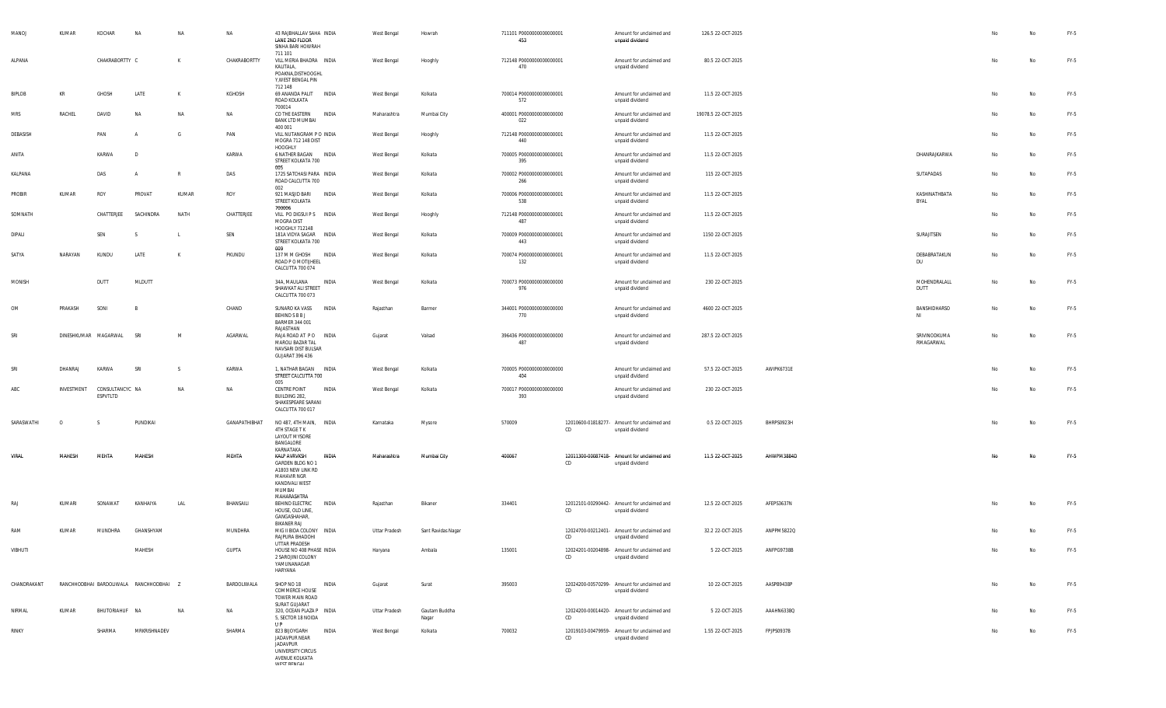| MANOJ         | KUMAR      | KOCHAR                      | NA                                      | NA           | <b>NA</b>     | 43 RAJBHALLAV SAHA INDIA<br>LANE 2ND FLOOR<br>SINHA BARI HOWRAH<br>711 101                               |              | West Bengal        | Howrah                 | 711101 P0000000000000001<br>453 |    | Amount for unclaimed and<br>unpaid dividend                    | 126.5 22-OCT-2025   |            |                           |    | No        | FY-5   |
|---------------|------------|-----------------------------|-----------------------------------------|--------------|---------------|----------------------------------------------------------------------------------------------------------|--------------|--------------------|------------------------|---------------------------------|----|----------------------------------------------------------------|---------------------|------------|---------------------------|----|-----------|--------|
| ALPANA        |            | CHAKRABORTTY C              |                                         | K            | CHAKRABORTTY  | VILL MERIA BHADRA INDIA<br>KALITALA,<br>POAKNA, DISTHOOGHL<br>Y, WEST BENGAL PIN                         |              | West Bengal        | Hooghly                | 712148 P0000000000000001<br>470 |    | Amount for unclaimed and<br>unpaid dividend                    | 80.5 22-OCT-2025    |            |                           | No | No        | FY-5   |
| BIPLOB        | KR         | GHOSH                       | LATE                                    | K            | KGHOSH        | 712 148<br>69 ANANDA PALIT<br>ROAD KOLKATA                                                               | INDIA        | West Bengal        | Kolkata                | 700014 P0000000000000001<br>572 |    | Amount for unclaimed and<br>unpaid dividend                    | 11.5 22-OCT-2025    |            |                           | No | No        | FY-5   |
| MRS           | RACHEL     | DAVID                       | <b>NA</b>                               | <b>NA</b>    | <b>NA</b>     | 700014<br>CO THE EASTERN<br><b>BANK LTD MUMBAI</b><br>400 001                                            | <b>INDIA</b> | Maharashtra        | Mumbai City            | 400001 P0000000000000000<br>022 |    | Amount for unclaimed and<br>unpaid dividend                    | 19078.5 22-OCT-2025 |            |                           | No | No        | FY-5   |
| DEBASISH      |            | PAN                         | $\overline{A}$                          | G            | PAN           | VILL NUTANGRAM P O INDIA<br>MOGRA 712 148 DIST<br>HOOGHLY                                                |              | West Bengal        | Hooghly                | 712148 P0000000000000001<br>440 |    | Amount for unclaimed and<br>unpaid dividend                    | 11.5 22-OCT-2025    |            |                           | No | No        | FY-5   |
| ANITA         |            | KARWA                       | D                                       |              | KARWA         | 6 NATHER BAGAN<br>STREET KOLKATA 700<br>005                                                              | INDIA        | West Bengal        | Kolkata                | 700005 P0000000000000001<br>395 |    | Amount for unclaimed and<br>unpaid dividend                    | 11.5 22-OCT-2025    |            | DHANRAJKARWA              | No | No        | FY-5   |
| KALPANA       |            | DAS                         | A                                       | R            | DAS           | 1725 SATCHASI PARA INDIA<br>ROAD CALCUTTA 700<br>002                                                     |              | West Bengal        | Kolkata                | 700002 P0000000000000001<br>266 |    | Amount for unclaimed and<br>unpaid dividend                    | 115 22-OCT-2025     |            | SUTAPADAS                 | No | No        | FY-5   |
| PROBIR        | KUMAR      | ROY                         | PROVAT                                  | KUMAR        | ROY           | 921 MASJID BARI<br>STREET KOLKATA<br>700006                                                              | INDIA        | West Bengal        | Kolkata                | 700006 P0000000000000001<br>538 |    | Amount for unclaimed and<br>unpaid dividend                    | 11.5 22-OCT-2025    |            | KASHINATHBATA<br>BYAL     | No | No        | FY-5   |
| SOMNATH       |            | CHATTERJEE                  | SACHINDRA                               | NATH         | CHATTERJEE    | VILL PO DIGSUI P S INDIA<br>MOGRA DIST<br>HOOGHLY 712148                                                 |              | West Bengal        | Hooghly                | 712148 P0000000000000001<br>487 |    | Amount for unclaimed and<br>unpaid dividend                    | 11.5 22-OCT-2025    |            |                           | No | No        | FY-5   |
| DIPALI        |            | SEN                         | -S                                      | -L           | SEN           | 181A VIDYA SAGAR INDIA<br>STREET KOLKATA 700<br>009                                                      |              | West Bengal        | Kolkata                | 700009 P0000000000000001<br>443 |    | Amount for unclaimed and<br>unpaid dividend                    | 1150 22-OCT-2025    |            | SURAJITSEN                | No | No        | FY-5   |
| SATYA         | NARAYAN    | KUNDU                       | LATE                                    | K            | PKUNDU        | 137 M M GHOSH<br>ROAD P O MOTIJHEEL<br>CALCUTTA 700 074                                                  | INDIA        | <b>West Bengal</b> | Kolkata                | 700074 P0000000000000001<br>132 |    | Amount for unclaimed and<br>unpaid dividend                    | 11.5 22-OCT-2025    |            | DEBABRATAKUN<br><b>DU</b> | No | No        | FY-5   |
| <b>MONISH</b> |            | DUTT                        | MLDUTT                                  |              |               | 34A, MAULANA<br>SHAWKAT ALI STREET<br>CALCUTTA 700 073                                                   | INDIA        | West Bengal        | Kolkata                | 700073 P0000000000000000<br>976 |    | Amount for unclaimed and<br>unpaid dividend                    | 230 22-OCT-2025     |            | MOHENDRALALL<br>DUTT      | No | No        | FY-5   |
| OM            | PRAKASH    | SONI                        | B                                       |              | CHAND         | SUNARO KA VASS<br>BEHIND S B B J<br>BARMER 344 001                                                       | INDIA        | Rajasthan          | Barmer                 | 344001 P0000000000000000<br>770 |    | Amount for unclaimed and<br>unpaid dividend                    | 4600 22-OCT-2025    |            | BANSHIDHARSO<br>NI        | No | No        | FY-5   |
| SRI           |            | DINESHKUMAR MAGARWAL        | SRI                                     | <sup>M</sup> | AGARWAL       | RAJASTHAN<br>RAJA ROAD AT PO INDIA<br>MAROLI BAZAR TAL<br>NAVSARI DIST BULSAR<br><b>GUJARAT 396 436</b>  |              | Gujarat            | Valsad                 | 396436 P0000000000000000<br>487 |    | Amount for unclaimed and<br>unpaid dividend                    | 287.5 22-OCT-2025   |            | SRIVINODKUMA<br>RMAGARWAL | No | No        | FY-5   |
| SRI           | DHANRAJ    | KARWA                       | SRI                                     | S            | KARWA         | 1, NATHAR BAGAN INDIA<br>STREET CALCUTTA 700<br>005                                                      |              | West Bengal        | Kolkata                | 700005 P0000000000000000<br>404 |    | Amount for unclaimed and<br>unpaid dividend                    | 57.5 22-OCT-2025    | AWIPK6731E |                           | No | No        | FY-5   |
| ABC           | INVESTMENT | CONSULTANCYC NA<br>ESPVTLTD |                                         | <b>NA</b>    | <b>NA</b>     | CENTRE POINT<br>BUILDING 282,<br>SHAKESPEARE SARANI<br>CALCUTTA 700 017                                  | INDIA        | West Bengal        | Kolkata                | 700017 P0000000000000000<br>393 |    | Amount for unclaimed and<br>unpaid dividend                    | 230 22-OCT-2025     |            |                           | No | No        | FY-5   |
| SARASWATHI    | $\circ$    |                             | PUNDIKAI                                |              | GANAPATHIBHAT | NO 487, 4TH MAIN, INDIA<br>4TH STAGE T K<br>LAYOUT MYSORE<br>BANGALORE<br>KARNATAKA                      |              | Karnataka          | Mysore                 | 570009                          | CD | 12010600-01818277- Amount for unclaimed and<br>unpaid dividend | 0.5 22-OCT-2025     | BHRPS0923H |                           | No | No        | FY-5   |
| VIRAL         | MAHESH     | MEHTA                       | MAHESH                                  |              | MEHTA         | KALP AVRVKSH<br>GARDEN BLDG NO 1<br>A1803 NEW LINK RD<br>MAHAVIR NGR<br>KANDIVALI WEST<br>MUMBAI         | <b>INDIA</b> | Maharashtra        | Mumbai City            | 400067                          | CD | 12011300-00087418- Amount for unclaimed and<br>unpaid dividend | 11.5 22-OCT-2025    | AHWPM3884D |                           | No | <b>No</b> | $FY-5$ |
| RAJ           | KUMARI     | SONAWAT                     | KANHAIYA                                | LAL          | BHANSAILI     | MAHARASHTRA<br>BEHIND ELECTRIC<br>HOUSE, OLD LINE<br>GANGASHAHAR,<br>BIKANER RAJ                         | INDIA        | Rajasthan          | Bikaner                | 334401                          | CD | 12012101-00290442- Amount for unclaimed and<br>unpaid dividend | 12.5 22-OCT-2025    | AFEPS3637N |                           | No | No        | FY-5   |
| RAM           | KUMAR      | MUNDHRA                     | GHANSHYAM                               |              | MUNDHRA       | MIG II BIDA COLONY INDIA<br>RAJPURA BHADOHI<br>UTTAR PRADESH                                             |              | Uttar Pradesh      | Sant Ravidas Nagar     |                                 | CD | 12024700-00212401- Amount for unclaimed and<br>unpaid dividend | 32.2 22-OCT-2025    | ANPPM5822Q |                           |    | No        | FY-5   |
| VIBHUTI       |            |                             | MAHESH                                  |              | <b>GUPTA</b>  | HOUSE NO 408 PHASE INDIA<br>2 SAROJINI COLONY<br>YAMUNANAGAR<br>HARYANA                                  |              | Haryana            | Ambala                 | 135001                          | CD | 12024201-00204898- Amount for unclaimed and<br>unpaid dividend | 5 22-OCT-2025       | ANFPG9738B |                           |    |           | FY-5   |
| CHANDRAKANT   |            |                             | RANCHHODBHAI BARDOLIWALA RANCHHODBHAI Z |              | BARDOLIWALA   | SHOP NO 18<br>COMMERCE HOUSE<br>TOWER MAIN ROAD<br>SURAT GUJARAT                                         | <b>INDIA</b> | Gujarat            | Surat                  | 395003                          | CD | 12024200-00570299- Amount for unclaimed and<br>unpaid dividend | 10 22-OCT-2025      | AASPB9438P |                           | No | No        | FY-5   |
| NIRMAL        | KUMAR      | BHUTORIAHUF NA              |                                         | NA           | NA            | 320, OCEAN PLAZA P INDIA<br>5, SECTOR 18 NOIDA<br>U P                                                    |              | Uttar Pradesh      | Gautam Buddha<br>Nagar |                                 | CD | 12024200-00014420- Amount for unclaimed and<br>unpaid dividend | 5 22-OCT-2025       | AAAHN6338Q |                           | No | No        | FY-5   |
| RINKY         |            | SHARMA                      | MRKRISHNADEV                            |              | SHARMA        | 823 BIJOYGARH<br>JADAVPUR NEAR<br>JADAVPUR<br>UNIVERSITY CIRCUS<br>AVENUE KOLKATA<br><b>IMECT DEMCAL</b> | INDIA        | West Bengal        | Kolkata                | 700032                          | CD | 12019103-00479959- Amount for unclaimed and<br>unpaid dividend | 1.55 22-OCT-2025    | FPJPS0937B |                           | No | No        | FY-5   |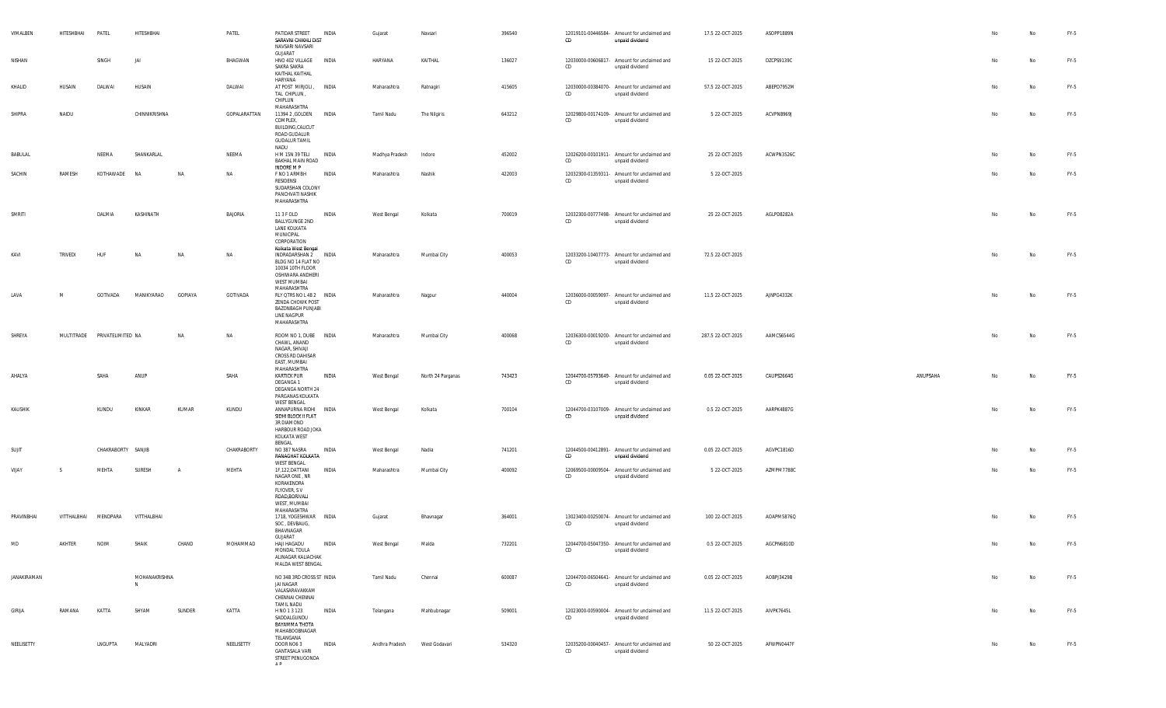| VIMALBEN    | HITESHBHAI           | PATEL                        | HITESHBHAI         |                | PATEL        | PATIDAR STREET<br>SARAVNI CHIKHLI DIST<br>NAVSARI NAVSARI                                                                | INDIA        | Gujarat            | Navsari           | 396540 | CD | 12019101-00446584- Amount for unclaimed and<br>unpaid dividend | 17.5 22-OCT-2025  | ASOPP1889N |          |    | No | FY-5   |
|-------------|----------------------|------------------------------|--------------------|----------------|--------------|--------------------------------------------------------------------------------------------------------------------------|--------------|--------------------|-------------------|--------|----|----------------------------------------------------------------|-------------------|------------|----------|----|----|--------|
| NISHAN      |                      | SINGH                        | IAI                |                | BHAGWAN      | GUJARAT<br>HNO 402 VILLAGE INDIA<br>SAKRA SAKRA<br>KAITHAL KAITHAL                                                       |              | HARYANA            | KAITHAL           | 136027 | CD | 12030000-00606817- Amount for unclaimed and<br>unpaid dividend | 15 22-OCT-2025    | DZCPS9139C |          | No | No | FY-5   |
| KHALID      | HUSAIN               | DALWAI                       | HUSAIN             |                | DALWAI       | HARYANA<br>AT POST MIRJOLI, INDIA<br>TAL CHIPLUN,<br>CHIPLUN                                                             |              | Maharashtra        | Ratnagiri         | 415605 | CD | 12030000-00384070- Amount for unclaimed and<br>unpaid dividend | 57.5 22-OCT-2025  | ABEPD7952M |          | No | No | FY-5   |
| SHIPRA      | NAIDU                |                              | CHINNIKRISHNA      |                | GOPALARATTAN | MAHARASHTRA<br>11394 2 , GOLDEN INDIA<br>COMPLEX,<br>BUILDING, CALICUT<br>ROAD GUDALUR<br><b>GUDALUR TAMIL</b><br>NADU   |              | Tamil Nadu         | The Nilgiris      | 643212 | CD | 12029800-00174109- Amount for unclaimed and<br>unpaid dividend | 5 22-OCT-2025     | ACVPN8969J |          | No | No | FY-5   |
| BABULAL     |                      | NEEMA                        | SHANKARLAL         |                | NEEMA        | H M 15N 39 TELI<br>BAKHAL MAIN ROAD<br>INDORE M P                                                                        | INDIA        | Madhya Pradesh     | Indore            | 452002 | CD | 12026200-00101911- Amount for unclaimed and<br>unpaid dividend | 25 22-OCT-2025    | ACWPN3526C |          | No | No | FY-5   |
| SACHIN      | RAMESH               | KOTHAWADE                    | <b>NA</b>          | NA             | NA           | F NO 1 ARMBH<br>RESIDENSI<br>SUDARSHAN COLONY<br>PANCHVATI NASHIK<br>MAHARASHTRA                                         | INDIA        | Maharashtra        | Nashik            | 422003 | CD | 12032300-01359311- Amount for unclaimed and<br>unpaid dividend | 5 22-OCT-2025     |            |          | No | No | FY-5   |
| SMRITI      |                      | DALMIA                       | KASHINATH          |                | BAJORIA      | 11 3 F OLD<br><b>BALLYGUNGE 2ND</b><br>LANE KOLKATA<br>MUNICIPAL<br>CORPORATION                                          | INDIA        | West Bengal        | Kolkata           | 700019 | CD | 12032300-00777498- Amount for unclaimed and<br>unpaid dividend | 25 22-OCT-2025    | AGLPD8282A |          | No | No | FY-5   |
| KAVI        | TRIVEDI              | HUF                          | <b>NA</b>          | NA             | NA           | Kolkata West Bengal<br>INDRADARSHAN 2 INDIA<br>BLDG NO 14 FLAT NO<br>10034 10TH FLOOR<br>OSHIWARA ANDHERI<br>WEST MUMBAI |              | Maharashtra        | Mumbai City       | 400053 | CD | 12033200-10407773- Amount for unclaimed and<br>unpaid dividend | 72.5 22-OCT-2025  |            |          | No | No | FY-5   |
| LAVA        | M                    | GOTIVADA                     | MANIKYARAO         | GOPIAYA        | GOTIVADA     | MAHARASHTRA<br>RLY QTRS NO L 48 2  INDIA<br>ZENDA CHOWK POST<br><b>BAZONBAGH PUNJABI</b><br>LINE NAGPUR<br>MAHARASHTRA   |              | Maharashtra        | Nagpur            | 440004 | CD | 12036000-00059097- Amount for unclaimed and<br>unpaid dividend | 11.5 22-OCT-2025  | AJNPG4332K |          | No | No | FY-5   |
| SHREYA      |                      | MULTITRADE PRIVATELIMITED NA |                    | NA             | NA           | ROOM NO 1. DUBE INDIA<br>CHAWL, ANAND<br>NAGAR, SHIVAJI<br>CROSS RD DAHISAR<br>EAST, MUMBAI                              |              | Maharashtra        | Mumbai City       | 400068 | CD | 12036300-00019200- Amount for unclaimed and<br>unpaid dividend | 287.5 22-OCT-2025 | AAMCS6544G |          | No | No | FY-5   |
| AHALYA      |                      | SAHA                         | ANUP               |                | SAHA         | MAHARASHTRA<br><b>KARTICK PUR</b><br>DEGANGA 1<br>DEGANGA NORTH 24<br>PARGANAS KOLKATA<br>WEST BENGAL                    | INDIA        | West Bengal        | North 24 Parganas | 743423 | CD | 12044700-05793649- Amount for unclaimed and<br>unpaid dividend | 0.05 22-OCT-2025  | CAUPS2664G | ANUPSAHA | No | No | FY-5   |
| KAUSHIK     |                      | KUNDU                        | KINKAR             | KUMAR          | KUNDU        | ANNAPURNA RIDHI INDIA<br>SIDHI BLOCK II FLAT<br>3R DIAMOND<br>HARBOUR ROAD JOKA<br>KOLKATA WEST<br>BENGAL                |              | West Bengal        | Kolkata           | 700104 | CD | 12044700-03107009- Amount for unclaimed and<br>unpaid dividend | 0.5 22-OCT-2025   | AARPK4887G |          | No | No | FY-5   |
| SUJIT       |                      | CHAKRABORTY SANJIB           |                    |                | CHAKRABORTY  | NO 387 NASRA<br>RANAGHAT KOLKATA<br><b>WEST BENGAL</b>                                                                   | INDIA        | West Bengal        | Nadia             | 741201 | CD | 12044500-00412891- Amount for unclaimed and<br>unpaid dividend | 0.05 22-OCT-2025  | AGVPC1816D |          | No | No | FY-5   |
| VIJAY       | - S                  | MEHTA                        | SURESH             | $\overline{A}$ | MEHTA        | 1F,122,DATTANI<br>NAGAR ONE, NR<br>KORAKENDRA<br>FLYOVER, SV<br>ROAD, BORIVALI<br>WEST, MUMBAI<br>MAHARASHTRA            | INDIA        | Maharashtra        | Mumbai City       | 400092 | CD | 12069500-00009504- Amount for unclaimed and<br>unpaid dividend | 5 22-OCT-2025     | AZMPM7788C |          | No | No | FY-5   |
| PRAVINBHAI  | VITTHALBHAI MENDPARA |                              | VITTHALBHAI        |                |              | 1718, YOGESHWAR INDIA<br>SOC, DEVBAUG,<br>BHAVNAGAR                                                                      |              | Gujarat            | Bhavnagar         | 364001 | CD | 13023400-00250074- Amount for unclaimed and<br>unpaid dividend | 100 22-OCT-2025   | AOAPM5876Q |          | No | No | FY-5   |
| MD          | <b>AKHTFR</b>        | <b>NOIN</b>                  |                    | CHAND          | MOHAMMAD     | <b>GUJARAT</b><br>HAJI HAGADU<br>MONDAL TOULA<br>ALINAGAR KALIACHAK<br>MALDA WEST BENGAL                                 | <b>INDIA</b> | <b>West Bengal</b> | Malda             | 732201 | CD | 12044700-05047350- Amount for unclaimed and<br>unpaid dividend | 0.5 22-OCT-2025   | AGCPN6810D |          |    |    | $FY-5$ |
| JANAKIRAMAN |                      |                              | MOHANAKRISHNA<br>N |                |              | NO 34B 3RD CROSS ST INDIA<br>JAI NAGAR<br>VALASARAVAKKAM<br>CHENNAI CHENNAI<br><b>TAMIL NADU</b>                         |              | Tamil Nadu         | Chennai           | 600087 | CD | 12044700-06504641- Amount for unclaimed and<br>unpaid dividend | 0.05 22-OCT-2025  | AOBPJ3429B |          | No | No | FY-5   |
| GIRIJA      | RAMANA               | KATTA                        | SHYAM              | SUNDER         | KATTA        | H NO 1 3 123<br>SADDALGUNDU<br>BAYAMMA THOTA<br>MAHABOOBNAGAR<br>TELANGANA                                               | <b>INDIA</b> | Telangana          | Mahbubnagar       | 509001 | CD | 12023000-00590004- Amount for unclaimed and<br>unpaid dividend | 11.5 22-OCT-2025  | AIVPK7645L |          | No | No | FY-5   |
| NEELISETTY  |                      | LNGUPTA                      | MALYADRI           |                | NEELISETTY   | DOOR NO6 3<br><b>GANTASALA VARI</b><br>STREET PENUGONDA<br>A <sub>D</sub>                                                | INDIA        | Andhra Pradesh     | West Godavari     | 534320 | CD | 12035200-00040457- Amount for unclaimed and<br>unpaid dividend | 50 22-OCT-2025    | AFWPN0447F |          | No | No | FY-5   |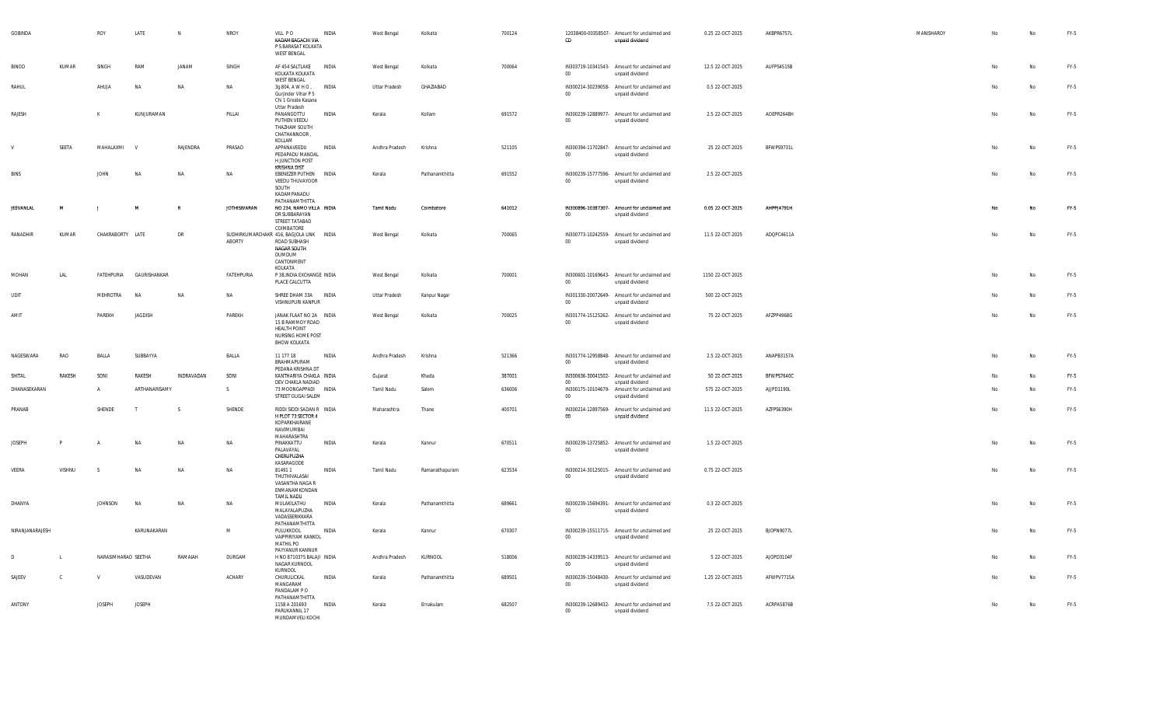| GOBINDA          |              | ROY                 | LATE           | N             | NROY               | VILL PO<br>KADAMBAGACHI VIA<br>P S BARASAT KOLKATA<br><b>WEST BENGAL</b>                                           | INDIA        | West Bengal          | Kolkata        | 700124 | CD              | 12038400-00358507- Amount for unclaimed and<br>unpaid dividend | 0.25 22-OCT-2025 | AKBPR6757L | MANISHAROY | No | No | $FY-5$ |
|------------------|--------------|---------------------|----------------|---------------|--------------------|--------------------------------------------------------------------------------------------------------------------|--------------|----------------------|----------------|--------|-----------------|----------------------------------------------------------------|------------------|------------|------------|----|----|--------|
| <b>BINOD</b>     | KUMAR        | SINGH               | RAM            | JANAM         | SINGH              | AF 454 SALTLAKE<br>KOLKATA KOLKATA<br><b>WEST BENGAL</b>                                                           | <b>INDIA</b> | West Bengal          | Kolkata        | 700064 | $00\,$          | IN303719-10341543- Amount for unclaimed and<br>unpaid dividend | 12.5 22-OCT-2025 | AUFPS4515B |            |    | No | FY-5   |
| RAHUL            |              | AHUJA               | <b>NA</b>      | <b>NA</b>     | <b>NA</b>          | 3g 804, A W H O,<br>Guriinder Vihar P 5<br>Chi 1 Greate Kasana                                                     | INDIA        | Uttar Pradesh        | GHAZIABAD      |        | 00              | IN300214-30239058- Amount for unclaimed and<br>unpaid dividend | 0.5 22-OCT-2025  |            |            |    | No | $FY-5$ |
| RAJESH           |              | K                   | KUNJURAMAN     |               | PILLAI             | <b>Uttar Pradesh</b><br>PANANGOTTU<br>PUTHEN VEEDU<br>THA7HAM SOUTH<br>CHATHANNOOR,<br>KOLLAM                      | INDIA        | Kerala               | Kollam         | 691572 | $00\,$          | IN300239-12889977- Amount for unclaimed and<br>unpaid dividend | 2.5 22-OCT-2025  | AOEPR2648H |            | No | No | FY-5   |
|                  | SEETA        | MAHALAXMI           | $\mathbf{v}$   | RAJENDRA      | PRASAD             | APPANAVEEDU<br>PEDAPADU MANDAL<br><b>H JUNCTION POST</b><br>KRISHNA DIST                                           | INDIA        | Andhra Pradesh       | Krishna        | 521105 | 00 <sub>o</sub> | IN300394-11702847- Amount for unclaimed and<br>unpaid dividend | 25 22-OCT-2025   | BFWPS9731L |            | No | No | FY-5   |
| <b>BINS</b>      |              | <b>JOHN</b>         | <b>NA</b>      | NA            | <b>NA</b>          | EBENEZER PUTHEN INDIA<br>VEEDU THUVAYOOR<br>SOUTH<br>KADAMPANADU<br>PATHANAMTHITTA                                 |              | Kerala               | Pathanamthitta | 691552 | $00 -$          | IN300239-15777596- Amount for unclaimed and<br>unpaid dividend | 2.5 22-OCT-2025  |            |            | No | No | $FY-5$ |
| <b>JEEVANLAL</b> | M            | . .                 | M              |               | <b>JOTHISWARAN</b> | NO 234, NAMO VILLA INDIA<br>DR SUBBARAYAN<br>STREET TATABAD<br>COIMBATORE                                          |              | Tamil Nadu           | Coimbatore     | 641012 | 00 <sub>o</sub> | IN300896-10387307- Amount for unclaimed and<br>unpaid dividend | 0.05 22-OCT-2025 | AHPPJ4791H |            | No | No | $FY-5$ |
| RANADHIR         | KUMAR        | CHAKRABORTY LATE    |                | <b>DR</b>     | ABORTY             | SUDHIRKUMARCHAKR 416, BAGJOLA LINK INDIA<br>ROAD SUBHASH<br>NAGAR SOUTH<br><b>DUMDUM</b><br>CANTONMENT<br>KOI KATA |              | West Bengal          | Kolkata        | 700065 | $00\,$          | IN300773-10242559- Amount for unclaimed and<br>unpaid dividend | 11.5 22-OCT-2025 | ADQPC4611A |            | No | No | $FY-5$ |
| MOHAN            | LAL          | FATEHPURIA          | GAURISHANKAR   |               | FATEHPURIA         | P 38, INDIA EXCHANGE INDIA<br>PLACE CALCUTTA                                                                       |              | West Bengal          | Kolkata        | 700001 | 00              | IN300601-10169643- Amount for unclaimed and<br>unpaid dividend | 1150 22-OCT-2025 |            |            | No | No | $FY-5$ |
| UDIT             |              | MEHROTRA            | <b>NA</b>      | <b>NA</b>     | <b>NA</b>          | SHREE DHAM 33A INDIA<br>VISHNUPURI KANPUR                                                                          |              | <b>Uttar Pradesh</b> | Kanpur Nagar   |        | $00\,$          | IN301330-20072649- Amount for unclaimed and<br>unpaid dividend | 500 22-OCT-2025  |            |            |    | No | $FY-5$ |
| AMIT             |              | PAREKH              | <b>JAGDISH</b> |               | PAREKH             | JANAK FLAAT NO 2A INDIA<br>15 B RAMMOY ROAD<br><b>HEALTH POINT</b><br>NURSING HOME POST<br><b>BHOW KOLKATA</b>     |              | West Bengal          | Kolkata        | 700025 | $00\,$          | IN301774-15125262- Amount for unclaimed and<br>unpaid dividend | 75 22-OCT-2025   | AFZPP4968G |            | No | No | FY-5   |
| NAGESWARA        | RAO          | BALLA               | SUBBAYYA       |               | BALLA              | 11 177 18<br>BRAHMAPURAM<br>PEDANA KRISHNA DT                                                                      | INDIA        | Andhra Pradesh       | Krishna        | 521366 | 00              | IN301774-12958848- Amount for unclaimed and<br>unpaid dividend | 2.5 22-OCT-2025  | ANAPB3157A |            | No | No | FY-5   |
| SHITAL           | RAKESH       | SONI                | RAKESH         | INDRAVADAN    | SONI               | KANTHARIYA CHAKLA INDIA<br>DEV CHAKLA NADIAD                                                                       |              | Gujarat              | Kheda          | 387001 | $00\,$          | IN300636-30041502- Amount for unclaimed and<br>unpaid dividend | 50 22-OCT-2025   | BFWPS7640C |            | No | No | $FY-5$ |
| DHANASEKARAN     |              | $\mathsf{A}$        | ARTHANARISAMY  |               | $\mathsf{S}$       | 73 MOONGAPPADI INDIA<br>STREET GUGAI SALEM                                                                         |              | Tamil Nadu           | Salem          | 636006 | $00\,$          | IN300175-10104679- Amount for unclaimed and<br>unpaid dividend | 575 22-OCT-2025  | AJJPD1190L |            | No | No | FY-5   |
| PRANAB           |              | SHENDE              | T              | $\mathcal{S}$ | SHENDE             | RIDDI SIDDI SADAN R INDIA<br>H PLOT 73 SECTOR 4<br>KOPARKHAIRANE<br>NAVIMUMBAI<br>MAHARASHTRA                      |              | Maharashtra          | Thane          | 400701 | 00              | IN300214-12897569- Amount for unclaimed and<br>unpaid dividend | 11.5 22-OCT-2025 | AZFPS6390H |            | No | No | FY-5   |
| <b>JOSEPH</b>    | $\mathsf{P}$ |                     | <b>NA</b>      | <b>NA</b>     | NA                 | PINAKKATTU<br>PALAVAYAL<br>CHERUPUZHA<br>KASARAGODE                                                                | INDIA        | Kerala               | Kannur         | 670511 | $00\,$          | IN300239-13725852- Amount for unclaimed and<br>unpaid dividend | 1.5 22-OCT-2025  |            |            | No | No | $FY-5$ |
| VEERA            | VISHNU       | $\hat{\zeta}$       | <b>NA</b>      | <b>NA</b>     | NA                 | 814911<br>THUTHIVALASAI<br>VASANTHA NAGA R<br>ENMANAMKONDAN<br><b>TAMIL NADU</b>                                   | <b>INDIA</b> | Tamil Nadu           | Ramanathapuram | 623534 | $00\,$          | IN300214-30125015- Amount for unclaimed and<br>unpaid dividend | 0.75 22-OCT-2025 |            |            | No | No | FY-5   |
| DHANYA           |              | <b>JOHNSON</b>      | <b>NA</b>      | <b>NA</b>     | <b>NA</b>          | MULAKILATHU<br>MALAYALAPUZHA<br>VADASSERIKKARA<br>PATHANAMTHITTA                                                   | INDIA        | Kerala               | Pathanamthitta | 689661 | $00\degree$     | IN300239-15694391- Amount for unclaimed and<br>unpaid dividend | 0.3 22-OCT-2025  |            |            |    | No | FY-5   |
| NIRANJANARAJESH  |              |                     | KARUNAKARAN    |               | M                  | PULUKKOOL<br>VAIPPIRIYAM KANKOL<br>MATHIL PO<br>PAYYANUR KANNUR                                                    | <b>INDIA</b> | Kerala               | Kannur         | 670307 | $00\,$          | IN300239-15511715- Amount for unclaimed and<br>unpaid dividend | 25 22-OCT-2025   | BJOPN9077L |            | No | No | $FY-5$ |
| D.               | $\mathsf{L}$ | NARASIMHARAO SEETHA |                | RAMAIAH       | DURGAM             | H NO 8710375 BALAJI INDIA<br>NAGAR KURNOOL<br>KURNOOL                                                              |              | Andhra Pradesh       | KURNOOL        | 518006 | $00\,$          | IN300239-14339513- Amount for unclaimed and<br>unpaid dividend | 5 22-OCT-2025    | AJOPD3104F |            |    | No | FY-5   |
| SAJEEV           | $\mathbb C$  |                     | VASUDEVAN      |               | ACHARY             | CHURULICKAL<br>MANGARAM<br>PANDALAM PO<br>PATHANAMTHITTA                                                           | INDIA        | Kerala               | Pathanamthitta | 689501 | $00\,$          | IN300239-15048430- Amount for unclaimed and<br>unpaid dividend | 1.25 22-OCT-2025 | AFWPV7715A |            |    | No | $FY-5$ |
| ANTONY           |              | <b>IOSEPH</b>       | <b>JOSEPH</b>  |               |                    | 1158 A 201693<br>PARUKANNIL 17<br>MUNDAMVELI KOCHI                                                                 | <b>INDIA</b> | Kerala               | Ernakulam      | 682507 | $00\,$          | IN300239-12689432- Amount for unclaimed and<br>unpaid dividend | 7.5 22-OCT-2025  | ACRPA5876B |            | No | No | $FY-5$ |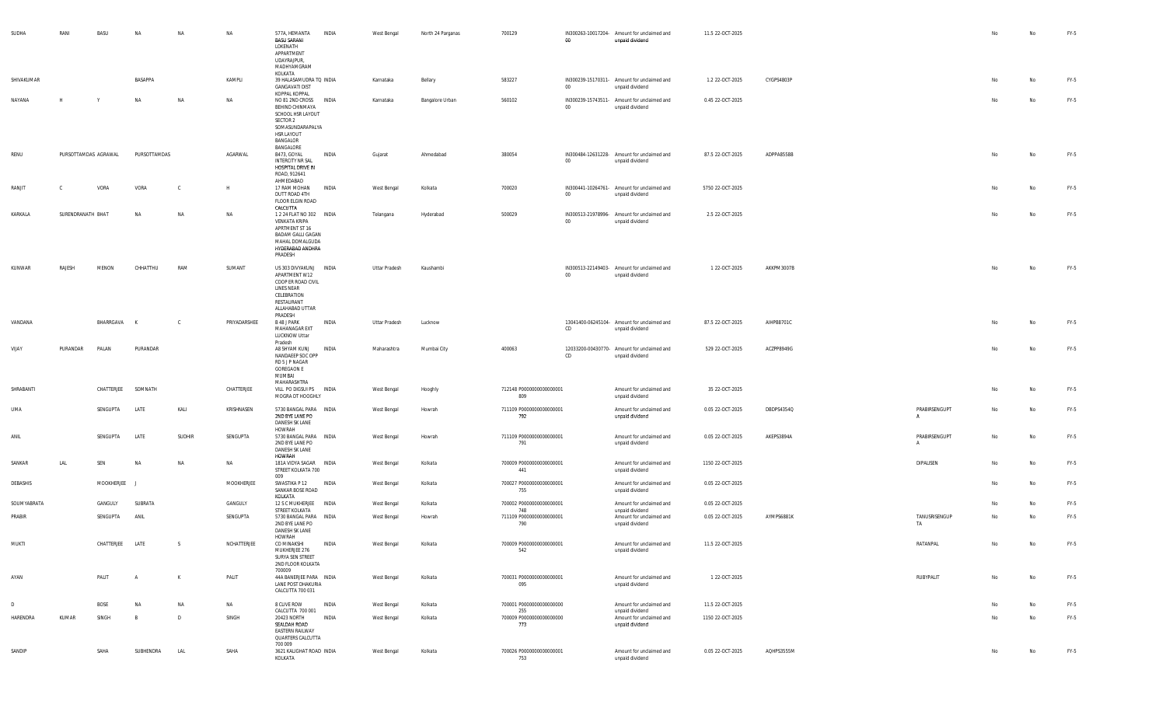| SUDHA       | RANI                 | BASU       | <b>NA</b>      | NA     | NA           | 577A, HEMANTA<br><b>BASU SARANI</b><br>LOKENATH<br>APPARTMENT<br>UDAYRAJPUR,<br>MADHYAMGRAM                                                           | INDIA        | West Bengal   | North 24 Parganas | 700129                          | 00     | IN300263-10017204- Amount for unclaimed and<br>unpaid dividend | 11.5 22-OCT-2025 |            |                                 |    | No | FY-5   |
|-------------|----------------------|------------|----------------|--------|--------------|-------------------------------------------------------------------------------------------------------------------------------------------------------|--------------|---------------|-------------------|---------------------------------|--------|----------------------------------------------------------------|------------------|------------|---------------------------------|----|----|--------|
| SHIVAKUMAR  |                      |            | BASAPPA        |        | KAMPLI       | KOLKATA<br>39 HALASAMUDRA TQ INDIA<br><b>GANGAVATI DIST</b>                                                                                           |              | Karnataka     | Bellary           | 583227                          | $00\,$ | IN300239-15170311- Amount for unclaimed and<br>unpaid dividend | 1.2 22-OCT-2025  | CYGPS4803P |                                 | No | No | FY-5   |
| NAYANA      | H                    | Y          | NA             | NA     | NA           | KOPPAL KOPPAL<br>NO 81 2ND CROSS INDIA<br>BEHIND CHINMAYA<br>SCHOOL HSR LAYOUT<br>SECTOR 2<br>SOMASUNDARAPALYA<br>HSR LAYOUT<br>BANGALOR<br>BANGALORE |              | Karnataka     | Bangalore Urban   | 560102                          | 00     | IN300239-15743511- Amount for unclaimed and<br>unpaid dividend | 0.45 22-OCT-2025 |            |                                 |    | No | FY-5   |
| RENU        | PURSOTTAMDAS AGRAWAL |            | PURSOTTAMDAS   |        | AGARWAL      | B473, GOYAL<br><b>INTERCITY NR SAL</b><br>HOSPITAL DRIVE IN<br>ROAD, 912641<br>AHMEDABAD                                                              | INDIA        | Gujarat       | Ahmedabad         | 380054                          | 00     | IN300484-12631228- Amount for unclaimed and<br>unpaid dividend | 87.5 22-OCT-2025 | ADPPA8558B |                                 |    | No | FY-5   |
| RANJIT      |                      | VORA       | VORA           | - C    | н            | 17 RAM MOHAN<br>DUTT ROAD 4TH<br>FLOOR ELGIN ROAD<br>CALCUTTA                                                                                         | INDIA        | West Bengal   | Kolkata           | 700020                          | 00     | IN300441-10264761- Amount for unclaimed and<br>unpaid dividend | 5750 22-OCT-2025 |            |                                 | No | No | FY-5   |
| KARKALA     | SURENDRANATH BHAT    |            | <b>NA</b>      | NA     | NA           | 1 2 24 FLAT NO 302 INDIA<br>VENKATA KRIPA<br>APRTMENT ST 16<br><b>BADAM GALLI GAGAN</b><br>MAHAL DOMALGUDA<br>HYDERABAD ANDHRA<br>PRADESH             |              | Telangana     | Hyderabad         | 500029                          | 00     | IN300513-21978996- Amount for unclaimed and<br>unpaid dividend | 2.5 22-OCT-2025  |            |                                 | No | No | FY-5   |
| KUNWAR      | RAJESH               | MENON      | CHHATTHU       | RAM    | SUMANT       | US 303 DIVYAKUNJ INDIA<br>APARTMENT W12<br>COOP ER ROAD CIVIL<br>LINES NEAR<br>CELEBRATION<br>RESTAURANT<br>ALLAHABAD UTTAR<br>PRADESH                |              | Uttar Pradesh | Kaushambi         |                                 | $00\,$ | IN300513-22149403- Amount for unclaimed and<br>unpaid dividend | 1 22-OCT-2025    | AKKPM3007B |                                 | No | No | FY-5   |
| VANDANA     |                      | BHARRGAVA  |                | C.     | PRIYADARSHEE | B 48 J PARK<br>MAHANAGAR EXT<br>LUCKNOW Uttar<br>Pradesh                                                                                              | INDIA        | Uttar Pradesh | Lucknow           |                                 | CD     | 13041400-06245104- Amount for unclaimed and<br>unpaid dividend | 87.5 22-OCT-2025 | AIHPB8701C |                                 |    | No | FY-5   |
| VIJAY       | PURANDAR             | PALAN      | PURANDAR       |        |              | A8 SHYAM KUNJ<br>NANDAEEP SOC OPP<br>RD 5 J P NAGAR<br><b>GOREGAON E</b><br>MUMBAI<br>MAHARASHTRA                                                     | <b>INDIA</b> | Maharashtra   | Mumbai City       | 400063                          | CD     | 12033200-00430770- Amount for unclaimed and<br>unpaid dividend | 529 22-OCT-2025  | ACZPP8949G |                                 |    | No | FY-5   |
| SHRABANTI   |                      | CHATTERJEE | SOMNATH        |        | CHATTERJEE   | VILL PO DIGSUI PS INDIA<br>MOGRA DT HOOGHLY                                                                                                           |              | West Bengal   | Hooghly           | 712148 P0000000000000001<br>809 |        | Amount for unclaimed and<br>unpaid dividend                    | 35 22-OCT-2025   |            |                                 |    | No | FY-5   |
| <b>LIMA</b> |                      | SENGUPTA   | LATE           | KALI   | KRISHNASEN   | 5730 BANGAL PARA INDIA<br>2ND BYE LANE PO<br>DANESH SK LANE<br>HOWRAH                                                                                 |              | West Bengal   | Howrah            | 711109 P0000000000000001<br>792 |        | Amount for unclaimed and<br>unpaid dividend                    | 0.05 22-OCT-2025 | DBDPS4354Q | PRABIRSENGUPT<br>A              |    | No | FY-5   |
| ANIL        |                      | SENGUPTA   | LATE           | SUDHIR | SENGUPTA     | 5730 BANGAL PARA INDIA<br>2ND BYE LANE PO<br>DANESH SK LANE<br>HOWRAH                                                                                 |              | West Bengal   | Howrah            | 711109 P0000000000000001<br>791 |        | Amount for unclaimed and<br>unpaid dividend                    | 0.05 22-OCT-2025 | AKEPS3894A | PRABIRSENGUPT<br>$\overline{A}$ | No | No | FY-5   |
| SANKAR      | LAL                  | SEN        | NA             | NA     | NA           | 181A VIDYA SAGAR INDIA<br>STREET KOLKATA 700<br>009                                                                                                   |              | West Bengal   | Kolkata           | 700009 P0000000000000001<br>441 |        | Amount for unclaimed and<br>unpaid dividend                    | 1150 22-OCT-2025 |            | DIPALISEN                       | No | No | FY-5   |
| DEBASHIS    |                      | MOOKHERJEE |                |        | MOOKHERJEE   | SWASTIKA P 12 INDIA<br>SANKAR BOSE ROAD<br>KOLKATA                                                                                                    |              | West Bengal   | Kolkata           | 700027 P0000000000000001<br>755 |        | Amount for unclaimed and<br>unpaid dividend                    | 0.05 22-OCT-2025 |            |                                 | No | No | FY-5   |
| SOUMYABRATA |                      | GANGULY    | SUBRATA        |        | GANGULY      | 12 S C MUKHERJEE INDIA<br>STREET KOLKATA                                                                                                              |              | West Bengal   | Kolkata           | 700002 P0000000000000001<br>748 |        | Amount for unclaimed and<br>unpaid dividend                    | 0.05 22-OCT-2025 |            |                                 | No | No | FY-5   |
| PRABIR      |                      | SENGUPTA   | ANIL           |        | SENGUPTA     | 5730 BANGAL PARA INDIA<br>2ND BYE LANE PO<br><b>DANESH SK LANE</b>                                                                                    |              | West Bengal   | Howrah            | 711109 P0000000000000001<br>790 |        | Amount for unclaimed and<br>unpaid dividend                    | 0.05 22-OCT-2025 | AYMPS6881K | TANUSRISENGUP<br>TA             | No | No | FY-5   |
| MUKTI       |                      | CHATTERJEE | LATE           | S      | NCHATTERJEE  | HOWRAH<br>CO MINAKSHI<br>MUKHERJEE 276<br>SURYA SEN STREET<br>2ND FLOOR KOLKATA<br>700009                                                             | INDIA        | West Bengal   | Kolkata           | 700009 P0000000000000001<br>542 |        | Amount for unclaimed and<br>unpaid dividend                    | 11.5 22-OCT-2025 |            | RATANPAL                        |    | Nn | $FY-5$ |
| AYAN        |                      | PALIT      | $\overline{A}$ | K      | PALIT        | 44A BANERJEE PARA INDIA<br>LANE POST DHAKURIA<br>CALCUTTA 700 031                                                                                     |              | West Bengal   | Kolkata           | 700031 P0000000000000001<br>095 |        | Amount for unclaimed and<br>unpaid dividend                    | 1 22-OCT-2025    |            | RUBYPALIT                       | No | No | FY-5   |
| D           |                      | BOSE       | <b>NA</b>      | NA     | NA           | 8 CLIVE ROW<br>CALCUTTA 700 001                                                                                                                       | INDIA        | West Bengal   | Kolkata           | 700001 P0000000000000000<br>255 |        | Amount for unclaimed and<br>unpaid dividend                    | 11.5 22-OCT-2025 |            |                                 |    | No | FY-5   |
| HARENDRA    | KUMAR                | SINGH      | - B            | D      | SINGH        | 20423 NORTH<br>SEALDAH ROAD<br><b>EASTERN RAILWAY</b><br>QUARTERS CALCUTTA                                                                            | INDIA        | West Bengal   | Kolkata           | 700009 P0000000000000000<br>773 |        | Amount for unclaimed and<br>unpaid dividend                    | 1150 22-OCT-2025 |            |                                 |    | No | FY-5   |
| SANDIP      |                      | SAHA       | SUBHENDRA      | LAL    | SAHA         | 700 009<br>3621 KALIGHAT ROAD INDIA<br>KOLKATA                                                                                                        |              | West Bengal   | Kolkata           | 700026 P0000000000000001<br>753 |        | Amount for unclaimed and<br>unpaid dividend                    | 0.05 22-OCT-2025 | AQHPS3555M |                                 | No | No | $FY-5$ |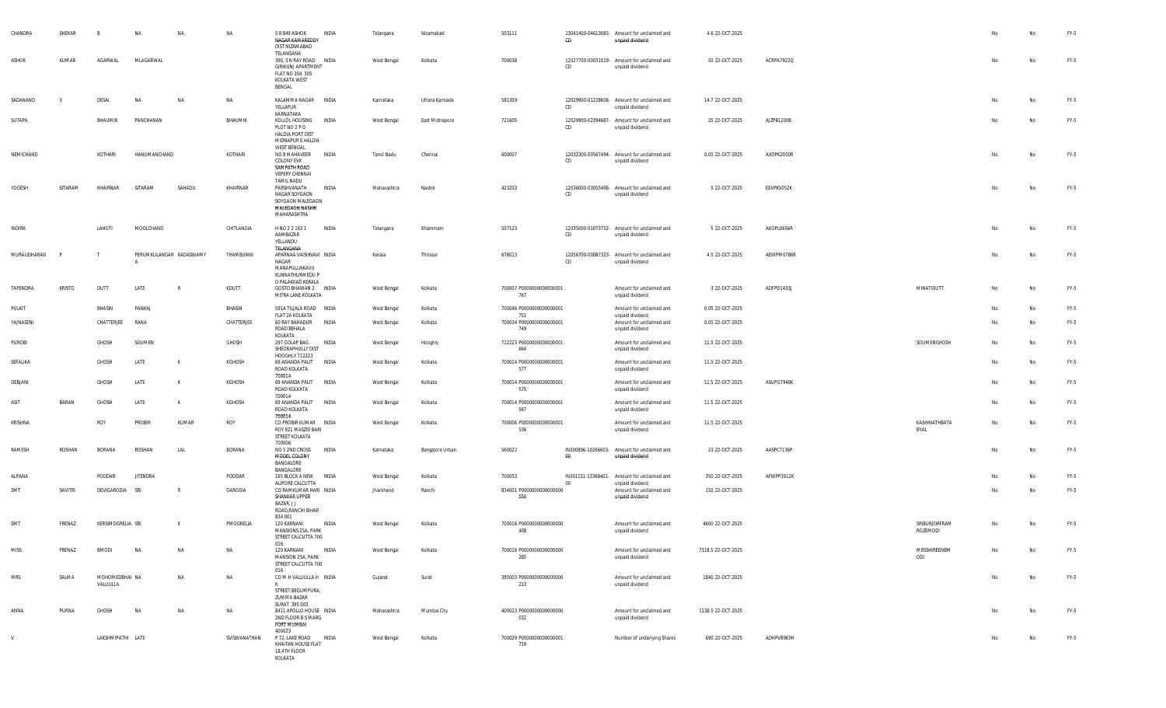| CHANDRA      | SHEKAR   | $\overline{B}$              | <b>NA</b>       | NA                      | <b>NA</b>    | 5 8 849 ASHOK<br>NAGAR KAMAREDDY<br>DIST NIZAMABAD                                                             | INDIA        | Telangana   | Nizamabad       | 503111                          | CD      | 13041400-04613083- Amount for unclaimed and<br>unpaid dividend | 4.6 22-OCT-2025    |            |                           |    | No        | FY-5   |
|--------------|----------|-----------------------------|-----------------|-------------------------|--------------|----------------------------------------------------------------------------------------------------------------|--------------|-------------|-----------------|---------------------------------|---------|----------------------------------------------------------------|--------------------|------------|---------------------------|----|-----------|--------|
| ASHOK        | KUMAR    | AGARWAL                     | MLAGARWAL       |                         |              | TELANGANA<br>390, S N RAY ROAD INDIA<br><b>GIRIKUNJ APARTMENT</b><br>FLAT NO 304 305<br>KOLKATA WEST<br>BENGAL |              | West Bengal | Kolkata         | 700038                          | CD      | 12027700-00031019- Amount for unclaimed and<br>unpaid dividend | 50 22-OCT-2025     | ACRPA7922Q |                           | No | No        | FY-5   |
| SADANAND     | <b>V</b> | DESAI                       | NA              | <b>NA</b>               | NA           | KALAMMA NAGAR INDIA<br>YELLAPUR<br>KARNATAKA                                                                   |              | Karnataka   | Uttara Kannada  | 581359                          | CD      | 12029900-01228606- Amount for unclaimed and<br>unpaid dividend | 14.7 22-OCT-2025   |            |                           | No | No        | FY-5   |
| SUTAPA       |          | BHAUMIK                     | PANCHANAN       |                         | BHAUMIK      | KOLLOL HOUSING INDIA<br>PLOT NO 2 PO<br>HALDIA PORT DIST<br>MIDNAPUR E HALDIA<br>WEST BENGAL                   |              | West Bengal | East Midnapore  | 721605                          | CD      | 12029900-02394687- Amount for unclaimed and<br>unpaid dividend | 25 22-OCT-2025     | AJZPB1200B |                           | No | No        | FY-5   |
| NEMICHAND    |          | KOTHARI                     | HANUMANCHAND    |                         | KOTHARI      | NO 8 MAHAVEER<br>COLONY EVK<br>SAMPATH ROAD<br>VEPERY CHENNAI<br>TAMIL NADU                                    | <b>INDIA</b> | Tamil Nadu  | Chennai         | 600007                          | CD      | 12032300-00567494- Amount for unclaimed and<br>unpaid dividend | 0.05 22-OCT-2025   | AXOPK2050R |                           | No | No        | FY-5   |
| YOGESH       | SITARAM  | KHAIRNAR                    | SITARAM         | SAHADU                  | KHAIRNAR     | PARSHVANATH<br>NAGAR SOYGAON<br>SOYGAON MALEGAON<br>MALEGAON NASHIK<br>MAHARASHTRA                             | INDIA        | Maharashtra | Nashik          | 423203                          | CD      | 12036000-03055498- Amount for unclaimed and<br>unpaid dividend | 5 22-OCT-2025      | EEVPK5052K |                           | No | No        | FY-5   |
| INDIRA       |          | LAHOTI                      | MOOLCHAND       |                         | CHITLANGIA   | H NO 2 2 163 1<br>AAMBAZAR<br>YELLANDU<br>TELANGANA                                                            | INDIA        | Telangana   | Khammam         | 507123                          | CD      | 12035000-01073752- Amount for unclaimed and<br>unpaid dividend | 5 22-OCT-2025      | AKOPL0656R |                           | No | No        | FY-5   |
| MURALIDHARAN |          | $\mathsf{T}$                |                 | PERUMKULANGAR KADASWAMY | THAMBUNNI    | APARNAA VAISHNAVI INDIA<br>NAGAR<br>MANAPULLIKKAVU<br>KUNNATHURMEDU P<br>O PALAKKAD KERALA                     |              | Kerala      | Thrissur        | 678013                          | CD      | 12056700-00087323- Amount for unclaimed and<br>unpaid dividend | 4.5 22-OCT-2025    | AEWPM0786R |                           | No | No        | FY-5   |
| TAPENDRA     | KRISTO   | DUTT                        | LATE            | $\mathbb{R}$            | KDUTT        | GOSTO BHAWAN 2 INDIA<br>MITRA LANE KOLKATA                                                                     |              | West Bengal | Kolkata         | 700007 P0000000000000001<br>767 |         | Amount for unclaimed and<br>unpaid dividend                    | 3 22-OCT-2025      | ADFPD1433J | MINATIDUTT                | No | No        | FY-5   |
| PULKIT       |          | BHASIN                      | PANKAJ          |                         | BHASIN       | 591A TILJALA ROAD INDIA<br>FLAT 2A KOLKATA                                                                     |              | West Bengal | Kolkata         | 700046 P0000000000000001<br>751 |         | Amount for unclaimed and<br>unpaid dividend                    | 0.05 22-OCT-2025   |            |                           | No | No        | FY-5   |
| YAJNASENI    |          | CHATTERJEE                  | RANA            |                         | CHATTERJEE   | 60 RAY BAHADUR INDIA<br>ROAD BEHALA<br>KOLKATA                                                                 |              | West Bengal | Kolkata         | 700034 P0000000000000001<br>749 |         | Amount for unclaimed and<br>unpaid dividend                    | 0.05 22-OCT-2025   |            |                           | No | No        | FY-5   |
| PUROBI       |          | GHOSH                       | SOUMEN          |                         | GHOSH        | 297 GOLAP BAG<br>SHEORAPHULLY DIST<br>HOOGHLY 712223                                                           | INDIA        | West Bengal | Hooghly         | 712223 P0000000000000001<br>664 |         | Amount for unclaimed and<br>unpaid dividend                    | 11.5 22-OCT-2025   |            | SOUMENGHOSH               | No | No        | FY-5   |
| SEFALIKA     |          | GHOSH                       | LATE            | К                       | KGHOSH       | 69 ANANDA PALIT<br>ROAD KOLKATA<br>700014                                                                      | INDIA        | West Bengal | Kolkata         | 700014 P0000000000000001<br>577 |         | Amount for unclaimed and<br>unpaid dividend                    | 11.5 22-OCT-2025   |            |                           | No | No        | FY-5   |
| DEBJANI      |          | GHOSH                       | LATE            | к                       | KGHOSH       | 69 ANANDA PALIT<br>ROAD KOLKATA<br>700014                                                                      | INDIA        | West Bengal | Kolkata         | 700014 P0000000000000001<br>575 |         | Amount for unclaimed and<br>unpaid dividend                    | 11.5 22-OCT-2025   | ASUPG7948K |                           | No | No        | FY-5   |
| ASIT         | BARAN    | GHOSH                       | LATE            | К                       | KGHOSH       | 69 ANANDA PALIT<br>ROAD KOLKATA<br>700014                                                                      | INDIA        | West Bengal | Kolkata         | 700014 P0000000000000001<br>567 |         | Amount for unclaimed and<br>unpaid dividend                    | 11.5 22-OCT-2025   |            |                           | Nc | No        | FY-5   |
| KRISHNA      |          | ROY                         | <b>PROBIR</b>   | KUMAR                   | ROY          | CO PROBIR KUMAR INDIA<br>ROY 921 MASZID BARI<br>STREET KOLKATA<br>700006                                       |              | West Bengal | Kolkata         | 700006 P0000000000000001<br>536 |         | Amount for unclaimed and<br>unpaid dividend                    | 11.5 22-OCT-2025   |            | KASHINATHBATA<br>BYAL     | No | <b>No</b> | FY-5   |
| RAMESH       | ROSHAN   | BORANA                      | ROSHAN          | LAL                     | BORANA       | NO 5 2ND CROSS<br>MODEL COLONY<br>BANGALORE                                                                    | INDIA        | Karnataka   | Bangalore Urban | 560022                          | $_{00}$ | IN300896-10266603- Amount for unclaimed and<br>unpaid dividend | 23 22-OCT-2025     | AASPC7136P |                           | No | No        | FY-5   |
| ALPANA       |          | PODDAR                      | <b>JITENDRA</b> |                         | PODDAR       | BANGALORE<br>165 BLOCK A NEW                                                                                   | <b>INDIA</b> | West Bengal | Kolkata         | 700053                          | 00      | IN301151-13368401- Amount for unclaimed and                    | 350 22-OCT-2025    | AFWPP1912K |                           | No | No        | FY-5   |
| SMT          | SAVITRI  | DEVIGARODIA SRI             |                 | $\mathbb{R}$            | GARODIA      | ALIPORE CALCUTTA<br>CO RAMKUMAR HARI INDIA<br>SHANKAR UPPER<br>BAZAR, JJ<br>ROAD, RANCHI BIHAR<br>834 001      |              | Jharkhand   | Ranchi          | 834001 P0000000000000000<br>550 |         | unpaid dividend<br>Amount for unclaimed and<br>unpaid dividend | 150 22-OCT-2025    |            |                           | No | No        | FY-5   |
| SMT          | FRENAZ   | KERSIMOGRELIA SRI           |                 | К                       | PMOGRELIA    | 120 KARNANI<br>MANSIONS 25A, PARK<br>STREET CALCUTTA 700<br>016                                                | INDIA        | West Bengal | Kolkata         | 700016 P0000000000000000<br>408 |         | Amount for unclaimed and<br>unpaid dividend                    | 4600 22-OCT-2025   |            | SRIBURJORFRAM<br>ROZEMODI | No | No        | FY-5   |
| MISS         | FRENAZ   | <b>BMODI</b>                | <b>NA</b>       | NA                      | NA           | 120 KARNANI<br>MANSION 25A, PARK<br>STREET CALCUTTA 700                                                        | INDIA        | West Bengal | Kolkata         | 700016 P0000000000000000<br>285 |         | Amount for unclaimed and<br>unpaid dividend                    | 7118.5 22-OCT-2025 |            | MRSSHIREENBM<br>ODI       | No | No        | FY-5   |
| MRS          | SALMA    | MOHOMEDBHAI NA<br>VALLIULLA |                 | NA                      | NA           | 016<br>COMHVALLIULLAH INDIA<br>K<br>STREET, BEGUMPURA,<br>ZUMMA BAZAR                                          |              | Gujarat     | Surat           | 395003 P0000000000000000<br>213 |         | Amount for unclaimed and<br>unpaid dividend                    | 1840 22-OCT-2025   |            |                           | No | No        | $FY-5$ |
| ANNA         | PURNA    | GHOSH                       | <b>NA</b>       | NA                      | NA           | SURAT 395 003<br>8411 APOLLO HOUSE INDIA<br>2ND FLOOR B S MARG<br>FORT MUMBAI<br>400023                        |              | Maharashtra | Mumbai City     | 400023 P0000000000000000<br>032 |         | Amount for unclaimed and<br>unpaid dividend                    | 1138.5 22-OCT-2025 |            |                           | No | No        | FY-5   |
| V            |          | LAKSHMIPATHI LATE           |                 |                         | SVISWANATHAN | P 72, LAKE ROAD<br>KHAITAN HOUSE FLAT<br>18,4TH FLOOR<br>KOLKATA                                               | <b>INDIA</b> | West Bengal | Kolkata         | 700029 P0000000000000001<br>719 |         | Number of underlying Shares                                    | 690 22-OCT-2025    | ADHPV8965H |                           | No | No        | FY-5   |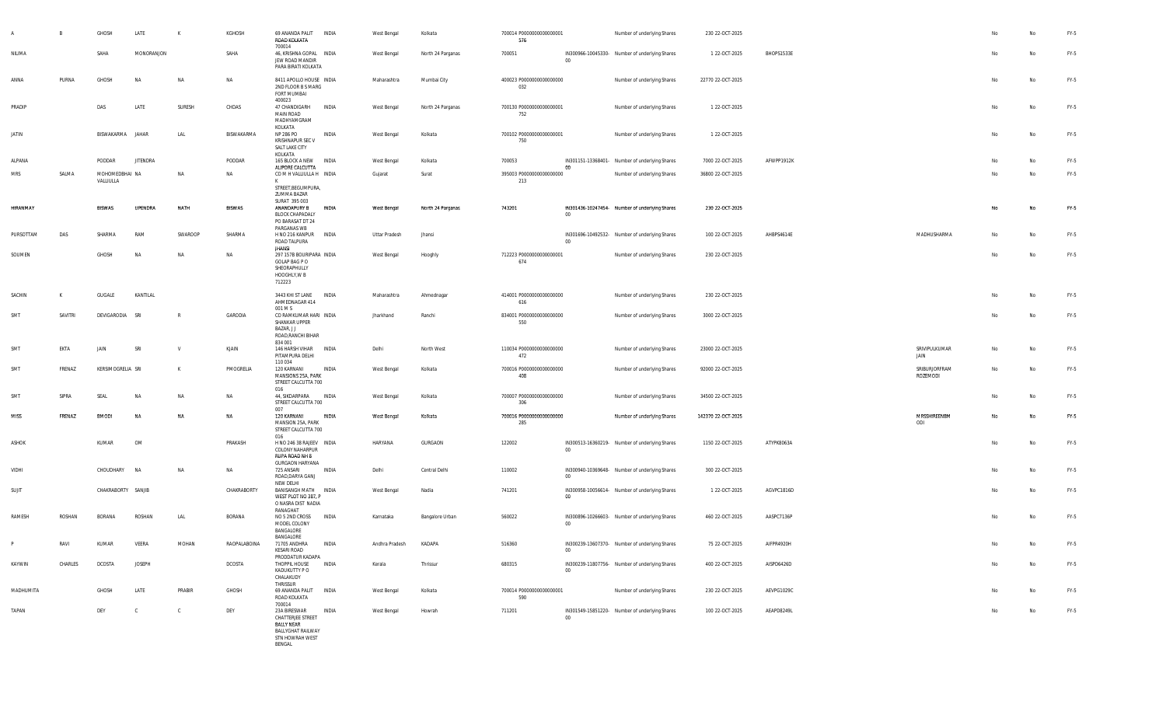|              |         | GHOSH                       | LATE            | К            | KGHOSH        | 69 ANANDA PALIT<br>ROAD KOLKATA                                                                                 | INDIA        | West Bengal          | Kolkata           | 700014 P0000000000000001<br>576 |        | Number of underlying Shares                    | 230 22-OCT-2025    |            |                           |    | No        | FY-5   |
|--------------|---------|-----------------------------|-----------------|--------------|---------------|-----------------------------------------------------------------------------------------------------------------|--------------|----------------------|-------------------|---------------------------------|--------|------------------------------------------------|--------------------|------------|---------------------------|----|-----------|--------|
| NILIMA       |         | SAHA                        | MONORANJON      |              | SAHA          | 700014<br>46, KRISHNA GOPAL INDIA<br>JEW ROAD MANDIR<br>PARA BIRATI KOLKATA                                     |              | West Bengal          | North 24 Parganas | 700051                          | 00     | IN300966-10045330- Number of underlying Shares | 1 22-OCT-2025      | BHOPS1533E |                           | No | <b>No</b> | FY-5   |
| ANNA         | PURNA   | GHOSH                       | NA              | NA           | NA            | 8411 APOLLO HOUSE INDIA<br>2ND FLOOR B S MARG<br>FORT MUMBAI                                                    |              | Maharashtra          | Mumbai City       | 400023 P0000000000000000<br>032 |        | Number of underlying Shares                    | 22770 22-OCT-2025  |            |                           | No | No        | FY-5   |
| PRADIP       |         | DAS                         | LATE            | SURESH       | CHDAS         | 400023<br>47 CHANDIGARH<br>MAIN ROAD<br>MADHYAMGRAM                                                             | INDIA        | West Bengal          | North 24 Parganas | 700130 P0000000000000001<br>752 |        | Number of underlying Shares                    | 1 22-OCT-2025      |            |                           | No | <b>No</b> | FY-5   |
| JATIN        |         | BISWAKARMA                  | JAHAR           | LAL          | BISWAKARMA    | KOLKATA<br>NP 286 PO<br>KRISHNAPUR SEC V<br>SALT LAKE CITY                                                      | INDIA        | West Bengal          | Kolkata           | 700102 P0000000000000001<br>750 |        | Number of underlying Shares                    | 1 22-OCT-2025      |            |                           | No | No        | FY-5   |
| ALPANA       |         | PODDAR                      | <b>JITENDRA</b> |              | PODDAR        | KOLKATA<br>165 BLOCK A NEW INDIA                                                                                |              | West Bengal          | Kolkata           | 700053                          | 00     | IN301151-13368401- Number of underlying Shares | 7000 22-OCT-2025   | AFWPP1912K |                           | No | No        | FY-5   |
| <b>MRS</b>   | SALMA   | MOHOMEDBHAI NA<br>VALLIULLA |                 | NA           | NA            | ALIPORE CALCUTTA<br>COMHVALLIULLAH INDIA<br>К                                                                   |              | Gujarat              | Surat             | 395003 P0000000000000000<br>213 |        | Number of underlying Shares                    | 36800 22-OCT-2025  |            |                           | No | No        | $FY-5$ |
|              |         |                             |                 |              |               | STREET, BEGUMPURA,<br>ZUMMA BAZAR<br>SURAT 395 003                                                              |              |                      |                   |                                 |        |                                                |                    |            |                           |    |           |        |
| HIRANMAY     |         | <b>BISWAS</b>               | <b>UPENDRA</b>  | NATH         | <b>BISWAS</b> | ANANDAPURY B<br><b>BLOCK CHAPADALY</b><br>PO BARASAT DT 24<br>PARGANAS WB                                       | INDIA        | West Bengal          | North 24 Parganas | 743201                          | $00\,$ | IN301436-10247454- Number of underlying Shares | 230 22-OCT-2025    |            |                           | No | <b>No</b> | $FY-5$ |
| PURSOTTAM    | DAS     | SHARMA                      | RAM             | SWAROOP      | SHARMA        | H NO 216 KANPUR<br>ROAD TALPURA                                                                                 | INDIA        | <b>Uttar Pradesh</b> | Jhansi            |                                 | 00     | IN301696-10492532- Number of underlying Shares | 100 22-OCT-2025    | AHBPS4614E | MADHUSHARMA               | No | No        | FY-5   |
| SOUMEN       |         | GHOSH                       | <b>NA</b>       | NA           | <b>NA</b>     | jhansi<br>297 157B BOURIPARA INDIA<br>GOLAP BAG P O<br>SHEORAPHULLY<br>HOOGHLY, W B<br>712223                   |              | West Bengal          | Hooghly           | 712223 P0000000000000001<br>674 |        | Number of underlying Shares                    | 230 22-OCT-2025    |            |                           | No | No        | FY-5   |
| SACHIN       | K       | GUGALE                      | KANTILAL        |              |               | 3443 KHI ST LANE<br>AHMEDNAGAR 414<br>001 M S                                                                   | INDIA        | Maharashtra          | Ahmednagar        | 414001 P0000000000000000<br>616 |        | Number of underlying Shares                    | 230 22-OCT-2025    |            |                           | No | <b>No</b> | FY-5   |
| SMT          | SAVITRI | DEVIGARODIA                 | SRI             | $\mathbb{R}$ | GARODIA       | CO RAMKUMAR HARI INDIA<br>SHANKAR UPPER<br>BAZAR, J J<br>ROAD, RANCHI BIHAR                                     |              | Jharkhand            | Ranchi            | 834001 P0000000000000000<br>550 |        | Number of underlying Shares                    | 3000 22-OCT-2025   |            |                           | No | No        | FY-5   |
| SMT          | EKTA    | JAIN                        | SRI             | $\mathsf{v}$ | KJAIN         | 834 001<br>146 HARSH VIHAR<br>PITAMPURA DELHI<br>110 034                                                        | <b>INDIA</b> | Delhi                | North West        | 110034 P0000000000000000<br>472 |        | Number of underlying Shares                    | 23000 22-OCT-2025  |            | SRIVIPULKUMAR<br>JAIN     | No | No        | FY-5   |
| SMT          | FRENAZ  | KERSIMOGRELIA SRI           |                 | $\mathsf{K}$ | PMOGRELIA     | 120 KARNANI<br>MANSIONS 25A, PARK<br>STREET CALCUTTA 700<br>016                                                 | INDIA        | West Bengal          | Kolkata           | 700016 P0000000000000000<br>408 |        | Number of underlying Shares                    | 92000 22-OCT-2025  |            | SRIBURJORFRAM<br>ROZEMODI | No | <b>No</b> | FY-5   |
| SMT          | SIPRA   | SEAL                        | <b>NA</b>       | NA           | NA            | 44, SIKDARPARA<br>STREET CALCUTTA 700<br>007                                                                    | INDIA        | West Bengal          | Kolkata           | 700007 P0000000000000000<br>306 |        | Number of underlying Shares                    | 34500 22-OCT-2025  |            |                           | No | No        | FY-5   |
| <b>MISS</b>  | FRENAZ  | <b>BMODI</b>                | <b>NA</b>       | <b>NA</b>    | NA            | 120 KARNANI<br>MANSION 25A, PARK<br>STREET CALCUTTA 700<br>016                                                  | INDIA        | West Bengal          | Kolkata           | 700016 P0000000000000000<br>285 |        | Number of underlying Shares                    | 142370 22-OCT-2025 |            | MRSSHIREENBM<br>ODI       | No | <b>No</b> | $FY-5$ |
| ASHOK        |         | KUMAR                       | OM              |              | PRAKASH       | H NO 246 38 RAJEEV INDIA<br><b>COLONY NAHARPUR</b><br>RUPA ROAD NH 8<br><b>GURGAON HARYANA</b>                  |              | HARYANA              | GURGAON           | 122002                          | $00\,$ | IN300513-16360219- Number of underlying Shares | 1150 22-OCT-2025   | ATYPK8063A |                           | No | No        | FY-5   |
| VIDHI        |         | CHOUDHARY                   | <b>NA</b>       | NA           | NA            | 725 ANSARI<br>ROAD, DARYA GANJ<br>NEW DELHI                                                                     | INDIA        | Delhi                | Central Delhi     | 110002                          | $00\,$ | IN300940-10369648- Number of underlying Shares | 300 22-OCT-2025    |            |                           | No | No        | FY-5   |
| SUJIT        |         | CHAKRABORTY SANJIB          |                 |              | CHAKRABORTY   | BANISANGH MATH INDIA<br>WEST PLOT NO 387, P<br>O NASRA DIST NADIA<br>RANAGHAT                                   |              | West Bengal          | Nadia             | 741201                          | 00     | IN300958-10056614- Number of underlying Shares | 1 22-OCT-2025      | AGVPC1816D |                           | No | <b>No</b> | $FY-5$ |
| RAMESH       | ROSHAN  | <b>BORANA</b>               | ROSHAN          | LAL          | BORANA        | NO 5 2ND CROSS<br>MODEL COLONY<br>BANGALORE<br>BANGALORE                                                        | INDIA        | Karnataka            | Bangalore Urban   | 560022                          | $00\,$ | IN300896-10266603- Number of underlying Shares | 460 22-OCT-2025    | AASPC7136P |                           | No | <b>No</b> | FY-5   |
| D            | RAVI    | KUMAR                       | VEERA           | MOHAN        | RAOPALABOINA  | 71705 ANDHRA<br>KESARI ROAD<br>PRODDATUR KADAPA                                                                 | INDIA        | Andhra Pradesh       | KADAPA            | 516360                          | 00     | IN300239-13607370- Number of underlying Shares | 75 22-OCT-2025     | AIFPR4920H |                           |    |           | $FY-5$ |
| KAYWIN       | CHARLES | DCOSTA                      | <b>JOSEPH</b>   |              | DCOSTA        | THOPPIL HOUSE<br>KADUKUTTY P O<br>CHALAKUDY<br>THRISSUR                                                         | INDIA        | Kerala               | Thrissur          | 680315                          | 00     | IN300239-11807756- Number of underlying Shares | 400 22-OCT-2025    | AISPD6426D |                           | No | No        | FY-5   |
| MADHUMITA    |         | GHOSH                       | LATE            | PRABIR       | GHOSH         | 69 ANANDA PALIT INDIA<br>ROAD KOLKATA<br>700014                                                                 |              | West Bengal          | Kolkata           | 700014 P0000000000000001<br>590 |        | Number of underlying Shares                    | 230 22-OCT-2025    | AEVPG1029C |                           |    | No        | FY-5   |
| <b>TAPAN</b> |         | DEY                         | $\mathbb{C}$    | $\mathbb{C}$ | DEY           | 23A BIRESWAR<br>CHATTERJEE STREET<br><b>BALLY NEAR</b><br><b>BALLYGHAT RAILWAY</b><br>STN HOWRAH WEST<br>BENGAL | INDIA        | West Bengal          | Howrah            | 711201                          | $00\,$ | IN301549-15851220- Number of underlying Shares | 100 22-OCT-2025    | AEAPD8249L |                           | No | No        | FY-5   |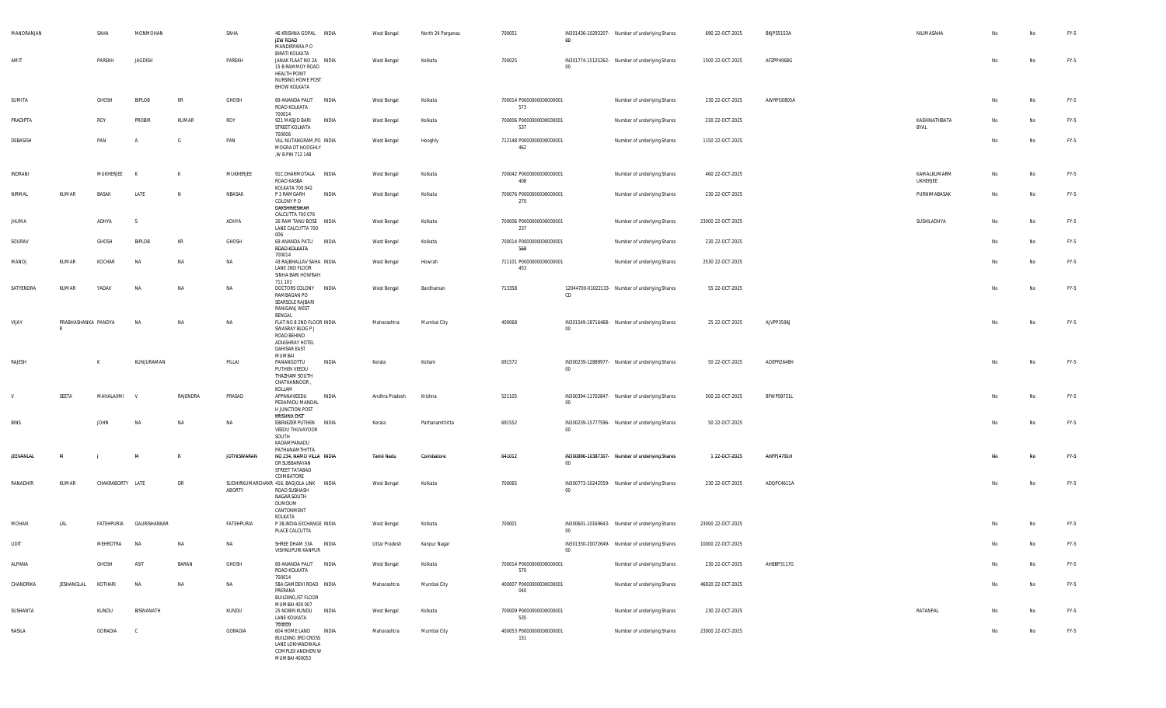| MANORANJAN    |                          | SAHA             | MONMOHAN                |                | SAHA               | 46 KRISHNA GOPAL INDIA<br>JEW ROAD<br>MANDIRPARA P O<br><b>BIRATI KOLKATA</b>                                    |              | West Bengal    | North 24 Parganas | 700051                          | 00     | IN301436-10293207- Number of underlying Shares | 690 22-OCT-2025   | BKJPS5153A | NILIMASAHA              | No | No | FY-5   |
|---------------|--------------------------|------------------|-------------------------|----------------|--------------------|------------------------------------------------------------------------------------------------------------------|--------------|----------------|-------------------|---------------------------------|--------|------------------------------------------------|-------------------|------------|-------------------------|----|----|--------|
| AMIT          |                          | PAREKH           | JAGDISH                 |                | PAREKH             | JANAK FLAAT NO 2A INDIA<br>15 B RAMMOY ROAD<br>HEALTH POINT<br>NURSING HOME POST<br><b>BHOW KOLKATA</b>          |              | West Bengal    | Kolkata           | 700025                          | $00\,$ | IN301774-15125262- Number of underlying Shares | 1500 22-OCT-2025  | AFZPP4968G |                         | No | No | FY-5   |
| SUMITA        |                          | GHOSH            | BIPLOB                  | KR             | GHOSH              | 69 ANANDA PALIT INDIA<br>ROAD KOLKATA<br>700014                                                                  |              | West Bengal    | Kolkata           | 700014 P0000000000000001<br>573 |        | Number of underlying Shares                    | 230 22-OCT-2025   | AWRPG0805A |                         | No | No | FY-5   |
| PRADIPTA      |                          | ROY              | PROBIR                  | KUMAR          | ROY                | 921 MASJID BARI<br>STREET KOLKATA                                                                                | <b>INDIA</b> | West Bengal    | Kolkata           | 700006 P0000000000000001<br>537 |        | Number of underlying Shares                    | 230 22-OCT-2025   |            | KASHINATHBATA<br>BYAL   | No | No | FY-5   |
| DEBASISH      |                          | PAN              | $\mathsf{A}$            | G              | PAN                | 700006<br>VILL NUTANGRAM, PO INDIA<br>MOGRA DT HOOGHLY<br>,W B PIN 712 148                                       |              | West Bengal    | Hooghly           | 712148 P0000000000000001<br>462 |        | Number of underlying Shares                    | 1150 22-OCT-2025  |            |                         | No | No | FY-5   |
| INDRANI       |                          | MUKHERJEE        | K                       | K              | MUKHERJEE          | 91C DHARMOTALA INDIA<br>ROAD KASBA                                                                               |              | West Bengal    | Kolkata           | 700042 P0000000000000001<br>408 |        | Number of underlying Shares                    | 460 22-OCT-2025   |            | KAMALKUMARM<br>UKHERJEE | No | No | FY-5   |
| <b>NIRMAI</b> | KUMAR                    | BASAK            | LATE                    | N              | NBASAK             | KOLKATA 700 042<br>P 3 RAMGARH<br>COLONY PO<br>DAKSHINESWAR                                                      | INDIA        | West Bengal    | Kolkata           | 700076 P0000000000000001<br>270 |        | Number of underlying Shares                    | 230 22-OCT-2025   |            | PURNIMABASAK            | No | No | FY-5   |
| <b>JHUMA</b>  |                          | ADHYA            |                         |                | ADHYA              | CALCUTTA 700 076<br>26 RAM TANU BOSE INDIA<br>LANE CALCUTTA 700<br>006                                           |              | West Bengal    | Kolkata           | 700006 P0000000000000001<br>237 |        | Number of underlying Shares                    | 23000 22-OCT-2025 |            | SUSHILADHYA             | No | No | FY-5   |
| SOURAV        |                          | GHOSH            | BIPLOB                  | KR             | GHOSH              | 69 ANANDA PATLI INDIA<br>ROAD KOLKATA                                                                            |              | West Bengal    | Kolkata           | 700014 P0000000000000001<br>569 |        | Number of underlying Shares                    | 230 22-OCT-2025   |            |                         | No | No | FY-5   |
| MANOJ         | KUMAR                    | KOCHAR           | <b>NA</b>               | <b>NA</b>      | NA                 | 700014<br>43 RAJBHALLAV SAHA INDIA<br>LANE 2ND FLOOR<br>SINHA BARI HOWRAH<br>711 101                             |              | West Bengal    | Howrah            | 711101 P0000000000000001<br>453 |        | Number of underlying Shares                    | 2530 22-OCT-2025  |            |                         | No | No | FY-5   |
| SATYENDRA     | KUMAR                    | YADAV            | N                       | NA             | NA                 | DOCTORS COLONY INDIA<br>RAMBAGAN PO<br>SEARSOLE RAJBARI<br>RANIGANJ WEST                                         |              | West Bengal    | Bardhaman         | 713358                          | CD     | 12044700-01022133- Number of underlying Shares | 55 22-OCT-2025    |            |                         | No | No | $FY-5$ |
| VIJAY         | PRABHASHANKA PANDYA<br>R |                  | N                       | <b>NA</b>      | NA                 | BENGAL<br>FLAT NO 8 2ND FLOOR INDIA<br>SWASRAY BLDG P J<br>ROAD BEHIND<br>ADIASHRAY HOTEL<br><b>DAHISAR EAST</b> |              | Maharashtra    | Mumbai City       | 400068                          | $00\,$ | IN301549-18716468- Number of underlying Shares | 25 22-OCT-2025    | AJVPP3596J |                         | No | No | FY-5   |
| RAJESH        |                          | K                | KUNJURAMAN              |                | PILLAI             | MUMBAI<br>PANANGOTTU<br>PUTHEN VEEDU<br>THAZHAM SOUTH<br>CHATHANNOOR<br>KOLLAM                                   | INDIA        | Kerala         | Kollam            | 691572                          | $00\,$ | IN300239-12889977- Number of underlying Shares | 50 22-OCT-2025    | AOEPR2648H |                         | No | No | FY-5   |
|               | SEETA                    | MAHALAXMI        | <b>V</b>                | RAJENDRA       | PRASAD             | APPANAVEEDU<br>PEDAPADU MANDAL<br>H JUNCTION POST<br><b>KRISHNA DIST</b>                                         | INDIA        | Andhra Pradesh | Krishna           | 521105                          | 00     | IN300394-11702847- Number of underlying Shares | 500 22-OCT-2025   | BFWPS9731L |                         | No | No | FY-5   |
| <b>BINS</b>   |                          |                  |                         |                |                    |                                                                                                                  |              |                |                   |                                 |        |                                                |                   |            |                         |    |    | FY-5   |
|               |                          | <b>JOHN</b>      | N/                      | <b>NA</b>      | NA                 | EBENEZER PUTHEN INDIA<br>VEEDU THUVAYOOR<br>SOUTH                                                                |              | Kerala         | Pathanamthitta    | 691552                          | $00\,$ | IN300239-15777596- Number of underlying Shares | 50 22-OCT-2025    |            |                         | No | No |        |
| JEEVANLAL     | м                        |                  | M                       |                | <b>JOTHISWARAN</b> | KADAMPANADU<br>PATHANAMTHITTA<br>NO 234, NAMO VILLA INDIA<br>DR SUBBARAYAN<br>STREET TATABAD                     |              | Tamil Nadu     | Coimbatore        | 641012                          | 00     | IN300896-10387307- Number of underlying Shares | 1 22-OCT-2025     | AHPPJ4791H |                         | No | No | $FY-5$ |
| RANADHIR      | KUMAR                    | CHAKRABORTY LATE |                         | DR             | ABORTY             | COIMBATORE<br>SUDHIRKUMARCHAKR 416, BAGJOLA LINK INDIA<br>ROAD SUBHASH<br>NAGAR SOUTH<br>DUMDUM<br>CANTONMENT    |              | West Bengal    | Kolkata           | 700065                          | $00\,$ | IN300773-10242559- Number of underlying Shares | 230 22-OCT-2025   | ADQPC4611A |                         | No | No | FY-5   |
| MOHAN         | LAL                      |                  | FATEHPURIA GAURISHANKAR |                | FATEHPURIA         | KOLKATA<br>P 38, INDIA EXCHANGE INDIA<br>PLACE CALCUTTA                                                          |              | West Bengal    | Kolkata           | 700001                          | 00     | IN300601-10169643- Number of underlying Shares | 23000 22-OCT-2025 |            |                         |    | No | FY-5   |
| UDIT          |                          | MEHROTRA         | N <sub>1</sub>          | N <sub>A</sub> | NA                 | SHREE DHAM 33A INDIA<br>VISHNUPURI KANPUR                                                                        |              | Uttar Pradesh  | Kanpur Nagar      |                                 | 00     | IN301330-20072649- Number of underlying Shares | 10000 22-OCT-2025 |            |                         |    | No | FY-5   |
| ALPANA        |                          | GHOSH            | ASIT                    | BARAN          | GHOSH              | 69 ANANDA PALIT INDIA<br>ROAD KOLKATA                                                                            |              | West Bengal    | Kolkata           | 700014 P0000000000000001<br>570 |        | Number of underlying Shares                    | 230 22-OCT-2025   | AHBBP3117G |                         | No | No | FY-5   |
| CHANDRIKA     | JESHANGLAL               | KOTHARI          | <b>NA</b>               | NA             | NA                 | 700014<br>58A GAMDEVI ROAD INDIA<br>PRERANA<br>BUILDING, IST FLOOR                                               |              | Maharashtra    | Mumbai City       | 400007 P0000000000000001<br>040 |        | Number of underlying Shares                    | 46920 22-OCT-2025 |            |                         | No | No | FY-5   |
| SUSHANTA      |                          | KUNDU            | BISWANATH               |                | KUNDU              | MUMBAI 400 007<br>25 NOBIN KUNDU INDIA<br>LANE KOLKATA<br>700009                                                 |              | West Bengal    | Kolkata           | 700009 P0000000000000001<br>535 |        | Number of underlying Shares                    | 230 22-OCT-2025   |            | RATANPAL                | No | No | FY-5   |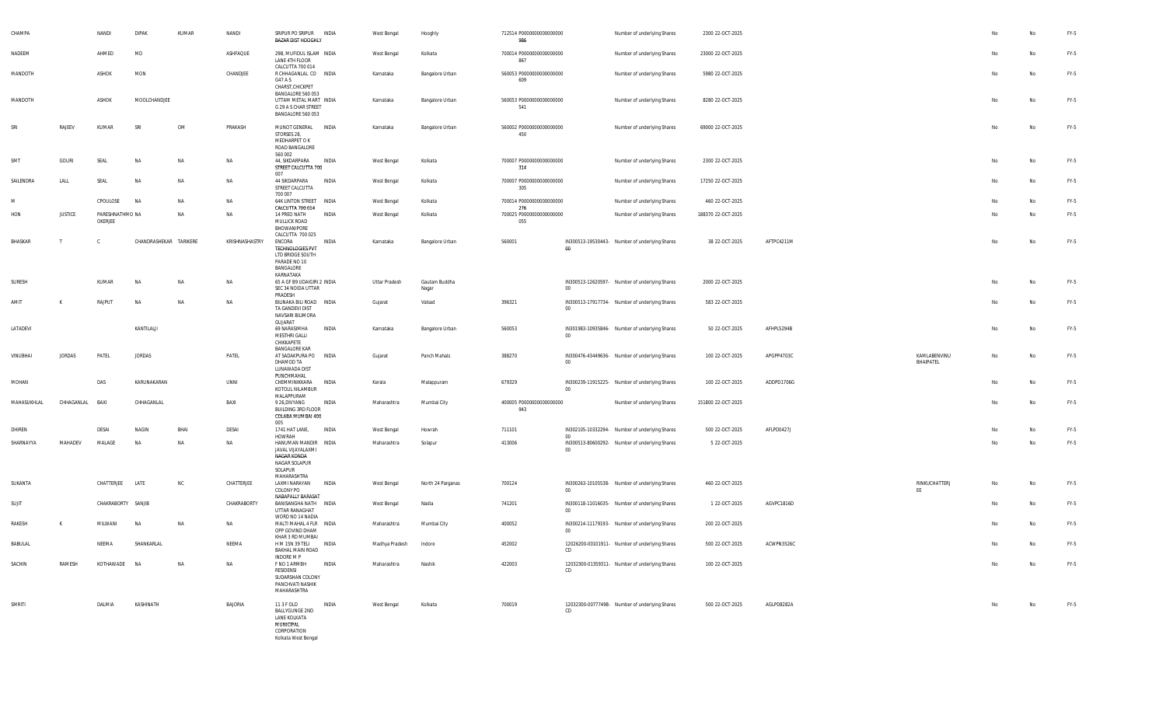| CHAMPA        |                | NANDI                      | <b>DIPAK</b>           | KUMAR     | NANDI          | SRIPUR PO SRIPUR INDIA<br>BAZAR DIST HOOGHLY                                                                         |              | West Bengal    | Hooghly                | 712514 P0000000000000000<br>986 |             | Number of underlying Shares                    | 2300 22-OCT-2025   |            |                           |    | No | FY-5   |
|---------------|----------------|----------------------------|------------------------|-----------|----------------|----------------------------------------------------------------------------------------------------------------------|--------------|----------------|------------------------|---------------------------------|-------------|------------------------------------------------|--------------------|------------|---------------------------|----|----|--------|
| NADEEM        |                | AHMED                      | MD                     |           | ASHFAQUE       | 29B, MUFIDUL ISLAM INDIA<br>LANE 4TH FLOOR                                                                           |              | West Bengal    | Kolkata                | 700014 P0000000000000000<br>867 |             | Number of underlying Shares                    | 23000 22-OCT-2025  |            |                           | No | No | $FY-5$ |
| MANDOTH       |                | ASHOK                      | MON                    |           | CHANDJEE       | CALCUTTA 700 014<br>R CHHAGANLAL CO INDIA<br>G47 A S<br>CHARST, CHICKPET                                             |              | Karnataka      | Bangalore Urban        | 560053 P0000000000000000<br>609 |             | Number of underlying Shares                    | 5980 22-OCT-2025   |            |                           | No | No | FY-5   |
| MANDOTH       |                | ASHOK                      | MOOLCHANDJEE           |           |                | BANGALORE 560 053<br>UTTAM METAL MART INDIA<br>G 29 A S CHAR STREET<br>BANGALORE 560 053                             |              | Karnataka      | Bangalore Urban        | 560053 P0000000000000000<br>541 |             | Number of underlying Shares                    | 8280 22-OCT-2025   |            |                           | No | No | FY-5   |
| SRI           | RAJEEV         | KUMAR                      | SRI                    | OM        | PRAKASH        | MUNOT GENERAL INDIA<br>STORSES 28,<br>MEDHARPET O K<br>ROAD BANGALORE                                                |              | Karnataka      | Bangalore Urban        | 560002 P0000000000000000<br>450 |             | Number of underlying Shares                    | 69000 22-OCT-2025  |            |                           | No | No | FY-5   |
| SMT           | GOURI          | SEAL                       | NA                     | NA        | NA             | 560 002<br>44, SIKDARPARA INDIA<br>STREET CALCUTTA 700<br>007                                                        |              | West Bengal    | Kolkata                | 700007 P0000000000000000<br>314 |             | Number of underlying Shares                    | 2300 22-OCT-2025   |            |                           | No | No | FY-5   |
| SAILENDRA     | LALL           | SEAL                       | NA                     | NA        | NA             | 44 SIKDARPARA<br>STREET CALCUTTA<br>700 007                                                                          | INDIA        | West Bengal    | Kolkata                | 700007 P0000000000000000<br>305 |             | Number of underlying Shares                    | 17250 22-OCT-2025  |            |                           | No | No | FY-5   |
| M             |                | CPOULOSE                   | NA                     | NA        | NA             | 64K LINTON STREET INDIA<br>CALCUTTA 700 014                                                                          |              | West Bengal    | Kolkata                | 700014 P0000000000000000<br>276 |             | Number of underlying Shares                    | 460 22-OCT-2025    |            |                           | No | No | FY-5   |
| HON           | <b>JUSTICE</b> | PARESHNATHMO NA<br>OKERJEE |                        | NA        | NA             | 14 PREO NATH<br>MULLICK ROAD<br>BHOWANIPORE<br>CALCUTTA 700 025                                                      | INDIA        | West Bengal    | Kolkata                | 700025 P0000000000000000<br>055 |             | Number of underlying Shares                    | 188370 22-OCT-2025 |            |                           | No | No | FY-5   |
| BHASKAR       | Т              |                            | CHANDRASHEKAR TARIKERE |           | KRISHNASHASTRY | ENCORA<br><b>TECHNOLOGIES PVT</b><br>LTD BRIDGE SOUTH<br>PARADE NO 10<br>BANGALORE<br>KARNATAKA                      | INDIA        | Karnataka      | Bangalore Urban        | 560001                          | 00          | IN300513-19530443- Number of underlying Shares | 38 22-OCT-2025     | AFTPC4211M |                           | No | No | $FY-5$ |
| <b>SURESH</b> |                | KUMAR                      | NA                     | NA        | NA             | 65 A GF B9 UDAIGIRI 2 INDIA<br>SEC 34 NOIDA UTTAR<br>PRADESH                                                         |              | Uttar Pradesh  | Gautam Buddha<br>Nagar |                                 | 00          | IN300513-12620597- Number of underlying Shares | 2000 22-OCT-2025   |            |                           | No | No | FY-5   |
| AMIT          | к              | RAJPUT                     | NA                     | <b>NA</b> | NA             | BILINAKA BILI ROAD INDIA<br>TA GANDEVI DIST<br>NAVSARI BILIMORA<br>GUJARAT                                           |              | Gujarat        | Valsad                 | 396321                          | $00\,$      | IN300513-17917734- Number of underlying Shares | 583 22-OCT-2025    |            |                           | No | No | FY-5   |
| LATADEVI      |                |                            | KANTILALJI             |           |                | 69 NARASIMHA<br>MESTHRI GALLI<br>CHIKKAPETE<br>BANGALORE KAR                                                         | INDIA        | Karnataka      | Bangalore Urban        | 560053                          | 00          | IN301983-10935846- Number of underlying Shares | 50 22-OCT-2025     | AFHPL5294B |                           | No | No | FY-5   |
| VINUBHAI      | <b>JORDAS</b>  | PATEL                      | JORDAS                 |           | PATEL          | AT SADAKPURA PO INDIA<br>DHAMOD TA<br>LUNAWADA DIST<br>PUNCHMAHAL                                                    |              | Gujarat        | Panch Mahals           | 388270                          | $00\,$      | IN300476-43449636- Number of underlying Shares | 100 22-OCT-2025    | APGPP4703C | KAMLABENVINU<br>BHAIPATEL | No | No | FY-5   |
| MOHAN         |                | DAS                        | KARUNAKARAN            |           | UNNI           | CHEMMINIKKARA<br>KOTOLIL NILAMBUR<br>MALAPPURAM                                                                      | <b>INDIA</b> | Kerala         | Malappuram             | 679329                          | 00          | IN300239-11915225- Number of underlying Shares | 100 22-OCT-2025    | ADDPD1706G |                           | No | No | $FY-5$ |
| MAHASUKHLAL   | CHHAGANLAL     | BAXI                       | CHHAGANLAL             |           | BAXI           | 9 26, DIVYANG<br>BUILDING 3RD FLOOR<br>COLABA MUMBAI 400                                                             | INDIA        | Maharashtra    | Mumbai City            | 400005 P0000000000000000<br>943 |             | Number of underlying Shares                    | 151800 22-OCT-2025 |            |                           | No | No | FY-5   |
| DHIREN        |                | DESAI                      | NAGIN                  | BHAI      | DESAI          | 005<br>1741 HAT LANE,                                                                                                | INDIA        | West Bengal    | Howrah                 | 711101                          |             | IN302105-10332294- Number of underlying Shares | 500 22-OCT-2025    | AFLPD0427J |                           | No | No | FY-5   |
| SHARNAYYA     | MAHADEV        | MALAGE                     | NA                     | NA        | NA             | <b>HOWRAH</b><br>HANUMAN MANDIR INDIA<br>JAVAL VIJAYALAXMI<br>NAGAR KONDA<br>NAGAR SOLAPUR<br>SOLAPUR<br>MAHARASHTRA |              | Maharashtra    | Solapur                | 413006                          | 00<br>00    | IN300513-80600292- Number of underlying Shares | 5 22-OCT-2025      |            |                           | No | No | FY-5   |
| SUKANTA       |                | CHATTERJEE                 | LATE                   | NC        | CHATTERJEE     | LAXMI NARAYAN<br>COLONY PO<br>NABAPALLY BARASAT                                                                      | INDIA        | West Bengal    | North 24 Parganas      | 700124                          | $00\,$      | IN300263-10105538- Number of underlying Shares | 460 22-OCT-2025    |            | RINKUCHATTERJ<br>EE       | No | No | FY-5   |
| SUJIT         |                | CHAKRABORTY SANJIB         |                        |           | CHAKRABORTY    | BANISANGHA NATH INDIA<br>UTTAR RANAGHAT<br>WORD NO 14 NADIA                                                          |              | West Bengal    | Nadia                  | 741201                          | $00\degree$ | IN300118-11016035- Number of underlying Shares | 1 22-OCT-2025      | AGVPC1816D |                           | No | No | FY-5   |
| RAKESH        | К              | MILWANI                    | NA                     | <b>NA</b> | NA             | MALTI MAHAL 4 FLR INDIA<br>OPP GOVIND DHAM<br>KHAR 3 RD MUMBAI                                                       |              | Maharashtra    | Mumbai City            | 400052                          | $00\,$      | IN300214-11179193- Number of underlying Shares | 200 22-OCT-2025    |            |                           | No | No | FY-5   |
| BABULAL       |                | NEEMA                      | SHANKARLAL             |           | NEEMA          | H M 15N 39 TELI<br>BAKHAL MAIN ROAD<br>INDORE M P                                                                    | <b>INDIA</b> | Madhya Pradesh | Indore                 | 452002                          | CD          | 12026200-00101911- Number of underlying Shares | 500 22-OCT-2025    | ACWPN3526C |                           | No | No | $FY-5$ |
| SACHIN        | RAMESH         | KOTHAWADE NA               |                        | NA        | NA             | F NO 1 ARMBH<br>RESIDENSI<br>SUDARSHAN COLONY<br>PANCHVATI NASHIK<br>MAHARASHTRA                                     | INDIA        | Maharashtra    | Nashik                 | 422003                          | CD          | 12032300-01359311- Number of underlying Shares | 100 22-OCT-2025    |            |                           | No | No | $FY-5$ |
| SMRITI        |                | DALMIA                     | KASHINATH              |           | BAJORIA        | 11 3 F OLD<br>BALLYGUNGE 2ND<br>LANE KOLKATA<br>MUNICIPAL<br>CORPORATION<br>Kolkata West Bengal                      | INDIA        | West Bengal    | Kolkata                | 700019                          | CD          | 12032300-00777498- Number of underlying Shares | 500 22-OCT-2025    | AGLPD8282A |                           | No | No | FY-5   |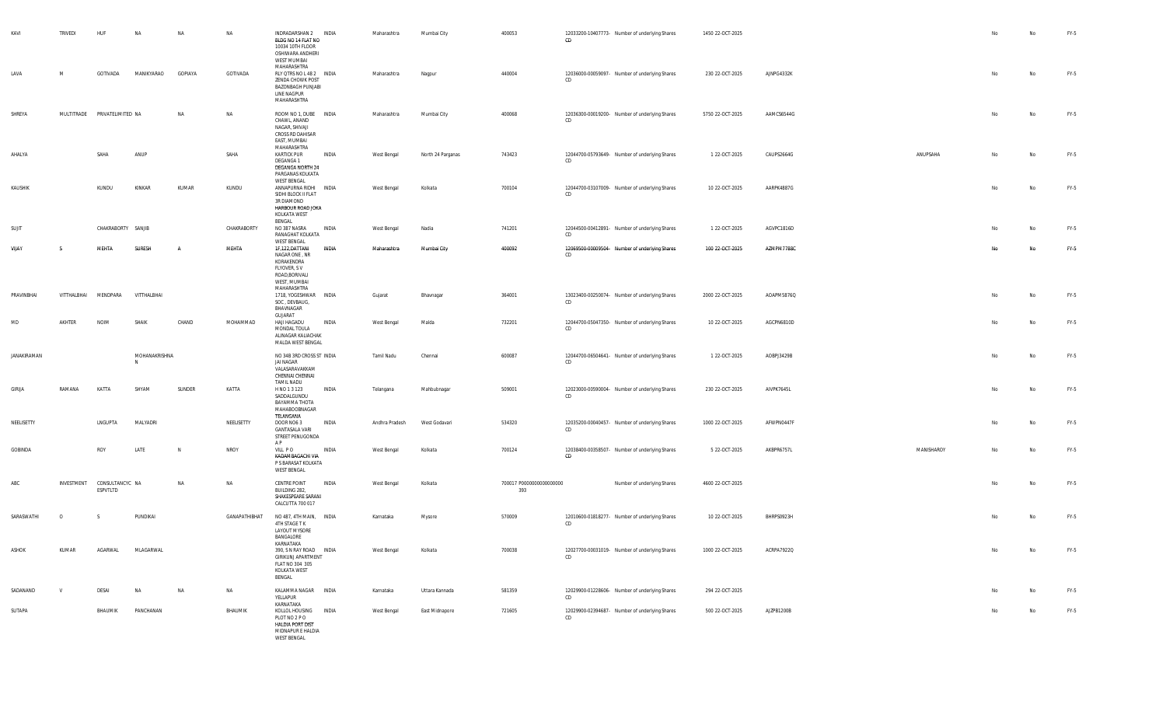| KAVI        | TRIVEDI                      | HUF                         | NA                 | NA           | NA            | INDRADARSHAN 2 INDIA<br>BLDG NO 14 FLAT NO<br>10034 10TH FLOOR<br>OSHIWARA ANDHERI<br>WEST MUMBAI<br>MAHARASHTRA |       | Maharashtra    | Mumbai City       | 400053                          | CD | 12033200-10407773- Number of underlying Shares | 1450 22-OCT-2025 |            |            | No  | No        | FY-5 |
|-------------|------------------------------|-----------------------------|--------------------|--------------|---------------|------------------------------------------------------------------------------------------------------------------|-------|----------------|-------------------|---------------------------------|----|------------------------------------------------|------------------|------------|------------|-----|-----------|------|
| LAVA        | M                            | GOTIVADA                    | MANIKYARAO         | GOPIAYA      | GOTIVADA      | RLY QTRS NO L 48 2   INDIA<br>ZENDA CHOWK POST<br>BAZONBAGH PUNJABI<br>LINE NAGPUR<br>MAHARASHTRA                |       | Maharashtra    | Nagpur            | 440004                          | CD | 12036000-00059097- Number of underlying Shares | 230 22-OCT-2025  | AJNPG4332K |            | No  | No        | FY-5 |
| SHREYA      | MULTITRADE PRIVATELIMITED NA |                             |                    | NA           | NA            | ROOM NO 1, DUBE INDIA<br>CHAWL, ANAND<br>NAGAR, SHIVAJI<br>CROSS RD DAHISAR<br>EAST, MUMBAI<br>MAHARASHTRA       |       | Maharashtra    | Mumbai City       | 400068                          | CD | 12036300-00019200- Number of underlying Shares | 5750 22-OCT-2025 | AAMCS6544G |            | No  | No        | FY-5 |
| AHALYA      |                              | SAHA                        | ANUP               |              | SAHA          | <b>KARTICK PUR</b><br>DEGANGA 1<br>DEGANGA NORTH 24<br>PARGANAS KOLKATA<br><b>WEST BENGAL</b>                    | INDIA | West Bengal    | North 24 Parganas | 743423                          | CD | 12044700-05793649- Number of underlying Shares | 1 22-OCT-2025    | CAUPS2664G | ANUPSAHA   | No  | No        | FY-5 |
| KAUSHIK     |                              | KUNDU                       | KINKAR             | KUMAR        | KUNDU         | ANNAPURNA RIDHI INDIA<br>SIDHI BLOCK II FLAT<br>3R DIAMOND<br>HARBOUR ROAD JOKA<br>KOLKATA WEST<br>BENGAL        |       | West Bengal    | Kolkata           | 700104                          | CD | 12044700-03107009- Number of underlying Shares | 10 22-OCT-2025   | AARPK4887G |            | No  | No        | FY-5 |
| SUJIT       |                              | CHAKRABORTY SANJIB          |                    |              | CHAKRABORTY   | NO 387 NASRA<br>RANAGHAT KOLKATA<br><b>WEST BENGAL</b>                                                           | INDIA | West Bengal    | Nadia             | 741201                          | CD | 12044500-00412891- Number of underlying Shares | 1 22-OCT-2025    | AGVPC1816D |            | No  | No        | FY-5 |
| VIIAY       | -S                           | MEHTA                       | SURESH             | A            | MEHTA         | 1F,122,DATTANI<br>NAGAR ONE, NR<br>KORAKENDRA<br>FLYOVER, SV<br>ROAD, BORIVALI<br>WEST, MUMBAI<br>MAHARASHTRA    | INDIA | Maharashtra    | Mumbai City       | 400092                          | CD | 12069500-00009504- Number of underlying Shares | 100 22-OCT-2025  | AZMPM7788C |            | No. | <b>No</b> | FY-5 |
| PRAVINBHAI  | VITTHALBHAI                  | MENDPARA                    | VITTHALBHAI        |              |               | 1718, YOGESHWAR INDIA<br>SOC, DEVBAUG,<br>BHAVNAGAR<br>GUJARAT                                                   |       | Gujarat        | Bhavnagar         | 364001                          | CD | 13023400-00250074- Number of underlying Shares | 2000 22-OCT-2025 | AOAPM5876Q |            | No  | No        | FY-5 |
| MD          | AKHTER                       | <b>NOIM</b>                 | SHAIK              | CHAND        | MOHAMMAD      | HAJI HAGADU<br>MONDAL TOULA<br>ALINAGAR KALIACHAK<br>MALDA WEST BENGAL                                           | INDIA | West Bengal    | Malda             | 732201                          | CD | 12044700-05047350- Number of underlying Shares | 10 22-OCT-2025   | AGCPN6810D |            | No  | No        | FY-5 |
| JANAKIRAMAN |                              |                             | MOHANAKRISHNA<br>N |              |               | NO 34B 3RD CROSS ST INDIA<br>JAI NAGAR<br>VALASARAVAKKAM<br>CHENNAI CHENNAI<br>TAMIL NADU                        |       | Tamil Nadu     | Chennai           | 600087                          | CD | 12044700-06504641- Number of underlying Shares | 1 22-OCT-2025    | AOBPJ3429B |            | No  | No        | FY-5 |
| GIRIJA      | RAMANA                       | KATTA                       | SHYAM              | SUNDER       | KATTA         | H NO 1 3 123<br>SADDALGUNDU<br>BAYAMMA THOTA<br>MAHABOOBNAGAR<br>TELANGANA                                       | INDIA | Telangana      | Mahbubnagar       | 509001                          | CD | 12023000-00590004- Number of underlying Shares | 230 22-OCT-2025  | AIVPK7645L |            | No  | No        | FY-5 |
| NEELISETTY  |                              | LNGUPTA                     | MALYADRI           |              | NEELISETTY    | DOOR NO63<br><b>GANTASALA VARI</b><br>STREET PENUGONDA<br>A P                                                    | INDIA | Andhra Pradesh | West Godavari     | 534320                          | CD | 12035200-00040457- Number of underlying Shares | 1000 22-OCT-2025 | AFWPN0447F |            | No  | No        | FY-5 |
| GOBINDA     |                              | ROY                         | LATE               | $\mathsf{N}$ | NROY          | VILL PO<br>KADAMBAGACHI VIA<br>P S BARASAT KOLKATA<br><b>WEST BENGAL</b>                                         | INDIA | West Bengal    | Kolkata           | 700124                          | CD | 12038400-00358507- Number of underlying Shares | 5 22-OCT-2025    | AKBPR6757L | MANISHAROY | No  | No        | FY-5 |
| ABC         | INVESTMENT                   | CONSULTANCYC NA<br>ESPVTLTD |                    | NA           | NA            | <b>CENTRE POINT</b><br>BUILDING 282,<br>SHAKESPEARE SARANI<br>CALCUTTA 700 017                                   | INDIA | West Bengal    | Kolkata           | 700017 P0000000000000000<br>393 |    | Number of underlying Shares                    | 4600 22-OCT-2025 |            |            | No  | No        | FY-5 |
| SARASWATHI  | $\circ$                      | -S                          | PUNDIKAI           |              | GANAPATHIBHAT | NO 487, 4TH MAIN, INDIA<br>4TH STAGE TK<br><b>LAYOUT MYSORE</b><br>BANGALORE<br>KARNATAKA                        |       | Karnataka      | Mysore            | 570009                          | CD | 12010600-01818277- Number of underlying Shares | 10 22-OCT-2025   | BHRPS0923H |            | No  | No        | FY-5 |
| ASHOK       | KUMAR                        | AGARWAL                     | MLAGARWAL          |              |               | 390, S N RAY ROAD INDIA<br>GIRIKUNJ APARTMENT<br>FLAT NO 304 305<br>KOLKATA WEST<br>BENGAL                       |       | West Bengal    | Kolkata           | 700038                          | CD | 12027700-00031019- Number of underlying Shares | 1000 22-OCT-2025 | ACRPA7922Q |            |     |           | FY-5 |
| SADANAND    | V                            | <b>DESAI</b>                | <b>NA</b>          | NA           | NA            | KALAMMA NAGAR INDIA<br>YELLAPUR<br>KARNATAKA                                                                     |       | Karnataka      | Uttara Kannada    | 581359                          | CD | 12029900-01228606- Number of underlying Shares | 294 22-OCT-2025  |            |            | No  | No        | FY-5 |
| SUTAPA      |                              | BHAUMIK                     | PANCHANAN          |              | BHAUMIK       | KOLLOL HOUSING INDIA<br>PLOT NO 2 P O<br>HALDIA PORT DIST<br>MIDNAPUR E HALDIA<br><b>WEST BENGAL</b>             |       | West Bengal    | East Midnapore    | 721605                          | CD | 12029900-02394687- Number of underlying Shares | 500 22-OCT-2025  | AJZPB1200B |            | No  | No        | FY-5 |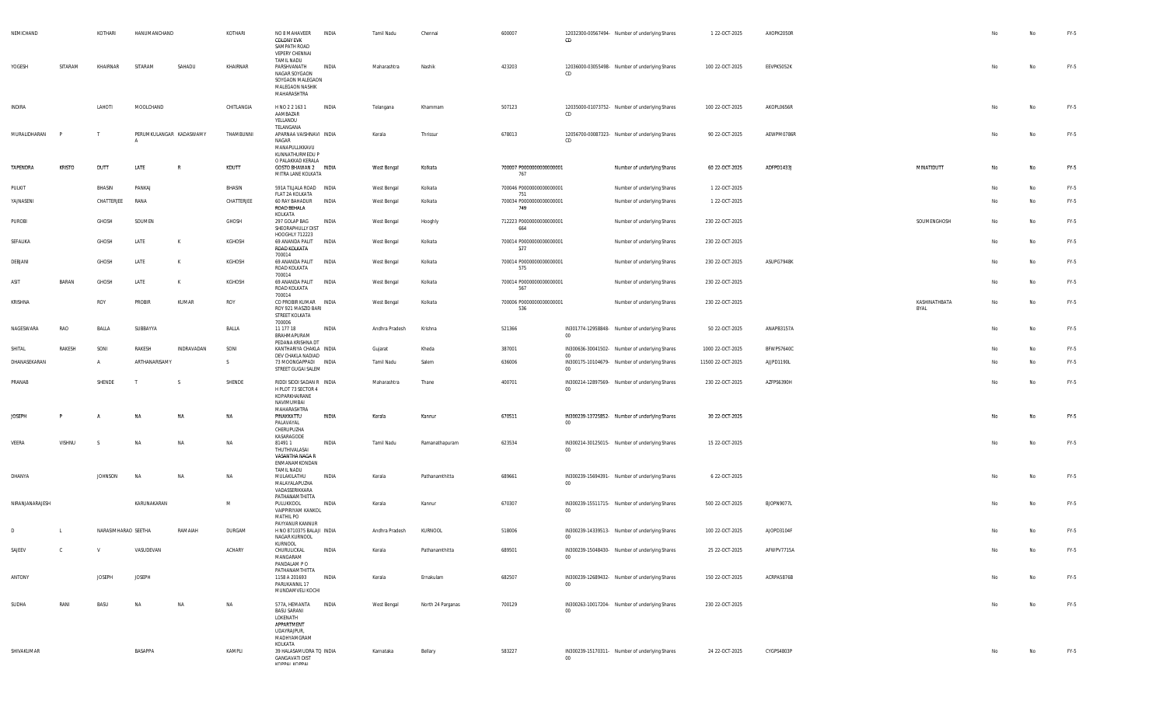| NEMICHAND       |               | KOTHARI             | HANUMANCHAND            |              | KOTHARI    | NO 8 MAHAVEER INDIA<br><b>COLONY EVK</b><br>SAMPATH ROAD<br><b>VEPERY CHENNAI</b><br>TAMIL NADU        |              | Tamil Nadu     | Chennai           | 600007                          | CD          | 12032300-00567494- Number of underlying Shares | 1 22-OCT-2025     | AXOPK2050R |                       | No | No        | FY-5   |
|-----------------|---------------|---------------------|-------------------------|--------------|------------|--------------------------------------------------------------------------------------------------------|--------------|----------------|-------------------|---------------------------------|-------------|------------------------------------------------|-------------------|------------|-----------------------|----|-----------|--------|
| YOGESH          | SITARAM       | KHAIRNAR            | SITARAM                 | SAHADU       | KHAIRNAR   | PARSHVANATH<br>NAGAR SOYGAON<br>SOYGAON MALEGAON<br>MALEGAON NASHIK<br>MAHARASHTRA                     | INDIA        | Maharashtra    | Nashik            | 423203                          | CD.         | 12036000-03055498- Number of underlying Shares | 100 22-OCT-2025   | EEVPK5052K |                       | No | No        | FY-5   |
| <b>INDIRA</b>   |               | LAHOTI              | MOOLCHAND               |              | CHITLANGIA | H NO 2 2 163 1<br>AAMBAZAR<br>YELLANDU                                                                 | INDIA        | Telangana      | Khammam           | 507123                          | CD          | 12035000-01073752- Number of underlying Shares | 100 22-OCT-2025   | AKOPL0656R |                       | No | No        | FY-5   |
| MURALIDHARAN    |               |                     | PERUMKULANGAR KADASWAMY |              | THAMBUNNI  | TELANGANA<br>APARNAA VAISHNAVI INDIA<br>NAGAR<br>MANAPULLIKKAVU<br>KUNNATHURMEDU P                     |              | Kerala         | Thrissur          | 678013                          | CD          | 12056700-00087323- Number of underlying Shares | 90 22-OCT-2025    | AEWPM0786R |                       | No | No        | FY-5   |
| TAPENDRA        | <b>KRISTO</b> | DUTT                | LATE                    | $\mathbb{R}$ | KDUTT      | O PALAKKAD KERALA<br>GOSTO BHAWAN 2 INDIA<br>MITRA LANE KOLKATA                                        |              | West Bengal    | Kolkata           | 700007 P0000000000000001<br>767 |             | Number of underlying Shares                    | 60 22-OCT-2025    | ADFPD1433J | MINATIDUTT            | No | No        | $FY-5$ |
| PULKIT          |               | BHASIN              | PANKAJ                  |              | BHASIN     | 591A TILJALA ROAD INDIA<br>FLAT 2A KOLKATA                                                             |              | West Bengal    | Kolkata           | 700046 P0000000000000001<br>751 |             | Number of underlying Shares                    | 1 22-OCT-2025     |            |                       | No | No        | FY-5   |
| YAJNASENI       |               | CHATTERJEE          | RANA                    |              | CHATTERJEE | 60 RAY BAHADUR<br>ROAD BEHALA<br>KOLKATA                                                               | INDIA        | West Bengal    | Kolkata           | 700034 P0000000000000001<br>749 |             | Number of underlying Shares                    | 1 22-OCT-2025     |            |                       | No | No        | FY-5   |
| PUROBI          |               | GHOSH               | SOUMEN                  |              | GHOSH      | 297 GOLAP BAG<br>SHEORAPHULLY DIST<br>HOOGHLY 712223                                                   | INDIA        | West Bengal    | Hooghly           | 712223 P0000000000000001<br>664 |             | Number of underlying Shares                    | 230 22-OCT-2025   |            | SOUMENGHOSH           | No | No        | FY-5   |
| SEFALIKA        |               | GHOSH               | LATE                    | К            | KGHOSH     | 69 ANANDA PALIT<br>ROAD KOLKATA<br>700014                                                              | INDIA        | West Bengal    | Kolkata           | 700014 P0000000000000001<br>577 |             | Number of underlying Shares                    | 230 22-OCT-2025   |            |                       | No | No        | FY-5   |
| DEBJANI         |               | GHOSH               | LATE                    | K            | KGHOSH     | 69 ANANDA PALIT<br>ROAD KOLKATA<br>700014                                                              | INDIA        | West Bengal    | Kolkata           | 700014 P0000000000000001<br>575 |             | Number of underlying Shares                    | 230 22-OCT-2025   | ASUPG7948K |                       | No | No        | FY-5   |
| ASIT            | BARAN         | GHOSH               | LATE                    | к            | KGHOSH     | 69 ANANDA PALIT<br>ROAD KOLKATA<br>700014                                                              | <b>INDIA</b> | West Bengal    | Kolkata           | 700014 P0000000000000001<br>567 |             | Number of underlying Shares                    | 230 22-OCT-2025   |            |                       | No | No        | FY-5   |
| <b>KRISHNA</b>  |               | ROY                 | PROBIR                  | KUMAR        | ROY        | CO PROBIR KUMAR INDIA<br>ROY 921 MASZID BARI<br>STREET KOLKATA<br>700006                               |              | West Bengal    | Kolkata           | 700006 P0000000000000001<br>536 |             | Number of underlying Shares                    | 230 22-OCT-2025   |            | KASHINATHBATA<br>BYAL | No | <b>No</b> | FY-5   |
| NAGESWARA       | RAO           | BALLA               | SUBBAYYA                |              | BALLA      | 11 177 18<br>BRAHMAPURAM<br>PEDANA KRISHNA DT                                                          | INDIA        | Andhra Pradesh | Krishna           | 521366                          | $00\,$      | IN301774-12958848- Number of underlying Shares | 50 22-OCT-2025    | ANAPB3157A |                       | No | <b>No</b> | FY-5   |
| SHITAL          | RAKESH        | SONI                | RAKESH                  | INDRAVADAN   | SONI       | KANTHARIYA CHAKLA INDIA<br>DEV CHAKLA NADIAD                                                           |              | Gujarat        | Kheda             | 387001                          | 00          | IN300636-30041502- Number of underlying Shares | 1000 22-OCT-2025  | BFWPS7640C |                       | No | No        | FY-5   |
| DHANASEKARAN    |               |                     | ARTHANARISAMY           |              | -S         | 73 MOONGAPPADI INDIA<br>STREET GUGAI SALEM                                                             |              | Tamil Nadu     | Salem             | 636006                          | $00\,$      | IN300175-10104679- Number of underlying Shares | 11500 22-OCT-2025 | AJJPD1190L |                       | No | No        | FY-5   |
| PRANAB          |               | SHENDE              | Т                       |              | SHENDE     | RIDDI SIDDI SADAN R INDIA<br>H PLOT 73 SECTOR 4<br>KOPARKHAIRANE<br>NAVIMUMBAI<br>MAHARASHTRA          |              | Maharashtra    | Thane             | 400701                          | $00\,$      | IN300214-12897569- Number of underlying Shares | 230 22-OCT-2025   | AZFPS6390H |                       | No | No        | FY-5   |
| <b>JOSEPH</b>   |               |                     | NA                      | NA           | NA         | PINAKKATTU<br>PALAVAYAL<br>CHERUPUZHA<br>KASARAGODE                                                    | INDIA        | Kerala         | Kannur            | 670511                          | $00\,$      | IN300239-13725852- Number of underlying Shares | 30 22-OCT-2025    |            |                       | No | No        | $FY-5$ |
| VEERA           | VISHNU        |                     | <b>NA</b>               | NA           | NA         | 814911<br>THUTHIVALASAI<br>VASANTHA NAGA R<br>ENMANAMKONDAN                                            | INDIA        | Tamil Nadu     | Ramanathapuram    | 623534                          | $00\degree$ | IN300214-30125015- Number of underlying Shares | 15 22-OCT-2025    |            |                       | No | No        | FY-5   |
| DHANYA          |               | <b>JOHNSON</b>      | <b>NA</b>               | NA           | NA         | TAMIL NADU<br>MULAKILATHU<br>MALAYALAPUZHA<br>VADASSERIKKARA<br>PATHANAMTHITTA                         | INDIA        | Kerala         | Pathanamthitta    | 689661                          | $00\,$      | IN300239-15694391- Number of underlying Shares | 6 22-OCT-2025     |            |                       | No | No        | FY-5   |
| NIRANJANARAJESH |               |                     | KARUNAKARAN             |              | M          | PULUKKOOL<br>VAIPPIRIYAM KANKOL<br><b>MATHIL PO</b>                                                    | INDIA        | Kerala         | Kannur            | 670307                          | $00\degree$ | IN300239-15511715- Number of underlying Shares | 500 22-OCT-2025   | BJOPN9077L |                       | No | No        | FY-5   |
| D               |               | NARASIMHARAO SEETHA |                         | RAMAIAH      | DURGAM     | PAYYANUR KANNUR<br>H NO 8710375 BALAJI INDIA<br>NAGAR KURNOOL                                          |              | Andhra Pradesh | KURNOOL           | 518006                          | $00\degree$ | IN300239-14339513- Number of underlying Shares | 100 22-OCT-2025   | AJOPD3104F |                       | No | <b>No</b> | FY-5   |
| SAJEEV          |               |                     | VASUDEVAN               |              | ACHAR      | KURNOOL<br>CHURULICKAL<br>MANGARAM<br>PANDALAM PO                                                      | INDIA        | Kerala         | Pathanamthitta    | 689501                          | $00\,$      | IN300239-15048430- Number of underlying Shares | 25 22-OCT-2025    | AFWPV7715A |                       |    |           | FY-5   |
| ANTONY          |               | <b>JOSEPH</b>       | <b>JOSEPH</b>           |              |            | PATHANAMTHITTA<br>1158 A 201693<br>PARUKANNIL 17<br>MUNDAMVELI KOCHI                                   | INDIA        | Kerala         | Ernakulam         | 682507                          | $00\,$      | IN300239-12689432- Number of underlying Shares | 150 22-OCT-2025   | ACRPA5876B |                       | No | No        | FY-5   |
| SUDHA           | RANI          | BASU                | NA                      | NA           | NA         | 577A, HEMANTA<br><b>BASU SARANI</b><br>LOKENATH<br>APPARTMENT<br>UDAYRAJPUR,<br>MADHYAMGRAM<br>KOLKATA | INDIA        | West Bengal    | North 24 Parganas | 700129                          | $00\degree$ | IN300263-10017204- Number of underlying Shares | 230 22-OCT-2025   |            |                       | No | No        | FY-5   |
| SHIVAKUMAR      |               |                     | BASAPPA                 |              | KAMPLI     | 39 HALASAMUDRA TO INDIA<br><b>GANGAVATI DIST</b><br>KUUUN NUUUN                                        |              | Karnataka      | Bellary           | 583227                          | $00\,$      | IN300239-15170311- Number of underlying Shares | 24 22-OCT-2025    | CYGPS4803P |                       | No | No        | FY-5   |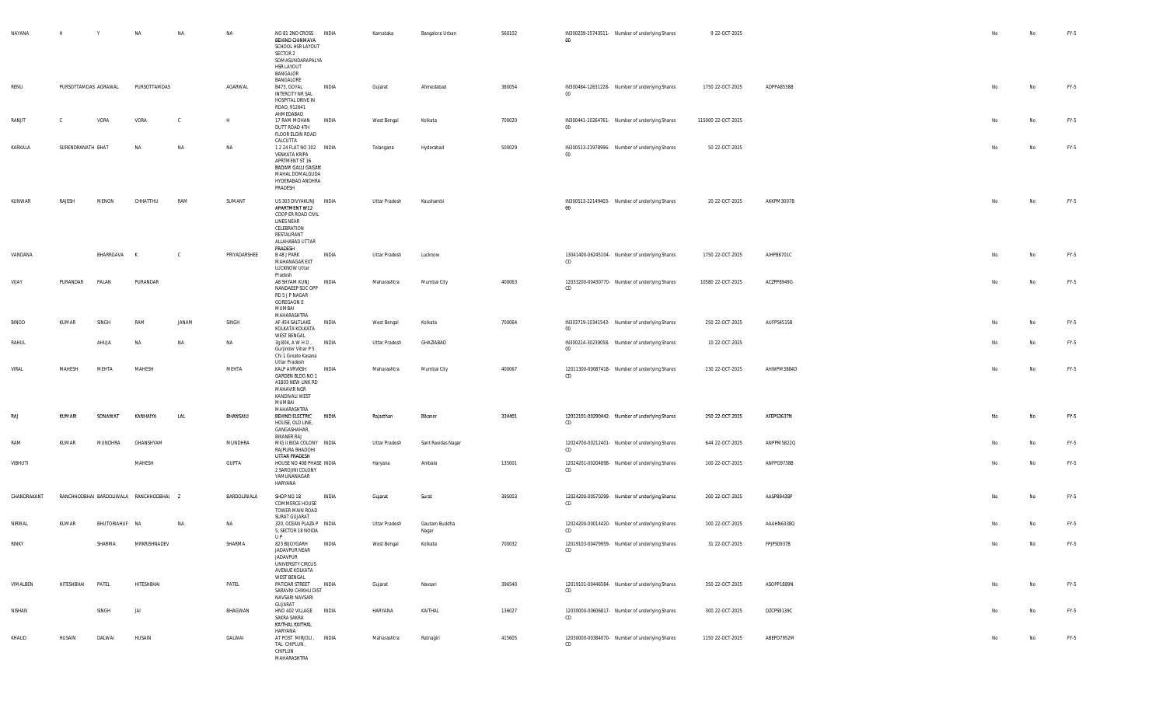| NAYANA      | H                    | Y              | NA                                      | NA        | NA               | NO 81 2ND CROSS<br>BEHIND CHINMAYA<br>SCHOOL HSR LAYOUT<br>SECTOR 2<br>SOMASUNDARAPALYA<br><b>HSR LAYOUT</b><br>BANGALOR                              | <b>INDIA</b> | Karnataka     | Bangalore Urban        | 560102 | IN300239-15743511- Number of underlying Shares<br>$00\,$ | 9 22-OCT-2025      |            | No | No | FY-5   |
|-------------|----------------------|----------------|-----------------------------------------|-----------|------------------|-------------------------------------------------------------------------------------------------------------------------------------------------------|--------------|---------------|------------------------|--------|----------------------------------------------------------|--------------------|------------|----|----|--------|
| RENU        | PURSOTTAMDAS AGRAWAL |                | PURSOTTAMDAS                            |           | AGARWAL          | BANGALORE<br>B473, GOYAL<br><b>INTERCITY NR SAL</b><br>HOSPITAL DRIVE IN<br>ROAD, 912641                                                              | INDIA        | Gujarat       | Ahmedabad              | 380054 | IN300484-12631228- Number of underlying Shares<br>$00\,$ | 1750 22-OCT-2025   | ADPPA8558B | No | No | FY-5   |
| RANJIT      |                      | VORA           | VORA                                    |           | H                | AHMEDABAD<br>17 RAM MOHAN<br>DUTT ROAD 4TH<br>FLOOR ELGIN ROAD                                                                                        | INDIA        | West Bengal   | Kolkata                | 700020 | IN300441-10264761- Number of underlying Shares<br>$00\,$ | 115000 22-OCT-2025 |            | No | No | FY-5   |
| KARKALA     | SURENDRANATH BHAT    |                | NA                                      | NA        | NA               | CALCUTTA<br>1 2 24 FLAT NO 302 INDIA<br>VENKATA KRIPA<br>APRTMENT ST 16<br><b>BADAM GALLI GAGAN</b><br>MAHAL DOMALGUDA<br>HYDERABAD ANDHRA<br>PRADESH |              | Telangana     | Hyderabad              | 500029 | IN300513-21978996- Number of underlying Shares<br>$00 -$ | 50 22-OCT-2025     |            | No | No | FY-5   |
| KUNWAR      | RAJESH               | MENON          | CHHATTHU                                | RAM       | SUMANT           | US 303 DIVYAKUNJ INDIA<br>APARTMENT W12<br>COOP ER ROAD CIVIL<br><b>LINES NEAR</b><br>CELEBRATION<br>RESTAURANT<br>ALLAHABAD UTTAR                    |              | Uttar Pradesh | Kaushambi              |        | IN300513-22149403- Number of underlying Shares<br>$00\,$ | 20 22-OCT-2025     | AKKPM3007B | No | No | FY-5   |
| VANDANA     |                      | BHARRGAVA K    |                                         | <b>C</b>  | PRIYADARSHEE     | PRADESH<br>B 48 J PARK<br>MAHANAGAR EXT<br>LUCKNOW Uttar                                                                                              | INDIA        | Uttar Pradesh | Lucknow                |        | 13041400-06245104- Number of underlying Shares<br>CD     | 1750 22-OCT-2025   | AIHPB8701C | No | No | FY-5   |
| VIJAY       | PURANDAR             | PALAN          | PURANDAR                                |           |                  | Pradesh<br>A8 SHYAM KUNJ<br>NANDAEEP SOC OPP<br>RD 5 J P NAGAR<br><b>GOREGAON E</b><br>MUMBAI<br>MAHARASHTRA                                          | INDIA        | Maharashtra   | Mumbai City            | 400063 | 12033200-00430770- Number of underlying Shares<br>CD     | 10580 22-OCT-2025  | ACZPP8949G | No | No | FY-5   |
| BINOD       | KUMAR                | SINGH          | RAM                                     | JANAM     | SINGH            | AF 454 SALTLAKE<br>KOLKATA KOLKATA<br>WEST BENGAL                                                                                                     | INDIA        | West Bengal   | Kolkata                | 700064 | IN303719-10341543- Number of underlying Shares<br>$00\,$ | 250 22-OCT-2025    | AUFPS4515B | No | No | $FY-5$ |
| RAHUL       |                      | AHUJA          | NA                                      | NA        | <b>NA</b>        | 3g 804, A W H O ,<br>Gurjinder Vihar P 5<br>Chi 1 Greate Kasana                                                                                       | INDIA        | Uttar Pradesh | GHAZIABAD              |        | IN300214-30239058- Number of underlying Shares<br>00     | 10 22-OCT-2025     |            | No | No | $FY-5$ |
| VIRAL       | MAHESH               | MEHTA          | MAHESH                                  |           | MEHTA            | Uttar Pradesh<br>KALP AVRVKSH<br>GARDEN BLDG NO 1<br>A1803 NEW LINK RD<br><b>MAHAVIR NGR</b><br>KANDIVALI WEST<br>MUMBAI<br>MAHARASHTRA               | INDIA        | Maharashtra   | Mumbai City            | 400067 | 12011300-00087418- Number of underlying Shares<br>CD     | 230 22-OCT-2025    | AHWPM3884D | No | No | FY-5   |
| RAJ         | KUMARI               | SONAWAT        | KANHAIYA                                | LAL       | <b>BHANSAILI</b> | BEHIND ELECTRIC<br>HOUSE, OLD LINE,<br>GANGASHAHAR,<br>BIKANER RAJ                                                                                    | <b>INDIA</b> | Rajasthan     | Bikaner                | 334401 | 12012101-00290442- Number of underlying Shares<br>CD     | 250 22-OCT-2025    | AFEPS3637N | No | No | $FY-5$ |
| RAM         | KUMAR                | MUNDHRA        | GHANSHYAM                               |           | MUNDHRA          | MIG II BIDA COLONY INDIA<br>RAJPURA BHADOHI<br>UTTAR PRADESH                                                                                          |              | Uttar Pradesh | Sant Ravidas Nagar     |        | 12024700-00212401- Number of underlying Shares<br>CD     | 644 22-OCT-2025    | ANPPM5822Q | No | No | FY-5   |
| VIBHUTI     |                      |                | MAHESH                                  |           | GUPTA            | HOUSE NO 408 PHASE INDIA<br>2 SAROJINI COLONY<br>YAMUNANAGAR<br>HARYANA                                                                               |              | Haryana       | Ambala                 | 135001 | 12024201-00204898- Number of underlying Shares<br>CD     | 100 22-OCT-2025    | ANFPG9738B | No | No | FY-5   |
| CHANDRAKANT |                      |                | RANCHHODBHAI BARDOLIWALA RANCHHODBHAI Z |           | BARDOLIWALA      | SHOP NO 18<br>COMMERCE HOUSE<br>TOWER MAIN ROAD<br>SURAT GUJARAT                                                                                      | INDIA        | Gujarat       | Surat                  | 395003 | 12024200-00570299- Number of underlying Shares<br>CD     | 200 22-OCT-2025    | AASPB9438P | No | No | FY-5   |
| NIRMAL      | KUMAR                | BHUTORIAHUF NA |                                         | <b>NA</b> | NA               | 320, OCEAN PLAZA P INDIA<br>5, SECTOR 18 NOIDA<br>U P                                                                                                 |              | Uttar Pradesh | Gautam Buddha<br>Nagar |        | 12024200-00014420- Number of underlying Shares<br>CD     | 100 22-OCT-2025    | AAAHN6338Q |    | No | FY-5   |
| RINKY       |                      | SHARMA         | MRKRISHNADEV                            |           | SHARMA           | 823 BIJOYGARH<br>JADAVPUR NEAR<br>JADAVPUR<br>UNIVERSITY CIRCUS<br>AVENUE KOLKATA<br>WEST BENGAL                                                      | INDIA        | West Bengal   | Kolkata                | 700032 | 12019103-00479959- Number of underlying Shares<br>CD     | 31 22-OCT-2025     | FPJPS0937B |    | No | $FY-5$ |
| VIMALBEN    | HITESHBHAI           | PATEL          | HITESHBHAI                              |           | PATEL            | PATIDAR STREET INDIA<br>SARAVNI CHIKHLI DIST<br>NAVSARI NAVSARI<br>GUJARAT                                                                            |              | Gujarat       | Navsari                | 396540 | 12019101-00446584- Number of underlying Shares<br>CD     | 350 22-OCT-2025    | ASOPP1889N | No | No | FY-5   |
| NISHAN      |                      | SINGH          | JAI                                     |           | BHAGWAN          | HNO 402 VILLAGE INDIA<br>SAKRA SAKRA<br>KAITHAL KAITHAL<br>HARYANA                                                                                    |              | HARYANA       | KAITHAL                | 136027 | 12030000-00606817- Number of underlying Shares<br>CD     | 300 22-OCT-2025    | DZCPS9139C | No | No | FY-5   |
| KHALID      | HUSAIN               | DALWAI         | HUSAIN                                  |           | DALWAI           | AT POST MIRJOLI, INDIA<br>TAL CHIPLUN,<br>CHIPLUN<br>MAHARASHTRA                                                                                      |              | Maharashtra   | Ratnagiri              | 415605 | 12030000-00384070- Number of underlying Shares<br>CD     | 1150 22-OCT-2025   | ABEPD7952M | No | No | FY-5   |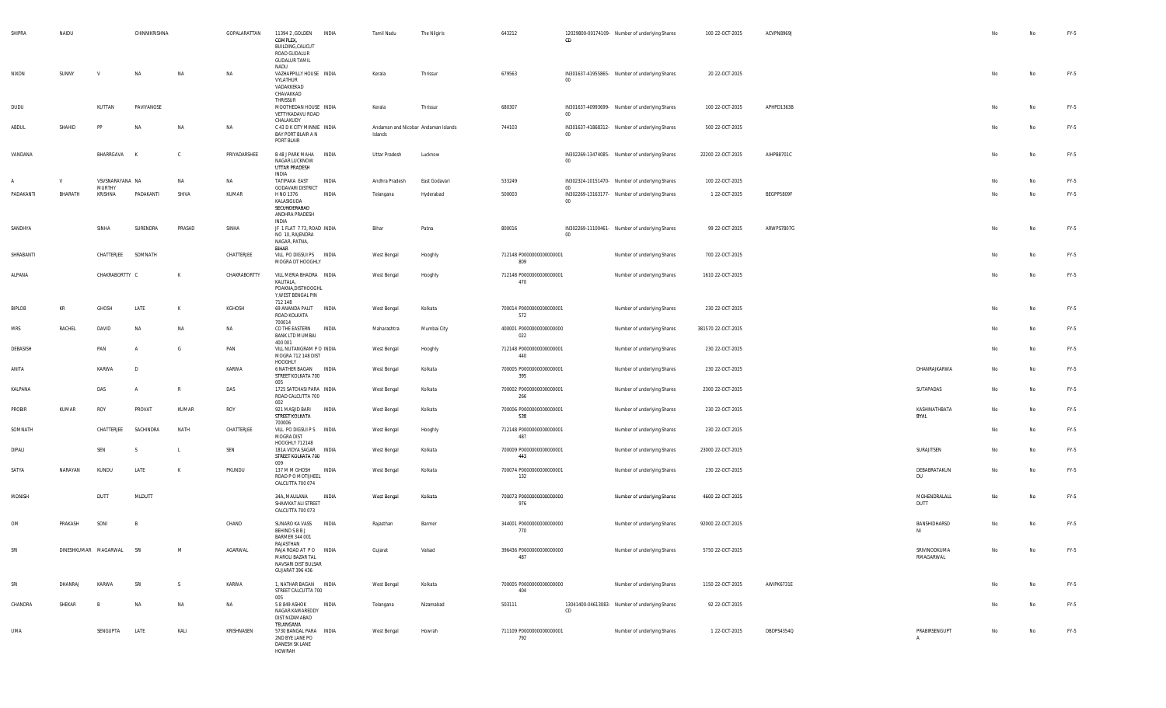| SHIPRA     | NAIDU   |                           | CHINNIKRISHNA |              | GOPALARATTAN | 11394 2 , GOLDEN<br>COMPLEX,<br>BUILDING, CALICUT<br>ROAD GUDALUR<br><b>GUDALUR TAMIL</b><br>NADU | <b>INDIA</b> | Tamil Nadu                                     | The Nilgiris  | 643212                          | CD              | 12029800-00174109- Number of underlying Shares | 100 22-OCT-2025    | ACVPN8969J |                                 | No | No | FY-5   |
|------------|---------|---------------------------|---------------|--------------|--------------|---------------------------------------------------------------------------------------------------|--------------|------------------------------------------------|---------------|---------------------------------|-----------------|------------------------------------------------|--------------------|------------|---------------------------------|----|----|--------|
| NIXON      | SUNNY   | V                         | <b>NA</b>     | NA           | NA           | VAZHAPPILLY HOUSE INDIA<br>VYLATHUR<br>VADAKKEKAD<br>CHAVAKKAD<br>THRISSUR                        |              | Kerala                                         | Thrissur      | 679563                          | 00              | IN301637-41955865- Number of underlying Shares | 20 22-OCT-2025     |            |                                 | No | No | FY-5   |
| DUDU       |         | KUTTAN                    | PAVIYANOSE    |              |              | MOOTHEDAN HOUSE INDIA<br>VETTYKADAVU ROAD<br>CHALAKUDY                                            |              | Kerala                                         | Thrissur      | 680307                          | $00\,$          | IN301637-40993699- Number of underlying Shares | 100 22-OCT-2025    | APHPD1363B |                                 | No | No | $FY-5$ |
| ABDUL      | SHAHID  | PF                        | NA            | NΔ           | NA           | C 43 D K CITY MINNIE INDIA<br>BAY PORT BLAIR A N<br>PORT BLAIR                                    |              | Andaman and Nicobar Andaman Islands<br>Islands |               | 744103                          | $00\,$          | IN301637-41868312- Number of underlying Shares | 500 22-OCT-2025    |            |                                 |    | No | FY-5   |
| VANDANA    |         | BHARRGAVA                 | K             | C.           | PRIYADARSHEE | B 48 J PARK MAHA<br>NAGAR LUCKNOW<br>UTTAR PRADESH<br>INDIA                                       | INDIA        | Uttar Pradesh                                  | Lucknow       |                                 | $00\,$          | IN302269-13474085- Number of underlying Shares | 22200 22-OCT-2025  | AIHPB8701C |                                 | No | No | $FY-5$ |
| A          | V       | VSVSNARAYANA NA<br>MURTHY |               | NA           | NA           | TATIPAKA EAST<br><b>GODAVARI DISTRICT</b>                                                         | INDIA        | Andhra Pradesh                                 | East Godavari | 533249                          | $00\,$          | IN302324-10151470- Number of underlying Shares | 100 22-OCT-2025    |            |                                 | No | No | $FY-5$ |
| PADAKANTI  | BHARATH | KRISHNA                   | PADAKANTI     | SHIVA        | KUMAR        | H NO 1376<br>KALASIGUDA<br>SECUNDERABAD<br>ANDHRA PRADESH<br>INDIA                                | INDIA        | Telangana                                      | Hyderabad     | 500003                          | 00 <sub>o</sub> | IN302269-13163177- Number of underlying Shares | 1 22-OCT-2025      | BEGPP5809F |                                 | No | No | FY-5   |
| SANDHYA    |         | SINHA                     | SURENDRA      | PRASAD       | SINHA        | JF 1 FLAT 7 73, ROAD INDIA<br>NO 10, RAJENDRA<br>NAGAR, PATNA,<br>BIHAR                           |              | Bihar                                          | Patna         | 800016                          | 00              | IN302269-11100461- Number of underlying Shares | 99 22-OCT-2025     | ARWPS7807G |                                 | No | No | FY-5   |
| SHRABANTI  |         | CHATTERJEE                | SOMNATH       |              | CHATTERJEE   | VILL PO DIGSUI PS INDIA<br>MOGRA DT HOOGHLY                                                       |              | West Bengal                                    | Hooghly       | 712148 P0000000000000001<br>809 |                 | Number of underlying Shares                    | 700 22-OCT-2025    |            |                                 | No | No | $FY-5$ |
| ALPANA     |         | CHAKRABORTTY C            |               | К            | CHAKRABORTTY | VILL MERIA BHADRA INDIA<br>KALITALA,<br>POAKNA, DISTHOOGHL<br>Y, WEST BENGAL PIN<br>712 148       |              | West Bengal                                    | Hooghly       | 712148 P0000000000000001<br>470 |                 | Number of underlying Shares                    | 1610 22-OCT-2025   |            |                                 | No | No | $FY-5$ |
| BIPLOB     | KR      | GHOSH                     | LATE          | K            | KGHOSH       | 69 ANANDA PALIT<br>ROAD KOLKATA<br>700014                                                         | <b>INDIA</b> | West Bengal                                    | Kolkata       | 700014 P0000000000000001<br>572 |                 | Number of underlying Shares                    | 230 22-OCT-2025    |            |                                 |    | No | $FY-5$ |
| <b>MRS</b> | RACHEL  | DAVID                     | <b>NA</b>     | NA           | NA           | CO THE EASTERN<br><b>BANK LTD MUMBAI</b><br>400 001                                               | INDIA        | Maharashtra                                    | Mumbai City   | 400001 P0000000000000000<br>022 |                 | Number of underlying Shares                    | 381570 22-OCT-2025 |            |                                 | No | No | FY-5   |
| DEBASISH   |         | PAN                       |               | - G          | PAN          | VILL NUTANGRAM P O INDIA<br>MOGRA 712 148 DIST<br>HOOGHLY                                         |              | West Bengal                                    | Hooghly       | 712148 P0000000000000001<br>440 |                 | Number of underlying Shares                    | 230 22-OCT-2025    |            |                                 | No | No | $FY-5$ |
| ANITA      |         | KARWA                     | $\sqrt{2}$    |              | KARWA        | 6 NATHER BAGAN INDIA<br>STREET KOLKATA 700<br>005                                                 |              | West Bengal                                    | Kolkata       | 700005 P0000000000000001<br>395 |                 | Number of underlying Shares                    | 230 22-OCT-2025    |            | DHANRAJKARWA                    | No | No | $FY-5$ |
| KALPANA    |         | DAS                       | A             | $\mathbb{R}$ | DAS          | 1725 SATCHASI PARA INDIA<br>ROAD CALCUTTA 700<br>002                                              |              | West Bengal                                    | Kolkata       | 700002 P0000000000000001<br>266 |                 | Number of underlying Shares                    | 2300 22-OCT-2025   |            | SUTAPADAS                       | No | No | $FY-5$ |
| PROBIR     | KUMAR   | ROY                       | PROVAT        | KUMAR        | ROY          | 921 MASJID BARI<br>STREET KOLKATA<br>700006                                                       | INDIA        | West Bengal                                    | Kolkata       | 700006 P0000000000000001<br>538 |                 | Number of underlying Shares                    | 230 22-OCT-2025    |            | KASHINATHBATA<br><b>BYAL</b>    | No | No | $FY-5$ |
| SOMNATH    |         | CHATTERJEE                | SACHINDRA     | NATH         | CHATTERJEE   | VILL PO DIGSUI P S INDIA<br>MOGRA DIST<br>HOOGHLY 712148                                          |              | West Bengal                                    | Hooghly       | 712148 P0000000000000001<br>487 |                 | Number of underlying Shares                    | 230 22-OCT-2025    |            |                                 | No | No | FY-5   |
| DIPALI     |         | SEN                       |               |              | SEN          | 181A VIDYA SAGAR INDIA<br>STREET KOLKATA 700<br>009                                               |              | West Bengal                                    | Kolkata       | 700009 P0000000000000001<br>443 |                 | Number of underlying Shares                    | 23000 22-OCT-2025  |            | SURAJITSEN                      | No | No | $FY-5$ |
| SATYA      | NARAYAN | KUNDU                     | LATE          | к            | PKUNDU       | 137 M M GHOSH<br>ROAD P O MOTUHEEL<br>CALCUTTA 700 074                                            | INDIA        | West Bengal                                    | Kolkata       | 700074 P0000000000000001<br>132 |                 | Number of underlying Shares                    | 230 22-OCT-2025    |            | DEBABRATAKUN<br>DU              |    | No | $FY-5$ |
| MONISH     |         | DUTT                      | MLDUTT        |              |              | 34A, MAULANA<br>SHAWKAT ALI STREET<br>CALCUTTA 700 073                                            | INDIA        | West Bengal                                    | Kolkata       | 700073 P0000000000000000<br>976 |                 | Number of underlying Shares                    | 4600 22-OCT-2025   |            | MOHENDRALALL<br>DUTT            | No | No | $FY-5$ |
| OM         | PRAKASH | SONI                      | - B           |              | CHAND        | SUNARO KA VASS<br><b>BEHIND S B B J</b><br><b>BARMER 344 001</b><br>RAJASTHAN                     | INDIA        | Rajasthan                                      | Barmer        | 344001 P0000000000000000<br>770 |                 | Number of underlying Shares                    | 92000 22-OCT-2025  |            | BANSHIDHARSO<br>NI              | No | No | $FY-5$ |
|            |         | DINESHKUMAR MAGARWAL      | SRI           |              | AGARWAL      | RAJA ROAD AT PO INDIA<br>MAROLI BAZAR TAL<br>NAVSARI DIST BULSAR<br><b>GUJARAT 396 436</b>        |              | Gujarat                                        | Valsad        | 396436 P0000000000000000<br>487 |                 | Number of underlying Shares                    | 5750 22-OCT-2025   |            | SRIVINODKUMA<br>RMAGARWAL       |    | No | FY-5   |
| SRI        | DHANRAJ | KARWA                     | SRI           | S.           | KARWA        | 1, NATHAR BAGAN INDIA<br>STREET CALCUTTA 700<br>005                                               |              | West Bengal                                    | Kolkata       | 700005 P0000000000000000<br>404 |                 | Number of underlying Shares                    | 1150 22-OCT-2025   | AWIPK6731E |                                 | No | No | FY-5   |
| CHANDRA    | SHEKAR  | B                         | NA            | NA           | NA           | 5 8 849 ASHOK<br>NAGAR KAMAREDDY<br>DIST NIZAMABAD<br>TELANGANA                                   | INDIA        | Telangana                                      | Nizamabad     | 503111                          | CD              | 13041400-04613083- Number of underlying Shares | 92 22-OCT-2025     |            |                                 | No | No | FY-5   |
| UMA        |         | SENGUPTA                  | LATE          | KALI         | KRISHNASEN   | 5730 BANGAL PARA INDIA<br>2ND BYE LANE PO<br>DANESH SK LANE<br>HOWRAH                             |              | West Bengal                                    | Howrah        | 711109 P0000000000000001<br>792 |                 | Number of underlying Shares                    | 1 22-OCT-2025      | DBDPS4354Q | PRABIRSENGUPT<br>$\overline{A}$ | No | No | FY-5   |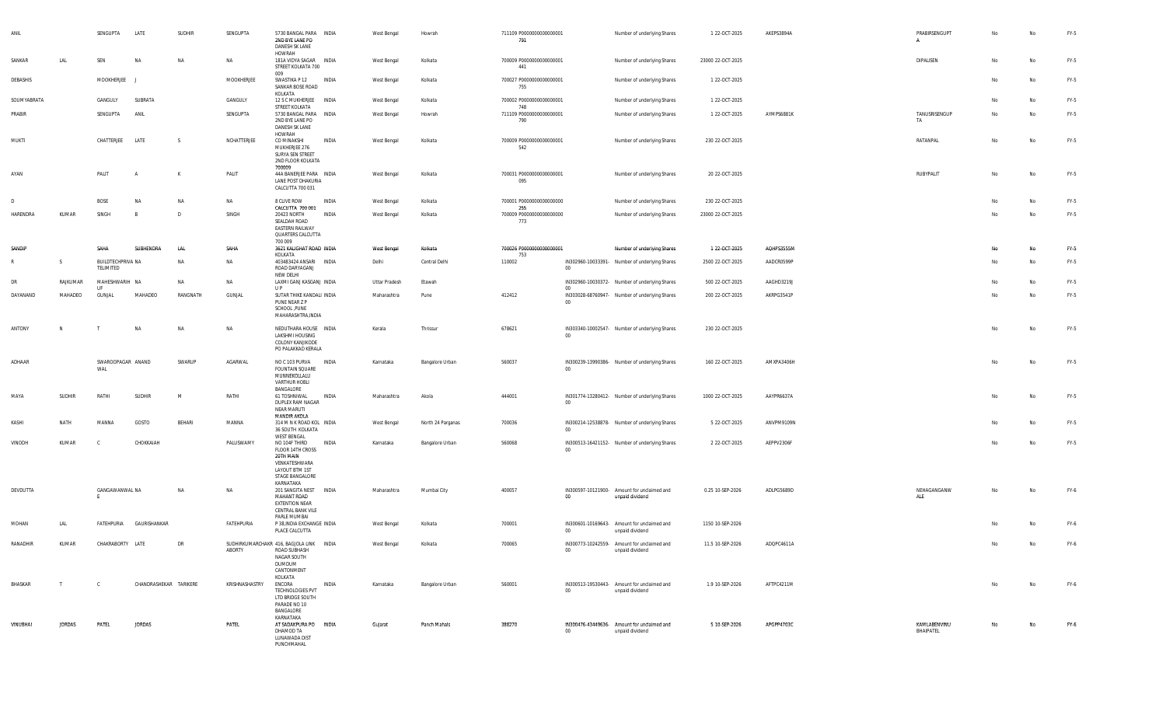| ANII        |               | SENGUPTA                       | LATE                   | <b>SUDHIR</b> | SENGUPTA       | 5730 BANGAL PARA INDIA<br>2ND BYE LANE PO<br>DANESH SK LANE<br><b>HOWRAH</b>                                                     |              | West Bengal   | Howrah            | 711109 P0000000000000001<br>791        |              | Number of underlying Shares                                    | 1 22-OCT-2025     | AKEPS3894A | PRABIRSENGUPT             | No | No | FY-5   |
|-------------|---------------|--------------------------------|------------------------|---------------|----------------|----------------------------------------------------------------------------------------------------------------------------------|--------------|---------------|-------------------|----------------------------------------|--------------|----------------------------------------------------------------|-------------------|------------|---------------------------|----|----|--------|
| SANKAR      | LAL           | SEN                            | ΝA                     | NA            | NA             | 181A VIDYA SAGAR INDIA<br>STREET KOLKATA 700                                                                                     |              | West Bengal   | Kolkata           | 700009 P0000000000000001<br>441        |              | Number of underlying Shares                                    | 23000 22-OCT-2025 |            | DIPALISEN                 | No | No | FY-5   |
| DEBASHIS    |               | MOOKHERJEE                     |                        |               | MOOKHERJEE     | 009<br>SWASTIKA P 12<br>SANKAR BOSE ROAD                                                                                         | <b>INDIA</b> | West Bengal   | Kolkata           | 700027 P0000000000000001<br>755        |              | Number of underlying Shares                                    | 1 22-OCT-2025     |            |                           | No | No | FY-5   |
| SOUMYABRATA |               | GANGULY                        | SUBRATA                |               | GANGULY        | KOLKATA<br>12 S C MUKHERJEE INDIA                                                                                                |              | West Bengal   | Kolkata           | 700002 P0000000000000001               |              | Number of underlying Shares                                    | 1 22-OCT-2025     |            |                           | No | No | FY-5   |
| PRABIR      |               | SENGUPTA                       | ANIL                   |               | SENGUPTA       | STREET KOLKATA<br>5730 BANGAL PARA INDIA<br>2ND BYE LANE PO<br>DANESH SK LANE                                                    |              | West Bengal   | Howrah            | 748<br>711109 P0000000000000001<br>790 |              | Number of underlying Shares                                    | 1 22-OCT-2025     | AYMPS6881K | TANUSRISENGUP<br>TA       | No | No | FY-5   |
| MUKTI       |               | CHATTERJEE                     | LATE                   | - S           | NCHATTERJEE    | HOWRAH<br>CO MINAKSHI<br>MUKHERJEE 276<br>SURYA SEN STREET<br>2ND FLOOR KOLKATA                                                  | INDIA        | West Bengal   | Kolkata           | 700009 P0000000000000001<br>542        |              | Number of underlying Shares                                    | 230 22-OCT-2025   |            | RATANPAL                  | No | No | FY-5   |
| AYAN        |               | PALIT                          |                        | K             | PALIT          | 700009<br>44A BANERJEE PARA INDIA<br>LANE POST DHAKURIA<br>CALCUTTA 700 031                                                      |              | West Bengal   | Kolkata           | 700031 P0000000000000001<br>095        |              | Number of underlying Shares                                    | 20 22-OCT-2025    |            | RUBYPALIT                 | No | No | FY-5   |
|             |               | <b>BOSE</b>                    | NA                     | NA            | NA             | 8 CLIVE ROW                                                                                                                      | INDIA        | West Bengal   | Kolkata           | 700001 P0000000000000000               |              | Number of underlying Shares                                    | 230 22-OCT-2025   |            |                           | No | No | FY-5   |
| HARENDRA    | KUMAR         | SINGH                          |                        | D             | SINGH          | CALCUTTA 700 001<br>20423 NORTH<br>SEALDAH ROAD<br>EASTERN RAILWAY<br>QUARTERS CALCUTTA                                          | INDIA        | West Bengal   | Kolkata           | 255<br>700009 P0000000000000000<br>773 |              | Number of underlying Shares                                    | 23000 22-OCT-2025 |            |                           | No | No | FY-5   |
| SANDIP      |               | SAHA                           | SUBHENDRA              | LAL           | SAHA           | 700 009<br>3621 KALIGHAT ROAD INDIA                                                                                              |              | West Bengal   | Kolkata           | 700026 P00000000000000001              |              | Number of underlying Shares                                    | 1 22-OCT-2025     | AQHPS3555M |                           | No | No | FY-5   |
|             | s             | BUILDTECHPRIVA NA<br>TELIMITED |                        | NA            | NA             | KOLKATA<br>403483424 ANSARI INDIA<br>ROAD DARYAGANJ                                                                              |              | Delhi         | Central Delhi     | 753<br>110002                          | 00           | IN302960-10033391- Number of underlying Shares                 | 2500 22-OCT-2025  | AADCR0599P |                           | No | No | FY-5   |
| DR          | RAJKUMAR      | MAHESHWARIH NA                 |                        | <b>NA</b>     | NA             | NEW DELHI<br>LAXMI GANJ KASGANJ INDIA                                                                                            |              | Uttar Pradesh | Etawah            |                                        |              | IN302960-10030372- Number of underlying Shares                 | 500 22-OCT-2025   | AAGHD3219J |                           | No | No | FY-5   |
| DAYANAND    | MAHADEO       | - UF<br>GUNJAL                 | MAHADEO                | RANGNATH      | <b>GUNJAL</b>  | $\mathsf{UP}$<br>SUTAR THIKE KANDALI INDIA<br>PUNE NEAR Z P<br>SCHOOL , PUNE<br>MAHARASHTRA, INDIA                               |              | Maharashtra   | Pune              | 412412                                 | ററ<br>$00\,$ | IN303028-68760947- Number of underlying Shares                 | 200 22-OCT-2025   | AKRPG3541P |                           | No | No | FY-5   |
| ANTONY      | N             |                                | NA                     | NA            | NA             | NEDUTHARA HOUSE INDIA<br>LAKSHMI HOUSING<br>COLONY KANJIKODE<br>PO PALAKKAD KERALA                                               |              | Kerala        | Thrissur          | 678621                                 | $00\,$       | IN303340-10002547- Number of underlying Shares                 | 230 22-OCT-2025   |            |                           | No | No | FY-5   |
| ADHAAR      |               | SWAROOPAGAR ANAND<br>WAL       |                        | SWARUP        | AGARWAL        | NO C 103 PURVA INDIA<br><b>FOUNTAIN SQUARE</b><br>MUNNEKOLLALU<br>VARTHUR HOBLI                                                  |              | Karnataka     | Bangalore Urban   | 560037                                 | 00           | IN300239-13990386- Number of underlying Shares                 | 160 22-OCT-2025   | AMXPA3406H |                           | No | No | FY-5   |
| MAYA        | SUDHIR        | RATHI                          | <b>SUDHIR</b>          | M             | RATHI          | BANGALORE<br>61 TOSHNIWAL<br>DUPLEX RAM NAGAR<br><b>NEAR MARUTI</b>                                                              | <b>INDIA</b> | Maharashtra   | Akola             | 444001                                 | $_{00}$      | IN301774-13280412- Number of underlying Shares                 | 1000 22-OCT-2025  | AAYPR6637A |                           | No | No | FY-5   |
| KASHI       | NATH          | MANNA                          | GOSTO                  | BEHARI        | MANNA          | MANDIR AKOLA<br>314 M N K ROAD KOL INDIA<br>36 SOUTH KOLKATA                                                                     |              | West Bengal   | North 24 Parganas | 700036                                 | 00           | IN300214-12538878- Number of underlying Shares                 | 5 22-OCT-2025     | ANVPM9109N |                           | No | No | FY-5   |
| VINODH      | KUMAR         | - C                            | CHOKKAIAH              |               | PALUSWAMY      | WEST BENGAL<br>NO 104F THIRD<br>FLOOR 14TH CROSS<br>20TH MAIN<br>VENKATESHWARA<br>LAYOUT BTM 1ST<br>STAGE BANGALORE<br>KARNATAKA | <b>INDIA</b> | Karnataka     | Bangalore Urban   | 560068                                 | $00\,$       | IN300513-16421152- Number of underlying Shares                 | 2 22-OCT-2025     | AEPPV2306F |                           | No | No | FY-5   |
| DEVDUTTA    |               | GANGAWANWAL NA<br>E            |                        | NA            | NA             | 201 SANGITA NEST<br>MAHANT ROAD<br><b>EXTENTION NEAR</b><br>CENTRAL BANK VILE<br>PARLE MUMBAI                                    | INDIA        | Maharashtra   | Mumbai City       | 400057                                 | 00           | IN300597-10121900- Amount for unclaimed and<br>unpaid dividend | 0.25 10-SEP-2026  | ADLPG5689D | NEHAGANGANW<br>ALE        | No | No | FY-6   |
| MOHAN       | LAL           | FATEHPURIA                     | GAURISHANKAR           |               | FATEHPURIA     | P 38, INDIA EXCHANGE INDIA<br>PLACE CALCUTTA                                                                                     |              | West Bengal   | Kolkata           | 700001                                 | $00\,$       | IN300601-10169643- Amount for unclaimed and<br>unpaid dividend | 1150 10-SEP-2026  |            |                           |    | No | FY-6   |
| RANADHIR    | KUMAR         | CHAKRABORTY LATE               |                        | <b>DR</b>     | ABORTY         | SUDHIRKUMARCHAKR 416, BAGJOLA LINK INDIA<br>ROAD SUBHASH<br>NAGAR SOUTH<br>DUMDUM<br>CANTONMENT<br>KOLKATA                       |              | West Bengal   | Kolkata           | 700065                                 | $00\,$       | IN300773-10242559- Amount for unclaimed and<br>unpaid dividend | 11.5 10-SEP-2026  | ADQPC4611A |                           |    | No | $FY-6$ |
| BHASKAR     | T             | $\mathbb{C}$                   | CHANDRASHEKAR TARIKERE |               | KRISHNASHASTRY | ENCORA<br>TECHNOLOGIES PVT<br>LTD BRIDGE SOUTH<br>PARADE NO 10<br>BANGALORE<br>KARNATAKA                                         | INDIA        | Karnataka     | Bangalore Urban   | 560001                                 | 00           | IN300513-19530443- Amount for unclaimed and<br>unpaid dividend | 1.9 10-SEP-2026   | AFTPC4211M |                           | No | No | FY-6   |
| VINUBHAI    | <b>JORDAS</b> | PATEL                          | <b>JORDAS</b>          |               | PATEL          | AT SADAKPURA PO INDIA<br>DHAMOD TA<br>LUNAWADA DIST<br>PUNCHMAHAL                                                                |              | Gujarat       | Panch Mahals      | 388270                                 | $00\,$       | IN300476-43449636- Amount for unclaimed and<br>unpaid dividend | 5 10-SEP-2026     | APGPP4703C | KAMLABENVINU<br>BHAIPATEL | No | No | FY-6   |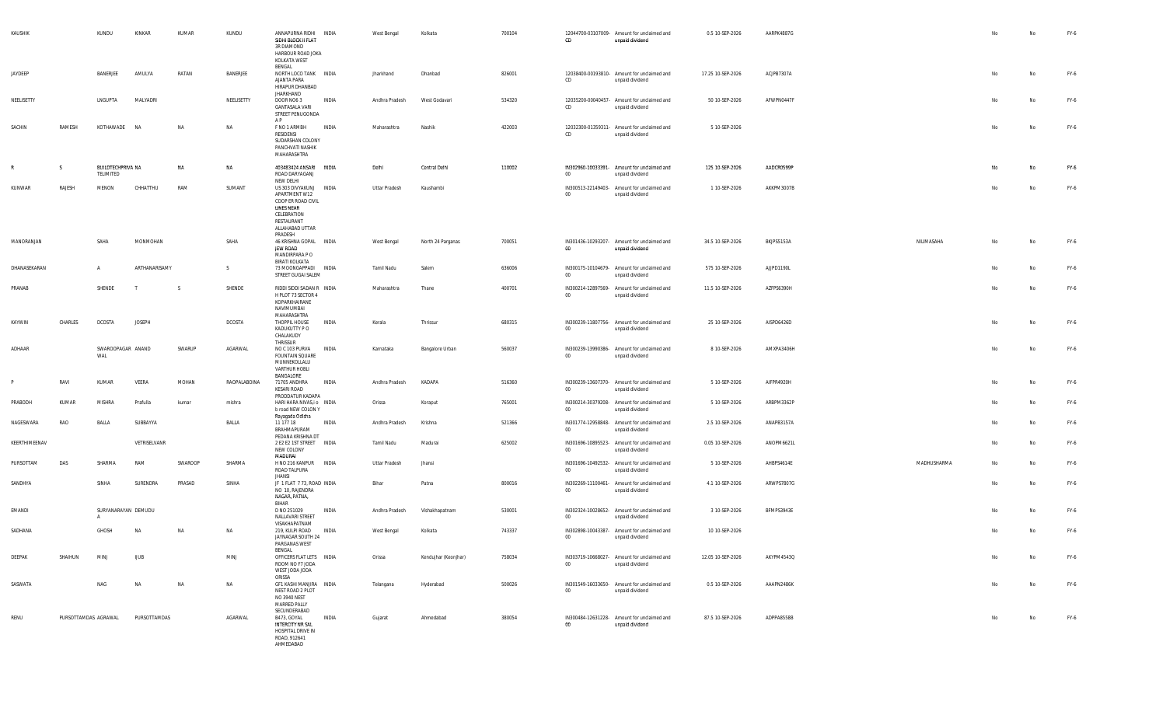| KAUSHIK       |                      | KUNDU                          | KINKAR        | KUMAR     | KUNDU        | ANNAPURNA RIDHI INDIA<br>SIDHI BLOCK II FLAT<br>3R DIAMOND<br>HARBOUR ROAD JOKA<br>KOLKATA WEST<br>BENGAL                                     |              | West Bengal    | Kolkata              | 700104 | CD     | 12044700-03107009- Amount for unclaimed and<br>unpaid dividend | 0.5 10-SEP-2026   | AARPK4887G |             | No | No  | FY-6   |
|---------------|----------------------|--------------------------------|---------------|-----------|--------------|-----------------------------------------------------------------------------------------------------------------------------------------------|--------------|----------------|----------------------|--------|--------|----------------------------------------------------------------|-------------------|------------|-------------|----|-----|--------|
| JAYDEEP       |                      | BANERJEE                       | AMULYA        | RATAN     | BANERJEE     | NORTH LOCO TANK INDIA<br>AJANTA PARA<br>HIRAPUR DHANBAD<br><b>JHARKHAND</b>                                                                   |              | Jharkhand      | Dhanbad              | 826001 | CD     | 12038400-00193810- Amount for unclaimed and<br>unpaid dividend | 17.25 10-SEP-2026 | ACJPB7307A |             | No | No  | $FY-6$ |
| NEELISETTY    |                      | LNGUPTA                        | MALYADRI      |           | NEELISETTY   | DOOR NO6 3<br><b>GANTASALA VARI</b><br>STREET PENUGONDA<br>AP                                                                                 | INDIA        | Andhra Pradesh | West Godavari        | 534320 | CD     | 12035200-00040457- Amount for unclaimed and<br>unpaid dividend | 50 10-SEP-2026    | AFWPN0447F |             | No | No. | FY-6   |
| SACHIN        | RAMESH               | KOTHAWADE                      | <b>NA</b>     | <b>NA</b> | NA           | F NO 1 ARMBH<br>RESIDENSI<br>SUDARSHAN COLONY<br>PANCHVATI NASHIK<br>MAHARASHTRA                                                              | INDIA        | Maharashtra    | Nashik               | 422003 | CD     | 12032300-01359311- Amount for unclaimed and<br>unpaid dividend | 5 10-SEP-2026     |            |             | No | No  | $FY-6$ |
| R             | S.                   | BUILDTECHPRIVA NA<br>TELIMITED |               | NA        | NA           | 403483424 ANSARI INDIA<br>ROAD DARYAGANJ<br>NEW DELHI                                                                                         |              | Delhi          | Central Delhi        | 110002 | $00\,$ | IN302960-10033391- Amount for unclaimed and<br>unpaid dividend | 125 10-SEP-2026   | AADCR0599P |             | No | No  | FY-6   |
| KUNWAR        | RAJESH               | MENON                          | CHHATTHU      | RAM       | SUMANT       | US 303 DIVYAKUNJ INDIA<br>APARTMENT W12<br>COOP ER ROAD CIVIL<br><b>LINES NEAR</b><br>CELEBRATION<br>RESTAURANT<br>ALLAHABAD UTTAR<br>PRADESH |              | Uttar Pradesh  | Kaushambi            |        | 00     | IN300513-22149403- Amount for unclaimed and<br>unpaid dividend | 1 10-SEP-2026     | AKKPM3007B |             | No | No  | $FY-6$ |
| MANORANJAN    |                      | SAHA                           | MONMOHAN      |           | SAHA         | 46 KRISHNA GOPAL INDIA<br><b>JEW ROAD</b><br>MANDIRPARA PO<br><b>BIRATI KOLKATA</b>                                                           |              | West Bengal    | North 24 Parganas    | 700051 | 00     | IN301436-10293207- Amount for unclaimed and<br>unpaid dividend | 34.5 10-SEP-2026  | BKJPS5153A | NILIMASAHA  | No | No  | $FY-6$ |
| DHANASEKARAN  |                      | $\overline{A}$                 | ARTHANARISAMY |           | S.           | 73 MOONGAPPADI INDIA<br>STREET GUGAI SALEM                                                                                                    |              | Tamil Nadu     | Salem                | 636006 | $00\,$ | IN300175-10104679- Amount for unclaimed and<br>unpaid dividend | 575 10-SEP-2026   | AJJPD1190L |             | No | No  | FY-6   |
| PRANAB        |                      | SHENDE                         | $\mathsf{T}$  | - S       | SHENDE       | RIDDI SIDDI SADAN R INDIA<br>H PLOT 73 SECTOR 4<br>KOPARKHAIRANE<br>NAVIMUMBAI<br>MAHARASHTRA                                                 |              | Maharashtra    | Thane                | 400701 | 00     | IN300214-12897569- Amount for unclaimed and<br>unpaid dividend | 11.5 10-SEP-2026  | AZFPS6390H |             | No | No  | $FY-6$ |
| KAYWIN        | CHARLES              | DCOSTA                         | <b>JOSEPH</b> |           | DCOSTA       | THOPPIL HOUSE<br>KADUKUTTY P O<br>CHALAKUDY                                                                                                   | INDIA        | Kerala         | Thrissur             | 680315 | $00\,$ | IN300239-11807756- Amount for unclaimed and<br>unpaid dividend | 25 10-SEP-2026    | AISPD6426D |             | No | No  | FY-6   |
| ADHAAR        |                      | SWAROOPAGAR ANAND<br>WAL       |               | SWARUP    | AGARWAL      | THRISSUR<br>NO C 103 PURVA<br><b>FOUNTAIN SQUARE</b><br>MUNNEKOLLALU<br>VARTHUR HOBLI<br>BANGALORE                                            | <b>INDIA</b> | Karnataka      | Bangalore Urban      | 560037 | $00\,$ | IN300239-13990386- Amount for unclaimed and<br>unpaid dividend | 8 10-SEP-2026     | AMXPA3406H |             | No | No  | $FY-6$ |
| P             | RAVI                 | KUMAR                          | VEERA         | MOHAN     | RAOPALABOINA | 71705 ANDHRA<br>KESARI ROAD<br>PRODDATUR KADAPA                                                                                               | INDIA        | Andhra Pradesh | KADAPA               | 516360 | $00\,$ | IN300239-13607370- Amount for unclaimed and<br>unpaid dividend | 5 10-SEP-2026     | AIFPR4920H |             | No | No  | FY-6   |
| PRABODH       | KUMAR                | MISHRA                         | Prafulla      | kumar     | mishra       | HARI HARA NIVAS,i o INDIA<br>b road NEW COLON Y<br>Rayagada Odisha                                                                            |              | Orissa         | Koraput              | 765001 | 00     | IN300214-30379208- Amount for unclaimed and<br>unpaid dividend | 5 10-SEP-2026     | ARBPM3362P |             | No | No  | FY-6   |
| NAGESWARA     | RAO                  | BALLA                          | SUBBAYYA      |           | BALLA        | 11 177 18<br>BRAHMAPURAM<br>PEDANA KRISHNA DT                                                                                                 | INDIA        | Andhra Pradesh | Krishna              | 521366 | $00\,$ | IN301774-12958848- Amount for unclaimed and<br>unpaid dividend | 2.5 10-SEP-2026   | ANAPB3157A |             | No | No. | $FY-6$ |
| KEERTHIMEENAV |                      |                                | VETRISELVANR  |           |              | 2 E2 E2 1ST STREET INDIA<br>NEW COLONY<br><b>MADURAL</b>                                                                                      |              | Tamil Nadu     | Madurai              | 625002 | $00\,$ | IN301696-10895523- Amount for unclaimed and<br>unpaid dividend | 0.05 10-SEP-2026  | ANOPM6621L |             | No | No  | FY-6   |
| PURSOTTAM     | DAS                  | SHARMA                         | RAM           | SWAROOP   | SHARMA       | H NO 216 KANPUR INDIA<br>ROAD TALPURA<br><b>JHANSI</b>                                                                                        |              | Uttar Pradesh  | Jhansi               |        | $00\,$ | IN301696-10492532- Amount for unclaimed and<br>unpaid dividend | 5 10-SEP-2026     | AHBPS4614E | MADHUSHARMA | No | No  | FY-6   |
| SANDHYA       |                      | SINHA                          | SURENDRA      | PRASAD    | SINHA        | JF 1 FLAT 7 73, ROAD INDIA<br>NO 10, RAJENDRA<br>NAGAR, PATNA,<br>BIHAR                                                                       |              | Bihar          | Patna                | 800016 | $00\,$ | IN302269-11100461- Amount for unclaimed and<br>unpaid dividend | 4.1 10-SEP-2026   | ARWPS7807G |             | No | No  | FY-6   |
| EMANDI        |                      | SURYANARAYAN DEMUDU            |               |           |              | D NO 251029<br>NALLAVARI STREET<br>VISAKHAPATNAM                                                                                              | <b>INDIA</b> | Andhra Pradesh | Vishakhapatnam       | 530001 | $00\,$ | IN302324-10028652- Amount for unclaimed and<br>unpaid dividend | 3 10-SEP-2026     | BFMPS3943E |             | No | No  | FY-6   |
| SADHANA       |                      | GHOSH                          | <b>NA</b>     | N/        | <b>NA</b>    | 219. KULPI ROAD<br>JAYNAGAR SOUTH 24<br>PARGANAS WEST                                                                                         | <b>INDIA</b> | West Bengal    | Kolkata              | 743337 | $00\,$ | IN302898-10043387- Amount for unclaimed and<br>unpaid dividend | 10 10-SEP-2026    |            |             | No | No  | FY-6   |
| DEEPAK        | SHAIHUN              | MINJ                           | <b>UUB</b>    |           | MINJ         | BENGAL<br>OFFICERS FLAT LETS INDIA<br>ROOM NO F7 JODA<br>WEST JODA JODA                                                                       |              | Orissa         | Kendujhar (Keonjhar) | 758034 | 00     | IN303719-10668027- Amount for unclaimed and<br>unpaid dividend | 12.05 10-SEP-2026 | AKYPM4543Q |             |    | No  | FY-6   |
| SASWATA       |                      | NAG                            | NA            | NA        | NA           | ORISSA<br>GF1 KASHI MANJIRA INDIA<br>NEST ROAD 2 PLOT<br>NO 3940 NEST<br>MARRED PALLY<br>SECUNDERABAD                                         |              | Telangana      | Hyderabad            | 500026 | 00     | IN301549-16033650- Amount for unclaimed and<br>unpaid dividend | 0.5 10-SEP-2026   | AAAPN2486K |             | No | No  | $FY-6$ |
| RENU          | PURSOTTAMDAS AGRAWAL |                                | PURSOTTAMDAS  |           | AGARWAL      | B473, GOYAL<br>INTERCITY NR SAL<br>HOSPITAL DRIVE IN<br>ROAD, 912641<br>AHMEDABAD                                                             | INDIA        | Gujarat        | Ahmedabad            | 380054 | 00     | IN300484-12631228- Amount for unclaimed and<br>unpaid dividend | 87.5 10-SEP-2026  | ADPPA8558B |             | No | No  | FY-6   |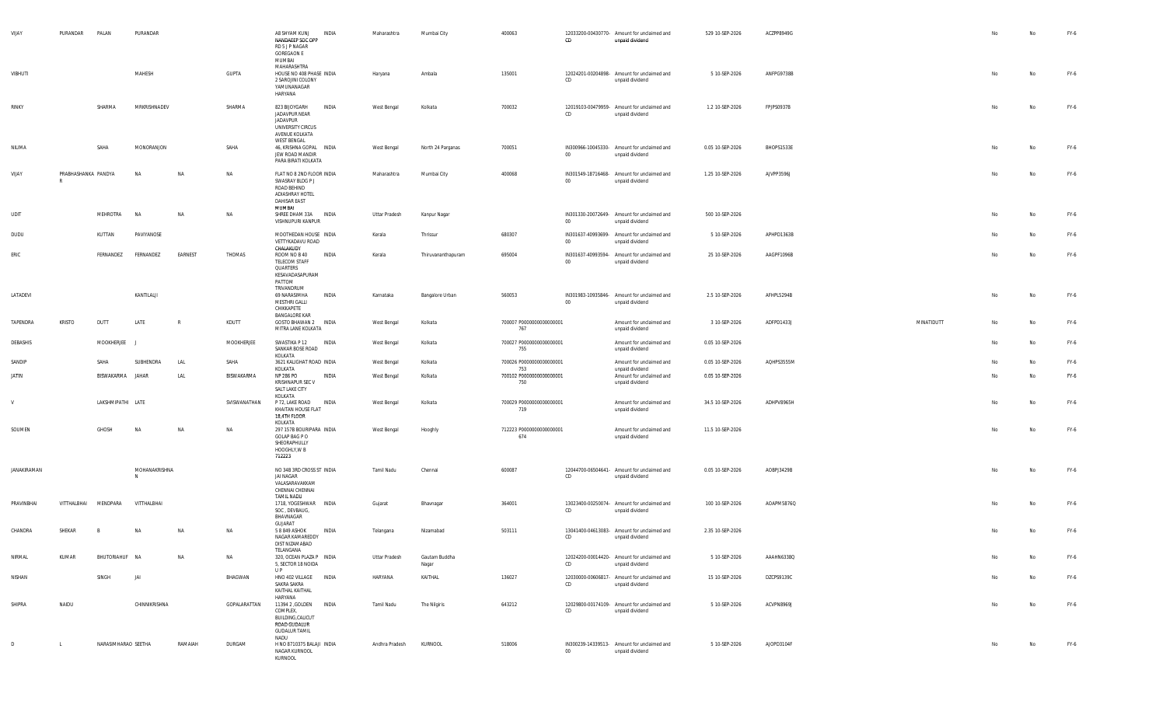| VIJAY        |             | PURANDAR            | PALAN               | PURANDAR           |              |              | A8 SHYAM KUNJ<br>NANDAEEP SOC OPP<br>RD 5 J P NAGAR<br><b>GOREGAON E</b><br>MUMBAI                        | INDIA | Maharashtra    | Mumbai City            | 400063                          | CD              | 12033200-00430770- Amount for unclaimed and<br>unpaid dividend | 529 10-SEP-2026  | ACZPP8949G |            | No | No | FY-6 |
|--------------|-------------|---------------------|---------------------|--------------------|--------------|--------------|-----------------------------------------------------------------------------------------------------------|-------|----------------|------------------------|---------------------------------|-----------------|----------------------------------------------------------------|------------------|------------|------------|----|----|------|
| VIBHUTI      |             |                     |                     | MAHESH             |              | GUPTA        | MAHARASHTRA<br>HOUSE NO 408 PHASE INDIA<br>2 SAROJINI COLONY<br>YAMUNANAGAR<br>HARYANA                    |       | Haryana        | Ambala                 | 135001                          | CD              | 12024201-00204898- Amount for unclaimed and<br>unpaid dividend | 5 10-SEP-2026    | ANFPG9738B |            | No | No | FY-6 |
| RINKY        |             |                     | SHARMA              | MRKRISHNADEV       |              | SHARMA       | 823 BIJOYGARH<br>JADAVPUR NEAR<br>JADAVPUR<br>UNIVERSITY CIRCUS<br>AVENUE KOLKATA<br><b>WEST BENGAL</b>   | INDIA | West Bengal    | Kolkata                | 700032                          | CD              | 12019103-00479959- Amount for unclaimed and<br>unpaid dividend | 1.2 10-SEP-2026  | FPJPS0937B |            | No | No | FY-6 |
| NILIMA       |             |                     | SAHA                | MONORANJON         |              | SAHA         | 46, KRISHNA GOPAL INDIA<br>JEW ROAD MANDIR<br>PARA BIRATI KOLKATA                                         |       | West Bengal    | North 24 Parganas      | 700051                          | $00\,$          | IN300966-10045330- Amount for unclaimed and<br>unpaid dividend | 0.05 10-SEP-2026 | BHOPS1533E |            | No | No | FY-6 |
| VIJAY        |             | PRABHASHANKA PANDYA |                     | NA                 | <b>NA</b>    | NA           | FLAT NO 8 2ND FLOOR INDIA<br>SWASRAY BLDG P J<br>ROAD BEHIND<br>ADIASHRAY HOTEL<br>DAHISAR EAST<br>MUMBAI |       | Maharashtra    | Mumbai City            | 400068                          | $00\,$          | IN301549-18716468- Amount for unclaimed and<br>unpaid dividend | 1.25 10-SEP-2026 | AJVPP3596J |            | No | No | FY-6 |
| UDIT         |             |                     | MEHROTRA            | NA                 | NA           | NA           | SHREE DHAM 33A INDIA<br>VISHNUPURI KANPUR                                                                 |       | Uttar Pradesh  | Kanpur Nagar           |                                 | $00\,$          | IN301330-20072649- Amount for unclaimed and<br>unpaid dividend | 500 10-SEP-2026  |            |            | No | No | FY-6 |
| DUDU         |             |                     | KUTTAN              | PAVIYANOSE         |              |              | MOOTHEDAN HOUSE INDIA<br>VETTYKADAVU ROAD<br>CHALAKUDY                                                    |       | Kerala         | Thrissur               | 680307                          | 00 <sub>o</sub> | IN301637-40993699- Amount for unclaimed and<br>unpaid dividend | 5 10-SEP-2026    | APHPD1363B |            | No | No | FY-6 |
| ERIC         |             |                     | FERNANDEZ           | FERNANDEZ          | EARNEST      | THOMAS       | ROOM NO B 40<br>TELECOM STAFF<br>QUARTERS<br>KESAVADASAPURAM<br>PATTOM<br>TRIVANDRUM                      | INDIA | Kerala         | Thiruvananthapuram     | 695004                          | $00\,$          | IN301637-40993594- Amount for unclaimed and<br>unpaid dividend | 25 10-SEP-2026   | AAGPF1096B |            | No | No | FY-6 |
| LATADEVI     |             |                     |                     | KANTILALJI         |              |              | 69 NARASIMHA<br>MESTHRI GALLI<br>CHIKKAPETE<br><b>BANGALORE KAR</b>                                       | INDIA | Karnataka      | Bangalore Urban        | 560053                          | $00\,$          | IN301983-10935846- Amount for unclaimed and<br>unpaid dividend | 2.5 10-SEP-2026  | AFHPL5294B |            | No | No | FY-6 |
| TAPENDRA     |             | <b>KRISTO</b>       | DUTT                | LATE               | $\mathbb{R}$ | KDUTT        | GOSTO BHAWAN 2 INDIA<br>MITRA LANE KOLKATA                                                                |       | West Bengal    | Kolkata                | 700007 P0000000000000001<br>767 |                 | Amount for unclaimed and<br>unpaid dividend                    | 3 10-SEP-2026    | ADFPD1433J | MINATIDUTT | No | No | FY-6 |
| DEBASHIS     |             |                     | MOOKHERJEE J        |                    |              | MOOKHERJEE   | SWASTIKA P 12 INDIA<br>SANKAR BOSE ROAD<br>KOLKATA                                                        |       | West Bengal    | Kolkata                | 700027 P0000000000000001<br>755 |                 | Amount for unclaimed and<br>unpaid dividend                    | 0.05 10-SEP-2026 |            |            | No | No | FY-6 |
| SANDIP       |             |                     | SAHA                | SUBHENDRA          | LAL          | SAHA         | 3621 KALIGHAT ROAD INDIA<br>KOLKATA                                                                       |       | West Bengal    | Kolkata                | 700026 P0000000000000001<br>753 |                 | Amount for unclaimed and<br>unpaid dividend                    | 0.05 10-SEP-2026 | AQHPS3555M |            | No | No | FY-6 |
| <b>JATIN</b> |             |                     | BISWAKARMA JAHAR    |                    | LAL          | BISWAKARMA   | NP 286 PO<br>KRISHNAPUR SEC V<br>SALT LAKE CITY<br>KOLKATA                                                | INDIA | West Bengal    | Kolkata                | 700102 P0000000000000001<br>750 |                 | Amount for unclaimed and<br>unpaid dividend                    | 0.05 10-SEP-2026 |            |            | No | No | FY-6 |
| V            |             |                     | LAKSHMIPATHI LATE   |                    |              | SVISWANATHAN | P 72, LAKE ROAD<br>KHAITAN HOUSE FLAT<br>18,4TH FLOOR<br>KOLKATA                                          | INDIA | West Bengal    | Kolkata                | 700029 P0000000000000001<br>719 |                 | Amount for unclaimed and<br>unpaid dividend                    | 34.5 10-SEP-2026 | ADHPV8965H |            | No | No | FY-6 |
| SOUMEN       |             |                     | GHOSH               | <b>NA</b>          | NA           | NA           | 297 157B BOURIPARA INDIA<br>GOLAP BAG P O<br>SHEORAPHULLY<br>HOOGHLY, W B<br>712223                       |       | West Bengal    | Hooghly                | 712223 P0000000000000001<br>674 |                 | Amount for unclaimed and<br>unpaid dividend                    | 11.5 10-SEP-2026 |            |            | No | No | FY-6 |
|              | JANAKIRAMAN |                     |                     | MOHANAKRISHNA<br>N |              |              | NO 34B 3RD CROSS ST INDIA<br>JAI NAGAR<br>VALASARAVAKKAM<br>CHENNAI CHENNAI                               |       | Tamil Nadu     | Chennai                | 600087                          | CD              | 12044700-06504641- Amount for unclaimed and<br>unpaid dividend | 0.05 10-SEP-2026 | AOBPJ3429B |            | No | No | FY-6 |
| PRAVINBHAI   |             | VITTHALBHAI         | MENDPARA            | VITTHALBHAI        |              |              | <b>TAMIL NADU</b><br>1718, YOGESHWAR INDIA<br>SOC, DEVBAUG,<br>BHAVNAGAR                                  |       | Gujarat        | Bhavnagar              | 364001                          | CD              | 13023400-00250074- Amount for unclaimed and<br>unpaid dividend | 100 10-SEP-2026  | AOAPM5876Q |            | No | No | FY-6 |
| CHANDRA      |             | SHEKAR              |                     |                    | <b>NA</b>    | NA           | GUJARAT<br>5 8 849 ASHOK<br>NAGAR KAMAREDDY<br>DIST NIZAMABAD<br>TELANGANA                                | INDIA | Telangana      | Nizamabad              | 503111                          | CD              | 13041400-04613083- Amount for unclaimed and<br>unpaid dividend | 2.35 10-SEP-2026 |            |            |    | No | FY-6 |
| NIRMAL       |             | KUMAR               | BHUTORIAHUF NA      |                    | NA           | NA           | 320, OCEAN PLAZA P INDIA<br>5, SECTOR 18 NOIDA<br>U P                                                     |       | Uttar Pradesh  | Gautam Buddha<br>Nagar |                                 | CD              | 12024200-00014420- Amount for unclaimed and<br>unpaid dividend | 5 10-SEP-2026    | AAAHN6338Q |            | No | No | FY-6 |
| NISHAN       |             |                     | SINGH               | JAI                |              | BHAGWAN      | HNO 402 VILLAGE INDIA<br>SAKRA SAKRA<br>KAITHAL KAITHAL<br>HARYANA                                        |       | HARYANA        | KAITHAL                | 136027                          | CD              | 12030000-00606817- Amount for unclaimed and<br>unpaid dividend | 15 10-SEP-2026   | DZCPS9139C |            | No | No | FY-6 |
| SHIPRA       |             | NAIDU               |                     | CHINNIKRISHNA      |              | GOPALARATTAN | 11394 2 , GOLDEN INDIA<br>COMPLEX,<br>BUILDING, CALICUT<br>ROAD GUDALUR<br><b>GUDALUR TAMIL</b><br>NADU   |       | Tamil Nadu     | The Nilgiris           | 643212                          | CD              | 12029800-00174109- Amount for unclaimed and<br>unpaid dividend | 5 10-SEP-2026    | ACVPN8969J |            | No | No | FY-6 |
| D            |             | $\mathsf{L}$        | NARASIMHARAO SEETHA |                    | RAMAIAH      | DURGAM       | H NO 8710375 BALAJI INDIA<br>NAGAR KURNOOL<br>KURNOOL                                                     |       | Andhra Pradesh | KURNOOL                | 518006                          | $00\,$          | IN300239-14339513- Amount for unclaimed and<br>unpaid dividend | 5 10-SEP-2026    | AJOPD3104F |            | No | No | FY-6 |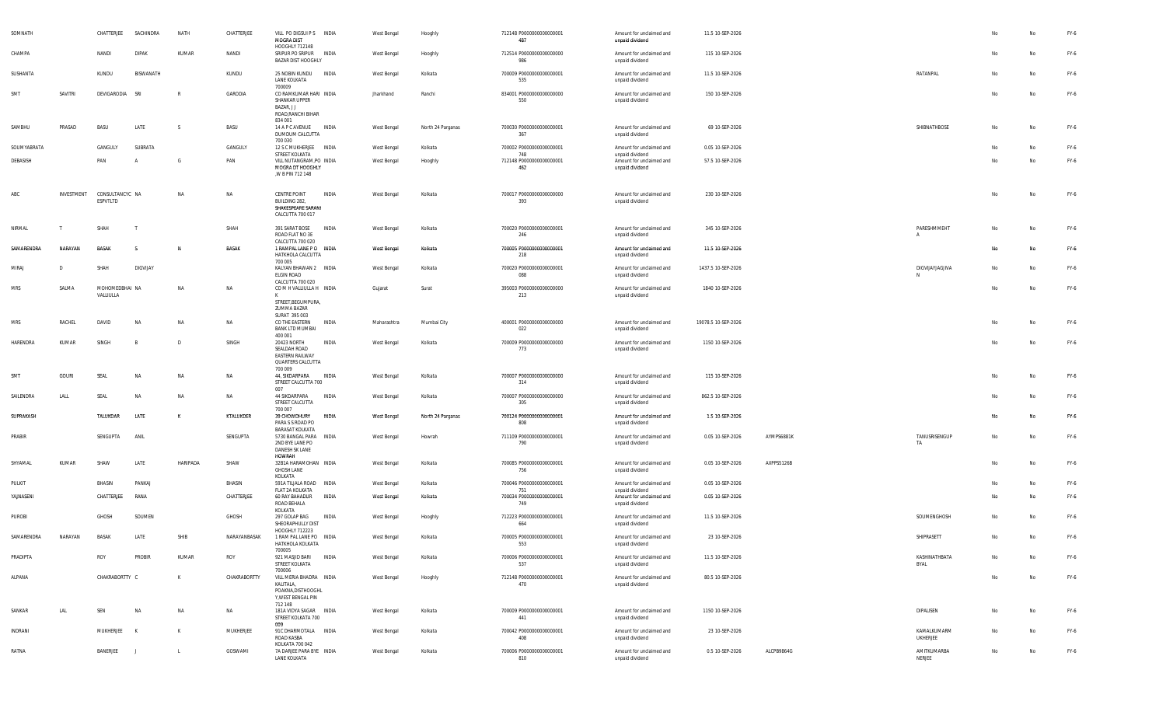| SOMNATH     |              | CHATTERJEE                  | SACHINDRA    | NATH         | CHATTERJEE   | VILL PO DIGSUI P S INDIA<br>MOGRA DIST<br>HOOGHLY 712148                                     |              | West Bengal | Hooghly           | 712148 P0000000000000001<br>487        | Amount for unclaimed and<br>unpaid dividend                    | 11.5 10-SEP-2026    |            |                                |    | No | FY-6 |
|-------------|--------------|-----------------------------|--------------|--------------|--------------|----------------------------------------------------------------------------------------------|--------------|-------------|-------------------|----------------------------------------|----------------------------------------------------------------|---------------------|------------|--------------------------------|----|----|------|
| CHAMPA      |              | NANDI                       | <b>DIPAK</b> | KUMAR        | NANDI        | SRIPUR PO SRIPUR INDIA<br><b>BAZAR DIST HOOGHLY</b>                                          |              | West Bengal | Hooghly           | 712514 P0000000000000000<br>986        | Amount for unclaimed and<br>unpaid dividend                    | 115 10-SEP-2026     |            |                                | No | No | FY-6 |
| SUSHANTA    |              | KUNDU                       | BISWANATH    |              | KUNDU        | 25 NOBIN KUNDU INDIA<br>LANE KOLKATA<br>700009                                               |              | West Bengal | Kolkata           | 700009 P0000000000000001<br>535        | Amount for unclaimed and<br>unpaid dividend                    | 11.5 10-SEP-2026    |            | RATANPAL                       | No | No | FY-6 |
| SMT         | SAVITRI      | DEVIGARODIA                 | SRI          |              | GARODIA      | CO RAMKUMAR HARI INDIA<br>SHANKAR UPPER<br>BAZAR, J J<br>ROAD, RANCHI BIHAR                  |              | Jharkhand   | Ranchi            | 834001 P0000000000000000<br>550        | Amount for unclaimed and<br>unpaid dividend                    | 150 10-SEP-2026     |            |                                | No | No | FY-6 |
| SAMBHU      | PRASAD       | BASU                        | LATE         | -S           | BASU         | 834 001<br>14 A P C AVENUE INDIA<br>DUMDUM CALCUTTA                                          |              | West Bengal | North 24 Parganas | 700030 P0000000000000001<br>367        | Amount for unclaimed and<br>unpaid dividend                    | 69 10-SEP-2026      |            | SHIBNATHBOSE                   | No | No | FY-6 |
| SOUMYABRATA |              | GANGULY                     | SUBRATA      |              | GANGULY      | 700 030<br>12 S C MUKHERJEE INDIA                                                            |              | West Bengal | Kolkata           | 700002 P0000000000000001               | Amount for unclaimed and                                       | 0.05 10-SEP-2026    |            |                                | No | No | FY-6 |
| DEBASISH    |              | PAN                         |              | G            | PAN          | STREET KOLKATA<br>VILL NUTANGRAM, PO INDIA                                                   |              | West Bengal | Hooghly           | 748<br>712148 P0000000000000001        | unpaid dividend<br>Amount for unclaimed and                    | 57.5 10-SEP-2026    |            |                                | No | No | FY-6 |
|             |              |                             |              |              |              | MOGRA DT HOOGHLY<br>,W B PIN 712 148                                                         |              |             |                   | 462                                    | unpaid dividend                                                |                     |            |                                |    |    |      |
| ABC         | INVESTMENT   | CONSULTANCYC NA<br>ESPVTLTD |              | NA           | NA           | CENTRE POINT<br>BUILDING 282,<br>SHAKESPEARE SARANI<br>CALCUTTA 700 017                      | INDIA        | West Bengal | Kolkata           | 700017 P0000000000000000<br>393        | Amount for unclaimed and<br>unpaid dividend                    | 230 10-SEP-2026     |            |                                | No | No | FY-6 |
| NIRMAL      |              | SHAH                        |              |              | SHAH         | 391 SARAT BOSE<br>ROAD FLAT NO 3E<br>CALCUTTA 700 020                                        | INDIA        | West Bengal | Kolkata           | 700020 P0000000000000001<br>246        | Amount for unclaimed and<br>unpaid dividend                    | 345 10-SEP-2026     |            | PARESHMMEHT<br>$\mathsf{A}$    | No | No | FY-6 |
| SAMARENDRA  | NARAYAN      | BASAK                       |              | N            | BASAK        | 1 RAMPAL LANE PO INDIA<br>HATKHOLA CALCUTTA<br>700 005                                       |              | West Bengal | Kolkata           | 700005 P0000000000000001<br>218        | Amount for unclaimed and<br>unpaid dividend                    | 11.5 10-SEP-2026    |            |                                | No | No | FY-6 |
| MIRAJ       | D            | SHAH                        | DIGVIJAY     |              |              | KALYAN BHAWAN 2 INDIA<br>ELGIN ROAD<br>CALCUTTA 700 020                                      |              | West Bengal | Kolkata           | 700020 P0000000000000001<br>088        | Amount for unclaimed and<br>unpaid dividend                    | 1437.5 10-SEP-2026  |            | DIGVIJAYJAGJIVA<br>N           | No | No | FY-6 |
| MRS         | SALMA        | MOHOMEDBHAI NA<br>VALLIULLA |              | NA           | ΝA           | COMH VALLIULLA H INDIA<br>STREET, BEGUMPURA,                                                 |              | Gujarat     | Surat             | 395003 P0000000000000000<br>213        | Amount for unclaimed and<br>unpaid dividend                    | 1840 10-SEP-2026    |            |                                | No | No | FY-6 |
|             |              |                             |              |              |              | ZUMMA BAZAR<br>SURAT 395 003                                                                 |              |             |                   |                                        |                                                                |                     |            |                                |    |    |      |
| <b>MRS</b>  | RACHEL       | DAVID                       | NA           | NA           | NA           | CO THE EASTERN<br><b>BANK LTD MUMBAI</b><br>400 001                                          | INDIA        | Maharashtra | Mumbai City       | 400001 P0000000000000000<br>022        | Amount for unclaimed and<br>unpaid dividend                    | 19078.5 10-SEP-2026 |            |                                | No | No | FY-6 |
| HARENDRA    | KUMAR        | SINGH                       |              | $\mathsf{D}$ | SINGH        | 20423 NORTH<br>SEALDAH ROAD<br><b>EASTERN RAILWAY</b><br><b>QUARTERS CALCUTTA</b><br>700 009 | INDIA        | West Bengal | Kolkata           | 700009 P0000000000000000<br>773        | Amount for unclaimed and<br>unpaid dividend                    | 1150 10-SEP-2026    |            |                                | No | No | FY-6 |
| SMT         | <b>GOURI</b> | SEAL                        | NA           | NA           | NA           | 44, SIKDARPARA<br>STREET CALCUTTA 700<br>007                                                 | <b>INDIA</b> | West Bengal | Kolkata           | 700007 P0000000000000000<br>314        | Amount for unclaimed and<br>unpaid dividend                    | 115 10-SEP-2026     |            |                                | No | No | FY-6 |
| SAILENDRA   | LALL         | SEAL                        | <b>NA</b>    | NA           | NA           | 44 SIKDARPARA<br>STREET CALCUTTA<br>700 007                                                  | INDIA        | West Bengal | Kolkata           | 700007 P0000000000000000<br>305        | Amount for unclaimed and<br>unpaid dividend                    | 862.5 10-SEP-2026   |            |                                | No | No | FY-6 |
| SUPRAKASH   |              | TALUKDAR                    | LATE         | K            | KTALUKDER    | 39 CHOWDHURY<br>PARA S S ROAD PO<br><b>BARASAT KOLKATA</b>                                   | INDIA        | West Bengal | North 24 Parganas | 700124 P0000000000000001<br>808        | Amount for unclaimed and<br>unpaid dividend                    | 1.5 10-SEP-2026     |            |                                | No | No | FY-6 |
| PRABIR      |              | SENGUPTA                    | ANIL         |              | SENGUPTA     | 5730 BANGAL PARA INDIA<br>2ND BYE LANE PO<br>DANESH SK LANE<br><b>HOWRAH</b>                 |              | West Bengal | Howrah            | 711109 P0000000000000001<br>790        | Amount for unclaimed and<br>unpaid dividend                    | 0.05 10-SEP-2026    | AYMPS6881K | TANUSRISENGUP<br>TA            | No | No | FY-6 |
| SHYAMAL     | KUMAR        | SHAW                        | LATE         | HARIPADA     | SHAW         | 32B1A HARAMOHAN INDIA<br><b>GHOSH LANE</b>                                                   |              | West Bengal | Kolkata           | 700085 P0000000000000001<br>756        | Amount for unclaimed and<br>unpaid dividend                    | 0.05 10-SEP-2026    | AXPPS5126B |                                | No | No | FY-6 |
| PULKIT      |              | BHASIN                      | PANKAJ       |              | BHASIN       | KOLKATA<br>591A TILJALA ROAD INDIA                                                           |              | West Bengal | Kolkata           | 700046 P0000000000000001               | Amount for unclaimed and                                       | 0.05 10-SEP-2026    |            |                                | No | No | FY-6 |
| YAJNASENI   |              | CHATTERJEE                  | RANA         |              | CHATTERJEE   | FLAT 2A KOLKATA<br>60 RAY BAHADUR INDIA<br>ROAD BEHALA                                       |              | West Bengal | Kolkata           | 751<br>700034 P0000000000000001<br>749 | unpaid dividend<br>Amount for unclaimed and<br>unpaid dividend | 0.05 10-SEP-2026    |            |                                | No | No | FY-6 |
| PUROBI      |              | GHOSH                       | SOUMEN       |              | GHOSH        | KOLKATA<br>297 GOLAP BAG<br>SHEORAPHULLY DIST                                                | INDIA        | West Bengal | Hooghly           | 712223 P0000000000000001<br>664        | Amount for unclaimed and<br>unpaid dividend                    | 11.5 10-SEP-2026    |            | SOUMENGHOSH                    | No | No | FY-6 |
| SAMARENDRA  | NARAYAN      | BASAK                       | LATE         | SHIB         | NARAYANBASAK | <b>HOOGHLY 712223</b><br>1 RAM PAL LANE PO INDIA<br>HATKHOLA KOLKATA                         |              | West Bengal | Kolkata           | 700005 P0000000000000001<br>553        | Amount for unclaimed and<br>unpaid dividend                    | 23 10-SEP-2026      |            | SHIPRASETT                     | No | No | FY-6 |
| PRADIPTA    |              | ROY                         | PROBIR       | KUMAR        | ROY          | 700005<br>921 MASJID BARI<br>STREET KOLKATA<br>700006                                        | <b>INDIA</b> | West Bengal | Kolkata           | 700006 P0000000000000001<br>537        | Amount for unclaimed and<br>unpaid dividend                    | 11.5 10-SEP-2026    |            | KASHINATHBATA<br>BYAL          | No | No | FY-6 |
| ALPANA      |              | CHAKRABORTTY C              |              | K            | CHAKRABORTTY | VILL MERIA BHADRA INDIA<br>KALITALA,<br>POAKNA, DISTHOOGHL<br>Y, WEST BENGAL PIN<br>712 148  |              | West Bengal | Hooghly           | 712148 P0000000000000001<br>470        | Amount for unclaimed and<br>unpaid dividend                    | 80.5 10-SEP-2026    |            |                                | No | No | FY-6 |
| SANKAR      | LAL          | SEN                         | NA           | <b>NA</b>    | NA           | 181A VIDYA SAGAR INDIA<br>STREET KOLKATA 700<br>009                                          |              | West Bengal | Kolkata           | 700009 P0000000000000001<br>441        | Amount for unclaimed and<br>unpaid dividend                    | 1150 10-SEP-2026    |            | DIPALISEN                      | No | No | FY-6 |
| INDRANI     |              | MUKHERJEE                   | K            | K            | MUKHERJEE    | 91C DHARMOTALA INDIA<br>ROAD KASBA<br>KOLKATA 700 042                                        |              | West Bengal | Kolkata           | 700042 P0000000000000001<br>408        | Amount for unclaimed and<br>unpaid dividend                    | 23 10-SEP-2026      |            | KAMALKUMARM<br><b>UKHERJEE</b> | No | No | FY-6 |
| RATNA       |              | BANERJEE                    |              | $\mathsf{L}$ | GOSWAMI      | 7A DARJEE PARA BYE INDIA<br>LANE KOLKATA                                                     |              | West Bengal | Kolkata           | 700006 P0000000000000001<br>810        | Amount for unclaimed and<br>unpaid dividend                    | 0.5 10-SEP-2026     | ALCPB9864G | AMITKUMARBA<br>NERJEE          | No | No | FY-6 |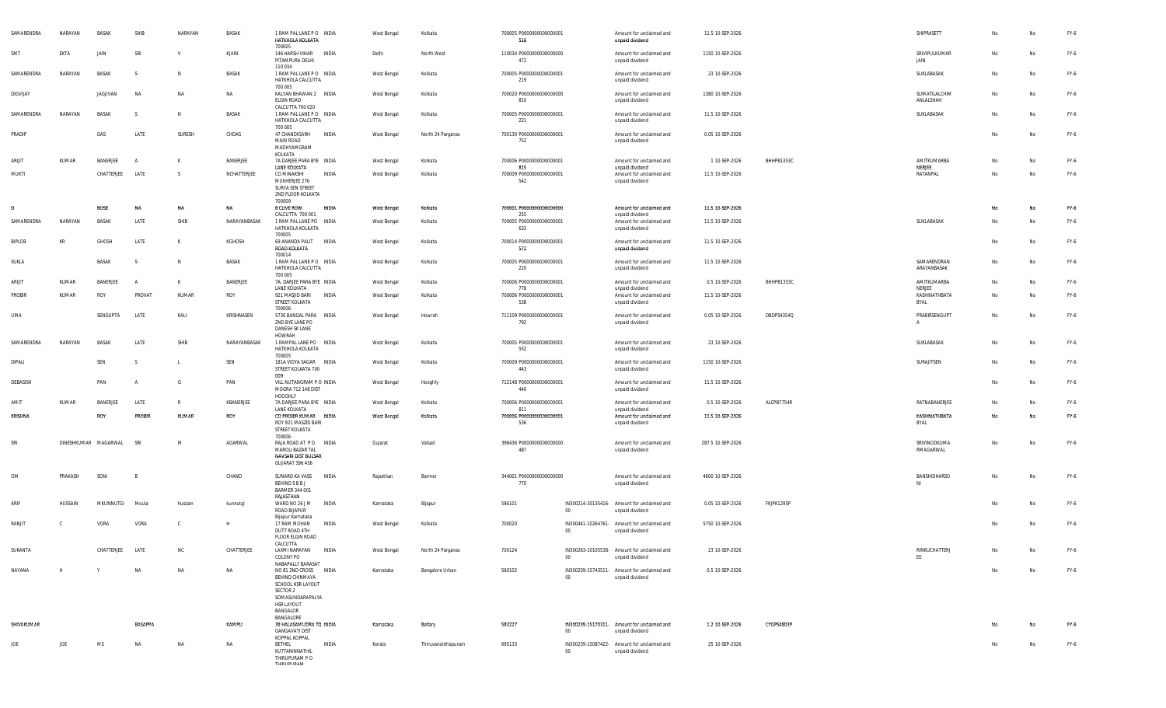| SAMARENDRA    | NARAYAN | BASAK                | SHIB           | NARAYAN   | BASAK        | 1 RAM PAL LANE PO INDIA<br>HATKHOLA KOLKATA<br>700005                                                                                |              | West Bengal | Kolkata            | 700005 P0000000000000001<br>516        |        | Amount for unclaimed and<br>unpaid dividend                    | 11.5 10-SEP-2026  |            | SHIPRASETT                 | No | No | FY-6   |
|---------------|---------|----------------------|----------------|-----------|--------------|--------------------------------------------------------------------------------------------------------------------------------------|--------------|-------------|--------------------|----------------------------------------|--------|----------------------------------------------------------------|-------------------|------------|----------------------------|----|----|--------|
| SMT           | EKTA    | JAIN                 | SRI            | V         | KJAIN        | 146 HARSH VIHAR INDIA<br>PITAMPURA DELHI<br>110 034                                                                                  |              | Delhi       | North West         | 110034 P0000000000000000<br>472        |        | Amount for unclaimed and<br>unpaid dividend                    | 1150 10-SEP-2026  |            | SRIVIPULKUMAR<br>JAIN      | No | No | FY-6   |
| SAMARENDRA    | NARAYAN | <b>BASAK</b>         |                | N         | BASAK        | 1 RAM PAL LANE PO INDIA<br>HATKHOLA CALCUTTA<br>700 005                                                                              |              | West Bengal | Kolkata            | 700005 P0000000000000001<br>219        |        | Amount for unclaimed and<br>unpaid dividend                    | 23 10-SEP-2026    |            | SUKLABASAK                 | No | No | FY-6   |
| DIGVIJAY      |         | JAGJIVAN             | <b>NA</b>      | NA        | NA           | KALYAN BHAWAN 2 INDIA<br>ELGIN ROAD<br>CALCUTTA 700 020                                                                              |              | West Bengal | Kolkata            | 700020 P0000000000000000<br>810        |        | Amount for unclaimed and<br>unpaid dividend                    | 1380 10-SEP-2026  |            | SUMATILALCHIM<br>ANLALSHAH | No | No | FY-6   |
| SAMARENDRA    | NARAYAN | <b>BASAK</b>         | -S             | N         | BASAK        | 1 RAM PAL LANE PO INDIA<br>HATKHOLA CALCUTTA                                                                                         |              | West Bengal | Kolkata            | 700005 P0000000000000001<br>221        |        | Amount for unclaimed and<br>unpaid dividend                    | 11.5 10-SEP-2026  |            | SUKLABASAK                 | No | No | FY-6   |
| PRADIP        |         | DAS                  | LATE           | SURESH    | CHDAS        | 700 005<br>47 CHANDIGARH<br><b>MAIN ROAD</b><br>MADHYAMGRAM                                                                          | INDIA        | West Bengal | North 24 Parganas  | 700130 P0000000000000001<br>752        |        | Amount for unclaimed and<br>unpaid dividend                    | 0.05 10-SEP-2026  |            |                            | No | No | FY-6   |
| ARIJIT        | KUMAR   | BANERJEE             | A              | к         | BANERJEE     | KOLKATA<br>7A DARJEE PARA BYE INDIA                                                                                                  |              | West Bengal | Kolkata            | 700006 P0000000000000001               |        | Amount for unclaimed and                                       | 1 10-SEP-2026     | BHHPB1353C | AMITKUMARBA                | No | No | FY-6   |
| MUKTI         |         | CHATTERJEE           | LATE           | - S       | NCHATTERJEE  | LANE KOLKATA<br>CO MINAKSHI<br>MUKHERJEE 276<br>SURYA SEN STREET<br>2ND FLOOR KOLKATA<br>700009                                      | INDIA        | West Bengal | Kolkata            | 815<br>700009 P0000000000000001<br>542 |        | unpaid dividend<br>Amount for unclaimed and<br>unpaid dividend | 11.5 10-SEP-2026  |            | NERJEE<br>RATANPAL         | No | No | FY-6   |
| Ð             |         | <b>BOSE</b>          | <b>NA</b>      | NA        | NA           | 8 CLIVE ROW<br>CALCUTTA 700 001                                                                                                      | INDIA        | West Bengal | Kolkata            | 700001 P0000000000000000<br>255        |        | Amount for unclaimed and                                       | 11.5 10-SEP-2026  |            |                            | No | No | FY-6   |
| SAMARENDRA    | NARAYAN | BASAK                | LATE           | SHIB      | NARAYANBASAK | 1 RAM PAL LANE PO INDIA<br>HATKHOLA KOLKATA<br>700005                                                                                |              | West Bengal | Kolkata            | 700005 P0000000000000001<br>632        |        | unpaid dividend<br>Amount for unclaimed and<br>unpaid dividend | 11.5 10-SEP-2026  |            | SUKLABASAK                 | No | No | FY-6   |
| <b>BIPLOB</b> | KR      | GHOSH                | LATE           | К         | KGHOSH       | 69 ANANDA PALIT<br>ROAD KOLKATA<br>700014                                                                                            | INDIA        | West Bengal | Kolkata            | 700014 P0000000000000001<br>572        |        | Amount for unclaimed and<br>unpaid dividend                    | 11.5 10-SEP-2026  |            |                            | No | No | FY-6   |
| SUKLA         |         | <b>BASAK</b>         | <sub>S</sub>   | N         | BASAK        | 1 RAM PAL LANE PO INDIA<br>HATKHOLA CALCUTTA<br>700 005                                                                              |              | West Bengal | Kolkata            | 700005 P0000000000000001<br>220        |        | Amount for unclaimed and<br>unpaid dividend                    | 11.5 10-SEP-2026  |            | SAMARENDRAN<br>ARAYANBASAK | No | No | $FY-6$ |
| ARIJIT        | KUMAR   | BANERJEE             | $\mathsf{A}$   | К         | BANERJEE     | 7A, DARJEE PARA BYE INDIA<br>LANE KOLKATA                                                                                            |              | West Bengal | Kolkata            | 700006 P0000000000000001<br>778        |        | Amount for unclaimed and<br>unpaid dividend                    | 0.5 10-SEP-2026   | BHHPB1353C | AMITKUMARBA<br>NERJEE      | No | No | FY-6   |
| PROBIR        | KUMAR   | ROY                  | PROVAT         | KUMAR     | ROY          | 921 MASJID BARI<br>STREET KOLKATA<br>700006                                                                                          | INDIA        | West Bengal | Kolkata            | 700006 P0000000000000001<br>538        |        | Amount for unclaimed and<br>unpaid dividend                    | 11.5 10-SEP-2026  |            | KASHINATHBATA<br>BYAL      | No | No | FY-6   |
| UMA           |         | SENGUPTA             | LATE           | KALI      | KRISHNASEN   | 5730 BANGAL PARA INDIA<br>2ND BYE LANE PO<br>DANESH SK LANE<br><b>HOWRAH</b>                                                         |              | West Bengal | Howrah             | 711109 P0000000000000001<br>792        |        | Amount for unclaimed and<br>unpaid dividend                    | 0.05 10-SEP-2026  | DBDPS4354Q | PRABIRSENGUPT              | No | No | FY-6   |
| SAMARENDRA    | NARAYAN | <b>BASAK</b>         | LATE           | SHIB      | NARAYANBASAK | 1 RAMPAL LANE PO INDIA<br>HATKHOLA KOLKATA<br>700005                                                                                 |              | West Bengal | Kolkata            | 700005 P0000000000000001<br>552        |        | Amount for unclaimed and<br>unpaid dividend                    | 23 10-SEP-2026    |            | SUKLABASAK                 | No | No | FY-6   |
| DIPALI        |         | SEN                  | S              |           | SEN          | 181A VIDYA SAGAR INDIA<br>STREET KOLKATA 700<br>009                                                                                  |              | West Bengal | Kolkata            | 700009 P0000000000000001<br>443        |        | Amount for unclaimed and<br>unpaid dividend                    | 1150 10-SEP-2026  |            | SURAJITSEN                 | No | No | FY-6   |
| DEBASISH      |         | PAN                  | A              | G         | PAN          | VILL NUTANGRAM P O INDIA<br>MOGRA 712 148 DIST<br>HOOGHLY                                                                            |              | West Bengal | Hooghly            | 712148 P0000000000000001<br>440        |        | Amount for unclaimed and<br>unpaid dividend                    | 11.5 10-SEP-2026  |            |                            | No | No | FY-6   |
| AMIT          | KUMAR   | BANERJEE             | LATE           | R         | KBANERJEE    | 7A DARJEE PARA BYE INDIA<br>LANE KOLKATA                                                                                             |              | West Bengal | Kolkata            | 700006 P0000000000000001<br>811        |        | Amount for unclaimed and<br>unpaid dividend                    | 0.5 10-SEP-2026   | ALCPB7754R | RATNABANERJEE              | No | No | FY-6   |
| KRISHNA       |         | ROY                  | <b>PROBIR</b>  | KUMAR     | ROY          | CO PROBIR KUMAR INDIA<br>ROY 921 MASZID BARI<br>STREET KOLKATA<br>700006                                                             |              | West Bengal | Kolkata            | 700006 P0000000000000001<br>536        |        | Amount for unclaimed and<br>unpaid dividend                    | 11.5 10-SEP-2026  |            | KASHINATHBATA<br>BYAL      | No | No | FY-6   |
| SRI           |         | DINESHKUMAR MAGARWAL | SRI            | M         | AGARWAL      | RAJA ROAD AT PO INDIA<br>MAROLI BAZAR TAL<br>NAVSARI DIST BULSAR<br><b>GUJARAT 396 436</b>                                           |              | Gujarat     | Valsad             | 396436 P0000000000000000<br>487        |        | Amount for unclaimed and<br>unpaid dividend                    | 287.5 10-SEP-2026 |            | SRIVINODKUMA<br>RMAGARWAL  | No | No | FY-6   |
| OM            | PRAKASH | SONI                 | <sup>R</sup>   |           | CHAND        | SUNARO KA VASS<br>BEHIND S B B J<br>BARMER 344 001<br>RAJASTHAN                                                                      | INDIA        | Rajasthan   | Barmer             | 344001 P0000000000000000<br>770        |        | Amount for unclaimed and<br>unpaid dividend                    | 4600 10-SEP-2026  |            | BANSHIDHARSO               | No | No | FY-6   |
| ARIF          | HUSSAIN | MKUNNUTGI            | Moula          | hussain   | kunnutgi     | WARD NO 26 J M<br>ROAD BIJAPUR<br>Bijapur Karnataka                                                                                  | INDIA        | Karnataka   | Bijapur            | 586101                                 | $00\,$ | IN300214-30135416- Amount for unclaimed and<br>unpaid dividend | 0.05 10-SEP-2026  | FKJPK1295P |                            | No | No | FY-6   |
| RANJIT        | C.      | VORA                 | VORA           | C.        | н            | 17 RAM MOHAN<br>DUTT ROAD 4TH<br>FLOOR ELGIN ROAD<br>CALCUTTA                                                                        | INDIA        | West Bengal | Kolkata            | 700020                                 | $00 -$ | IN300441-10264761- Amount for unclaimed and<br>unpaid dividend | 5750 10-SEP-2026  |            |                            | No | No | FY-6   |
| SUKANTA       |         | CHATTERJEE           | LATE           |           | CHATTERJEE   | LAXMI NARAYAN<br>COLONY PO<br>NABAPALLY BARASAT                                                                                      | <b>INDIA</b> | West Bengal | North 24 Parganas  | 700124                                 | 00     | IN300263-10105538- Amount for unclaimed and<br>unpaid dividend | 23 10-SEP-2026    |            | RINKUCHATTERJ<br>EE        |    |    | FY-6   |
| NAYANA        | H       | Y                    | <b>NA</b>      | <b>NA</b> | NA           | NO 81 2ND CROSS INDIA<br>BEHIND CHINMAYA<br>SCHOOL HSR LAYOUT<br>SECTOR 2<br>SOMASUNDARAPALYA<br>HSR LAYOUT<br>BANGALOR<br>BANGALORE |              | Karnataka   | Bangalore Urban    | 560102                                 | 00     | IN300239-15743511- Amount for unclaimed and<br>unpaid dividend | 0.5 10-SEP-2026   |            |                            | No | No | $FY-6$ |
| SHIVAKUMAR    |         |                      | <b>BASAPPA</b> |           | KAMPLI       | 39 HALASAMUDRA TO INDIA<br><b>GANGAVATI DIST</b><br>KOPPAL KOPPAL                                                                    |              | Karnataka   | Bellary            | 583227                                 | 00     | IN300239-15170311- Amount for unclaimed and<br>unpaid dividend | 1.2 10-SEP-2026   | CYGPS4803P |                            | No | No | FY-6   |
| JOE           | JOE     | MS                   | <b>NA</b>      | NA        | NA           | <b>BETHEL</b><br>KUTTANINNATHIL<br>THIRUPURAM P O<br><b>MACHIOLICIA</b>                                                              | INDIA        | Kerala      | Thiruvananthapuram | 695133                                 | 00     | IN300239-15087422- Amount for unclaimed and<br>unpaid dividend | 25 10-SEP-2026    |            |                            | No | No | FY-6   |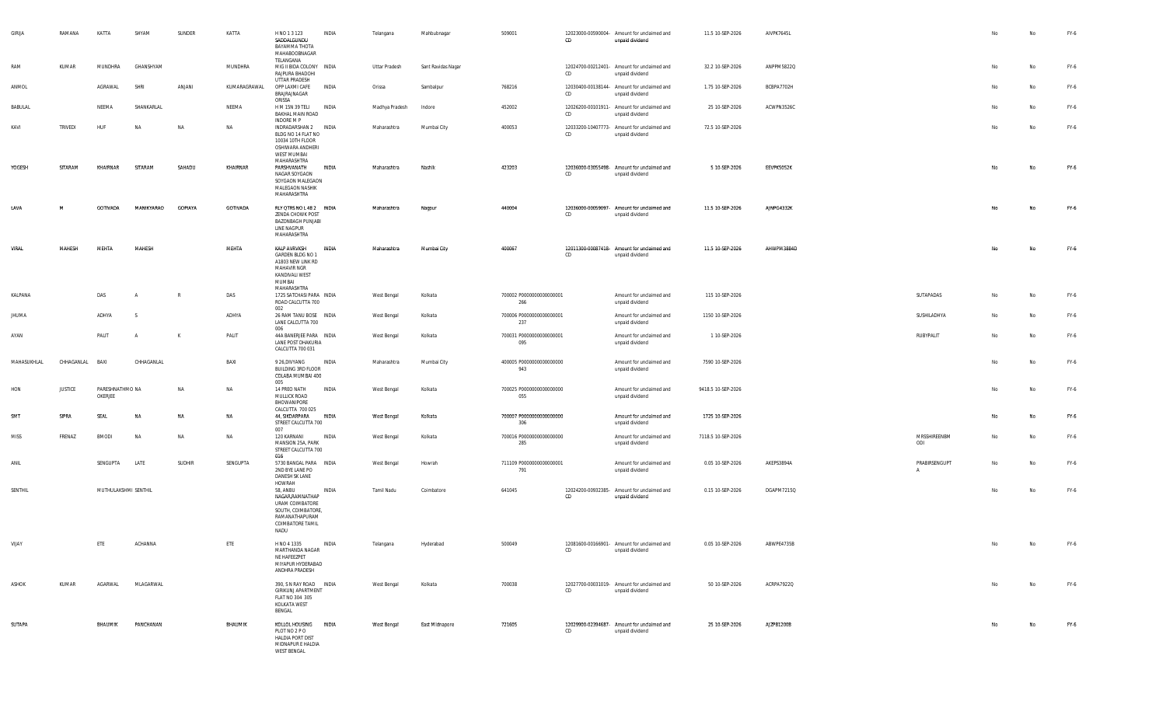| GIRIJA       | RAMANA          | KATTA                      | SHYAM      | SUNDER         | KATTA        | H NO 1 3 123<br>SADDALGUNDU<br>BAYAMMA THOTA<br>MAHABOOBNAGAR<br>TELANGANA                                             | INDIA        | Telangana            | Mahbubnagar        | 509001                          | CD | 12023000-00590004- Amount for unclaimed and<br>unpaid dividend | 11.5 10-SEP-2026   | AIVPK7645L |                               | No | No | FY-6 |
|--------------|-----------------|----------------------------|------------|----------------|--------------|------------------------------------------------------------------------------------------------------------------------|--------------|----------------------|--------------------|---------------------------------|----|----------------------------------------------------------------|--------------------|------------|-------------------------------|----|----|------|
| RAM          | KUMAR           | MUNDHRA                    | GHANSHYAM  |                | MUNDHRA      | MIG II BIDA COLONY INDIA<br>RAJPURA BHADOHI<br>UTTAR PRADESH                                                           |              | <b>Uttar Pradesh</b> | Sant Ravidas Nagar |                                 | CD | 12024700-00212401- Amount for unclaimed and<br>unpaid dividend | 32.2 10-SEP-2026   | ANPPM5822Q |                               | No | No | FY-6 |
| ANMOL        |                 | AGRAWAL                    | SHRI       | ANJANI         | KUMARAGRAWAL | OPP LAXMI CAFE<br>BRAJRAJNAGAR<br>ORISSA                                                                               | <b>INDIA</b> | Orissa               | Sambalpur          | 768216                          | CD | 12030400-00138144- Amount for unclaimed and<br>unpaid dividend | 1.75 10-SEP-2026   | BCBPA7702H |                               | No | No | FY-6 |
| BABULAL      |                 | NEEMA                      | SHANKARLAL |                | NEEMA        | H M 15N 39 TELI<br>BAKHAL MAIN ROAD<br>INDORE M P                                                                      | INDIA        | Madhya Pradesh       | Indore             | 452002                          | CD | 12026200-00101911- Amount for unclaimed and<br>unpaid dividend | 25 10-SEP-2026     | ACWPN3526C |                               | No | No | FY-6 |
| KAVI         | TRIVEDI         | HUF                        | <b>NA</b>  | <b>NA</b>      | <b>NA</b>    | INDRADARSHAN 2 INDIA<br>BLDG NO 14 FLAT NO<br>10034 10TH FLOOR<br>OSHIWARA ANDHERI<br>WEST MUMBAI<br>MAHARASHTRA       |              | Maharashtra          | Mumbai City        | 400053                          | CD | 12033200-10407773- Amount for unclaimed and<br>unpaid dividend | 72.5 10-SEP-2026   |            |                               | No | No | FY-6 |
| YOGESH       | SITARAM         | KHAIRNAR                   | SITARAM    | SAHADU         | KHAIRNAR     | PARSHVANATH<br>NAGAR SOYGAON<br>SOYGAON MALEGAON<br>MALEGAON NASHIK<br>MAHARASHTRA                                     | INDIA        | Maharashtra          | Nashik             | 423203                          | CD | 12036000-03055498- Amount for unclaimed and<br>unpaid dividend | 5 10-SEP-2026      | EEVPK5052K |                               | No | No | FY-6 |
| LAVA         | M               | GOTIVADA                   | MANIKYARAO | <b>GOPIAYA</b> | GOTIVADA     | RLY QTRS NO L 48 2 INDIA<br>ZENDA CHOWK POST<br><b>BAZONBAGH PUNJABI</b><br>LINE NAGPUR<br>MAHARASHTRA                 |              | Maharashtra          | Nagpur             | 440004                          | CD | 12036000-00059097- Amount for unclaimed and<br>unpaid dividend | 11.5 10-SEP-2026   | AJNPG4332K |                               | No | No | FY-6 |
| VIRAL        | MAHESH          | MEHTA                      | MAHESH     |                | MEHTA        | <b>KALP AVRVKSH</b><br>GARDEN BLDG NO 1<br>A1803 NEW LINK RD<br>MAHAVIR NGR<br>KANDIVALI WEST<br>MUMBAI<br>MAHARASHTRA | INDIA        | Maharashtra          | Mumbai City        | 400067                          | CD | 12011300-00087418- Amount for unclaimed and<br>unpaid dividend | 11.5 10-SEP-2026   | AHWPM3884D |                               | No | No | FY-6 |
| KALPANA      |                 | DAS                        |            | -R             | DAS          | 1725 SATCHASI PARA INDIA<br>ROAD CALCUTTA 700<br>002                                                                   |              | West Bengal          | Kolkata            | 700002 P0000000000000001<br>266 |    | Amount for unclaimed and<br>unpaid dividend                    | 115 10-SEP-2026    |            | SUTAPADAS                     | No | No | FY-6 |
| <b>JHUMA</b> |                 | ADHYA                      | -S         |                | ADHYA        | 26 RAM TANU BOSE INDIA<br>LANE CALCUTTA 700<br>006                                                                     |              | West Bengal          | Kolkata            | 700006 P0000000000000001<br>237 |    | Amount for unclaimed and<br>unpaid dividend                    | 1150 10-SEP-2026   |            | SUSHILADHYA                   | No | No | FY-6 |
| AYAN         |                 | PALIT                      | A          | K              | PALIT        | 44A BANERJEE PARA INDIA<br>LANE POST DHAKURIA<br>CALCUTTA 700 031                                                      |              | West Bengal          | Kolkata            | 700031 P0000000000000001<br>095 |    | Amount for unclaimed and<br>unpaid dividend                    | 1 10-SEP-2026      |            | RUBYPALIT                     | No | No | FY-6 |
| MAHASUKHLAL  | CHHAGANLAL BAXI |                            | CHHAGANLAL |                | BAXI         | 9 26, DIVYANG<br>BUILDING 3RD FLOOR<br>COLABA MUMBAI 400<br>005                                                        | INDIA        | Maharashtra          | Mumbai City        | 400005 P0000000000000000<br>943 |    | Amount for unclaimed and<br>unpaid dividend                    | 7590 10-SEP-2026   |            |                               | No | No | FY-6 |
| HON          | <b>JUSTICE</b>  | PARESHNATHMO NA<br>OKERJEE |            | <b>NA</b>      | NA           | 14 PREO NATH<br>MULLICK ROAD<br>BHOWANIPORE<br>CALCUTTA 700 025                                                        | INDIA        | West Bengal          | Kolkata            | 700025 P0000000000000000<br>055 |    | Amount for unclaimed and<br>unpaid dividend                    | 9418.5 10-SEP-2026 |            |                               | No | No | FY-6 |
| SMT          | SIPRA           | SEAL                       | <b>NA</b>  | NA             | NA           | 44, SIKDARPARA<br>STREET CALCUTTA 700<br>007                                                                           | INDIA        | West Bengal          | Kolkata            | 700007 P0000000000000000<br>306 |    | Amount for unclaimed and<br>unpaid dividend                    | 1725 10-SEP-2026   |            |                               | No | No | FY-6 |
| MISS         | FRENAZ          | <b>BMODI</b>               | <b>NA</b>  | NA             | NA           | 120 KARNANI<br>MANSION 25A, PARK<br>STREET CALCUTTA 700<br>016                                                         | INDIA        | West Bengal          | Kolkata            | 700016 P0000000000000000<br>285 |    | Amount for unclaimed and<br>unpaid dividend                    | 7118.5 10-SEP-2026 |            | MRSSHIREENBM<br>ODI           | No | No | FY-6 |
| ANIL         |                 | SENGUPTA                   | LATE       | SUDHIR         | SENGUPTA     | 5730 BANGAL PARA INDIA<br>2ND BYE LANE PO<br>DANESH SK LANE<br>HOWRAH                                                  |              | West Bengal          | Howrah             | 711109 P0000000000000001<br>791 |    | Amount for unclaimed and<br>unpaid dividend                    | 0.05 10-SEP-2026   | AKEPS3894A | PRABIRSENGUPT<br>$\mathsf{A}$ | No | No | FY-6 |
| SENTHIL      |                 | MUTHULAKSHMI SENTHIL       |            |                |              | 58, ANBU<br>NAGAR, RAMNATHAP<br>URAM COIMBATORE<br>SOUTH, COIMBATORE,<br>RAMANATHAPURAM<br>COIMBATORE TAMIL<br>NADU    | INDIA        | Tamil Nadu           | Coimbatore         | 641045                          | CD | 12024200-00932385- Amount for unclaimed and<br>unpaid dividend | 0.15 10-SEP-2026   | DGAPM7215Q |                               | No | No | FY-6 |
| VIJAY        |                 | ETE                        | ACHANNA    |                | <b>ETE</b>   | H NO 4 1335<br>MARTHANDA NAGAR<br>NE HAFEEZPET<br>MIYAPUR HYDERABAD<br>ANDHRA PRADESH                                  | INDIA        | Telangana            | Hyderabad          | 500049                          | CD | 12081600-00166901- Amount for unclaimed and<br>unpaid dividend | 0.05 10-SEP-2026   | ABWPE4735B |                               | No | No | FY-6 |
| ASHOK        | KUMAR           | AGARWAL                    | MLAGARWAL  |                |              | 390, S N RAY ROAD INDIA<br><b>GIRIKUNJ APARTMENT</b><br>FLAT NO 304 305<br>KOLKATA WEST<br>BENGAL                      |              | West Bengal          | Kolkata            | 700038                          | CD | 12027700-00031019- Amount for unclaimed and<br>unpaid dividend | 50 10-SEP-2026     | ACRPA7922Q |                               | No | No | FY-6 |
| SUTAPA       |                 | BHAUMIK                    | PANCHANAN  |                | BHAUMIK      | KOLLOL HOUSING INDIA<br>PLOT NO 2 P O<br>HALDIA PORT DIST<br>MIDNAPUR E HALDIA<br><b>WEST BENGAL</b>                   |              | West Bengal          | East Midnapore     | 721605                          | CD | 12029900-02394687- Amount for unclaimed and<br>unpaid dividend | 25 10-SEP-2026     | AJZPB1200B |                               | No | No | FY-6 |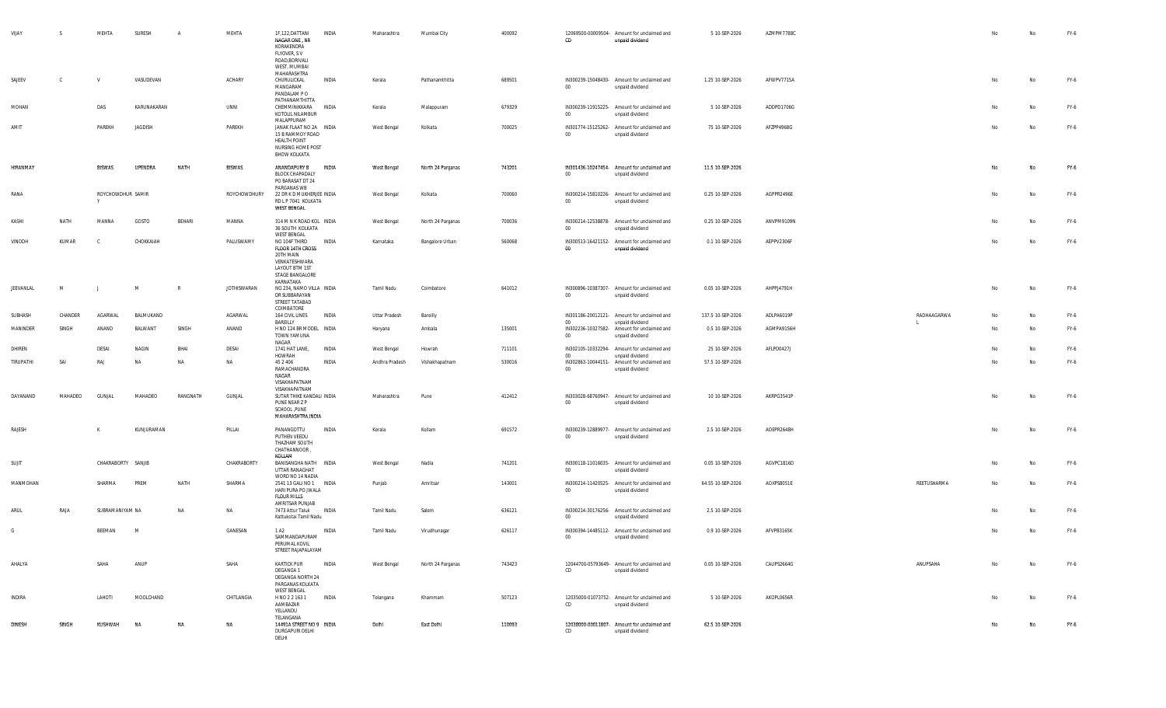| VIJAY     | -S      | MEHTA                  | SURESH      | $\overline{A}$ | MEHTA              | 1F,122,DATTANI<br>NAGAR ONE, NR<br>KORAKENDRA<br>FLYOVER, SV<br>ROAD, BORIVALI<br>WEST, MUMBAI<br>MAHARASHTRA                | INDIA<br>Maharashtra       | Mumbai City       | 400092 | CD               | 12069500-00009504- Amount for unclaimed and<br>unpaid dividend                    | 5 10-SEP-2026     | AZMPM7788C |             | No | No | FY-6 |
|-----------|---------|------------------------|-------------|----------------|--------------------|------------------------------------------------------------------------------------------------------------------------------|----------------------------|-------------------|--------|------------------|-----------------------------------------------------------------------------------|-------------------|------------|-------------|----|----|------|
| SAJEEV    | C.      | V                      | VASUDEVAN   |                | ACHARY             | CHURULICKAL<br>MANGARAM<br>PANDALAM PO<br>PATHANAMTHITTA                                                                     | INDIA<br>Kerala            | Pathanamthitta    | 689501 | $00\,$           | IN300239-15048430- Amount for unclaimed and<br>unpaid dividend                    | 1.25 10-SEP-2026  | AFWPV7715A |             | No | No | FY-6 |
| MOHAN     |         | DAS                    | KARUNAKARAN |                | UNNI               | CHEMMINIKKARA INDIA<br>KOTOLIL NILAMBUR                                                                                      | Kerala                     | Malappuram        | 679329 | $00\,$           | IN300239-11915225- Amount for unclaimed and<br>unpaid dividend                    | 5 10-SEP-2026     | ADDPD1706G |             | No | No | FY-6 |
| AMIT      |         | PAREKH                 | JAGDISH     |                | PAREKH             | MALAPPURAM<br>JANAK FLAAT NO 2A INDIA<br>15 B RAMMOY ROAD<br><b>HEALTH POINT</b><br>NURSING HOME POST<br><b>BHOW KOLKATA</b> | West Bengal                | Kolkata           | 700025 | $00\,$           | IN301774-15125262- Amount for unclaimed and<br>unpaid dividend                    | 75 10-SEP-2026    | AFZPP4968G |             | No | No | FY-6 |
| HIRANMAY  |         | <b>BISWAS</b>          | UPENDRA     | NATH           | <b>BISWAS</b>      | ANANDAPURY B<br>BLOCK CHAPADALY<br>PO BARASAT DT 24<br>PARGANAS WB                                                           | INDIA<br>West Bengal       | North 24 Parganas | 743201 | $00\,$           | IN301436-10247454- Amount for unclaimed and<br>unpaid dividend                    | 11.5 10-SEP-2026  |            |             | No | No | FY-6 |
| RANA      |         | ROYCHOWDHUR SAMIR<br>Y |             |                | ROYCHOWDHURY       | 22 DR K D MUKHERJEE INDIA<br>RD L P 7041 KOLKATA<br>WEST BENGAL                                                              | West Bengal                | Kolkata           | 700060 | $00\,$           | IN300214-15810226- Amount for unclaimed and<br>unpaid dividend                    | 0.25 10-SEP-2026  | AGPPR2496E |             | No | No | FY-6 |
| KASHI     | NATH    | MANNA                  | GOSTO       | BEHARI         | MANNA              | 314 M N K ROAD KOL INDIA<br>36 SOUTH KOLKATA<br>WEST BENGAL                                                                  | West Bengal                | North 24 Parganas | 700036 | $00\,$           | IN300214-12538878- Amount for unclaimed and<br>unpaid dividend                    | 0.25 10-SEP-2026  | ANVPM9109N |             | No | No | FY-6 |
| VINODH    | KUMAR   | <b>C</b>               | CHOKKAIAH   |                | PALUSWAMY          | NO 104F THIRD<br>FLOOR 14TH CROSS<br>20TH MAIN<br>VENKATESHWARA<br>LAYOUT BTM 1ST<br>STAGE BANGALORE<br>KARNATAKA            | INDIA<br>Karnataka         | Bangalore Urban   | 560068 | 00               | IN300513-16421152- Amount for unclaimed and<br>unpaid dividend                    | 0.1 10-SEP-2026   | AEPPV2306F |             | No | No | FY-6 |
| JEEVANLAL | M       |                        | M           | $\mathbb{R}$   | <b>JOTHISWARAN</b> | NO 234, NAMO VILLA INDIA<br>DR SUBBARAYAN<br>STREET TATABAD<br>COIMBATORE                                                    | Tamil Nadu                 | Coimbatore        | 641012 | $00\,$           | IN300896-10387307- Amount for unclaimed and<br>unpaid dividend                    | 0.05 10-SEP-2026  | AHPPJ4791H |             | No | No | FY-6 |
| SUBHASH   | CHANDER | AGARWAL                | BALMUKAND   |                | AGARWAL            | 164 CIVIL LINES<br>BAREILLY                                                                                                  | INDIA<br>Uttar Pradesh     | Bareilly          |        | $00\,$           | IN301186-20012121- Amount for unclaimed and<br>unpaid dividend                    | 137.5 10-SEP-2026 | ADLPA6019P | RADHAAGARWA | No | No | FY-6 |
| MANINDER  | SINGH   | ANAND                  | BALWANT     | SINGH          | ANAND              | H NO 124 BR MODEL INDIA<br>TOWN YAMUNA                                                                                       | Haryana                    | Ambala            | 135001 | $00\,$           | IN302236-10327582- Amount for unclaimed and<br>unpaid dividend                    | 0.5 10-SEP-2026   | AGMPA9156H |             | No | No | FY-6 |
| DHIREN    |         | DESAI                  | NAGIN       | BHAI           | DESAI              | NAGAR<br>1741 HAT LANE,                                                                                                      | INDIA<br>West Bengal       | Howrah            | 711101 |                  | IN302105-10332294- Amount for unclaimed and                                       | 25 10-SEP-2026    | AFLPD0427J |             | No | No | FY-6 |
| TIRUPATHI | SAI     | RAJ                    | <b>NA</b>   | <b>NA</b>      | NA                 | HOWRAH<br>45 2 40 6<br>RAMACHANDRA<br>NAGAR<br>VISAKHAPATNAM                                                                 | INDIA<br>Andhra Pradesh    | Vishakhapatnam    | 530016 | $00\,$<br>$00\,$ | unpaid dividend<br>IN302863-10044151- Amount for unclaimed and<br>unpaid dividend | 57.5 10-SEP-2026  |            |             | No | No | FY-6 |
| DAYANAND  | MAHADEO | GUNJAL                 | MAHADEO     | RANGNATH       | GUNJAL             | VISAKHAPATNAM<br>SUTAR THIKE KANDALI INDIA<br>PUNE NEAR Z P<br>SCHOOL ,PUNE<br>MAHARASHTRA, INDIA                            | Maharashtra                | Pune              | 412412 | $00\,$           | IN303028-68760947- Amount for unclaimed and<br>unpaid dividend                    | 10 10-SEP-2026    | AKRPG3541P |             | No | No | FY-6 |
| RAJESH    |         | К                      | KUNJURAMAN  |                | PILLAI             | PANANGOTTU<br>PUTHEN VEEDU<br>THAZHAM SOUTH<br>CHATHANNOOR,                                                                  | INDIA<br>Kerala            | Kollam            | 691572 | $_{00}$          | IN300239-12889977- Amount for unclaimed and<br>unpaid dividend                    | 2.5 10-SEP-2026   | AOEPR2648H |             | No | No | FY-6 |
| SUJIT     |         | CHAKRABORTY SANJIB     |             |                | CHAKRABORTY        | KOLLAM<br>BANISANGHA NATH INDIA<br>UTTAR RANAGHAT                                                                            | West Bengal                | Nadia             | 741201 | $_{00}$          | IN300118-11016035- Amount for unclaimed and<br>unpaid dividend                    | 0.05 10-SEP-2026  | AGVPC1816D |             | No | No | FY-6 |
| MANMOHAN  |         | SHARMA                 | PREM        | NATH           | SHARMA             | WORD NO 14 NADIA<br>2541 13 GALI NO 1 INDIA<br>HARI PURA PO JWALA<br>FLOUR MILLS                                             | Punjab                     | Amritsar          | 143001 | $00\,$           | IN300214-11420525- Amount for unclaimed and<br>unpaid dividend                    | 64.55 10-SEP-2026 | AOXPS8051E | REETUSHARMA | No | No | FY-6 |
| ARUL      | RAJA    | SUBRAMANIYAM NA        |             | NA             | NA                 | AMRITSAR PUNJAB<br>7473 Attur Taluk<br>Kattukotai Tamil Nadu                                                                 | INDIA<br>Tamil Nadu        | Salem             | 636121 | $00\,$           | IN300214-30176256- Amount for unclaimed and<br>unpaid dividend                    | 2.5 10-SEP-2026   |            |             | No | No | FY-6 |
| G         |         | BEEMAN                 | M           |                | GANESAN            | 1 A <sub>2</sub><br>SAMMANDAPURAM<br>PERUMAL KOVIL<br>STREET RAJAPALAYAM                                                     | Tamil Nadu<br><b>INDIA</b> | Virudhunagar      | 626117 | $00\,$           | IN300394-14485112- Amount for unclaimed and<br>unpaid dividend                    | 0.9 10-SEP-2026   | AFVPB3165K |             | No | No | FY-6 |
| AHALYA    |         | SAHA                   | ANUP        |                | SAHA               | <b>KARTICK PUR</b><br>DEGANGA 1<br>DEGANGA NORTH 24<br>PARGANAS KOLKATA<br><b>WEST BENGAL</b>                                | INDIA<br>West Bengal       | North 24 Parganas | 743423 | CD               | 12044700-05793649- Amount for unclaimed and<br>unpaid dividend                    | 0.05 10-SEP-2026  | CAUPS2664G | ANUPSAHA    | No | No | FY-6 |
| INDIRA    |         | LAHOTI                 | MOOLCHAND   |                | CHITLANGIA         | H NO 2 2 163 1<br>AAMBAZAR<br>YELLANDU                                                                                       | INDIA<br>Telangana         | Khammam           | 507123 | CD               | 12035000-01073752- Amount for unclaimed and<br>unpaid dividend                    | 5 10-SEP-2026     | AKOPL0656R |             | No | No | FY-6 |
| DINESH    | SINGH   | KUSHWAH                | NA          | NA             | NA                 | TELANGANA<br>14491A STREET NO 9 INDIA<br>DURGAPURI DELHI<br>DELHI                                                            | Delhi                      | East Delhi        | 110093 | CD               | 12038000-00011807- Amount for unclaimed and<br>unpaid dividend                    | 62.5 10-SEP-2026  |            |             | No | No | FY-6 |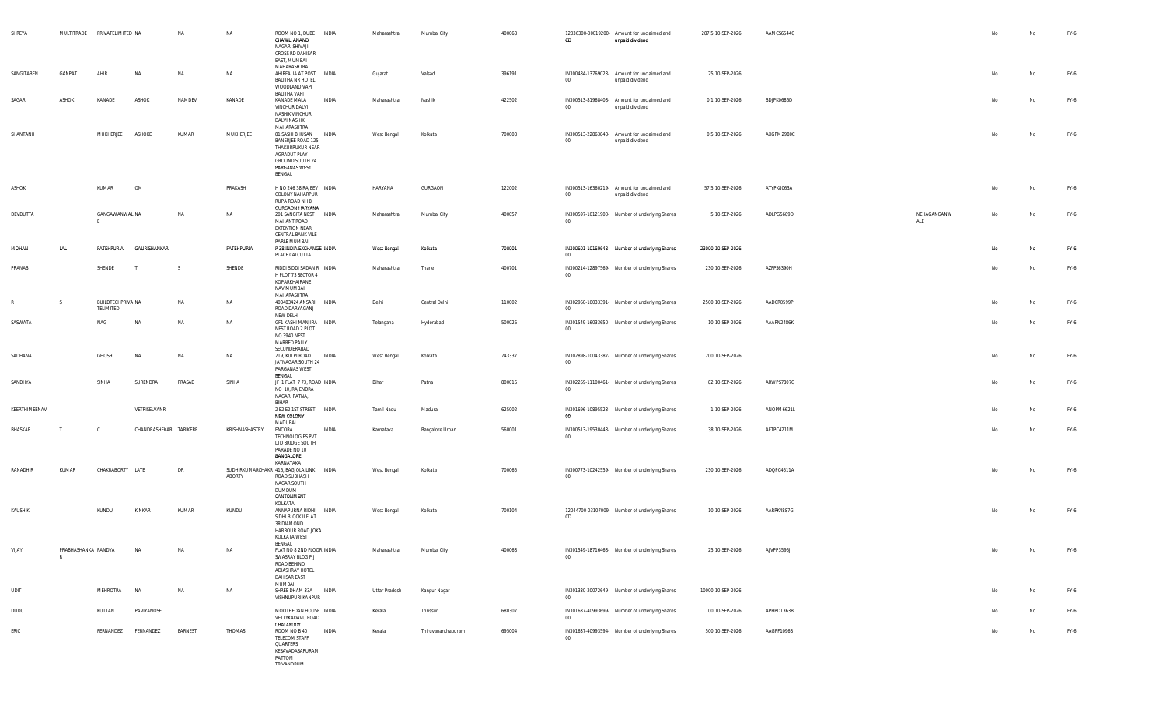| SHREYA        |                          | MULTITRADE PRIVATELIMITED NA   |                        | NA      | NA             | ROOM NO 1, DUBE INDIA<br>CHAWL, ANAND<br>NAGAR, SHIVAJI<br>CROSS RD DAHISAR<br>EAST, MUMBAI                            |              | Maharashtra        | Mumbai City        | 400068 | CD     | 12036300-00019200- Amount for unclaimed and<br>unpaid dividend | 287.5 10-SEP-2026 | AAMCS6544G |                    | No | No | FY-6 |
|---------------|--------------------------|--------------------------------|------------------------|---------|----------------|------------------------------------------------------------------------------------------------------------------------|--------------|--------------------|--------------------|--------|--------|----------------------------------------------------------------|-------------------|------------|--------------------|----|----|------|
| SANGITABEN    | GANPAT                   | AHIR                           | NA                     | NA      | NA             | MAHARASHTRA<br>AHIRFALIA AT POST INDIA<br><b>BALITHA NR HOTEL</b><br>WOODLAND VAPI<br>BALITHA VAPI                     |              | Gujarat            | Valsad             | 396191 | $00\,$ | IN300484-13769023- Amount for unclaimed and<br>unpaid dividend | 25 10-SEP-2026    |            |                    | No | No | FY-6 |
| SAGAR         | ASHOK                    | KANADE                         | ASHOK                  | NAMDEV  | KANADE         | KANADE MALA<br>VINCHUR DALVI<br>NASHIK VINCHURI<br>DALVI NASHIK<br>MAHARASHTRA                                         | INDIA        | Maharashtra        | Nashik             | 422502 | $00\,$ | IN300513-81968408- Amount for unclaimed and<br>unpaid dividend | 0.1 10-SEP-2026   | BDJPK0686D |                    | No | No | FY-6 |
| SHANTANU      |                          | MUKHERJEE                      | ASHOKE                 | KUMAR   | MUKHERJEE      | 81 SASHI BHUSAN<br>BANERJEE ROAD 125<br>THAKURPUKUR NEAR<br>AGRADUT PLAY<br>GROUND SOUTH 24<br>PARGANAS WEST<br>BENGAL | <b>INDIA</b> | West Bengal        | Kolkata            | 700008 | $00\,$ | IN300513-22863843- Amount for unclaimed and<br>unpaid dividend | 0.5 10-SEP-2026   | AXGPM2980C |                    | No | No | FY-6 |
| ASHOK         |                          | KUMAR                          | OM                     |         | PRAKASH        | H NO 246 38 RAJEEV INDIA<br><b>COLONY NAHARPUR</b><br>RUPA ROAD NH 8<br><b>GURGAON HARYANA</b>                         |              | HARYANA            | GURGAON            | 122002 | $00\,$ | IN300513-16360219- Amount for unclaimed and<br>unpaid dividend | 57.5 10-SEP-2026  | ATYPK8063A |                    | No | No | FY-6 |
| DEVDUTTA      |                          | GANGAWANWAL NA                 |                        | NA      | NA             | 201 SANGITA NEST INDIA<br>MAHANT ROAD<br>EXTENTION NEAR<br>CENTRAL BANK VILE<br>PARLE MUMBAI                           |              | Maharashtra        | Mumbai City        | 400057 | $00\,$ | IN300597-10121900- Number of underlying Shares                 | 5 10-SEP-2026     | ADLPG5689D | NEHAGANGANW<br>ALE | No | No | FY-6 |
| MOHAN         | LAL                      | FATEHPURIA                     | GAURISHANKAR           |         | FATEHPURIA     | P 38, INDIA EXCHANGE INDIA<br>PLACE CALCUTTA                                                                           |              | <b>West Bengal</b> | Kolkata            | 700001 | $00\,$ | IN300601-10169643- Number of underlying Shares                 | 23000 10-SEP-2026 |            |                    | No | No | FY-6 |
| PRANAB        |                          | SHENDE                         |                        | - S     | SHENDE         | RIDDI SIDDI SADAN R INDIA<br>H PLOT 73 SECTOR 4<br>KOPARKHAIRANE<br>NAVIMUMBAI<br>MAHARASHTRA                          |              | Maharashtra        | Thane              | 400701 | $00\,$ | IN300214-12897569- Number of underlying Shares                 | 230 10-SEP-2026   | AZFPS6390H |                    | No | No | FY-6 |
| R             | S.                       | BUILDTECHPRIVA NA<br>TELIMITED |                        | NA      | NA             | 403483424 ANSARI INDIA<br>ROAD DARYAGANJ                                                                               |              | Delhi              | Central Delhi      | 110002 | $00\,$ | IN302960-10033391- Number of underlying Shares                 | 2500 10-SEP-2026  | AADCR0599P |                    | No | No | FY-6 |
| SASWATA       |                          | NAG                            | <b>NA</b>              | NA      | NA             | NEW DELHI<br>GF1 KASHI MANJIRA INDIA<br>NEST ROAD 2 PLOT<br>NO 3940 NEST<br>MARRED PALLY                               |              | Telangana          | Hyderabad          | 500026 | $00\,$ | IN301549-16033650- Number of underlying Shares                 | 10 10-SEP-2026    | AAAPN2486K |                    | No | No | FY-6 |
| SADHANA       |                          | GHOSH                          | <b>NA</b>              | NA      | NA             | SECUNDERABAD<br>219, KULPI ROAD<br>JAYNAGAR SOUTH 24<br>PARGANAS WEST<br>BENGAL                                        | <b>INDIA</b> | West Bengal        | Kolkata            | 743337 | $00\,$ | IN302898-10043387- Number of underlying Shares                 | 200 10-SEP-2026   |            |                    | No | No | FY-6 |
| SANDHYA       |                          | SINHA                          | SURENDRA               | PRASAD  | SINHA          | JF 1 FLAT 7 73, ROAD INDIA<br>NO 10, RAJENDRA<br>NAGAR, PATNA,<br><b>BIHAR</b>                                         |              | Bihar              | Patna              | 800016 | $00\,$ | IN302269-11100461- Number of underlying Shares                 | 82 10-SEP-2026    | ARWPS7807G |                    | No | No | FY-6 |
| KEERTHIMEENAV |                          |                                | VETRISELVANR           |         |                | 2 E2 E2 1ST STREET   INDIA<br>NEW COLONY<br>MADURAI                                                                    |              | Tamil Nadu         | Madurai            | 625002 | 00     | IN301696-10895523- Number of underlying Shares                 | 1 10-SEP-2026     | ANOPM6621L |                    | No | No | FY-6 |
| BHASKAR       | $\mathsf{T}$             | <sub>c</sub>                   | CHANDRASHEKAR TARIKERE |         | KRISHNASHASTRY | ENCORA<br>TECHNOLOGIES PVT<br>LTD BRIDGE SOUTH<br>PARADE NO 10<br>BANGALORE<br>KARNATAKA                               | INDIA        | Karnataka          | Bangalore Urban    | 560001 | $00\,$ | IN300513-19530443- Number of underlying Shares                 | 38 10-SEP-2026    | AFTPC4211M |                    | No | No | FY-6 |
| RANADHIR      | KUMAR                    | CHAKRABORTY LATE               |                        | DR      | ABORTY         | SUDHIRKUMARCHAKR 416, BAGJOLA LINK INDIA<br>ROAD SUBHASH<br>NAGAR SOUTH<br>DUMDUM<br>CANTONMENT<br>KOLKATA             |              | West Bengal        | Kolkata            | 700065 | $00\,$ | IN300773-10242559- Number of underlying Shares                 | 230 10-SEP-2026   | ADQPC4611A |                    | No | No | FY-6 |
| KAUSHIK       |                          | KUNDU                          | KINKAR                 | KUMAR   | KUNDU          | ANNAPURNA RIDHI INDIA<br>SIDHI BLOCK II FLAT<br>3R DIAMOND<br>HARBOUR ROAD JOKA<br>KOLKATA WEST                        |              | West Bengal        | Kolkata            | 700104 | CD     | 12044700-03107009- Number of underlying Shares                 | 10 10-SEP-2026    | AARPK4887G |                    | No | No | FY-6 |
| VIJAY         | PRABHASHANKA PANDYA<br>R |                                | NA                     |         |                | BENGAL<br>FLAT NO 8 2ND FLOOR INDIA<br>SWASRAY BLDG P J<br>ROAD BEHIND<br>ADIASHRAY HOTEL<br>DAHISAR EAST<br>MUMBAI    |              | Maharashtra        | Mumbai City        | 400068 | $00\,$ | IN301549-18716468- Number of underlying Shares                 | 25 10-SEP-2026    | AJVPP3596J |                    |    |    | FY-6 |
| <b>UDIT</b>   |                          | MEHROTRA                       | <b>NA</b>              | NA      | NA             | SHREE DHAM 33A INDIA<br>VISHNUPURI KANPUR                                                                              |              | Uttar Pradesh      | Kanpur Nagar       |        | 00     | IN301330-20072649- Number of underlying Shares                 | 10000 10-SEP-2026 |            |                    | No | No | FY-6 |
| DUDU          |                          | KUTTAN                         | PAVIYANOSE             |         |                | MOOTHEDAN HOUSE INDIA<br>VETTYKADAVU ROAD<br>CHALAKUDY                                                                 |              | Kerala             | Thrissur           | 680307 | 00     | IN301637-40993699- Number of underlying Shares                 | 100 10-SEP-2026   | APHPD1363B |                    | No | No | FY-6 |
| ERIC          |                          | FERNANDEZ                      | FERNANDEZ              | EARNEST | THOMAS         | ROOM NO B 40<br>TELECOM STAFF<br>QUARTERS<br>KESAVADASAPURAM<br>PATTOM<br><b>TDIVANINDI IM</b>                         | <b>INDIA</b> | Kerala             | Thiruvananthapuram | 695004 | $00\,$ | IN301637-40993594- Number of underlying Shares                 | 500 10-SEP-2026   | AAGPF1096B |                    | No | No | FY-6 |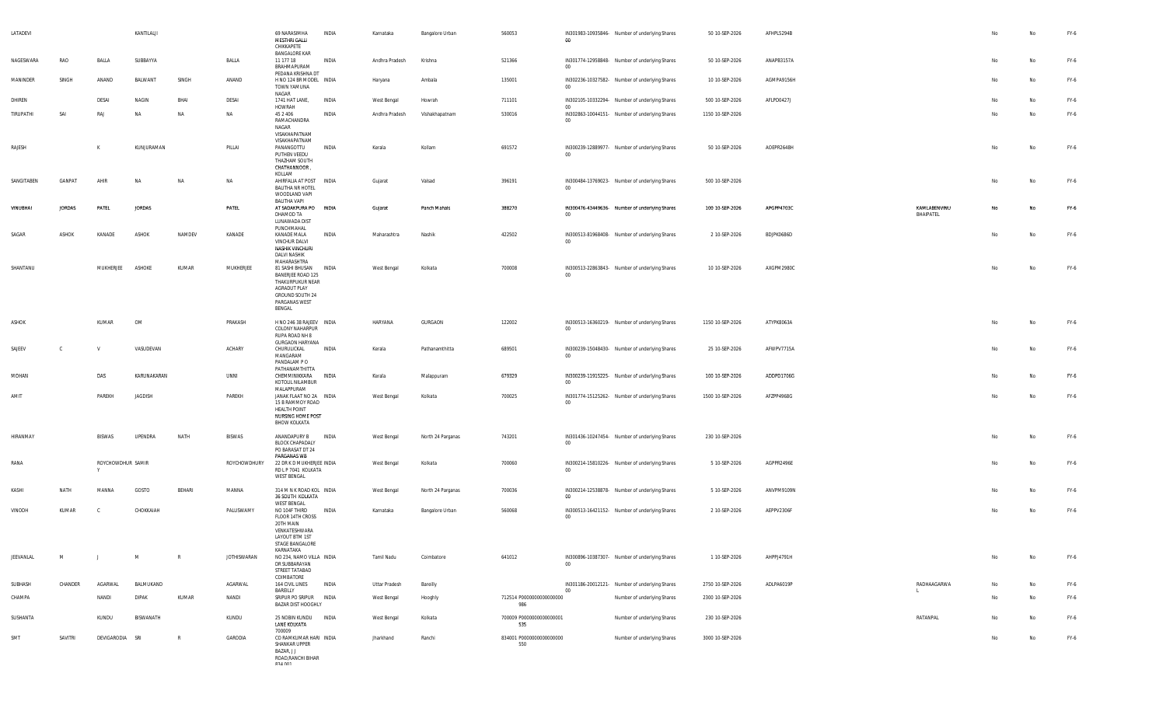| LATADEVI   |               |                   | KANTILALJI    |           |              | 69 NARASIMHA<br>MESTHRI GALLI<br>CHIKKAPETE<br><b>BANGALORE KAR</b>                                                                                | INDIA        | Karnataka          | Bangalore Urban   | 560053                          | 00      | IN301983-10935846- Number of underlying Shares | 50 10-SEP-2026   | AFHPL5294B |              |                           |                | $\mathsf{No}$ | FY-6 |
|------------|---------------|-------------------|---------------|-----------|--------------|----------------------------------------------------------------------------------------------------------------------------------------------------|--------------|--------------------|-------------------|---------------------------------|---------|------------------------------------------------|------------------|------------|--------------|---------------------------|----------------|---------------|------|
| NAGESWARA  | RAO           | BALLA             | SUBBAYYA      |           | BALLA        | 11 177 18<br>BRAHMAPURAM<br>PEDANA KRISHNA DT                                                                                                      | INDIA        | Andhra Pradesh     | Krishna           | 521366                          | 00      | IN301774-12958848- Number of underlying Shares | 50 10-SEP-2026   | ANAPB3157A |              |                           | N <sub>o</sub> | No            | FY-6 |
| MANINDER   | SINGH         | ANAND             | BALWANT       | SINGH     | ANAND        | H NO 124 BR MODEL INDIA<br>TOWN YAMUNA<br><b>NAGAR</b>                                                                                             |              | Haryana            | Ambala            | 135001                          | $00\,$  | IN302236-10327582- Number of underlying Shares | 10 10-SEP-2026   | AGMPA9156H |              |                           | No             | No            | FY-6 |
| DHIREN     |               | DESAI             | NAGIN         | BHAI      | DESAI        | 1741 HAT LANE,<br>HOWRAH                                                                                                                           | <b>INDIA</b> | West Bengal        | Howrah            | 711101                          | 00      | IN302105-10332294- Number of underlying Shares | 500 10-SEP-2026  | AFLPD0427J |              |                           | No             | No            | FY-6 |
| TIRUPATHI  | SAI           | RAJ               | NA            | NA        | NA           | 45 2 406<br>RAMACHANDRA<br>NAGAR<br>VISAKHAPATNAM<br>VISAKHAPATNAM                                                                                 | INDIA        | Andhra Pradesh     | Vishakhapatnam    | 530016                          | $00\,$  | IN302863-10044151- Number of underlying Shares | 1150 10-SEP-2026 |            |              |                           | No             | No            | FY-6 |
| RAJESH     |               | K                 | KUNJURAMAN    |           | PILLAI       | PANANGOTTU<br>PUTHEN VEEDU<br>THAZHAM SOUTH<br>CHATHANNOOR,<br>KOLLAM                                                                              | INDIA        | Kerala             | Kollam            | 691572                          | $00\,$  | IN300239-12889977- Number of underlying Shares | 50 10-SEP-2026   | AOEPR2648H |              |                           | No             | No            | FY-6 |
| SANGITABEN | GANPAT        | AHIR              | <b>NA</b>     | <b>NA</b> | NA           | AHIRFALIA AT POST INDIA<br><b>BALITHA NR HOTEL</b><br>WOODLAND VAPI<br>BALITHA VAPI                                                                |              | Gujarat            | Valsad            | 396191                          | $_{00}$ | IN300484-13769023- Number of underlying Shares | 500 10-SEP-2026  |            |              |                           | No             | No            | FY-6 |
| VINUBHAI   | <b>JORDAS</b> | PATEL             | <b>JORDAS</b> |           | PATEL        | AT SADAKPURA PO INDIA<br>DHAMOD TA<br>LUNAWADA DIST                                                                                                |              | Gujarat            | Panch Mahals      | 388270                          | $00\,$  | IN300476-43449636- Number of underlying Shares | 100 10-SEP-2026  | APGPP4703C |              | KAMLABENVINU<br>BHAIPATEL | No             | No            | FY-6 |
| SAGAR      | ASHOK         | KANADE            | ASHOK         | NAMDEV    | KANADE       | PUNCHMAHAL<br>KANADE MALA<br>VINCHUR DALVI<br>NASHIK VINCHURI<br><b>DALVI NASHIK</b>                                                               | INDIA        | Maharashtra        | Nashik            | 422502                          | 00      | IN300513-81968408- Number of underlying Shares | 2 10-SEP-2026    | BDJPK0686D |              |                           | No             | No            | FY-6 |
| SHANTANU   |               | MUKHERJEE         | ASHOKE        | KUMAR     | MUKHERJEE    | MAHARASHTRA<br>81 SASHI BHUSAN INDIA<br><b>BANERJEE ROAD 125</b><br>THAKURPUKUR NEAR<br>AGRADUT PLAY<br>GROUND SOUTH 24<br>PARGANAS WEST<br>BENGAL |              | West Bengal        | Kolkata           | 700008                          | $00\,$  | IN300513-22863843- Number of underlying Shares | 10 10-SEP-2026   | AXGPM2980C |              |                           | No             | No            | FY-6 |
| ASHOK      |               | KUMAR             | OM            |           | PRAKASH      | H NO 246 38 RAJEEV INDIA<br><b>COLONY NAHARPUR</b><br>RUPA ROAD NH 8                                                                               |              | HARYANA            | GURGAON           | 122002                          | $00\,$  | IN300513-16360219- Number of underlying Shares | 1150 10-SEP-2026 | ATYPK8063A |              |                           | No             | No            | FY-6 |
| SAJEEV     | C.            | V                 | VASUDEVAN     |           | ACHARY       | <b>GURGAON HARYANA</b><br>CHURULICKAL<br>MANGARAM<br>PANDALAM PO                                                                                   | INDIA        | Kerala             | Pathanamthitta    | 689501                          | $00\,$  | IN300239-15048430- Number of underlying Shares | 25 10-SEP-2026   | AFWPV7715A |              |                           | No             | No            | FY-6 |
| MOHAN      |               | DAS               | KARUNAKARAN   |           | UNNI         | PATHANAMTHITTA<br>CHEMMINIKKARA INDIA<br>KOTOLIL NILAMBUR<br>MALAPPURAM                                                                            |              | Kerala             | Malappuram        | 679329                          | $00\,$  | IN300239-11915225- Number of underlying Shares | 100 10-SEP-2026  | ADDPD1706G |              |                           | No             | No            | FY-6 |
| AMIT       |               | PAREKH            | JAGDISH       |           | PAREKH       | JANAK FLAAT NO 2A INDIA<br>15 B RAMMOY ROAD<br><b>HEALTH POINT</b><br>NURSING HOME POST<br><b>BHOW KOLKATA</b>                                     |              | <b>West Bengal</b> | Kolkata           | 700025                          | $00\,$  | IN301774-15125262- Number of underlying Shares | 1500 10-SEP-2026 | AFZPP4968G |              |                           | No             | No            | FY-6 |
| HIRANMAY   |               | BISWAS            | UPENDRA       | NATH      | BISWAS       | ANANDAPURY B<br>BLOCK CHAPADALY<br>PO BARASAT DT 24<br>PARGANAS WB                                                                                 | INDIA        | West Bengal        | North 24 Parganas | 743201                          | $00\,$  | IN301436-10247454- Number of underlying Shares | 230 10-SEP-2026  |            |              |                           | N <sub>o</sub> | No            | FY-6 |
| RANA       |               | ROYCHOWDHUR SAMIR |               |           | ROYCHOWDHURY | 22 DR K D MUKHERJEE INDIA<br>RD L P 7041 KOLKATA<br><b>WEST BENGAL</b>                                                                             |              | West Bengal        | Kolkata           | 700060                          | $00\,$  | IN300214-15810226- Number of underlying Shares | 5 10-SEP-2026    | AGPPR2496E |              |                           | No             | No            | FY-6 |
| KASHI      | NATH          | MANNA             | GOSTO         | BEHARI    | MANNA        | 314 M N K ROAD KOL INDIA<br>36 SOUTH KOLKATA<br>WEST BENGAL                                                                                        |              | West Bengal        | North 24 Parganas | 700036                          | 00      | IN300214-12538878- Number of underlying Shares | 5 10-SEP-2026    | ANVPM9109N |              |                           | N <sub>o</sub> | No            | FY-6 |
| VINODH     | KUMAR         | - C               | CHOKKAIAH     |           | PALUSWAMY    | NO 104F THIRD<br>FLOOR 14TH CROSS<br>20TH MAIN<br>VENKATESHWARA<br>LAYOUT BTM 1ST<br>STAGE BANGALORE<br>KARNATAKA                                  | INDIA        | Karnataka          | Bangalore Urban   | 560068                          | $00\,$  | IN300513-16421152- Number of underlying Shares | 2 10-SEP-2026    | AEPPV2306F |              |                           | N <sub>o</sub> | No            | FY-6 |
| JEEVANLAL  | M             | $\perp$           | M             | R         | JOTHISWARAN  | NO 234, NAMO VILLA INDIA<br>DR SUBBARAYAN<br>STREET TATABAD<br>COIMBATORE                                                                          |              | Tamil Nadu         | Coimbatore        | 641012                          | $00\,$  | IN300896-10387307- Number of underlying Shares | 1 10-SEP-2026    | AHPPJ4791H |              |                           | No             | No            | FY-6 |
| SUBHASH    | CHANDER       | AGARWAL           | BALMUKAND     |           | AGARWAL      | 164 CIVIL LINES                                                                                                                                    | <b>INDIA</b> | Uttar Pradesh      | Bareilly          |                                 |         | IN301186-20012121- Number of underlying Shares | 2750 10-SEP-2026 | ADLPA6019P |              | RADHAAGARWA               | No             | No            | FY-6 |
| CHAMPA     |               | NANDI             | <b>DIPAK</b>  | KUMAR     | NANDI        | BAREILLY<br>SRIPUR PO SRIPUR INDIA<br>BAZAR DIST HOOGHLY                                                                                           |              | West Bengal        | Hooghly           | 712514 P0000000000000000<br>986 | $_{00}$ | Number of underlying Shares                    | 2300 10-SEP-2026 |            | $\mathbf{L}$ |                           | No             | No            | FY-6 |
| SUSHANTA   |               | KUNDU             | BISWANATH     |           | KUNDU        | 25 NOBIN KUNDU INDIA<br>LANE KOLKATA<br>700009                                                                                                     |              | West Bengal        | Kolkata           | 700009 P0000000000000001<br>535 |         | Number of underlying Shares                    | 230 10-SEP-2026  |            |              | RATANPAL                  | No             | No            | FY-6 |
| SMT        | SAVITRI       | DEVIGARODIA       | SRI           | R         | GARODIA      | CO RAMKUMAR HARI INDIA<br>SHANKAR UPPER<br>BAZAR, J J<br>ROAD, RANCHI BIHAR<br>024 001                                                             |              | Jharkhand          | Ranchi            | 834001 P0000000000000000<br>550 |         | Number of underlying Shares                    | 3000 10-SEP-2026 |            |              |                           | No             | No            | FY-6 |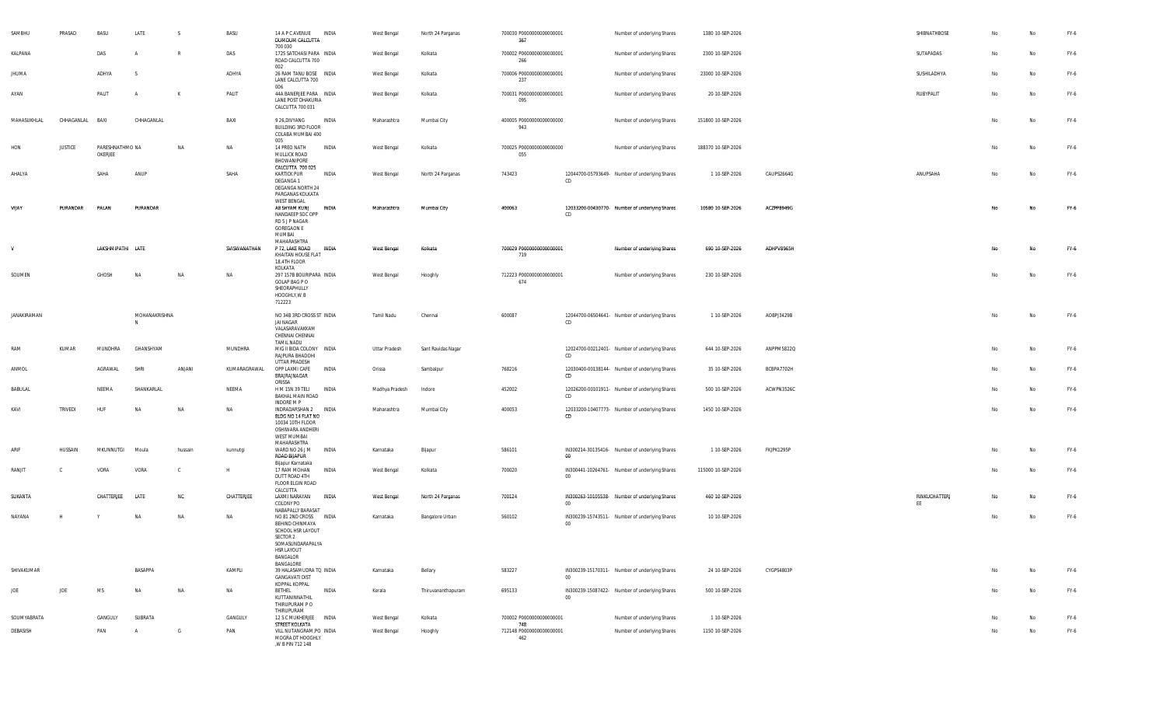| SAMBHU       | PRASAD          | BASU                       | LATE               | <sub>S</sub> | BASU         | 14 A P C AVENUE<br>DUMDUM CALCUTTA                                                                                                            | INDIA        | West Bengal    | North 24 Parganas  | 700030 P0000000000000001<br>367  |         | Number of underlying Shares                    | 1380 10-SEP-2026   |            | SHIBNATHBOSE        | No | No        | FY-6   |
|--------------|-----------------|----------------------------|--------------------|--------------|--------------|-----------------------------------------------------------------------------------------------------------------------------------------------|--------------|----------------|--------------------|----------------------------------|---------|------------------------------------------------|--------------------|------------|---------------------|----|-----------|--------|
| KALPANA      |                 | DAS                        | $\overline{A}$     | $\mathbb{R}$ | DAS          | 700 030<br>1725 SATCHASI PARA INDIA<br>ROAD CALCUTTA 700                                                                                      |              | West Bengal    | Kolkata            | 700002 P0000000000000001<br>266  |         | Number of underlying Shares                    | 2300 10-SEP-2026   |            | SUTAPADAS           | No | No        | FY-6   |
| <b>JHUMA</b> |                 | ADHYA                      | <sub>S</sub>       |              | ADHYA        | 002<br>26 RAM TANU BOSE INDIA<br>LANE CALCUTTA 700                                                                                            |              | West Bengal    | Kolkata            | 700006 P0000000000000001<br>237  |         | Number of underlying Shares                    | 23000 10-SEP-2026  |            | SUSHILADHYA         | No | No        | FY-6   |
| AYAN         |                 | PALIT                      | $\overline{A}$     | K            | PALIT        | 006<br>44A BANERJEE PARA INDIA<br>LANE POST DHAKURIA<br>CALCUTTA 700 031                                                                      |              | West Bengal    | Kolkata            | 700031 P0000000000000001<br>095  |         | Number of underlying Shares                    | 20 10-SEP-2026     |            | RUBYPALIT           | No | <b>No</b> | FY-6   |
| MAHASUKHLAL  | CHHAGANLAL BAXI |                            | CHHAGANLAL         |              | BAXI         | 9 26, DIVYANG<br>BUILDING 3RD FLOOR<br>COLABA MUMBAI 400                                                                                      | INDIA        | Maharashtra    | Mumbai City        | 400005 P0000000000000000<br>943  |         | Number of underlying Shares                    | 151800 10-SEP-2026 |            |                     | No | <b>No</b> | FY-6   |
| HON          | <b>JUSTICE</b>  | PARESHNATHMO NA<br>OKERJEE |                    | NA           | NA           | 005<br>14 PREO NATH<br>MULLICK ROAD                                                                                                           | INDIA        | West Bengal    | Kolkata            | 700025 P0000000000000000<br>055  |         | Number of underlying Shares                    | 188370 10-SEP-2026 |            |                     | No | No        | FY-6   |
| AHALYA       |                 | SAHA                       | ANUP               |              | SAHA         | BHOWANIPORE<br>CALCUTTA 700 025<br><b>KARTICK PUR</b>                                                                                         | INDIA        | West Bengal    | North 24 Parganas  | 743423                           |         | 12044700-05793649- Number of underlying Shares | 1 10-SEP-2026      | CAUPS2664G | ANUPSAHA            | No | No        | FY-6   |
|              |                 |                            |                    |              |              | DEGANGA 1<br><b>DEGANGA NORTH 24</b><br>PARGANAS KOLKATA                                                                                      |              |                |                    |                                  | CD      |                                                |                    |            |                     |    |           |        |
| VIJAY        | PURANDAR        | PALAN                      | PURANDAR           |              |              | <b>WEST BENGAL</b><br>A8 SHYAM KUNJ<br>NANDAEEP SOC OPP<br>RD 5 J P NAGAR<br><b>GOREGAON E</b><br>MUMBAI                                      | INDIA        | Maharashtra    | Mumbai City        | 400063                           | CD      | 12033200-00430770- Number of underlying Shares | 10580 10-SEP-2026  | ACZPP8949G |                     | No | <b>No</b> | FY-6   |
| $\mathsf{v}$ |                 | LAKSHMIPATHI LATE          |                    |              | SVISWANATHAN | MAHARASHTRA<br>P 72, LAKE ROAD<br>KHAITAN HOUSE FLAT<br>18,4TH FLOOR                                                                          | <b>INDIA</b> | West Bengal    | Kolkata            | 700029 P00000000000000001<br>719 |         | Number of underlying Shares                    | 690 10-SEP-2026    | ADHPV8965H |                     | No | <b>No</b> | FY-6   |
| SOUMEN       |                 | GHOSH                      | NA                 | NA           | NA           | KOLKATA<br>297 157B BOURIPARA INDIA<br>GOLAP BAG P O<br>SHEORAPHULLY<br>HOOGHLY, W B<br>712223                                                |              | West Bengal    | Hooghly            | 712223 P0000000000000001<br>674  |         | Number of underlying Shares                    | 230 10-SEP-2026    |            |                     | No | No        | FY-6   |
| JANAKIRAMAN  |                 |                            | MOHANAKRISHNA<br>N |              |              | NO 34B 3RD CROSS ST INDIA<br>JAI NAGAR<br>VALASARAVAKKAM<br>CHENNAI CHENNAI                                                                   |              | Tamil Nadu     | Chennai            | 600087                           | CD      | 12044700-06504641- Number of underlying Shares | 1 10-SEP-2026      | AOBPJ3429B |                     | No | No        | FY-6   |
| RAM          | KUMAR           | MUNDHRA                    | GHANSHYAM          |              | MUNDHRA      | <b>TAMIL NADU</b><br>MIG II BIDA COLONY INDIA<br>RAJPURA BHADOHI                                                                              |              | Uttar Pradesh  | Sant Ravidas Nagar |                                  | CD      | 12024700-00212401- Number of underlying Shares | 644 10-SEP-2026    | ANPPM5822Q |                     | No | No        | $FY-6$ |
| ANMOL        |                 | AGRAWAL                    | <b>SHRI</b>        | ANJANI       | KUMARAGRAWAL | UTTAR PRADESH<br>OPP LAXMI CAFE<br>BRAJRAJNAGAR                                                                                               | INDIA        | Orissa         | Sambalpur          | 768216                           | CD      | 12030400-00138144- Number of underlying Shares | 35 10-SEP-2026     | BCBPA7702H |                     | No | No        | FY-6   |
| BABULAL      |                 | NEEMA                      | SHANKARLAL         |              | NEEMA        | ORISSA<br>H M 15N 39 TELI<br>BAKHAL MAIN ROAD                                                                                                 | <b>INDIA</b> | Madhya Pradesh | Indore             | 452002                           | CD      | 12026200-00101911- Number of underlying Shares | 500 10-SEP-2026    | ACWPN3526C |                     | No | No        | FY-6   |
| KAVI         | TRIVEDI         | HUF                        | NΔ                 | <b>NA</b>    | NA           | INDORE M P<br>INDRADARSHAN 2 INDIA<br>BLDG NO 14 FLAT NO<br>10034 10TH FLOOR<br>OSHIWARA ANDHERI<br>WEST MUMBAI<br>MAHARASHTRA                |              | Maharashtra    | Mumbai City        | 400053                           | CD.     | 12033200-10407773- Number of underlying Shares | 1450 10-SEP-2026   |            |                     | No | No        | FY-6   |
| ARIF         | HUSSAIN         | MKUNNUTGI                  | Moula              | hussain      | kunnutai     | WARD NO 26 J M<br>ROAD BUAPUR                                                                                                                 | <b>INDIA</b> | Karnataka      | Bijapur            | 586101                           | $_{00}$ | IN300214-30135416- Number of underlying Shares | 1 10-SEP-2026      | FKJPK1295P |                     | No | No        | FY-6   |
| RANJIT       | - C             | VORA                       | VORA               | C            | H            | Bijapur Karnataka<br>17 RAM MOHAN<br>DUTT ROAD 4TH<br>FLOOR ELGIN ROAD                                                                        | INDIA        | West Bengal    | Kolkata            | 700020                           | 00      | IN300441-10264761- Number of underlying Shares | 115000 10-SEP-2026 |            |                     | No | No        | FY-6   |
| SUKANTA      |                 | CHATTERJEE                 | LATE               | <b>NC</b>    | CHATTERJEE   | CALCUTTA<br>LAXMI NARAYAN<br>COLONY PO                                                                                                        | INDIA        | West Bengal    | North 24 Parganas  | 700124                           | $00\,$  | IN300263-10105538- Number of underlying Shares | 460 10-SEP-2026    |            | RINKUCHATTERJ<br>EE | No | No        | FY-6   |
| NAYANA       | H               |                            | <b>NA</b>          | NA           | NA           | NABAPALLY BARASAT<br>NO 81 2ND CROSS<br>BEHIND CHINMAYA<br>SCHOOL HSR LAYOUT<br>SECTOR 2<br>SOMASUNDARAPALYA<br><b>HSR LAYOUT</b><br>BANGALOR | <b>INDIA</b> | Karnataka      | Bangalore Urban    | 560102                           | $00\,$  | IN300239-15743511- Number of underlying Shares | 10 10-SEP-2026     |            |                     | No | No        | FY-6   |
| SHIVAKUMAR   |                 |                            | BASAPPA            |              | KAMPLI       | BANGALORE<br>39 HALASAMUDRA TO INDIA<br><b>GANGAVATI DIST</b><br>KOPPAL KOPPAL                                                                |              | Karnataka      | Bellary            | 583227                           | 00      | IN300239-15170311- Number of underlying Shares | 24 10-SEP-2026     | CYGPS4803P |                     | No | No        | FY-6   |
| JOE          | JOE             | MS                         | NA                 | NA           | NA           | <b>BETHEL</b><br>KUTTANINNATHIL<br>THIRUPURAM P O                                                                                             | INDIA        | Kerala         | Thiruvananthapuram | 695133                           | $00\,$  | IN300239-15087422- Number of underlying Shares | 500 10-SEP-2026    |            |                     | No | No        | FY-6   |
| SOUMYABRATA  |                 | GANGULY                    | SUBRATA            |              | GANGULY      | THIRUPURAM<br>12 S C MUKHERJEE INDIA                                                                                                          |              | West Bengal    | Kolkata            | 700002 P0000000000000001<br>748  |         | Number of underlying Shares                    | 1 10-SEP-2026      |            |                     |    | No        | FY-6   |
| DEBASISH     |                 | PAN                        | $\overline{A}$     | G            | PAN          | STREET KOLKATA<br>VILL NUTANGRAM, PO INDIA<br>MOGRA DT HOOGHLY<br>,W B PIN 712 148                                                            |              | West Bengal    | Hooghly            | 712148 P0000000000000001<br>462  |         | Number of underlying Shares                    | 1150 10-SEP-2026   |            |                     | No | No        | FY-6   |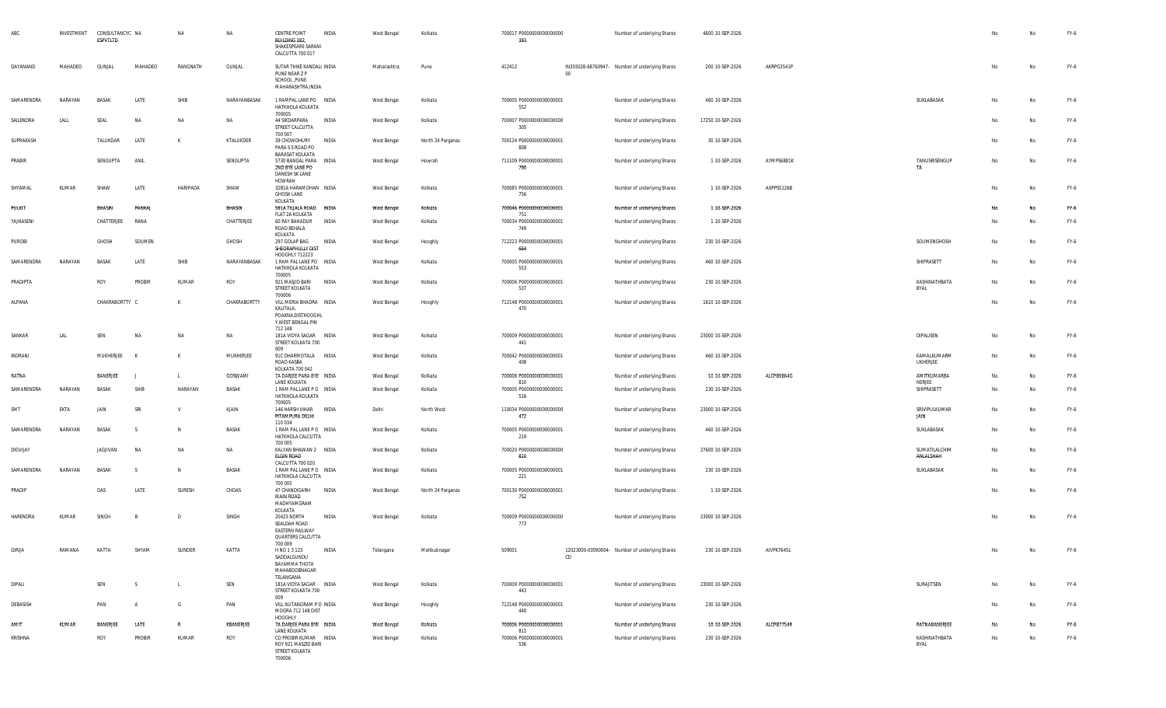|                 | INVESTMENT | CONSULTANCYC NA<br>ESPVTLTD |                | NA              | NA           | <b>CENTRE POINT</b><br>BUILDING 282,<br>SHAKESPEARE SARANI<br>CALCUTTA 700 017                  | INDIA | West Bengal | Kolkata           | 700017 P0000000000000000<br>393        |        | Number of underlying Shares                    | 4600 10-SEP-2026  |            |                              | No | No | FY-6   |
|-----------------|------------|-----------------------------|----------------|-----------------|--------------|-------------------------------------------------------------------------------------------------|-------|-------------|-------------------|----------------------------------------|--------|------------------------------------------------|-------------------|------------|------------------------------|----|----|--------|
| DAYANAND        | MAHADEO    | GUNJAL                      | MAHADEO        | RANGNATH        | GUNJAL       | SUTAR THIKE KANDALI INDIA<br>PUNE NEAR Z P<br>SCHOOL , PUNE<br>MAHARASHTRA, INDIA               |       | Maharashtra | Pune              | 412412                                 | $00\,$ | IN303028-68760947- Number of underlying Shares | 200 10-SEP-2026   | AKRPG3541P |                              | No | No | FY-6   |
| SAMARENDRA      | NARAYAN    | BASAK                       | LATE           | SHIB            | NARAYANBASAK | 1 RAMPAL LANE PO INDIA<br>HATKHOLA KOLKATA                                                      |       | West Bengal | Kolkata           | 700005 P0000000000000001<br>552        |        | Number of underlying Shares                    | 460 10-SEP-2026   |            | SUKLABASAK                   | No | Na | FY-6   |
| SAILENDRA       | LALL       | SEAL                        | <b>NA</b>      | NA              | NA           | 700005<br>44 SIKDARPARA<br>STREET CALCUTTA                                                      | INDIA | West Bengal | Kolkata           | 700007 P0000000000000000<br>305        |        | Number of underlying Shares                    | 17250 10-SEP-2026 |            |                              | No | Na | FY-6   |
| SUPRAKASH       |            | TALUKDAR                    | LATE           | К               | KTALUKDER    | 700 007<br>39 CHOWDHURY<br>PARA S S ROAD PO                                                     | INDIA | West Bengal | North 24 Parganas | 700124 P0000000000000001<br>808        |        | Number of underlying Shares                    | 30 10-SEP-2026    |            |                              | No | Na | FY-6   |
| PRABIR          |            | SENGUPTA                    | ANIL           |                 | SENGUPTA     | <b>BARASAT KOLKATA</b><br>5730 BANGAL PARA INDIA<br>2ND BYE LANE PO<br>DANESH SK LANE<br>HOWRAH |       | West Bengal | Howrah            | 711109 P0000000000000001<br>790        |        | Number of underlying Shares                    | 1 10-SEP-2026     | AYMPS6881K | TANUSRISENGUP<br>TA          | No | No | FY-6   |
| SHYAMAL         | KUMAR      | SHAW                        | LATE           | <b>HARIPADA</b> | SHAW         | 32B1A HARAMOHAN INDIA<br><b>GHOSH LANE</b><br>KOLKATA                                           |       | West Bengal | Kolkata           | 700085 P0000000000000001<br>756        |        | Number of underlying Shares                    | 1 10-SEP-2026     | AXPPS5126B |                              | No | No | FY-6   |
| PULKIT          |            | BHASIN                      | PANKAJ         |                 | BHASIN       | 591A TILJALA ROAD INDIA<br>FLAT 2A KOLKATA                                                      |       | West Bengal | Kolkata           | 700046 P0000000000000001<br>751        |        | Number of underlying Shares                    | 1 10-SEP-2026     |            |                              | No | No | $FY-6$ |
| YAJNASENI       |            | CHATTERJEE                  | RANA           |                 | CHATTERJEE   | 60 RAY BAHADUR<br>ROAD BEHALA<br>KOLKATA                                                        | INDIA | West Bengal | Kolkata           | 700034 P0000000000000001<br>749        |        | Number of underlying Shares                    | 1 10-SEP-2026     |            |                              | No | No | FY-6   |
| PUROBI          |            | GHOSH                       | SOUMEN         |                 | GHOSH        | 297 GOLAP BAG<br>SHEORAPHULLY DIST                                                              | INDIA | West Bengal | Hooghly           | 712223 P0000000000000001<br>664        |        | Number of underlying Shares                    | 230 10-SEP-2026   |            | SOUMENGHOSH                  | No | No | FY-6   |
| SAMARENDRA      | NARAYAN    | <b>BASAK</b>                | LATE           | SHIB            | NARAYANBASAK | HOOGHLY 712223<br>1 RAM PAL LANE PO INDIA<br>HATKHOLA KOLKATA                                   |       | West Bengal | Kolkata           | 700005 P0000000000000001<br>553        |        | Number of underlying Shares                    | 460 10-SEP-2026   |            | SHIPRASETT                   | No | No | FY-6   |
| PRADIPTA        |            | ROY                         | PROBIR         | KUMAR           | ROY          | 700005<br>921 MASJID BARI<br>STREET KOLKATA<br>700006                                           | INDIA | West Bengal | Kolkata           | 700006 P0000000000000001<br>537        |        | Number of underlying Shares                    | 230 10-SEP-2026   |            | KASHINATHBATA<br>BYAL        | No | Na | FY-6   |
| ALPANA          |            | CHAKRABORTTY C              |                | К               | CHAKRABORTTY | VILL MERIA BHADRA INDIA<br>KALITALA,<br>POAKNA, DISTHOOGHL<br>Y, WEST BENGAL PIN                |       | West Bengal | Hooghly           | 712148 P0000000000000001<br>470        |        | Number of underlying Shares                    | 1610 10-SEP-2026  |            |                              | No | Na | FY-6   |
| SANKAR          | LAL        | SEN                         | <b>NA</b>      | NA              | NA           | 712 148<br>181A VIDYA SAGAR INDIA<br>STREET KOLKATA 700                                         |       | West Bengal | Kolkata           | 700009 P0000000000000001<br>441        |        | Number of underlying Shares                    | 23000 10-SEP-2026 |            | DIPALISEN                    | No | No | FY-6   |
| INDRANI         |            | MUKHERJEE                   | K              | К               | MUKHERJEE    | 009<br>91C DHARMOTALA INDIA<br>ROAD KASBA                                                       |       | West Bengal | Kolkata           | 700042 P0000000000000001<br>408        |        | Number of underlying Shares                    | 460 10-SEP-2026   |            | KAMALKUMARM<br>UKHERJEE      | No | No | FY-6   |
| RATNA           |            | BANERJEE                    | п.             | $\mathbf{I}$    | GOSWAMI      | KOLKATA 700 042<br>7A DARJEE PARA BYE INDIA                                                     |       | West Bengal | Kolkata           | 700006 P0000000000000001               |        | Number of underlying Shares                    | 10 10-SEP-2026    | ALCPB9864G | AMITKUMARBA                  | No | No | FY-6   |
| SAMARENDRA      | NARAYAN    | BASAK                       | SHIB           | NARAYAN         | BASAK        | LANE KOLKATA<br>1 RAM PAL LANE PO INDIA<br>HATKHOLA KOLKATA                                     |       | West Bengal | Kolkata           | 810<br>700005 P0000000000000001<br>516 |        | Number of underlying Shares                    | 230 10-SEP-2026   |            | NERJEE<br>SHIPRASETT         | No | No | FY-6   |
| SMT             | EKTA       | JAIN                        | SRI            | v               | KJAIN        | 700005<br>146 HARSH VIHAR INDIA<br>PITAMPURA DELHI                                              |       | Delhi       | North West        | 110034 P0000000000000000<br>472        |        | Number of underlying Shares                    | 23000 10-SEP-2026 |            | SRIVIPULKUMAR<br>JAIN        | No | No | FY-6   |
| SAMARENDRA      | NARAYAN    | <b>BASAK</b>                | -S             | N               | BASAK        | 110 034<br>1 RAM PAL LANE PO INDIA<br>HATKHOLA CALCUTTA                                         |       | West Bengal | Kolkata           | 700005 P0000000000000001<br>219        |        | Number of underlying Shares                    | 460 10-SEP-2026   |            | SUKLABASAK                   | No | Na | FY-6   |
| <b>DIGVIJAY</b> |            | JAGJIVAN                    | <b>NA</b>      | NA              | NA           | 700 005<br>KALYAN BHAWAN 2 INDIA<br><b>ELGIN ROAD</b>                                           |       | West Bengal | Kolkata           | 700020 P0000000000000000<br>810        |        | Number of underlying Shares                    | 27600 10-SEP-2026 |            | SUMATILALCHIM<br>ANLALSHAH   | No | Na | FY-6   |
| SAMARENDRA      | NARAYAN    | <b>BASAK</b>                | s              | N               | BASAK        | CALCUTTA 700 020<br>1 RAM PAL LANE PO INDIA<br>HATKHOLA CALCUTTA                                |       | West Bengal | Kolkata           | 700005 P0000000000000001<br>221        |        | Number of underlying Shares                    | 230 10-SEP-2026   |            | SUKLABASAK                   | No | No | FY-6   |
| PRADIP          |            | DAS                         | LATE           | SURESH          | CHDAS        | 700 005<br>47 CHANDIGARH<br><b>MAIN ROAD</b><br>MADHYAMGRAM                                     | INDIA | West Bengal | North 24 Parganas | 700130 P0000000000000001<br>752        |        | Number of underlying Shares                    | 1 10-SEP-2026     |            |                              | No | No | FY-6   |
| HARENDRA        | KUMAR      | SINGH                       |                | D               | SINGH        | KOLKATA<br>20423 NORTH<br>SEALDAH ROAD<br><b>EASTERN RAILWAY</b><br>QUARTERS CALCUTTA           | INDIA | West Bengal | Kolkata           | 700009 P0000000000000000<br>773        |        | Number of underlying Shares                    | 23000 10-SEP-2026 |            |                              | No | No | FY-6   |
| <b>GIRIJA</b>   | RAMANA     | KATTA                       | SHYAM          | SUNDER          | KATTA        | 700 009<br>H NO 1 3 123<br>SADDALGUNDU<br>BAYAMMA THOTA<br>MAHABOOBNAGAR                        | INDIA | Telangana   | Mahbubnagar       | 509001                                 | CD     | 12023000-00590004- Number of underlying Shares | 230 10-SEP-2026   | AIVPK7645L |                              |    |    | FY-6   |
| DIPALI          |            | SEN                         | S.             | $\mathsf{L}$    | SEN          | TELANGANA<br>181A VIDYA SAGAR INDIA<br>STREET KOLKATA 700<br>009                                |       | West Bengal | Kolkata           | 700009 P0000000000000001<br>443        |        | Number of underlying Shares                    | 23000 10-SEP-2026 |            | SURAJITSEN                   | No | No | FY-6   |
| DEBASISH        |            | PAN                         | $\overline{A}$ | G               | PAN          | VILL NUTANGRAM P O INDIA<br>MOGRA 712 148 DIST                                                  |       | West Bengal | Hooghly           | 712148 P0000000000000001<br>440        |        | Number of underlying Shares                    | 230 10-SEP-2026   |            |                              | No | No | FY-6   |
| AMIT            | KUMAR      | BANERJEE                    | LATE           | $\,$ R          | KBANERJEE    | HOOGHLY<br>7A DARJEE PARA BYE INDIA                                                             |       | West Bengal | Kolkata           | 700006 P0000000000000001               |        | Number of underlying Shares                    | 10 10-SEP-2026    | ALCPB7754R | RATNABANERJEE                | No | No | FY-6   |
| KRISHNA         |            | ROY                         | PROBIR         | KUMAR           | ROY          | LANE KOLKATA<br>CO PROBIR KUMAR INDIA<br>ROY 921 MASZID BARI<br>STREET KOLKATA<br>700006        |       | West Bengal | Kolkata           | 811<br>700006 P0000000000000001<br>536 |        | Number of underlying Shares                    | 230 10-SEP-2026   |            | KASHINATHBATA<br><b>BYAL</b> | No | No | FY-6   |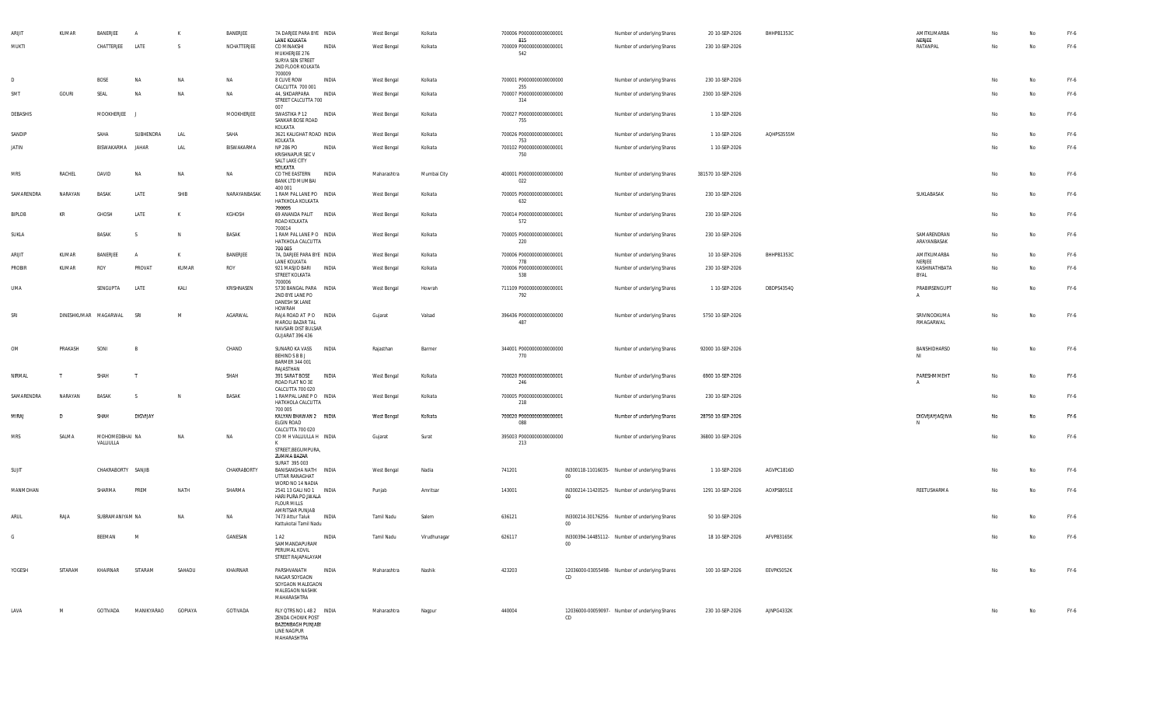| <b>ARIJI</b> | KUMAR   | BANERJEE                    | $\mathsf{A}$       | к         | BANERJEE     | 7A DARJEE PARA BYE INDIA                                                                                 |              | West Bengal | Kolkata      | 700006 P0000000000000001               |             | Number of underlying Shares                    | 20 10-SEP-2026     | BHHPB1353C | AMITKUMARBA                |    | Na | FY-6   |
|--------------|---------|-----------------------------|--------------------|-----------|--------------|----------------------------------------------------------------------------------------------------------|--------------|-------------|--------------|----------------------------------------|-------------|------------------------------------------------|--------------------|------------|----------------------------|----|----|--------|
| MUKTI        |         | CHATTERJEE                  | LATE               | S.        | NCHATTERJEE  | LANE KOLKATA<br>CO MINAKSHI<br>MUKHERJEE 276<br>SURYA SEN STREET                                         | INDIA        | West Bengal | Kolkata      | 815<br>700009 P0000000000000001<br>542 |             | Number of underlying Shares                    | 230 10-SEP-2026    |            | NERJEE<br>RATANPAL         | No | No | FY-6   |
|              |         |                             |                    |           |              | 2ND FLOOR KOLKATA<br>700009                                                                              |              |             |              |                                        |             |                                                |                    |            |                            |    |    |        |
| D            |         | <b>BOSE</b>                 | NA                 | <b>NA</b> | NA           | 8 CLIVE ROW<br>CALCUTTA 700 001                                                                          | INDIA        | West Bengal | Kolkata      | 700001 P0000000000000000<br>255        |             | Number of underlying Shares                    | 230 10-SEP-2026    |            |                            | No | No | FY-6   |
| SMT          | GOURI   | SEAL                        | <b>NA</b>          | <b>NA</b> | <b>NA</b>    | 44, SIKDARPARA<br>STREET CALCUTTA 700<br>007                                                             | INDIA        | West Bengal | Kolkata      | 700007 P0000000000000000<br>314        |             | Number of underlying Shares                    | 2300 10-SEP-2026   |            |                            | No | Na | FY-6   |
| DEBASHIS     |         | MOOKHERJEE                  |                    |           | MOOKHERJEE   | SWASTIKA P 12<br>SANKAR BOSE ROAD<br>KOLKATA                                                             | INDIA        | West Bengal | Kolkata      | 700027 P0000000000000001<br>755        |             | Number of underlying Shares                    | 1 10-SEP-2026      |            |                            | No | Na | FY-6   |
| SANDIP       |         | SAHA                        | SUBHENDRA          | LAL       | SAHA         | 3621 KALIGHAT ROAD INDIA<br>KOLKATA                                                                      |              | West Bengal | Kolkata      | 700026 P0000000000000001<br>753        |             | Number of underlying Shares                    | 1 10-SEP-2026      | AQHPS3555M |                            | No | No | FY-6   |
| JATIN        |         | BISWAKARMA                  | JAHAR              | LAL       | BISWAKARMA   | NP 286 PO<br><b>KRISHNAPUR SEC V</b><br>SALT LAKE CITY                                                   | INDIA        | West Bengal | Kolkata      | 700102 P0000000000000001<br>750        |             | Number of underlying Shares                    | 1 10-SEP-2026      |            |                            | No | No | FY-6   |
| MRS          | RACHEL  | DAVID                       | NA                 | <b>NA</b> | NA           | KOLKATA<br>CO THE EASTERN<br><b>BANK LTD MUMBAI</b>                                                      | INDIA        | Maharashtra | Mumbai City  | 400001 P0000000000000000<br>022        |             | Number of underlying Shares                    | 381570 10-SEP-2026 |            |                            | No | Na | FY-6   |
| SAMARENDRA   | NARAYAN | <b>BASAK</b>                | LATE               | SHIB      | NARAYANBASAK | 400 001<br>1 RAM PAL LANE PO INDIA<br>HATKHOLA KOLKATA                                                   |              | West Bengal | Kolkata      | 700005 P0000000000000001<br>632        |             | Number of underlying Shares                    | 230 10-SEP-2026    |            | SUKLABASAK                 | No |    | FY-6   |
| BIPLOB       | KR      | GHOSH                       | LATE               | K         | KGHOSH       | 700005<br>69 ANANDA PALIT<br><b>INDIA</b><br>ROAD KOLKATA                                                |              | West Bengal | Kolkata      | 700014 P0000000000000001<br>572        |             | Number of underlying Shares                    | 230 10-SEP-2026    |            |                            | No | No | FY-6   |
| SUKLA        |         | BASAK                       | <sub>S</sub>       | N         | BASAK        | 700014<br>1 RAM PAL LANE PO INDIA<br>HATKHOLA CALCUTTA<br>700 005                                        |              | West Bengal | Kolkata      | 700005 P0000000000000001<br>220        |             | Number of underlying Shares                    | 230 10-SEP-2026    |            | SAMARENDRAN<br>ARAYANBASAK | No | No | FY-6   |
| ARIJIT       | KUMAR   | BANERJEE                    | $\mathsf{A}$       | K         | BANERJEE     | 7A, DARJEE PARA BYE INDIA<br>LANE KOLKATA                                                                |              | West Bengal | Kolkata      | 700006 P0000000000000001<br>778        |             | Number of underlying Shares                    | 10 10-SEP-2026     | BHHPB1353C | AMITKUMARBA<br>NERJEE      | No | No | FY-6   |
| PROBIR       | KUMAR   | ROY                         | PROVAT             | KUMAR     | ROY          | 921 MASJID BARI<br>STREET KOLKATA                                                                        | INDIA        | West Bengal | Kolkata      | 700006 P0000000000000001<br>538        |             | Number of underlying Shares                    | 230 10-SEP-2026    |            | KASHINATHBATA<br>BYAL      | No | No | FY-6   |
| UMA          |         | SENGUPTA                    | LATE               | KALI      | KRISHNASEN   | 700006<br>5730 BANGAL PARA INDIA<br>2ND BYE LANE PO<br>DANESH SK LANE                                    |              | West Bengal | Howrah       | 711109 P0000000000000001<br>792        |             | Number of underlying Shares                    | 1 10-SEP-2026      | DBDPS4354Q | PRABIRSENGUPT              | No | No | FY-6   |
| SRI          |         | DINESHKUMAR MAGARWAL        | SRI                | M         | AGARWAL      | HOWRAH<br>RAJA ROAD AT PO INDIA<br>MAROLI BAZAR TAL<br>NAVSARI DIST BULSAR<br>GUJARAT 396 436            |              | Gujarat     | Valsad       | 396436 P0000000000000000<br>487        |             | Number of underlying Shares                    | 5750 10-SEP-2026   |            | SRIVINODKUMA<br>RMAGARWAL  | No | No | FY-6   |
| OM           | PRAKASH | SONI                        | B                  |           | CHAND        | SUNARO KA VASS<br>INDIA<br>BEHIND S B B J<br>BARMER 344 001                                              |              | Rajasthan   | Barmer       | 344001 P0000000000000000<br>770        |             | Number of underlying Shares                    | 92000 10-SEP-2026  |            | BANSHIDHARSO<br>NI         | No | No | FY-6   |
| NIRMAL       | T.      | SHAH                        | т                  |           | SHAH         | RAJASTHAN<br>391 SARAT BOSE<br>ROAD FLAT NO 3E                                                           | INDIA        | West Bengal | Kolkata      | 700020 P0000000000000001<br>246        |             | Number of underlying Shares                    | 6900 10-SEP-2026   |            | PARESHMMEHT                | No | Na | FY-6   |
| SAMARENDRA   | NARAYAN | BASAK                       | <sub>S</sub>       | N.        | BASAK        | CALCUTTA 700 020<br>1 RAMPAL LANE PO INDIA<br>HATKHOLA CALCUTTA                                          |              | West Bengal | Kolkata      | 700005 P0000000000000001<br>218        |             | Number of underlying Shares                    | 230 10-SEP-2026    |            |                            | No | No | FY-6   |
| MIRAJ        | D       | SHAH                        | <b>DIGVIJAY</b>    |           |              | 700 005<br>KALYAN BHAWAN 2 INDIA<br><b>ELGIN ROAD</b>                                                    |              | West Bengal | Kolkata      | 700020 P0000000000000001<br>088        |             | Number of underlying Shares                    | 28750 10-SEP-2026  |            | DIGVIJAYJAGJIVA            | No | No | FY-6   |
| MRS          | SALMA   | MOHOMEDBHAI NA<br>VALLIULLA |                    | <b>NA</b> | NA           | CALCUTTA 700 020<br>COMHVALLIULLAH INDIA<br>STREET, BEGUMPURA,                                           |              | Gujarat     | Surat        | 395003 P0000000000000000<br>213        |             | Number of underlying Shares                    | 36800 10-SEP-2026  |            |                            | No | No | FY-6   |
|              |         |                             |                    |           |              | ZUMMA BAZAR<br>SURAT 395 003                                                                             |              |             |              |                                        |             |                                                |                    |            |                            |    |    |        |
| SUJIT        |         | CHAKRABORTY SANJIB          |                    |           | CHAKRABORTY  | BANISANGHA NATH INDIA<br>UTTAR RANAGHAT<br>WORD NO 14 NADIA                                              |              | West Bengal | Nadia        | 741201                                 | $00\,$      | IN300118-11016035- Number of underlying Shares | 1 10-SEP-2026      | AGVPC1816D |                            | No | No | FY-6   |
| MANMOHAN     |         | SHARMA                      | PREM               | NATH      | SHARMA       | 2541 13 GALI NO 1 INDIA<br>HARI PURA PO JWALA<br><b>FLOUR MILLS</b>                                      |              | Punjab      | Amritsar     | 143001                                 | 00          | IN300214-11420525- Number of underlying Shares | 1291 10-SEP-2026   | AOXPS8051E | REETUSHARMA                | No | Na | FY-6   |
| ARUL         | RAJA    | SUBRAMANIYAM NA             |                    | <b>NA</b> | <b>NA</b>    | AMRITSAR PUNJAB<br>7473 Attur Taluk<br>Kattukotai Tamil Nadu                                             | INDIA        | Tamil Nadu  | Salem        | 636121                                 | $00\degree$ | IN300214-30176256- Number of underlying Shares | 50 10-SEP-2026     |            |                            | No | No | FY-6   |
| G            |         | BEEMAN                      | M                  |           | GANESAN      | 1 A <sub>2</sub><br>SAMMANDAPURAM<br>PERUMAL KOVIL<br>STREET RAJAPALAYAM                                 | INDIA        | Tamil Nadu  | Virudhunagar | 626117                                 |             | IN300394-14485112- Number of underlying Shares | 18 10-SEP-2026     | AFVPB3165K |                            | No | No | FY-6   |
| YOGESH       | SITARAM | KHAIRNAR                    | SITARAM            | SAHADU    | KHAIRNAR     | PARSHVANATH<br>NAGAR SOYGAON<br>SOYGAON MALEGAON<br>MALEGAON NASHIK<br>MAHARASHTRA                       | <b>INDIA</b> | Maharashtra | Nashik       | 423203                                 | CD          | 12036000-03055498- Number of underlying Shares | 100 10-SEP-2026    | EEVPK5052K |                            | No | No | FY-6   |
| LAVA         | M       | GOTIVADA                    | MANIKYARAO GOPIAYA |           | GOTIVADA     | RLY QTRS NO L 48 2   INDIA<br>ZENDA CHOWK POST<br><b>BAZONBAGH PUNJABI</b><br>LINE NAGPUR<br>MAHARASHTRA |              | Maharashtra | Nagpur       | 440004                                 | CD          | 12036000-00059097- Number of underlying Shares | 230 10-SEP-2026    | AJNPG4332K |                            | No | No | $FY-6$ |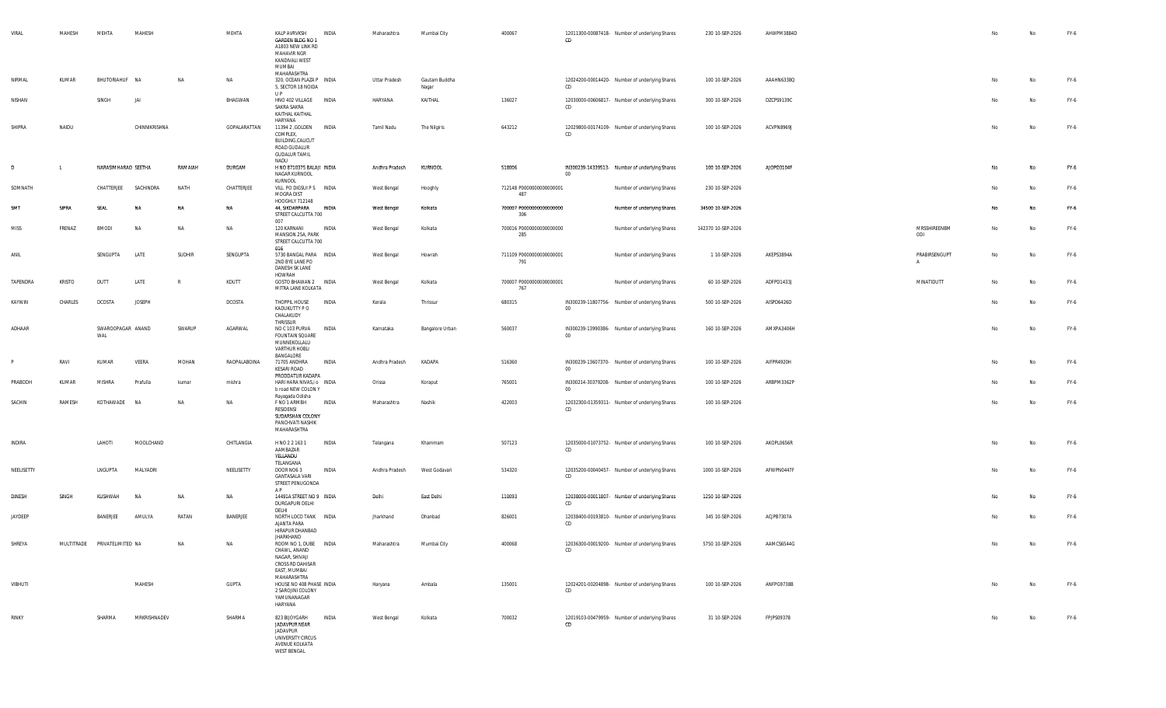| VIRAL       | MAHESH        | MEHTA<br>MAHESH              |               | MEHTA        | KALP AVRVKSH<br>INDIA<br>GARDEN BLDG NO 1<br>A1803 NEW LINK RD<br>MAHAVIR NGR<br>KANDIVALI WEST<br>MUMBAI<br>MAHARASHTRA | Maharashtra    | Mumbai City            | 400067                          | 12011300-00087418- Number of underlying Shares<br>CD          | 230 10-SEP-2026    | AHWPM3884D |                               | No | No        | FY-6 |
|-------------|---------------|------------------------------|---------------|--------------|--------------------------------------------------------------------------------------------------------------------------|----------------|------------------------|---------------------------------|---------------------------------------------------------------|--------------------|------------|-------------------------------|----|-----------|------|
| NIRMAL      | KUMAR         | BHUTORIAHUF NA               | <b>NA</b>     | NA           | 320, OCEAN PLAZA P INDIA<br>5, SECTOR 18 NOIDA<br>U P                                                                    | Uttar Pradesh  | Gautam Buddha<br>Nagar |                                 | 12024200-00014420- Number of underlying Shares<br>CD          | 100 10-SEP-2026    | AAAHN6338Q |                               | No | No        | FY-6 |
| NISHAN      |               | JAI<br>SINGH                 |               | BHAGWAN      | HNO 402 VILLAGE<br>INDIA<br>SAKRA SAKRA<br>KAITHAL KAITHAL<br>HARYANA                                                    | HARYANA        | KAITHAL                | 136027                          | 12030000-00606817- Number of underlying Shares<br>CD.         | 300 10-SEP-2026    | DZCPS9139C |                               | No | No        | FY-6 |
| SHIPRA      | NAIDU         |                              | CHINNIKRISHNA | GOPALARATTAN | 11394 2 , GOLDEN<br><b>INDIA</b><br>COMPLEX,<br>BUILDING, CALICUT<br>ROAD GUDALUR<br><b>GUDALUR TAMIL</b><br>NADU        | Tamil Nadu     | The Nilgiris           | 643212                          | 12029800-00174109- Number of underlying Shares<br>CD          | 100 10-SEP-2026    | ACVPN8969J |                               | No | No        | FY-6 |
| D           |               | NARASIMHARAO SEETHA          | RAMAIAH       | DURGAM       | H NO 8710375 BALAJI INDIA<br>NAGAR KURNOOL<br>KURNOOL                                                                    | Andhra Pradesh | KURNOOL                | 518006                          | IN300239-14339513- Number of underlying Shares<br>$00\,$      | 100 10-SEP-2026    | AJOPD3104F |                               | No | Na        | FY-6 |
| SOMNATH     |               | CHATTERJEE<br>SACHINDRA      | NATH          | CHATTERJEE   | VILL PO DIGSUI P S INDIA<br>MOGRA DIST<br>HOOGHLY 712148                                                                 | West Bengal    | Hooghly                | 712148 P0000000000000001<br>487 | Number of underlying Shares                                   | 230 10-SEP-2026    |            |                               | No | <b>No</b> | FY-6 |
| SMT         | SIPRA         | SEAL<br>NA                   | NA            | NA           | 44, SIKDARPARA<br>INDIA<br>STREET CALCUTTA 700<br>007                                                                    | West Bengal    | Kolkata                | 700007 P0000000000000000<br>306 | Number of underlying Shares                                   | 34500 10-SEP-2026  |            |                               | No | No        | FY-6 |
| <b>MISS</b> | FRENAZ        | <b>BMODI</b><br>NA           | NA            | <b>NA</b>    | 120 KARNANI<br>INDIA<br>MANSION 25A, PARK<br>STREET CALCUTTA 700<br>016                                                  | West Bengal    | Kolkata                | 700016 P0000000000000000<br>285 | Number of underlying Shares                                   | 142370 10-SEP-2026 |            | MRSSHIREENBM<br>ODI           | No | No        | FY-6 |
| ANIL        |               | SENGUPTA<br>LATE             | SUDHIR        | SENGUPTA     | 5730 BANGAL PARA INDIA<br>2ND BYE LANE PO<br>DANESH SK LANE                                                              | West Bengal    | Howrah                 | 711109 P0000000000000001<br>791 | Number of underlying Shares                                   | 1 10-SEP-2026      | AKEPS3894A | PRABIRSENGUPT<br>$\mathsf{A}$ | No | No        | FY-6 |
| TAPENDRA    | <b>KRISTO</b> | LATE<br>DUTT                 | R             | KDUTT        | HOWRAH<br>GOSTO BHAWAN 2 INDIA<br>MITRA LANE KOLKATA                                                                     | West Bengal    | Kolkata                | 700007 P0000000000000001<br>767 | Number of underlying Shares                                   | 60 10-SEP-2026     | ADFPD1433J | MINATIDUTT                    | No | No        | FY-6 |
| KAYWIN      | CHARLES       | DCOSTA<br><b>JOSEPH</b>      |               | DCOSTA       | THOPPIL HOUSE<br>INDIA<br>KADUKUTTY P O<br>CHALAKUDY                                                                     | Kerala         | Thrissur               | 680315                          | IN300239-11807756- Number of underlying Shares<br>$00\degree$ | 500 10-SEP-2026    | AISPD6426D |                               | No | No        | FY-6 |
| ADHAAR      |               | SWAROOPAGAR ANAND<br>WAL     | SWARUP        | AGARWAL      | THRISSUR<br>NO C 103 PURVA<br>INDIA<br><b>FOUNTAIN SQUARE</b><br>MUNNEKOLLALU<br>VARTHUR HOBLI                           | Karnataka      | Bangalore Urban        | 560037                          | IN300239-13990386- Number of underlying Shares<br>$00\,$      | 160 10-SEP-2026    | AMXPA3406H |                               | No | No        | FY-6 |
| P           | RAVI          | VEERA<br>KUMAR               | MOHAN         | RAOPALABOINA | BANGALORE<br>71705 ANDHRA<br>INDIA<br>KESARI ROAD                                                                        | Andhra Pradesh | KADAPA                 | 516360                          | IN300239-13607370- Number of underlying Shares<br>$00\,$      | 100 10-SEP-2026    | AIFPR4920H |                               | No | No        | FY-6 |
| PRABODH     | KUMAR         | <b>MISHRA</b><br>Prafulla    | kumar         | mishra       | PRODDATUR KADAPA<br>HARI HARA NIVAS,i o INDIA<br>b road NEW COLON Y                                                      | Orissa         | Koraput                | 765001                          | IN300214-30379208- Number of underlying Shares<br>$00\,$      | 100 10-SEP-2026    | ARBPM3362P |                               | No | Na        | FY-6 |
| SACHIN      | RAMESH        | KOTHAWADE<br><b>NA</b>       | NA            | NA           | Rayagada Odisha<br>F NO 1 ARMBH<br>INDIA<br>RESIDENSI<br>SUDARSHAN COLONY<br>PANCHVATI NASHIK<br>MAHARASHTRA             | Maharashtra    | Nashik                 | 422003                          | 12032300-01359311- Number of underlying Shares<br>CD          | 100 10-SEP-2026    |            |                               | No | No        | FY-6 |
| INDIRA      |               | LAHOTI<br>MOOLCHAND          |               | CHITLANGIA   | H NO 2 2 163 1<br>INDIA<br>AAMBAZAR<br>YELLANDU                                                                          | Telangana      | Khammam                | 507123                          | 12035000-01073752- Number of underlying Shares<br>CD          | 100 10-SEP-2026    | AKOPL0656R |                               | No | No        | FY-6 |
| NEELISETTY  |               | LNGUPTA<br>MALYADRI          |               | NEELISETTY   | TELANGANA<br>INDIA<br>DOOR NO6 3<br><b>GANTASALA VARI</b><br>STREET PENUGONDA                                            | Andhra Pradesh | West Godavari          | 534320                          | 12035200-00040457- Number of underlying Shares<br>CD          | 1000 10-SEP-2026   | AFWPN0447F |                               | No | No        | FY-6 |
| DINESH      | SINGH         | KUSHWAH<br><b>NA</b>         | <b>NA</b>     | NA           | AP<br>14491A STREET NO 9 INDIA<br>DURGAPURI DELHI                                                                        | Delhi          | East Delhi             | 110093                          | 12038000-00011807- Number of underlying Shares<br>CD          | 1250 10-SEP-2026   |            |                               | No | No        | FY-6 |
| JAYDEEP     |               | BANERJEE<br>AMULYA           | RATAN         | BANERJEE     | DELHI<br>NORTH LOCO TANK INDIA<br>AJANTA PARA<br>HIRAPUR DHANBAD                                                         | Jharkhand      | Dhanbad                | 826001                          | 12038400-00193810- Number of underlying Shares<br>CD.         | 345 10-SEP-2026    | ACJPB7307A |                               | No | No        | FY-6 |
| SHREYA      |               | MULTITRADE PRIVATELIMITED NA | NA            | <b>NA</b>    | JHARKHAND<br>ROOM NO 1, DUBE INDIA<br>CHAWL, ANAND<br>NAGAR, SHIVAJI<br>CROSS RD DAHISAR<br>EAST, MUMBAI<br>MAHARASHTRA  | Maharashtra    | Mumbai City            | 400068                          | 12036300-00019200- Number of underlying Shares<br>CD          | 5750 10-SEP-2026   | AAMCS6544G |                               | No | <b>No</b> | FY-6 |
| VIBHUTI     |               | MAHESH                       |               | GUPTA        | HOUSE NO 408 PHASE INDIA<br>2 SAROJINI COLONY<br>YAMUNANAGAR<br>HARYANA                                                  | Haryana        | Ambala                 | 135001                          | 12024201-00204898- Number of underlying Shares<br>CD          | 100 10-SEP-2026    | ANFPG9738B |                               | No | No        | FY-6 |
| RINKY       |               | SHARMA                       | MRKRISHNADEV  | SHARMA       | 823 BIJOYGARH<br>INDIA<br>JADAVPUR NEAR<br>JADAVPUR<br>UNIVERSITY CIRCUS<br>AVENUE KOLKATA<br>WEST BENGAL                | West Bengal    | Kolkata                | 700032                          | 12019103-00479959- Number of underlying Shares<br>CD          | 31 10-SEP-2026     | FPJPS0937B |                               | No | No        | FY-6 |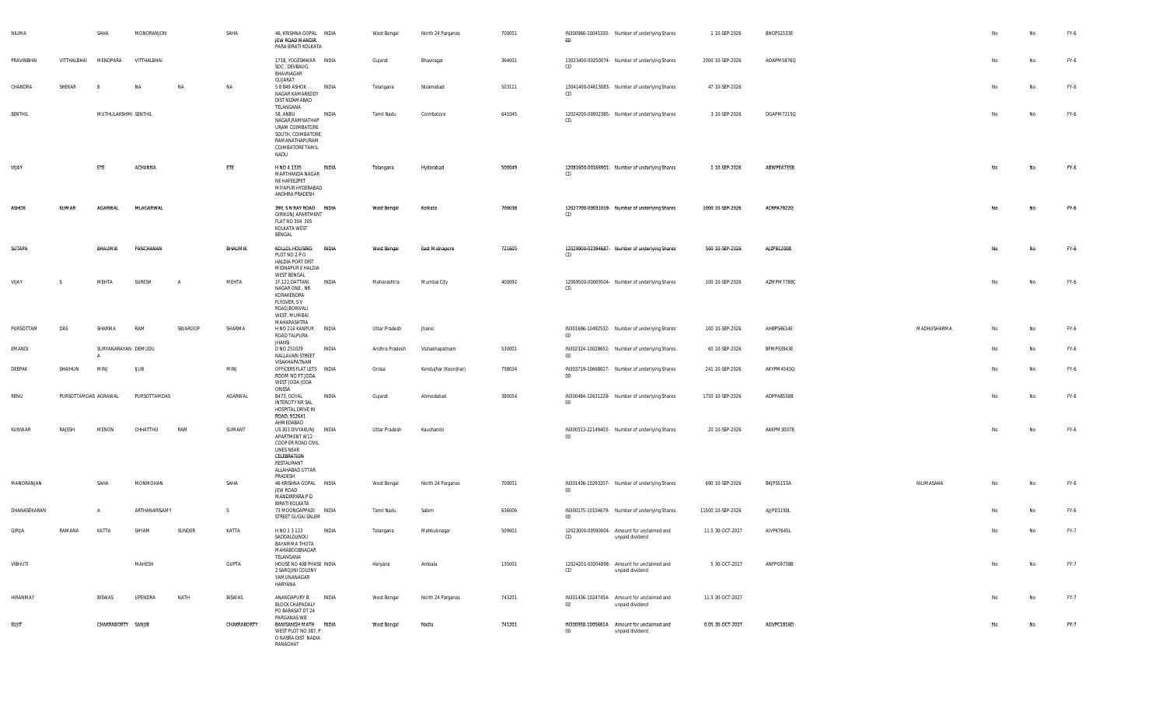| NILIMA       |                      | SAHA                 | MONORANJON    |         | SAHA        | 46, KRISHNA GOPAL INDIA<br>JEW ROAD MANDIR<br>PARA BIRATI KOLKATA                                                                      |       | West Bengal    | North 24 Parganas     | 700051 | $00\,$ | IN300966-10045330- Number of underlying Shares                 | 1 10-SEP-2026     | BHOPS1533E |             |    | No        | FY-6   |
|--------------|----------------------|----------------------|---------------|---------|-------------|----------------------------------------------------------------------------------------------------------------------------------------|-------|----------------|-----------------------|--------|--------|----------------------------------------------------------------|-------------------|------------|-------------|----|-----------|--------|
| PRAVINBHAI   | VITTHALBHAI          | MENDPARA             | VITTHALBHAI   |         |             | 1718, YOGESHWAR INDIA<br>SOC, DEVBAUG,<br>BHAVNAGAR                                                                                    |       | Gujarat        | Bhavnagar             | 364001 | CD     | 13023400-00250074- Number of underlying Shares                 | 2000 10-SEP-2026  | AOAPM5876Q |             | No | No        | FY-6   |
| CHANDRA      | SHEKAR               | $\overline{B}$       | NA            | NA      | NA          | GUJARAT<br>5 8 849 ASHOK<br>NAGAR KAMAREDDY<br>DIST NIZAMABAD                                                                          | INDIA | Telangana      | Nizamabad             | 503111 | CD     | 13041400-04613083- Number of underlying Shares                 | 47 10-SEP-2026    |            |             | No | No        | FY-6   |
| SENTHIL      |                      | MUTHULAKSHMI SENTHIL |               |         |             | TELANGANA<br>58, ANBU<br>NAGAR, RAMNATHAP<br>URAM COIMBATORE<br>SOUTH, COIMBATORE,<br>RAMANATHAPURAM<br>COIMBATORE TAMIL<br>NADU       | INDIA | Tamil Nadu     | Coimbatore            | 641045 | CD     | 12024200-00932385- Number of underlying Shares                 | 3 10-SEP-2026     | DGAPM7215Q |             | No | No        | FY-6   |
| VIJAY        |                      | ETE                  | ACHANNA       |         | ETE         | H NO 4 1335<br>MARTHANDA NAGAR<br>NE HAFEEZPET<br>MIYAPUR HYDERABAD<br>ANDHRA PRADESH                                                  | INDIA | Telangana      | Hyderabad             | 500049 | CD     | 12081600-00166901- Number of underlying Shares                 | 1 10-SEP-2026     | ABWPE4735B |             |    | No        | FY-6   |
| <b>ASHOK</b> | KUMAR                | <b>AGARWAL</b>       | MLAGARWAL     |         |             | 390, S N RAY ROAD INDIA<br>GIRIKUNJ APARTMENT<br>FLAT NO 304 305<br>KOLKATA WEST<br>BENGAL                                             |       | West Bengal    | Kolkata               | 700038 | CD     | 12027700-00031019- Number of underlying Shares                 | 1000 10-SEP-2026  | ACRPA7922Q |             | No | <b>No</b> | FY-6   |
| SUTAPA       |                      | BHAUMIK              | PANCHANAN     |         | BHAUMIK     | KOLLOL HOUSING<br>PLOT NO 2 P O<br><b>HALDIA PORT DIST</b><br>MIDNAPUR E HALDIA<br><b>WEST BENGAL</b>                                  | INDIA | West Bengal    | <b>East Midnapore</b> | 721605 | CD     | 12029900-02394687- Number of underlying Shares                 | 500 10-SEP-2026   | AJZPB1200B |             | No | No        | $FY-6$ |
| VIJAY        | -S                   | MEHTA                | SURESH        | A       | MEHTA       | 1F,122,DATTANI<br>NAGAR ONE, NR<br>KORAKENDRA<br>FLYOVER, SV<br>ROAD, BORIVALI<br>WEST, MUMBAI<br>MAHARASHTRA                          | INDIA | Maharashtra    | Mumbai City           | 400092 | CD     | 12069500-00009504- Number of underlying Shares                 | 100 10-SEP-2026   | AZMPM7788C |             | No | No        | FY-6   |
| PURSOTTAM    | DAS                  | SHARMA               | RAM           | SWAROOP | SHARMA      | H NO 216 KANPUR INDIA<br>ROAD TALPURA                                                                                                  |       | Uttar Pradesh  | Jhansi                |        | $00\,$ | IN301696-10492532- Number of underlying Shares                 | 100 10-SEP-2026   | AHBPS4614E | MADHUSHARMA | No | No        | FY-6   |
| EMANDI       |                      | SURYANARAYAN DEMUDU  |               |         |             | <b>JHANSI</b><br>D NO 251029<br>NALLAVARI STREET                                                                                       | INDIA | Andhra Pradesh | Vishakhapatnam        | 530001 | 00     | IN302324-10028652- Number of underlying Shares                 | 60 10-SEP-2026    | BFMPS3943E |             | No | No        | FY-6   |
| DEEPAK       | SHAIHUN              | MINJ                 | <b>UUB</b>    |         | MINJ        | VISAKHAPATNAM<br>OFFICERS FLAT LETS INDIA<br>ROOM NO F7 JODA<br>WEST JODA JODA<br>ORISSA                                               |       | Orissa         | Kendujhar (Keonjhar)  | 758034 | 00     | IN303719-10668027- Number of underlying Shares                 | 241 10-SEP-2026   | AKYPM4543Q |             | No | No        | FY-6   |
| RENU         | PURSOTTAMDAS AGRAWAL |                      | PURSOTTAMDAS  |         | AGARWAL     | B473, GOYAL<br><b>INTERCITY NR SAL</b><br>HOSPITAL DRIVE IN<br>ROAD, 912641<br>AHMEDABAD                                               | INDIA | Gujarat        | Ahmedabad             | 380054 | 00     | IN300484-12631228- Number of underlying Shares                 | 1750 10-SEP-2026  | ADPPA8558B |             | No | No        | FY-6   |
| KUNWAR       | RAJESH               | MENON                | CHHATTHU      | RAM     | SUMANT      | US 303 DIVYAKUNJ INDIA<br>APARTMENT W12<br>COOP ER ROAD CIVIL<br>LINES NEAR<br>CELEBRATION<br>RESTAURANT<br>ALLAHABAD UTTAR<br>PRADESH |       | Uttar Pradesh  | Kaushambi             |        | $00\,$ | IN300513-22149403- Number of underlying Shares                 | 20 10-SEP-2026    | AKKPM3007B |             | No | No        | FY-6   |
| MANORANJAN   |                      | SAHA                 | MONMOHAN      |         | SAHA        | 46 KRISHNA GOPAL INDIA<br>JEW ROAD<br>MANDIRPARA P O<br>BIRATI KOLKATA                                                                 |       | West Bengal    | North 24 Parganas     | 700051 | $00\,$ | IN301436-10293207- Number of underlying Shares                 | 690 10-SEP-2026   | BKJPS5153A | NILIMASAHA  | No | No        | FY-6   |
| DHANASEKARAN |                      | $\mathsf{A}$         | ARTHANARISAMY |         | S.          | 73 MOONGAPPADI INDIA<br>STREET GUGAI SALEM                                                                                             |       | Tamil Nadu     | Salem                 | 636006 | 00     | IN300175-10104679- Number of underlying Shares                 | 11500 10-SEP-2026 | AJJPD1190L |             | No | No        | FY-6   |
| GIRIJA       | RAMANA               | KATTA                | SHYAM         | SUNDER  | KATTA       | H NO 1 3 123<br>SADDALGUNDU<br>BAYAMMA THOTA<br>MAHABOOBNAGAR                                                                          | INDIA | Telangana      | Mahbubnagar           | 509001 | CD     | 12023000-00590004- Amount for unclaimed and<br>unpaid dividend | 11.5 30-OCT-2027  | AIVPK7645L |             | No | No        | FY-7   |
| VIBHUTI      |                      |                      | MAHESH        |         | GUPTA       | TELANGANA<br>HOUSE NO 408 PHASE INDIA<br>2 SAROJINI COLONY<br>YAMUNANAGAR<br>HARYANA                                                   |       | Haryana        | Ambala                | 135001 | CD     | 12024201-00204898- Amount for unclaimed and<br>unpaid dividend | 5 30-OCT-2027     | ANFPG9738B |             | No | No        | FY-7   |
| HIRANMAY     |                      | BISWAS               | UPENDRA       | NATH    | BISWAS      | ANANDAPURY B<br><b>BLOCK CHAPADALY</b><br>PO BARASAT DT 24<br>PARGANAS WB                                                              | INDIA | West Bengal    | North 24 Parganas     | 743201 | $00\,$ | IN301436-10247454- Amount for unclaimed and<br>unpaid dividend | 11.5 30-OCT-2027  |            |             | No | No        | FY-7   |
| SUJIT        |                      | CHAKRABORTY SANJIB   |               |         | CHAKRABORTY | BANISANGH MATH INDIA<br>WEST PLOT NO 387, P<br>O NASRA DIST NADIA<br>RANAGHAT                                                          |       | West Bengal    | Nadia                 | 741201 | $00\,$ | IN300958-10056614- Amount for unclaimed and<br>unpaid dividend | 0.05 30-OCT-2027  | AGVPC1816D |             | No | No        | FY-7   |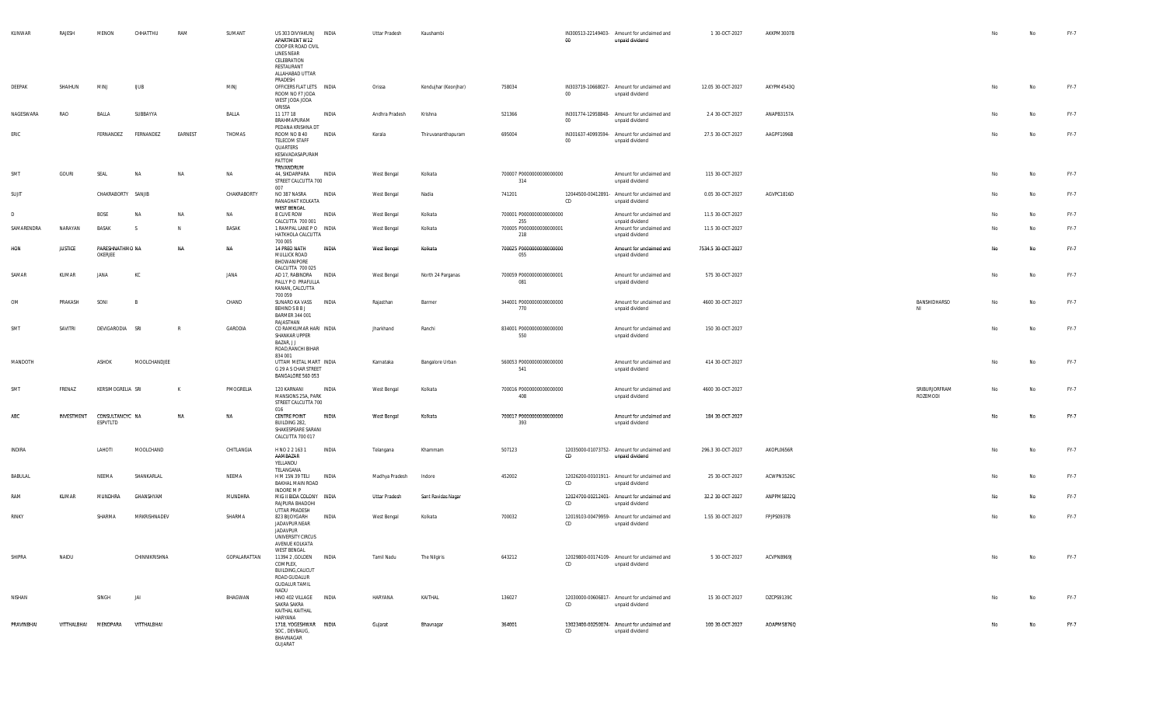| KUNWAR     | RAJESH         | MENON                       | CHHATTHU       | RAM          | SUMANT       | US 303 DIVYAKUNJ INDIA<br>APARTMENT W12<br>COOP ER ROAD CIVIL<br>LINES NEAR<br>CELEBRATION<br>RESTAURANT<br>ALLAHABAD UTTAR<br>PRADESH |              | Uttar Pradesh  | Kaushambi            |                                        | $00\,$ | IN300513-22149403- Amount for unclaimed and<br>unpaid dividend | 1 30-OCT-2027      | AKKPM3007B |                           | No | No        | FY-7 |
|------------|----------------|-----------------------------|----------------|--------------|--------------|----------------------------------------------------------------------------------------------------------------------------------------|--------------|----------------|----------------------|----------------------------------------|--------|----------------------------------------------------------------|--------------------|------------|---------------------------|----|-----------|------|
| DEEPAK     | SHAIHUN        | MINJ                        | <b>IJUB</b>    |              | MINJ         | OFFICERS FLAT LETS INDIA<br>ROOM NO F7 JODA<br>WEST JODA JODA                                                                          |              | Orissa         | Kendujhar (Keonjhar) | 758034                                 | 00     | IN303719-10668027- Amount for unclaimed and<br>unpaid dividend | 12.05 30-OCT-2027  | AKYPM4543Q |                           | No | <b>No</b> | FY-7 |
| NAGESWARA  | RAO            | BALLA                       | SUBBAYYA       |              | BALLA        | ORISSA<br>11 177 18<br>BRAHMAPURAM                                                                                                     | INDIA        | Andhra Pradesh | Krishna              | 521366                                 | $00\,$ | IN301774-12958848- Amount for unclaimed and<br>unpaid dividend | 2.4 30-OCT-2027    | ANAPB3157A |                           | No | No        | FY-7 |
| ERIC       |                | FERNANDEZ                   | FERNANDEZ      | EARNEST      | THOMAS       | PEDANA KRISHNA DT<br>ROOM NO B 40<br><b>TELECOM STAFF</b><br>QUARTERS<br>KESAVADASAPURAM<br>PATTOM<br>TRIVANDRUM                       | INDIA        | Kerala         | Thiruvananthapuram   | 695004                                 | $00\,$ | IN301637-40993594- Amount for unclaimed and<br>unpaid dividend | 27.5 30-OCT-2027   | AAGPF1096B |                           | No | No        | FY-7 |
| SMT        | GOURI          | SEAL                        | <b>NA</b>      | NA           | NA           | 44, SIKDARPARA<br>STREET CALCUTTA 700<br>007                                                                                           | INDIA        | West Bengal    | Kolkata              | 700007 P0000000000000000<br>314        |        | Amount for unclaimed and<br>unpaid dividend                    | 115 30-OCT-2027    |            |                           | No | No        | FY-7 |
| SUJIT      |                | CHAKRABORTY SANJIB          |                |              | CHAKRABORTY  | NO 387 NASRA<br>RANAGHAT KOLKATA<br>WEST BENGAL                                                                                        | INDIA        | West Bengal    | Nadia                | 741201                                 | CD     | 12044500-00412891- Amount for unclaimed and<br>unpaid dividend | 0.05 30-OCT-2027   | AGVPC1816D |                           | No | No        | FY-7 |
| D          |                | <b>BOSE</b>                 | <b>NA</b>      | NA           | NA           | 8 CLIVE ROW                                                                                                                            | INDIA        | West Bengal    | Kolkata              | 700001 P0000000000000000               |        | Amount for unclaimed and                                       | 11.5 30-OCT-2027   |            |                           | No | No        | FY-7 |
| SAMARENDRA | NARAYAN        | BASAK                       | -S             | N.           | BASAK        | CALCUTTA 700 001<br>1 RAMPAL LANE PO INDIA<br>HATKHOLA CALCUTTA                                                                        |              | West Bengal    | Kolkata              | 255<br>700005 P0000000000000001<br>218 |        | unpaid dividend<br>Amount for unclaimed and<br>unpaid dividend | 11.5 30-OCT-2027   |            |                           | No | No        | FY-7 |
| HON        | <b>JUSTICE</b> | PARESHNATHMO NA<br>OKERJEE  |                | NA           | <b>NA</b>    | 700 005<br>14 PREO NATH<br>MULLICK ROAD<br>BHOWANIPORE                                                                                 | <b>INDIA</b> | West Bengal    | Kolkata              | 700025 P00000000000000000<br>055       |        | Amount for unclaimed and<br>unpaid dividend                    | 7534.5 30-OCT-2027 |            |                           | No | No.       | FY-7 |
| SAMAR      | KUMAR          | JANA                        | КC             |              | JANA         | CALCUTTA 700 025<br>AD 17, RABINDRA INDIA<br>PALLY PO PRAFULLA<br>KANAN, CALCUTTA<br>700 059                                           |              | West Bengal    | North 24 Parganas    | 700059 P0000000000000001<br>081        |        | Amount for unclaimed and<br>unpaid dividend                    | 575 30-OCT-2027    |            |                           | No | No        | FY-7 |
| OM         | PRAKASH        | SONI                        | $\overline{B}$ |              | CHAND        | SUNARO KA VASS INDIA<br>BEHIND S B B J<br><b>BARMER 344 001</b><br>RAJASTHAN                                                           |              | Rajasthan      | Barmer               | 344001 P0000000000000000<br>770        |        | Amount for unclaimed and<br>unpaid dividend                    | 4600 30-OCT-2027   |            | BANSHIDHARSO<br>NI        | No | No        | FY-7 |
| SMT        | SAVITRI        | DEVIGARODIA SRI             |                | $\mathsf{R}$ | GARODIA      | CO RAMKUMAR HARI INDIA<br>SHANKAR UPPER<br>BAZAR, J J<br>ROAD, RANCHI BIHAR<br>834 001                                                 |              | Jharkhand      | Ranchi               | 834001 P0000000000000000<br>550        |        | Amount for unclaimed and<br>unpaid dividend                    | 150 30-OCT-2027    |            |                           | No | No        | FY-7 |
| MANDOTH    |                | ASHOK                       | MOOLCHANDJEE   |              |              | UTTAM METAL MART INDIA<br>G 29 A S CHAR STREET<br>BANGALORE 560 053                                                                    |              | Karnataka      | Bangalore Urban      | 560053 P0000000000000000<br>541        |        | Amount for unclaimed and<br>unpaid dividend                    | 414 30-OCT-2027    |            |                           | No | No        | FY-7 |
| SMT        | FRENAZ         | KERSIMOGRELIA SRI           |                | $\mathsf{K}$ | PMOGRELIA    | 120 KARNANI<br>MANSIONS 25A, PARK<br>STREET CALCUTTA 700<br>016                                                                        | INDIA        | West Bengal    | Kolkata              | 700016 P0000000000000000<br>408        |        | Amount for unclaimed and<br>unpaid dividend                    | 4600 30-OCT-2027   |            | SRIBURJORFRAM<br>ROZEMODI | No | No        | FY-7 |
| ABC        | INVESTMENT     | CONSULTANCYC NA<br>ESPVTLTD |                | NA           | NA           | <b>CENTRE POINT</b><br>BUILDING 282,<br>SHAKESPEARE SARANI<br>CALCUTTA 700 017                                                         | INDIA        | West Bengal    | Kolkata              | 700017 P0000000000000000<br>393        |        | Amount for unclaimed and<br>unpaid dividend                    | 184 30-OCT-2027    |            |                           | No | No        | FY-7 |
| INDIRA     |                | LAHOTI                      | MOOLCHAND      |              | CHITLANGIA   | H NO 2 2 163 1<br>AAMBAZAR<br>YELLANDU<br>TELANGANA                                                                                    | INDIA        | Telangana      | Khammam              | 507123                                 | CD     | 12035000-01073752- Amount for unclaimed and<br>unpaid dividend | 296.3 30-OCT-2027  | AKOPL0656R |                           | No | No        | FY-7 |
| BABULAL    |                | NEEMA                       | SHANKARLAL     |              | NEEMA        | H M 15N 39 TELI<br>BAKHAL MAIN ROAD<br>INDORE M P                                                                                      | INDIA        | Madhya Pradesh | Indore               | 452002                                 | CD     | 12026200-00101911- Amount for unclaimed and<br>unpaid dividend | 25 30-OCT-2027     | ACWPN3526C |                           | No | No        | FY-7 |
| RAM        | KUMAR          | MUNDHRA                     | GHANSHYAM      |              | MUNDHRA      | MIG II BIDA COLONY INDIA<br>RAJPURA BHADOHI<br>UTTAR PRADESH                                                                           |              | Uttar Pradesh  | Sant Ravidas Nagar   |                                        | CD     | 12024700-00212401- Amount for unclaimed and<br>unpaid dividend | 32.2 30-OCT-2027   | ANPPM5822Q |                           | No | No        | FY-7 |
| RINKY      |                | SHARMA                      | MRKRISHNADEV   |              | SHARMA       | 823 BIJOYGARH<br>JADAVPUR NEAR<br>JADAVPUR<br>UNIVERSITY CIRCUS<br>AVENUE KOLKATA<br>WEST BENGAL                                       | INDIA        | West Bengal    | Kolkata              | 700032                                 | CD     | 12019103-00479959- Amount for unclaimed and<br>unpaid dividend | 1.55 30-OCT-2027   | FPJPS0937B |                           | No | <b>No</b> | FY-7 |
| SHIPRA     | NAIDU          |                             | CHINNIKRISHNA  |              | GOPALARATTAN | 11394 2 , GOLDEN INDIA<br>COMPLEX,<br>BUILDING, CALICUT<br>ROAD GUDALUR<br><b>GUDALUR TAMIL</b><br>NADU                                |              | Tamil Nadu     | The Nilgiris         | 643212                                 | CD     | 12029800-00174109- Amount for unclaimed and<br>unpaid dividend | 5 30-OCT-2027      | ACVPN8969J |                           | No | No        | FY-7 |
| NISHAN     |                | SINGH                       | JAI            |              | BHAGWAN      | HNO 402 VILLAGE INDIA<br>SAKRA SAKRA<br>KAITHAL KAITHAL<br>HARYANA                                                                     |              | HARYANA        | KAITHAL              | 136027                                 | CD     | 12030000-00606817- Amount for unclaimed and<br>unpaid dividend | 15 30-OCT-2027     | DZCPS9139C |                           | No | No        | FY-7 |
| PRAVINBHAI |                | VITTHALBHAI MENDPARA        | VITTHALBHAI    |              |              | 1718, YOGESHWAR INDIA<br>SOC, DEVBAUG,<br>BHAVNAGAR<br>GUJARAT                                                                         |              | Gujarat        | Bhavnagar            | 364001                                 | CD     | 13023400-00250074- Amount for unclaimed and<br>unpaid dividend | 100 30-OCT-2027    | AOAPM5876Q |                           | No | No        | FY-7 |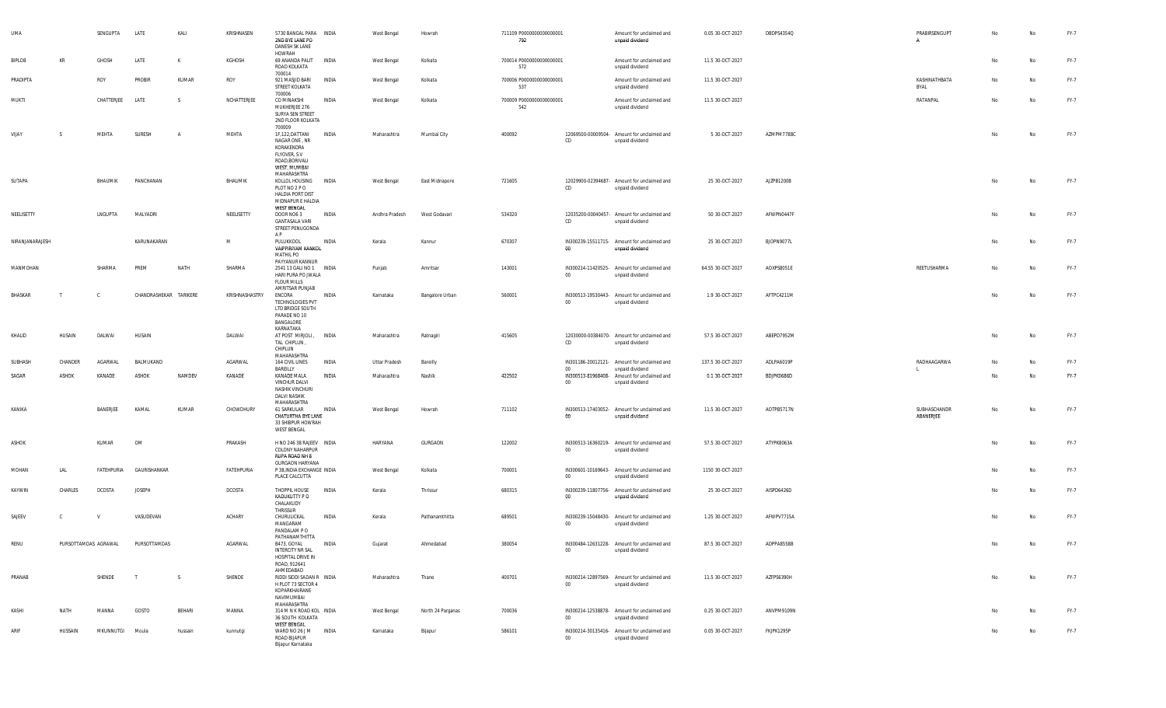| UMA             |                      | SENGUPTA      | LATE                   | KALI    | KRISHNASEN     | 5730 BANGAL PARA INDIA<br>2ND BYE LANE PO<br>DANESH SK LANE<br><b>HOWRAH</b>                                  |              | West Bengal    | Howrah            | 711109 P0000000000000001<br>792  |        | Amount for unclaimed and<br>unpaid dividend                    | 0.05 30-OCT-2027  | DBDPS4354Q | PRABIRSENGUPT<br>Α        | No | No        | FY-7 |
|-----------------|----------------------|---------------|------------------------|---------|----------------|---------------------------------------------------------------------------------------------------------------|--------------|----------------|-------------------|----------------------------------|--------|----------------------------------------------------------------|-------------------|------------|---------------------------|----|-----------|------|
| BIPLOB          | KR                   | GHOSH         | LATE                   | к       | KGHOSH         | 69 ANANDA PALIT<br>ROAD KOLKATA<br>700014                                                                     | INDIA        | West Bengal    | Kolkata           | 700014 P0000000000000001<br>572  |        | Amount for unclaimed and<br>unpaid dividend                    | 11.5 30-OCT-2027  |            |                           | No | No        | FY-7 |
| PRADIPTA        |                      | ROY           | PROBIR                 | KUMAR   | ROY            | 921 MASJID BARI<br>STREET KOLKATA<br>700006                                                                   | <b>INDIA</b> | West Bengal    | Kolkata           | 700006 P00000000000000001<br>537 |        | Amount for unclaimed and<br>unpaid dividend                    | 11.5 30-OCT-2027  |            | KASHINATHBATA<br>BYAL     | No | <b>No</b> | FY-7 |
| MUKTI           |                      | CHATTERJEE    | LATE                   | -S.     | NCHATTERJEE    | CO MINAKSHI<br>MUKHERJEE 276<br>SURYA SEN STREET<br>2ND FLOOR KOLKATA<br>700009                               | INDIA        | West Bengal    | Kolkata           | 700009 P0000000000000001<br>542  |        | Amount for unclaimed and<br>unpaid dividend                    | 11.5 30-OCT-2027  |            | RATANPAL                  | No | <b>No</b> | FY-7 |
| VIJAY           |                      | MEHTA         | SURESH                 |         | MEHTA          | 1F,122,DATTANI<br>NAGAR ONE, NR<br>KORAKENDRA<br>FLYOVER, SV<br>ROAD, BORIVALI<br>WEST, MUMBAI<br>MAHARASHTRA | INDIA        | Maharashtra    | Mumbai City       | 400092                           | CD     | 12069500-00009504- Amount for unclaimed and<br>unpaid dividend | 5 30-OCT-2027     | AZMPM7788C |                           | No | No        | FY-7 |
| SUTAPA          |                      | BHAUMIK       | PANCHANAN              |         | BHAUMIK        | KOLLOL HOUSING INDIA<br>PLOT NO 2 PO<br><b>HALDIA PORT DIST</b><br>MIDNAPUR E HALDIA<br>WEST BENGAL           |              | West Bengal    | East Midnapore    | 721605                           | CD     | 12029900-02394687- Amount for unclaimed and<br>unpaid dividend | 25 30-OCT-2027    | AJZPB1200B |                           | No | No        | FY-7 |
| NEELISETTY      |                      | LNGUPTA       | MALYADRI               |         | NEELISETTY     | DOOR NO63<br><b>GANTASALA VARI</b><br>STREET PENUGONDA<br>A P                                                 | INDIA        | Andhra Pradesh | West Godavari     | 534320                           | CD     | 12035200-00040457- Amount for unclaimed and<br>unpaid dividend | 50 30-OCT-2027    | AFWPN0447F |                           | No | <b>No</b> | FY-7 |
| NIRANJANARAJESH |                      |               | KARUNAKARAN            |         | M              | PULUKKOOL<br>VAIPPIRIYAM KANKOL<br><b>MATHIL PO</b><br>PAYYANUR KANNUR                                        | INDIA        | Kerala         | Kannur            | 670307                           | 00     | IN300239-15511715- Amount for unclaimed and<br>unpaid dividend | 25 30-OCT-2027    | BJOPN9077L |                           | No | <b>No</b> | FY-7 |
| MANMOHAN        |                      | SHARMA        | PREM                   | NATH    | SHARMA         | 2541 13 GALI NO 1 INDIA<br>HARI PURA PO JWALA<br><b>FLOUR MILLS</b><br>AMRITSAR PUNJAB                        |              | Punjab         | Amritsar          | 143001                           | $00\,$ | IN300214-11420525- Amount for unclaimed and<br>unpaid dividend | 64.55 30-OCT-2027 | AOXPS8051E | REETUSHARMA               | No | No        | FY-7 |
| BHASKAR         | $\mathsf{T}$         | C.            | CHANDRASHEKAR TARIKERE |         | KRISHNASHASTRY | ENCORA<br><b>TECHNOLOGIES PVT</b><br>LTD BRIDGE SOUTH<br>PARADE NO 10<br>BANGALORE                            | INDIA        | Karnataka      | Bangalore Urban   | 560001                           | $00\,$ | IN300513-19530443- Amount for unclaimed and<br>unpaid dividend | 1.9 30-OCT-2027   | AFTPC4211M |                           | No | No        | FY-7 |
| KHALID          | HUSAIN               | DALWAI        | HUSAIN                 |         | DALWAI         | KARNATAKA<br>AT POST MIRJOLI, INDIA<br>TAL CHIPLUN,<br>CHIPLUN<br>MAHARASHTRA                                 |              | Maharashtra    | Ratnagiri         | 415605                           | CD     | 12030000-00384070- Amount for unclaimed and<br>unpaid dividend | 57.5 30-OCT-2027  | ABEPD7952M |                           | No | No        | FY-7 |
| SUBHASH         | CHANDER              | AGARWAL       | BALMUKAND              |         | AGARWAL        | 164 CIVIL LINES<br>BAREILLY                                                                                   | INDIA        | Uttar Pradesh  | Bareilly          |                                  | $00\,$ | IN301186-20012121- Amount for unclaimed and<br>unpaid dividend | 137.5 30-OCT-2027 | ADLPA6019P | RADHAAGARWA               | No | No        | FY-7 |
| SAGAR           | ASHOK                | KANADE        | ASHOK                  | NAMDEV  | KANADE         | KANADE MALA<br>VINCHUR DALVI<br>NASHIK VINCHURI<br>DALVI NASHIK<br>MAHARASHTRA                                | INDIA        | Maharashtra    | Nashik            | 422502                           | $00\,$ | IN300513-81968408- Amount for unclaimed and<br>unpaid dividend | 0.1 30-OCT-2027   | BDJPK0686D |                           | No | No        | FY-7 |
| KANIKA          |                      | BANERJEE      | KAMAL                  | KUMAR   | CHOWDHURY      | 61 SARKULAR<br>CHATURTHA BYE LANE<br>33 SHIBPUR HOWRAH<br>WEST BENGAL                                         | <b>INDIA</b> | West Bengal    | Howrah            | 711102                           | 00     | IN300513-17403052- Amount for unclaimed and<br>unpaid dividend | 11.5 30-OCT-2027  | AOTPB5717N | SUBHASCHANDR<br>ABANERJEE | No | No        | FY-7 |
| <b>ASHOK</b>    |                      | KUMAR         | OM                     |         | PRAKASH        | H NO 246 38 RAJEEV INDIA<br>COLONY NAHARPUR<br>RUPA ROAD NH 8<br><b>GURGAON HARYANA</b>                       |              | HARYANA        | GURGAON           | 122002                           | $00\,$ | IN300513-16360219- Amount for unclaimed and<br>unpaid dividend | 57.5 30-OCT-2027  | ATYPK8063A |                           | No | <b>No</b> | FY-7 |
| MOHAN           | LAL                  | FATEHPURIA    | GAURISHANKAR           |         | FATEHPURIA     | P 38, INDIA EXCHANGE INDIA<br>PLACE CALCUTTA                                                                  |              | West Bengal    | Kolkata           | 700001                           | $00\,$ | IN300601-10169643- Amount for unclaimed and<br>unpaid dividend | 1150 30-OCT-2027  |            |                           | No | <b>No</b> | FY-7 |
| KAYWIN          | CHARLES              | <b>DCOSTA</b> | <b>JOSEPH</b>          |         | DCOSTA         | THOPPIL HOUSE<br>KADUKUTTY P O<br>CHALAKUDY<br>THRISSUR                                                       | INDIA        | Kerala         | Thrissur          | 680315                           | 00     | IN300239-11807756- Amount for unclaimed and<br>unpaid dividend | 25 30-OCT-2027    | AISPD6426D |                           | No | No        | FY-7 |
| SAJEEV          | $\mathbb{C}$         | <b>V</b>      | VASUDEVAN              |         | <b>ACHARY</b>  | CHURULICKAL<br>MANGARAM<br>PANDALAM PO<br>PATHANAMTHITTA                                                      | INDIA        | Kerala         | Pathanamthitta    | 689501                           | $00\,$ | IN300239-15048430- Amount for unclaimed and<br>unpaid dividend | 1.25 30-OCT-2027  | AFWPV7715A |                           | No | No        | FY-7 |
| RENU            | PURSOTTAMDAS AGRAWAL |               | PURSOTTAMDAS           |         | AGARWAL        | B473, GOYAL<br><b>INTERCITY NR SAL</b><br>HOSPITAL DRIVE IN<br>ROAD, 912641<br>AHMEDABAD                      | <b>INDIA</b> | Gujarat        | Ahmedahad         | 380054                           | 00     | IN300484-12631228- Amount for unclaimed and<br>unpaid dividend | 87.5 30-OCT-2027  | ADPPA8558B |                           | No | No        | FY-7 |
| PRANAB          |                      | SHENDE        | T                      | S       | SHENDE         | RIDDI SIDDI SADAN R INDIA<br>H PLOT 73 SECTOR 4<br>KOPARKHAIRANE<br>NAVIMUMBAI<br>MAHARASHTRA                 |              | Maharashtra    | Thane             | 400701                           | 00     | IN300214-12897569- Amount for unclaimed and<br>unpaid dividend | 11.5 30-OCT-2027  | AZFPS6390H |                           | No | No        | FY-7 |
| KASHI           | NATH                 | MANNA         | GOSTO                  | BEHARI  | MANNA          | 314 M N K ROAD KOL INDIA<br>36 SOUTH KOLKATA<br><b>WEST BENGAL</b>                                            |              | West Bengal    | North 24 Parganas | 700036                           | 00     | IN300214-12538878- Amount for unclaimed and<br>unpaid dividend | 0.25 30-OCT-2027  | ANVPM9109N |                           | No | No        | FY-7 |
| ARIE            | HUSSAIN              | MKUNNUTGI     | Moula                  | hussain | kunnutgi       | WARD NO 26 J M INDIA<br>ROAD BIJAPUR<br>Bijapur Karnataka                                                     |              | Karnataka      | Bijapur           | 586101                           | 00     | IN300214-30135416- Amount for unclaimed and<br>unpaid dividend | 0.05 30-OCT-2027  | FKJPK1295P |                           | No | No        | FY-7 |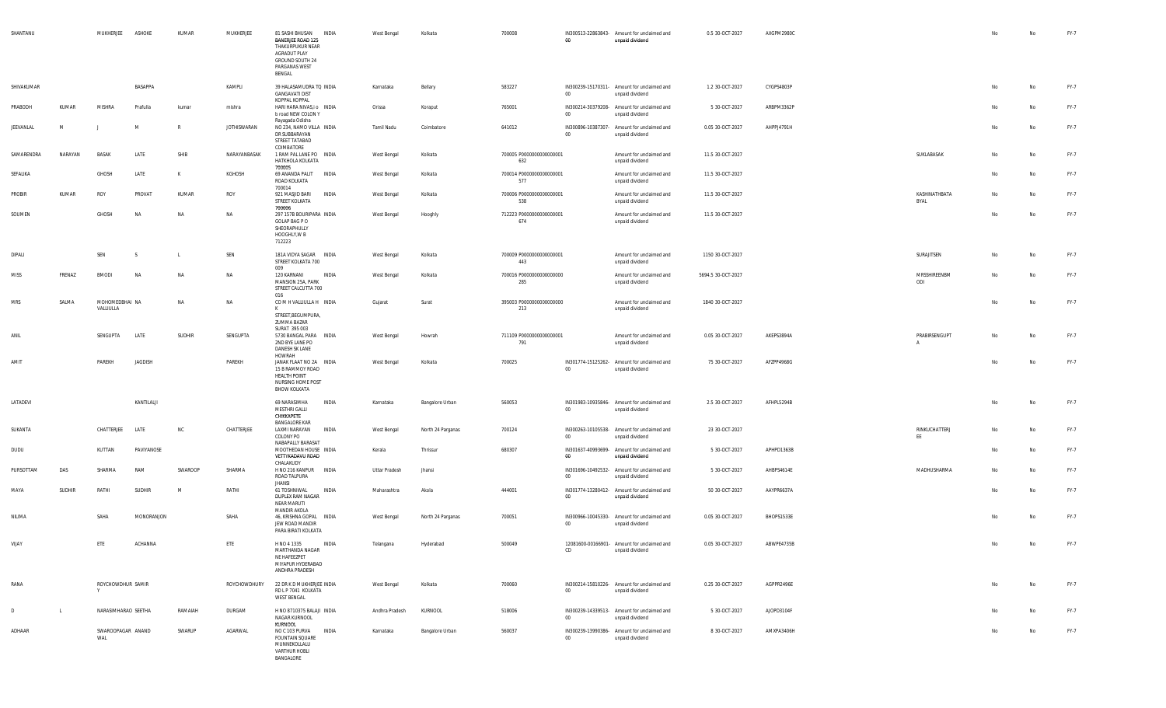| SHANTANU   |              | MUKHERJEE                   | ASHOKE        | KUMAR        | MUKHERJEE          | 81 SASHI BHUSAN<br>BANERJEE ROAD 125<br>THAKURPUKUR NEAR<br>AGRADUT PLAY<br>GROUND SOUTH 24<br>PARGANAS WEST<br>BENGAL | INDIA        | West Bengal    | Kolkata           | 700008                          | $00\,$ | IN300513-22863843- Amount for unclaimed and<br>unpaid dividend | 0.5 30-OCT-2027    | AXGPM2980C |      |               | No | No        | FY-7 |
|------------|--------------|-----------------------------|---------------|--------------|--------------------|------------------------------------------------------------------------------------------------------------------------|--------------|----------------|-------------------|---------------------------------|--------|----------------------------------------------------------------|--------------------|------------|------|---------------|----|-----------|------|
| SHIVAKUMAR |              |                             | BASAPPA       |              | KAMPLI             | 39 HALASAMUDRA TO INDIA<br><b>GANGAVATI DIST</b>                                                                       |              | Karnataka      | Bellary           | 583227                          | $00\,$ | IN300239-15170311- Amount for unclaimed and<br>unpaid dividend | 1.2 30-OCT-2027    | CYGPS4803P |      |               |    | No        | FY-7 |
| PRABODH    | KUMAR        | MISHRA                      | Prafulla      | kumar        | mishra             | KOPPAL KOPPAL<br>HARI HARA NIVAS, i o INDIA<br>b road NEW COLON Y<br>Rayagada Odisha                                   |              | Orissa         | Koraput           | 765001                          | $00\,$ | IN300214-30379208- Amount for unclaimed and<br>unpaid dividend | 5 30-OCT-2027      | ARBPM3362P |      |               | No | No        | FY-7 |
| JEEVANLAL  | M            |                             | M             | $\mathbb{R}$ | <b>JOTHISWARAN</b> | NO 234, NAMO VILLA INDIA<br>DR SUBBARAYAN<br>STREET TATABAD                                                            |              | Tamil Nadu     | Coimbatore        | 641012                          | $00\,$ | IN300896-10387307- Amount for unclaimed and<br>unpaid dividend | 0.05 30-OCT-2027   | AHPPJ4791H |      |               | No | No        | FY-7 |
| SAMARENDRA | NARAYAN      | <b>BASAK</b>                | LATE          | SHIB         | NARAYANBASAK       | COIMBATORE<br>1 RAM PAL LANE PO INDIA<br>HATKHOLA KOLKATA<br>700005                                                    |              | West Bengal    | Kolkata           | 700005 P0000000000000001<br>632 |        | Amount for unclaimed and<br>unpaid dividend                    | 11.5 30-OCT-2027   |            |      | SUKLABASAK    | No | No        | FY-7 |
| SEFALIKA   |              | GHOSH                       | LATE          | к            | KGHOSH             | 69 ANANDA PALIT INDIA<br>ROAD KOLKATA<br>700014                                                                        |              | West Bengal    | Kolkata           | 700014 P0000000000000001<br>577 |        | Amount for unclaimed and<br>unpaid dividend                    | 11.5 30-OCT-2027   |            |      |               | No | No        | FY-7 |
| PROBIR     | KUMAR        | ROY                         | PROVAT        | KUMAR        | ROY                | 921 MASJID BARI<br>STREET KOLKATA<br>700006                                                                            | INDIA        | West Bengal    | Kolkata           | 700006 P0000000000000001<br>538 |        | Amount for unclaimed and<br>unpaid dividend                    | 11.5 30-OCT-2027   |            | BYAL | KASHINATHBATA | No | No        | FY-7 |
| SOUMEN     |              | GHOSH                       | <b>NA</b>     | NA           | NA                 | 297 157B BOURIPARA INDIA<br>GOLAP BAG P O<br>SHEORAPHULLY<br>HOOGHLY, W B<br>712223                                    |              | West Bengal    | Hooghly           | 712223 P0000000000000001<br>674 |        | Amount for unclaimed and<br>unpaid dividend                    | 11.5 30-OCT-2027   |            |      |               | No | No        | FY-7 |
| DIPALI     |              | SEN                         | <sub>S</sub>  | L            | SEN                | 181A VIDYA SAGAR INDIA<br>STREET KOLKATA 700<br>009                                                                    |              | West Bengal    | Kolkata           | 700009 P0000000000000001<br>443 |        | Amount for unclaimed and<br>unpaid dividend                    | 1150 30-OCT-2027   |            |      | SURAJITSEN    | No | No        | FY-7 |
| MISS       | FRENAZ       | <b>BMODI</b>                | <b>NA</b>     | NA           | NA                 | 120 KARNANI<br>MANSION 25A, PARK<br>STREET CALCUTTA 700                                                                | INDIA        | West Bengal    | Kolkata           | 700016 P0000000000000000<br>285 |        | Amount for unclaimed and<br>unpaid dividend                    | 5694.5 30-OCT-2027 |            | ODI  | MRSSHIREENBM  | No | No        | FY-7 |
| <b>MRS</b> | SALMA        | MOHOMEDBHAI NA<br>VALLIULLA |               | NA           | NA                 | 016<br>COMHVALLIULLAH INDIA<br>к<br>STREET, BEGUMPURA,                                                                 |              | Gujarat        | Surat             | 395003 P0000000000000000<br>213 |        | Amount for unclaimed and<br>unpaid dividend                    | 1840 30-OCT-2027   |            |      |               | No | No        | FY-7 |
| ANIL       |              | SENGUPTA                    | LATE          | SUDHIR       | SENGUPTA           | ZUMMA BAZAR<br>SURAT 395 003<br>5730 BANGAL PARA INDIA<br>2ND BYE LANE PO                                              |              | West Bengal    | Howrah            | 711109 P0000000000000001<br>791 |        | Amount for unclaimed and<br>unpaid dividend                    | 0.05 30-OCT-2027   | AKEPS3894A |      | PRABIRSENGUPT | No | No        | FY-7 |
| AMIT       |              | PAREKH                      | JAGDISH       |              | PAREKH             | DANESH SK LANE<br>HOWRAH<br>JANAK FLAAT NO 2A INDIA                                                                    |              | West Bengal    | Kolkata           | 700025                          |        | IN301774-15125262- Amount for unclaimed and                    | 75 30-OCT-2027     | AFZPP4968G |      |               | No | No        | FY-7 |
|            |              |                             |               |              |                    | 15 B RAMMOY ROAD<br>HEALTH POINT<br>NURSING HOME POST<br><b>BHOW KOLKATA</b>                                           |              |                |                   |                                 | $00\,$ | unpaid dividend                                                |                    |            |      |               |    |           |      |
| LATADEVI   |              |                             | KANTILALJI    |              |                    | 69 NARASIMHA<br>MESTHRI GALLI<br>CHIKKAPETE                                                                            | INDIA        | Karnataka      | Bangalore Urban   | 560053                          | $00\,$ | IN301983-10935846- Amount for unclaimed and<br>unpaid dividend | 2.5 30-OCT-2027    | AFHPL5294B |      |               | No | No        | FY-7 |
| SUKANTA    |              | CHATTERJEE                  | LATE          | NC           | CHATTERJEE         | <b>BANGALORE KAR</b><br>LAXMI NARAYAN<br>COLONY PO<br>NABAPALLY BARASAT                                                | INDIA        | West Bengal    | North 24 Parganas | 700124                          | $00\,$ | IN300263-10105538- Amount for unclaimed and<br>unpaid dividend | 23 30-OCT-2027     |            | EE   | RINKUCHATTERJ | No | No        | FY-7 |
| DUDU       |              | KUTTAN                      | PAVIYANOSE    |              |                    | MOOTHEDAN HOUSE INDIA<br>VETTYKADAVU ROAD<br>CHALAKUDY                                                                 |              | Kerala         | Thrissur          | 680307                          | 00     | IN301637-40993699- Amount for unclaimed and<br>unpaid dividend | 5 30-OCT-2027      | APHPD1363B |      |               | No | <b>No</b> | FY-7 |
| PURSOTTAM  | DAS          | SHARMA                      | RAM           | SWAROOP      | SHARMA             | H NO 216 KANPUR INDIA<br>ROAD TALPURA<br><b>JHANSI</b>                                                                 |              | Uttar Pradesh  | Jhansi            |                                 | $00\,$ | IN301696-10492532- Amount for unclaimed and<br>unpaid dividend | 5 30-OCT-2027      | AHBPS4614E |      | MADHUSHARMA   | No | No        | FY-7 |
| MAYA       | SUDHIR       | RATHI                       | <b>SUDHIR</b> | M            | RATHI              | 61 TOSHNIWAL<br>DUPLEX RAM NAGAR<br><b>NEAR MARUTI</b>                                                                 | INDIA        | Maharashtra    | Akola             | 444001                          | $00\,$ | IN301774-13280412- Amount for unclaimed and<br>unpaid dividend | 50 30-OCT-2027     | AAYPR6637A |      |               | No | No        | FY-7 |
| NILIMA     |              | SAHA                        | MONORANJON    |              | SAHA               | MANDIR AKOLA<br>46, KRISHNA GOPAL INDIA<br>JEW ROAD MANDIR<br>PARA BIRATI KOLKATA                                      |              | West Bengal    | North 24 Parganas | 700051                          | 00     | IN300966-10045330- Amount for unclaimed and<br>unpaid dividend | 0.05 30-OCT-2027   | BHOPS1533E |      |               | No | No        | FY-7 |
| VIJAY      |              | ETE                         | ACHANNA       |              | ETE                | H NO 4 1335<br>MARTHANDA NAGAR<br>NE HAFEEZPET<br>MIYAPUR HYDERABAD<br>ANDHRA PRADESH                                  | INDIA        | Telangana      | Hyderabad         | 500049                          | CD     | 12081600-00166901- Amount for unclaimed and<br>unpaid dividend | 0.05 30-OCT-2027   | ABWPE4735B |      |               | No | <b>No</b> | FY-7 |
| RANA       |              | ROYCHOWDHUR SAMIR<br>Y      |               |              |                    | ROYCHOWDHURY 22 DR K D MUKHERJEE INDIA<br>RD L P 7041 KOLKATA<br><b>WEST BENGAL</b>                                    |              | West Bengal    | Kolkata           | 700060                          | $00\,$ | IN300214-15810226- Amount for unclaimed and<br>unpaid dividend | 0.25 30-OCT-2027   | AGPPR2496E |      |               | No | No        | FY-7 |
| D          | $\mathsf{L}$ | NARASIMHARAO SEETHA         |               | RAMAIAH      | DURGAM             | H NO 8710375 BALAJI INDIA<br>NAGAR KURNOOL<br>KURNOOL                                                                  |              | Andhra Pradesh | KURNOOL           | 518006                          | $00\,$ | IN300239-14339513- Amount for unclaimed and<br>unpaid dividend | 5 30-OCT-2027      | AJOPD3104F |      |               | No | No        | FY-7 |
| ADHAAR     |              | SWAROOPAGAR ANAND<br>WAL    |               | SWARUP       | AGARWAL            | NO C 103 PURVA<br><b>FOUNTAIN SQUARE</b><br>MUNNEKOLLALU<br>VARTHUR HOBLI<br>BANGALORE                                 | <b>INDIA</b> | Karnataka      | Bangalore Urban   | 560037                          | $00\,$ | IN300239-13990386- Amount for unclaimed and<br>unpaid dividend | 8 30-OCT-2027      | AMXPA3406H |      |               | No | No        | FY-7 |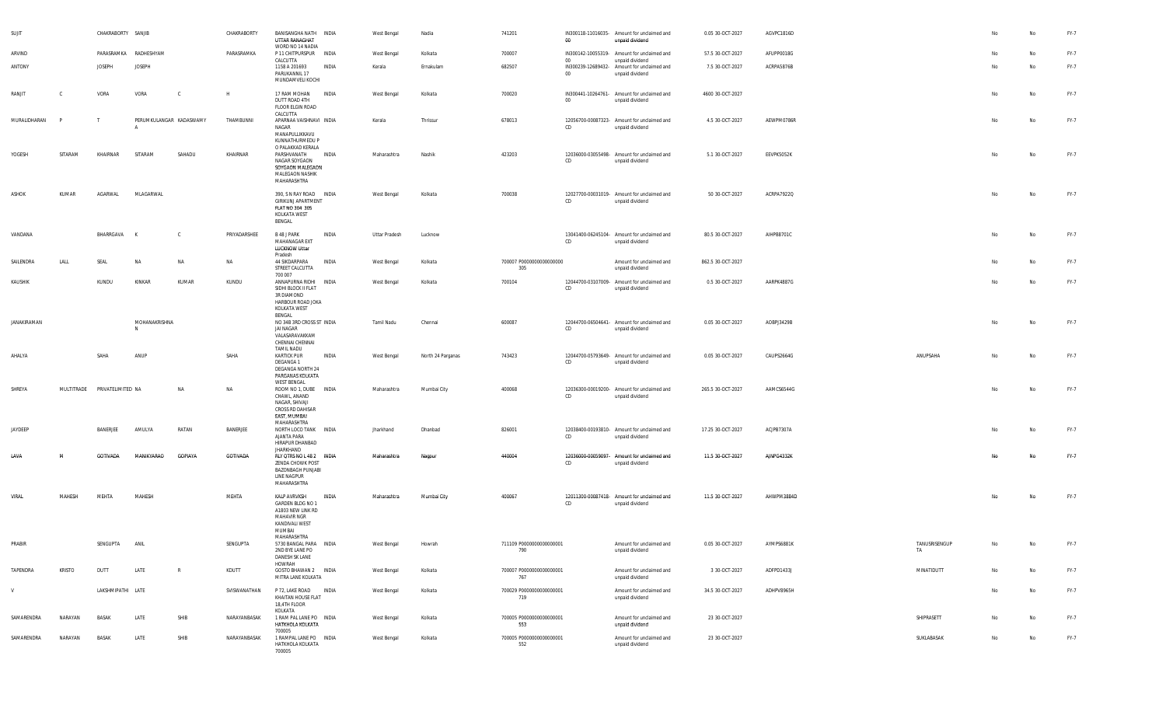| SUJIT        |               | CHAKRABORTY SANJIB           |                       |                         | CHAKRABORTY  | BANISANGHA NATH INDIA<br>UTTAR RANAGHAT<br>WORD NO 14 NADIA                                                   |       | West Bengal       | Nadia             | 741201                          | $00\,$          | IN300118-11016035- Amount for unclaimed and<br>unpaid dividend | 0.05 30-OCT-2027  | AGVPC1816D |                     |    | No        | FY-7 |
|--------------|---------------|------------------------------|-----------------------|-------------------------|--------------|---------------------------------------------------------------------------------------------------------------|-------|-------------------|-------------------|---------------------------------|-----------------|----------------------------------------------------------------|-------------------|------------|---------------------|----|-----------|------|
| ARVIND       |               |                              | PARASRAMKA RADHESHYAM |                         | PARASRAMKA   | P 11 CHITPURSPUR INDIA<br>CALCUTTA                                                                            |       | West Bengal       | Kolkata           | 700007                          | 00              | IN300142-10055319- Amount for unclaimed and<br>unpaid dividend | 57.5 30-OCT-2027  | AFUPP0018G |                     | No | No        | FY-7 |
| ANTONY       |               | <b>JOSEPH</b>                | <b>JOSEPH</b>         |                         |              | 1158 A 201693<br>PARUKANNIL 17<br>MUNDAMVELI KOCHI                                                            | INDIA | Kerala            | Ernakulam         | 682507                          | 00 <sub>o</sub> | IN300239-12689432- Amount for unclaimed and<br>unpaid dividend | 7.5 30-OCT-2027   | ACRPA5876B |                     | No | No        | FY-7 |
| RANJIT       | C             | VORA                         | VORA                  |                         | H            | 17 RAM MOHAN INDIA<br>DUTT ROAD 4TH<br>FLOOR ELGIN ROAD<br>CALCUTTA                                           |       | West Bengal       | Kolkata           | 700020                          | $00\,$          | IN300441-10264761- Amount for unclaimed and<br>unpaid dividend | 4600 30-OCT-2027  |            |                     | No | No        | FY-7 |
| MURALIDHARAN | $\mathsf{P}$  | -т                           |                       | PERUMKULANGAR KADASWAMY | THAMBUNNI    | APARNAA VAISHNAVI INDIA<br>NAGAR<br>MANAPULLIKKAVU<br>KUNNATHURMEDU P                                         |       | Kerala            | Thrissur          | 678013                          | CD              | 12056700-00087323- Amount for unclaimed and<br>unpaid dividend | 4.5 30-OCT-2027   | AEWPM0786R |                     | No | No        | FY-7 |
| YOGESH       | SITARAM       | KHAIRNAR                     | SITARAM               | SAHADU                  | KHAIRNAR     | O PALAKKAD KERALA<br>PARSHVANATH INDIA<br>NAGAR SOYGAON<br>SOYGAON MALEGAON<br>MALEGAON NASHIK<br>MAHARASHTRA |       | Maharashtra       | Nashik            | 423203                          | CD              | 12036000-03055498- Amount for unclaimed and<br>unpaid dividend | 5.1 30-OCT-2027   | EEVPK5052K |                     | No | No        | FY-7 |
| ASHOK        | KUMAR         | AGARWAL                      | MLAGARWAL             |                         |              | 390, S N RAY ROAD INDIA<br>GIRIKUNJ APARTMENT<br>FLAT NO 304 305<br>KOLKATA WEST<br>BENGAL                    |       | West Bengal       | Kolkata           | 700038                          | CD              | 12027700-00031019- Amount for unclaimed and<br>unpaid dividend | 50 30-OCT-2027    | ACRPA7922Q |                     | No | No        | FY-7 |
| VANDANA      |               | BHARRGAVA                    |                       | C.                      | PRIYADARSHEE | B 48 J PARK<br>MAHANAGAR EXT<br><b>LUCKNOW Uttar</b><br>Pradesh                                               | INDIA | Uttar Pradesh     | Lucknow           |                                 | CD              | 13041400-06245104- Amount for unclaimed and<br>unpaid dividend | 80.5 30-OCT-2027  | AIHPB8701C |                     | No | <b>No</b> | FY-7 |
| SAILENDRA    | LALL          | SEAL                         | <b>NA</b>             | NA                      | NA           | 44 SIKDARPARA<br>STREET CALCUTTA<br>700 007                                                                   | INDIA | West Bengal       | Kolkata           | 700007 P0000000000000000<br>305 |                 | Amount for unclaimed and<br>unpaid dividend                    | 862.5 30-OCT-2027 |            |                     | No | No        | FY-7 |
| KAUSHIK      |               | KUNDU                        | KINKAR                | KUMAR                   | KUNDU        | ANNAPURNA RIDHI INDIA<br>SIDHI BLOCK II FLAT<br>3R DIAMOND<br>HARBOUR ROAD JOKA<br>KOLKATA WEST<br>BENGAL     |       | West Bengal       | Kolkata           | 700104                          | CD              | 12044700-03107009- Amount for unclaimed and<br>unpaid dividend | 0.5 30-OCT-2027   | AARPK4887G |                     | No | No        | FY-7 |
| JANAKIRAMAN  |               |                              | MOHANAKRISHNA<br>N    |                         |              | NO 34B 3RD CROSS ST INDIA<br><b>JAI NAGAR</b><br>VALASARAVAKKAM<br>CHENNAI CHENNAI<br><b>TAMIL NADU</b>       |       | <b>Tamil Nadu</b> | Chennai           | 600087                          | CD              | 12044700-06504641- Amount for unclaimed and<br>unpaid dividend | 0.05 30-OCT-2027  | AOBPJ3429B |                     | No | No        | FY-7 |
| AHALYA       |               | SAHA                         | ANUP                  |                         | SAHA         | <b>KARTICK PUR</b><br>DEGANGA 1<br>DEGANGA NORTH 24<br>PARGANAS KOLKATA<br><b>WEST BENGAL</b>                 | INDIA | West Bengal       | North 24 Parganas | 743423                          | CD              | 12044700-05793649- Amount for unclaimed and<br>unpaid dividend | 0.05 30-OCT-2027  | CAUPS2664G | ANUPSAHA            | No | No        | FY-7 |
| SHREYA       |               | MULTITRADE PRIVATELIMITED NA |                       | <b>NA</b>               | <b>NA</b>    | ROOM NO 1, DUBE INDIA<br>CHAWL, ANAND<br>NAGAR, SHIVAJI<br>CROSS RD DAHISAR<br>EAST, MUMBAI<br>MAHARASHTRA    |       | Maharashtra       | Mumbai City       | 400068                          | CD              | 12036300-00019200- Amount for unclaimed and<br>unpaid dividend | 265.5 30-OCT-2027 | AAMCS6544G |                     | No | <b>No</b> | FY-7 |
| JAYDEEP      |               | BANERJEE                     | AMULYA                | RATAN                   | BANERJEE     | NORTH LOCO TANK INDIA<br>AJANTA PARA<br>HIRAPUR DHANBAD                                                       |       | Jharkhand         | Dhanbad           | 826001                          | CD              | 12038400-00193810- Amount for unclaimed and<br>unpaid dividend | 17.25 30-OCT-2027 | ACJPB7307A |                     | No | <b>No</b> | FY-7 |
| LAVA         | м             | GOTIVADA                     | MANIKYARAO            | <b>GOPIAYA</b>          | GOTIVADA     | JHARKHAND<br>RLY QTRS NO L 48 2 INDIA<br>ZENDA CHOWK POST<br>BAZONBAGH PUNJABI<br>LINE NAGPUR<br>MAHARASHTRA  |       | Maharashtra       | Nagpur            | 440004                          | CD              | 12036000-00059097- Amount for unclaimed and<br>unpaid dividend | 11.5 30-OCT-2027  | AJNPG4332K |                     | No | No.       | FY-7 |
| VIRAL        | MAHESH        | MEHTA                        | MAHESH                |                         | MEHTA        | KALP AVRVKSH<br>GARDEN BLDG NO 1<br>A1803 NEW LINK RD<br><b>MAHAVIR NGR</b><br>KANDIVALI WEST<br>MUMBAI       | INDIA | Maharashtra       | Mumbai City       | 400067                          | CD              | 12011300-00087418- Amount for unclaimed and<br>unpaid dividend | 11.5 30-OCT-2027  | AHWPM3884D |                     | No | No        | FY-7 |
| PRABIR       |               | SENGUPTA                     | ANIL                  |                         | SENGUPTA     | MAHARASHTRA<br>5730 BANGAL PARA INDIA<br>2ND BYE LANE PO<br>DANESH SK LANE<br>HOWRAH                          |       | West Bengal       | Howrah            | 711109 P0000000000000001<br>790 |                 | Amount for unclaimed and<br>unpaid dividend                    | 0.05 30-OCT-2027  | AYMPS6881K | TANUSRISENGUP<br>TA |    | No        | FY-7 |
| TAPENDRA     | <b>KRISTO</b> | DUTT                         | LATE                  | R                       | KDUTT        | GOSTO BHAWAN 2 INDIA<br>MITRA LANE KOLKATA                                                                    |       | West Bengal       | Kolkata           | 700007 P0000000000000001<br>767 |                 | Amount for unclaimed and<br>unpaid dividend                    | 3 30-OCT-2027     | ADFPD1433J | MINATIDUTT          | No | No        | FY-7 |
| V            |               | LAKSHMIPATHI LATE            |                       |                         | SVISWANATHAN | P 72, LAKE ROAD INDIA<br>KHAITAN HOUSE FLAT<br>18,4TH FLOOR<br>KOLKATA                                        |       | West Bengal       | Kolkata           | 700029 P0000000000000001<br>719 |                 | Amount for unclaimed and<br>unpaid dividend                    | 34.5 30-OCT-2027  | ADHPV8965H |                     | No | No        | FY-7 |
| SAMARENDRA   | NARAYAN       | BASAK                        | LATE                  | SHIB                    | NARAYANBASAK | 1 RAM PAL LANE PO INDIA<br>HATKHOLA KOLKATA<br>700005                                                         |       | West Bengal       | Kolkata           | 700005 P0000000000000001<br>553 |                 | Amount for unclaimed and<br>unpaid dividend                    | 23 30-OCT-2027    |            | SHIPRASETT          | No | No        | FY-7 |
| SAMARENDRA   | NARAYAN       | BASAK                        | LATE                  | SHIB                    | NARAYANBASAK | 1 RAMPAL LANE PO INDIA<br>HATKHOLA KOLKATA<br>700005                                                          |       | West Bengal       | Kolkata           | 700005 P0000000000000001<br>552 |                 | Amount for unclaimed and<br>unpaid dividend                    | 23 30-OCT-2027    |            | SUKLABASAK          | No | No        | FY-7 |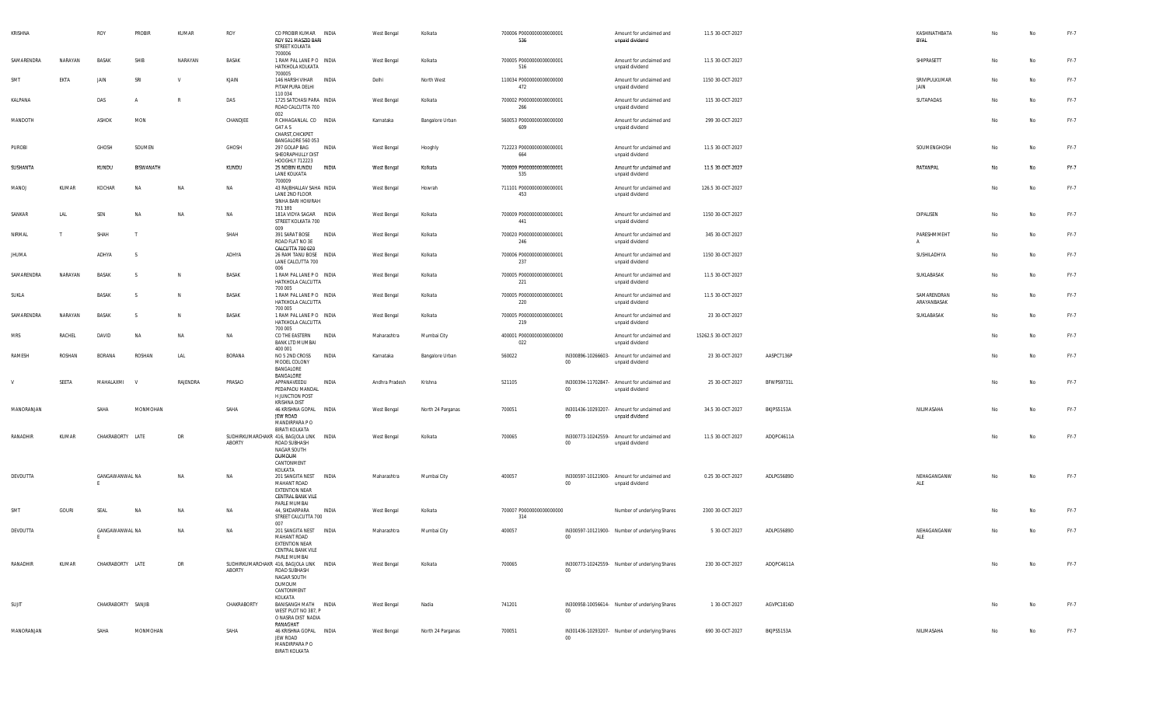| KRISHNA    |         | ROY                | PROBIR           | KUMAR     | ROY          | CO PROBIR KUMAR INDIA<br>ROY 921 MASZID BARI<br>STREET KOLKATA                                                  | West Bengal    | Kolkata           | 700006 P0000000000000001<br>536 |                 | Amount for unclaimed and<br>unpaid dividend                    | 11.5 30-OCT-2027    |            | KASHINATHBATA<br>BYAL       | No | No | FY-7 |
|------------|---------|--------------------|------------------|-----------|--------------|-----------------------------------------------------------------------------------------------------------------|----------------|-------------------|---------------------------------|-----------------|----------------------------------------------------------------|---------------------|------------|-----------------------------|----|----|------|
| SAMARENDRA | NARAYAN | BASAK              | SHIB             | NARAYAN   | BASAK        | 700006<br>1 RAM PAL LANE PO INDIA<br>HATKHOLA KOLKATA<br>700005                                                 | West Bengal    | Kolkata           | 700005 P0000000000000001<br>516 |                 | Amount for unclaimed and<br>unpaid dividend                    | 11.5 30-OCT-2027    |            | SHIPRASETT                  | No | No | FY-7 |
| SMT        | EKTA    | JAIN               | SRI              | V         | KJAIN        | 146 HARSH VIHAR<br>INDIA<br>PITAMPURA DELHI<br>110 034                                                          | Delhi          | North West        | 110034 P0000000000000000<br>472 |                 | Amount for unclaimed and<br>unpaid dividend                    | 1150 30-OCT-2027    |            | SRIVIPULKUMAR<br>JAIN       | No | No | FY-7 |
| KALPANA    |         | DAS                |                  | - R       | DAS          | 1725 SATCHASI PARA INDIA<br>ROAD CALCUTTA 700<br>002                                                            | West Bengal    | Kolkata           | 700002 P0000000000000001<br>266 |                 | Amount for unclaimed and<br>unpaid dividend                    | 115 30-OCT-2027     |            | SUTAPADAS                   | No | No | FY-7 |
| MANDOTH    |         | ASHOK              | MON              |           | CHANDJEE     | R CHHAGANLAL CO INDIA<br>G47 A S<br>CHARST, CHICKPET                                                            | Karnataka      | Bangalore Urban   | 560053 P0000000000000000<br>609 |                 | Amount for unclaimed and<br>unpaid dividend                    | 299 30-OCT-2027     |            |                             | No | No | FY-7 |
| PUROBI     |         | GHOSH              | SOUMEN           |           | GHOSH        | BANGALORE 560 053<br>297 GOLAP BAG<br>INDIA<br>SHEORAPHULLY DIST<br>HOOGHLY 712223                              | West Bengal    | Hooghly           | 712223 P0000000000000001<br>664 |                 | Amount for unclaimed and<br>unpaid dividend                    | 11.5 30-OCT-2027    |            | SOUMENGHOSH                 | No | No | FY-7 |
| SUSHANTA   |         | KUNDU              | <b>BISWANATH</b> |           | KUNDU        | 25 NOBIN KUNDU<br>INDIA<br>LANE KOLKATA<br>700009                                                               | West Bengal    | Kolkata           | 700009 P0000000000000001<br>535 |                 | Amount for unclaimed and<br>unpaid dividend                    | 11.5 30-OCT-2027    |            | <b>RATANPAL</b>             | No | No | FY-7 |
| MANOJ      | KUMAR   | KOCHAR             | <b>NA</b>        | <b>NA</b> | NA           | 43 RAJBHALLAV SAHA INDIA<br>LANE 2ND FLOOR<br>SINHA BARI HOWRAH                                                 | West Bengal    | Howrah            | 711101 P0000000000000001<br>453 |                 | Amount for unclaimed and<br>unpaid dividend                    | 126.5 30-OCT-2027   |            |                             | No | No | FY-7 |
| SANKAR     | LAL     | SEN                | <b>NA</b>        | <b>NA</b> | <b>NA</b>    | 711 101<br>181A VIDYA SAGAR INDIA<br>STREET KOLKATA 700<br>009                                                  | West Bengal    | Kolkata           | 700009 P0000000000000001<br>441 |                 | Amount for unclaimed and<br>unpaid dividend                    | 1150 30-OCT-2027    |            | DIPALISEN                   | No | No | FY-7 |
| NIRMAL     |         | SHAH               |                  |           | SHAH         | 391 SARAT BOSE<br>INDIA<br>ROAD FLAT NO 3E<br>CALCUTTA 700 020                                                  | West Bengal    | Kolkata           | 700020 P0000000000000001<br>246 |                 | Amount for unclaimed and<br>unpaid dividend                    | 345 30-OCT-2027     |            | PARESHMMEHT<br>$\mathsf{A}$ | No | No | FY-7 |
| JHUMA      |         | ADHYA              | -S               |           | ADHYA        | 26 RAM TANU BOSE INDIA<br>LANE CALCUTTA 700<br>006                                                              | West Bengal    | Kolkata           | 700006 P0000000000000001<br>237 |                 | Amount for unclaimed and<br>unpaid dividend                    | 1150 30-OCT-2027    |            | SUSHILADHYA                 | No | No | FY-7 |
| SAMARENDRA | NARAYAN | BASAK              | - S              | N         | BASAK        | 1 RAM PAL LANE PO INDIA<br>HATKHOLA CALCUTTA<br>700 005                                                         | West Bengal    | Kolkata           | 700005 P0000000000000001<br>221 |                 | Amount for unclaimed and<br>unpaid dividend                    | 11.5 30-OCT-2027    |            | SUKLABASAK                  | No | No | FY-7 |
| SUKLA      |         | BASAK              | -S               | <b>N</b>  | BASAK        | 1 RAM PAL LANE PO INDIA<br>HATKHOLA CALCUTTA<br>700 005                                                         | West Bengal    | Kolkata           | 700005 P0000000000000001<br>220 |                 | Amount for unclaimed and<br>unpaid dividend                    | 11.5 30-OCT-2027    |            | SAMARENDRAN<br>ARAYANBASAK  | No | No | FY-7 |
| SAMARENDRA | NARAYAN | BASAK              | - S              | <b>N</b>  | <b>BASAK</b> | 1 RAM PAL LANE PO INDIA<br>HATKHOLA CALCUTTA<br>700 005                                                         | West Bengal    | Kolkata           | 700005 P0000000000000001<br>219 |                 | Amount for unclaimed and<br>unpaid dividend                    | 23 30-OCT-2027      |            | SUKLABASAK                  | No | No | FY-7 |
| <b>MRS</b> | RACHEL  | DAVID              | <b>NA</b>        | NA        | <b>NA</b>    | CO THE EASTERN<br>INDIA<br><b>BANK LTD MUMBAI</b><br>400 001                                                    | Maharashtra    | Mumbai City       | 400001 P0000000000000000<br>022 |                 | Amount for unclaimed and<br>unpaid dividend                    | 15262.5 30-OCT-2027 |            |                             | No | No | FY-7 |
| RAMESH     | ROSHAN  | BORANA             | ROSHAN           | LAL       | BORANA       | INDIA<br>NO 5 2ND CROSS<br>MODEL COLONY<br>BANGALORE                                                            | Karnataka      | Bangalore Urban   | 560022                          | 00              | IN300896-10266603- Amount for unclaimed and<br>unpaid dividend | 23 30-OCT-2027      | AASPC7136P |                             | No | No | FY-7 |
| <b>V</b>   | SEETA   | MAHALAXMI          |                  | RAJENDRA  | PRASAD       | BANGALORE<br>APPANAVEEDU<br>INDIA<br>PEDAPADU MANDAL<br>H JUNCTION POST                                         | Andhra Pradesh | Krishna           | 521105                          | $00\,$          | IN300394-11702847- Amount for unclaimed and<br>unpaid dividend | 25 30-OCT-2027      | BFWPS9731L |                             | No | No | FY-7 |
| MANORANJAN |         | SAHA               | MONMOHAN         |           | SAHA         | KRISHNA DIST<br>46 KRISHNA GOPAL INDIA<br>JEW ROAD<br>MANDIRPARA P O                                            | West Bengal    | North 24 Parganas | 700051                          | 00              | IN301436-10293207- Amount for unclaimed and<br>unpaid dividend | 34.5 30-OCT-2027    | BKJPS5153A | NILIMASAHA                  | No | No | FY-7 |
| RANADHIR   | KUMAR   | CHAKRABORTY LATE   |                  | DR        | ABORTY       | BIRATI KOLKATA<br>SUDHIRKUMARCHAKR 416, BAGJOLA LINK<br>INDIA<br>ROAD SUBHASH<br>NAGAR SOUTH<br>DUMDUM          | West Bengal    | Kolkata           | 700065                          | $00\,$          | IN300773-10242559- Amount for unclaimed and<br>unpaid dividend | 11.5 30-OCT-2027    | ADQPC4611A |                             | No | No | FY-7 |
| DEVDUTTA   |         | GANGAWANWAL NA     |                  | NA        | <b>NA</b>    | CANTONMENT<br>KOLKATA<br>201 SANGITA NEST<br>INDIA                                                              | Maharashtra    | Mumbai City       | 400057                          |                 | IN300597-10121900- Amount for unclaimed and                    | 0.25 30-OCT-2027    | ADLPG5689D | NEHAGANGANW                 | No | No | FY-7 |
|            |         |                    |                  |           |              | MAHANT ROAD<br><b>EXTENTION NEAR</b><br>CENTRAL BANK VILE                                                       |                |                   |                                 | $00\,$          | unpaid dividend                                                |                     |            | ALE                         |    |    |      |
| SMT        | GOURI   | SEAL               | ΝA               | <b>NA</b> | NA           | PARLE MUMBAI<br>INDIA<br>44, SIKDARPARA<br>STREET CALCUTTA 700<br>007                                           | West Bengal    | Kolkata           | 700007 P0000000000000000<br>314 |                 | Number of underlying Shares                                    | 2300 30-OCT-2027    |            |                             | No | No | FY-7 |
| DEVDUTTA   |         | GANGAWANWAL NA     |                  | NA        | <b>NA</b>    | 201 SANGITA NEST INDIA<br>MAHANT ROAD<br><b>EXTENTION NEAR</b><br>CENTRAL BANK VILE                             | Maharashtra    | Mumbai City       | 400057                          | $00\,$          | IN300597-10121900- Number of underlying Shares                 | 5 30-OCT-2027       | ADLPG5689D | NEHAGANGANW<br>ALE          | No | No | FY-7 |
| RANADHIR   | KUMAR   | CHAKRABORTY LATE   |                  | DR        | ABORTY       | PARLE MUMBAI<br>SUDHIRKUMARCHAKR 416, BAGJOLA LINK INDIA<br>ROAD SUBHASH<br>NAGAR SOUTH<br>DUMDUM<br>CANTONMENT | West Bengal    | Kolkata           | 700065                          | 00 <sup>1</sup> | IN300773-10242559- Number of underlying Shares                 | 230 30-OCT-2027     | ADQPC4611A |                             | No | No | FY-7 |
| SUJIT      |         | CHAKRABORTY SANJIB |                  |           | CHAKRABORTY  | KOLKATA<br>BANISANGH MATH INDIA<br>WEST PLOT NO 387, P<br>O NASRA DIST NADIA                                    | West Bengal    | Nadia             | 741201                          | 00              | IN300958-10056614- Number of underlying Shares                 | 1 30-OCT-2027       | AGVPC1816D |                             | No | No | FY-7 |
| MANORANJAN |         | SAHA               | MONMOHAN         |           | SAHA         | RANAGHAT<br>46 KRISHNA GOPAL INDIA<br>JEW ROAD<br>MANDIRPARA P O<br>BIRATI KOLKATA                              | West Bengal    | North 24 Parganas | 700051                          | $00\,$          | IN301436-10293207- Number of underlying Shares                 | 690 30-OCT-2027     | BKJPS5153A | NILIMASAHA                  | No | No | FY-7 |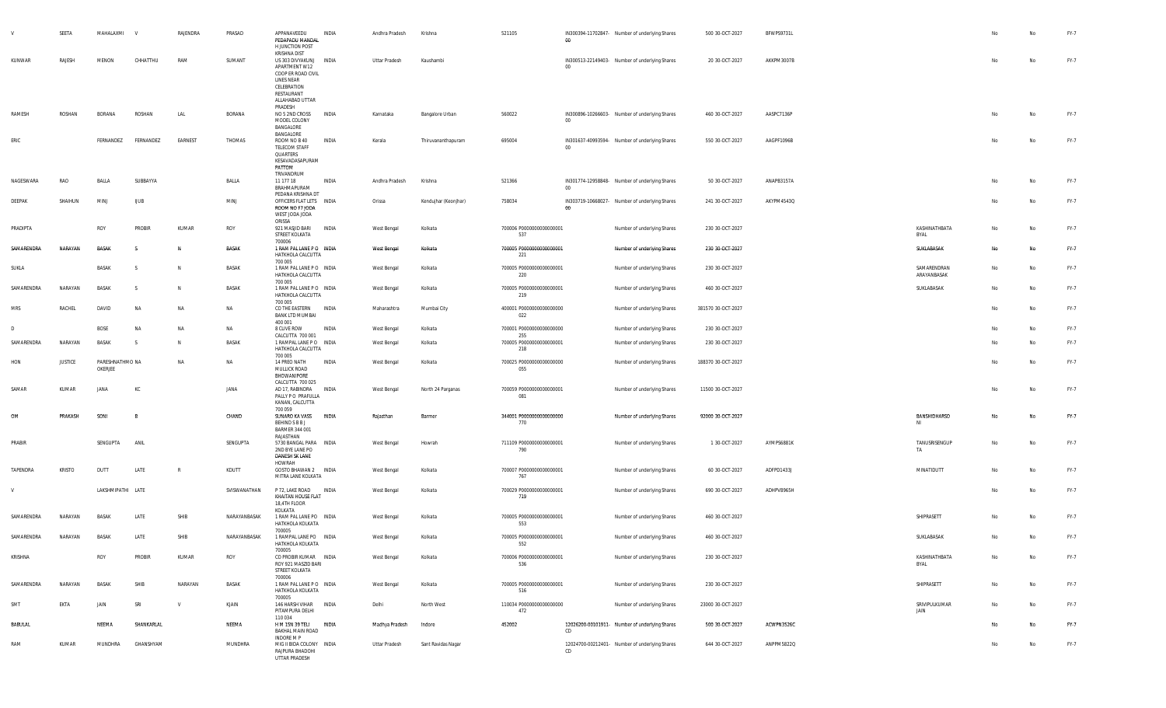|            | SEETA          | MAHALAXMI                  |             | RAJENDRA     | PRASAD       | APPANAVEEDU<br>PEDAPADU MANDAL<br>H JUNCTION POST                                                                                                | INDIA | Andhra Pradesh     | Krishna              | 521105                                 | $00\,$  | IN300394-11702847- Number of underlying Shares | 500 30-OCT-2027    | BFWPS9731L |                            | No | No        | FY-7   |
|------------|----------------|----------------------------|-------------|--------------|--------------|--------------------------------------------------------------------------------------------------------------------------------------------------|-------|--------------------|----------------------|----------------------------------------|---------|------------------------------------------------|--------------------|------------|----------------------------|----|-----------|--------|
| KUNWAR     | RAJESH         | MENON                      | CHHATTHU    | RAM          | SUMANT       | KRISHNA DIST<br>US 303 DIVYAKUNJ<br>APARTMENT W12<br>COOP ER ROAD CIVIL<br>LINES NEAR<br>CELEBRATION<br>RESTAURANT<br>ALLAHABAD UTTAR<br>PRADESH | INDIA | Uttar Pradesh      | Kaushambi            |                                        | $00 -$  | IN300513-22149403- Number of underlying Shares | 20 30-OCT-2027     | AKKPM3007B |                            | No | No        | FY-7   |
| RAMESH     | ROSHAN         | BORANA                     | ROSHAN      | LAL          | BORANA       | NO 5 2ND CROSS<br>MODEL COLONY<br>BANGALORE<br>BANGALORE                                                                                         | INDIA | Karnataka          | Bangalore Urban      | 560022                                 | 00      | IN300896-10266603- Number of underlying Shares | 460 30-OCT-2027    | AASPC7136P |                            | No | No        | FY-7   |
| ERIC       |                | FERNANDEZ                  | FERNANDEZ   | EARNEST      | THOMAS       | ROOM NO B 40<br>TELECOM STAFF<br>QUARTERS<br>KESAVADASAPURAM<br>PATTOM<br>TRIVANDRUM                                                             | INDIA | Kerala             | Thiruvananthapuram   | 695004                                 | $00\,$  | IN301637-40993594- Number of underlying Shares | 550 30-OCT-2027    | AAGPF1096B |                            | No | No        | FY-7   |
| NAGESWARA  | RAO            | BALLA                      | SUBBAYYA    |              | BALLA        | 11 177 18<br>BRAHMAPURAM<br>PEDANA KRISHNA DT                                                                                                    | INDIA | Andhra Pradesh     | Krishna              | 521366                                 | $00\,$  | IN301774-12958848- Number of underlying Shares | 50 30-OCT-2027     | ANAPB3157A |                            | No | No        | FY-7   |
| DEEPAK     | SHAIHUN        | MINJ                       | <b>UUB</b>  |              | MINJ         | OFFICERS FLAT LETS INDIA<br>ROOM NO F7 JODA<br>WEST JODA JODA<br>ORISSA                                                                          |       | Orissa             | Kendujhar (Keonjhar) | 758034                                 | $_{00}$ | IN303719-10668027- Number of underlying Shares | 241 30-OCT-2027    | AKYPM4543Q |                            | No | No        | FY-7   |
| PRADIPTA   |                | ROY                        | PROBIR      | KUMAR        | ROY          | 921 MASJID BARI<br>STREET KOLKATA<br>700006                                                                                                      | INDIA | West Bengal        | Kolkata              | 700006 P0000000000000001<br>537        |         | Number of underlying Shares                    | 230 30-OCT-2027    |            | KASHINATHBATA<br>BYAL      | No | No        | FY-7   |
| SAMARENDRA | NARAYAN        | BASAK                      | -S          | N            | BASAK        | 1 RAM PAL LANE PO INDIA<br>HATKHOLA CALCUTTA                                                                                                     |       | <b>West Bengal</b> | Kolkata              | 700005 P0000000000000001<br>221        |         | Number of underlying Shares                    | 230 30-OCT-2027    |            | SUKLABASAK                 | No | <b>No</b> | FY-7   |
| SUKLA      |                | BASAK                      | - S         | N            | BASAK        | 700 005<br>1 RAM PAL LANE PO INDIA<br>HATKHOLA CALCUTTA<br>700 005                                                                               |       | West Bengal        | Kolkata              | 700005 P0000000000000001<br>220        |         | Number of underlying Shares                    | 230 30-OCT-2027    |            | SAMARENDRAN<br>ARAYANBASAK | No | No        | FY-7   |
| SAMARENDRA | NARAYAN        | BASAK                      | -S          | N            | BASAK        | 1 RAM PAL LANE PO INDIA<br>HATKHOLA CALCUTTA                                                                                                     |       | West Bengal        | Kolkata              | 700005 P0000000000000001<br>219        |         | Number of underlying Shares                    | 460 30-OCT-2027    |            | SUKLABASAK                 | No | No        | $FY-7$ |
| MRS        | RACHEL         | DAVID                      | NA          | NA           | NA           | 700 005<br>CO THE EASTERN<br><b>BANK LTD MUMBAI</b><br>400 001                                                                                   | INDIA | Maharashtra        | Mumbai City          | 400001 P0000000000000000<br>022        |         | Number of underlying Shares                    | 381570 30-OCT-2027 |            |                            | No | No        | FY-7   |
| D          |                | <b>BOSE</b>                | NA          | <b>NA</b>    | NA           | 8 CLIVE ROW                                                                                                                                      | INDIA | West Bengal        | Kolkata              | 700001 P0000000000000000               |         | Number of underlying Shares                    | 230 30-OCT-2027    |            |                            | No | No        | FY-7   |
| SAMARENDRA | NARAYAN        | BASAK                      | - S         | N            | BASAK        | CALCUTTA 700 001<br>1 RAMPAL LANE PO INDIA<br>HATKHOLA CALCUTTA                                                                                  |       | West Bengal        | Kolkata              | 255<br>700005 P0000000000000001<br>218 |         | Number of underlying Shares                    | 230 30-OCT-2027    |            |                            | No | No        | FY-7   |
| HON        | <b>JUSTICE</b> | PARESHNATHMO NA<br>OKERJEE |             | <b>NA</b>    | NA           | 700 005<br>14 PREO NATH<br>MULLICK ROAD<br>BHOWANIPORE                                                                                           | INDIA | West Bengal        | Kolkata              | 700025 P0000000000000000<br>055        |         | Number of underlying Shares                    | 188370 30-OCT-2027 |            |                            | No | No        | FY-7   |
| SAMAR      | KUMAR          | JANA                       | KC          |              | <b>JANA</b>  | CALCUTTA 700 025<br>AD 17, RABINDRA<br>PALLY PO PRAFULLA<br>KANAN, CALCUTTA                                                                      | INDIA | West Bengal        | North 24 Parganas    | 700059 P0000000000000001<br>081        |         | Number of underlying Shares                    | 11500 30-OCT-2027  |            |                            | No | No        | FY-7   |
| OM         | PRAKASH        | SONI                       | B           |              | CHAND        | 700 059<br>SUNARO KA VASS<br><b>BEHIND S B B J</b><br>BARMER 344 001                                                                             | INDIA | Rajasthan          | Barmer               | 344001 P0000000000000000<br>770        |         | Number of underlying Shares                    | 92000 30-OCT-2027  |            | BANSHIDHARSO<br>ΝI         | No | No        | FY-7   |
| PRABIR     |                | SENGUPTA                   | ANIL        |              | SENGUPTA     | RAJASTHAN<br>5730 BANGAL PARA INDIA<br>2ND BYE LANE PO<br>DANESH SK LANE                                                                         |       | West Bengal        | Howrah               | 711109 P0000000000000001<br>790        |         | Number of underlying Shares                    | 1 30-OCT-2027      | AYMPS6881K | TANUSRISENGUP<br>TA        | No | No        | FY-7   |
| TAPENDRA   | <b>KRISTO</b>  | DUTT                       | LATE        | R            | KDUTT        | HOWRAH<br>GOSTO BHAWAN 2 INDIA<br>MITRA LANE KOLKATA                                                                                             |       | West Bengal        | Kolkata              | 700007 P0000000000000001<br>767        |         | Number of underlying Shares                    | 60 30-OCT-2027     | ADFPD1433J | MINATIDUTT                 | No | No        | FY-7   |
| <b>V</b>   |                | LAKSHMIPATHI LATE          |             |              | SVISWANATHAN | P 72, LAKE ROAD<br>KHAITAN HOUSE FLAT<br>18,4TH FLOOR                                                                                            | INDIA | West Bengal        | Kolkata              | 700029 P0000000000000001<br>719        |         | Number of underlying Shares                    | 690 30-OCT-2027    | ADHPV8965H |                            | No | No        | FY-7   |
| SAMARENDRA | NARAYAN        | <b>BASAK</b>               | LATE        | SHIB         | NARAYANBASAK | KOLKATA<br>1 RAM PAL LANE PO INDIA<br>HATKHOLA KOLKATA                                                                                           |       | <b>West Bengal</b> | Kolkata              | 700005 P0000000000000001<br>553        |         | Number of underlying Shares                    | 460 30-OCT-2027    |            | SHIPRASETT                 | No | No        | FY-7   |
| SAMARENDRA | NARAYAN        | <b>BASAK</b>               | LATE        | SHIB         | NARAYANBASAK | 700005<br>1 RAMPAL LANE PO INDIA<br>HATKHOLA KOLKATA                                                                                             |       | West Bengal        | Kolkata              | 700005 P0000000000000001<br>552        |         | Number of underlying Shares                    | 460 30-OCT-2027    |            | SUKLABASAK                 | No | No        | FY-7   |
| KRISHNA    |                | ROY                        | PROBIR      | KUMAR        | ROY          | 700005<br>CO PROBIR KUMAR INDIA<br>ROY 921 MASZID BARI<br>STREET KOLKATA                                                                         |       | West Bengal        | Kolkata              | 700006 P0000000000000001<br>536        |         | Number of underlying Shares                    | 230 30-OCT-2027    |            | KASHINATHBATA<br>BYAL      | No | No        | FY-7   |
| SAMARENDRA | NARAYAN        | <b>BASAK</b>               | <b>SHIB</b> | NARAYAN      | BASAK        | 700006<br>1 RAM PAL LANE PO INDIA<br>HATKHOLA KOLKATA<br>700005                                                                                  |       | West Bengal        | Kolkata              | 700005 P0000000000000001<br>516        |         | Number of underlying Shares                    | 230 30-OCT-2027    |            | SHIPRASETT                 | No | No        | FY-7   |
| SMT        | EKTA           | JAIN                       | SRI         | $\mathsf{v}$ | KJAIN        | 146 HARSH VIHAR INDIA<br>PITAMPURA DELHI<br>110034                                                                                               |       | Delhi              | North West           | 110034 P0000000000000000<br>472        |         | Number of underlying Shares                    | 23000 30-OCT-2027  |            | SRIVIPULKUMAR<br>JAIN      | No | No        | FY-7   |
| BABULAL    |                | NEEMA                      | SHANKARLAL  |              | NEEMA        | H M 15N 39 TELI<br>BAKHAL MAIN ROAD<br>INDORE M P                                                                                                | INDIA | Madhya Pradesh     | Indore               | 452002                                 | CD      | 12026200-00101911- Number of underlying Shares | 500 30-OCT-2027    | ACWPN3526C |                            | No | No        | FY-7   |
| RAM        | KUMAR          | MUNDHRA                    | GHANSHYAM   |              | MUNDHRA      | MIG II BIDA COLONY INDIA<br>RAJPURA BHADOHI<br>UTTAR PRADESH                                                                                     |       | Uttar Pradesh      | Sant Ravidas Nagar   |                                        | CD      | 12024700-00212401- Number of underlying Shares | 644 30-OCT-2027    | ANPPM5822Q |                            | No | No        | FY-7   |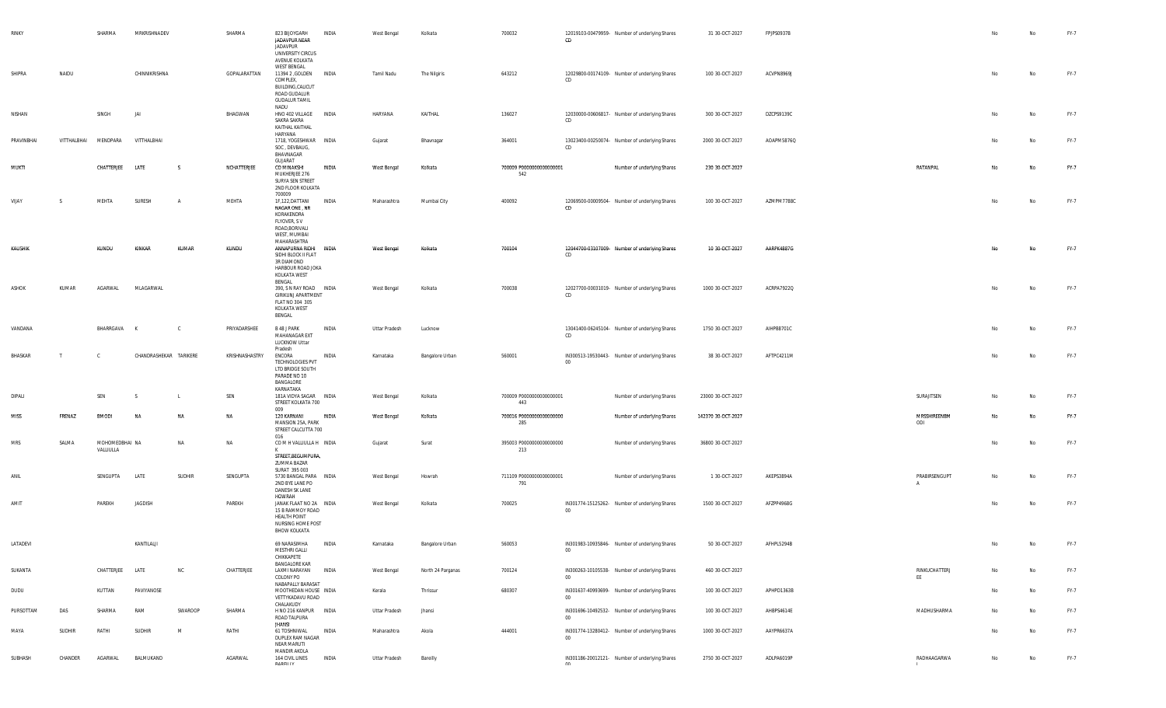| RINKY      |              | SHARMA                      | MRKRISHNADEV           |                | SHARMA         | 823 BIJOYGARH<br>JADAVPUR NEAR<br>JADAVPUR<br>UNIVERSITY CIRCUS<br>AVENUE KOLKATA                                          | INDIA | West Bengal   | Kolkata           | 700032                           | CD     | 12019103-00479959- Number of underlying Shares | 31 30-OCT-2027     | FPJPS0937B |                               | No | No        | FY-7 |
|------------|--------------|-----------------------------|------------------------|----------------|----------------|----------------------------------------------------------------------------------------------------------------------------|-------|---------------|-------------------|----------------------------------|--------|------------------------------------------------|--------------------|------------|-------------------------------|----|-----------|------|
| SHIPRA     | NAIDU        |                             | CHINNIKRISHNA          |                | GOPALARATTAN   | <b>WEST BENGAL</b><br>11394 2 GOLDEN INDIA<br>COMPLEX,<br><b>BUILDING, CALICUT</b><br>ROAD GUDALUR<br><b>GUDALUR TAMIL</b> |       | Tamil Nadu    | The Nilgiris      | 643212                           | CD     | 12029800-00174109- Number of underlying Shares | 100 30-OCT-2027    | ACVPN8969J |                               | No | No        | FY-7 |
| NISHAN     |              | SINGH                       | JA                     |                | BHAGWAN        | NADU<br>HNO 402 VILLAGE INDIA<br>SAKRA SAKRA<br>KAITHAL KAITHAL                                                            |       | HARYANA       | KAITHAL           | 136027                           | CD     | 12030000-00606817- Number of underlying Shares | 300 30-OCT-2027    | DZCPS9139C |                               | No | No        | FY-7 |
| PRAVINBHAI | VITTHALBHAI  | MENDPARA                    | VITTHALBHAI            |                |                | HARYANA<br>1718, YOGESHWAR INDIA<br>SOC, DEVBAUG,<br>BHAVNAGAR                                                             |       | Gujarat       | Bhavnagar         | 364001                           | CD     | 13023400-00250074- Number of underlying Shares | 2000 30-OCT-2027   | AOAPM5876Q |                               | No | <b>No</b> | FY-7 |
| MUKTI      |              | CHATTERJEE                  | LATE                   | S.             | NCHATTERJEE    | GUJARAT<br>CO MINAKSHI<br>MUKHERJEE 276<br>SURYA SEN STREET<br>2ND FLOOR KOLKATA<br>700009                                 | INDIA | West Bengal   | Kolkata           | 700009 P0000000000000001<br>542  |        | Number of underlying Shares                    | 230 30-OCT-2027    |            | RATANPAL                      | No | No        | FY-7 |
| VIJAY      |              | MEHTA                       | SURESH                 | $\overline{A}$ | MEHTA          | 1F,122,DATTANI<br>NAGAR ONE , NR<br>KORAKENDRA<br>FLYOVER, S V<br>ROAD, BORIVALI<br>WEST, MUMBAI<br>MAHARASHTRA            | INDIA | Maharashtra   | Mumbai City       | 400092                           | CD     | 12069500-00009504- Number of underlying Shares | 100 30-OCT-2027    | AZMPM7788C |                               | No | No        | FY-7 |
| KAUSHIK    |              | <b>KUNDU</b>                | KINKAR                 | KUMAR          | <b>KUNDU</b>   | ANNAPURNA RIDHI INDIA<br>SIDHI BLOCK II FLAT<br>3R DIAMOND<br>HARBOUR ROAD JOKA<br>KOLKATA WEST<br>BENGAL                  |       | West Bengal   | Kolkata           | 700104                           | CD     | 12044700-03107009- Number of underlying Shares | 10 30-OCT-2027     | AARPK4887G |                               | No | No        | FY-7 |
| ASHOK      | KUMAR        | AGARWAL                     | MLAGARWAL              |                |                | 390, S N RAY ROAD INDIA<br>GIRIKUNJ APARTMENT<br>FLAT NO 304 305<br>KOLKATA WEST<br>BENGAL                                 |       | West Bengal   | Kolkata           | 700038                           | CD     | 12027700-00031019- Number of underlying Shares | 1000 30-OCT-2027   | ACRPA7922Q |                               | No | No        | FY-7 |
| VANDANA    |              | BHARRGAVA                   | K                      | $\mathcal{C}$  | PRIYADARSHEE   | B 48 J PARK<br>MAHANAGAR EXT<br>LUCKNOW Uttar<br>Pradesh                                                                   | INDIA | Uttar Pradesh | Lucknow           |                                  | CD     | 13041400-06245104- Number of underlying Shares | 1750 30-OCT-2027   | AIHPB8701C |                               | No | No        | FY-7 |
| BHASKAR    | $\mathsf{T}$ | <b>C</b>                    | CHANDRASHEKAR TARIKERE |                | KRISHNASHASTRY | ENCORA<br>TECHNOLOGIES PVT<br>LTD BRIDGE SOUTH<br>PARADE NO 10<br>BANGALORE<br>KARNATAKA                                   | INDIA | Karnataka     | Bangalore Urban   | 560001                           | $00\,$ | IN300513-19530443- Number of underlying Shares | 38 30-OCT-2027     | AFTPC4211M |                               | No | No        | FY-7 |
| DIPALI     |              | SEN                         | - S                    | L.             | SEN            | 181A VIDYA SAGAR INDIA<br>STREET KOLKATA 700<br>009                                                                        |       | West Bengal   | Kolkata           | 700009 P00000000000000001<br>443 |        | Number of underlying Shares                    | 23000 30-OCT-2027  |            | SURAJITSEN                    | No | No        | FY-7 |
| MISS       | FRENAZ       | <b>BMODI</b>                | NA                     | <b>NA</b>      | NA             | 120 KARNANI<br>MANSION 25A, PARK<br>STREET CALCUTTA 700<br>016                                                             | INDIA | West Bengal   | Kolkata           | 700016 P0000000000000000<br>285  |        | Number of underlying Shares                    | 142370 30-OCT-2027 |            | MRSSHIREENBM<br>ODI           | No | No        | FY-7 |
| <b>MRS</b> | SALMA        | MOHOMEDBHAI NA<br>VALLIULLA |                        | NA             | NA             | COMHVALLIULLAH INDIA<br>K<br>STREET, BEGUMPURA,<br>ZUMMA BAZAR                                                             |       | Gujarat       | Surat             | 395003 P0000000000000000<br>213  |        | Number of underlying Shares                    | 36800 30-OCT-2027  |            |                               | No | No        | FY-7 |
| ANIL       |              | SENGUPTA                    | LATE                   | SUDHIR         | SENGUPTA       | SURAT 395 003<br>5730 BANGAL PARA INDIA<br>2ND BYE LANE PO<br>DANESH SK LANE<br>HOWRAH                                     |       | West Bengal   | Howrah            | 711109 P0000000000000001<br>791  |        | Number of underlying Shares                    | 1 30-OCT-2027      | AKEPS3894A | PRABIRSENGUPT<br>$\mathsf{A}$ | No | No        | FY-7 |
| AMIT       |              | PAREKH                      | JAGDISH                |                | PAREKH         | JANAK FLAAT NO 2A INDIA<br>15 B RAMMOY ROAD<br><b>HEALTH POINT</b><br>NURSING HOME POST<br>BHOW KOLKATA                    |       | West Bengal   | Kolkata           | 700025                           | $00\,$ | IN301774-15125262- Number of underlying Shares | 1500 30-OCT-2027   | AFZPP4968G |                               | No | No        | FY-7 |
| LATADEVI   |              |                             | KANTILALJI             |                |                | 69 NARASIMHA<br><b>MESTHRI GALLI</b><br>CHIKKAPETE<br><b>BANGALORE KAR</b>                                                 | INDIA | Karnataka     | Bangalore Urban   | 560053                           | $00\,$ | IN301983-10935846- Number of underlying Shares | 50 30-OCT-2027     | AFHPL5294B |                               |    | No        | FY-7 |
| SUKANTA    |              | CHATTERJEE                  | LATE                   | <b>NC</b>      | CHATTERJEE     | LAXMI NARAYAN<br>COLONY PO<br>NABAPALLY BARASAT                                                                            | INDIA | West Bengal   | North 24 Parganas | 700124                           | 00     | IN300263-10105538- Number of underlying Shares | 460 30-OCT-2027    |            | RINKUCHATTERJ<br>EE           | No | No        | FY-7 |
| DUDU       |              | KUTTAN                      | PAVIYANOSE             |                |                | MOOTHEDAN HOUSE INDIA<br>VETTYKADAVU ROAD<br>CHALAKUDY                                                                     |       | Kerala        | Thrissur          | 680307                           | $00\,$ | IN301637-40993699- Number of underlying Shares | 100 30-OCT-2027    | APHPD1363B |                               | No | No        | FY-7 |
| PURSOTTAM  | DAS          | SHARMA                      | RAM                    | SWAROOP        | SHARMA         | H NO 216 KANPUR INDIA<br>ROAD TALPURA<br>JHANSI                                                                            |       | Uttar Pradesh | Jhansi            |                                  | $00\,$ | IN301696-10492532- Number of underlying Shares | 100 30-OCT-2027    | AHBPS4614E | MADHUSHARMA                   | No | No        | FY-7 |
| MAYA       | SUDHIR       | RATHI                       | SUDHIR                 | M              | RATHI          | 61 TOSHNIWAL<br>DUPLEX RAM NAGAR<br>NEAR MARUTI<br>MANDIR AKOLA                                                            | INDIA | Maharashtra   | Akola             | 444001                           | $00\,$ | IN301774-13280412- Number of underlying Shares | 1000 30-OCT-2027   | AAYPR6637A |                               | No | No        | FY-7 |
| SUBHASH    | CHANDER      | AGARWAL                     | BALMUKAND              |                | AGARWAL        | 164 CIVIL LINES<br><b>DADEILLV</b>                                                                                         | INDIA | Uttar Pradesh | Bareilly          |                                  | nn     | IN301186-20012121- Number of underlying Shares | 2750 30-OCT-2027   | ADLPA6019P | RADHAAGARWA                   | No | No        | FY-7 |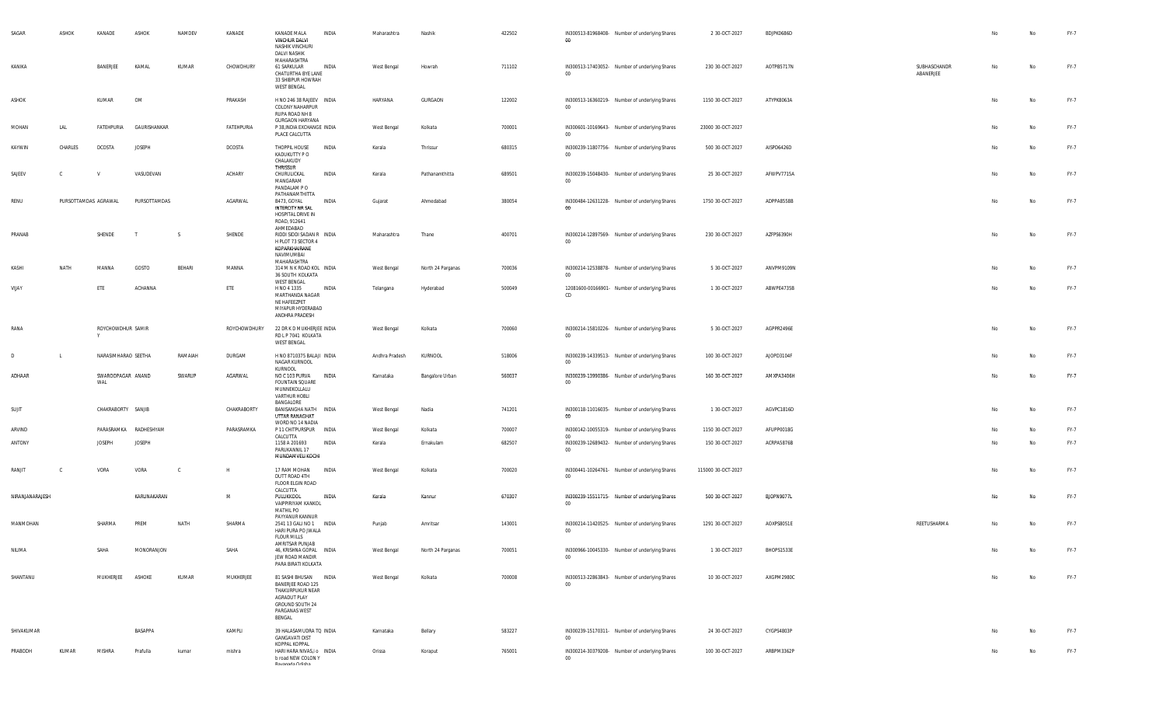| SAGAR           | ASHOK                | KANADE                   | ASHOK         | NAMDEV       | KANADE        | KANADE MALA<br>VINCHUR DALVI<br>NASHIK VINCHURI<br><b>DALVI NASHIK</b><br>MAHARASHTRA                                        | INDIA | Maharashtra    | Nashik            | 422502 | IN300513-81968408- Number of underlying Shares<br>00              | 2 30 OCT-2027      | BDJPK0686D |                           | No  | No | FY-7   |
|-----------------|----------------------|--------------------------|---------------|--------------|---------------|------------------------------------------------------------------------------------------------------------------------------|-------|----------------|-------------------|--------|-------------------------------------------------------------------|--------------------|------------|---------------------------|-----|----|--------|
| KANIKA          |                      | BANERJEE                 | KAMAL         | KUMAR        | CHOWDHURY     | 61 SARKULAR<br>CHATURTHA BYE LANE<br>33 SHIBPUR HOWRAH<br><b>WEST BENGAL</b>                                                 | INDIA | West Bengal    | Howrah            | 711102 | IN300513-17403052- Number of underlying Shares<br>00 <sup>°</sup> | 230 30-OCT-2027    | AOTPB5717N | SUBHASCHANDR<br>ABANERJEE | No  | No | FY-7   |
| ASHOK           |                      | KUMAR                    | OM            |              | PRAKASH       | H NO 246 38 RAJEEV INDIA<br>COLONY NAHARPUR<br>RUPA ROAD NH 8<br><b>GURGAON HARYANA</b>                                      |       | HARYANA        | GURGAON           | 122002 | IN300513-16360219- Number of underlying Shares<br>$00\,$          | 1150 30-OCT-2027   | ATYPK8063A |                           | No  | No | FY-7   |
| MOHAN           | LAL                  | FATEHPURIA               | GAURISHANKAR  |              | FATEHPURIA    | P 38, INDIA EXCHANGE INDIA<br>PLACE CALCUTTA                                                                                 |       | West Bengal    | Kolkata           | 700001 | IN300601-10169643- Number of underlying Shares<br>00              | 23000 30-OCT-2027  |            |                           |     | No | FY-7   |
| KAYWIN          | CHARLES              | <b>DCOSTA</b>            | <b>JOSEPH</b> |              | DCOSTA        | THOPPIL HOUSE<br>KADUKUTTY P O<br>CHALAKUDY<br>THRISSUR                                                                      | INDIA | Kerala         | Thrissur          | 680315 | IN300239-11807756- Number of underlying Shares<br>00              | 500 30-OCT-2027    | AISPD6426D |                           | No  | No | FY-7   |
| SAJEEV          | C.                   | <b>V</b>                 | VASUDEVAN     |              | <b>ACHARY</b> | CHURULICKAL<br>MANGARAM<br>PANDALAM PO<br>PATHANAMTHITTA                                                                     | INDIA | Kerala         | Pathanamthitta    | 689501 | IN300239-15048430- Number of underlying Shares<br>$00\,$          | 25 30-OCT-2027     | AFWPV7715A |                           | No  | No | FY-7   |
| RENU            | PURSOTTAMDAS AGRAWAL |                          | PURSOTTAMDAS  |              | AGARWAL       | B473, GOYAL<br>INTERCITY NR SAL<br>HOSPITAL DRIVE IN<br>ROAD, 912641                                                         | INDIA | Gujarat        | Ahmedabad         | 380054 | IN300484-12631228- Number of underlying Shares<br>$00\,$          | 1750 30-OCT-2027   | ADPPA8558B |                           | No  | No | FY-7   |
| PRANAB          |                      | SHENDE                   | T             | S.           | SHENDE        | AHMEDABAD<br>RIDDI SIDDI SADAN R INDIA<br>H PLOT 73 SECTOR 4<br>KOPARKHAIRANE<br>NAVIMUMBAI                                  |       | Maharashtra    | Thane             | 400701 | IN300214-12897569- Number of underlying Shares<br>00              | 230 30-OCT-2027    | AZFPS6390H |                           | No  | No | FY-7   |
| KASHI           | NATH                 | MANNA                    | GOSTO         | BEHARI       | MANNA         | MAHARASHTRA<br>314 M N K ROAD KOL INDIA<br>36 SOUTH KOLKATA<br><b>WEST BENGAL</b>                                            |       | West Bengal    | North 24 Parganas | 700036 | IN300214-12538878- Number of underlying Shares<br>00              | 5 30-OCT-2027      | ANVPM9109N |                           | No  | No | FY-7   |
| VIJAY           |                      | ETE                      | ACHANNA       |              | ETE           | H NO 4 1335<br>MARTHANDA NAGAR<br>NE HAFEEZPET<br>MIYAPUR HYDERABAD<br>ANDHRA PRADESH                                        | INDIA | Telangana      | Hyderabad         | 500049 | 12081600-00166901- Number of underlying Shares<br>CD              | 1 30-OCT-2027      | ABWPE4735B |                           | No  | No | $FY-7$ |
| RANA            |                      | ROYCHOWDHUR SAMIR        |               |              | ROYCHOWDHURY  | 22 DR K D MUKHERJEE INDIA<br>RD L P 7041 KOLKATA<br><b>WEST BENGAL</b>                                                       |       | West Bengal    | Kolkata           | 700060 | IN300214-15810226- Number of underlying Shares<br>00              | 5 30-OCT-2027      | AGPPR2496E |                           | No  | No | FY-7   |
| D               | $\blacksquare$       | NARASIMHARAO SEETHA      |               | RAMAIAH      | DURGAM        | H NO 8710375 BALAJI INDIA<br>NAGAR KURNOOL<br>KURNOOL                                                                        |       | Andhra Pradesh | KURNOOL           | 518006 | IN300239-14339513- Number of underlying Shares<br>$00\,$          | 100 30-OCT-2027    | AJOPD3104F |                           |     | No | FY-7   |
| ADHAAR          |                      | SWAROOPAGAR ANAND<br>WAL |               | SWARUP       | AGARWAL       | NO C 103 PURVA<br><b>FOUNTAIN SQUARE</b><br>MUNNEKOLLALU<br><b>VARTHUR HOBLI</b>                                             | INDIA | Karnataka      | Bangalore Urban   | 560037 | IN300239-13990386- Number of underlying Shares<br>00              | 160 30-OCT-2027    | AMXPA3406H |                           | -No | No | FY-7   |
| SUJIT           |                      | CHAKRABORTY SANJIB       |               |              | CHAKRABORTY   | BANGALORE<br>BANISANGHA NATH INDIA<br>UTTAR RANAGHAT<br>WORD NO 14 NADIA                                                     |       | West Bengal    | Nadia             | 741201 | IN300118-11016035- Number of underlying Shares<br>00              | 1 30-OCT-2027      | AGVPC1816D |                           | No  | No | FY-7   |
| ARVIND          |                      | PARASRAMKA               | RADHESHYAM    |              | PARASRAMKA    | P 11 CHITPURSPUR INDIA<br>CALCUTTA                                                                                           |       | West Bengal    | Kolkata           | 700007 | IN300142-10055319- Number of underlying Shares<br>00              | 1150 30-OCT-2027   | AFUPP0018G |                           | No  | No | FY-7   |
| ANTONY          |                      | <b>JOSEPH</b>            | <b>JOSEPH</b> |              |               | 1158 A 201693<br>PARUKANNIL 17<br>MUNDAMVELI KOCHI                                                                           | INDIA | Kerala         | Ernakulam         | 682507 | IN300239-12689432- Number of underlying Shares<br>00              | 150 30-OCT-2027    | ACRPA5876B |                           | No  | No | FY-7   |
| RANJIT          | C.                   | VORA                     | VORA          | <sub>c</sub> | H             | 17 RAM MOHAN<br>DUTT ROAD 4TH<br>FLOOR ELGIN ROAD<br>CALCUTTA                                                                | INDIA | West Bengal    | Kolkata           | 700020 | IN300441-10264761- Number of underlying Shares<br>00 <sup>°</sup> | 115000 30-OCT-2027 |            |                           | No  | No | FY-7   |
| NIRANJANARAJESH |                      |                          | KARUNAKARAN   |              | м             | PULUKKOOL<br>VAIPPIRIYAM KANKOL<br>MATHIL PO                                                                                 | INDIA | Kerala         | Kannur            | 670307 | IN300239-15511715- Number of underlying Shares<br>00 <sup>°</sup> | 500 30-OCT-2027    | BJOPN9077L |                           | No  | No | $FY-7$ |
| MANMOHAN        |                      | SHARMA                   | PREM          | NATH         | SHARMA        | PAYYANUR KANNUR<br>2541 13 GALI NO 1 INDIA<br>HARI PURA PO JWALA<br>FLOUR MILLS                                              |       | Punjab         | Amritsar          | 143001 | IN300214-11420525- Number of underlying Shares<br>$00\,$          | 1291 30-OCT-2027   | AOXPS8051E | REETUSHARMA               | No  | No | FY-7   |
| NILIMA          |                      | SAHA                     | MONORANJON    |              | SAHA          | AMRITSAR PUNJAB<br>46, KRISHNA GOPAL INDIA<br>JEW ROAD MANDIR<br>PARA BIRATI KOLKATA                                         |       | West Bengal    | North 24 Parganas | 700051 | IN300966-10045330- Number of underlying Shares<br>00              | 1 30-OCT-2027      | BHOPS1533E |                           |     | No | FY-7   |
| SHANTANU        |                      | MUKHERJEE ASHOKE         |               | KUMAR        | MUKHERJEE     | 81 SASHI BHUSAN INDIA<br>BANERJEE ROAD 125<br>THAKURPUKUR NEAR<br>AGRADUT PLAY<br>GROUND SOUTH 24<br>PARGANAS WEST<br>BENGAL |       | West Bengal    | Kolkata           | 700008 | IN300513-22863843- Number of underlying Shares<br>00              | 10 30-OCT-2027     | AXGPM2980C |                           |     | No | FY-7   |
| SHIVAKUMAR      |                      |                          | BASAPPA       |              | KAMPLI        | 39 HALASAMUDRA TO INDIA<br><b>GANGAVATI DIST</b><br>KOPPAL KOPPAL                                                            |       | Karnataka      | Bellary           | 583227 | IN300239-15170311- Number of underlying Shares<br>$00\,$          | 24 30-OCT-2027     | CYGPS4803P |                           | No  | No | FY-7   |
| PRABODH         | KUMAR                | MISHRA                   | Prafulla      | kumar        | mishra        | HARI HARA NIVAS, i o INDIA<br>b road NEW COLON Y<br>Douando Odicho                                                           |       | Orissa         | Koraput           | 765001 | IN300214-30379208- Number of underlying Shares<br>$00\,$          | 100 30-OCT-2027    | ARBPM3362P |                           | No  | No | FY-7   |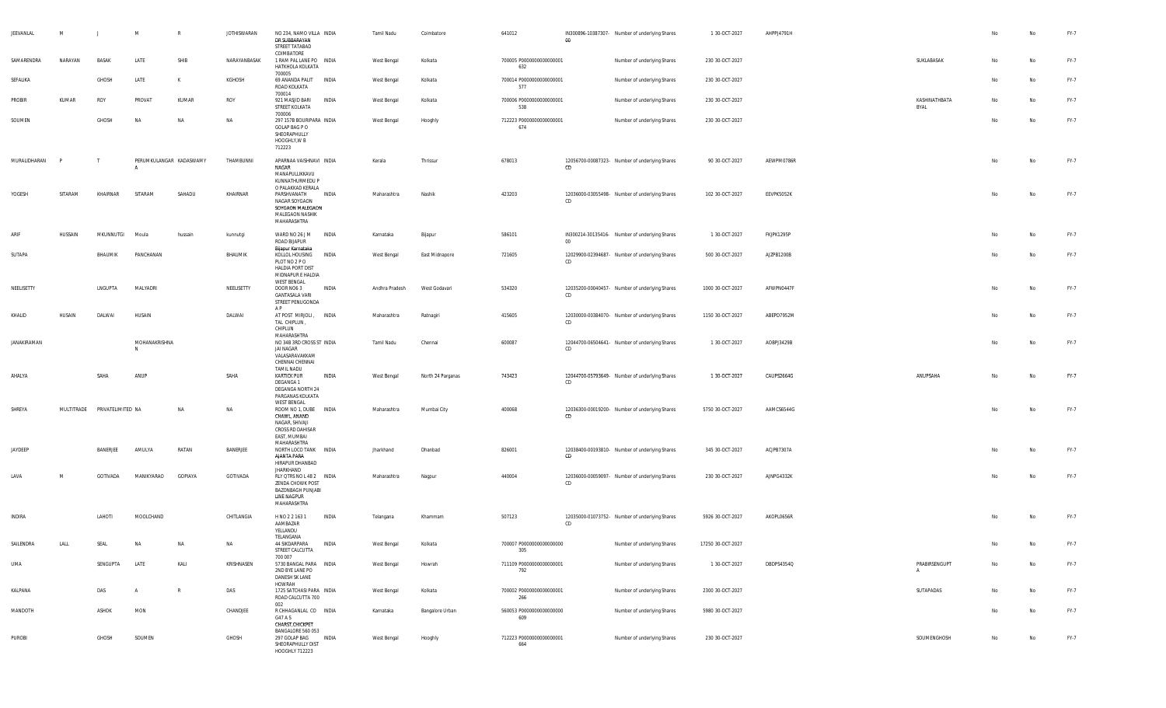| JEEVANLAL    | M       | $\perp$                      | M             | R                       | <b>JOTHISWARAN</b> | NO 234, NAMO VILLA INDIA<br>DR SUBBARAYAN<br>STREET TATABAD<br>COIMBATORE                                      |              | Tamil Nadu     | Coimbatore        | 641012                          | 00 | IN300896-10387307- Number of underlying Shares | 1 30 OCT-2027     | AHPPJ4791H |                               | No | No        | FY-7 |
|--------------|---------|------------------------------|---------------|-------------------------|--------------------|----------------------------------------------------------------------------------------------------------------|--------------|----------------|-------------------|---------------------------------|----|------------------------------------------------|-------------------|------------|-------------------------------|----|-----------|------|
| SAMARENDRA   | NARAYAN | BASAK                        | LATE          | SHIB                    | NARAYANBASAK       | 1 RAM PAL LANE PO INDIA<br>HATKHOLA KOLKATA<br>700005                                                          |              | West Bengal    | Kolkata           | 700005 P0000000000000001<br>632 |    | Number of underlying Shares                    | 230 30-OCT-2027   |            | SUKLABASAK                    | No | <b>No</b> | FY-7 |
| SEFALIKA     |         | GHOSH                        | LATE          | K                       | KGHOSH             | 69 ANANDA PALIT<br>ROAD KOLKATA<br>700014                                                                      | <b>INDIA</b> | West Bengal    | Kolkata           | 700014 P0000000000000001<br>577 |    | Number of underlying Shares                    | 230 30-OCT-2027   |            |                               | No | No        | FY-7 |
| PROBIR       | KUMAR   | ROY                          | PROVAT        | KUMAR                   | ROY                | 921 MASJID BARI<br>STREET KOLKATA<br>700006                                                                    | INDIA        | West Bengal    | Kolkata           | 700006 P0000000000000001<br>538 |    | Number of underlying Shares                    | 230 30-OCT-2027   |            | KASHINATHBATA<br>BYAL         | No | <b>No</b> | FY-7 |
| SOUMEN       |         | GHOSH                        | <b>NA</b>     | <b>NA</b>               | <b>NA</b>          | 297 157B BOURIPARA INDIA<br>GOLAP BAG P O<br>SHEORAPHULLY<br>HOOGHLY, W B<br>712223                            |              | West Bengal    | Hooghly           | 712223 P0000000000000001<br>674 |    | Number of underlying Shares                    | 230 30-OCT-2027   |            |                               | No | No        | FY-7 |
| MURALIDHARAN |         |                              |               | PERUMKULANGAR KADASWAMY | THAMBUNNI          | APARNAA VAISHNAVI INDIA<br>NAGAR<br>MANAPULLIKKAVU<br>KUNNATHURMEDU P<br>O PALAKKAD KERALA                     |              | Kerala         | Thrissur          | 678013                          | CD | 12056700-00087323- Number of underlying Shares | 90 30-OCT-2027    | AEWPM0786R |                               | No | No        | FY-7 |
| YOGESH       | SITARAM | KHAIRNAR                     | SITARAM       | SAHADU                  | KHAIRNAR           | PARSHVANATH<br>NAGAR SOYGAON<br>SOYGAON MALEGAON<br>MALEGAON NASHIK<br>MAHARASHTRA                             | INDIA        | Maharashtra    | Nashik            | 423203                          | CD | 12036000-03055498- Number of underlying Shares | 102 30-OCT-2027   | EEVPK5052K |                               | No | Na        | FY-7 |
| ARIF         | HUSSAIN | MKUNNUTGI                    | Moula         | hussain                 | kunnutgi           | WARD NO 26 J M<br>ROAD BIJAPUR                                                                                 | INDIA        | Karnataka      | Bijapur           | 586101                          | 00 | IN300214-30135416- Number of underlying Shares | 1 30-OCT-2027     | FKJPK1295P |                               | No | No        | FY-7 |
| SUTAPA       |         | BHAUMIK                      | PANCHANAN     |                         | BHAUMIK            | Bijapur Karnataka<br>KOLLOL HOUSING<br>PLOT NO 2 P O<br>HALDIA PORT DIST<br>MIDNAPUR E HALDIA<br>WEST BENGAL   | INDIA        | West Bengal    | East Midnapore    | 721605                          | CD | 12029900-02394687- Number of underlying Shares | 500 30-OCT-2027   | AJZPB1200B |                               | No | No        | FY-7 |
| NEELISETTY   |         | LNGUPTA                      | MALYADRI      |                         | NEELISETTY         | DOOR NO63<br><b>GANTASALA VARI</b><br>STREET PENUGONDA                                                         | INDIA        | Andhra Pradesh | West Godavari     | 534320                          | CD | 12035200-00040457- Number of underlying Shares | 1000 30-OCT-2027  | AFWPN0447F |                               | No | No        | FY-7 |
| KHALID       | HUSAIN  | DALWAI                       | HUSAIN        |                         | DALWAI             | AP<br>AT POST MIRJOLI, INDIA<br>TAL CHIPLUN,<br>CHIPLUN                                                        |              | Maharashtra    | Ratnagiri         | 415605                          | CD | 12030000-00384070- Number of underlying Shares | 1150 30-OCT-2027  | ABEPD7952M |                               | No | No        | FY-7 |
| JANAKIRAMAN  |         |                              | MOHANAKRISHNA |                         |                    | MAHARASHTRA<br>NO 34B 3RD CROSS ST INDIA<br>JAI NAGAR<br>VALASARAVAKKAM<br>CHENNAI CHENNAI                     |              | Tamil Nadu     | Chennai           | 600087                          | CD | 12044700-06504641- Number of underlying Shares | 1 30-OCT-2027     | AOBPJ3429B |                               | No | No        | FY-7 |
| AHALYA       |         | SAHA                         | ANUP          |                         | SAHA               | TAMIL NADU<br><b>KARTICK PUR</b><br>DEGANGA 1<br>DEGANGA NORTH 24<br>PARGANAS KOLKATA<br>WEST BENGAL           | INDIA        | West Bengal    | North 24 Parganas | 743423                          | CD | 12044700-05793649- Number of underlying Shares | 1 30-OCT-2027     | CAUPS2664G | ANUPSAHA                      | No | No        | FY-7 |
| SHREYA       |         | MULTITRADE PRIVATELIMITED NA |               | NA                      | <b>NA</b>          | ROOM NO 1, DUBE INDIA<br>CHAWL, ANAND<br>NAGAR, SHIVAJI<br>CROSS RD DAHISAR<br>EAST, MUMBAI<br>MAHARASHTRA     |              | Maharashtra    | Mumbai City       | 400068                          | CD | 12036300-00019200- Number of underlying Shares | 5750 30-OCT-2027  | AAMCS6544G |                               | No | No        | FY-7 |
| JAYDEEP      |         | BANERJEE                     | AMULYA        | RATAN                   | BANERJEE           | NORTH LOCO TANK INDIA<br>AJANTA PARA<br>HIRAPUR DHANBAD<br>JHARKHAND                                           |              | Jharkhand      | Dhanbad           | 826001                          | CD | 12038400-00193810- Number of underlying Shares | 345 30-OCT-2027   | ACJPB7307A |                               | No | No        | FY-7 |
| LAVA         | M       | GOTIVADA                     | MANIKYARAO    | GOPIAYA                 | GOTIVADA           | RLY QTRS NO L 48 2  INDIA<br>ZENDA CHOWK POST<br><b>BAZONBAGH PUNJABI</b><br><b>LINE NAGPUR</b><br>MAHARASHTRA |              | Maharashtra    | Nagpur            | 440004                          | CD | 12036000-00059097- Number of underlying Shares | 230 30-OCT-2027   | AJNPG4332K |                               | No | No        | FY-7 |
| INDIRA       |         | LAHOTI                       | MOOLCHAND     |                         | CHITLANGIA         | H NO 2 2 163 1<br>AAMBAZAR<br>YELLANDU                                                                         | INDIA        | Telangana      | Khammam           | 507123                          | CD | 12035000-01073752- Number of underlying Shares | 5926 30-OCT-2027  | AKOPL0656R |                               | No | No        | FY-7 |
| SAILENDRA    | LALL    | <b>SFAI</b>                  | NΔ            | <b>NA</b>               | NΔ                 | TELANGANA<br>44 SIKDARPARA<br>STREET CALCUTTA                                                                  | <b>INDIA</b> | West Bengal    | Kolkata           | 700007 P0000000000000000<br>305 |    | Number of underlying Shares                    | 17250 30-OCT-2027 |            |                               |    | No        | FY-7 |
| UMA          |         | SENGUPTA                     | LATE          | KALI                    | KRISHNASEN         | 700 007<br>5730 BANGAL PARA INDIA<br>2ND BYE LANE PO<br>DANESH SK LANE                                         |              | West Bengal    | Howrah            | 711109 P0000000000000001<br>792 |    | Number of underlying Shares                    | 1 30 OCT-2027     | DBDPS4354Q | PRABIRSENGUPT<br>$\mathbf{A}$ | No | No        | FY-7 |
| KALPANA      |         | DAS                          |               | R                       | DAS                | HOWRAH<br>1725 SATCHASI PARA INDIA<br>ROAD CALCUTTA 700                                                        |              | West Bengal    | Kolkata           | 700002 P0000000000000001<br>266 |    | Number of underlying Shares                    | 2300 30-OCT-2027  |            | SUTAPADAS                     | No | No        | FY-7 |
| MANDOTH      |         | ASHOK                        | MON           |                         | CHANDJEE           | 002<br>R CHHAGANLAL CO INDIA<br>G47 A S<br>CHARST, CHICKPET                                                    |              | Karnataka      | Bangalore Urban   | 560053 P0000000000000000<br>609 |    | Number of underlying Shares                    | 5980 30-OCT-2027  |            |                               | No | No        | FY-7 |
| PUROBI       |         | GHOSH                        | SOUMEN        |                         | GHOSH              | BANGALORE 560 053<br>297 GOLAP BAG<br>SHEORAPHULLY DIST<br>HOOGHLY 712223                                      | INDIA        | West Bengal    | Hooghly           | 712223 P0000000000000001<br>664 |    | Number of underlying Shares                    | 230 30-OCT-2027   |            | SOUMENGHOSH                   | No | No        | FY-7 |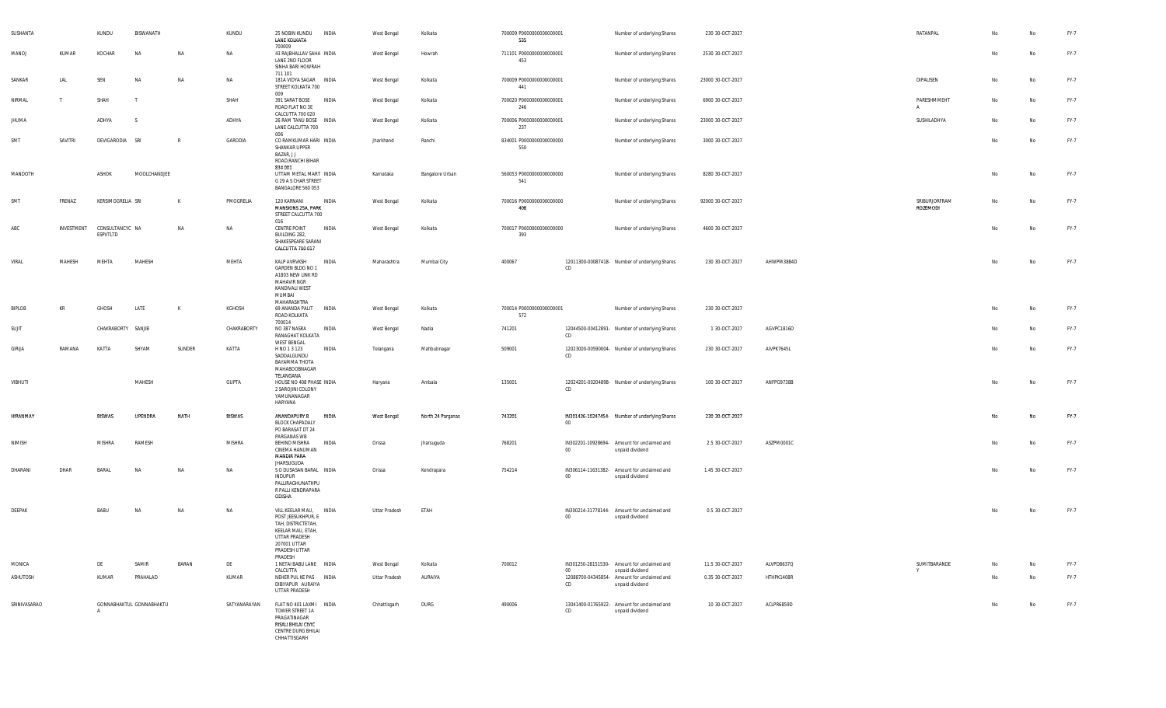| SUSHANTA     |            | KUNDU                       | BISWANATH                |              | KUNDU         | 25 NOBIN KUNDU<br>LANE KOLKATA                                                                                                                       | <b>INDIA</b> | West Bengal   | Kolkata           | 700009 P0000000000000001<br>535  |        | Number of underlying Shares                                    | 230 30-OCT-2027   |            | RATANPAL                  |    | No | FY-7 |
|--------------|------------|-----------------------------|--------------------------|--------------|---------------|------------------------------------------------------------------------------------------------------------------------------------------------------|--------------|---------------|-------------------|----------------------------------|--------|----------------------------------------------------------------|-------------------|------------|---------------------------|----|----|------|
| MANOJ        | KUMAR      | KOCHAR                      | NA                       | NA           | NA            | 700009<br>43 RAJBHALLAV SAHA INDIA<br>LANE 2ND FLOOR<br>SINHA BARI HOWRAH                                                                            |              | West Bengal   | Howrah            | 711101 P0000000000000001<br>453  |        | Number of underlying Shares                                    | 2530 30-OCT-2027  |            |                           | No | No | FY-7 |
| SANKAR       | LAL        | SEN                         | <b>NA</b>                | NA           | NA            | 711 101<br>181A VIDYA SAGAR INDIA<br>STREET KOLKATA 700                                                                                              |              | West Bengal   | Kolkata           | 700009 P00000000000000001<br>441 |        | Number of underlying Shares                                    | 23000 30-OCT-2027 |            | DIPALISEN                 | No | No | FY-7 |
| NIRMAL       | . т.       | SHAH                        | $\top$                   |              | SHAH          | 009<br>391 SARAT BOSE<br>ROAD FLAT NO 3E<br>CALCUTTA 700 020                                                                                         | INDIA        | West Bengal   | Kolkata           | 700020 P0000000000000001<br>246  |        | Number of underlying Shares                                    | 6900 30-OCT-2027  |            | PARESHMMEHT<br>A          | No | No | FY-7 |
| JHUMA        |            | ADHYA                       | - S                      |              | ADHYA         | 26 RAM TANU BOSE INDIA<br>LANE CALCUTTA 700<br>006                                                                                                   |              | West Bengal   | Kolkata           | 700006 P0000000000000001<br>237  |        | Number of underlying Shares                                    | 23000 30-OCT-2027 |            | SUSHILADHYA               | No | No | FY-7 |
| SMT          | SAVITRI    | DEVIGARODIA SRI             |                          | $\mathbb{R}$ | GARODIA       | CO RAMKUMAR HARI INDIA<br>SHANKAR UPPER<br>BAZAR, J J<br>ROAD, RANCHI BIHAR<br>834 001                                                               |              | Jharkhand     | Ranchi            | 834001 P0000000000000000<br>550  |        | Number of underlying Shares                                    | 3000 30-OCT-2027  |            |                           | No | No | FY-7 |
| MANDOTH      |            | ASHOK                       | MOOLCHANDJEE             |              |               | UTTAM METAL MART INDIA<br>G 29 A S CHAR STREET<br>BANGALORE 560 053                                                                                  |              | Karnataka     | Bangalore Urban   | 560053 P0000000000000000<br>541  |        | Number of underlying Shares                                    | 8280 30-OCT-2027  |            |                           | No | No | FY-7 |
| SMT          | FRENAZ     | KERSIMOGRELIA SRI           |                          | K            | PMOGRELIA     | 120 KARNANI<br>MANSIONS 25A, PARK<br>STREET CALCUTTA 700<br>016                                                                                      | INDIA        | West Bengal   | Kolkata           | 700016 P0000000000000000<br>408  |        | Number of underlying Shares                                    | 92000 30-OCT-2027 |            | SRIBURJORFRAM<br>ROZEMODI | No | No | FY-7 |
| ABC          | INVESTMENT | CONSULTANCYC NA<br>ESPVTLTD |                          | <b>NA</b>    | <b>NA</b>     | CENTRE POINT<br>BUILDING 282,<br>SHAKESPEARE SARANI<br>CALCUTTA 700 017                                                                              | <b>INDIA</b> | West Bengal   | Kolkata           | 700017 P0000000000000000<br>393  |        | Number of underlying Shares                                    | 4600 30-OCT-2027  |            |                           | No | No | FY-7 |
| VIRAL        | MAHESH     | MEHTA                       | MAHESH                   |              | MEHTA         | KALP AVRVKSH<br>GARDEN BLDG NO 1<br>A1803 NEW LINK RD<br>MAHAVIR NGR<br>KANDIVALI WEST<br>MUMBAI                                                     | INDIA        | Maharashtra   | Mumbai City       | 400067                           | CD.    | 12011300-00087418- Number of underlying Shares                 | 230 30-OCT-2027   | AHWPM3884D |                           | No | No | FY-7 |
| BIPLOB       | KR         | GHOSH                       | LATE                     | K            | KGHOSH        | MAHARASHTRA<br>69 ANANDA PALIT<br>ROAD KOLKATA<br>700014                                                                                             | <b>INDIA</b> | West Bengal   | Kolkata           | 700014 P0000000000000001<br>572  |        | Number of underlying Shares                                    | 230 30-OCT-2027   |            |                           | No | No | FY-7 |
| SUJIT        |            | CHAKRABORTY SANJIB          |                          |              | CHAKRABORTY   | NO 387 NASRA<br>RANAGHAT KOLKATA<br><b>WEST BENGAL</b>                                                                                               | <b>INDIA</b> | West Bengal   | Nadia             | 741201                           | CD     | 12044500-00412891- Number of underlying Shares                 | 1 30-OCT-2027     | AGVPC1816D |                           | No | No | FY-7 |
| GIRIJA       | RAMANA     | KATTA                       | SHYAM                    | SUNDER       | KATTA         | H NO 1 3 123<br>SADDALGUNDU<br>BAYAMMA THOTA<br>MAHABOOBNAGAR<br>TELANGANA                                                                           | INDIA        | Telangana     | Mahbubnagar       | 509001                           | CD     | 12023000-00590004- Number of underlying Shares                 | 230 30-OCT-2027   | AIVPK7645L |                           | No | No | FY-7 |
| VIBHUTI      |            |                             | MAHESH                   |              | GUPTA         | HOUSE NO 408 PHASE INDIA<br>2 SAROJINI COLONY<br>YAMUNANAGAR<br>HARYANA                                                                              |              | Haryana       | Ambala            | 135001                           | CD     | 12024201-00204898- Number of underlying Shares                 | 100 30-OCT-2027   | ANFPG9738B |                           | No | No | FY-7 |
| HIRANMAY     |            | <b>BISWAS</b>               | <b>UPENDRA</b>           | NATH         | <b>BISWAS</b> | ANANDAPURY B<br>BLOCK CHAPADALY<br>PO BARASAT DT 24<br>PARGANAS WB                                                                                   | INDIA        | West Bengal   | North 24 Parganas | 743201                           | $00 -$ | IN301436-10247454- Number of underlying Shares                 | 230 30-OCT-2027   |            |                           | No | No | FY-7 |
| NIMISH       |            | <b>MISHRA</b>               | RAMESH                   |              | MISHRA        | BEHIND MISHRA<br>CINEMA HANUMAN<br><b>MANDIR PARA</b>                                                                                                | INDIA        | Orissa        | Jharsuguda        | 768201                           | 00     | IN302201-10928694- Amount for unclaimed and<br>unpaid dividend | 2.5 30-OCT-2027   | ASZPM0001C |                           | No | No | FY-7 |
| DHARANI      | DHAR       | BARAL                       | NA                       | NA           | NA            | <b>JHARSUGUDA</b><br>S O DUSASAN BARAL INDIA<br>INDUPUR<br>PALLIRAGHUNATHPU<br>R PALLI KENDRAPARA<br>ODISHA                                          |              | Orissa        | Kendrapara        | 754214                           | $00\,$ | IN306114-11631382- Amount for unclaimed and<br>unpaid dividend | 1.45 30-OCT-2027  |            |                           | No | No | FY-7 |
| DEEPAK       |            | BABU                        | NA                       | <b>NA</b>    | NA            | VILL KEELAR MAU, INDIA<br>POST JEESUKHPUR, E<br>TAH, DISTRICTETAH,<br>KEELAR MAU, ETAH,<br>UTTAR PRADESH<br>207001 UTTAR<br>PRADESH UTTAR<br>PRADESH |              | Uttar Pradesh | ETAH              |                                  | $00\,$ | IN300214-31778144- Amount for unclaimed and<br>unpaid dividend | 0.5 30-OCT-2027   |            |                           | No | No | FY-7 |
| MONICA       |            | DE                          | SAMIR                    | BARAN        | DE            | 1 NETAI BABU LANE INDIA<br>CALCUTTA                                                                                                                  |              | West Bengal   | Kolkata           | 700012                           | 00     | IN301250-28151530- Amount for unclaimed and<br>unpaid dividend | 11.5 30-OCT-2027  | ALVPD8637Q | SUMITBARANDE              | No | No | FY-7 |
| ASHUTOSH     |            | KUMAR                       | PRAHALAD                 |              | KUMAR         | NEHER PUL KE PAS INDIA<br>DIBIYAPUR AURAIYA<br>UTTAR PRADESH                                                                                         |              | Uttar Pradesh | AURAIYA           |                                  | CD     | 12088700-04345854- Amount for unclaimed and<br>unpaid dividend | 0.35 30-OCT-2027  | HTHPK1408R |                           | No | No | FY-7 |
| SRINIVASARAO |            | A                           | GONNABHAKTUL GONNABHAKTU |              | SATYANARAYAN  | FLAT NO 401 LAXMI INDIA<br>TOWER STREET 1A<br>PRAGATINAGAR<br>RISALI BHILAI CIVIC<br>CENTRE DURG BHILAI<br>CHHATTISGARH                              |              | Chhattisgarh  | DURG              | 490006                           | CD     | 13041400-01765922- Amount for unclaimed and<br>unpaid dividend | 10 30-OCT-2027    | ACLPR6859D |                           | No | No | FY-7 |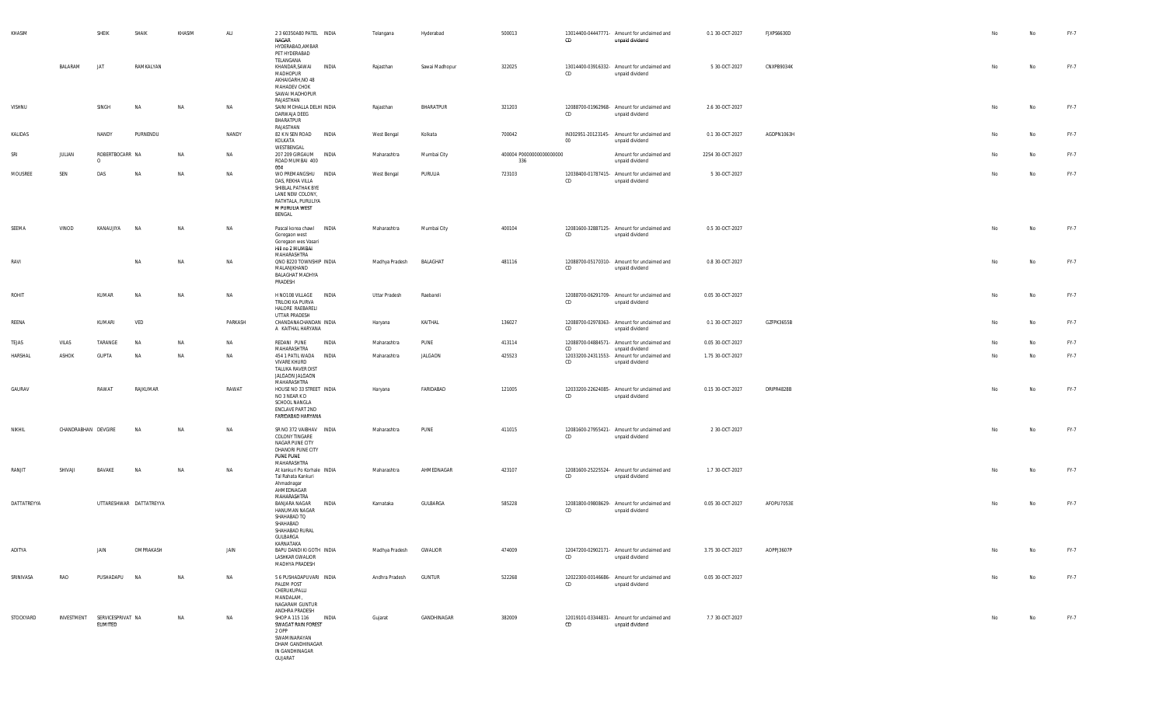| KHASIM      |                     | SHEIK                                    | SHAIK                   | KHASIM | ALI     | 2 3 60350A80 PATEL INDIA<br>NAGAR<br>HYDERABAD, AMBAR<br>PET HYDERABAD<br>TELANGANA                                                 |       | Telangana              | Hyderabad      | 500013                           | CD     | 13014400-04447771- Amount for unclaimed and<br>unpaid dividend | 0.1 30-OCT-2027  | FJXPS6630D | No | No        | FY-7 |
|-------------|---------------------|------------------------------------------|-------------------------|--------|---------|-------------------------------------------------------------------------------------------------------------------------------------|-------|------------------------|----------------|----------------------------------|--------|----------------------------------------------------------------|------------------|------------|----|-----------|------|
|             | BALARAM             | <b>JAT</b>                               | RAMKALYAN               |        |         | KHANDAR, SAWAI<br>MADHOPUR<br>AKHAIGARH, NO 48<br>MAHADEV CHOK<br>SAWAI MADHOPUR<br>RAJASTHAN                                       | INDIA | Rajasthan              | Sawai Madhopur | 322025                           | CD     | 13014400-03916332- Amount for unclaimed and<br>unpaid dividend | 5 30-OCT-2027    | CNXPB9034K | No | No        | FY-7 |
| VISHNU      |                     | SINGH                                    | <b>NA</b>               | NA     | NA      | SAINI MOHALLA DELHI INDIA<br>DARWAJA DEEG<br>BHARATPUR<br>RAJASTHAN                                                                 |       | Rajasthan              | BHARATPUR      | 321203                           | CD     | 12088700-01962968- Amount for unclaimed and<br>unpaid dividend | 2.6 30-OCT-2027  |            | No | <b>No</b> | FY-7 |
| KALIDAS     |                     | NANDY                                    | PURNENDU                |        | NANDY   | 82 K N SEN ROAD INDIA<br>KOLKATA<br>WESTBENGAL                                                                                      |       | West Bengal            | Kolkata        | 700042                           | $00\,$ | IN302951-20123145- Amount for unclaimed and<br>unpaid dividend | 0.1 30-OCT-2027  | AGDPN1063H | No | No        | FY-7 |
| SRI         | JULIAN              | ROBERTBOCARR NA<br>$\circ$               |                         | NA     | NA      | 207 209 GIRGAUM INDIA<br>ROAD MUMBAI 400<br>004                                                                                     |       | Maharashtra            | Mumbai City    | 400004 P00000000000000000<br>336 |        | Amount for unclaimed and<br>unpaid dividend                    | 2254 30-OCT-2027 |            | No | No        | FY-7 |
| MOUSREE     | SEN                 | DAS                                      | <b>NA</b>               | NA     | NA      | WO PREMANGSHU INDIA<br>DAS, REKHA VILLA<br>SHIBLAL PATHAK BYE<br>LANE NEW COLONY,<br>RATHTALA, PURULIYA<br>M PURULIA WEST<br>BENGAL |       | West Bengal            | PURULIA        | 723103                           | CD     | 12038400-01787415- Amount for unclaimed and<br>unpaid dividend | 5 30-OCT-2027    |            | No | No        | FY-7 |
| SEEMA       | VINOD               | KANAUJIYA                                | NA                      | NA     | NA      | Pascal korea chawl INDIA<br>Goregaon west<br>Goregaon wes Vasari<br>Hill no 2 MUMBAI<br>MAHARASHTRA                                 |       | Maharashtra            | Mumbai City    | 400104                           | CD     | 12081600-32887125- Amount for unclaimed and<br>unpaid dividend | 0.5 30-OCT-2027  |            | No | No        | FY-7 |
| RAVI        |                     |                                          | NA                      | NA     | NA      | QNO B220 TOWNSHIP INDIA<br>MALANJKHAND<br>BALAGHAT MADHYA<br>PRADESH                                                                |       | Madhya Pradesh         | BALAGHAT       | 481116                           | CD     | 12088700-05170310- Amount for unclaimed and<br>unpaid dividend | 0.8 30-OCT-2027  |            | No | No        | FY-7 |
| ROHIT       |                     | KUMAR                                    | NA                      | NA     | NA      | H NO108 VILLAGE INDIA<br>TRILOKI KA PURVA<br>HALORE RAEBARELI<br>UTTAR PRADESH                                                      |       | Uttar Pradesh          | Raebareli      |                                  | CD     | 12088700-06291709- Amount for unclaimed and<br>unpaid dividend | 0.05 30-OCT-2027 |            | No | No        | FY-7 |
| REENA       |                     | KUMARI                                   | VED                     |        | PARKASH | CHANDANACHANDAN INDIA<br>A KAITHAL HARYANA                                                                                          |       | Haryana                | KAITHAL        | 136027                           | CD     | 12088700-02978363- Amount for unclaimed and<br>unpaid dividend | 0.1 30-OCT-2027  | GZFPK3655B | No | No        | FY-7 |
| TEJAS       | VILAS               | TARANGE                                  | <b>NA</b>               | NA     | NA      | REDANI PUNE<br>MAHARASHTRA                                                                                                          | INDIA | Maharashtra            | PUNE           | 413114                           | CD     | 12088700-04884571- Amount for unclaimed and<br>unpaid dividend | 0.05 30-OCT-2027 |            | No | No        | FY-7 |
| HARSHAL     | ASHOK               | <b>GUPTA</b>                             | <b>NA</b>               | NA     | NA      | 454 1 PATIL WADA INDIA<br><b>VIVARE KHURD</b><br>TALUKA RAVER DIST<br>JALGAON JALGAON                                               |       | Maharashtra            | JALGAON        | 425523                           | CD     | 12033200-24311553- Amount for unclaimed and<br>unpaid dividend | 1.75 30-OCT-2027 |            | No | No        | FY-7 |
| GAURAV      |                     | RAWAT                                    | RAJKUMAR                |        | RAWAT   | MAHARASHTRA<br>HOUSE NO 33 STREET INDIA<br>NO 3 NEAR K D<br>SCHOOL NANGLA<br>ENCLAVE PART 2ND<br>FARIDABAD HARYANA                  |       | Haryana                | FARIDABAD      | 121005                           | CD     | 12033200-22624085- Amount for unclaimed and<br>unpaid dividend | 0.15 30-OCT-2027 | DRIPR4828B |    | No        | FY-7 |
| NIKHIL      | CHANDRABHAN DEVGIRE |                                          | <b>NA</b>               | NA     | NA      | SR NO 372 VAIBHAV INDIA<br>COLONY TINGARE<br>NAGAR PUNE CITY<br>DHANORI PUNE CITY<br>PUNE PUNE<br>MAHARASHTRA                       |       | Maharashtra            | PUNE           | 411015                           | CD     | 12081600-27955421- Amount for unclaimed and<br>unpaid dividend | 2 30-OCT-2027    |            | No | No        | FY-7 |
| RANJIT      | SHIVAJI             | BAVAKE                                   | <b>NA</b>               | NA     | NA      | At kankuri Po Korhale INDIA<br>Tal Rahata Kankuri<br>Ahmadnagar<br>AHMEDNAGAR<br>MAHARASHTRA                                        |       | Maharashtra            | AHMEDNAGAR     | 423107                           | CD     | 12081600-25225524- Amount for unclaimed and<br>unpaid dividend | 1.7 30-OCT-2027  |            | No | No        | FY-7 |
| DATTATREYYA |                     |                                          | UTTARESHWAR DATTATREYYA |        |         | BANJARA NAGAR<br>HANUMAN NAGAR<br>SHAHABAD TQ<br>SHAHABAD<br>SHAHABAD RURAL<br>GULBARGA<br>KARNATAKA                                | INDIA | Karnataka              | GULBARGA       | 585228                           | CD     | 12081800-09808629- Amount for unclaimed and<br>unpaid dividend | 0.05 30-OCT-2027 | AFOPU7053E | No | No        | FY-7 |
| ADITYA      |                     | JAIN                                     | OMPRAKASH               |        | JAIN    | BAPU DANDI KI GOTH INDIA<br>LASHKAR GWALIOR<br>MADHYA PRADESH                                                                       |       | Madhya Pradesh GWALIOR |                | 474009                           | CD     | 12047200-02902171- Amount for unclaimed and<br>unpaid dividend | 3.75 30-OCT-2027 | AOPPJ3607P | No | No        | FY-7 |
| SRINIVASA   | RAO                 | PUSHADAPU NA                             |                         | NA     | NA      | 5 6 PUSHADAPUVARI INDIA<br>PALEM POST<br>CHERUKUPALLI<br>MANDALAM,<br>NAGARAM GUNTUR<br>ANDHRA PRADESH                              |       | Andhra Pradesh         | <b>GUNTUR</b>  | 522268                           | CD     | 12022300-00146686- Amount for unclaimed and<br>unpaid dividend | 0.05 30-OCT-2027 |            | No | No        | FY-7 |
| STOCKYARD   |                     | INVESTMENT SERVICESPRIVAT NA<br>ELIMITED |                         | NA     | NA      | SHOP A 115 116 INDIA<br>SWAGAT RAIN FOREST<br>2 OPP<br>SWAMINARAYAN<br>DHAM GANDHINAGAR<br>IN GANDHINAGAR<br>GUJARAT                |       | Gujarat                | GANDHINAGAR    | 382009                           | CD     | 12019101-03344831- Amount for unclaimed and<br>unpaid dividend | 7.7 30-OCT-2027  |            | No | No        | FY-7 |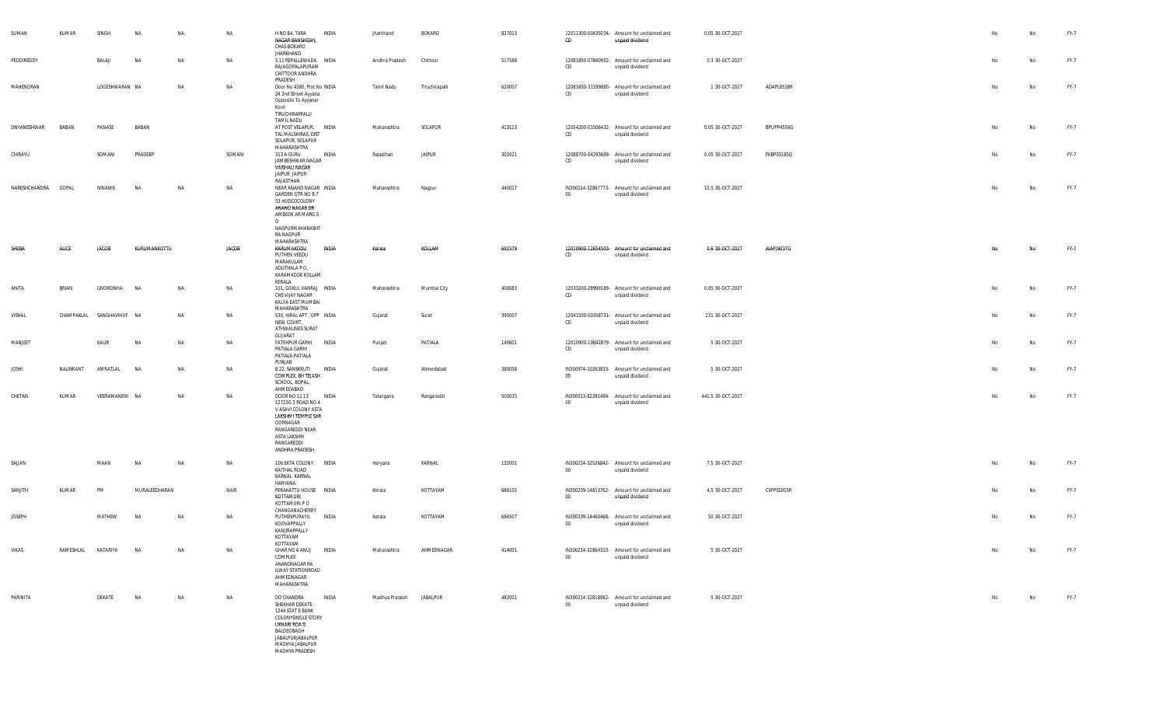| SUMAN               | KUMAR     | SINGH                     | <b>NA</b>     | <b>NA</b> | <b>NA</b>    | H NO 84, TARA<br><b>INDIA</b><br>NAGAR BANSHIDIH,<br>CHAS BOKARO<br>JHARKHAND                                                                                                 | Jharkhand               | <b>BOKARO</b>  | 827013 | CD     | 12011300-00439234- Amount for unclaimed and<br>unpaid dividend | 0.05 30-OCT-2027  |            | No | No | FY-7        |
|---------------------|-----------|---------------------------|---------------|-----------|--------------|-------------------------------------------------------------------------------------------------------------------------------------------------------------------------------|-------------------------|----------------|--------|--------|----------------------------------------------------------------|-------------------|------------|----|----|-------------|
| PEDDIREDDY          |           | BALAJI                    | NA            | NA        | NA           | 5 11 REPALLEWADA INDIA<br>RAJAGOPALAPURAM<br>CHITTOOR ANDHRA<br>PRADESH                                                                                                       | Andhra Pradesh          | Chittoor       | 517588 | CD     | 12081800-07840932- Amount for unclaimed and<br>unpaid dividend | 0.3 30-OCT-2027   |            | No | No | <b>FY-7</b> |
| MAHENDRAN           |           | LOGESHWARAN NA            |               | NA        | <b>NA</b>    | Door No 4380, Plot No INDIA<br>24 2nd Street Ayyana<br>Opposite To Ayyanar<br>Kovil<br>TIRUCHIRAPPALLI<br><b>TAMIL NADU</b>                                                   | Tamil Nadu              | Tiruchirapalli | 620007 | CD     | 12081600-31199880- Amount for unclaimed and<br>unpaid dividend | 1 30-OCT-2027     | ADAPL8538R | No | No | FY-7        |
| DNYANESHWAR         | BABAN     | PANASE                    | BABAN         |           |              | AT POST VELAPUR, INDIA<br>TAL MALSHIRAS, DIST<br>SOLAPUR, SOLAPUR<br>MAHARASHTRA                                                                                              | Maharashtra             | SOLAPUR        | 413113 | CD     | 12054200-01506432- Amount for unclaimed and<br>unpaid dividend | 0.05 30-OCT-2027  | BPUPP4556G | No | No | FY-7        |
| CHIRAYU             |           | SOMANI                    | PRADEEP       |           | SOMANI       | 313 A GURU<br>INDIA<br>JAMBESHWAR NAGAR<br>VAISHALI NAGAR<br>JAIPUR JAIPUR<br>RAJASTHAN                                                                                       | Rajasthan               | <b>JAIPUR</b>  | 302021 | CD     | 12088700-04293699- Amount for unclaimed and<br>unpaid dividend | 0.05 30-OCT-2027  | FKBPS3185Q | No | No | FY-7        |
| NARESHCHANDRA GOPAL |           | NINAWE                    | <b>NA</b>     | <b>NA</b> | <b>NA</b>    | NEAR ANAND NAGAR INDIA<br>GARDEN QTR NO B 7<br>53 HUDCOCOLONY<br>ANAND NAGAR DR<br>AMBEDK AR MARG S<br>$\circ$<br>NAGPURMAHARASHT<br>RA NAGPUR                                | Maharashtra             | Nagpur         | 440017 | $00\,$ | IN300214-32867773- Amount for unclaimed and<br>unpaid dividend | 15.5 30-OCT-2027  |            | No | No | FY-7        |
| SHEBA               | ALICE     | <b>JACOB</b>              | KURUMANKOTTU  |           | <b>JACOB</b> | MAHARASHTRA<br>KARUMAKODU<br><b>INDIA</b><br>PUTHEN VEEDU<br>MARAKULAM<br>ADUTHALA PO,<br>KARAMKODE KOLLAM<br>KERALA                                                          | Kerala                  | KOLLAM         | 691579 | CD     | 12010900-12654503- Amount for unclaimed and<br>unpaid dividend | 0.6 30-OCT-2027   | AIAPJ9037G | No | No | FY-7        |
| ANITA               | BRIAN     | GNORONHA                  | <b>NA</b>     | NA        | NA           | 101, GOKUL VANRAJ INDIA<br>CHS VIJAY NAGAR<br>KALYA EAST MUMBAI<br>MAHARASHTRA                                                                                                | Maharashtra             | Mumbai City    | 400083 | CD     | 12033200-28999189- Amount for unclaimed and<br>unpaid dividend | 0.05 30-OCT-2027  |            | No | No | <b>FY-7</b> |
| VISHAL              |           | CHAMPAKLAL SANGHAVIHUF NA |               | NA        | NA           | 530, HIRAL APT, OPP INDIA<br>NEW COURT,<br>ATHWALINES SURAT<br>GUJARAT                                                                                                        | Gujarat                 | Surat          | 395007 | CD     | 12041500-00358731- Amount for unclaimed and<br>unpaid dividend | 231 30-OCT-2027   |            | No | No | FY-7        |
| MANJEET             |           | KAUR                      | <b>NA</b>     | NA        | NA           | FATEHPUR GARHI INDIA<br>PATIALA GARHI<br>PATIALA PATIALA<br>PUNJAB                                                                                                            | Punjab                  | PATIALA        | 140601 | CD     | 12010900-10842879- Amount for unclaimed and<br>unpaid dividend | 5 30-OCT-2027     |            | No | No | FY-7        |
| <b>JOSHI</b>        | NALINKANT | AMRATLAL                  | <b>NA</b>     | NA        | <b>NA</b>    | B 22, SANSKRUTI INDIA<br>COMPLEX, BH TEJASH<br>SCHOOL, BOPAL,<br>AHMEDABAD                                                                                                    | Gujarat                 | Ahmedabad      | 380058 | 00     | IN300974-10263833- Amount for unclaimed and<br>unpaid dividend | 5 30-OCT-2027     |            | No | No | FY-7        |
| CHETAN              | KUMAR     | VEERAMANENI NA            |               | NA        | <b>NA</b>    | DOOR NO 11 13<br>INDIA<br>12723G 3 ROAD NO 4<br>V ASAVI COLONY ASTA<br>LAKSHMI TEMPLE SAR<br>OORNAGAR<br>RANGAREDDI NEAR<br>ASTA LAKSHM<br>RANGAREDDI<br>ANDHRA PRADESH       | Telangana               | Rangareddi     | 500035 | $00\,$ | IN300513-82281494- Amount for unclaimed and<br>unpaid dividend | 441.5 30-OCT-2027 |            | No | No | FY-7        |
| SAJJAN              |           | MAAN                      | <b>NA</b>     | NA        | NA           | 106 EKTA COLONY INDIA<br>KAITHAL ROAD<br>KARNAL KARNAL<br>HARYANA                                                                                                             | Haryana                 | KARNAL         | 132001 | $00\,$ | IN300214-32526842- Amount for unclaimed and<br>unpaid dividend | 7.5 30-OCT-2027   |            | No | No | FY-7        |
| SANJITH             | KUMAR     | PM                        | MURALEEDHARAN |           | NAIR         | PERAKATTU HOUSE INDIA<br>KOTTAMURI<br>KOTTAMURI P O<br>CHANGANACHERRY                                                                                                         | Kerala                  | KOTTAYAM       | 686105 | 00     | IN300239-14813762- Amount for unclaimed and<br>unpaid dividend | 4.5 30-OCT-2027   | CXFPS1055R | No | No | FY-7        |
| <b>JOSEPH</b>       |           | MATHEW                    | NA            | NA        | <b>NA</b>    | PUTHENPURAYIL<br><b>INDIA</b><br>KOOVAPPALLY<br>KANJIRAPPALLY<br>KOTTAYAM<br>KOTTAYAM                                                                                         | Kerala                  | KOTTAYAM       | 686507 | $00\,$ | IN300239-14460468- Amount for unclaimed and<br>unpaid dividend | 50 30-OCT-2027    |            | No | No | FY-7        |
| VIKAS               |           | RAMESHLAL KATARIYA        | <b>NA</b>     | NA        | NA           | GHAR NO 6 ANUJ INDIA<br>COMPLEX<br>ANANDNAGAR RA<br><b>ILWAY STATIONROAD</b><br>AHMEDNAGAR<br>MAHARASHTRA                                                                     | Maharashtra             | AHMEDNAGAR     | 414001 | $00\,$ | IN300214-32864310- Amount for unclaimed and<br>unpaid dividend | 5 30-OCT-2027     |            | No | No | FY-7        |
| PARINITA            |           | DEKATE                    | <b>NA</b>     | NA        | NA           | DO CHANDRA<br>INDIA<br>SHEKHAR DEKATE<br>1244 STAT E BANK<br><b>COLONYSINGLE STORY</b><br>UKHARI ROA D<br>BALDEOBAGH<br>JABALPURJABALPUR<br>MADHYA JABALPUR<br>MADHYA PRADESH | Madhya Pradesh JABALPUR |                | 482001 | $00\,$ | IN300214-32818062- Amount for unclaimed and<br>unpaid dividend | 5 30-OCT-2027     |            | No | No | FY-7        |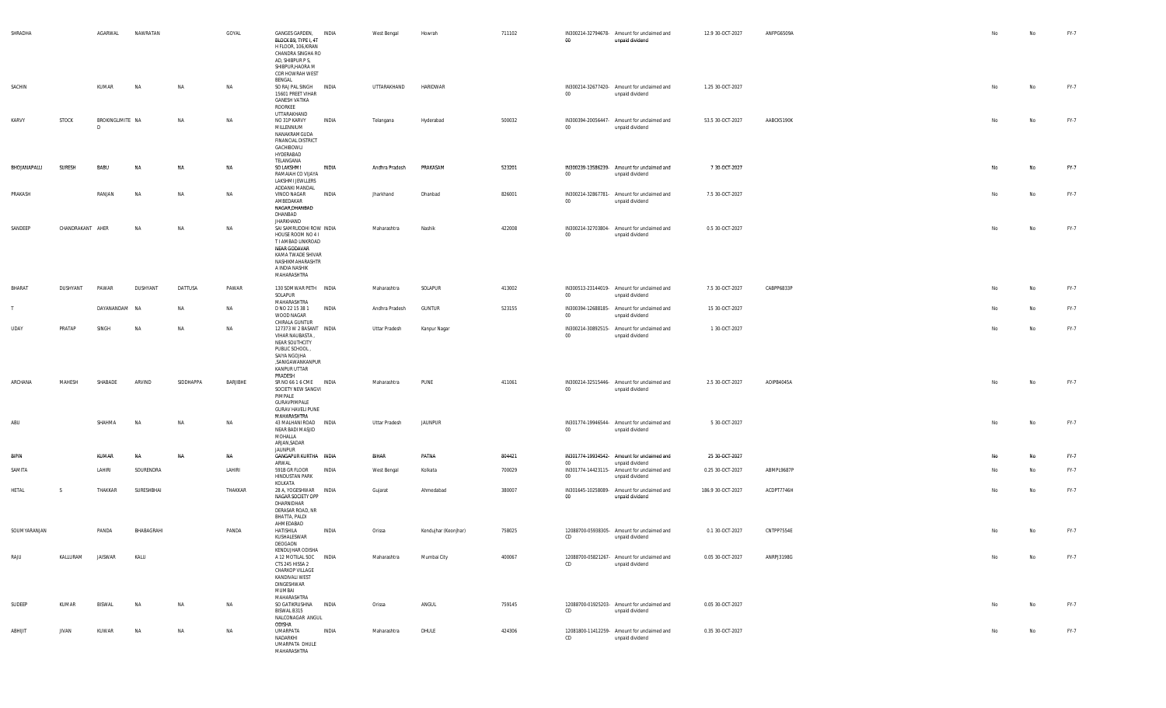| SHRADHA      |                  | AGARWAL               | NAWRATAN   |           | GOYAL    | GANGES GARDEN, INDIA<br>BLOCK B9, TYPE I, 4T<br>H FLOOR, 106.KIRAN<br>CHANDRA SINGHA RO<br>AD, SHIBPUR P S,<br>SHIBPUR, HAORA M<br>COR HOWRAH WEST                       |              | West Bengal    | Howrah               | 711102 | $00\,$           | IN300214-32794678- Amount for unclaimed and<br>unpaid dividend                    | 12.9 30-OCT-2027  | ANFPG6509A | No | No        | FY-7 |
|--------------|------------------|-----------------------|------------|-----------|----------|--------------------------------------------------------------------------------------------------------------------------------------------------------------------------|--------------|----------------|----------------------|--------|------------------|-----------------------------------------------------------------------------------|-------------------|------------|----|-----------|------|
| SACHIN       |                  | KUMAR                 | <b>NA</b>  | NA        | NA       | BENGAL<br>SO RAJ PAL SINGH INDIA<br>15601 PREET VIHAR<br><b>GANESH VATIKA</b><br>ROORKEE                                                                                 |              | UTTARAKHAND    | HARIDWAR             |        | 00               | IN300214-32677420- Amount for unclaimed and<br>unpaid dividend                    | 1.25 30-OCT-2027  |            | No | No        | FY-7 |
| KARVY        | <b>STOCK</b>     | BROKINGLIMITE NA<br>n |            | NA        | NA       | UTTARAKHAND<br>NO 31P KARVY<br>MILLENNIUM<br>NANAKRAMGUDA<br>FINANCIAL DISTRICT<br>GACHIBOWLI<br>HYDERABAD<br>TELANGANA                                                  | INDIA        | Telangana      | Hyderabad            | 500032 | $00\,$           | IN300394-20056447- Amount for unclaimed and<br>unpaid dividend                    | 53.5 30-OCT-2027  | AABCK5190K | No | No        | FY-7 |
| BHOJANAPALLI | <b>SURESH</b>    | BABU                  | NΔ         | NA        | NA       | SO LAKSHMI<br>RAMAIAH CO VUAYA<br>LAKSHMI JEWLLERS<br>ADDANKI MANDAL                                                                                                     | INDIA        | Andhra Pradesh | PRAKASAM             | 523201 | $_{00}$          | IN300239-13586239- Amount for unclaimed and<br>unpaid dividend                    | 7 30-OCT-2027     |            | No | No        | FY-7 |
| PRAKASH      |                  | RANJAN                | <b>NA</b>  | NA        | NA       | <b>VINOD NAGAR</b><br>AMBEDAKAR<br>NAGAR, DHANBAD<br>DHANBAD                                                                                                             | <b>INDIA</b> | Jharkhand      | Dhanbad              | 826001 | $00\,$           | IN300214-32867781- Amount for unclaimed and<br>unpaid dividend                    | 7.5 30-OCT-2027   |            | No | No        | FY-7 |
| SANDEEP      | CHANDRAKANT AHER |                       | NA         | NA        | NA       | JHARKHAND<br>SAI SAMRUDDHI ROW INDIA<br>HOUSE ROOM NO 41<br>T I AMBAD LINKROAD<br>NEAR GODAVAR<br>KAMA TWADE SHIVAR<br>NASHIKMAHARASHTR<br>A INDIA NASHIK<br>MAHARASHTRA |              | Maharashtra    | Nashik               | 422008 | $00\,$           | IN300214-32703804- Amount for unclaimed and<br>unpaid dividend                    | 0.5 30-OCT-2027   |            | No | No        | FY-7 |
| BHARAT       | DUSHYANT         | PAWAR                 | DUSHYANT   | DATTUSA   | PAWAR    | 130 SOMWAR PETH INDIA<br>SOLAPUR<br>MAHARASHTRA                                                                                                                          |              | Maharashtra    | SOLAPUR              | 413002 | 00               | IN300513-23144019- Amount for unclaimed and<br>unpaid dividend                    | 7.5 30-OCT-2027   | CABPP6833P | No | No        | FY-7 |
| $\mathsf{T}$ |                  | DAYANANDAM NA         |            | NA        | NA       | D NO 22 15 38 1<br>WOOD NAGAR<br>CHIRALA GUNTUR                                                                                                                          | <b>INDIA</b> | Andhra Pradesh | <b>GUNTUR</b>        | 523155 | $00\,$           | IN300394-12688185- Amount for unclaimed and<br>unpaid dividend                    | 15 30-OCT-2027    |            | No | No        | FY-7 |
| <b>UDAY</b>  | PRATAP           | SINGH                 | <b>NA</b>  | NA        | NA       | 127373 W 2 BASANT INDIA<br>VIHAR NAUBASTA,<br>NEAR SOUTHCITY<br>PUBLIC SCHOOL,<br>SAIYA NGOJHA<br>,SANIGAWANKANPUR<br>KANPUR UTTAR<br>PRADESH                            |              | Uttar Pradesh  | Kanpur Nagar         |        | $00\,$           | IN300214-30892515- Amount for unclaimed and<br>unpaid dividend                    | 1 30 OCT-2027     |            | No | No        | FY-7 |
| ARCHANA      | MAHESH           | SHABADE               | ARVIND     | SIDDHAPPA | BARJIBHE | SR NO 66 1 6 CME INDIA<br>SOCIETY NEW SANGVI<br>PIMPALE<br>GURAVPIMPALE<br><b>GURAV HAVELI PUNE</b><br>MAHARASHTRA                                                       |              | Maharashtra    | PUNE                 | 411061 | $00\,$           | IN300214-32515446- Amount for unclaimed and<br>unpaid dividend                    | 2.5 30-OCT-2027   | AOIPB4045A | No | No        | FY-7 |
| ABU          |                  | SHAHMA                | <b>NA</b>  | NA        | NA       | 43 MALHANI ROAD INDIA<br>NEAR BADI MASJID<br>MOHALLA<br>ARJAN, SADAR<br><b>JAUNPUR</b>                                                                                   |              | Uttar Pradesh  | <b>JAUNPUR</b>       |        | 00               | IN301774-19946544- Amount for unclaimed and<br>unpaid dividend                    | 5 30-OCT-2027     |            | No | No        | FY-7 |
| <b>BIPIN</b> |                  | KUMAR                 | NA         | NA        | NA       | GANGAPUR KURTHA INDIA                                                                                                                                                    |              | BIHAR          | PATNA                | 804421 |                  | IN301774-19934542- Amount for unclaimed and                                       | 25 30-OCT-2027    |            | No | No        | FY-7 |
| SAMITA       |                  | LAHIRI                | SOURENDRA  |           | LAHIRI   | ARWAI<br>591B GR FLOOR<br><b>HINDUSTAN PARK</b><br>KOLKATA                                                                                                               | INDIA        | West Bengal    | Kolkata              | 700029 | $00\,$<br>$00\,$ | unpaid dividend<br>IN301774-14423115- Amount for unclaimed and<br>unpaid dividend | 0.25 30-OCT-2027  | ABMPL9687P | No | No        | FY-7 |
| HETAL        | S                | THAKKAR               | SURESHBHAI |           | THAKKAR  | 28 A, YOGESHWAR INDIA<br>NAGAR SOCIETY OPP<br>DHARNIDHAR<br>DERASAR ROAD, NR<br>BHATTA, PALDI<br>AHMEDABAD                                                               |              | Gujarat        | Ahmedabad            | 380007 | 00               | IN301645-10258089- Amount for unclaimed and<br>unpaid dividend                    | 186.9 30-OCT-2027 | ACDPT7746H | No | No        | FY-7 |
| SOUMYARANJAN |                  | PANDA                 | BHABAGRAHI |           | PANDA    | HATISHILA<br>KUSHALESWAR<br>DEOGAON                                                                                                                                      | INDIA        | Orissa         | Kendujhar (Keonjhar) | 758025 | CD               | 12088700-05938305- Amount for unclaimed and<br>unpaid dividend                    | 0.1 30-OCT-2027   | CNTPP7554E |    | No        | FY-7 |
| RAJU         | KALLURAM         | <b>JAISWAR</b>        | KALU       |           |          | KENDUJHAR ODISHA<br>A 12 MOTILAL SOC INDIA<br>CTS 245 HISSA 2<br>CHARKOP VILLAGE<br>KANDIVALI WEST<br>DINGESHWAR<br>MUMBAI<br>MAHARASHTRA                                |              | Maharashtra    | Mumbai City          | 400067 | CD               | 12088700-05821267- Amount for unclaimed and<br>unpaid dividend                    | 0.05 30-OCT-2027  | ANRPJ3198G | No | No        | FY-7 |
| SUDEEP       | KUMAR            | BISWAL                | <b>NA</b>  | NA        | NA       | SO GATIKRUSHNA INDIA<br>BISWAL B315<br>NALCONAGAR ANGUL<br>ODISHA                                                                                                        |              | Orissa         | ANGUL                | 759145 | CD               | 12088700-01925203- Amount for unclaimed and<br>unpaid dividend                    | 0.05 30-OCT-2027  |            | No | No        | FY-7 |
| ABHIJIT      | JIVAN            | KUWAR                 | NA         | NA        | NA       | UMARPATA<br>NADARKHI<br>UMARPATA DHULE<br>MAHARASHTRA                                                                                                                    | INDIA        | Maharashtra    | DHULE                | 424306 | CD               | 12081800-11412259- Amount for unclaimed and<br>unpaid dividend                    | 0.35 30-OCT-2027  |            | No | <b>No</b> | FY-7 |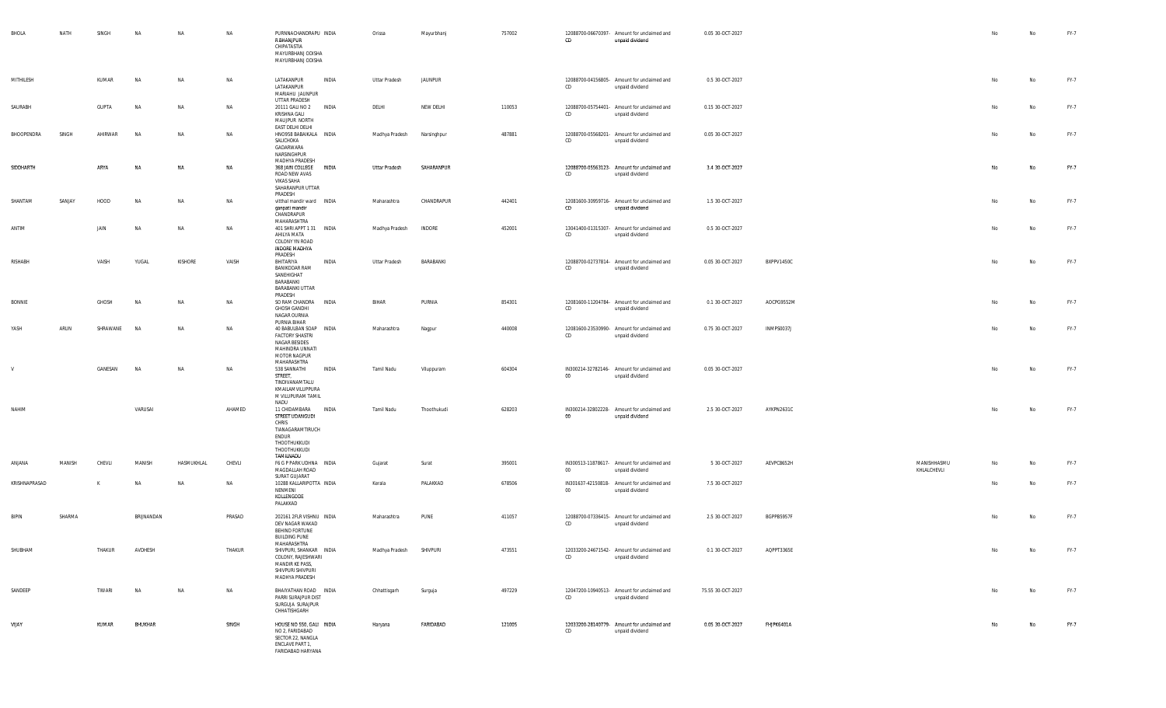| BHOLA         | NATH   | SINGH        | NA         | NA             | NA        | PURNNACHANDRAPU INDIA<br>R BHANJPUR<br>CHIPATASTIA<br>MAYURBHANJ ODISHA<br>MAYURBHANJ ODISHA                                        | Orissa                  | Mayurbhanj  | 757002 | 12088700-06670397- Amount for unclaimed and<br>CD<br>unpaid dividend     | 0.05 30-OCT-2027  |            |                            | No | No | FY-7 |
|---------------|--------|--------------|------------|----------------|-----------|-------------------------------------------------------------------------------------------------------------------------------------|-------------------------|-------------|--------|--------------------------------------------------------------------------|-------------------|------------|----------------------------|----|----|------|
| MITHILESH     |        | KUMAR        | NA         | NA             | NA        | LATAKANPUR<br>INDIA<br>LATAKANPUR<br>MARIAHU JAUNPUR                                                                                | Uttar Pradesh           | JAUNPUR     |        | 12088700-04156805- Amount for unclaimed and<br>CD<br>unpaid dividend     | 0.5 30-OCT-2027   |            |                            | No | No | FY-7 |
| SAURABH       |        | <b>GUPTA</b> | <b>NA</b>  | NA             | NA        | UTTAR PRADESH<br>20111 GALI NO 2<br>INDIA<br>KRISHNA GALI<br>MAUJPUR NORTH                                                          | DELHI                   | NEW DELHI   | 110053 | 12088700-05754401- Amount for unclaimed and<br>CD<br>unpaid dividend     | 0.15 30-OCT-2027  |            |                            | No | No | FY-7 |
| BHOOPENDRA    | SINGH  | AHIRWAR      | <b>NA</b>  | NA             | NA        | EAST DELHI DELHI<br>HNO958 BABAIKALA INDIA<br>SALICHOKA<br>GADARWARA<br>NARSINGHPUR<br>MADHYA PRADESH                               | Madhya Pradesh          | Narsinghpur | 487881 | 12088700-05568201- Amount for unclaimed and<br>CD<br>unpaid dividend     | 0.05 30-OCT-2027  |            |                            | No | No | FY-7 |
| SIDDHARTH     |        | ARYA         | NA         | NA             | NA        | 368 JAIN COLLEGE INDIA<br>ROAD NEW AVAS<br>VIKAS SAHA<br>SAHARANPUR UTTAR<br>PRADESH                                                | Uttar Pradesh           | SAHARANPUR  |        | 12088700-05563123- Amount for unclaimed and<br>CD<br>unpaid dividend     | 3.4 30-OCT-2027   |            |                            | No | No | FY-7 |
| SHANTAM       | SANJAY | HOOD         | <b>NA</b>  | <b>NA</b>      | NA        | vitthal mandir ward  INDIA<br>ganpati mandir<br>CHANDRAPUR<br>MAHARASHTRA                                                           | Maharashtra             | CHANDRAPUR  | 442401 | 12081600-30959716- Amount for unclaimed and<br>CD<br>unpaid dividend     | 1.5 30-OCT-2027   |            |                            | No | No | FY-7 |
| ANTIM         |        | JAIN         | NA         | NA             | NA        | 401 SHRI APPT 1 31 INDIA<br>AHILYA MATA<br>COLONY YN ROAD<br><b>INDORE MADHYA</b><br>PRADESH                                        | Madhya Pradesh          | INDORE      | 452001 | 13041400-01315307- Amount for unclaimed and<br>CD<br>unpaid dividend     | 0.5 30-OCT-2027   |            |                            | No | No | FY-7 |
| RISHABH       |        | VAISH        | YUGAL      | <b>KISHORE</b> | VAISH     | BHITARIYA<br>INDIA<br><b>BANIKODAR RAM</b><br>SANEHIGHAT<br>BARABANKI<br>BARABANKI UTTAR<br>PRADESH                                 | Uttar Pradesh           | BARABANKI   |        | 12088700-02737814- Amount for unclaimed and<br>CD<br>unpaid dividend     | 0.05 30-OCT-2027  | BXPPV1450C |                            | No | No | FY-7 |
| BONNIE        |        | GHOSH        | <b>NA</b>  | NA             | <b>NA</b> | SO RAM CHANDRA INDIA<br><b>GHOSH GANDHI</b><br>NAGAR OURNIA                                                                         | BIHAR                   | PURNIA      | 854301 | 12081600-11204784- Amount for unclaimed and<br>CD<br>unpaid dividend     | 0.1 30-OCT-2027   | AOCPG9552M |                            | No | No | FY-7 |
| YASH          | ARUN   | SHRAWANE     | <b>NA</b>  | NA             | NA        | PURNIA BIHAR<br>40 BABULBAN SOAP INDIA<br><b>FACTORY SHASTRI</b><br>NAGAR BESIDES<br>MAHINDRA UNNATI<br>MOTOR NAGPUR<br>MAHARASHTRA | Maharashtra             | Nagpur      | 440008 | 12081600-23530990- Amount for unclaimed and<br>CD<br>unpaid dividend     | 0.75 30-OCT-2027  | INMPS0037J |                            | No | No | FY-7 |
| V             |        | GANESAN      | NA         | NA             | NA        | 538 SANNATHI<br>INDIA<br>STREET,<br>TINDIVANAMTALU<br>KMAILAMVILUPPURA<br>M VILUPURAM TAMIL<br>NADU                                 | Tamil Nadu              | Viluppuram  | 604304 | IN300214-32782146- Amount for unclaimed and<br>$00\,$<br>unpaid dividend | 0.05 30-OCT-2027  |            |                            | No | No | FY-7 |
| NAHIM         |        |              | VARUSAI    |                | AHAMED    | 11 CHIDAMBARA INDIA<br>STREET UDANGUDI<br>CHRIS<br>TIANAGARAMTIRUCH<br>ENDUR<br>THOOTHUKKUDI<br>THOOTHUKKUDI<br>TAMILNADU           | Tamil Nadu              | Thoothukudi | 628203 | IN300214-32802228- Amount for unclaimed and<br>00<br>unpaid dividend     | 2.5 30-OCT-2027   | AYKPN2631C |                            | No | No | FY-7 |
| ANJANA        | MANISH | CHEVLI       | MANISH     | HASMUKHLAL     | CHEVLI    | F6 G P PARK UDHNA INDIA<br>MAGDALLAH ROAD<br>SURAT GUJARAT                                                                          | Gujarat                 | Surat       | 395001 | IN300513-11878617- Amount for unclaimed and<br>$00\,$<br>unpaid dividend | 5 30-OCT-2027     | AEVPC8652H | MANISHHASMU<br>KHLALCHEVLI | No | No | FY-7 |
| KRISHNAPRASAD |        | К            | NA         | NA             | NA        | 10288 KALLARIPOTTA INDIA<br>NENMENI<br>KOLLENGODE<br>PALAKKAD                                                                       | Kerala                  | PALAKKAD    | 678506 | IN301637-42150818- Amount for unclaimed and<br>$00\,$<br>unpaid dividend | 7.5 30-OCT-2027   |            |                            | No | No | FY-7 |
| <b>BIPIN</b>  | SHARMA |              | BRIJNANDAN |                | PRASAD    | 202161 2FLR VISHNU INDIA<br>DEV NAGAR WAKAD<br><b>BEHIND FORTUNE</b><br><b>BUILDING PUNE</b><br>MAHARASHTRA                         | Maharashtra             | PUNE        | 411057 | 12088700-07336415- Amount for unclaimed and<br>CD<br>unpaid dividend     | 2.5 30-OCT-2027   | BGPPB5957F |                            | No | No | FY-7 |
| SHUBHAM       |        | THAKUR       | AVDHESH    |                | THAKUR    | SHIVPURI, SHANKAR INDIA<br>COLONY, RAJESHWARI<br>MANDIR KE PASS,<br>SHIVPURI SHIVPURI<br>MADHYA PRADESH                             | Madhya Pradesh SHIVPURI |             | 473551 | 12033200-24671542- Amount for unclaimed and<br>CD<br>unpaid dividend     | 0.1 30-OCT-2027   | AQPPT3365E |                            |    |    | FY-7 |
| SANDEEP       |        | TIWARI       | NA         | NA             | NA        | BHAIYATHAN ROAD INDIA<br>PARRI SURAJPUR DIST<br>SURGUJA SURAJPUR<br>CHHATISHGARH                                                    | Chhattisgarh            | Surguja     | 497229 | 12047200-10940513- Amount for unclaimed and<br>CD<br>unpaid dividend     | 75.55 30-OCT-2027 |            |                            | No | No | FY-7 |
| VIJAY         |        | KUMAR        | BHUKHAR    |                | SINGH     | HOUSE NO 550, GALI INDIA<br>NO 2, FARIDABAD<br>SECTOR 22, NANGLA<br>ENCLAVE PART 1,<br>FARIDABAD HARYANA                            | Haryana                 | FARIDABAD   | 121005 | 12033200-28140779- Amount for unclaimed and<br>CD<br>unpaid dividend     | 0.05 30-OCT-2027  | FHJPK6401A |                            | No | No | FY-7 |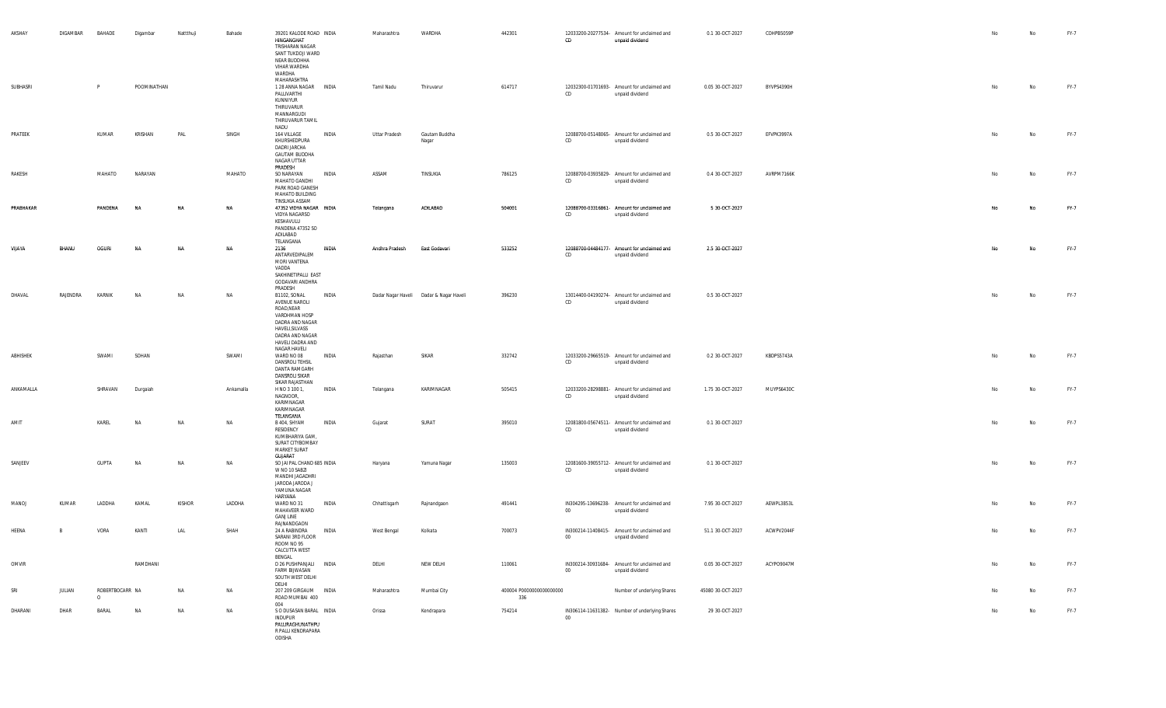| AKSHAY    | DIGAMBAR | BAHADE                      | Digambar    | Nattthuji     | Bahade    | 39201 KALODE ROAD INDIA<br>HINGANGHAT<br>TRISHARAN NAGAR<br>SANT TUKDOJI WARD<br>NEAR BUDDHHA<br>VIHAR WARDHA<br>WARDHA<br>MAHARASHTRA                                               | Maharashtra    | WARDHA                                  | 442301                          | CD     | 12033200-20277534- Amount for unclaimed and<br>unpaid dividend | 0.1 30-OCT-2027   | COHPB5059P | No        | No | FY-7 |
|-----------|----------|-----------------------------|-------------|---------------|-----------|--------------------------------------------------------------------------------------------------------------------------------------------------------------------------------------|----------------|-----------------------------------------|---------------------------------|--------|----------------------------------------------------------------|-------------------|------------|-----------|----|------|
| SUBHASRI  |          | P                           | POOMINATHAN |               |           | 1 28 ANNA NAGAR INDIA<br>PALLIVARTHI<br>KUNNIYUR<br>THIRUVARUR<br>MANNARGUDI<br>THIRUVARUR TAMIL<br>NADU                                                                             | Tamil Nadu     | Thiruvarur                              | 614717                          | CD     | 12032300-01701693- Amount for unclaimed and<br>unpaid dividend | 0.05 30-OCT-2027  | BYVPS4390H | No        | No | FY-7 |
| PRATEEK   |          | KUMAR                       | KRISHAN     | PAL           | SINGH     | INDIA<br>164 VILLAGE<br>KHURSHEDPURA<br>DADRI JARCHA<br><b>GAUTAM BUDDHA</b><br>NAGAR UTTAR<br>PRADESH                                                                               | Uttar Pradesh  | Gautam Buddha<br>Nagar                  |                                 | CD     | 12088700-05148065- Amount for unclaimed and<br>unpaid dividend | 0.5 30-OCT-2027   | EFVPK3997A | No        | No | FY-7 |
| RAKESH    |          | MAHATO                      | NARAYAN     |               | MAHATO    | SO NARAYAN<br>INDIA<br>MAHATO GANDHI<br>PARK ROAD GANESH<br>MAHATO BUILDING<br>TINSUKIA ASSAM                                                                                        | ASSAM          | TINSUKIA                                | 786125                          | CD     | 12088700-03935829- Amount for unclaimed and<br>unpaid dividend | 0.4 30-OCT-2027   | AVRPM7166K | No        | No | FY-7 |
| PRABHAKAR |          | PANDENA                     | N/          | NA            | NA        | 47352 VIDYA NAGAR INDIA<br>VIDYA NAGARSO<br>KESHAVULU<br>PANDENA 47352 SO<br>ADILABAD                                                                                                | Telangana      | ADILABAD                                | 504001                          | CD     | 12088700-03316861- Amount for unclaimed and<br>unpaid dividend | 5 30-OCT-2027     |            |           | No | FY-7 |
| VIJAYA    | BHANU    | OGURI                       |             | NΑ            | NA        | TELANGANA<br><b>INDIA</b><br>2136<br>ANTARVEDIPALEM<br>MORI VANTENA<br>VADDA<br>SAKHINETIPALLI EAST<br>GODAVARI ANDHRA                                                               | Andhra Pradesh | East Godavari                           | 533252                          | CD     | 12088700-04484177- Amount for unclaimed and<br>unpaid dividend | 2.5 30-OCT-2027   |            | <b>No</b> | No | FY-7 |
| DHAVAL    | RAJENDRA | KARNIK                      | NA          | <b>NA</b>     | NA        | PRADESH<br>B1102, SONAL<br><b>INDIA</b><br>AVENUE NAROLI<br>ROAD, NEAR<br>VARDHMAN HOSP<br>DADRA AND NAGAR<br>HAVELI, SILVASS<br>DADRA AND NAGAR<br>HAVELI DADRA AND<br>NAGAR HAVELI |                | Dadar Nagar Haveli Dadar & Nagar Haveli | 396230                          | CD     | 13014400-04190274- Amount for unclaimed and<br>unpaid dividend | 0.5 30-OCT-2027   |            | No        | No | FY-7 |
| ABHISHEK  |          | SWAMI                       | SOHAN       |               | SWAMI     | INDIA<br>WARD NO 08<br>DANSROLI TEHSIL<br>DANTA RAMGARH<br>DANSROLI SIKAR<br>SIKAR RAJASTHAN                                                                                         | Rajasthan      | SIKAR                                   | 332742                          | CD     | 12033200-29665519- Amount for unclaimed and<br>unpaid dividend | 0.2 30-OCT-2027   | KBDPS5743A | No        | No | FY-7 |
| ANKAMALLA |          | SHRAVAN                     | Durgaiah    |               | Ankamalla | <b>INDIA</b><br>H NO 3 100 1,<br>NAGNOOR,<br>KARIMNAGAR<br>KARIMNAGAR<br>TELANGANA                                                                                                   | Telangana      | KARIMNAGAR                              | 505415                          | CD     | 12033200-28298881- Amount for unclaimed and<br>unpaid dividend | 1.75 30-OCT-2027  | MUYPS6430C | No        | No | FY-7 |
| AMIT      |          | KAREL                       | <b>NA</b>   | NA            | NA        | B 404, SHYAM<br>INDIA<br>RESIDENCY<br>KUMBHARIYA GAM,<br>SURAT CITYBOMBAY<br><b>MARKET SURAT</b><br>GUJARAT                                                                          | Gujarat        | SURAT                                   | 395010                          | CD     | 12081800-05674511- Amount for unclaimed and<br>unpaid dividend | 0.1 30-OCT-2027   |            | No        | No | FY-7 |
| SANJEEV   |          | <b>GUPTA</b>                | <b>NA</b>   | NA            | NA        | SO JAI PAL CHAND 685 INDIA<br>W NO 10 SABZI<br>MANDHI JAGADHRI<br>JARODA JARODA J<br>YAMUNA NAGAR<br>HARYANA                                                                         | Haryana        | Yamuna Nagar                            | 135003                          | CD     | 12081600-39055712- Amount for unclaimed and<br>unpaid dividend | 0.1 30-OCT-2027   |            | No        | No | FY-7 |
| MANOJ     | KUMAR    | LADDHA                      | KAMAL       | <b>KISHOR</b> | LADDHA    | WARD NO 31<br>INDIA<br>MAHAVEER WARD<br><b>GANJ LINE</b><br>RAJNANDGAON                                                                                                              | Chhattisgarh   | Rajnandgaon                             | 491441                          | 00     | IN304295-13696238- Amount for unclaimed and<br>unpaid dividend | 7.95 30-OCT-2027  | AEWPL3853L | No        | No | FY-7 |
| HEENA     | B        | VORA                        | KANTI       | LAL           | SHAH      | 24 A RABINDRA<br>INDIA<br>SARANI 3RD FLOOR<br>ROOM NO 95<br>CALCUTTA WEST<br>BENGAL                                                                                                  | West Bengal    | Kolkata                                 | 700073                          | 00     | IN300214-11408415- Amount for unclaimed and<br>unpaid dividend | 51.1 30-OCT-2027  | ACWPV2044F |           | No | FY-7 |
| OMVIR     |          |                             | RAMDHANI    |               |           | D 26 PUSHPANJALI INDIA<br>FARM BIJWASAN<br>SOUTH WEST DELHI<br>DELHI                                                                                                                 | DELHI          | NEW DELHI                               | 110061                          | $00\,$ | IN300214-30931684- Amount for unclaimed and<br>unpaid dividend | 0.05 30-OCT-2027  | ACYPO9047M | No        | No | FY-7 |
| SRI       | JULIAN   | ROBERTBOCARR NA<br>$\Omega$ |             | NA            | NA        | 207 209 GIRGAUM INDIA<br>ROAD MUMBAI 400<br>004                                                                                                                                      | Maharashtra    | Mumbai City                             | 400004 P0000000000000000<br>336 |        | Number of underlying Shares                                    | 45080 30-OCT-2027 |            |           | No | FY-7 |
| DHARANI   | DHAR     | BARAL                       | <b>NA</b>   | <b>NA</b>     | NA        | S O DUSASAN BARAL INDIA<br><b>INDUPUR</b><br>PALLIRAGHUNATHPU<br>R PALLI KENDRAPARA<br>ODISHA                                                                                        | Orissa         | Kendrapara                              | 754214                          | $00\,$ | IN306114-11631382- Number of underlying Shares                 | 29 30-OCT-2027    |            | No        | No | FY-7 |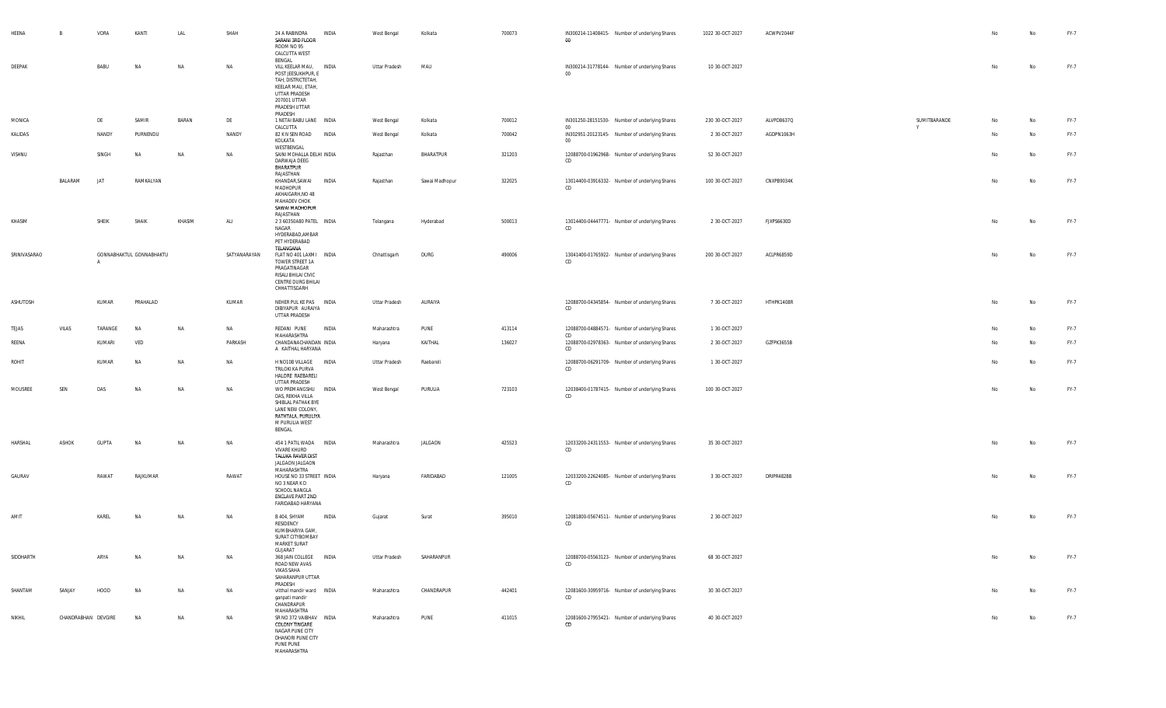| HEENA          | B                   | VORA         | KANTI                    | LAL       | SHAH         | INDIA<br>24 A RABINDRA<br>SARANI 3RD FLOOR<br>ROOM NO 95<br>CALCUTTA WEST<br>BENGAL                                                                  | West Bengal   | Kolkata        | 700073 | IN300214-11408415- Number of underlying Shares<br>$00\,$      | 1022 30-OCT-2027 | ACWPV2044F |                   | No | No | FY-7 |
|----------------|---------------------|--------------|--------------------------|-----------|--------------|------------------------------------------------------------------------------------------------------------------------------------------------------|---------------|----------------|--------|---------------------------------------------------------------|------------------|------------|-------------------|----|----|------|
| DEEPAK         |                     | BABU         | NA                       | NA        | NA           | VILL KEELAR MAU, INDIA<br>POST JEESUKHPUR, E<br>TAH, DISTRICTETAH,<br>KEELAR MAU, ETAH,<br>UTTAR PRADESH<br>207001 UTTAR<br>PRADESH UTTAR<br>PRADESH | Uttar Pradesh | MAU            |        | IN300214-31778144- Number of underlying Shares<br>$00\degree$ | 10 30-OCT-2027   |            |                   | No | No | FY-7 |
| MONICA         |                     | DE           | SAMIR                    | BARAN     | DE           | 1 NETAI BABU LANE INDIA<br>CALCUTTA                                                                                                                  | West Bengal   | Kolkata        | 700012 | IN301250-28151530- Number of underlying Shares<br>$00\,$      | 230 30-OCT-2027  | ALVPD8637Q | SUMITBARANDE<br>Y | No | No | FY-7 |
| KALIDAS        |                     | NANDY        | PURNENDU                 |           | NANDY        | 82 K N SEN ROAD<br>INDIA<br>KOLKATA<br>WESTBENGAL                                                                                                    | West Bengal   | Kolkata        | 700042 | IN302951-20123145- Number of underlying Shares<br>$00\,$      | 2 30-OCT-2027    | AGDPN1063H |                   | No | No | FY-7 |
| VISHNU         |                     | SINGH        | <b>NA</b>                | NA        | <b>NA</b>    | SAINI MOHALLA DELHI INDIA<br>DARWAJA DEEG<br>BHARATPUR<br>RAJASTHAN                                                                                  | Rajasthan     | BHARATPUR      | 321203 | 12088700-01962968- Number of underlying Shares<br>CD          | 52 30-OCT-2027   |            |                   | No | No | FY-7 |
|                | BALARAM             | JAT          | RAMKALYAN                |           |              | KHANDAR, SAWAI<br>INDIA<br>MADHOPUR<br>AKHAIGARH, NO 48<br>MAHADEV CHOK<br>SAWAI MADHOPUR<br>RAJASTHAN                                               | Rajasthan     | Sawai Madhopur | 322025 | 13014400-03916332- Number of underlying Shares<br>CD          | 100 30-OCT-2027  | CNXPB9034K |                   | No | No | FY-7 |
| KHASIM         |                     | SHEIK        | SHAIK                    | KHASIM    | ALI          | 2 3 60350A80 PATEL INDIA<br>NAGAR<br>HYDERABAD, AMBAR<br>PET HYDERABAD<br>TELANGANA                                                                  | Telangana     | Hyderabad      | 500013 | 13014400-04447771- Number of underlying Shares<br>CD          | 2 30-OCT-2027    | FJXPS6630D |                   | No | No | FY-7 |
| SRINIVASARAO   |                     |              | GONNABHAKTUL GONNABHAKTU |           | SATYANARAYAN | FLAT NO 401 LAXMI INDIA<br>TOWER STREET 1A<br>PRAGATINAGAR<br>RISALI BHILAI CIVIC<br>CENTRE DURG BHILAI<br>CHHATTISGARH                              | Chhattisgarh  | DURG           | 490006 | 13041400-01765922- Number of underlying Shares<br>CD          | 200 30-OCT-2027  | ACLPR6859D |                   | No | No | FY-7 |
| ASHUTOSH       |                     | KUMAR        | PRAHALAD                 |           | KUMAR        | NEHER PUL KE PAS INDIA<br>DIBIYAPUR AURAIYA<br>UTTAR PRADESH                                                                                         | Uttar Pradesh | AURAIYA        |        | 12088700-04345854- Number of underlying Shares<br>CD          | 7 30-OCT-2027    | HTHPK1408R |                   | No | No | FY-7 |
| TEJAS          | VILAS               | TARANGE      | NA                       | NA        | NA           | REDANI PUNE<br>INDIA                                                                                                                                 | Maharashtra   | PUNE           | 413114 | 12088700-04884571- Number of underlying Shares<br>CD          | 1 30-OCT-2027    |            |                   | No | No | FY-7 |
| REENA          |                     | KUMARI       | VED                      |           | PARKASH      | MAHARASHTRA<br>CHANDANACHANDAN INDIA<br>A KAITHAL HARYANA                                                                                            | Haryana       | KAITHAL        | 136027 | 12088700-02978363- Number of underlying Shares<br>CD          | 2 30-OCT-2027    | GZFPK3655B |                   | No | No | FY-7 |
| ROHIT          |                     | KUMAR        | <b>NA</b>                | NA        | NA           | H NO108 VILLAGE INDIA<br>TRILOKI KA PURVA<br>HALORE RAEBARELI<br>UTTAR PRADESH                                                                       | Uttar Pradesh | Raebareli      |        | 12088700-06291709- Number of underlying Shares<br>CD          | 1 30-OCT-2027    |            |                   | No | No | FY-7 |
| <b>MOUSREE</b> | SEN                 | DAS          | NA                       | NA        | NA           | WO PREMANGSHU<br>INDIA<br>DAS, REKHA VILLA<br>SHIBLAL PATHAK BYE<br>LANE NEW COLONY,<br>RATHTALA, PURULIYA<br>M PURULIA WEST<br>BENGAL               | West Bengal   | PURULIA        | 723103 | 12038400-01787415- Number of underlying Shares<br>CD          | 100 30-OCT-2027  |            |                   | No | No | FY-7 |
| HARSHAL        | ASHOK               | <b>GUPTA</b> | NA                       | <b>NA</b> | NA           | 454 1 PATIL WADA INDIA<br>VIVARE KHURD<br>TALUKA RAVER DIST<br>JALGAON JALGAON<br>MAHARASHTRA                                                        | Maharashtra   | JALGAON        | 425523 | 12033200-24311553- Number of underlying Shares<br>CD          | 35 30-OCT-2027   |            |                   | No | No | FY-7 |
| GAURAV         |                     | RAWAT        | RAJKUMAR                 |           | RAWAT        | HOUSE NO 33 STREET INDIA<br>NO 3 NEAR K D<br>SCHOOL NANGLA<br>ENCLAVE PART 2ND<br>FARIDABAD HARYANA                                                  | Haryana       | FARIDABAD      | 121005 | 12033200-22624085- Number of underlying Shares<br>CD          | 3 30-OCT-2027    | DRIPR4828B |                   | No | No | FY-7 |
| AMIT           |                     | KAREL        | <b>NA</b>                | NA        | NA           | B 404, SHYAM<br>INDIA<br>RESIDENCY<br>KUMBHARIYA GAM,<br>SURAT CITYBOMBAY<br><b>MARKET SURAT</b><br>GUJARAT                                          | Gujarat       | Surat          | 395010 | 12081800-05674511- Number of underlying Shares<br>CD          | 2 30-OCT-2027    |            |                   | No | No | FY-7 |
| SIDDHARTH      |                     | ARYA         | NA                       | NA        | NA           | 368 JAIN COLLEGE INDIA<br>ROAD NEW AVAS<br><b>VIKAS SAHA</b><br>SAHARANPUR UTTAR<br>PRADESH                                                          | Uttar Pradesh | SAHARANPUR     |        | 12088700-05563123- Number of underlying Shares<br>CD          | 68 30-OCT-2027   |            |                   | No | No | FY-7 |
| SHANTAM        | SANJAY              | HOOD         | NA                       | NA        | NA           | vitthal mandir ward  INDIA<br>ganpati mandir<br>CHANDRAPUR<br>MAHARASHTRA                                                                            | Maharashtra   | CHANDRAPUR     | 442401 | 12081600-30959716- Number of underlying Shares<br>CD          | 30 30 OCT-2027   |            |                   | No | No | FY-7 |
| NIKHIL         | CHANDRABHAN DEVGIRE |              | <b>NA</b>                | <b>NA</b> | NA           | SR NO 372 VAIBHAV INDIA<br>COLONY TINGARE<br>NAGAR PUNE CITY<br>DHANORI PUNE CITY<br>PUNE PUNE<br>MAHARASHTRA                                        | Maharashtra   | PUNE           | 411015 | 12081600-27955421- Number of underlying Shares<br>CD          | 40 30-OCT-2027   |            |                   | No | No | FY-7 |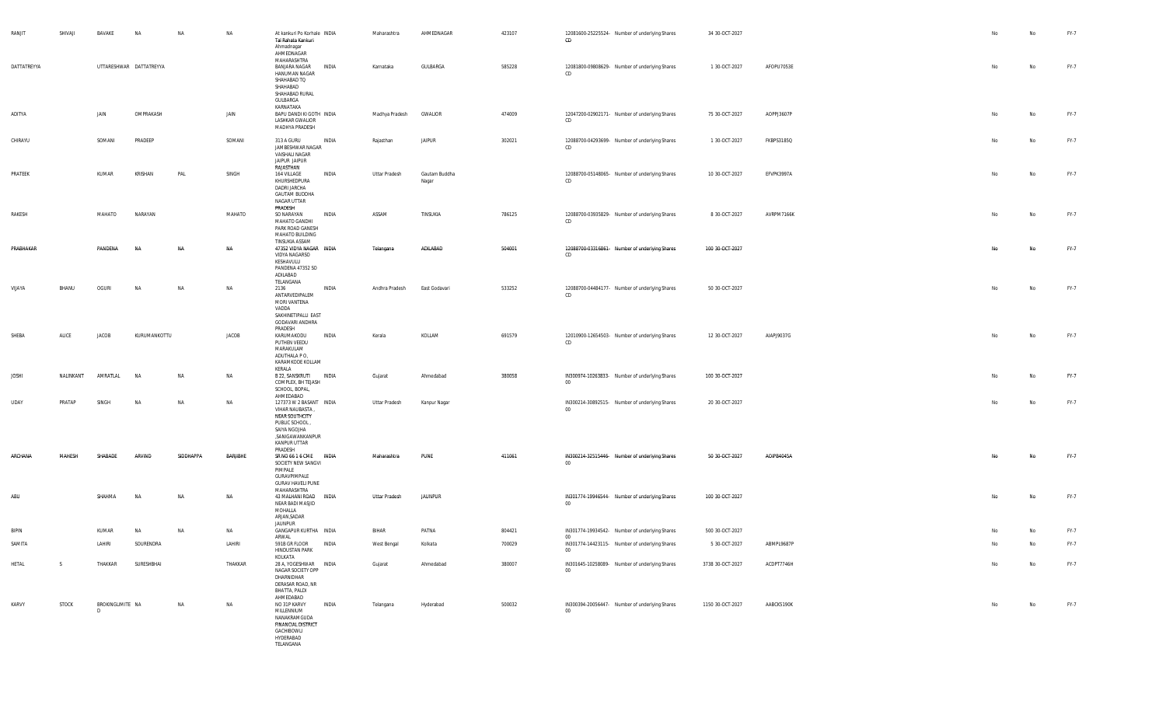| RANJIT       | SHIVAJI   | BAVAKE                 | NA                      | NA        | NA        | At kankuri Po Korhale INDIA<br>Tal Rahata Kankuri<br>Ahmadnagar<br>AHMEDNAGAR<br>MAHARASHTRA                                                 |       | Maharashtra    | AHMEDNAGAR             | 423107 | 12081600-25225524- Number of underlying Shares<br>CD       | 34 30-OCT-2027   |            | No  | No | FY-7 |
|--------------|-----------|------------------------|-------------------------|-----------|-----------|----------------------------------------------------------------------------------------------------------------------------------------------|-------|----------------|------------------------|--------|------------------------------------------------------------|------------------|------------|-----|----|------|
| DATTATREYYA  |           |                        | UTTARESHWAR DATTATREYYA |           |           | BANJARA NAGAR<br>HANUMAN NAGAR<br>SHAHABAD TQ<br>SHAHABAD<br>SHAHABAD RURAL<br>GULBARGA<br>KARNATAKA                                         | INDIA | Karnataka      | GULBARGA               | 585228 | 12081800-09808629- Number of underlying Shares<br>CD       | 1 30 OCT-2027    | AFOPU7053E | No  | No | FY-7 |
| ADITYA       |           | JAIN                   | OMPRAKASH               |           | JAIN      | BAPU DANDI KI GOTH INDIA<br>LASHKAR GWALIOR<br>MADHYA PRADESH                                                                                |       | Madhya Pradesh | GWALIOR                | 474009 | 12047200-02902171- Number of underlying Shares<br>CD       | 75 30-OCT-2027   | AOPPJ3607P |     | No | FY-7 |
| CHIRAYU      |           | SOMANI                 | PRADEEP                 |           | SOMANI    | 313 A GURU<br>JAMBESHWAR NAGAR<br>VAISHALI NAGAR<br>JAIPUR JAIPUR<br>RAJASTHAN                                                               | INDIA | Rajasthan      | <b>JAIPUR</b>          | 302021 | 12088700-04293699- Number of underlying Shares<br>CD       | 1 30-OCT-2027    | FKBPS3185Q | No  | No | FY-7 |
| PRATEEK      |           | KUMAR                  | KRISHAN                 | PAL       | SINGH     | 164 VILLAGE<br>KHURSHEDPURA<br>DADRI JARCHA<br><b>GAUTAM BUDDHA</b><br>NAGAR UTTAR<br>PRADESH                                                | INDIA | Uttar Pradesh  | Gautam Buddha<br>Nagar |        | 12088700-05148065- Number of underlying Shares<br>CD       | 10 30 OCT-2027   | EFVPK3997A | No  | No | FY-7 |
| RAKESH       |           | MAHATO                 | NARAYAN                 |           | MAHATO    | SO NARAYAN<br>MAHATO GANDHI<br>PARK ROAD GANESH<br>MAHATO BUILDING<br>TINSUKIA ASSAM                                                         | INDIA | ASSAM          | TINSUKIA               | 786125 | 12088700-03935829- Number of underlying Shares<br>CD       | 8 30 OCT-2027    | AVRPM7166K | No  | No | FY-7 |
| PRABHAKAR    |           | PANDENA                | NA                      | N/        | <b>NA</b> | 47352 VIDYA NAGAR INDIA<br>VIDYA NAGARSO<br>KESHAVULU<br>PANDENA 47352 SO<br>ADILABAD<br>TELANGANA                                           |       | Telangana      | ADILABAD               | 504001 | 12088700-03316861- Number of underlying Shares<br>CD       | 100 30-OCT-2027  |            | No. | No | FY-7 |
| VIJAYA       | BHANU     | OGURI                  | <b>NA</b>               | <b>NA</b> | NA        | 2136<br>ANTARVEDIPALEM<br>MORI VANTENA<br>VADDA<br>SAKHINETIPALLI EAST<br>GODAVARI ANDHRA<br>PRADESH                                         | INDIA | Andhra Pradesh | East Godavari          | 533252 | 12088700-04484177- Number of underlying Shares<br>CD       | 50 30-OCT-2027   |            | No  | No | FY-7 |
| SHEBA        | ALICE     | JACOB                  | KURUMANKOTTU            |           | JACOB     | KARUMAKODU<br>PUTHEN VEEDU<br>MARAKULAM<br>ADUTHALA PO,<br>KARAMKODE KOLLAM<br>KERALA                                                        | INDIA | Kerala         | KOLLAM                 | 691579 | 12010900-12654503- Number of underlying Shares<br>CD       | 12 30-OCT-2027   | AIAPJ9037G |     | No | FY-7 |
| <b>JOSHI</b> | NALINKANT | AMRATLAL               | NA                      | <b>NA</b> | NA        | B 22, SANSKRUTI<br>COMPLEX, BH TEJASH<br>SCHOOL, BOPAL,<br>AHMEDABAD                                                                         | INDIA | Gujarat        | Ahmedabad              | 380058 | IN300974-10263833- Number of underlying Shares<br>$00\,$   | 100 30-OCT-2027  |            | No  | No | FY-7 |
| <b>UDAY</b>  | PRATAP    | SINGH                  | NA                      | <b>NA</b> | NA        | 127373 W 2 BASANT INDIA<br>VIHAR NAUBASTA,<br>NEAR SOUTHCITY<br>PUBLIC SCHOOL<br>SAIYA NGOJHA<br>,SANIGAWANKANPUR<br>KANPUR UTTAR<br>PRADESH |       | Uttar Pradesh  | Kanpur Nagar           |        | IN300214-30892515- Number of underlying Shares<br>$00\,$   | 20 30-OCT-2027   |            | No  | No | FY-7 |
| ARCHANA      | MAHFSH    | SHARADE                | ARVIND                  | SIDDHAPPA | BARJIBHE  | SR NO 66 1 6 CME INDIA<br>SOCIETY NEW SANGVI<br>PIMPALE<br>GURAVPIMPALE<br><b>GURAV HAVELI PUNE</b><br>MAHARASHTRA                           |       | Maharashtra    | PUNE                   | 411061 | IN300214-32515446- Number of underlying Shares<br>$00\,$   | 50 30-OCT-2027   | AOIPB4045A | No. | No | FY-7 |
| ABU          |           | SHAHMA                 | NA                      | <b>NA</b> | NA        | 43 MALHANI ROAD INDIA<br>NEAR BADI MASJID<br>MOHALLA<br>ARJAN, SADAR<br><b>JAUNPUR</b>                                                       |       | Uttar Pradesh  | <b>JAUNPUR</b>         |        | IN301774-19946544- Number of underlying Shares<br>$00\,$   | 100 30-OCT-2027  |            | No  | No | FY-7 |
| <b>BIPIN</b> |           | KUMAR                  | NA                      | NA        | NA        | GANGAPUR KURTHA INDIA                                                                                                                        |       | BIHAR          | PATNA                  | 804421 | IN301774-19934542- Number of underlying Shares             | 500 30-OCT-2027  |            |     | No | FY-7 |
| SAMITA       |           | LAHIRI                 | SOURENDRA               |           | LAHIRI    | ARWAL<br>591B GR FLOOR<br><b>HINDUSTAN PARK</b><br>KOLKATA                                                                                   | INDIA | West Bengal    | Kolkata                | 700029 | 00<br>IN301774-14423115- Number of underlying Shares<br>00 | 5 30-OCT-2027    | ABMPL9687P |     | No | FY-7 |
| HETAL        | S         | THAKKAR                | SURESHBHAI              |           | THAKKAR   | 28 A, YOGESHWAR INDIA<br>NAGAR SOCIETY OPP<br>DHARNIDHAR<br>DERASAR ROAD, NR<br>BHATTA, PALDI<br>AHMEDABAD                                   |       | Gujarat        | Ahmedabad              | 380007 | IN301645-10258089- Number of underlying Shares<br>$00\,$   | 3738 30-OCT-2027 | ACDPT7746H | No  | No | FY-7 |
| KARVY        | STOCK     | BROKINGLIMITE NA<br>D. |                         | NA        | NA        | NO 31P KARVY<br>MILLENNIUM<br>NANAKRAMGUDA<br><b>FINANCIAL DISTRICT</b><br>GACHIBOWLI<br>HYDERABAD<br>TELANGANA                              | INDIA | Telangana      | Hyderabad              | 500032 | IN300394-20056447- Number of underlying Shares<br>$00\,$   | 1150 30-OCT-2027 | AABCK5190K | No  | No | FY-7 |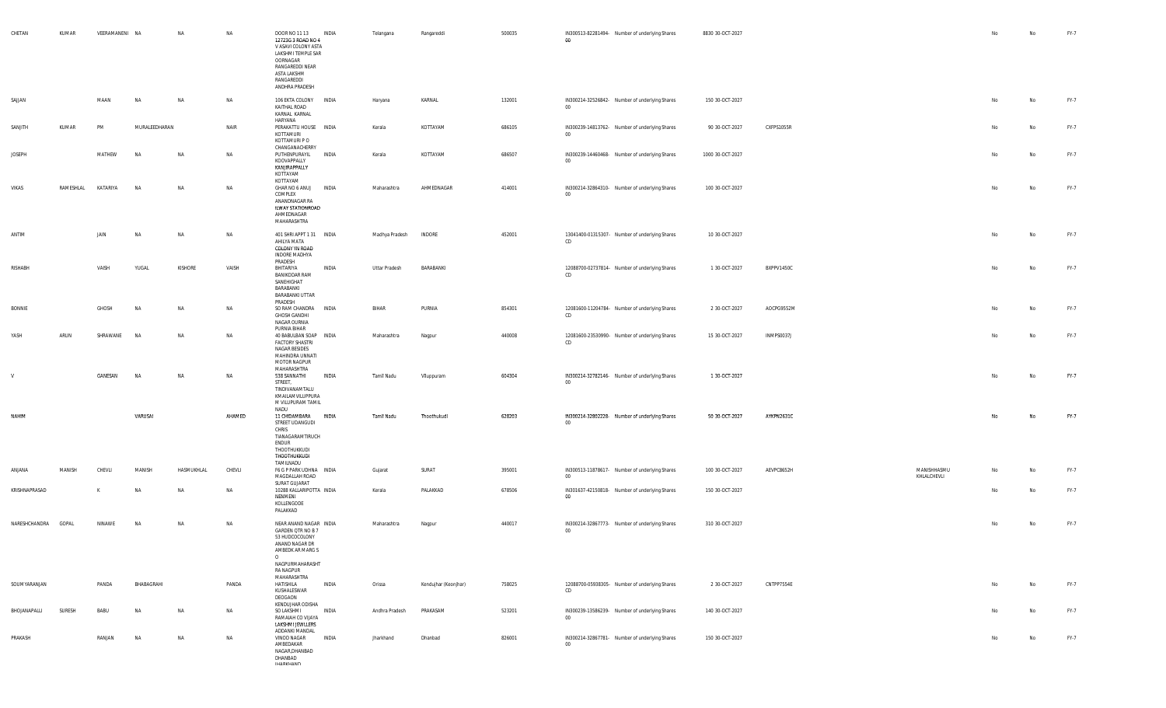| CHETAN        | KUMAR               |                       | VEERAMANENI NA | NA         | NA     | DOOR NO 11 13<br>12723G 3 ROAD NO 4<br>V ASAVI COLONY ASTA<br>LAKSHMI TEMPLE SAR<br>OORNAGAR<br>RANGAREDDI NEAR<br>ASTA LAKSHM<br>RANGAREDDI<br>ANDHRA PRADESH | INDIA        | Telangana      | Rangareddi           | 500035 | IN300513-82281494- Number of underlying Shares<br>$00\,$  | 8830 30-OCT-2027 |            |                            | No | No | FY-7 |
|---------------|---------------------|-----------------------|----------------|------------|--------|----------------------------------------------------------------------------------------------------------------------------------------------------------------|--------------|----------------|----------------------|--------|-----------------------------------------------------------|------------------|------------|----------------------------|----|----|------|
| SAJJAN        |                     | MAAN                  | <b>NA</b>      | NA         | NA     | 106 EKTA COLONY INDIA<br>KAITHAL ROAD<br>KARNAL KARNAL                                                                                                         |              | Haryana        | KARNAL               | 132001 | IN300214-32526842- Number of underlying Shares<br>$00\,$  | 150 30-OCT-2027  |            |                            | No | No | FY-7 |
| SANJITH       | KUMAR               | PM                    | MURALEEDHARAN  |            | NAIR   | HARYANA<br>PERAKATTU HOUSE INDIA<br>KOTTAMURI<br>KOTTAMURI P O                                                                                                 |              | Kerala         | KOTTAYAM             | 686105 | IN300239-14813762- Number of underlying Shares<br>$00\,$  | 90 30-OCT-2027   | CXFPS1055R |                            | No | No | FY-7 |
| <b>JOSEPH</b> |                     | MATHEW                | NA             | NA         | NA     | CHANGANACHERRY<br>PUTHENPURAYIL<br>KOOVAPPALLY<br>KANJIRAPPALLY<br>KOTTAYAM<br>KOTTAYAM                                                                        | INDIA        | Kerala         | KOTTAYAM             | 686507 | IN300239-14460468- Number of underlying Shares<br>$_{00}$ | 1000 30-OCT-2027 |            |                            | No | No | FY-7 |
| VIKAS         |                     | RAMESHLAL<br>KATARIYA | <b>NA</b>      | NA         | NA     | <b>GHAR NO 6 ANUJ</b><br>COMPLEX<br>ANANDNAGAR RA<br><b>ILWAY STATIONROAD</b><br>AHMEDNAGAR<br>MAHARASHTRA                                                     | <b>INDIA</b> | Maharashtra    | AHMEDNAGAR           | 414001 | IN300214-32864310- Number of underlying Shares<br>$00\,$  | 100 30-OCT-2027  |            |                            | No | No | FY-7 |
| ANTIM         |                     | JAIN                  | <b>NA</b>      | NA         | NA     | 401 SHRI APPT 1 31 INDIA<br>AHILYA MATA<br>COLONY YN ROAD<br><b>INDORE MADHYA</b>                                                                              |              | Madhya Pradesh | INDORE               | 452001 | 13041400-01315307- Number of underlying Shares<br>CD      | 10 30-OCT-2027   |            |                            | No | No | FY-7 |
| RISHABH       |                     | VAISH                 | YUGAL          | KISHORE    | VAISH  | PRADESH<br>BHITARIYA<br><b>BANIKODAR RAM</b><br>SANEHIGHAT<br>BARABANKI<br>BARABANKI UTTAR                                                                     | INDIA        | Uttar Pradesh  | BARABANKI            |        | 12088700-02737814- Number of underlying Shares<br>CD      | 1 30-OCT-2027    | BXPPV1450C |                            | No | No | FY-7 |
| <b>BONNIE</b> |                     | GHOSH                 | <b>NA</b>      | NA         | NA     | PRADESH<br>SO RAM CHANDRA INDIA<br><b>GHOSH GANDHI</b><br>NAGAR OURNIA                                                                                         |              | BIHAR          | PURNIA               | 854301 | 12081600-11204784- Number of underlying Shares<br>CD      | 2 30-OCT-2027    | AOCPG9552M |                            | No | No | FY-7 |
| YASH          | ARUN                | SHRAWANE              | <b>NA</b>      | NA         | NA     | PURNIA BIHAR<br>40 BABULBAN SOAP INDIA<br><b>FACTORY SHASTRI</b><br>NAGAR BESIDES<br>MAHINDRA UNNATI<br>MOTOR NAGPUR<br>MAHARASHTRA                            |              | Maharashtra    | Nagpur               | 440008 | 12081600-23530990- Number of underlying Shares<br>CD      | 15 30-OCT-2027   | INMPS0037J |                            | No | No | FY-7 |
| V             |                     | GANESAN               | NA             | NA         | NA     | 538 SANNATHI<br>STREET,<br>TINDIVANAMTALU<br>KMAILAMVILUPPURA<br>M VILUPURAM TAMIL<br>NADU                                                                     | <b>INDIA</b> | Tamil Nadu     | Viluppuram           | 604304 | IN300214-32782146- Number of underlying Shares<br>$00\,$  | 1 30-OCT-2027    |            |                            | No | No | FY-7 |
| NAHIM         |                     |                       | VARUSAI        |            | AHAMED | 11 CHIDAMBARA<br>STREET UDANGUDI<br>CHRIS<br>TIANAGARAMTIRUCH<br>ENDUR<br>THOOTHUKKUDI<br>THOOTHUKKUDI<br>TAMILNADU                                            | <b>INDIA</b> | Tamil Nadu     | Thoothukudi          | 628203 | IN300214-32802228- Number of underlying Shares<br>$00\,$  | 50 30-OCT-2027   | AYKPN2631C |                            | No | No | FY-7 |
| ANJANA        | MANISH              | CHEVLI                | MANISH         | HASMUKHLAL | CHEVLI | F6 G P PARK UDHNA INDIA<br>MAGDALLAH ROAD<br>SURAT GUJARAT                                                                                                     |              | Gujarat        | SURAT                | 395001 | IN300513-11878617- Number of underlying Shares<br>$00\,$  | 100 30 OCT-2027  | AEVPC8652H | MANISHHASMU<br>KHLALCHEVLI | No | No | FY-7 |
| KRISHNAPRASAD |                     | K                     | NA             | NA         | NA     | 10288 KALLARIPOTTA INDIA<br>NENMENI<br>KOLLENGODE<br>PALAKKAD                                                                                                  |              | Kerala         | PALAKKAD             | 678506 | IN301637-42150818- Number of underlying Shares<br>$00\,$  | 150 30-OCT-2027  |            |                            | No | No | FY-7 |
|               | NARESHCHANDRA GOPAL | NINAWE                | NA             | NA         | NA     | NEAR ANAND NAGAR INDIA<br>GARDEN QTR NO B 7<br>53 HUDCOCOLONY<br>ANAND NAGAR DR<br>AMBEDK AR MARG S<br>$\circ$<br>NAGPURMAHARASHT<br>RA NAGPUR<br>MAHARASHTRA  |              | Maharashtra    | Nagpur               | 440017 | IN300214-32867773- Number of underlying Shares<br>$00\,$  | 310 30-OCT-2027  |            |                            | No | No | FY-7 |
| SOUMYARANJAN  |                     | PANDA                 | BHABAGRAHI     |            | PANDA  | HATISHILA<br>KUSHALESWAR<br>DEOGAON<br>KENDUJHAR ODISHA                                                                                                        | INDIA        | Orissa         | Kendujhar (Keonjhar) | 758025 | 12088700-05938305- Number of underlying Shares<br>CD      | 2 30-OCT-2027    | CNTPP7554E |                            | No | No | FY-7 |
| BHOJANAPALLI  | SURESH              | BABU                  | NA             | NA         | NA     | SO LAKSHMI<br>RAMAIAH CO VUAYA<br>LAKSHMI JEWLLERS<br>ADDANKI MANDAL                                                                                           | INDIA        | Andhra Pradesh | PRAKASAM             | 523201 | IN300239-13586239- Number of underlying Shares<br>$00\,$  | 140 30-OCT-2027  |            |                            | No | No | FY-7 |
| PRAKASH       |                     | RANJAN                | <b>NA</b>      | <b>NA</b>  | NA     | <b>VINOD NAGAR</b><br>AMBEDAKAR<br>NAGAR, DHANBAD<br>DHANBAD<br><b>ILIADVUANIN</b>                                                                             | <b>INDIA</b> | Jharkhand      | Dhanbad              | 826001 | IN300214-32867781- Number of underlying Shares<br>$00\,$  | 150 30-OCT-2027  |            |                            | No | No | FY-7 |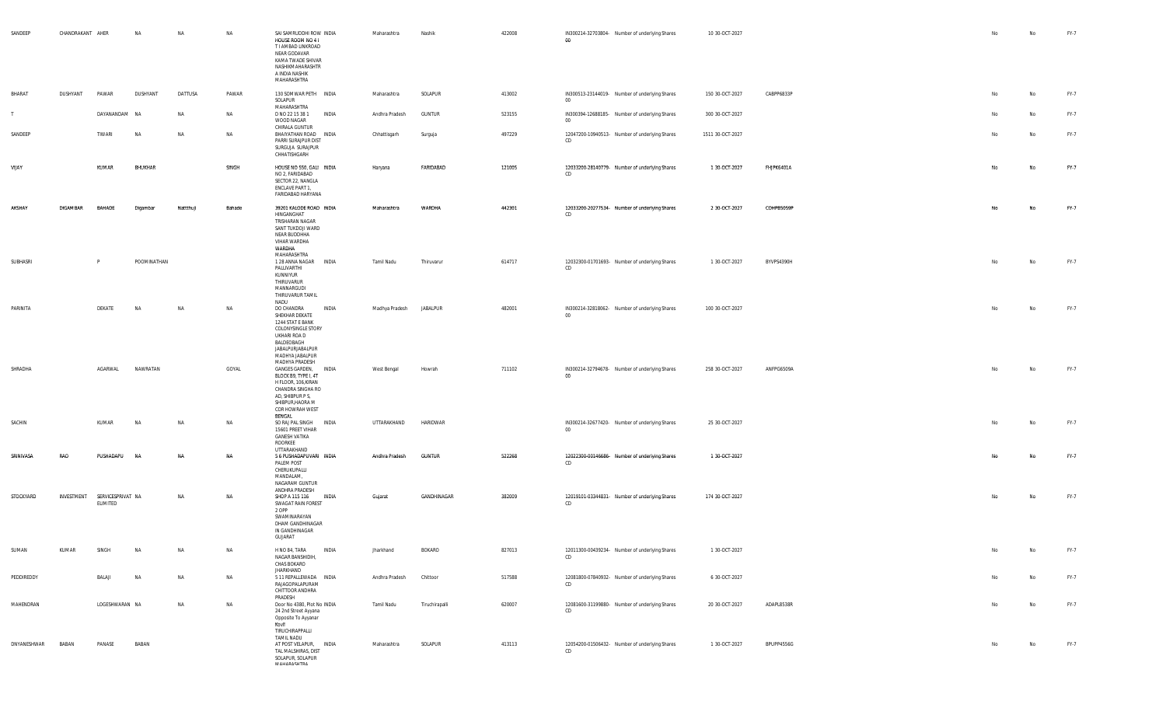| SANDEEP     | CHANDRAKANT AHER |                                          | <b>NA</b>   | NA       | NA        | SAI SAMRUDDHI ROW INDIA<br>HOUSE ROOM NO 4 I<br>T I AMBAD LINKROAD<br>NEAR GODAVAR<br>KAMA TWADE SHIVAR<br>NASHIKMAHARASHTR<br>A INDIA NASHIK<br>MAHARASHTRA           | Maharashtra    | Nashik          | 422008 | IN300214-32703804- Number of underlying Shares<br>00     | 10 30-OCT-2027   |            | No | No        | FY-7 |
|-------------|------------------|------------------------------------------|-------------|----------|-----------|------------------------------------------------------------------------------------------------------------------------------------------------------------------------|----------------|-----------------|--------|----------------------------------------------------------|------------------|------------|----|-----------|------|
| BHARAT      | DUSHYANT         | PAWAR                                    | DUSHYANT    | DATTUSA  | PAWAR     | 130 SOMWAR PETH INDIA<br>SOLAPUR<br>MAHARASHTRA                                                                                                                        | Maharashtra    | SOLAPUR         | 413002 | IN300513-23144019- Number of underlying Shares<br>$00\,$ | 150 30-OCT-2027  | CABPP6833P | No | No        | FY-7 |
| T           |                  | DAYANANDAM NA                            |             | NA       | <b>NA</b> | INDIA<br>D NO 22 15 38 1<br>WOOD NAGAR                                                                                                                                 | Andhra Pradesh | <b>GUNTUR</b>   | 523155 | IN300394-12688185- Number of underlying Shares<br>$00\,$ | 300 30-OCT-2027  |            | No | No        | FY-7 |
| SANDEEP     |                  | TIWARI                                   | <b>NA</b>   | NA       | <b>NA</b> | CHIRALA GUNTUR<br>BHAIYATHAN ROAD INDIA<br>PARRI SURAJPUR DIST<br>SURGUJA SURAJPUR<br>CHHATISHGARH                                                                     | Chhattisgarh   | Surguja         | 497229 | 12047200-10940513- Number of underlying Shares<br>CD     | 1511 30-OCT-2027 |            | No | No        | FY-7 |
| VIJAY       |                  | KUMAR                                    | BHUKHAR     |          | SINGH     | HOUSE NO 550, GALI INDIA<br>NO 2, FARIDABAD<br>SECTOR 22, NANGLA<br>ENCLAVE PART 1,<br>FARIDABAD HARYANA                                                               | Haryana        | FARIDABAD       | 121005 | 12033200-28140779- Number of underlying Shares<br>CD     | 1 30-OCT-2027    | FHJPK6401A | No | No        | FY-7 |
| AKSHAY      | DIGAMBAR         | BAHADE                                   | Digambar    | Nattthuj | Bahade    | 39201 KALODE ROAD INDIA<br>HINGANGHAT<br>TRISHARAN NAGAR<br>SANT TUKDOJI WARD<br>NEAR BUDDHHA<br>VIHAR WARDHA<br>WARDHA<br>MAHARASHTRA                                 | Maharashtra    | WARDHA          | 442301 | 12033200-20277534- Number of underlying Shares<br>CD     | 2 30 OCT-2027    | COHPB5059P | No | No        | FY-7 |
| SUBHASRI    |                  | P                                        | POOMINATHAN |          |           | 1 28 ANNA NAGAR INDIA<br>PALLIVARTHI<br>KUNNIYUR<br>THIRUVARUR<br>MANNARGUDI<br>THIRUVARUR TAMIL<br>NADU                                                               | Tamil Nadu     | Thiruvarur      | 614717 | 12032300-01701693- Number of underlying Shares<br>CD     | 1 30-OCT-2027    | BYVPS4390H | No | No        | FY-7 |
| PARINITA    |                  | DEKATE                                   | <b>NA</b>   | NA       | NA        | DO CHANDRA<br>INDIA<br>SHEKHAR DEKATE<br>1244 STAT E BANK<br>COLONYSINGLE STORY<br>UKHARI ROA D<br>BALDEOBAGH<br>JABALPURJABALPUR<br>MADHYA JABALPUR<br>MADHYA PRADESH | Madhya Pradesh | <b>JABALPUR</b> | 482001 | IN300214-32818062- Number of underlying Shares<br>$00\,$ | 100 30-OCT-2027  |            | No | No        | FY-7 |
| SHRADHA     |                  | AGARWAL                                  | NAWRATAN    |          | GOYAL     | GANGES GARDEN, INDIA<br>BLOCK B9, TYPE I, 4T<br>H FLOOR, 106, KIRAN<br>CHANDRA SINGHA RO<br>AD, SHIBPUR P S,<br>SHIBPUR, HAORA M<br>COR HOWRAH WEST<br>BENGAL          | West Bengal    | Howrah          | 711102 | IN300214-32794678- Number of underlying Shares<br>$00\,$ | 258 30-OCT-2027  | ANFPG6509A | No | No        | FY-7 |
| SACHIN      |                  | KUMAR                                    | <b>NA</b>   | NA       | NA        | SO RAJ PAL SINGH INDIA<br>15601 PREET VIHAR<br><b>GANESH VATIKA</b><br>ROORKEE<br>UTTARAKHAND                                                                          | UTTARAKHAND    | HARIDWAR        |        | IN300214-32677420- Number of underlying Shares<br>$00\,$ | 25 30-OCT-2027   |            | No | No        | FY-7 |
| SRINIVASA   | RAO              | PUSHADAPU                                | <b>NA</b>   | NΑ       | NA        | 5 6 PUSHADAPUVARI INDIA<br>PALEM POST<br>CHERUKUPALLI<br>MANDALAM,<br>NAGARAM GUNTUR                                                                                   | Andhra Pradesh | <b>GUNTUR</b>   | 522268 | 12022300-00146686- Number of underlying Shares<br>CD     | 1 30-OCT-2027    |            | No | <b>No</b> | FY-7 |
| STOCKYARD   |                  | INVESTMENT SERVICESPRIVAT NA<br>ELIMITED |             | NA       | NA        | ANDHRA PRADESH<br>SHOP A 115 116 INDIA<br>SWAGAT RAIN FOREST<br>2 OPP<br>SWAMINARAYAN<br>DHAM GANDHINAGAR<br>IN GANDHINAGAR<br>GUJARAT                                 | Gujarat        | GANDHINAGAR     | 382009 | 12019101-03344831- Number of underlying Shares<br>CD     | 174 30-OCT-2027  |            | No | No        | FY-7 |
| SUMAN       | KUMAR            | SINGH                                    | <b>NA</b>   | ΝA       | NA        | H NO 84, TARA<br>INDIA<br>NAGAR BANSHIDIH,<br>CHAS BOKARO<br><b>JHARKHAND</b>                                                                                          | Jharkhand      | BOKARO          | 827013 | 12011300-00439234- Number of underlying Shares<br>CD     | 1 30-OCT-2027    |            |    | No        | FY-7 |
| PEDDIREDDY  |                  | BALAJI                                   | <b>NA</b>   | NA       | NA        | 5 11 REPALLEWADA INDIA<br>RAJAGOPALAPURAM<br>CHITTOOR ANDHRA<br>PRADESH                                                                                                | Andhra Pradesh | Chittoor        | 517588 | 12081800-07840932- Number of underlying Shares<br>CD     | 6 30-OCT-2027    |            | No | No        | FY-7 |
| MAHENDRAN   |                  | LOGESHWARAN NA                           |             | NA       | NA        | Door No 4380, Plot No INDIA<br>24 2nd Street Ayyana<br>Opposite To Ayyanar<br>Kovil<br>TIRUCHIRAPPALLI                                                                 | Tamil Nadu     | Tiruchirapalli  | 620007 | 12081600-31199880- Number of underlying Shares<br>CD     | 20 30-OCT-2027   | ADAPL8538R | No | No        | FY-7 |
| DNYANESHWAR | BABAN            | PANASE                                   | BABAN       |          |           | <b>TAMIL NADU</b><br>AT POST VELAPUR, INDIA<br>TAL MALSHIRAS, DIST<br>SOLAPUR, SOLAPUR<br><b>MALIADACLITDA</b>                                                         | Maharashtra    | SOLAPUR         | 413113 | 12054200-01506432- Number of underlying Shares<br>CD     | 1 30-OCT-2027    | BPUPP4556G | No | No        | FY-7 |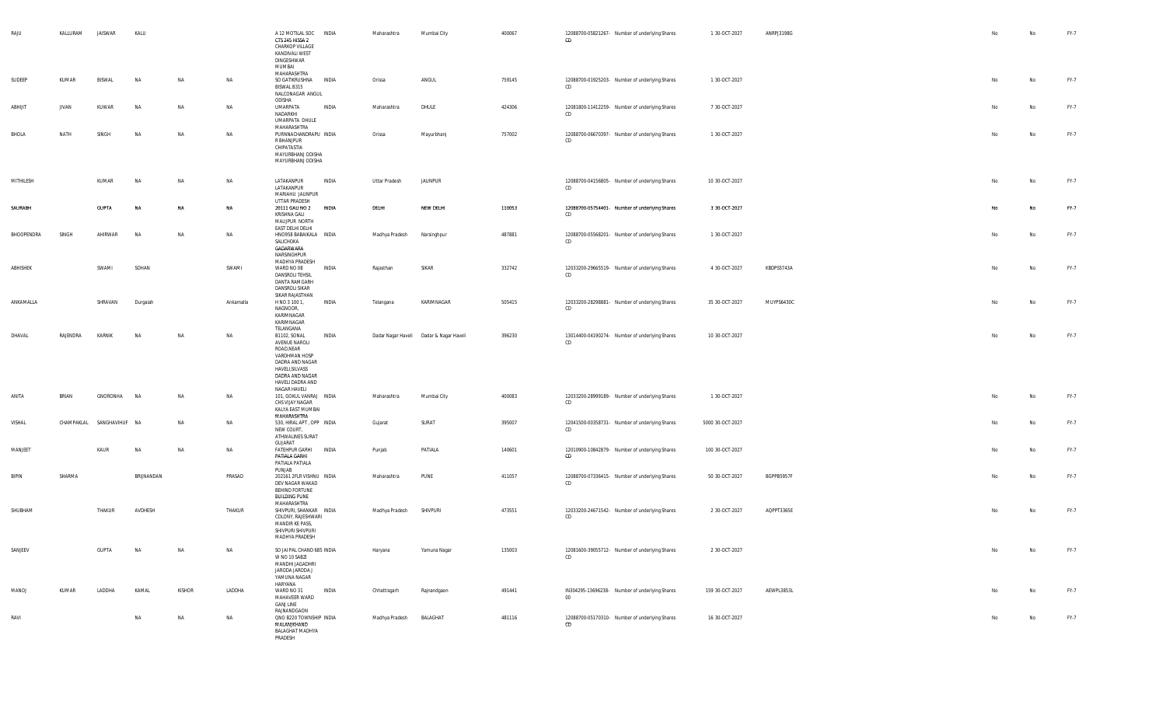| RAJU         | KALLURAM     | JAISWAR        | KALU       |           |           | A 12 MOTILAL SOC INDIA<br>CTS 245 HISSA 2<br>CHARKOP VILLAGE<br>KANDIVALI WEST<br>DINGESHWAR<br>MUMBAI<br>MAHARASHTRA                                              | Maharashtra             | Mumbai City                              | 400067 | 12088700-05821267- Number of underlying Shares<br>CD     | 1 30 OCT-2027    | ANRPJ3198G | No | No        | FY-7        |
|--------------|--------------|----------------|------------|-----------|-----------|--------------------------------------------------------------------------------------------------------------------------------------------------------------------|-------------------------|------------------------------------------|--------|----------------------------------------------------------|------------------|------------|----|-----------|-------------|
| SUDEEP       | KUMAR        | BISWAL         | NA         | NA        | NA        | SO GATIKRUSHNA<br><b>INDIA</b><br>BISWAL B315<br>NALCONAGAR ANGUL<br>ODISHA                                                                                        | Orissa                  | ANGUL                                    | 759145 | 12088700-01925203- Number of underlying Shares<br>CD     | 1 30-OCT-2027    |            | No | No        | FY-7        |
| ABHIJIT      | <b>JIVAN</b> | KUWAR          | NA         | NA        | NA        | UMARPATA<br>INDIA<br>NADARKHI<br>UMARPATA DHULE<br>MAHARASHTRA                                                                                                     | Maharashtra             | DHULE                                    | 424306 | 12081800-11412259- Number of underlying Shares<br>CD     | 7 30-OCT-2027    |            | No | No        | FY-7        |
| BHOLA        | NATH         | SINGH          | <b>NA</b>  | NA        | <b>NA</b> | PURNNACHANDRAPU INDIA<br>R BHANJPUR<br>CHIPATASTIA<br>MAYURBHANJ ODISHA<br>MAYURBHANJ ODISHA                                                                       | Orissa                  | Mayurbhanj                               | 757002 | 12088700-06670397- Number of underlying Shares<br>CD     | 1 30-OCT-2027    |            | No | No        | FY-7        |
| MITHILESH    |              | KUMAR          | <b>NA</b>  | NA        | NA        | LATAKANPUR<br>INDIA<br>LATAKANPUR<br>MARIAHU JAUNPUR<br>UTTAR PRADESH                                                                                              | <b>Uttar Pradesh</b>    | <b>JAUNPUR</b>                           |        | 12088700-04156805- Number of underlying Shares<br>CD     | 10 30-OCT-2027   |            | No | No        | FY-7        |
| SAURABH      |              | <b>GUPTA</b>   | NA         | NA        | NA        | 20111 GALI NO 2<br>INDIA<br>KRISHNA GALI<br>MAUJPUR NORTH<br>EAST DELHI DELHI                                                                                      | DELHI                   | NEW DELHI                                | 110053 | 12088700-05754401- Number of underlying Shares<br>CD     | 3 30 OCT-2027    |            | No | No        | FY-7        |
| BHOOPENDRA   | SINGH        | AHIRWAR        | NA         | NA        | <b>NA</b> | HNO958 BABAIKALA INDIA<br>SALICHOKA<br>GADARWARA<br>NARSINGHPUR                                                                                                    | Madhya Pradesh          | Narsinghpur                              | 487881 | 12088700-05568201- Number of underlying Shares<br>CD     | 1 30-OCT-2027    |            | No | No        | FY-7        |
| ABHISHEK     |              | SWAMI          | SOHAN      |           | SWAMI     | MADHYA PRADESH<br>WARD NO 08<br>INDIA<br><b>DANSROLI TEHSIL</b><br>DANTA RAMGARH<br>DANSROLI SIKAR<br>SIKAR RAJASTHAN                                              | Rajasthan               | SIKAR                                    | 332742 | 12033200-29665519- Number of underlying Shares<br>CD     | 4 30 OCT-2027    | KBDPS5743A | No | No        | FY-7        |
| ANKAMALLA    |              | SHRAVAN        | Durgaiah   |           | Ankamalla | H NO 3 100 1,<br>INDIA<br>NAGNOOR,<br>KARIMNAGAR<br>KARIMNAGAR<br>TELANGANA                                                                                        | Telangana               | KARIMNAGAR                               | 505415 | 12033200-28298881- Number of underlying Shares<br>CD     | 35 30-OCT-2027   | MUYPS6430C | No | No        | FY-7        |
| DHAVAL       | RAJENDRA     | KARNIK         | <b>NA</b>  | <b>NA</b> | <b>NA</b> | B1102, SONAL<br>INDIA<br>AVENUE NAROLI<br>ROAD, NEAR<br>VARDHMAN HOSP<br>DADRA AND NAGAR<br>HAVELI, SILVASS<br>DADRA AND NAGAR<br>HAVELI DADRA AND<br>NAGAR HAVELI |                         | Dadar Nagar Haveli  Dadar & Nagar Haveli | 396230 | 13014400-04190274- Number of underlying Shares<br>CD     | 10 30-OCT-2027   |            | No | <b>No</b> | FY-7        |
| ANITA        | BRIAN        | GNORONHA       | <b>NA</b>  | NA        | NA        | 101, GOKUL VANRAJ INDIA<br>CHS VIJAY NAGAR<br>KALYA EAST MUMBAI<br>MAHARASHTRA                                                                                     | Maharashtra             | Mumbai City                              | 400083 | 12033200-28999189- Number of underlying Shares<br>CD     | 1 30-OCT-2027    |            | No | <b>No</b> | FY-7        |
| VISHAL       | CHAMPAKLAL   | SANGHAVIHUF NA |            | NA        | NA        | 530, HIRAL APT, OPP INDIA<br>NEW COURT,<br>ATHWALINES SURAT<br>GUJARAT                                                                                             | Gujarat                 | SURAT                                    | 395007 | 12041500-00358731- Number of underlying Shares<br>CD     | 5000 30-OCT-2027 |            | No | No        | FY-7        |
| MANJEET      |              | KAUR           | <b>NA</b>  | NA        | <b>NA</b> | FATEHPUR GARHI INDIA<br>PATIALA GARHI<br>PATIALA PATIALA<br>PUNJAB                                                                                                 | Punjab                  | PATIALA                                  | 140601 | 12010900-10842879- Number of underlying Shares<br>CD     | 100 30-OCT-2027  |            | No | No        | FY-7        |
| <b>BIPIN</b> | SHARMA       |                | BRIJNANDAN |           | PRASAD    | 202161 2FLR VISHNU INDIA<br>DEV NAGAR WAKAD<br>BEHIND FORTUNE<br><b>BUILDING PUNE</b>                                                                              | Maharashtra             | PUNE                                     | 411057 | 12088700-07336415- Number of underlying Shares<br>CD     | 50 30-OCT-2027   | BGPPB5957F | No | No        | FY-7        |
| SHUBHAM      |              | THAKUR         | AVDHESH    |           | THAKUR    | MAHARASHTRA<br>SHIVPURI, SHANKAR INDIA<br>COLONY, RAJESHWARI<br>MANDIR KE PASS,<br>SHIVPURI SHIVPURI<br>MADHYA PRADESH                                             | Madhya Pradesh SHIVPURI |                                          | 473551 | 12033200-24671542- Number of underlying Shares<br>CD     | 2 30-OCT-2027    | AQPPT3365E | No | No        | FY-7        |
| SANJEEV      |              | <b>GUPTA</b>   | NA         | NA        | <b>NA</b> | SO JAI PAL CHAND 685 INDIA<br>W NO 10 SABZI<br>MANDHI JAGADHRI<br>JARODA JARODA J<br>YAMUNA NAGAR<br>HARYANA                                                       | Haryana                 | Yamuna Nagar                             | 135003 | 12081600-39055712- Number of underlying Shares<br>CD     | 2 30 OCT-2027    |            | No | No        | <b>FY-7</b> |
| <b>MANOJ</b> | KUMAR        | LADDHA         | KAMAL      | KISHOR    | LADDHA    | WARD NO 31<br>INDIA<br>MAHAVEER WARD<br><b>GANJ LINE</b><br>RAJNANDGAON                                                                                            | Chhattisgarh            | Rajnandgaon                              | 491441 | IN304295-13696238- Number of underlying Shares<br>$00\,$ | 159 30-OCT-2027  | AEWPL3853L | No | No        | FY-7        |
| RAVI         |              |                | <b>NA</b>  | NA        | NA        | QNO B220 TOWNSHIP INDIA<br>MALANJKHAND<br><b>BALAGHAT MADHYA</b><br>PRADESH                                                                                        | Madhya Pradesh          | BALAGHAT                                 | 481116 | 12088700-05170310- Number of underlying Shares<br>CD     | 16 30-OCT-2027   |            | No | No        | FY-7        |